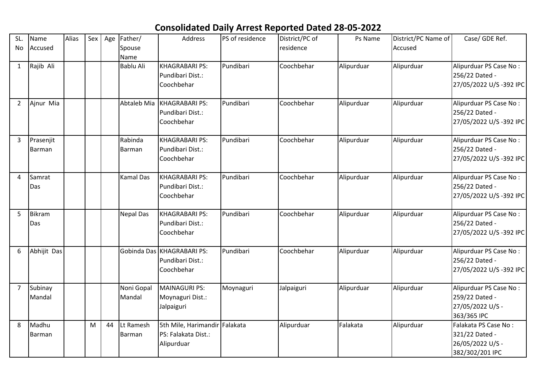## **Consolidated Daily Arrest Reported Dated 28-05-2022**

| SL.<br>No      | Name<br>Accused      | Alias | Sex |    | Age Father/<br>Spouse<br>Name | Address                                                            | PS of residence | District/PC of<br>residence | Ps Name    | District/PC Name of<br>Accused | Case/ GDE Ref.                                                                |
|----------------|----------------------|-------|-----|----|-------------------------------|--------------------------------------------------------------------|-----------------|-----------------------------|------------|--------------------------------|-------------------------------------------------------------------------------|
| $\mathbf{1}$   | Rajib Ali            |       |     |    | <b>Bablu Ali</b>              | <b>KHAGRABARI PS:</b><br>Pundibari Dist.:<br>Coochbehar            | Pundibari       | Coochbehar                  | Alipurduar | Alipurduar                     | Alipurduar PS Case No:<br>256/22 Dated -<br>27/05/2022 U/S -392 IPC           |
| $\overline{2}$ | Ajnur Mia            |       |     |    | Abtaleb Mia                   | KHAGRABARI PS:<br>Pundibari Dist.:<br>Coochbehar                   | Pundibari       | Coochbehar                  | Alipurduar | Alipurduar                     | Alipurduar PS Case No:<br>256/22 Dated -<br>27/05/2022 U/S-392 IPC            |
| 3              | Prasenjit<br>Barman  |       |     |    | Rabinda<br>Barman             | <b>KHAGRABARI PS:</b><br>Pundibari Dist.:<br>Coochbehar            | Pundibari       | Coochbehar                  | Alipurduar | Alipurduar                     | Alipurduar PS Case No:<br>256/22 Dated -<br>27/05/2022 U/S -392 IPC           |
| 4              | Samrat<br>Das        |       |     |    | <b>Kamal Das</b>              | <b>KHAGRABARI PS:</b><br>Pundibari Dist.:<br>Coochbehar            | Pundibari       | Coochbehar                  | Alipurduar | Alipurduar                     | Alipurduar PS Case No:<br>256/22 Dated -<br>27/05/2022 U/S -392 IPC           |
| 5              | <b>Bikram</b><br>Das |       |     |    | <b>Nepal Das</b>              | <b>KHAGRABARI PS:</b><br>Pundibari Dist.:<br>Coochbehar            | Pundibari       | Coochbehar                  | Alipurduar | Alipurduar                     | Alipurduar PS Case No:<br>256/22 Dated -<br>27/05/2022 U/S -392 IPC           |
| 6              | Abhijit Das          |       |     |    |                               | Gobinda Das KHAGRABARI PS:<br>Pundibari Dist.:<br>Coochbehar       | Pundibari       | Coochbehar                  | Alipurduar | Alipurduar                     | Alipurduar PS Case No:<br>256/22 Dated -<br>27/05/2022 U/S -392 IPC           |
| $\overline{7}$ | Subinay<br>Mandal    |       |     |    | Noni Gopal<br>Mandal          | <b>MAINAGURI PS:</b><br>Moynaguri Dist.:<br>Jalpaiguri             | Moynaguri       | Jalpaiguri                  | Alipurduar | Alipurduar                     | Alipurduar PS Case No:<br>259/22 Dated -<br>27/05/2022 U/S -<br>363/365 IPC   |
| 8              | Madhu<br>Barman      |       | M   | 44 | Lt Ramesh<br>Barman           | 5th Mile, Harimandir Falakata<br>PS: Falakata Dist.:<br>Alipurduar |                 | Alipurduar                  | Falakata   | Alipurduar                     | Falakata PS Case No:<br>321/22 Dated -<br>26/05/2022 U/S -<br>382/302/201 IPC |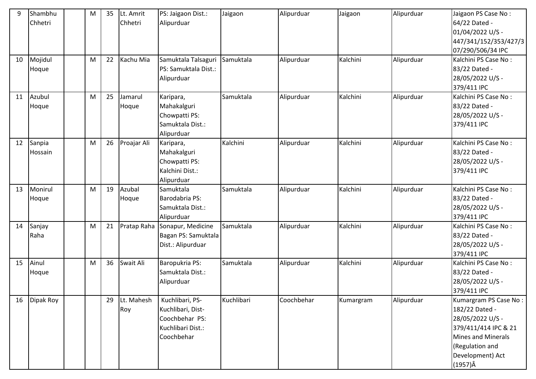| 9<br>10 | Shambhu<br>Chhetri<br>Mojidul | M<br>M | 35<br>22 | Lt. Amrit<br>Chhetri<br>Kachu Mia | PS: Jaigaon Dist.:<br>Alipurduar<br>Samuktala Talsaguri                                   | Jaigaon<br>Samuktala | Alipurduar<br>Alipurduar | Jaigaon<br>Kalchini | Alipurduar<br>Alipurduar | Jaigaon PS Case No:<br>64/22 Dated -<br>01/04/2022 U/S -<br>447/341/152/353/427/3<br>07/290/506/34 IPC<br>Kalchini PS Case No:                                             |
|---------|-------------------------------|--------|----------|-----------------------------------|-------------------------------------------------------------------------------------------|----------------------|--------------------------|---------------------|--------------------------|----------------------------------------------------------------------------------------------------------------------------------------------------------------------------|
|         | Hoque                         |        |          |                                   | PS: Samuktala Dist.:<br>Alipurduar                                                        |                      |                          |                     |                          | 83/22 Dated -<br>28/05/2022 U/S -<br>379/411 IPC                                                                                                                           |
| 11      | Azubul<br>Hoque               | M      | 25       | Jamarul<br>Hoque                  | Karipara,<br>Mahakalguri<br>Chowpatti PS:<br>Samuktala Dist.:<br>Alipurduar               | Samuktala            | Alipurduar               | Kalchini            | Alipurduar               | Kalchini PS Case No:<br>83/22 Dated -<br>28/05/2022 U/S -<br>379/411 IPC                                                                                                   |
| 12      | Sanpia<br>Hossain             | M      | 26       | Proajar Ali                       | Karipara,<br>Mahakalguri<br>Chowpatti PS:<br>Kalchini Dist.:<br>Alipurduar                | Kalchini             | Alipurduar               | Kalchini            | Alipurduar               | Kalchini PS Case No:<br>83/22 Dated -<br>28/05/2022 U/S -<br>379/411 IPC                                                                                                   |
| 13      | Monirul<br>Hoque              | M      | 19       | Azubal<br>Hoque                   | Samuktala<br>Barodabria PS:<br>Samuktala Dist.:<br>Alipurduar                             | Samuktala            | Alipurduar               | Kalchini            | Alipurduar               | Kalchini PS Case No:<br>83/22 Dated -<br>28/05/2022 U/S -<br>379/411 IPC                                                                                                   |
| 14      | Sanjay<br>Raha                | M      | 21       | Pratap Raha                       | Sonapur, Medicine<br>Bagan PS: Samuktala<br>Dist.: Alipurduar                             | Samuktala            | Alipurduar               | Kalchini            | Alipurduar               | Kalchini PS Case No:<br>83/22 Dated -<br>28/05/2022 U/S -<br>379/411 IPC                                                                                                   |
| 15      | Ainul<br>Hoque                | M      | 36       | Swait Ali                         | Baropukria PS:<br>Samuktala Dist.:<br>Alipurduar                                          | Samuktala            | Alipurduar               | Kalchini            | Alipurduar               | Kalchini PS Case No:<br>83/22 Dated -<br>28/05/2022 U/S -<br>379/411 IPC                                                                                                   |
| 16      | Dipak Roy                     |        | 29       | Lt. Mahesh<br>Roy                 | Kuchlibari, PS-<br>Kuchlibari, Dist-<br>Coochbehar PS:<br>Kuchlibari Dist.:<br>Coochbehar | Kuchlibari           | Coochbehar               | Kumargram           | Alipurduar               | Kumargram PS Case No:<br>182/22 Dated -<br>28/05/2022 U/S -<br>379/411/414 IPC & 21<br><b>Mines and Minerals</b><br>(Regulation and<br>Development) Act<br>$(1957)\hat{A}$ |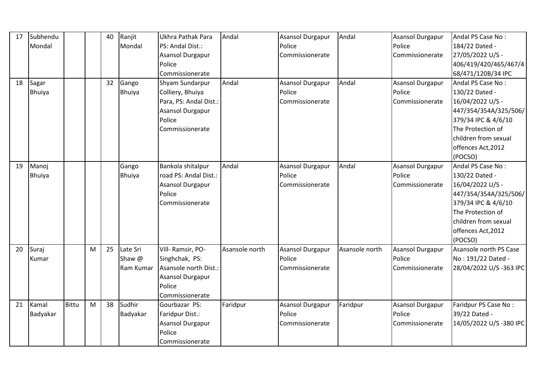| 17 | Subhendu      |              |   | 40 | Ranjit        | Ukhra Pathak Para       | Andal          | <b>Asansol Durgapur</b> | Andal          | Asansol Durgapur        | Andal PS Case No:      |
|----|---------------|--------------|---|----|---------------|-------------------------|----------------|-------------------------|----------------|-------------------------|------------------------|
|    | Mondal        |              |   |    | Mondal        | PS: Andal Dist.:        |                | Police                  |                | Police                  | 184/22 Dated -         |
|    |               |              |   |    |               | <b>Asansol Durgapur</b> |                | Commissionerate         |                | Commissionerate         | 27/05/2022 U/S -       |
|    |               |              |   |    |               | Police                  |                |                         |                |                         | 406/419/420/465/467/4  |
|    |               |              |   |    |               | Commissionerate         |                |                         |                |                         | 68/471/120B/34 IPC     |
| 18 | Sagar         |              |   | 32 | Gango         | Shyam Sundarpur         | Andal          | <b>Asansol Durgapur</b> | Andal          | Asansol Durgapur        | Andal PS Case No:      |
|    | <b>Bhuiya</b> |              |   |    | <b>Bhuiya</b> | Colliery, Bhuiya        |                | Police                  |                | Police                  | 130/22 Dated -         |
|    |               |              |   |    |               | Para, PS: Andal Dist.:  |                | Commissionerate         |                | Commissionerate         | 16/04/2022 U/S -       |
|    |               |              |   |    |               | Asansol Durgapur        |                |                         |                |                         | 447/354/354A/325/506/  |
|    |               |              |   |    |               | Police                  |                |                         |                |                         | 379/34 IPC & 4/6/10    |
|    |               |              |   |    |               | Commissionerate         |                |                         |                |                         | The Protection of      |
|    |               |              |   |    |               |                         |                |                         |                |                         | children from sexual   |
|    |               |              |   |    |               |                         |                |                         |                |                         | offences Act, 2012     |
|    |               |              |   |    |               |                         |                |                         |                |                         | (POCSO)                |
| 19 | Manoj         |              |   |    | Gango         | Bankola shitalpur       | Andal          | <b>Asansol Durgapur</b> | Andal          | <b>Asansol Durgapur</b> | Andal PS Case No:      |
|    | <b>Bhuiya</b> |              |   |    | <b>Bhuiya</b> | road PS: Andal Dist.:   |                | Police                  |                | Police                  | 130/22 Dated -         |
|    |               |              |   |    |               | <b>Asansol Durgapur</b> |                | Commissionerate         |                | Commissionerate         | 16/04/2022 U/S -       |
|    |               |              |   |    |               | Police                  |                |                         |                |                         | 447/354/354A/325/506/  |
|    |               |              |   |    |               | Commissionerate         |                |                         |                |                         | 379/34 IPC & 4/6/10    |
|    |               |              |   |    |               |                         |                |                         |                |                         | The Protection of      |
|    |               |              |   |    |               |                         |                |                         |                |                         | children from sexual   |
|    |               |              |   |    |               |                         |                |                         |                |                         | offences Act, 2012     |
|    |               |              |   |    |               |                         |                |                         |                |                         | (POCSO)                |
| 20 | Suraj         |              | M | 25 | Late Sri      | Vill-Ramsir, PO-        | Asansole north | <b>Asansol Durgapur</b> | Asansole north | Asansol Durgapur        | Asansole north PS Case |
|    | Kumar         |              |   |    | Shaw @        | Singhchak, PS:          |                | Police                  |                | Police                  | No: 191/22 Dated -     |
|    |               |              |   |    | Ram Kumar     | Asansole north Dist.:   |                | Commissionerate         |                | Commissionerate         | 28/04/2022 U/S-363 IPC |
|    |               |              |   |    |               | Asansol Durgapur        |                |                         |                |                         |                        |
|    |               |              |   |    |               | Police                  |                |                         |                |                         |                        |
|    |               |              |   |    |               | Commissionerate         |                |                         |                |                         |                        |
| 21 | Kamal         | <b>Bittu</b> | M | 38 | Sudhir        | Gourbazar PS:           | Faridpur       | <b>Asansol Durgapur</b> | Faridpur       | Asansol Durgapur        | Faridpur PS Case No:   |
|    | Badyakar      |              |   |    | Badyakar      | Faridpur Dist.:         |                | Police                  |                | Police                  | 39/22 Dated -          |
|    |               |              |   |    |               | <b>Asansol Durgapur</b> |                | Commissionerate         |                | Commissionerate         | 14/05/2022 U/S-380 IPC |
|    |               |              |   |    |               | Police                  |                |                         |                |                         |                        |
|    |               |              |   |    |               | Commissionerate         |                |                         |                |                         |                        |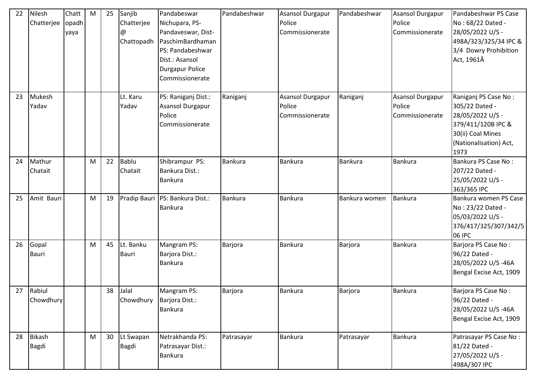| 22 | Nilesh<br>Chatterjee          | Chatt<br>opadh<br>yaya | M | 25 | Sanjib<br>Chatterjee<br>@<br>Chattopadh | Pandabeswar<br>Nichupara, PS-<br>Pandaveswar, Dist-<br>PaschimBardhaman<br>PS: Pandabeshwar<br>Dist.: Asansol<br><b>Durgapur Police</b><br>Commissionerate | Pandabeshwar   | <b>Asansol Durgapur</b><br>Police<br>Commissionerate | Pandabeshwar   | Asansol Durgapur<br>Police<br>Commissionerate        | Pandabeshwar PS Case<br>No: 68/22 Dated -<br>28/05/2022 U/S -<br>498A/323/325/34 IPC &<br>3/4 Dowry Prohibition<br>Act, 1961Â           |
|----|-------------------------------|------------------------|---|----|-----------------------------------------|------------------------------------------------------------------------------------------------------------------------------------------------------------|----------------|------------------------------------------------------|----------------|------------------------------------------------------|-----------------------------------------------------------------------------------------------------------------------------------------|
| 23 | Mukesh<br>Yadav               |                        |   |    | Lt. Karu<br>Yadav                       | PS: Raniganj Dist.:<br><b>Asansol Durgapur</b><br>Police<br>Commissionerate                                                                                | Raniganj       | Asansol Durgapur<br>Police<br>Commissionerate        | Raniganj       | <b>Asansol Durgapur</b><br>Police<br>Commissionerate | Raniganj PS Case No:<br>305/22 Dated -<br>28/05/2022 U/S -<br>379/411/120B IPC &<br>30(ii) Coal Mines<br>(Nationalisation) Act,<br>1973 |
| 24 | Mathur<br>Chatait             |                        | M | 22 | Bablu<br>Chatait                        | Shibrampur PS:<br>Bankura Dist.:<br><b>Bankura</b>                                                                                                         | <b>Bankura</b> | <b>Bankura</b>                                       | <b>Bankura</b> | Bankura                                              | Bankura PS Case No:<br>207/22 Dated -<br>25/05/2022 U/S -<br>363/365 IPC                                                                |
| 25 | Amit Bauri                    |                        | M | 19 |                                         | Pradip Bauri PS: Bankura Dist.:<br>Bankura                                                                                                                 | <b>Bankura</b> | <b>Bankura</b>                                       | Bankura women  | Bankura                                              | Bankura women PS Case<br>No: 23/22 Dated -<br>05/03/2022 U/S -<br>376/417/325/307/342/5<br>06 IPC                                       |
| 26 | Gopal<br>Bauri                |                        | M | 45 | Lt. Banku<br><b>Bauri</b>               | Mangram PS:<br>Barjora Dist.:<br><b>Bankura</b>                                                                                                            | <b>Barjora</b> | Bankura                                              | Barjora        | Bankura                                              | Barjora PS Case No:<br>96/22 Dated -<br>28/05/2022 U/S-46A<br>Bengal Excise Act, 1909                                                   |
| 27 | Rabiul<br>Chowdhury           |                        |   | 38 | Jalal<br>Chowdhury                      | Mangram PS:<br>Barjora Dist.:<br><b>Bankura</b>                                                                                                            | Barjora        | <b>Bankura</b>                                       | <b>Barjora</b> | <b>Bankura</b>                                       | Barjora PS Case No:<br>96/22 Dated -<br>28/05/2022 U/S-46A<br>Bengal Excise Act, 1909                                                   |
| 28 | <b>Bikash</b><br><b>Bagdi</b> |                        | M | 30 | Lt Swapan<br><b>Bagdi</b>               | Netrakhanda PS:<br>Patrasayar Dist.:<br>Bankura                                                                                                            | Patrasayar     | <b>Bankura</b>                                       | Patrasayar     | Bankura                                              | Patrasayar PS Case No:<br>81/22 Dated -<br>27/05/2022 U/S -<br>498A/307 IPC                                                             |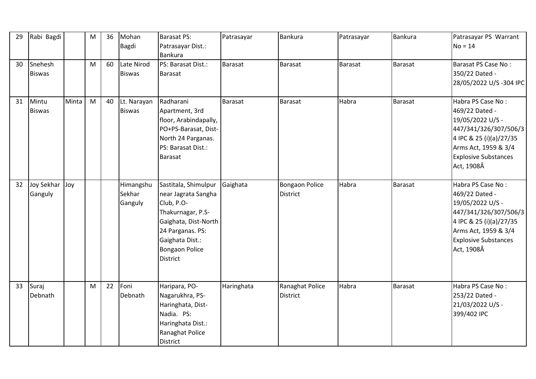| 29 | Rabi Bagdi               |       | ${\sf M}$ | 36 | Mohan<br>Bagdi                 | <b>Barasat PS:</b><br>Patrasayar Dist.:<br><b>Bankura</b>                                                                                                                                 | Patrasayar | Bankura                            | Patrasayar | Bankura        | Patrasayar PS Warrant<br>$No = 14$                                                                                                                                               |
|----|--------------------------|-------|-----------|----|--------------------------------|-------------------------------------------------------------------------------------------------------------------------------------------------------------------------------------------|------------|------------------------------------|------------|----------------|----------------------------------------------------------------------------------------------------------------------------------------------------------------------------------|
| 30 | Snehesh<br><b>Biswas</b> |       | M         | 60 | Late Nirod<br><b>Biswas</b>    | PS: Barasat Dist.:<br><b>Barasat</b>                                                                                                                                                      | Barasat    | <b>Barasat</b>                     | Barasat    | Barasat        | Barasat PS Case No:<br>350/22 Dated -<br>28/05/2022 U/S -304 IPC                                                                                                                 |
| 31 | Mintu<br><b>Biswas</b>   | Minta | M         | 40 | Lt. Narayan<br><b>Biswas</b>   | Radharani<br>Apartment, 3rd<br>floor, Arabindapally,<br>PO+PS-Barasat, Dist-<br>North 24 Parganas.<br>PS: Barasat Dist.:<br>Barasat                                                       | Barasat    | <b>Barasat</b>                     | Habra      | Barasat        | Habra PS Case No:<br>469/22 Dated -<br>19/05/2022 U/S -<br>447/341/326/307/506/3<br>4 IPC & 25 (i)(a)/27/35<br>Arms Act, 1959 & 3/4<br><b>Explosive Substances</b><br>Act, 1908Â |
| 32 | Joy Sekhar<br>Ganguly    | Joy   |           |    | Himangshu<br>Sekhar<br>Ganguly | Sastitala, Shimulpur<br>near Jagrata Sangha<br>Club, P.O-<br>Thakurnagar, P.S-<br>Gaighata, Dist-North<br>24 Parganas. PS:<br>Gaighata Dist.:<br><b>Bongaon Police</b><br><b>District</b> | Gaighata   | Bongaon Police<br><b>District</b>  | Habra      | Barasat        | Habra PS Case No:<br>469/22 Dated -<br>19/05/2022 U/S -<br>447/341/326/307/506/3<br>4 IPC & 25 (i)(a)/27/35<br>Arms Act, 1959 & 3/4<br><b>Explosive Substances</b><br>Act, 1908Â |
| 33 | Suraj<br>Debnath         |       | M         | 22 | Foni<br>Debnath                | Haripara, PO-<br>Nagarukhra, PS-<br>Haringhata, Dist-<br>Nadia. PS:<br>Haringhata Dist.:<br>Ranaghat Police<br><b>District</b>                                                            | Haringhata | Ranaghat Police<br><b>District</b> | Habra      | <b>Barasat</b> | Habra PS Case No:<br>253/22 Dated -<br>21/03/2022 U/S -<br>399/402 IPC                                                                                                           |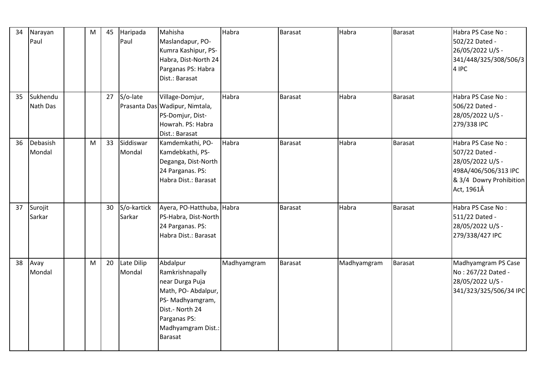| 34 | Narayan<br>Paul      | ${\sf M}$ | 45 | Haripada<br>Paul      | Mahisha<br>Maslandapur, PO-<br>Kumra Kashipur, PS-<br>Habra, Dist-North 24<br>Parganas PS: Habra<br>Dist.: Barasat                                                 | Habra       | <b>Barasat</b> | Habra       | <b>Barasat</b> | Habra PS Case No:<br>502/22 Dated -<br>26/05/2022 U/S -<br>341/448/325/308/506/3<br>4 IPC                                |
|----|----------------------|-----------|----|-----------------------|--------------------------------------------------------------------------------------------------------------------------------------------------------------------|-------------|----------------|-------------|----------------|--------------------------------------------------------------------------------------------------------------------------|
| 35 | Sukhendu<br>Nath Das |           | 27 | S/o-late              | Village-Domjur,<br>Prasanta Das Wadipur, Nimtala,<br>PS-Domjur, Dist-<br>Howrah. PS: Habra<br>Dist.: Barasat                                                       | Habra       | Barasat        | Habra       | Barasat        | Habra PS Case No:<br>506/22 Dated -<br>28/05/2022 U/S -<br>279/338 IPC                                                   |
| 36 | Debasish<br>Mondal   | M         | 33 | Siddiswar<br>Mondal   | Kamdemkathi, PO-<br>Kamdebkathi, PS-<br>Deganga, Dist-North<br>24 Parganas. PS:<br>Habra Dist.: Barasat                                                            | Habra       | <b>Barasat</b> | Habra       | Barasat        | Habra PS Case No:<br>507/22 Dated -<br>28/05/2022 U/S -<br>498A/406/506/313 IPC<br>& 3/4 Dowry Prohibition<br>Act, 1961Â |
| 37 | Surojit<br>Sarkar    |           | 30 | S/o-kartick<br>Sarkar | Ayera, PO-Hatthuba, Habra<br>PS-Habra, Dist-North<br>24 Parganas. PS:<br>Habra Dist.: Barasat                                                                      |             | Barasat        | Habra       | <b>Barasat</b> | Habra PS Case No:<br>511/22 Dated -<br>28/05/2022 U/S -<br>279/338/427 IPC                                               |
| 38 | Avay<br>Mondal       | M         | 20 | Late Dilip<br>Mondal  | Abdalpur<br>Ramkrishnapally<br>near Durga Puja<br>Math, PO-Abdalpur,<br>PS-Madhyamgram,<br>Dist.- North 24<br>Parganas PS:<br>Madhyamgram Dist.:<br><b>Barasat</b> | Madhyamgram | <b>Barasat</b> | Madhyamgram | <b>Barasat</b> | Madhyamgram PS Case<br>No: 267/22 Dated -<br>28/05/2022 U/S -<br>341/323/325/506/34 IPC                                  |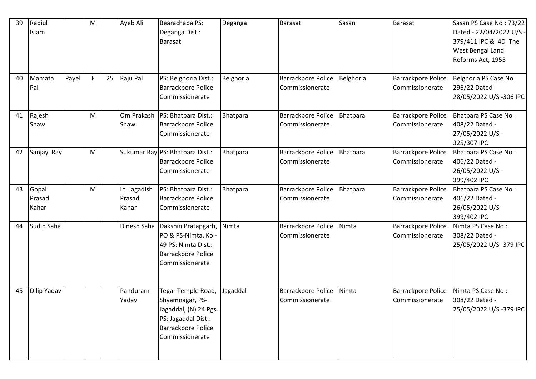| 39 | Rabiul<br>Islam          |       | M  |    | Ayeb Ali                        | Bearachapa PS:<br>Deganga Dist.:<br>Barasat                                                                                    | Deganga   | <b>Barasat</b>                        | Sasan     | <b>Barasat</b>                               | Sasan PS Case No: 73/22<br>Dated - 22/04/2022 U/S -<br>379/411 IPC & 4D The<br>West Bengal Land<br>Reforms Act, 1955 |
|----|--------------------------|-------|----|----|---------------------------------|--------------------------------------------------------------------------------------------------------------------------------|-----------|---------------------------------------|-----------|----------------------------------------------|----------------------------------------------------------------------------------------------------------------------|
| 40 | Mamata<br>Pal            | Payel | F. | 25 | Raju Pal                        | PS: Belghoria Dist.:<br>Barrackpore Police<br>Commissionerate                                                                  | Belghoria | Barrackpore Police<br>Commissionerate | Belghoria | Barrackpore Police<br>Commissionerate        | Belghoria PS Case No:<br>296/22 Dated -<br>28/05/2022 U/S -306 IPC                                                   |
| 41 | Rajesh<br>Shaw           |       | M  |    | Om Prakash<br>Shaw              | PS: Bhatpara Dist.:<br><b>Barrackpore Police</b><br>Commissionerate                                                            | Bhatpara  | Barrackpore Police<br>Commissionerate | Bhatpara  | Barrackpore Police<br>Commissionerate        | Bhatpara PS Case No:<br>408/22 Dated -<br>27/05/2022 U/S -<br>325/307 IPC                                            |
| 42 | Sanjay Ray               |       | M  |    |                                 | Sukumar Ray PS: Bhatpara Dist.:<br>Barrackpore Police<br>Commissionerate                                                       | Bhatpara  | Barrackpore Police<br>Commissionerate | Bhatpara  | Barrackpore Police<br>Commissionerate        | Bhatpara PS Case No:<br>406/22 Dated -<br>26/05/2022 U/S -<br>399/402 IPC                                            |
| 43 | Gopal<br>Prasad<br>Kahar |       | M  |    | Lt. Jagadish<br>Prasad<br>Kahar | PS: Bhatpara Dist.:<br><b>Barrackpore Police</b><br>Commissionerate                                                            | Bhatpara  | Barrackpore Police<br>Commissionerate | Bhatpara  | Barrackpore Police<br>Commissionerate        | Bhatpara PS Case No:<br>406/22 Dated -<br>26/05/2022 U/S -<br>399/402 IPC                                            |
| 44 | Sudip Saha               |       |    |    | Dinesh Saha                     | Dakshin Pratapgarh,<br>PO & PS-Nimta, Kol-<br>49 PS: Nimta Dist.:<br>Barrackpore Police<br>Commissionerate                     | Nimta     | Barrackpore Police<br>Commissionerate | Nimta     | <b>Barrackpore Police</b><br>Commissionerate | Nimta PS Case No:<br>308/22 Dated -<br>25/05/2022 U/S-379 IPC                                                        |
| 45 | Dilip Yadav              |       |    |    | Panduram<br>Yadav               | Tegar Temple Road,<br>Shyamnagar, PS-<br>Jagaddal, (N) 24 Pgs.<br>PS: Jagaddal Dist.:<br>Barrackpore Police<br>Commissionerate | Jagaddal  | Barrackpore Police<br>Commissionerate | Nimta     | <b>Barrackpore Police</b><br>Commissionerate | Nimta PS Case No:<br>308/22 Dated -<br>25/05/2022 U/S-379 IPC                                                        |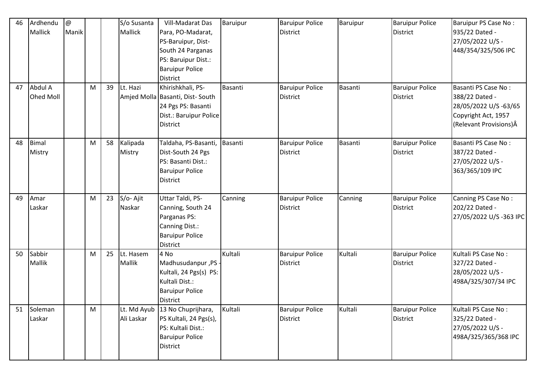| 46 | Ardhendu  | @     |   |    | S/o Susanta | Vill-Madarat Das                | Baruipur | <b>Baruipur Police</b> | Baruipur | <b>Baruipur Police</b> | Baruipur PS Case No:    |
|----|-----------|-------|---|----|-------------|---------------------------------|----------|------------------------|----------|------------------------|-------------------------|
|    | Mallick   | Manik |   |    | Mallick     | Para, PO-Madarat,               |          | <b>District</b>        |          | <b>District</b>        | 935/22 Dated -          |
|    |           |       |   |    |             | PS-Baruipur, Dist-              |          |                        |          |                        | 27/05/2022 U/S -        |
|    |           |       |   |    |             | South 24 Parganas               |          |                        |          |                        | 448/354/325/506 IPC     |
|    |           |       |   |    |             | PS: Baruipur Dist.:             |          |                        |          |                        |                         |
|    |           |       |   |    |             | <b>Baruipur Police</b>          |          |                        |          |                        |                         |
|    |           |       |   |    |             | District                        |          |                        |          |                        |                         |
| 47 | Abdul A   |       | M | 39 | Lt. Hazi    | Khirishkhali, PS-               | Basanti  | <b>Baruipur Police</b> | Basanti  | <b>Baruipur Police</b> | Basanti PS Case No:     |
|    | Ohed Moll |       |   |    |             | Amjed Molla Basanti, Dist-South |          | <b>District</b>        |          | <b>District</b>        | 388/22 Dated -          |
|    |           |       |   |    |             | 24 Pgs PS: Basanti              |          |                        |          |                        | 28/05/2022 U/S -63/65   |
|    |           |       |   |    |             | Dist.: Baruipur Police          |          |                        |          |                        | Copyright Act, 1957     |
|    |           |       |   |    |             | <b>District</b>                 |          |                        |          |                        | (Relevant Provisions) Â |
|    |           |       |   |    |             |                                 |          |                        |          |                        |                         |
| 48 | Bimal     |       | M | 58 | Kalipada    | Taldaha, PS-Basanti,            | Basanti  | <b>Baruipur Police</b> | Basanti  | <b>Baruipur Police</b> | Basanti PS Case No:     |
|    | Mistry    |       |   |    | Mistry      | Dist-South 24 Pgs               |          | <b>District</b>        |          | <b>District</b>        | 387/22 Dated -          |
|    |           |       |   |    |             | PS: Basanti Dist.:              |          |                        |          |                        | 27/05/2022 U/S -        |
|    |           |       |   |    |             | <b>Baruipur Police</b>          |          |                        |          |                        | 363/365/109 IPC         |
|    |           |       |   |    |             | <b>District</b>                 |          |                        |          |                        |                         |
|    |           |       |   |    |             |                                 |          |                        |          |                        |                         |
| 49 | Amar      |       | M | 23 | S/o-Ajit    | Uttar Taldi, PS-                | Canning  | <b>Baruipur Police</b> | Canning  | <b>Baruipur Police</b> | Canning PS Case No:     |
|    | Laskar    |       |   |    | Naskar      | Canning, South 24               |          | <b>District</b>        |          | <b>District</b>        | 202/22 Dated -          |
|    |           |       |   |    |             | Parganas PS:                    |          |                        |          |                        | 27/05/2022 U/S-363 IPC  |
|    |           |       |   |    |             | Canning Dist.:                  |          |                        |          |                        |                         |
|    |           |       |   |    |             | <b>Baruipur Police</b>          |          |                        |          |                        |                         |
|    |           |       |   |    |             | <b>District</b>                 |          |                        |          |                        |                         |
| 50 | Sabbir    |       | M | 25 | Lt. Hasem   | 4 No                            | Kultali  | <b>Baruipur Police</b> | Kultali  | <b>Baruipur Police</b> | Kultali PS Case No:     |
|    | Mallik    |       |   |    | Mallik      | Madhusudanpur, PS .             |          | <b>District</b>        |          | <b>District</b>        | 327/22 Dated -          |
|    |           |       |   |    |             | Kultali, 24 Pgs(s) PS:          |          |                        |          |                        | 28/05/2022 U/S -        |
|    |           |       |   |    |             | Kultali Dist.:                  |          |                        |          |                        | 498A/325/307/34 IPC     |
|    |           |       |   |    |             | <b>Baruipur Police</b>          |          |                        |          |                        |                         |
|    |           |       |   |    |             | District                        |          |                        |          |                        |                         |
| 51 | Soleman   |       | M |    |             | Lt. Md Ayub 13 No Chuprijhara,  | Kultali  | <b>Baruipur Police</b> | Kultali  | <b>Baruipur Police</b> | Kultali PS Case No:     |
|    | Laskar    |       |   |    | Ali Laskar  | PS Kultali, 24 Pgs(s),          |          | <b>District</b>        |          | <b>District</b>        | 325/22 Dated -          |
|    |           |       |   |    |             | PS: Kultali Dist.:              |          |                        |          |                        | 27/05/2022 U/S -        |
|    |           |       |   |    |             | <b>Baruipur Police</b>          |          |                        |          |                        | 498A/325/365/368 IPC    |
|    |           |       |   |    |             | District                        |          |                        |          |                        |                         |
|    |           |       |   |    |             |                                 |          |                        |          |                        |                         |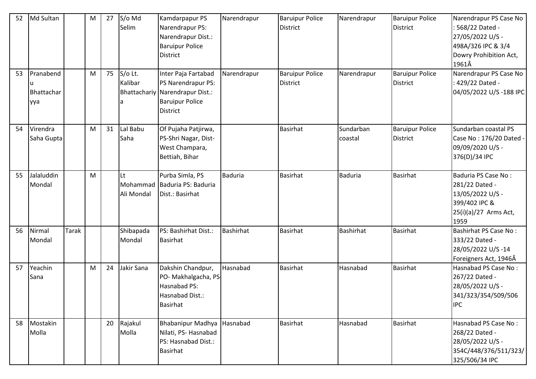| 52 | Md Sultan                      |              | M | 27 | S/o Md<br>Selim          | Kamdarpapur PS<br>Narendrapur PS:<br>Narendrapur Dist.:<br><b>Baruipur Police</b><br>District                             | Narendrapur      | <b>Baruipur Police</b><br><b>District</b> | Narendrapur          | <b>Baruipur Police</b><br><b>District</b> | Narendrapur PS Case No<br>: 568/22 Dated -<br>27/05/2022 U/S -<br>498A/326 IPC & 3/4<br>Dowry Prohibition Act,<br>1961Â |
|----|--------------------------------|--------------|---|----|--------------------------|---------------------------------------------------------------------------------------------------------------------------|------------------|-------------------------------------------|----------------------|-------------------------------------------|-------------------------------------------------------------------------------------------------------------------------|
| 53 | Pranabend<br>Bhattachar<br>yya |              | M | 75 | S/o Lt.<br>Kalibar<br>۱a | Inter Paja Fartabad<br>PS Narendrapur PS:<br>Bhattachariy Narendrapur Dist.:<br><b>Baruipur Police</b><br><b>District</b> | Narendrapur      | <b>Baruipur Police</b><br><b>District</b> | Narendrapur          | <b>Baruipur Police</b><br><b>District</b> | Narendrapur PS Case No<br>429/22 Dated -<br>04/05/2022 U/S-188 IPC                                                      |
| 54 | Virendra<br>Saha Gupta         |              | M | 31 | Lal Babu<br>Saha         | Of Pujaha Patjirwa,<br>PS-Shri Nagar, Dist-<br>West Champara,<br>Bettiah, Bihar                                           |                  | <b>Basirhat</b>                           | Sundarban<br>coastal | <b>Baruipur Police</b><br><b>District</b> | Sundarban coastal PS<br>Case No: 176/20 Dated -<br>09/09/2020 U/S -<br>376(D)/34 IPC                                    |
| 55 | Jalaluddin<br>Mondal           |              | M |    | Lt<br>Ali Mondal         | Purba Simla, PS<br>Mohammad Baduria PS: Baduria<br>Dist.: Basirhat                                                        | <b>Baduria</b>   | <b>Basirhat</b>                           | <b>Baduria</b>       | <b>Basirhat</b>                           | Baduria PS Case No:<br>281/22 Dated -<br>13/05/2022 U/S -<br>399/402 IPC &<br>25(i)(a)/27 Arms Act,<br>1959             |
| 56 | Nirmal<br>Mondal               | <b>Tarak</b> |   |    | Shibapada<br>Mondal      | PS: Bashirhat Dist.:<br><b>Basirhat</b>                                                                                   | <b>Bashirhat</b> | <b>Basirhat</b>                           | Bashirhat            | Basirhat                                  | Bashirhat PS Case No:<br>333/22 Dated -<br>28/05/2022 U/S-14<br>Foreigners Act, 1946Â                                   |
| 57 | Yeachin<br>Sana                |              | M | 24 | Jakir Sana               | Dakshin Chandpur,<br>PO- Makhalgacha, PS-<br>Hasnabad PS:<br>Hasnabad Dist.:<br><b>Basirhat</b>                           | Hasnabad         | Basirhat                                  | Hasnabad             | <b>Basirhat</b>                           | Hasnabad PS Case No:<br>267/22 Dated -<br>28/05/2022 U/S -<br>341/323/354/509/506<br><b>IPC</b>                         |
| 58 | Mostakin<br>Molla              |              |   | 20 | Rajakul<br>Molla         | <b>Bhabanipur Madhya</b><br>Nilati, PS-Hasnabad<br>PS: Hasnabad Dist.:<br><b>Basirhat</b>                                 | Hasnabad         | <b>Basirhat</b>                           | Hasnabad             | Basirhat                                  | Hasnabad PS Case No:<br>268/22 Dated -<br>28/05/2022 U/S -<br>354C/448/376/511/323/<br>325/506/34 IPC                   |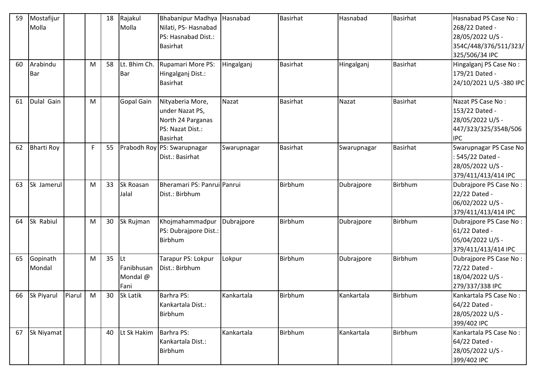| 59 | Mostafijur<br>Molla    |        |    | 18 | Rajakul<br>Molla                      | <b>Bhabanipur Madhya</b><br>Nilati, PS-Hasnabad<br>PS: Hasnabad Dist.:<br>Basirhat              | Hasnabad    | <b>Basirhat</b> | Hasnabad    | <b>Basirhat</b> | Hasnabad PS Case No:<br>268/22 Dated -<br>28/05/2022 U/S -<br>354C/448/376/511/323/<br>325/506/34 IPC |
|----|------------------------|--------|----|----|---------------------------------------|-------------------------------------------------------------------------------------------------|-------------|-----------------|-------------|-----------------|-------------------------------------------------------------------------------------------------------|
| 60 | Arabindu<br><b>Bar</b> |        | M  | 58 | Lt. Bhim Ch.<br><b>Bar</b>            | Rupamari More PS:<br>Hingalganj Dist.:<br><b>Basirhat</b>                                       | Hingalganj  | <b>Basirhat</b> | Hingalganj  | <b>Basirhat</b> | Hingalganj PS Case No:<br>179/21 Dated -<br>24/10/2021 U/S -380 IPC                                   |
| 61 | Dulal Gain             |        | M  |    | <b>Gopal Gain</b>                     | Nityaberia More,<br>under Nazat PS,<br>North 24 Parganas<br>PS: Nazat Dist.:<br><b>Basirhat</b> | Nazat       | <b>Basirhat</b> | Nazat       | <b>Basirhat</b> | Nazat PS Case No:<br>153/22 Dated -<br>28/05/2022 U/S -<br>447/323/325/354B/506<br><b>IPC</b>         |
| 62 | <b>Bharti Roy</b>      |        | F. | 55 |                                       | Prabodh Roy PS: Swarupnagar<br>Dist.: Basirhat                                                  | Swarupnagar | <b>Basirhat</b> | Swarupnagar | <b>Basirhat</b> | Swarupnagar PS Case No<br>: 545/22 Dated -<br>28/05/2022 U/S -<br>379/411/413/414 IPC                 |
| 63 | Sk Jamerul             |        | M  | 33 | Sk Roasan<br>Jalal                    | Bheramari PS: Panrui Panrui<br>Dist.: Birbhum                                                   |             | <b>Birbhum</b>  | Dubrajpore  | Birbhum         | Dubrajpore PS Case No:<br>22/22 Dated -<br>06/02/2022 U/S -<br>379/411/413/414 IPC                    |
| 64 | Sk Rabiul              |        | M  | 30 | Sk Rujman                             | Khojmahammadpur<br>PS: Dubrajpore Dist.:<br><b>Birbhum</b>                                      | Dubrajpore  | <b>Birbhum</b>  | Dubrajpore  | Birbhum         | Dubrajpore PS Case No:<br>61/22 Dated -<br>05/04/2022 U/S -<br>379/411/413/414 IPC                    |
| 65 | Gopinath<br>Mondal     |        | M  | 35 | lLt<br>Fanibhusan<br>Mondal @<br>Fani | Tarapur PS: Lokpur<br>Dist.: Birbhum                                                            | Lokpur      | Birbhum         | Dubrajpore  | Birbhum         | Dubrajpore PS Case No:<br>72/22 Dated -<br>18/04/2022 U/S -<br>279/337/338 IPC                        |
| 66 | Sk Piyarul             | Piarul | M  | 30 | <b>Sk Latik</b>                       | <b>Barhra PS:</b><br>Kankartala Dist.:<br>Birbhum                                               | Kankartala  | <b>Birbhum</b>  | Kankartala  | Birbhum         | Kankartala PS Case No:<br>64/22 Dated -<br>28/05/2022 U/S -<br>399/402 IPC                            |
| 67 | Sk Niyamat             |        |    | 40 | Lt Sk Hakim                           | Barhra PS:<br>Kankartala Dist.:<br>Birbhum                                                      | Kankartala  | <b>Birbhum</b>  | Kankartala  | Birbhum         | Kankartala PS Case No:<br>64/22 Dated -<br>28/05/2022 U/S -<br>399/402 IPC                            |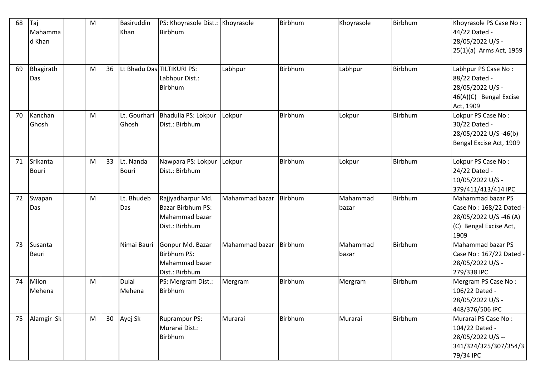| 68 | Taj<br>Mahamma<br>d Khan | M |    | Basiruddin<br>Khan        | PS: Khoyrasole Dist.: Khoyrasole<br>Birbhum                                       |                | Birbhum | Khoyrasole        | Birbhum        | Khoyrasole PS Case No:<br>44/22 Dated -<br>28/05/2022 U/S -<br>25(1)(a) Arms Act, 1959                   |
|----|--------------------------|---|----|---------------------------|-----------------------------------------------------------------------------------|----------------|---------|-------------------|----------------|----------------------------------------------------------------------------------------------------------|
| 69 | Bhagirath<br>Das         | M | 36 |                           | Lt Bhadu Das TILTIKURI PS:<br>Labhpur Dist.:<br><b>Birbhum</b>                    | Labhpur        | Birbhum | Labhpur           | Birbhum        | Labhpur PS Case No:<br>88/22 Dated -<br>28/05/2022 U/S -<br>46(A)(C) Bengal Excise<br>Act, 1909          |
| 70 | Kanchan<br>Ghosh         | M |    | Lt. Gourhari<br>Ghosh     | Bhadulia PS: Lokpur<br>Dist.: Birbhum                                             | Lokpur         | Birbhum | Lokpur            | Birbhum        | Lokpur PS Case No:<br>30/22 Dated -<br>28/05/2022 U/S -46(b)<br>Bengal Excise Act, 1909                  |
| 71 | Srikanta<br><b>Bouri</b> | M | 33 | Lt. Nanda<br><b>Bouri</b> | Nawpara PS: Lokpur<br>Dist.: Birbhum                                              | Lokpur         | Birbhum | Lokpur            | Birbhum        | Lokpur PS Case No:<br>24/22 Dated -<br>10/05/2022 U/S -<br>379/411/413/414 IPC                           |
| 72 | Swapan<br>Das            | M |    | Lt. Bhudeb<br>Das         | Rajjyadharpur Md.<br><b>Bazar Birbhum PS:</b><br>Mahammad bazar<br>Dist.: Birbhum | Mahammad bazar | Birbhum | Mahammad<br>bazar | Birbhum        | Mahammad bazar PS<br>Case No: 168/22 Dated -<br>28/05/2022 U/S -46 (A)<br>(C) Bengal Excise Act,<br>1909 |
| 73 | Susanta<br><b>Bauri</b>  |   |    | Nimai Bauri               | Gonpur Md. Bazar<br>Birbhum PS:<br>Mahammad bazar<br>Dist.: Birbhum               | Mahammad bazar | Birbhum | Mahammad<br>bazar | Birbhum        | Mahammad bazar PS<br>Case No: 167/22 Dated -<br>28/05/2022 U/S -<br>279/338 IPC                          |
| 74 | Milon<br>Mehena          | м |    | Dulal<br>Mehena           | PS: Mergram Dist.:<br>Birbhum                                                     | Mergram        | Birbhum | Mergram           | <b>Birbhum</b> | Mergram PS Case No:<br>106/22 Dated -<br>28/05/2022 U/S -<br>448/376/506 IPC                             |
| 75 | Alamgir Sk               | M | 30 | Ayej Sk                   | <b>Ruprampur PS:</b><br>Murarai Dist.:<br>Birbhum                                 | Murarai        | Birbhum | Murarai           | Birbhum        | Murarai PS Case No:<br>104/22 Dated -<br>28/05/2022 U/S --<br>341/324/325/307/354/3<br>79/34 IPC         |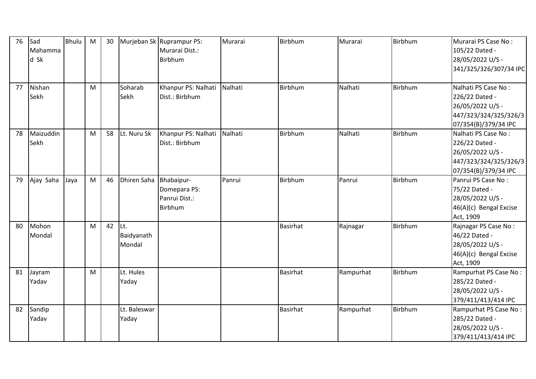| 76 | Sad<br>Mahamma | <b>Bhulu</b> | M | 30 |                    | Murjeban Sk Ruprampur PS:<br>Murarai Dist.: | Murarai | <b>Birbhum</b>  | Murarai   | Birbhum | Murarai PS Case No:<br>105/22 Dated - |
|----|----------------|--------------|---|----|--------------------|---------------------------------------------|---------|-----------------|-----------|---------|---------------------------------------|
|    | d Sk           |              |   |    |                    | Birbhum                                     |         |                 |           |         | 28/05/2022 U/S -                      |
|    |                |              |   |    |                    |                                             |         |                 |           |         | 341/325/326/307/34 IPC                |
|    |                |              |   |    |                    |                                             |         |                 |           |         |                                       |
| 77 | Nishan         |              | M |    | Soharab            | Khanpur PS: Nalhati                         | Nalhati | <b>Birbhum</b>  | Nalhati   | Birbhum | Nalhati PS Case No:                   |
|    | Sekh           |              |   |    | Sekh               | Dist.: Birbhum                              |         |                 |           |         | 226/22 Dated -                        |
|    |                |              |   |    |                    |                                             |         |                 |           |         | 26/05/2022 U/S -                      |
|    |                |              |   |    |                    |                                             |         |                 |           |         | 447/323/324/325/326/3                 |
|    |                |              |   |    |                    |                                             |         |                 |           |         | 07/354(B)/379/34 IPC                  |
| 78 | Maizuddin      |              | M | 58 | Lt. Nuru Sk        | Khanpur PS: Nalhati Nalhati                 |         | <b>Birbhum</b>  | Nalhati   | Birbhum | Nalhati PS Case No:                   |
|    | Sekh           |              |   |    |                    | Dist.: Birbhum                              |         |                 |           |         | 226/22 Dated -                        |
|    |                |              |   |    |                    |                                             |         |                 |           |         | 26/05/2022 U/S -                      |
|    |                |              |   |    |                    |                                             |         |                 |           |         | 447/323/324/325/326/3                 |
|    |                |              |   |    |                    |                                             |         |                 |           |         | 07/354(B)/379/34 IPC                  |
| 79 | Ajay Saha      | Jaya         | M | 46 | <b>Dhiren Saha</b> | Bhabaipur-                                  | Panrui  | <b>Birbhum</b>  | Panrui    | Birbhum | Panrui PS Case No:                    |
|    |                |              |   |    |                    | Domepara PS:                                |         |                 |           |         | 75/22 Dated -                         |
|    |                |              |   |    |                    | Panrui Dist.:                               |         |                 |           |         | 28/05/2022 U/S -                      |
|    |                |              |   |    |                    | Birbhum                                     |         |                 |           |         | 46(A)(c) Bengal Excise                |
|    |                |              |   |    |                    |                                             |         |                 |           |         | Act, 1909                             |
| 80 | Mohon          |              | M | 42 | Lt.                |                                             |         | <b>Basirhat</b> | Rajnagar  | Birbhum | Rajnagar PS Case No:                  |
|    | Mondal         |              |   |    | Baidyanath         |                                             |         |                 |           |         | 46/22 Dated -                         |
|    |                |              |   |    | Mondal             |                                             |         |                 |           |         | 28/05/2022 U/S -                      |
|    |                |              |   |    |                    |                                             |         |                 |           |         | 46(A)(c) Bengal Excise                |
|    |                |              |   |    |                    |                                             |         |                 |           |         | Act, 1909                             |
| 81 | Jayram         |              | M |    | Lt. Hules          |                                             |         | <b>Basirhat</b> | Rampurhat | Birbhum | Rampurhat PS Case No:                 |
|    | Yadav          |              |   |    | Yaday              |                                             |         |                 |           |         | 285/22 Dated -                        |
|    |                |              |   |    |                    |                                             |         |                 |           |         | 28/05/2022 U/S -                      |
|    |                |              |   |    |                    |                                             |         |                 |           |         | 379/411/413/414 IPC                   |
| 82 | Sandip         |              |   |    | Lt. Baleswar       |                                             |         | <b>Basirhat</b> | Rampurhat | Birbhum | Rampurhat PS Case No:                 |
|    | Yadav          |              |   |    | Yaday              |                                             |         |                 |           |         | 285/22 Dated -                        |
|    |                |              |   |    |                    |                                             |         |                 |           |         | 28/05/2022 U/S -                      |
|    |                |              |   |    |                    |                                             |         |                 |           |         | 379/411/413/414 IPC                   |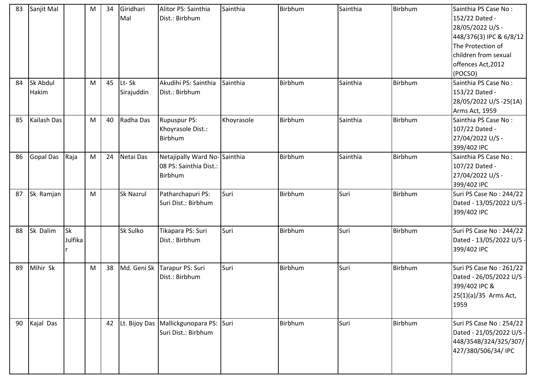| 83 | Sanjit Mal       |           | M | 34 | Giridhari   | Alitor PS: Sainthia                      | Sainthia   | Birbhum | Sainthia | Birbhum | Sainthia PS Case No:     |
|----|------------------|-----------|---|----|-------------|------------------------------------------|------------|---------|----------|---------|--------------------------|
|    |                  |           |   |    | Mal         | Dist.: Birbhum                           |            |         |          |         | 152/22 Dated -           |
|    |                  |           |   |    |             |                                          |            |         |          |         | 28/05/2022 U/S -         |
|    |                  |           |   |    |             |                                          |            |         |          |         | 448/376(3) IPC & 6/8/12  |
|    |                  |           |   |    |             |                                          |            |         |          |         | The Protection of        |
|    |                  |           |   |    |             |                                          |            |         |          |         | children from sexual     |
|    |                  |           |   |    |             |                                          |            |         |          |         | offences Act, 2012       |
|    |                  |           |   |    |             |                                          |            |         |          |         | (POCSO)                  |
| 84 | <b>Sk Abdul</b>  |           | M | 45 | Lt-Sk       | Akudihi PS: Sainthia                     | Sainthia   | Birbhum | Sainthia | Birbhum | Sainthia PS Case No:     |
|    | Hakim            |           |   |    | Sirajuddin  | Dist.: Birbhum                           |            |         |          |         | 153/22 Dated -           |
|    |                  |           |   |    |             |                                          |            |         |          |         | 28/05/2022 U/S-25(1A)    |
|    |                  |           |   |    |             |                                          |            |         |          |         | Arms Act, 1959           |
| 85 | Kailash Das      |           | M | 40 | Radha Das   | <b>Rupuspur PS:</b>                      | Khoyrasole | Birbhum | Sainthia | Birbhum | Sainthia PS Case No:     |
|    |                  |           |   |    |             | Khoyrasole Dist.:                        |            |         |          |         | 107/22 Dated -           |
|    |                  |           |   |    |             | Birbhum                                  |            |         |          |         | 27/04/2022 U/S -         |
|    |                  |           |   |    |             |                                          |            |         |          |         | 399/402 IPC              |
| 86 | <b>Gopal Das</b> | Raja      | M | 24 | Netai Das   | Netajipally Ward No-Sainthia             |            | Birbhum | Sainthia | Birbhum | Sainthia PS Case No:     |
|    |                  |           |   |    |             | 08 PS: Sainthia Dist.:                   |            |         |          |         | 107/22 Dated -           |
|    |                  |           |   |    |             | Birbhum                                  |            |         |          |         | 27/04/2022 U/S -         |
|    |                  |           |   |    |             |                                          |            |         |          |         | 399/402 IPC              |
| 87 | Sk Ramjan        |           | M |    | Sk Nazrul   | Patharchapuri PS:                        | Suri       | Birbhum | Suri     | Birbhum | Suri PS Case No: 244/22  |
|    |                  |           |   |    |             | Suri Dist.: Birbhum                      |            |         |          |         | Dated - 13/05/2022 U/S - |
|    |                  |           |   |    |             |                                          |            |         |          |         | 399/402 IPC              |
| 88 | Sk Dalim         | <b>Sk</b> |   |    | Sk Sulko    | Tikapara PS: Suri                        | Suri       | Birbhum | Suri     | Birbhum | Suri PS Case No: 244/22  |
|    |                  | Julfika   |   |    |             | Dist.: Birbhum                           |            |         |          |         | Dated - 13/05/2022 U/S - |
|    |                  |           |   |    |             |                                          |            |         |          |         | 399/402 IPC              |
|    |                  |           |   |    |             |                                          |            |         |          |         |                          |
| 89 | Mihir Sk         |           | M | 38 | Md. Geni Sk | Tarapur PS: Suri                         | Suri       | Birbhum | Suri     | Birbhum | Suri PS Case No: 261/22  |
|    |                  |           |   |    |             | Dist.: Birbhum                           |            |         |          |         | Dated - 26/05/2022 U/S - |
|    |                  |           |   |    |             |                                          |            |         |          |         | 399/402 IPC &            |
|    |                  |           |   |    |             |                                          |            |         |          |         | 25(1)(a)/35 Arms Act,    |
|    |                  |           |   |    |             |                                          |            |         |          |         | 1959                     |
| 90 | Kajal Das        |           |   | 42 |             | Lt. Bijoy Das   Mallickgunopara PS: Suri |            | Birbhum | Suri     | Birbhum | Suri PS Case No: 254/22  |
|    |                  |           |   |    |             | Suri Dist.: Birbhum                      |            |         |          |         | Dated - 21/05/2022 U/S - |
|    |                  |           |   |    |             |                                          |            |         |          |         | 448/354B/324/325/307/    |
|    |                  |           |   |    |             |                                          |            |         |          |         | 427/380/506/34/ IPC      |
|    |                  |           |   |    |             |                                          |            |         |          |         |                          |
|    |                  |           |   |    |             |                                          |            |         |          |         |                          |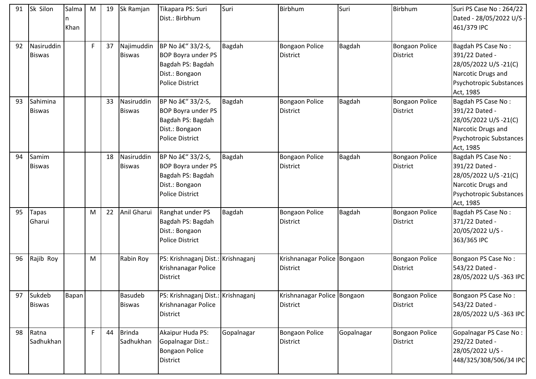| 91 | Sk Silon                    | Salma<br>Khan | M  | 19 | Sk Ramjan                       | Tikapara PS: Suri<br>Dist.: Birbhum                                                                             | Suri          | Birbhum                                        | Suri          | Birbhum                                  | Suri PS Case No: 264/22<br>Dated - 28/05/2022 U/S -<br>461/379 IPC                                                                |
|----|-----------------------------|---------------|----|----|---------------------------------|-----------------------------------------------------------------------------------------------------------------|---------------|------------------------------------------------|---------------|------------------------------------------|-----------------------------------------------------------------------------------------------------------------------------------|
| 92 | Nasiruddin<br><b>Biswas</b> |               | F. | 37 | Najimuddin<br><b>Biswas</b>     | BP No â€" 33/2-S,<br><b>BOP Boyra under PS</b><br>Bagdah PS: Bagdah<br>Dist.: Bongaon<br><b>Police District</b> | Bagdah        | Bongaon Police<br><b>District</b>              | <b>Bagdah</b> | <b>Bongaon Police</b><br><b>District</b> | Bagdah PS Case No:<br>391/22 Dated -<br>28/05/2022 U/S -21(C)<br>Narcotic Drugs and<br>Psychotropic Substances<br>Act, 1985       |
| 93 | Sahimina<br><b>Biswas</b>   |               |    | 33 | Nasiruddin<br><b>Biswas</b>     | BP No â€" 33/2-S,<br><b>BOP Boyra under PS</b><br>Bagdah PS: Bagdah<br>Dist.: Bongaon<br><b>Police District</b> | Bagdah        | Bongaon Police<br><b>District</b>              | Bagdah        | <b>Bongaon Police</b><br><b>District</b> | Bagdah PS Case No:<br>391/22 Dated -<br>28/05/2022 U/S-21(C)<br>Narcotic Drugs and<br><b>Psychotropic Substances</b><br>Act, 1985 |
| 94 | Samim<br><b>Biswas</b>      |               |    | 18 | Nasiruddin<br><b>Biswas</b>     | BP No â€" 33/2-S,<br><b>BOP Boyra under PS</b><br>Bagdah PS: Bagdah<br>Dist.: Bongaon<br><b>Police District</b> | Bagdah        | <b>Bongaon Police</b><br><b>District</b>       | Bagdah        | <b>Bongaon Police</b><br><b>District</b> | Bagdah PS Case No:<br>391/22 Dated -<br>28/05/2022 U/S-21(C)<br>Narcotic Drugs and<br><b>Psychotropic Substances</b><br>Act, 1985 |
| 95 | <b>Tapas</b><br>Gharui      |               | M  | 22 | Anil Gharui                     | Ranghat under PS<br>Bagdah PS: Bagdah<br>Dist.: Bongaon<br><b>Police District</b>                               | <b>Bagdah</b> | <b>Bongaon Police</b><br><b>District</b>       | Bagdah        | <b>Bongaon Police</b><br><b>District</b> | Bagdah PS Case No:<br>371/22 Dated -<br>20/05/2022 U/S -<br>363/365 IPC                                                           |
| 96 | Rajib Roy                   |               | M  |    | Rabin Roy                       | PS: Krishnaganj Dist.: Krishnaganj<br>Krishnanagar Police<br><b>District</b>                                    |               | Krishnanagar Police Bongaon<br><b>District</b> |               | <b>Bongaon Police</b><br><b>District</b> | Bongaon PS Case No:<br>543/22 Dated -<br>28/05/2022 U/S-363 IPC                                                                   |
| 97 | Sukdeb<br><b>Biswas</b>     | Bapan         |    |    | <b>Basudeb</b><br><b>Biswas</b> | PS: Krishnaganj Dist.: Krishnaganj<br>Krishnanagar Police<br><b>District</b>                                    |               | Krishnanagar Police Bongaon<br><b>District</b> |               | <b>Bongaon Police</b><br><b>District</b> | Bongaon PS Case No:<br>543/22 Dated -<br>28/05/2022 U/S-363 IPC                                                                   |
| 98 | Ratna<br>Sadhukhan          |               | F. | 44 | <b>Brinda</b><br>Sadhukhan      | Akaipur Huda PS:<br>Gopalnagar Dist.:<br>Bongaon Police<br><b>District</b>                                      | Gopalnagar    | Bongaon Police<br><b>District</b>              | Gopalnagar    | <b>Bongaon Police</b><br><b>District</b> | <b>Gopalnagar PS Case No:</b><br>292/22 Dated -<br>28/05/2022 U/S -<br>448/325/308/506/34 IPC                                     |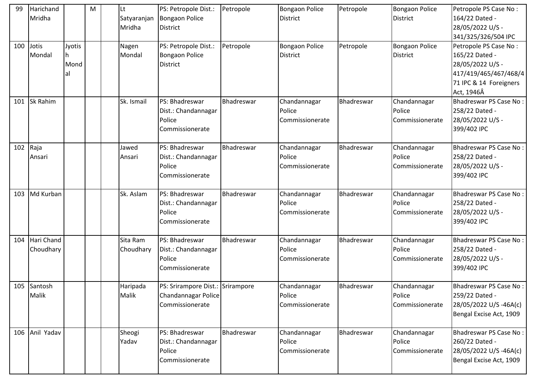| 99  | Harichand       |        | M | lLt.        | PS: Petropole Dist.:             | Petropole  | <b>Bongaon Police</b>  | Petropole  | <b>Bongaon Police</b>  | Petropole PS Case No:         |
|-----|-----------------|--------|---|-------------|----------------------------------|------------|------------------------|------------|------------------------|-------------------------------|
|     | Mridha          |        |   | Satyaranjan | <b>Bongaon Police</b>            |            | <b>District</b>        |            | <b>District</b>        | 164/22 Dated -                |
|     |                 |        |   | Mridha      | District                         |            |                        |            |                        | 28/05/2022 U/S -              |
|     |                 |        |   |             |                                  |            |                        |            |                        | 341/325/326/504 IPC           |
| 100 | Jotis           | Jyotis |   | Nagen       | PS: Petropole Dist.:             | Petropole  | <b>Bongaon Police</b>  | Petropole  | <b>Bongaon Police</b>  | Petropole PS Case No:         |
|     | Mondal          | Ih.    |   | Mondal      | <b>Bongaon Police</b>            |            | <b>District</b>        |            | <b>District</b>        | 165/22 Dated -                |
|     |                 | Mond   |   |             | <b>District</b>                  |            |                        |            |                        | 28/05/2022 U/S -              |
|     |                 | al     |   |             |                                  |            |                        |            |                        | 417/419/465/467/468/4         |
|     |                 |        |   |             |                                  |            |                        |            |                        | 71 IPC & 14 Foreigners        |
|     |                 |        |   |             |                                  |            |                        |            |                        | Act, 1946Â                    |
| 101 | <b>Sk Rahim</b> |        |   | Sk. Ismail  | PS: Bhadreswar                   | Bhadreswar | Chandannagar           | Bhadreswar | Chandannagar           | <b>Bhadreswar PS Case No:</b> |
|     |                 |        |   |             | Dist.: Chandannagar              |            | Police                 |            | Police                 | 258/22 Dated -                |
|     |                 |        |   |             | Police                           |            | Commissionerate        |            | Commissionerate        | 28/05/2022 U/S -              |
|     |                 |        |   |             | Commissionerate                  |            |                        |            |                        | 399/402 IPC                   |
|     |                 |        |   |             |                                  |            |                        |            |                        |                               |
| 102 | Raja            |        |   | Jawed       | PS: Bhadreswar                   | Bhadreswar | Chandannagar           | Bhadreswar | Chandannagar           | <b>Bhadreswar PS Case No:</b> |
|     | Ansari          |        |   | Ansari      | Dist.: Chandannagar              |            | Police                 |            | Police                 | 258/22 Dated -                |
|     |                 |        |   |             | Police                           |            | Commissionerate        |            | Commissionerate        | 28/05/2022 U/S -              |
|     |                 |        |   |             | Commissionerate                  |            |                        |            |                        | 399/402 IPC                   |
|     |                 |        |   |             |                                  |            |                        |            |                        |                               |
| 103 | Md Kurban       |        |   | Sk. Aslam   | PS: Bhadreswar                   | Bhadreswar | Chandannagar           | Bhadreswar | Chandannagar           | <b>Bhadreswar PS Case No:</b> |
|     |                 |        |   |             |                                  |            |                        |            |                        |                               |
|     |                 |        |   |             | Dist.: Chandannagar              |            | Police                 |            | Police                 | 258/22 Dated -                |
|     |                 |        |   |             | Police                           |            | Commissionerate        |            | Commissionerate        | 28/05/2022 U/S -              |
|     |                 |        |   |             | Commissionerate                  |            |                        |            |                        | 399/402 IPC                   |
|     |                 |        |   |             |                                  |            |                        |            |                        |                               |
| 104 | Hari Chand      |        |   | Sita Ram    | PS: Bhadreswar                   | Bhadreswar | Chandannagar<br>Police | Bhadreswar | Chandannagar<br>Police | Bhadreswar PS Case No:        |
|     | Choudhary       |        |   | Choudhary   | Dist.: Chandannagar<br>Police    |            |                        |            |                        | 258/22 Dated -                |
|     |                 |        |   |             | Commissionerate                  |            | Commissionerate        |            | Commissionerate        | 28/05/2022 U/S -              |
|     |                 |        |   |             |                                  |            |                        |            |                        | 399/402 IPC                   |
|     | 105 Santosh     |        |   | Haripada    | PS: Srirampore Dist.: Srirampore |            | Chandannagar           | Bhadreswar | Chandannagar           | Bhadreswar PS Case No:        |
|     | Malik           |        |   | Malik       | Chandannagar Police              |            | Police                 |            | Police                 | 259/22 Dated -                |
|     |                 |        |   |             | Commissionerate                  |            | Commissionerate        |            | Commissionerate        | 28/05/2022 U/S -46A(c)        |
|     |                 |        |   |             |                                  |            |                        |            |                        | Bengal Excise Act, 1909       |
|     |                 |        |   |             |                                  |            |                        |            |                        |                               |
| 106 | Anil Yadav      |        |   | Sheogi      | PS: Bhadreswar                   | Bhadreswar | Chandannagar           | Bhadreswar | Chandannagar           | <b>Bhadreswar PS Case No:</b> |
|     |                 |        |   | Yadav       | Dist.: Chandannagar              |            | Police                 |            | Police                 | 260/22 Dated -                |
|     |                 |        |   |             | Police                           |            | Commissionerate        |            | Commissionerate        | 28/05/2022 U/S -46A(c)        |
|     |                 |        |   |             | Commissionerate                  |            |                        |            |                        | Bengal Excise Act, 1909       |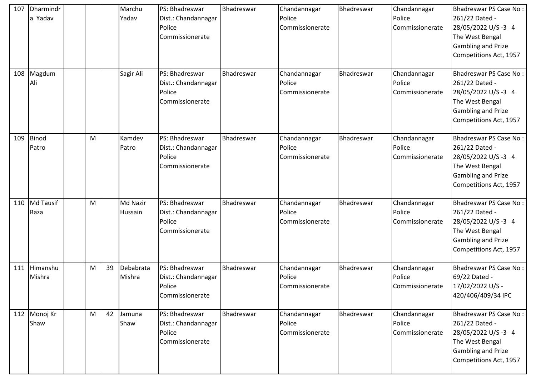| 107 | Dharmindr<br>a Yadav |   |    | Marchu<br>Yadav     | PS: Bhadreswar<br>Dist.: Chandannagar<br>Police<br>Commissionerate | Bhadreswar | Chandannagar<br>Police<br>Commissionerate | Bhadreswar | Chandannagar<br>Police<br>Commissionerate | Bhadreswar PS Case No:<br>261/22 Dated -<br>28/05/2022 U/S-3 4<br>The West Bengal<br><b>Gambling and Prize</b><br>Competitions Act, 1957         |
|-----|----------------------|---|----|---------------------|--------------------------------------------------------------------|------------|-------------------------------------------|------------|-------------------------------------------|--------------------------------------------------------------------------------------------------------------------------------------------------|
| 108 | Magdum<br>Ali        |   |    | Sagir Ali           | PS: Bhadreswar<br>Dist.: Chandannagar<br>Police<br>Commissionerate | Bhadreswar | Chandannagar<br>Police<br>Commissionerate | Bhadreswar | Chandannagar<br>Police<br>Commissionerate | Bhadreswar PS Case No:<br>261/22 Dated -<br>28/05/2022 U/S-3 4<br>The West Bengal<br><b>Gambling and Prize</b><br>Competitions Act, 1957         |
| 109 | Binod<br>Patro       | M |    | Kamdev<br>Patro     | PS: Bhadreswar<br>Dist.: Chandannagar<br>Police<br>Commissionerate | Bhadreswar | Chandannagar<br>Police<br>Commissionerate | Bhadreswar | Chandannagar<br>Police<br>Commissionerate | Bhadreswar PS Case No:<br>261/22 Dated -<br>28/05/2022 U/S-3 4<br>The West Bengal<br><b>Gambling and Prize</b><br>Competitions Act, 1957         |
| 110 | Md Tausif<br>Raza    | M |    | Md Nazir<br>Hussain | PS: Bhadreswar<br>Dist.: Chandannagar<br>Police<br>Commissionerate | Bhadreswar | Chandannagar<br>Police<br>Commissionerate | Bhadreswar | Chandannagar<br>Police<br>Commissionerate | <b>Bhadreswar PS Case No:</b><br>261/22 Dated -<br>28/05/2022 U/S -3 4<br>The West Bengal<br><b>Gambling and Prize</b><br>Competitions Act, 1957 |
| 111 | Himanshu<br>Mishra   | M | 39 | Debabrata<br>Mishra | PS: Bhadreswar<br>Dist.: Chandannagar<br>Police<br>Commissionerate | Bhadreswar | Chandannagar<br>Police<br>Commissionerate | Bhadreswar | Chandannagar<br>Police<br>Commissionerate | <b>Bhadreswar PS Case No:</b><br>69/22 Dated -<br>17/02/2022 U/S -<br>420/406/409/34 IPC                                                         |
| 112 | Monoj Kr<br>Shaw     | M | 42 | Jamuna<br>Shaw      | PS: Bhadreswar<br>Dist.: Chandannagar<br>Police<br>Commissionerate | Bhadreswar | Chandannagar<br>Police<br>Commissionerate | Bhadreswar | Chandannagar<br>Police<br>Commissionerate | Bhadreswar PS Case No:<br>261/22 Dated -<br>28/05/2022 U/S -3 4<br>The West Bengal<br><b>Gambling and Prize</b><br>Competitions Act, 1957        |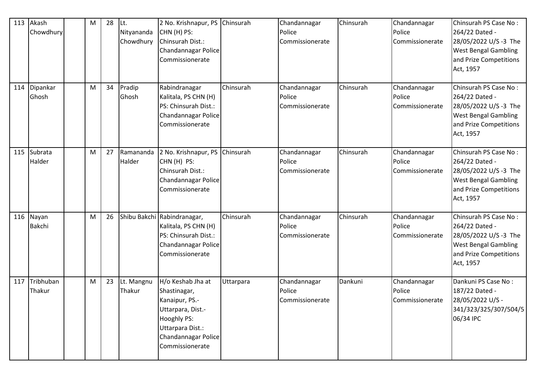| 113 | Akash<br>Chowdhury  | M | 28 | Lt.<br>Nityananda<br>Chowdhury | 2 No. Krishnapur, PS<br>CHN (H) PS:<br>Chinsurah Dist.:<br>Chandannagar Police<br>Commissionerate                                                     | Chinsurah | Chandannagar<br>Police<br>Commissionerate | Chinsurah | Chandannagar<br>Police<br>Commissionerate | Chinsurah PS Case No:<br>264/22 Dated -<br>28/05/2022 U/S-3 The<br><b>West Bengal Gambling</b><br>and Prize Competitions<br>Act, 1957  |
|-----|---------------------|---|----|--------------------------------|-------------------------------------------------------------------------------------------------------------------------------------------------------|-----------|-------------------------------------------|-----------|-------------------------------------------|----------------------------------------------------------------------------------------------------------------------------------------|
| 114 | Dipankar<br>Ghosh   | M | 34 | Pradip<br>Ghosh                | Rabindranagar<br>Kalitala, PS CHN (H)<br>PS: Chinsurah Dist.:<br>Chandannagar Police<br>Commissionerate                                               | Chinsurah | Chandannagar<br>Police<br>Commissionerate | Chinsurah | Chandannagar<br>Police<br>Commissionerate | Chinsurah PS Case No:<br>264/22 Dated -<br>28/05/2022 U/S-3 The<br><b>West Bengal Gambling</b><br>and Prize Competitions<br>Act, 1957  |
| 115 | Subrata<br>Halder   | M | 27 | Ramananda<br>Halder            | 2 No. Krishnapur, PS<br>CHN (H) PS:<br>Chinsurah Dist.:<br>Chandannagar Police<br>Commissionerate                                                     | Chinsurah | Chandannagar<br>Police<br>Commissionerate | Chinsurah | Chandannagar<br>Police<br>Commissionerate | Chinsurah PS Case No:<br>264/22 Dated -<br>28/05/2022 U/S-3 The<br><b>West Bengal Gambling</b><br>and Prize Competitions<br>Act, 1957  |
| 116 | Nayan<br>Bakchi     | M | 26 |                                | Shibu Bakchi Rabindranagar,<br>Kalitala, PS CHN (H)<br>PS: Chinsurah Dist.:<br>Chandannagar Police<br>Commissionerate                                 | Chinsurah | Chandannagar<br>Police<br>Commissionerate | Chinsurah | Chandannagar<br>Police<br>Commissionerate | Chinsurah PS Case No:<br>264/22 Dated -<br>28/05/2022 U/S -3 The<br><b>West Bengal Gambling</b><br>and Prize Competitions<br>Act, 1957 |
| 117 | Tribhuban<br>Thakur | M | 23 | Lt. Mangnu<br>Thakur           | H/o Keshab Jha at<br>Shastinagar,<br>Kanaipur, PS.-<br>Uttarpara, Dist.-<br>Hooghly PS:<br>Uttarpara Dist.:<br>Chandannagar Police<br>Commissionerate | Uttarpara | Chandannagar<br>Police<br>Commissionerate | Dankuni   | Chandannagar<br>Police<br>Commissionerate | Dankuni PS Case No:<br>187/22 Dated -<br>28/05/2022 U/S -<br>341/323/325/307/504/5<br>06/34 IPC                                        |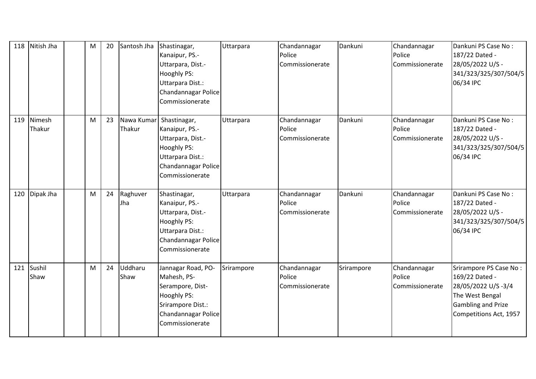| 118 | Nitish Jha       | М | 20 | Santosh Jha          | Shastinagar,<br>Kanaipur, PS.-<br>Uttarpara, Dist.-<br>Hooghly PS:<br>Uttarpara Dist.:<br>Chandannagar Police<br>Commissionerate    | Uttarpara  | Chandannagar<br>Police<br>Commissionerate | Dankuni    | Chandannagar<br>Police<br>Commissionerate | Dankuni PS Case No:<br>187/22 Dated -<br>28/05/2022 U/S -<br>341/323/325/307/504/5<br>06/34 IPC                                          |
|-----|------------------|---|----|----------------------|-------------------------------------------------------------------------------------------------------------------------------------|------------|-------------------------------------------|------------|-------------------------------------------|------------------------------------------------------------------------------------------------------------------------------------------|
| 119 | Nimesh<br>Thakur | M | 23 | Nawa Kumar<br>Thakur | Shastinagar,<br>Kanaipur, PS.-<br>Uttarpara, Dist.-<br>Hooghly PS:<br>Uttarpara Dist.:<br>Chandannagar Police<br>Commissionerate    | Uttarpara  | Chandannagar<br>Police<br>Commissionerate | Dankuni    | Chandannagar<br>Police<br>Commissionerate | Dankuni PS Case No:<br>187/22 Dated -<br>28/05/2022 U/S -<br>341/323/325/307/504/5<br>06/34 IPC                                          |
| 120 | Dipak Jha        | М | 24 | Raghuver<br>Jha      | Shastinagar,<br>Kanaipur, PS.-<br>Uttarpara, Dist.-<br>Hooghly PS:<br>Uttarpara Dist.:<br>Chandannagar Police<br>Commissionerate    | Uttarpara  | Chandannagar<br>Police<br>Commissionerate | Dankuni    | Chandannagar<br>Police<br>Commissionerate | Dankuni PS Case No:<br>187/22 Dated -<br>28/05/2022 U/S -<br>341/323/325/307/504/5<br>06/34 IPC                                          |
| 121 | Sushil<br>Shaw   | M | 24 | Uddharu<br>Shaw      | Jannagar Road, PO-<br>Mahesh, PS-<br>Serampore, Dist-<br>Hooghly PS:<br>Srirampore Dist.:<br>Chandannagar Police<br>Commissionerate | Srirampore | Chandannagar<br>Police<br>Commissionerate | Srirampore | Chandannagar<br>Police<br>Commissionerate | Srirampore PS Case No:<br>169/22 Dated -<br>28/05/2022 U/S-3/4<br>The West Bengal<br><b>Gambling and Prize</b><br>Competitions Act, 1957 |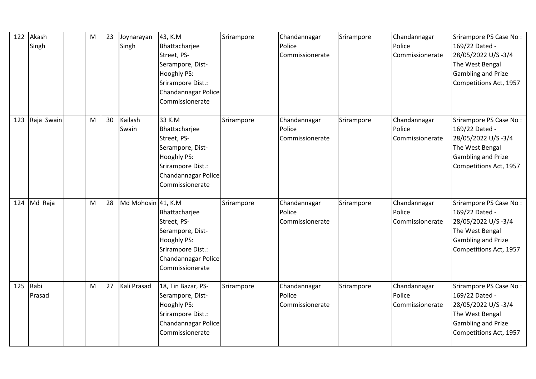| 122 | Akash<br>Singh | M | 23 | Joynarayan<br>Singh | 43, K.M<br>Bhattacharjee<br>Street, PS-<br>Serampore, Dist-<br>Hooghly PS:<br>Srirampore Dist.:<br>Chandannagar Police<br>Commissionerate | Srirampore | Chandannagar<br>Police<br>Commissionerate | Srirampore | Chandannagar<br>Police<br>Commissionerate | Srirampore PS Case No:<br>169/22 Dated -<br>28/05/2022 U/S -3/4<br>The West Bengal<br><b>Gambling and Prize</b><br>Competitions Act, 1957 |
|-----|----------------|---|----|---------------------|-------------------------------------------------------------------------------------------------------------------------------------------|------------|-------------------------------------------|------------|-------------------------------------------|-------------------------------------------------------------------------------------------------------------------------------------------|
| 123 | Raja Swain     | M | 30 | Kailash<br>Swain    | 33 K.M<br>Bhattacharjee<br>Street, PS-<br>Serampore, Dist-<br>Hooghly PS:<br>Srirampore Dist.:<br>Chandannagar Police<br>Commissionerate  | Srirampore | Chandannagar<br>Police<br>Commissionerate | Srirampore | Chandannagar<br>Police<br>Commissionerate | Srirampore PS Case No:<br>169/22 Dated -<br>28/05/2022 U/S-3/4<br>The West Bengal<br><b>Gambling and Prize</b><br>Competitions Act, 1957  |
|     | 124 Md Raja    | M | 28 | Md Mohosin 41, K.M  | Bhattacharjee<br>Street, PS-<br>Serampore, Dist-<br>Hooghly PS:<br>Srirampore Dist.:<br>Chandannagar Police<br>Commissionerate            | Srirampore | Chandannagar<br>Police<br>Commissionerate | Srirampore | Chandannagar<br>Police<br>Commissionerate | Srirampore PS Case No:<br>169/22 Dated -<br>28/05/2022 U/S-3/4<br>The West Bengal<br><b>Gambling and Prize</b><br>Competitions Act, 1957  |
| 125 | Rabi<br>Prasad | M | 27 | Kali Prasad         | 18, Tin Bazar, PS-<br>Serampore, Dist-<br>Hooghly PS:<br>Srirampore Dist.:<br>Chandannagar Police<br>Commissionerate                      | Srirampore | Chandannagar<br>Police<br>Commissionerate | Srirampore | Chandannagar<br>Police<br>Commissionerate | Srirampore PS Case No:<br>169/22 Dated -<br>28/05/2022 U/S-3/4<br>The West Bengal<br><b>Gambling and Prize</b><br>Competitions Act, 1957  |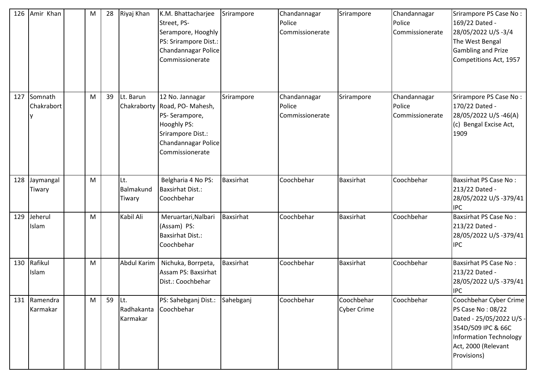| 126 | Amir Khan             | M | 28 | Riyaj Khan                    | K.M. Bhattacharjee<br>Street, PS-<br>Serampore, Hooghly<br>PS: Srirampore Dist.:<br>Chandannagar Police<br>Commissionerate                     | Srirampore       | Chandannagar<br>Police<br>Commissionerate | Srirampore                       | Chandannagar<br>Police<br>Commissionerate | Srirampore PS Case No:<br>169/22 Dated -<br>28/05/2022 U/S-3/4<br>The West Bengal<br><b>Gambling and Prize</b><br>Competitions Act, 1957                      |
|-----|-----------------------|---|----|-------------------------------|------------------------------------------------------------------------------------------------------------------------------------------------|------------------|-------------------------------------------|----------------------------------|-------------------------------------------|---------------------------------------------------------------------------------------------------------------------------------------------------------------|
| 127 | Somnath<br>Chakrabort | M | 39 | Lt. Barun                     | 12 No. Jannagar<br>Chakraborty Road, PO-Mahesh,<br>PS-Serampore,<br>Hooghly PS:<br>Srirampore Dist.:<br>Chandannagar Police<br>Commissionerate | Srirampore       | Chandannagar<br>Police<br>Commissionerate | Srirampore                       | Chandannagar<br>Police<br>Commissionerate | Srirampore PS Case No:<br>170/22 Dated -<br>28/05/2022 U/S -46(A)<br>(c) Bengal Excise Act,<br>1909                                                           |
| 128 | Jaymangal<br>Tiwary   | M |    | Lt.<br>Balmakund<br>Tiwary    | Belgharia 4 No PS:<br><b>Baxsirhat Dist.:</b><br>Coochbehar                                                                                    | <b>Baxsirhat</b> | Coochbehar                                | Baxsirhat                        | Coochbehar                                | <b>Baxsirhat PS Case No:</b><br>213/22 Dated -<br>28/05/2022 U/S -379/41<br><b>IPC</b>                                                                        |
| 129 | Jeherul<br>Islam      | M |    | Kabil Ali                     | Meruartari, Nalbari<br>(Assam) PS:<br><b>Baxsirhat Dist.:</b><br>Coochbehar                                                                    | Baxsirhat        | Coochbehar                                | Baxsirhat                        | Coochbehar                                | <b>Baxsirhat PS Case No:</b><br>213/22 Dated -<br>28/05/2022 U/S -379/41<br><b>IPC</b>                                                                        |
| 130 | Rafikul<br>Islam      | M |    | Abdul Karim                   | Nichuka, Borrpeta,<br>Assam PS: Baxsirhat<br>Dist.: Coochbehar                                                                                 | <b>Baxsirhat</b> | Coochbehar                                | Baxsirhat                        | Coochbehar                                | Baxsirhat PS Case No:<br>213/22 Dated -<br>28/05/2022 U/S-379/41<br><b>IPC</b>                                                                                |
| 131 | Ramendra<br>Karmakar  | M | 59 | Lt.<br>Radhakanta<br>Karmakar | PS: Sahebganj Dist.:<br>Coochbehar                                                                                                             | Sahebganj        | Coochbehar                                | Coochbehar<br><b>Cyber Crime</b> | Coochbehar                                | Coochbehar Cyber Crime<br>PS Case No: 08/22<br>Dated - 25/05/2022 U/S -<br>354D/509 IPC & 66C<br>Information Technology<br>Act, 2000 (Relevant<br>Provisions) |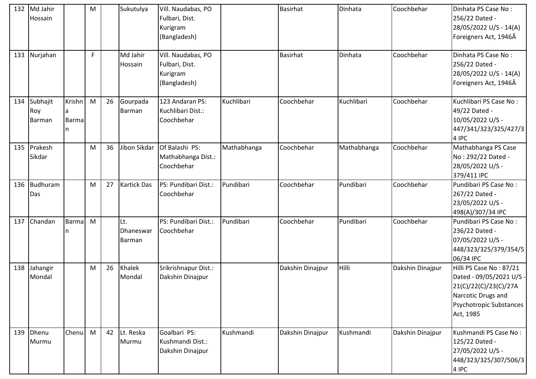| 132 | Md Jahir<br>Hossain       |                                    | M         |    | Sukutulya                  | Vill. Naudabas, PO<br>Fulbari, Dist.<br>Kurigram<br>(Bangladesh) |             | <b>Basirhat</b>  | Dinhata     | Coochbehar       | Dinhata PS Case No:<br>256/22 Dated -<br>28/05/2022 U/S - 14(A)<br>Foreigners Act, 1946Â                                                   |
|-----|---------------------------|------------------------------------|-----------|----|----------------------------|------------------------------------------------------------------|-------------|------------------|-------------|------------------|--------------------------------------------------------------------------------------------------------------------------------------------|
| 133 | Nurjahan                  |                                    | F.        |    | Md Jahir<br>Hossain        | Vill. Naudabas, PO<br>Fulbari, Dist.<br>Kurigram<br>(Bangladesh) |             | <b>Basirhat</b>  | Dinhata     | Coochbehar       | Dinhata PS Case No:<br>256/22 Dated -<br>28/05/2022 U/S - 14(A)<br>Foreigners Act, 1946Â                                                   |
| 134 | Subhajit<br>Roy<br>Barman | Krishn<br>la.<br><b>Barma</b><br>n | ${\sf M}$ | 26 | Gourpada<br>Barman         | 123 Andaran PS:<br>Kuchlibari Dist.:<br>Coochbehar               | Kuchlibari  | Coochbehar       | Kuchlibari  | Coochbehar       | Kuchlibari PS Case No:<br>49/22 Dated -<br>10/05/2022 U/S -<br>447/341/323/325/427/3<br>4 IPC                                              |
| 135 | Prakesh<br>Sikdar         |                                    | M         | 36 | Jibon Sikdar               | Of Balashi PS:<br>Mathabhanga Dist.:<br>Coochbehar               | Mathabhanga | Coochbehar       | Mathabhanga | Coochbehar       | Mathabhanga PS Case<br>No: 292/22 Dated -<br>28/05/2022 U/S -<br>379/411 IPC                                                               |
| 136 | Budhuram<br>Das           |                                    | M         | 27 | <b>Kartick Das</b>         | PS: Pundibari Dist.:<br>Coochbehar                               | Pundibari   | Coochbehar       | Pundibari   | Coochbehar       | Pundibari PS Case No:<br>267/22 Dated -<br>23/05/2022 U/S -<br>498(A)/307/34 IPC                                                           |
| 137 | Chandan                   | <b>Barma</b><br>n                  | M         |    | Lt.<br>Dhaneswar<br>Barman | PS: Pundibari Dist.:<br>Coochbehar                               | Pundibari   | Coochbehar       | Pundibari   | Coochbehar       | Pundibari PS Case No:<br>236/22 Dated -<br>07/05/2022 U/S -<br>448/323/325/379/354/5<br>06/34 IPC                                          |
| 138 | Jahangir<br>Mondal        |                                    | M         | 26 | Khalek<br>Mondal           | Srikrishnapur Dist.:<br>Dakshin Dinajpur                         |             | Dakshin Dinajpur | Hilli       | Dakshin Dinajpur | Hilli PS Case No: 87/21<br>Dated - 09/05/2021 U/S -<br>21(C)/22(C)/23(C)/27A<br>Narcotic Drugs and<br>Psychotropic Substances<br>Act, 1985 |
| 139 | Dhenu<br>Murmu            | <b>Chenu</b>                       | M         | 42 | Lt. Reska<br>Murmu         | Goalbari PS:<br>Kushmandi Dist.:<br>Dakshin Dinajpur             | Kushmandi   | Dakshin Dinajpur | Kushmandi   | Dakshin Dinajpur | Kushmandi PS Case No:<br>125/22 Dated -<br>27/05/2022 U/S -<br>448/323/325/307/506/3<br>4 IPC                                              |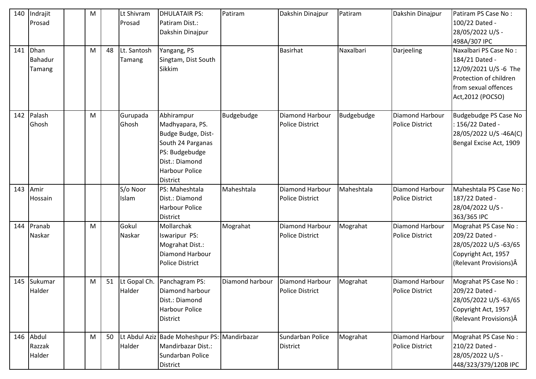| 140 | Indrajit<br>Prosad        | M |    | Lt Shivram<br>Prosad   | <b>DHULATAIR PS:</b><br>Patiram Dist.:<br>Dakshin Dinajpur                                                                                               | Patiram         | Dakshin Dinajpur                          | Patiram    | Dakshin Dinajpur                          | Patiram PS Case No:<br>100/22 Dated -<br>28/05/2022 U/S -<br>498A/307 IPC                                                               |
|-----|---------------------------|---|----|------------------------|----------------------------------------------------------------------------------------------------------------------------------------------------------|-----------------|-------------------------------------------|------------|-------------------------------------------|-----------------------------------------------------------------------------------------------------------------------------------------|
| 141 | Dhan<br>Bahadur<br>Tamang | M | 48 | Lt. Santosh<br>Tamang  | Yangang, PS<br>Singtam, Dist South<br>Sikkim                                                                                                             |                 | <b>Basirhat</b>                           | Naxalbari  | Darjeeling                                | Naxalbari PS Case No:<br>184/21 Dated -<br>12/09/2021 U/S -6 The<br>Protection of children<br>from sexual offences<br>Act, 2012 (POCSO) |
| 142 | Palash<br>Ghosh           | M |    | Gurupada<br>Ghosh      | Abhirampur<br>Madhyapara, PS.<br>Budge Budge, Dist-<br>South 24 Parganas<br>PS: Budgebudge<br>Dist.: Diamond<br><b>Harbour Police</b><br><b>District</b> | Budgebudge      | Diamond Harbour<br><b>Police District</b> | Budgebudge | Diamond Harbour<br><b>Police District</b> | Budgebudge PS Case No<br>: 156/22 Dated -<br>28/05/2022 U/S-46A(C)<br>Bengal Excise Act, 1909                                           |
| 143 | Amir<br>Hossain           |   |    | S/o Noor<br>Islam      | PS: Maheshtala<br>Dist.: Diamond<br><b>Harbour Police</b><br><b>District</b>                                                                             | Maheshtala      | Diamond Harbour<br><b>Police District</b> | Maheshtala | Diamond Harbour<br><b>Police District</b> | Maheshtala PS Case No:<br>187/22 Dated -<br>28/04/2022 U/S -<br>363/365 IPC                                                             |
| 144 | Pranab<br>Naskar          | M |    | Gokul<br>Naskar        | Mollarchak<br><b>Iswaripur PS:</b><br>Mograhat Dist.:<br><b>Diamond Harbour</b><br><b>Police District</b>                                                | Mograhat        | Diamond Harbour<br><b>Police District</b> | Mograhat   | Diamond Harbour<br><b>Police District</b> | Mograhat PS Case No:<br>209/22 Dated -<br>28/05/2022 U/S-63/65<br>Copyright Act, 1957<br>(Relevant Provisions) Â                        |
| 145 | Sukumar<br>Halder         | M | 51 | Lt Gopal Ch.<br>Halder | Panchagram PS:<br>Diamond harbour<br>Dist.: Diamond<br><b>Harbour Police</b><br>District                                                                 | Diamond harbour | Diamond Harbour<br><b>Police District</b> | Mograhat   | Diamond Harbour<br><b>Police District</b> | Mograhat PS Case No:<br>209/22 Dated -<br>28/05/2022 U/S-63/65<br>Copyright Act, 1957<br>(Relevant Provisions) Â                        |
| 146 | Abdul<br>Razzak<br>Halder | M | 50 | Halder                 | Lt Abdul Aziz Bade Moheshpur PS: Mandirbazar<br>Mandirbazar Dist.:<br>Sundarban Police<br>District                                                       |                 | Sundarban Police<br><b>District</b>       | Mograhat   | Diamond Harbour<br><b>Police District</b> | Mograhat PS Case No:<br>210/22 Dated -<br>28/05/2022 U/S -<br>448/323/379/120B IPC                                                      |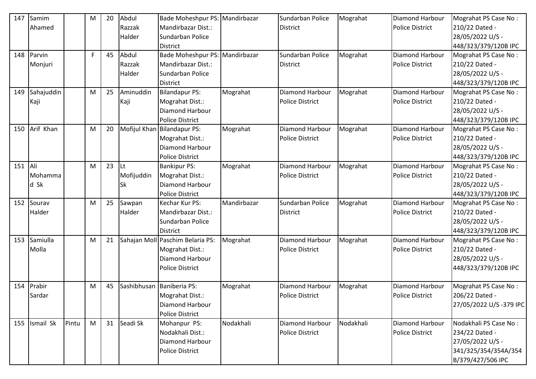| 147 | Samim      |       | M  | 20 | Abdul      | Bade Moheshpur PS: Mandirbazar   |             | Sundarban Police       | Mograhat  | Diamond Harbour        | Mograhat PS Case No:    |
|-----|------------|-------|----|----|------------|----------------------------------|-------------|------------------------|-----------|------------------------|-------------------------|
|     | Ahamed     |       |    |    | Razzak     | Mandirbazar Dist.:               |             | <b>District</b>        |           | <b>Police District</b> | 210/22 Dated -          |
|     |            |       |    |    | Halder     | Sundarban Police                 |             |                        |           |                        | 28/05/2022 U/S -        |
|     |            |       |    |    |            | <b>District</b>                  |             |                        |           |                        | 448/323/379/120B IPC    |
| 148 | Parvin     |       | F. | 45 | Abdul      | Bade Moheshpur PS: Mandirbazar   |             | Sundarban Police       | Mograhat  | Diamond Harbour        | Mograhat PS Case No:    |
|     | Monjuri    |       |    |    | Razzak     | Mandirbazar Dist.:               |             | <b>District</b>        |           | <b>Police District</b> | 210/22 Dated -          |
|     |            |       |    |    | Halder     | Sundarban Police                 |             |                        |           |                        | 28/05/2022 U/S -        |
|     |            |       |    |    |            | <b>District</b>                  |             |                        |           |                        | 448/323/379/120B IPC    |
| 149 | Sahajuddin |       | M  | 25 | Aminuddin  | <b>Bilandapur PS:</b>            | Mograhat    | Diamond Harbour        | Mograhat  | <b>Diamond Harbour</b> | Mograhat PS Case No:    |
|     | Kaji       |       |    |    | Kaji       | Mograhat Dist.:                  |             | <b>Police District</b> |           | <b>Police District</b> | 210/22 Dated -          |
|     |            |       |    |    |            | Diamond Harbour                  |             |                        |           |                        | 28/05/2022 U/S -        |
|     |            |       |    |    |            | <b>Police District</b>           |             |                        |           |                        | 448/323/379/120B IPC    |
| 150 | Arif Khan  |       | M  | 20 |            | Mofijul Khan Bilandapur PS:      | Mograhat    | Diamond Harbour        | Mograhat  | <b>Diamond Harbour</b> | Mograhat PS Case No:    |
|     |            |       |    |    |            | Mograhat Dist.:                  |             | <b>Police District</b> |           | <b>Police District</b> | 210/22 Dated -          |
|     |            |       |    |    |            | Diamond Harbour                  |             |                        |           |                        | 28/05/2022 U/S -        |
|     |            |       |    |    |            | <b>Police District</b>           |             |                        |           |                        | 448/323/379/120B IPC    |
| 151 | Ali        |       | M  | 23 | lLt.       | <b>Bankipur PS:</b>              | Mograhat    | Diamond Harbour        | Mograhat  | <b>Diamond Harbour</b> | Mograhat PS Case No:    |
|     | Mohamma    |       |    |    | Mofijuddin | Mograhat Dist.:                  |             | <b>Police District</b> |           | <b>Police District</b> | 210/22 Dated -          |
|     | d Sk       |       |    |    | <b>Sk</b>  | Diamond Harbour                  |             |                        |           |                        | 28/05/2022 U/S -        |
|     |            |       |    |    |            | <b>Police District</b>           |             |                        |           |                        | 448/323/379/120B IPC    |
| 152 | Sourav     |       | M  | 25 | Sawpan     | Kechar Kur PS:                   | Mandirbazar | Sundarban Police       | Mograhat  | <b>Diamond Harbour</b> | Mograhat PS Case No:    |
|     | Halder     |       |    |    | Halder     | Mandirbazar Dist.:               |             | <b>District</b>        |           | <b>Police District</b> | 210/22 Dated -          |
|     |            |       |    |    |            | Sundarban Police                 |             |                        |           |                        | 28/05/2022 U/S -        |
|     |            |       |    |    |            | <b>District</b>                  |             |                        |           |                        | 448/323/379/120B IPC    |
| 153 | Samiulla   |       | M  | 21 |            | Sahajan Moll Paschim Belaria PS: | Mograhat    | Diamond Harbour        | Mograhat  | <b>Diamond Harbour</b> | Mograhat PS Case No:    |
|     | Molla      |       |    |    |            | Mograhat Dist.:                  |             | <b>Police District</b> |           | <b>Police District</b> | 210/22 Dated -          |
|     |            |       |    |    |            | Diamond Harbour                  |             |                        |           |                        | 28/05/2022 U/S -        |
|     |            |       |    |    |            | <b>Police District</b>           |             |                        |           |                        | 448/323/379/120B IPC    |
|     |            |       |    |    |            |                                  |             |                        |           |                        |                         |
| 154 | Prabir     |       | M  | 45 |            | Sashibhusan Baniberia PS:        | Mograhat    | Diamond Harbour        | Mograhat  | <b>Diamond Harbour</b> | Mograhat PS Case No:    |
|     | Sardar     |       |    |    |            | Mograhat Dist.:                  |             | <b>Police District</b> |           | <b>Police District</b> | 206/22 Dated -          |
|     |            |       |    |    |            | Diamond Harbour                  |             |                        |           |                        | 27/05/2022 U/S -379 IPC |
|     |            |       |    |    |            | <b>Police District</b>           |             |                        |           |                        |                         |
| 155 | Ismail Sk  | Pintu | M  | 31 | Seadi Sk   | Mohanpur PS:                     | Nodakhali   | Diamond Harbour        | Nodakhali | <b>Diamond Harbour</b> | Nodakhali PS Case No:   |
|     |            |       |    |    |            | Nodakhali Dist.:                 |             | <b>Police District</b> |           | <b>Police District</b> | 234/22 Dated -          |
|     |            |       |    |    |            | Diamond Harbour                  |             |                        |           |                        | 27/05/2022 U/S -        |
|     |            |       |    |    |            | <b>Police District</b>           |             |                        |           |                        | 341/325/354/354A/354    |
|     |            |       |    |    |            |                                  |             |                        |           |                        | B/379/427/506 IPC       |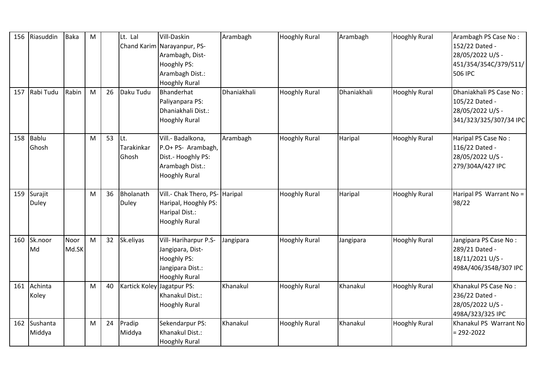| 156 | Riasuddin               | Baka          | M |    | Lt. Lal                            | Vill-Daskin<br>Chand Karim Narayanpur, PS-<br>Arambagh, Dist-<br>Hooghly PS:<br>Arambagh Dist.:<br><b>Hooghly Rural</b> | Arambagh    | <b>Hooghly Rural</b> | Arambagh    | <b>Hooghly Rural</b> | Arambagh PS Case No:<br>152/22 Dated -<br>28/05/2022 U/S -<br>451/354/354C/379/511/<br>506 IPC |
|-----|-------------------------|---------------|---|----|------------------------------------|-------------------------------------------------------------------------------------------------------------------------|-------------|----------------------|-------------|----------------------|------------------------------------------------------------------------------------------------|
| 157 | Rabi Tudu               | Rabin         | M | 26 | Daku Tudu                          | Bhanderhat<br>Paliyanpara PS:<br>Dhaniakhali Dist.:<br><b>Hooghly Rural</b>                                             | Dhaniakhali | <b>Hooghly Rural</b> | Dhaniakhali | <b>Hooghly Rural</b> | Dhaniakhali PS Case No:<br>105/22 Dated -<br>28/05/2022 U/S -<br>341/323/325/307/34 IPC        |
| 158 | Bablu<br>Ghosh          |               | M | 53 | lLt.<br><b>Tarakinkar</b><br>Ghosh | Vill.- Badalkona,<br>P.O+ PS- Arambagh,<br>Dist.- Hooghly PS:<br>Arambagh Dist.:<br><b>Hooghly Rural</b>                | Arambagh    | <b>Hooghly Rural</b> | Haripal     | <b>Hooghly Rural</b> | Haripal PS Case No:<br>116/22 Dated -<br>28/05/2022 U/S -<br>279/304A/427 IPC                  |
| 159 | Surajit<br><b>Duley</b> |               | M | 36 | Bholanath<br><b>Duley</b>          | Vill.- Chak Thero, PS- Haripal<br>Haripal, Hooghly PS:<br>Haripal Dist.:<br><b>Hooghly Rural</b>                        |             | <b>Hooghly Rural</b> | Haripal     | <b>Hooghly Rural</b> | Haripal PS Warrant No =<br>98/22                                                               |
| 160 | Sk.noor<br>Md           | Noor<br>Md.SK | M | 32 | Sk.eliyas                          | Vill-Hariharpur P.S-<br>Jangipara, Dist-<br>Hooghly PS:<br>Jangipara Dist.:<br><b>Hooghly Rural</b>                     | Jangipara   | <b>Hooghly Rural</b> | Jangipara   | <b>Hooghly Rural</b> | Jangipara PS Case No:<br>289/21 Dated -<br>18/11/2021 U/S -<br>498A/406/354B/307 IPC           |
| 161 | Achinta<br>Koley        |               | M | 40 | Kartick Koley Jagatpur PS:         | Khanakul Dist.:<br><b>Hooghly Rural</b>                                                                                 | Khanakul    | <b>Hooghly Rural</b> | Khanakul    | <b>Hooghly Rural</b> | Khanakul PS Case No:<br>236/22 Dated -<br>28/05/2022 U/S -<br>498A/323/325 IPC                 |
| 162 | Sushanta<br>Middya      |               | M | 24 | Pradip<br>Middya                   | Sekendarpur PS:<br>Khanakul Dist.:<br><b>Hooghly Rural</b>                                                              | Khanakul    | <b>Hooghly Rural</b> | Khanakul    | <b>Hooghly Rural</b> | Khanakul PS Warrant No<br>$= 292 - 2022$                                                       |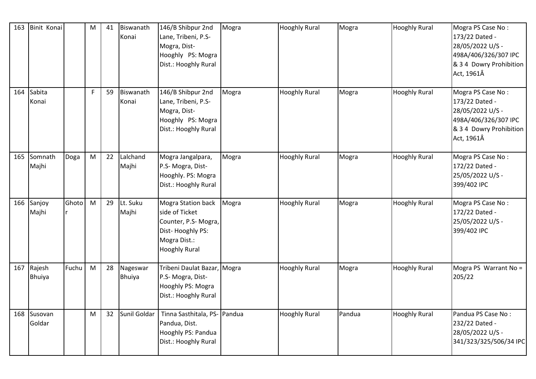| 163 | Binit Konai             |       | M         | 41 | Biswanath<br>Konai        | 146/B Shibpur 2nd<br>Lane, Tribeni, P.S-<br>Mogra, Dist-<br>Hooghly PS: Mogra<br>Dist.: Hooghly Rural                   | Mogra | <b>Hooghly Rural</b> | Mogra  | <b>Hooghly Rural</b> | Mogra PS Case No:<br>173/22 Dated -<br>28/05/2022 U/S -<br>498A/406/326/307 IPC<br>& 3 4 Dowry Prohibition<br>Act, 1961Â |
|-----|-------------------------|-------|-----------|----|---------------------------|-------------------------------------------------------------------------------------------------------------------------|-------|----------------------|--------|----------------------|--------------------------------------------------------------------------------------------------------------------------|
| 164 | Sabita<br>Konai         |       | F.        | 59 | Biswanath<br>Konai        | 146/B Shibpur 2nd<br>Lane, Tribeni, P.S-<br>Mogra, Dist-<br>Hooghly PS: Mogra<br>Dist.: Hooghly Rural                   | Mogra | <b>Hooghly Rural</b> | Mogra  | <b>Hooghly Rural</b> | Mogra PS Case No:<br>173/22 Dated -<br>28/05/2022 U/S -<br>498A/406/326/307 IPC<br>& 3 4 Dowry Prohibition<br>Act, 1961Â |
| 165 | Somnath<br>Majhi        | Doga  | ${\sf M}$ | 22 | Lalchand<br>Majhi         | Mogra Jangalpara,<br>P.S- Mogra, Dist-<br>Hooghly. PS: Mogra<br>Dist.: Hooghly Rural                                    | Mogra | <b>Hooghly Rural</b> | Mogra  | <b>Hooghly Rural</b> | Mogra PS Case No:<br>172/22 Dated -<br>25/05/2022 U/S -<br>399/402 IPC                                                   |
| 166 | Sanjoy<br>Majhi         | Ghoto | M         | 29 | Lt. Suku<br>Majhi         | Mogra Station back<br>side of Ticket<br>Counter, P.S-Mogra,<br>Dist-Hooghly PS:<br>Mogra Dist.:<br><b>Hooghly Rural</b> | Mogra | <b>Hooghly Rural</b> | Mogra  | <b>Hooghly Rural</b> | Mogra PS Case No:<br>172/22 Dated -<br>25/05/2022 U/S -<br>399/402 IPC                                                   |
| 167 | Rajesh<br><b>Bhuiya</b> | Fuchu | ${\sf M}$ | 28 | Nageswar<br><b>Bhuiya</b> | Tribeni Daulat Bazar, Mogra<br>P.S- Mogra, Dist-<br>Hooghly PS: Mogra<br>Dist.: Hooghly Rural                           |       | <b>Hooghly Rural</b> | Mogra  | <b>Hooghly Rural</b> | Mogra PS Warrant No =<br>205/22                                                                                          |
|     | 168 Susovan<br>Goldar   |       | M         | 32 | Sunil Goldar              | Tinna Sasthitala, PS- Pandua<br>Pandua, Dist.<br>Hooghly PS: Pandua<br>Dist.: Hooghly Rural                             |       | <b>Hooghly Rural</b> | Pandua | <b>Hooghly Rural</b> | Pandua PS Case No:<br>232/22 Dated -<br>28/05/2022 U/S -<br>341/323/325/506/34 IPC                                       |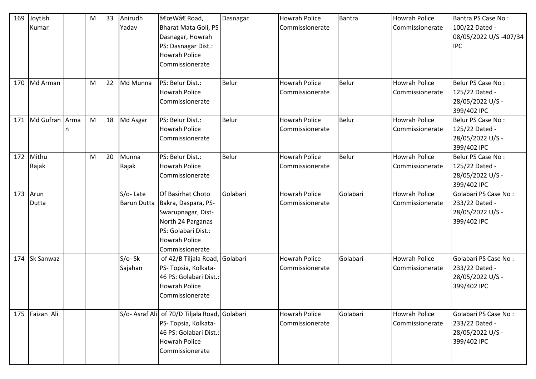| 169 | Joytish          | M | 33 | Anirudh            | "W†Road,                                      | Dasnagar | <b>Howrah Police</b> | <b>Bantra</b> | <b>Howrah Police</b> | Bantra PS Case No:    |
|-----|------------------|---|----|--------------------|-----------------------------------------------|----------|----------------------|---------------|----------------------|-----------------------|
|     | Kumar            |   |    | Yadav              | Bharat Mata Goli, PS                          |          | Commissionerate      |               | Commissionerate      | 100/22 Dated -        |
|     |                  |   |    |                    | Dasnagar, Howrah                              |          |                      |               |                      | 08/05/2022 U/S-407/34 |
|     |                  |   |    |                    | PS: Dasnagar Dist.:                           |          |                      |               |                      | <b>IPC</b>            |
|     |                  |   |    |                    | <b>Howrah Police</b>                          |          |                      |               |                      |                       |
|     |                  |   |    |                    | Commissionerate                               |          |                      |               |                      |                       |
|     |                  |   |    |                    |                                               |          |                      |               |                      |                       |
| 170 | Md Arman         | M | 22 | Md Munna           | PS: Belur Dist.:                              | Belur    | <b>Howrah Police</b> | <b>Belur</b>  | <b>Howrah Police</b> | Belur PS Case No:     |
|     |                  |   |    |                    | <b>Howrah Police</b>                          |          | Commissionerate      |               | Commissionerate      | 125/22 Dated -        |
|     |                  |   |    |                    | Commissionerate                               |          |                      |               |                      | 28/05/2022 U/S -      |
|     |                  |   |    |                    |                                               |          |                      |               |                      | 399/402 IPC           |
| 171 | Md Gufran Arma   | M | 18 | Md Asgar           | PS: Belur Dist.:                              | Belur    | <b>Howrah Police</b> | Belur         | <b>Howrah Police</b> | Belur PS Case No:     |
|     |                  |   |    |                    | <b>Howrah Police</b>                          |          | Commissionerate      |               | Commissionerate      | 125/22 Dated -        |
|     |                  |   |    |                    | Commissionerate                               |          |                      |               |                      | 28/05/2022 U/S -      |
|     |                  |   |    |                    |                                               |          |                      |               |                      | 399/402 IPC           |
|     | 172 Mithu        | M | 20 | Munna              | PS: Belur Dist.:                              | Belur    | <b>Howrah Police</b> | Belur         | <b>Howrah Police</b> | Belur PS Case No:     |
|     | Rajak            |   |    | Rajak              | <b>Howrah Police</b>                          |          | Commissionerate      |               | Commissionerate      | 125/22 Dated -        |
|     |                  |   |    |                    | Commissionerate                               |          |                      |               |                      | 28/05/2022 U/S -      |
|     |                  |   |    |                    |                                               |          |                      |               |                      | 399/402 IPC           |
| 173 | Arun             |   |    | S/o-Late           | Of Basirhat Choto                             | Golabari | <b>Howrah Police</b> | Golabari      | <b>Howrah Police</b> | Golabari PS Case No:  |
|     | Dutta            |   |    | <b>Barun Dutta</b> | Bakra, Daspara, PS-                           |          | Commissionerate      |               | Commissionerate      | 233/22 Dated -        |
|     |                  |   |    |                    | Swarupnagar, Dist-                            |          |                      |               |                      | 28/05/2022 U/S -      |
|     |                  |   |    |                    | North 24 Parganas                             |          |                      |               |                      | 399/402 IPC           |
|     |                  |   |    |                    | PS: Golabari Dist.:                           |          |                      |               |                      |                       |
|     |                  |   |    |                    | <b>Howrah Police</b>                          |          |                      |               |                      |                       |
|     |                  |   |    |                    | Commissionerate                               |          |                      |               |                      |                       |
| 174 | <b>Sk Sanwaz</b> |   |    | S/o-Sk             | of 42/B Tiljala Road, Golabari                |          | <b>Howrah Police</b> | Golabari      | <b>Howrah Police</b> | Golabari PS Case No:  |
|     |                  |   |    | Sajahan            | PS- Topsia, Kolkata-                          |          | Commissionerate      |               | Commissionerate      | 233/22 Dated -        |
|     |                  |   |    |                    | 46 PS: Golabari Dist.:                        |          |                      |               |                      | 28/05/2022 U/S -      |
|     |                  |   |    |                    | <b>Howrah Police</b>                          |          |                      |               |                      | 399/402 IPC           |
|     |                  |   |    |                    | Commissionerate                               |          |                      |               |                      |                       |
|     |                  |   |    |                    |                                               |          |                      |               |                      |                       |
|     | 175 Faizan Ali   |   |    |                    | S/o- Asraf Ali of 70/D Tiljala Road, Golabari |          | <b>Howrah Police</b> | Golabari      | <b>Howrah Police</b> | Golabari PS Case No:  |
|     |                  |   |    |                    | PS- Topsia, Kolkata-                          |          | Commissionerate      |               | Commissionerate      | 233/22 Dated -        |
|     |                  |   |    |                    | 46 PS: Golabari Dist.:                        |          |                      |               |                      | 28/05/2022 U/S -      |
|     |                  |   |    |                    | <b>Howrah Police</b>                          |          |                      |               |                      | 399/402 IPC           |
|     |                  |   |    |                    | Commissionerate                               |          |                      |               |                      |                       |
|     |                  |   |    |                    |                                               |          |                      |               |                      |                       |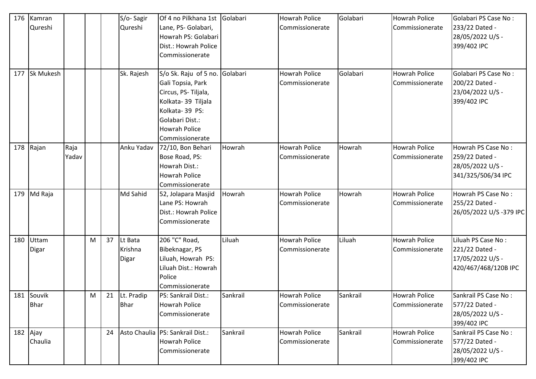| 176 | Kamran           |       |   |    | S/o-Sagir    | Of 4 no Pilkhana 1st               | Golabari | <b>Howrah Police</b> | Golabari | <b>Howrah Police</b> | Golabari PS Case No:   |
|-----|------------------|-------|---|----|--------------|------------------------------------|----------|----------------------|----------|----------------------|------------------------|
|     | Qureshi          |       |   |    | Qureshi      | Lane, PS- Golabari,                |          | Commissionerate      |          | Commissionerate      | 233/22 Dated -         |
|     |                  |       |   |    |              | Howrah PS: Golabari                |          |                      |          |                      | 28/05/2022 U/S -       |
|     |                  |       |   |    |              | Dist.: Howrah Police               |          |                      |          |                      | 399/402 IPC            |
|     |                  |       |   |    |              | Commissionerate                    |          |                      |          |                      |                        |
|     |                  |       |   |    |              |                                    |          |                      |          |                      |                        |
| 177 | <b>Sk Mukesh</b> |       |   |    | Sk. Rajesh   | S/o Sk. Raju of 5 no. Golabari     |          | <b>Howrah Police</b> | Golabari | <b>Howrah Police</b> | Golabari PS Case No:   |
|     |                  |       |   |    |              | Gali Topsia, Park                  |          | Commissionerate      |          | Commissionerate      | 200/22 Dated -         |
|     |                  |       |   |    |              | Circus, PS-Tiljala,                |          |                      |          |                      | 23/04/2022 U/S -       |
|     |                  |       |   |    |              | Kolkata-39 Tiljala                 |          |                      |          |                      | 399/402 IPC            |
|     |                  |       |   |    |              | Kolkata-39 PS:                     |          |                      |          |                      |                        |
|     |                  |       |   |    |              | Golabari Dist.:                    |          |                      |          |                      |                        |
|     |                  |       |   |    |              | <b>Howrah Police</b>               |          |                      |          |                      |                        |
|     |                  |       |   |    |              | Commissionerate                    |          |                      |          |                      |                        |
| 178 | Rajan            | Raja  |   |    | Anku Yadav   | 72/10, Bon Behari                  | Howrah   | <b>Howrah Police</b> | Howrah   | <b>Howrah Police</b> | Howrah PS Case No:     |
|     |                  | Yadav |   |    |              | Bose Road, PS:                     |          | Commissionerate      |          | Commissionerate      | 259/22 Dated -         |
|     |                  |       |   |    |              | Howrah Dist.:                      |          |                      |          |                      | 28/05/2022 U/S -       |
|     |                  |       |   |    |              | <b>Howrah Police</b>               |          |                      |          |                      | 341/325/506/34 IPC     |
|     |                  |       |   |    |              | Commissionerate                    |          |                      |          |                      |                        |
| 179 | Md Raja          |       |   |    | Md Sahid     | 52, Jolapara Masjid                | Howrah   | <b>Howrah Police</b> | Howrah   | <b>Howrah Police</b> | Howrah PS Case No:     |
|     |                  |       |   |    |              | Lane PS: Howrah                    |          | Commissionerate      |          | Commissionerate      | 255/22 Dated -         |
|     |                  |       |   |    |              | Dist.: Howrah Police               |          |                      |          |                      | 26/05/2022 U/S-379 IPC |
|     |                  |       |   |    |              | Commissionerate                    |          |                      |          |                      |                        |
|     |                  |       |   |    |              |                                    |          |                      |          |                      |                        |
| 180 | Uttam            |       | M | 37 | Lt Bata      | 206 "C" Road,                      | Liluah   | <b>Howrah Police</b> | Liluah   | <b>Howrah Police</b> | Liluah PS Case No:     |
|     | Digar            |       |   |    | Krishna      | Bibeknagar, PS                     |          | Commissionerate      |          | Commissionerate      | 221/22 Dated -         |
|     |                  |       |   |    | <b>Digar</b> | Liluah, Howrah PS:                 |          |                      |          |                      | 17/05/2022 U/S -       |
|     |                  |       |   |    |              | Liluah Dist.: Howrah               |          |                      |          |                      | 420/467/468/120B IPC   |
|     |                  |       |   |    |              | Police                             |          |                      |          |                      |                        |
|     |                  |       |   |    |              | Commissionerate                    |          |                      |          |                      |                        |
|     | 181 Souvik       |       | M | 21 | Lt. Pradip   | PS: Sankrail Dist.:                | Sankrail | <b>Howrah Police</b> | Sankrail | <b>Howrah Police</b> | Sankrail PS Case No:   |
|     | <b>Bhar</b>      |       |   |    | <b>Bhar</b>  | <b>Howrah Police</b>               |          | Commissionerate      |          | Commissionerate      | 577/22 Dated -         |
|     |                  |       |   |    |              | Commissionerate                    |          |                      |          |                      | 28/05/2022 U/S -       |
|     |                  |       |   |    |              |                                    |          |                      |          |                      | 399/402 IPC            |
|     | 182 Ajay         |       |   | 24 |              | Asto Chaulia   PS: Sankrail Dist.: | Sankrail | <b>Howrah Police</b> | Sankrail | <b>Howrah Police</b> | Sankrail PS Case No:   |
|     | Chaulia          |       |   |    |              | <b>Howrah Police</b>               |          | Commissionerate      |          | Commissionerate      | 577/22 Dated -         |
|     |                  |       |   |    |              | Commissionerate                    |          |                      |          |                      | 28/05/2022 U/S -       |
|     |                  |       |   |    |              |                                    |          |                      |          |                      | 399/402 IPC            |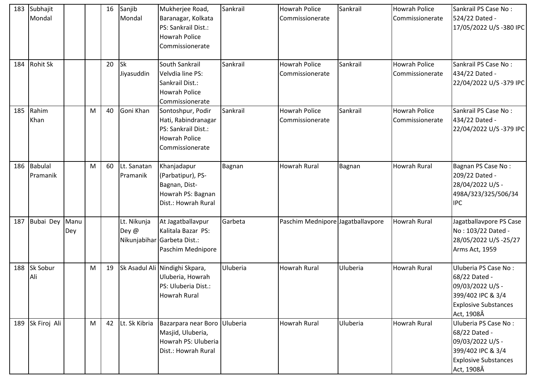| 183 | Subhajit        |      |   | 16 | Sanjib        | Mukherjee Road,                | Sankrail | <b>Howrah Police</b>              | Sankrail | <b>Howrah Police</b> | Sankrail PS Case No:        |
|-----|-----------------|------|---|----|---------------|--------------------------------|----------|-----------------------------------|----------|----------------------|-----------------------------|
|     | Mondal          |      |   |    | Mondal        | Baranagar, Kolkata             |          | Commissionerate                   |          | Commissionerate      | 524/22 Dated -              |
|     |                 |      |   |    |               | PS: Sankrail Dist.:            |          |                                   |          |                      | 17/05/2022 U/S-380 IPC      |
|     |                 |      |   |    |               | <b>Howrah Police</b>           |          |                                   |          |                      |                             |
|     |                 |      |   |    |               | Commissionerate                |          |                                   |          |                      |                             |
|     |                 |      |   |    |               |                                |          |                                   |          |                      |                             |
| 184 | <b>Rohit Sk</b> |      |   | 20 | <b>Sk</b>     | South Sankrail                 | Sankrail | <b>Howrah Police</b>              | Sankrail | Howrah Police        | Sankrail PS Case No:        |
|     |                 |      |   |    | Jiyasuddin    | Velvdia line PS:               |          | Commissionerate                   |          | Commissionerate      | 434/22 Dated -              |
|     |                 |      |   |    |               | Sankrail Dist.:                |          |                                   |          |                      | 22/04/2022 U/S-379 IPC      |
|     |                 |      |   |    |               | <b>Howrah Police</b>           |          |                                   |          |                      |                             |
|     |                 |      |   |    |               | Commissionerate                |          |                                   |          |                      |                             |
| 185 | Rahim           |      | M | 40 | Goni Khan     | Sontoshpur, Podir              | Sankrail | <b>Howrah Police</b>              | Sankrail | <b>Howrah Police</b> | Sankrail PS Case No:        |
|     | Khan            |      |   |    |               | Hati, Rabindranagar            |          | Commissionerate                   |          | Commissionerate      | 434/22 Dated -              |
|     |                 |      |   |    |               | PS: Sankrail Dist.:            |          |                                   |          |                      | 22/04/2022 U/S-379 IPC      |
|     |                 |      |   |    |               | <b>Howrah Police</b>           |          |                                   |          |                      |                             |
|     |                 |      |   |    |               | Commissionerate                |          |                                   |          |                      |                             |
|     |                 |      |   |    |               |                                |          |                                   |          |                      |                             |
| 186 | Babulal         |      | M | 60 | Lt. Sanatan   | Khanjadapur                    | Bagnan   | <b>Howrah Rural</b>               | Bagnan   | <b>Howrah Rural</b>  | Bagnan PS Case No:          |
|     | Pramanik        |      |   |    | Pramanik      | (Parbatipur), PS-              |          |                                   |          |                      | 209/22 Dated -              |
|     |                 |      |   |    |               | Bagnan, Dist-                  |          |                                   |          |                      | 28/04/2022 U/S -            |
|     |                 |      |   |    |               | Howrah PS: Bagnan              |          |                                   |          |                      | 498A/323/325/506/34         |
|     |                 |      |   |    |               | Dist.: Howrah Rural            |          |                                   |          |                      | <b>IPC</b>                  |
|     |                 |      |   |    |               |                                |          |                                   |          |                      |                             |
| 187 | Bubai Dey       | Manu |   |    | Lt. Nikunja   | At Jagatballavpur              | Garbeta  | Paschim Mednipore Jagatballavpore |          | <b>Howrah Rural</b>  | Jagatballavpore PS Case     |
|     |                 | Dey  |   |    | Dey @         | Kalitala Bazar PS:             |          |                                   |          |                      | No: 103/22 Dated -          |
|     |                 |      |   |    |               | Nikunjabihar Garbeta Dist.:    |          |                                   |          |                      | 28/05/2022 U/S-25/27        |
|     |                 |      |   |    |               | Paschim Mednipore              |          |                                   |          |                      | Arms Act, 1959              |
|     |                 |      |   |    |               |                                |          |                                   |          |                      |                             |
| 188 | Sk Sobur        |      | M | 19 |               | Sk Asadul Ali Nindighi Skpara, | Uluberia | <b>Howrah Rural</b>               | Uluberia | <b>Howrah Rural</b>  | Uluberia PS Case No:        |
|     | Ali             |      |   |    |               | Uluberia, Howrah               |          |                                   |          |                      | 68/22 Dated -               |
|     |                 |      |   |    |               | PS: Uluberia Dist.:            |          |                                   |          |                      | 09/03/2022 U/S -            |
|     |                 |      |   |    |               | Howrah Rural                   |          |                                   |          |                      | 399/402 IPC & 3/4           |
|     |                 |      |   |    |               |                                |          |                                   |          |                      | <b>Explosive Substances</b> |
|     |                 |      |   |    |               |                                |          |                                   |          |                      | Act, 1908Â                  |
| 189 | Sk Firoj Ali    |      | M | 42 | Lt. Sk Kibria | Bazarpara near Boro Uluberia   |          | Howrah Rural                      | Uluberia | <b>Howrah Rural</b>  | Uluberia PS Case No:        |
|     |                 |      |   |    |               | Masjid, Uluberia,              |          |                                   |          |                      | 68/22 Dated -               |
|     |                 |      |   |    |               | Howrah PS: Uluberia            |          |                                   |          |                      | 09/03/2022 U/S -            |
|     |                 |      |   |    |               | Dist.: Howrah Rural            |          |                                   |          |                      | 399/402 IPC & 3/4           |
|     |                 |      |   |    |               |                                |          |                                   |          |                      | <b>Explosive Substances</b> |
|     |                 |      |   |    |               |                                |          |                                   |          |                      | Act, 1908Â                  |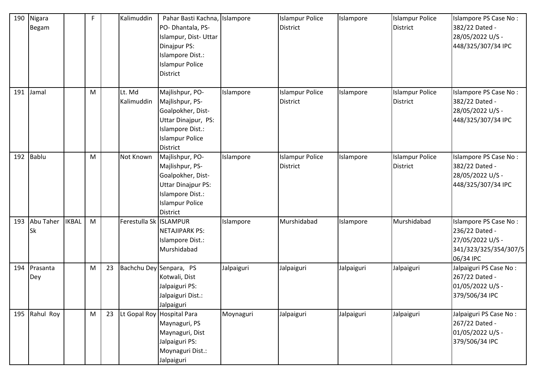| 190 | Nigara<br><b>Begam</b> |              | F |    | Kalimuddin               | Pahar Basti Kachna, Islampore<br>PO-Dhantala, PS-<br>Islampur, Dist- Uttar<br>Dinajpur PS:<br>Islampore Dist.:<br><b>Islampur Police</b><br>District  |            | <b>Islampur Police</b><br><b>District</b> | Islampore  | <b>Islampur Police</b><br><b>District</b> | Islampore PS Case No:<br>382/22 Dated -<br>28/05/2022 U/S -<br>448/325/307/34 IPC                 |
|-----|------------------------|--------------|---|----|--------------------------|-------------------------------------------------------------------------------------------------------------------------------------------------------|------------|-------------------------------------------|------------|-------------------------------------------|---------------------------------------------------------------------------------------------------|
| 191 | Jamal                  |              | M |    | Lt. Md<br>Kalimuddin     | Majlishpur, PO-<br>Majlishpur, PS-<br>Goalpokher, Dist-<br>Uttar Dinajpur, PS:<br>Islampore Dist.:<br><b>Islampur Police</b><br><b>District</b>       | Islampore  | <b>Islampur Police</b><br><b>District</b> | Islampore  | <b>Islampur Police</b><br>District        | Islampore PS Case No:<br>382/22 Dated -<br>28/05/2022 U/S -<br>448/325/307/34 IPC                 |
| 192 | Bablu                  |              | M |    | Not Known                | Majlishpur, PO-<br>Majlishpur, PS-<br>Goalpokher, Dist-<br><b>Uttar Dinajpur PS:</b><br>Islampore Dist.:<br><b>Islampur Police</b><br><b>District</b> | Islampore  | <b>Islampur Police</b><br><b>District</b> | Islampore  | <b>Islampur Police</b><br><b>District</b> | Islampore PS Case No:<br>382/22 Dated -<br>28/05/2022 U/S -<br>448/325/307/34 IPC                 |
| 193 | Abu Taher<br><b>Sk</b> | <b>IKBAL</b> | M |    | Ferestulla Sk   ISLAMPUR | <b>NETAJIPARK PS:</b><br>Islampore Dist.:<br>Murshidabad                                                                                              | Islampore  | Murshidabad                               | Islampore  | Murshidabad                               | Islampore PS Case No:<br>236/22 Dated -<br>27/05/2022 U/S -<br>341/323/325/354/307/5<br>06/34 IPC |
| 194 | Prasanta<br>Dey        |              | M | 23 |                          | Bachchu Dey Senpara, PS<br>Kotwali, Dist<br>Jalpaiguri PS:<br>Jalpaiguri Dist.:<br>Jalpaiguri                                                         | Jalpaiguri | Jalpaiguri                                | Jalpaiguri | Jalpaiguri                                | Jalpaiguri PS Case No:<br>267/22 Dated -<br>01/05/2022 U/S -<br>379/506/34 IPC                    |
| 195 | Rahul Roy              |              | M | 23 |                          | Lt Gopal Roy Hospital Para<br>Maynaguri, PS<br>Maynaguri, Dist<br>Jalpaiguri PS:<br>Moynaguri Dist.:<br>Jalpaiguri                                    | Moynaguri  | Jalpaiguri                                | Jalpaiguri | Jalpaiguri                                | Jalpaiguri PS Case No:<br>267/22 Dated -<br>01/05/2022 U/S -<br>379/506/34 IPC                    |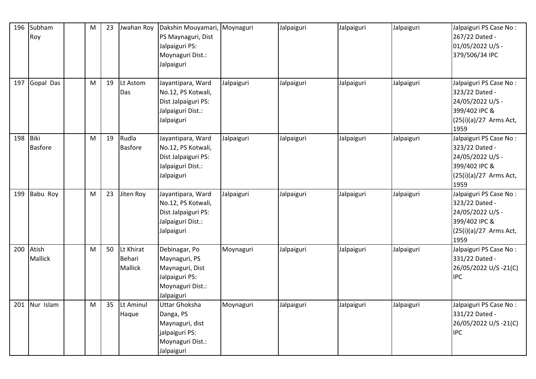| 196 | Subham         | M | 23 | Jwahan Roy     | Dakshin Mouyamari,   | Moynaguri  | Jalpaiguri | Jalpaiguri | Jalpaiguri | Jalpaiguri PS Case No:   |
|-----|----------------|---|----|----------------|----------------------|------------|------------|------------|------------|--------------------------|
|     | Roy            |   |    |                | PS Maynaguri, Dist   |            |            |            |            | 267/22 Dated -           |
|     |                |   |    |                | Jalpaiguri PS:       |            |            |            |            | 01/05/2022 U/S -         |
|     |                |   |    |                | Moynaguri Dist.:     |            |            |            |            | 379/506/34 IPC           |
|     |                |   |    |                | Jalpaiguri           |            |            |            |            |                          |
|     |                |   |    |                |                      |            |            |            |            |                          |
| 197 | Gopal Das      | M | 19 | Lt Astom       | Jayantipara, Ward    | Jalpaiguri | Jalpaiguri | Jalpaiguri | Jalpaiguri | Jalpaiguri PS Case No:   |
|     |                |   |    | Das            | No.12, PS Kotwali,   |            |            |            |            | 323/22 Dated -           |
|     |                |   |    |                | Dist Jalpaiguri PS:  |            |            |            |            | 24/05/2022 U/S -         |
|     |                |   |    |                | Jalpaiguri Dist.:    |            |            |            |            | 399/402 IPC &            |
|     |                |   |    |                | Jalpaiguri           |            |            |            |            | $(25(i)(a)/27$ Arms Act, |
|     |                |   |    |                |                      |            |            |            |            | 1959                     |
| 198 | Biki           | M | 19 | Rudla          | Jayantipara, Ward    | Jalpaiguri | Jalpaiguri | Jalpaiguri | Jalpaiguri | Jalpaiguri PS Case No:   |
|     | <b>Basfore</b> |   |    | <b>Basfore</b> | No.12, PS Kotwali,   |            |            |            |            | 323/22 Dated -           |
|     |                |   |    |                | Dist Jalpaiguri PS:  |            |            |            |            | 24/05/2022 U/S -         |
|     |                |   |    |                | Jalpaiguri Dist.:    |            |            |            |            | 399/402 IPC &            |
|     |                |   |    |                | Jalpaiguri           |            |            |            |            | $(25(i)(a)/27$ Arms Act, |
|     |                |   |    |                |                      |            |            |            |            | 1959                     |
| 199 | Babu Roy       | M | 23 | Jiten Roy      | Jayantipara, Ward    | Jalpaiguri | Jalpaiguri | Jalpaiguri | Jalpaiguri | Jalpaiguri PS Case No:   |
|     |                |   |    |                | No.12, PS Kotwali,   |            |            |            |            | 323/22 Dated -           |
|     |                |   |    |                | Dist Jalpaiguri PS:  |            |            |            |            | 24/05/2022 U/S -         |
|     |                |   |    |                | Jalpaiguri Dist.:    |            |            |            |            | 399/402 IPC &            |
|     |                |   |    |                | Jalpaiguri           |            |            |            |            | (25(i)(a)/27 Arms Act,   |
|     |                |   |    |                |                      |            |            |            |            | 1959                     |
| 200 | Atish          | M | 50 | Lt Khirat      | Debinagar, Po        | Moynaguri  | Jalpaiguri | Jalpaiguri | Jalpaiguri | Jalpaiguri PS Case No:   |
|     | <b>Mallick</b> |   |    | Behari         | Maynaguri, PS        |            |            |            |            | 331/22 Dated -           |
|     |                |   |    | <b>Mallick</b> | Maynaguri, Dist      |            |            |            |            | 26/05/2022 U/S -21(C)    |
|     |                |   |    |                | Jalpaiguri PS:       |            |            |            |            | <b>IPC</b>               |
|     |                |   |    |                | Moynaguri Dist.:     |            |            |            |            |                          |
|     |                |   |    |                | Jalpaiguri           |            |            |            |            |                          |
| 201 | Nur Islam      | M | 35 | Lt Aminul      | <b>Uttar Ghoksha</b> | Moynaguri  | Jalpaiguri | Jalpaiguri | Jalpaiguri | Jalpaiguri PS Case No:   |
|     |                |   |    | Haque          | Danga, PS            |            |            |            |            | 331/22 Dated -           |
|     |                |   |    |                | Maynaguri, dist      |            |            |            |            | 26/05/2022 U/S-21(C)     |
|     |                |   |    |                | jalpaiguri PS:       |            |            |            |            | <b>IPC</b>               |
|     |                |   |    |                | Moynaguri Dist.:     |            |            |            |            |                          |
|     |                |   |    |                | Jalpaiguri           |            |            |            |            |                          |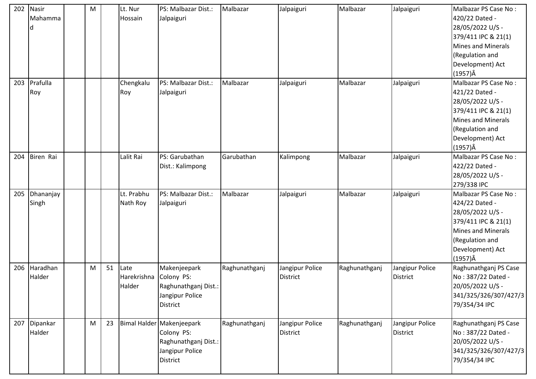| 202 | Nasir     | M |    | Lt. Nur     | PS: Malbazar Dist.:                | Malbazar      | Jalpaiguri      | Malbazar      | Jalpaiguri      | Malbazar PS Case No:                        |
|-----|-----------|---|----|-------------|------------------------------------|---------------|-----------------|---------------|-----------------|---------------------------------------------|
|     | Mahamma   |   |    | Hossain     | Jalpaiguri                         |               |                 |               |                 | 420/22 Dated -                              |
|     |           |   |    |             |                                    |               |                 |               |                 | 28/05/2022 U/S -                            |
|     |           |   |    |             |                                    |               |                 |               |                 | 379/411 IPC & 21(1)                         |
|     |           |   |    |             |                                    |               |                 |               |                 | Mines and Minerals                          |
|     |           |   |    |             |                                    |               |                 |               |                 | (Regulation and                             |
|     |           |   |    |             |                                    |               |                 |               |                 | Development) Act                            |
|     |           |   |    |             |                                    |               |                 |               |                 | $(1957)\hat{A}$                             |
| 203 | Prafulla  |   |    | Chengkalu   | PS: Malbazar Dist.:                | Malbazar      | Jalpaiguri      | Malbazar      | Jalpaiguri      | Malbazar PS Case No:                        |
|     | Roy       |   |    | Roy         | Jalpaiguri                         |               |                 |               |                 | 421/22 Dated -                              |
|     |           |   |    |             |                                    |               |                 |               |                 | 28/05/2022 U/S -                            |
|     |           |   |    |             |                                    |               |                 |               |                 | 379/411 IPC & 21(1)                         |
|     |           |   |    |             |                                    |               |                 |               |                 | Mines and Minerals                          |
|     |           |   |    |             |                                    |               |                 |               |                 | (Regulation and                             |
|     |           |   |    |             |                                    |               |                 |               |                 | Development) Act                            |
|     |           |   |    |             |                                    |               |                 |               |                 | $(1957)\hat{A}$                             |
| 204 | Biren Rai |   |    | Lalit Rai   | PS: Garubathan                     | Garubathan    | Kalimpong       | Malbazar      | Jalpaiguri      | Malbazar PS Case No:                        |
|     |           |   |    |             | Dist.: Kalimpong                   |               |                 |               |                 | 422/22 Dated -                              |
|     |           |   |    |             |                                    |               |                 |               |                 | 28/05/2022 U/S -                            |
|     |           |   |    |             |                                    |               |                 |               |                 | 279/338 IPC                                 |
| 205 | Dhananjay |   |    | Lt. Prabhu  | PS: Malbazar Dist.:                | Malbazar      | Jalpaiguri      | Malbazar      | Jalpaiguri      | Malbazar PS Case No:                        |
|     | Singh     |   |    | Nath Roy    | Jalpaiguri                         |               |                 |               |                 | 424/22 Dated -                              |
|     |           |   |    |             |                                    |               |                 |               |                 | 28/05/2022 U/S -                            |
|     |           |   |    |             |                                    |               |                 |               |                 | 379/411 IPC & 21(1)                         |
|     |           |   |    |             |                                    |               |                 |               |                 | Mines and Minerals                          |
|     |           |   |    |             |                                    |               |                 |               |                 | (Regulation and                             |
|     |           |   |    |             |                                    |               |                 |               |                 | Development) Act                            |
|     |           |   |    |             |                                    |               |                 |               |                 | $(1957)\hat{A}$                             |
| 206 | Haradhan  | M | 51 | Late        | Makenjeepark                       | Raghunathganj | Jangipur Police | Raghunathganj | Jangipur Police | Raghunathganj PS Case                       |
|     | Halder    |   |    | Harekrishna | Colony PS:                         |               | <b>District</b> |               | <b>District</b> | No: 387/22 Dated -                          |
|     |           |   |    | Halder      | Raghunathganj Dist.:               |               |                 |               |                 | 20/05/2022 U/S -                            |
|     |           |   |    |             | Jangipur Police                    |               |                 |               |                 | 341/325/326/307/427/3                       |
|     |           |   |    |             | <b>District</b>                    |               |                 |               |                 | 79/354/34 IPC                               |
| 207 | Dipankar  | M | 23 |             | Bimal Halder Makenjeepark          | Raghunathganj | Jangipur Police |               | Jangipur Police |                                             |
|     | Halder    |   |    |             | Colony PS:                         |               | <b>District</b> | Raghunathganj | <b>District</b> | Raghunathganj PS Case<br>No: 387/22 Dated - |
|     |           |   |    |             | Raghunathganj Dist.:               |               |                 |               |                 | 20/05/2022 U/S -                            |
|     |           |   |    |             |                                    |               |                 |               |                 |                                             |
|     |           |   |    |             |                                    |               |                 |               |                 |                                             |
|     |           |   |    |             |                                    |               |                 |               |                 |                                             |
|     |           |   |    |             | Jangipur Police<br><b>District</b> |               |                 |               |                 | 341/325/326/307/427/3<br>79/354/34 IPC      |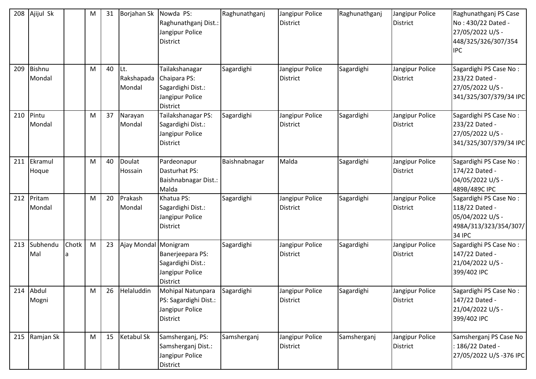| 208 | Ajijul Sk        |       | M | 31 | Borjahan Sk                  | Nowda PS:<br>Raghunathganj Dist.:<br>Jangipur Police<br><b>District</b>                   | Raghunathganj | Jangipur Police<br><b>District</b> | Raghunathganj | Jangipur Police<br><b>District</b> | Raghunathganj PS Case<br>No: 430/22 Dated -<br>27/05/2022 U/S -<br>448/325/326/307/354<br><b>IPC</b>   |
|-----|------------------|-------|---|----|------------------------------|-------------------------------------------------------------------------------------------|---------------|------------------------------------|---------------|------------------------------------|--------------------------------------------------------------------------------------------------------|
| 209 | Bishnu<br>Mondal |       | M | 40 | ILt.<br>Rakshapada<br>Mondal | Tailakshanagar<br>Chaipara PS:<br>Sagardighi Dist.:<br>Jangipur Police<br><b>District</b> | Sagardighi    | Jangipur Police<br><b>District</b> | Sagardighi    | Jangipur Police<br><b>District</b> | Sagardighi PS Case No:<br>233/22 Dated -<br>27/05/2022 U/S -<br>341/325/307/379/34 IPC                 |
| 210 | Pintu<br>Mondal  |       | M | 37 | Narayan<br>Mondal            | Tailakshanagar PS:<br>Sagardighi Dist.:<br>Jangipur Police<br>District                    | Sagardighi    | Jangipur Police<br><b>District</b> | Sagardighi    | Jangipur Police<br><b>District</b> | Sagardighi PS Case No:<br>233/22 Dated -<br>27/05/2022 U/S -<br>341/325/307/379/34 IPC                 |
| 211 | Ekramul<br>Hoque |       | M | 40 | Doulat<br>Hossain            | Pardeonapur<br>Dasturhat PS:<br>Baishnabnagar Dist.:<br>Malda                             | Baishnabnagar | Malda                              | Sagardighi    | Jangipur Police<br><b>District</b> | Sagardighi PS Case No:<br>174/22 Dated -<br>04/05/2022 U/S -<br>489B/489C IPC                          |
| 212 | Pritam<br>Mondal |       | M | 20 | Prakash<br>Mondal            | Khatua PS:<br>Sagardighi Dist.:<br>Jangipur Police<br><b>District</b>                     | Sagardighi    | Jangipur Police<br><b>District</b> | Sagardighi    | Jangipur Police<br><b>District</b> | Sagardighi PS Case No:<br>118/22 Dated -<br>05/04/2022 U/S -<br>498A/313/323/354/307/<br><b>34 IPC</b> |
| 213 | Subhendu<br>Mal  | Chotk | M | 23 | Ajay Mondal Monigram         | Banerjeepara PS:<br>Sagardighi Dist.:<br>Jangipur Police<br><b>District</b>               | Sagardighi    | Jangipur Police<br><b>District</b> | Sagardighi    | Jangipur Police<br><b>District</b> | Sagardighi PS Case No:<br>147/22 Dated -<br>21/04/2022 U/S -<br>399/402 IPC                            |
| 214 | Abdul<br>Mogni   |       | M | 26 | Helaluddin                   | Mohipal Natunpara<br>PS: Sagardighi Dist.:<br>Jangipur Police<br>District                 | Sagardighi    | Jangipur Police<br>District        | Sagardighi    | Jangipur Police<br><b>District</b> | Sagardighi PS Case No:<br>147/22 Dated -<br>21/04/2022 U/S -<br>399/402 IPC                            |
| 215 | Ramjan Sk        |       | M | 15 | Ketabul Sk                   | Samsherganj, PS:<br>Samsherganj Dist.:<br>Jangipur Police<br>District                     | Samsherganj   | Jangipur Police<br><b>District</b> | Samsherganj   | Jangipur Police<br><b>District</b> | Samsherganj PS Case No<br>: 186/22 Dated -<br>27/05/2022 U/S-376 IPC                                   |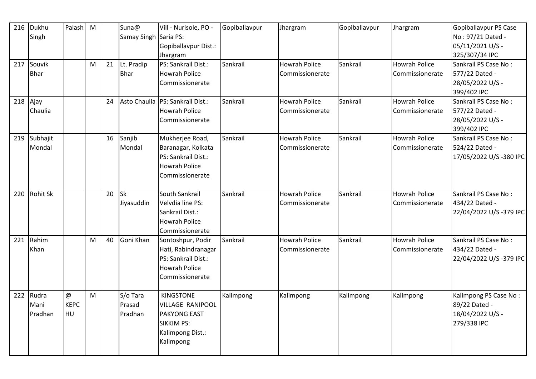| 216 | Dukhu           | Palash M    |   |    | Suna@       | Vill - Nurisole, PO -              | Gopiballavpur | Jhargram             | Gopiballavpur | Jhargram             | Gopiballavpur PS Case  |
|-----|-----------------|-------------|---|----|-------------|------------------------------------|---------------|----------------------|---------------|----------------------|------------------------|
|     | Singh           |             |   |    | Samay Singh | Saria PS:                          |               |                      |               |                      | No: 97/21 Dated -      |
|     |                 |             |   |    |             | Gopiballavpur Dist.:               |               |                      |               |                      | 05/11/2021 U/S -       |
|     |                 |             |   |    |             | Jhargram                           |               |                      |               |                      | 325/307/34 IPC         |
| 217 | Souvik          |             | M | 21 | Lt. Pradip  | PS: Sankrail Dist.:                | Sankrail      | <b>Howrah Police</b> | Sankrail      | <b>Howrah Police</b> | Sankrail PS Case No:   |
|     | <b>Bhar</b>     |             |   |    | <b>Bhar</b> | <b>Howrah Police</b>               |               | Commissionerate      |               | Commissionerate      | 577/22 Dated -         |
|     |                 |             |   |    |             | Commissionerate                    |               |                      |               |                      | 28/05/2022 U/S -       |
|     |                 |             |   |    |             |                                    |               |                      |               |                      | 399/402 IPC            |
|     | 218 Ajay        |             |   | 24 |             | Asto Chaulia   PS: Sankrail Dist.: | Sankrail      | <b>Howrah Police</b> | Sankrail      | <b>Howrah Police</b> | Sankrail PS Case No:   |
|     | Chaulia         |             |   |    |             | <b>Howrah Police</b>               |               | Commissionerate      |               | Commissionerate      | 577/22 Dated -         |
|     |                 |             |   |    |             | Commissionerate                    |               |                      |               |                      | 28/05/2022 U/S -       |
|     |                 |             |   |    |             |                                    |               |                      |               |                      | 399/402 IPC            |
| 219 | Subhajit        |             |   | 16 | Sanjib      | Mukherjee Road,                    | Sankrail      | <b>Howrah Police</b> | Sankrail      | <b>Howrah Police</b> | Sankrail PS Case No:   |
|     | Mondal          |             |   |    | Mondal      | Baranagar, Kolkata                 |               | Commissionerate      |               | Commissionerate      | 524/22 Dated -         |
|     |                 |             |   |    |             | PS: Sankrail Dist.:                |               |                      |               |                      | 17/05/2022 U/S-380 IPC |
|     |                 |             |   |    |             | <b>Howrah Police</b>               |               |                      |               |                      |                        |
|     |                 |             |   |    |             | Commissionerate                    |               |                      |               |                      |                        |
|     |                 |             |   |    |             |                                    |               |                      |               |                      |                        |
| 220 | <b>Rohit Sk</b> |             |   | 20 | <b>Sk</b>   | South Sankrail                     | Sankrail      | <b>Howrah Police</b> | Sankrail      | <b>Howrah Police</b> | Sankrail PS Case No:   |
|     |                 |             |   |    | Jiyasuddin  | Velvdia line PS:                   |               | Commissionerate      |               | Commissionerate      | 434/22 Dated -         |
|     |                 |             |   |    |             | Sankrail Dist.:                    |               |                      |               |                      | 22/04/2022 U/S-379 IPC |
|     |                 |             |   |    |             | <b>Howrah Police</b>               |               |                      |               |                      |                        |
|     |                 |             |   |    |             | Commissionerate                    |               |                      |               |                      |                        |
| 221 | Rahim           |             | M | 40 | Goni Khan   | Sontoshpur, Podir                  | Sankrail      | <b>Howrah Police</b> | Sankrail      | <b>Howrah Police</b> | Sankrail PS Case No:   |
|     | Khan            |             |   |    |             | Hati, Rabindranagar                |               | Commissionerate      |               | Commissionerate      | 434/22 Dated -         |
|     |                 |             |   |    |             | PS: Sankrail Dist.:                |               |                      |               |                      | 22/04/2022 U/S-379 IPC |
|     |                 |             |   |    |             | <b>Howrah Police</b>               |               |                      |               |                      |                        |
|     |                 |             |   |    |             | Commissionerate                    |               |                      |               |                      |                        |
|     |                 |             |   |    |             |                                    |               |                      |               |                      |                        |
| 222 | Rudra           | @           | M |    | S/o Tara    | <b>KINGSTONE</b>                   | Kalimpong     | Kalimpong            | Kalimpong     | Kalimpong            | Kalimpong PS Case No:  |
|     | Mani            | <b>KEPC</b> |   |    | Prasad      | <b>VILLAGE RANIPOOL</b>            |               |                      |               |                      | 89/22 Dated -          |
|     | Pradhan         | <b>HU</b>   |   |    | Pradhan     | <b>PAKYONG EAST</b>                |               |                      |               |                      | 18/04/2022 U/S -       |
|     |                 |             |   |    |             | <b>SIKKIM PS:</b>                  |               |                      |               |                      | 279/338 IPC            |
|     |                 |             |   |    |             | Kalimpong Dist.:                   |               |                      |               |                      |                        |
|     |                 |             |   |    |             | Kalimpong                          |               |                      |               |                      |                        |
|     |                 |             |   |    |             |                                    |               |                      |               |                      |                        |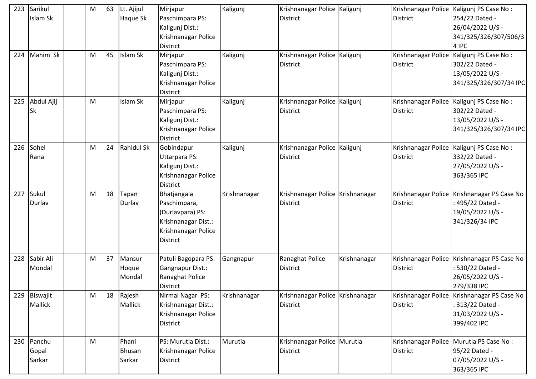| 223 | Sarikul    | M | 63 | Lt. Ajijul        | Mirjapur            | Kaligunj     | Krishnanagar Police Kaligunj       |              |                     | Krishnanagar Police   Kaligunj PS Case No :   |
|-----|------------|---|----|-------------------|---------------------|--------------|------------------------------------|--------------|---------------------|-----------------------------------------------|
|     | Islam Sk   |   |    | <b>Haque Sk</b>   | Paschimpara PS:     |              | <b>District</b>                    |              | <b>District</b>     | 254/22 Dated -                                |
|     |            |   |    |                   | Kaligunj Dist.:     |              |                                    |              |                     | 26/04/2022 U/S -                              |
|     |            |   |    |                   | Krishnanagar Police |              |                                    |              |                     | 341/325/326/307/506/3                         |
|     |            |   |    |                   | <b>District</b>     |              |                                    |              |                     | 4 IPC                                         |
| 224 | Mahim Sk   | M | 45 | Islam Sk          | Mirjapur            | Kaligunj     | Krishnanagar Police Kaligunj       |              | Krishnanagar Police | Kaligunj PS Case No:                          |
|     |            |   |    |                   | Paschimpara PS:     |              | <b>District</b>                    |              | <b>District</b>     | 302/22 Dated -                                |
|     |            |   |    |                   | Kaligunj Dist.:     |              |                                    |              |                     | 13/05/2022 U/S -                              |
|     |            |   |    |                   | Krishnanagar Police |              |                                    |              |                     | 341/325/326/307/34 IPC                        |
|     |            |   |    |                   | <b>District</b>     |              |                                    |              |                     |                                               |
| 225 | Abdul Ajij | M |    | Islam Sk          | Mirjapur            | Kaligunj     | Krishnanagar Police Kaligunj       |              |                     | Krishnanagar Police   Kaligunj PS Case No:    |
|     | Sk         |   |    |                   | Paschimpara PS:     |              | <b>District</b>                    |              | <b>District</b>     | 302/22 Dated -                                |
|     |            |   |    |                   | Kaligunj Dist.:     |              |                                    |              |                     | 13/05/2022 U/S -                              |
|     |            |   |    |                   | Krishnanagar Police |              |                                    |              |                     | 341/325/326/307/34 IPC                        |
|     |            |   |    |                   | <b>District</b>     |              |                                    |              |                     |                                               |
| 226 | Sohel      | M | 24 | <b>Rahidul Sk</b> | Gobindapur          | Kaligunj     | Krishnanagar Police Kaligunj       |              |                     | Krishnanagar Police   Kaligunj PS Case No:    |
|     | Rana       |   |    |                   | Uttarpara PS:       |              | <b>District</b>                    |              | <b>District</b>     | 332/22 Dated -                                |
|     |            |   |    |                   | Kaligunj Dist.:     |              |                                    |              |                     | 27/05/2022 U/S -                              |
|     |            |   |    |                   | Krishnanagar Police |              |                                    |              |                     | 363/365 IPC                                   |
|     |            |   |    |                   | <b>District</b>     |              |                                    |              |                     |                                               |
|     |            |   |    |                   |                     |              |                                    |              |                     |                                               |
| 227 | Sukul      | M | 18 | Tapan             | Bhatjangala         | Krishnanagar | Krishnanagar Police   Krishnanagar |              | Krishnanagar Police | Krishnanagar PS Case No                       |
|     | Durlav     |   |    | Durlav            | Paschimpara,        |              | <b>District</b>                    |              | <b>District</b>     | 495/22 Dated -                                |
|     |            |   |    |                   | (Durlavpara) PS:    |              |                                    |              |                     | 19/05/2022 U/S -                              |
|     |            |   |    |                   | Krishnanagar Dist.: |              |                                    |              |                     | 341/326/34 IPC                                |
|     |            |   |    |                   | Krishnanagar Police |              |                                    |              |                     |                                               |
|     |            |   |    |                   | <b>District</b>     |              |                                    |              |                     |                                               |
|     |            |   |    |                   |                     |              |                                    |              |                     |                                               |
| 228 | Sabir Ali  | M | 37 | Mansur            | Patuli Bagopara PS: | Gangnapur    | Ranaghat Police                    | Krishnanagar |                     | Krishnanagar Police   Krishnanagar PS Case No |
|     | Mondal     |   |    | Hoque             | Gangnapur Dist.:    |              | <b>District</b>                    |              | <b>District</b>     | 530/22 Dated -                                |
|     |            |   |    | Mondal            | Ranaghat Police     |              |                                    |              |                     | 26/05/2022 U/S -                              |
|     |            |   |    |                   | District            |              |                                    |              |                     | 279/338 IPC                                   |
| 229 | Biswajit   | M | 18 | Rajesh            | Nirmal Nagar PS:    | Krishnanagar | Krishnanagar Police Krishnanagar   |              |                     | Krishnanagar Police   Krishnanagar PS Case No |
|     | Mallick    |   |    | Mallick           | Krishnanagar Dist.: |              | <b>District</b>                    |              | <b>District</b>     | : 313/22 Dated -                              |
|     |            |   |    |                   | Krishnanagar Police |              |                                    |              |                     | 31/03/2022 U/S -                              |
|     |            |   |    |                   | <b>District</b>     |              |                                    |              |                     | 399/402 IPC                                   |
|     |            |   |    |                   |                     |              |                                    |              |                     |                                               |
| 230 | Panchu     | M |    | Phani             | PS: Murutia Dist.:  | Murutia      | Krishnanagar Police Murutia        |              |                     | Krishnanagar Police   Murutia PS Case No:     |
|     | Gopal      |   |    | <b>Bhusan</b>     | Krishnanagar Police |              | <b>District</b>                    |              | District            | 95/22 Dated -                                 |
|     | Sarkar     |   |    | Sarkar            | District            |              |                                    |              |                     | 07/05/2022 U/S -<br>363/365 IPC               |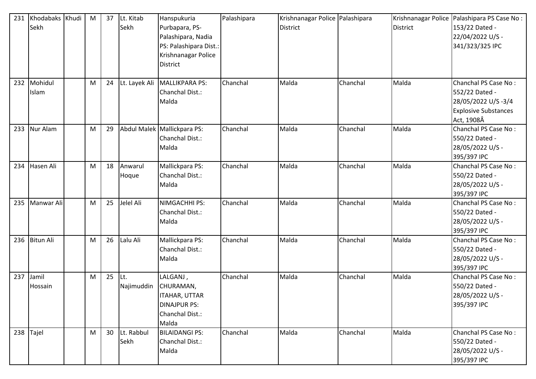| 231 | Khodabaks Khudi<br>Sekh | M | 37 | Lt. Kitab<br>Sekh  | Hanspukuria<br>Purbapara, PS-<br>Palashipara, Nadia<br>PS: Palashipara Dist.:<br>Krishnanagar Police<br><b>District</b> | Palashipara | Krishnanagar Police Palashipara<br><b>District</b> |          | <b>District</b> | Krishnanagar Police   Palashipara PS Case No:<br>153/22 Dated -<br>22/04/2022 U/S -<br>341/323/325 IPC    |
|-----|-------------------------|---|----|--------------------|-------------------------------------------------------------------------------------------------------------------------|-------------|----------------------------------------------------|----------|-----------------|-----------------------------------------------------------------------------------------------------------|
| 232 | Mohidul<br>Islam        | M | 24 | Lt. Layek Ali      | MALLIKPARA PS:<br>Chanchal Dist.:<br>Malda                                                                              | Chanchal    | Malda                                              | Chanchal | Malda           | Chanchal PS Case No:<br>552/22 Dated -<br>28/05/2022 U/S-3/4<br><b>Explosive Substances</b><br>Act, 1908Â |
| 233 | Nur Alam                | M | 29 |                    | Abdul Malek Mallickpara PS:<br>Chanchal Dist.:<br>Malda                                                                 | Chanchal    | Malda                                              | Chanchal | Malda           | Chanchal PS Case No:<br>550/22 Dated -<br>28/05/2022 U/S -<br>395/397 IPC                                 |
| 234 | Hasen Ali               | M | 18 | Anwarul<br>Hoque   | Mallickpara PS:<br>Chanchal Dist.:<br>Malda                                                                             | Chanchal    | Malda                                              | Chanchal | Malda           | Chanchal PS Case No:<br>550/22 Dated -<br>28/05/2022 U/S -<br>395/397 IPC                                 |
| 235 | Manwar Ali              | M | 25 | Jelel Ali          | NIMGACHHI PS:<br>Chanchal Dist.:<br>Malda                                                                               | Chanchal    | Malda                                              | Chanchal | Malda           | Chanchal PS Case No:<br>550/22 Dated -<br>28/05/2022 U/S -<br>395/397 IPC                                 |
| 236 | <b>Bitun Ali</b>        | M | 26 | Lalu Ali           | Mallickpara PS:<br>Chanchal Dist.:<br>Malda                                                                             | Chanchal    | Malda                                              | Chanchal | Malda           | Chanchal PS Case No:<br>550/22 Dated -<br>28/05/2022 U/S -<br>395/397 IPC                                 |
| 237 | Jamil<br>Hossain        | M | 25 | Lt.<br>Najimuddin  | LALGANJ,<br>CHURAMAN,<br><b>ITAHAR, UTTAR</b><br><b>DINAJPUR PS:</b><br>Chanchal Dist.:<br>Malda                        | Chanchal    | Malda                                              | Chanchal | Malda           | Chanchal PS Case No:<br>550/22 Dated -<br>28/05/2022 U/S -<br>395/397 IPC                                 |
| 238 | Tajel                   | M | 30 | Lt. Rabbul<br>Sekh | <b>BILAIDANGI PS:</b><br>Chanchal Dist.:<br>Malda                                                                       | Chanchal    | Malda                                              | Chanchal | Malda           | Chanchal PS Case No:<br>550/22 Dated -<br>28/05/2022 U/S -<br>395/397 IPC                                 |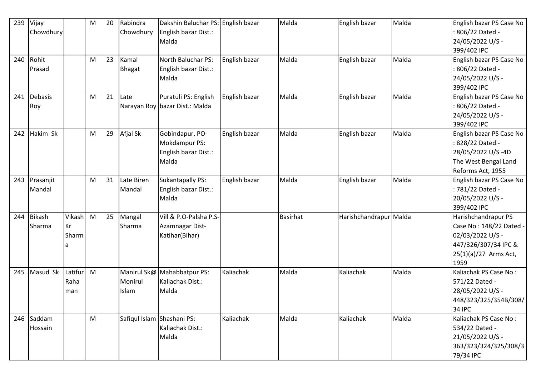| 239 | Vijay         |         | ${\sf M}$ | 20 | Rabindra                   | Dakshin Baluchar PS: English bazar |               | Malda           | English bazar          | Malda | English bazar PS Case No |
|-----|---------------|---------|-----------|----|----------------------------|------------------------------------|---------------|-----------------|------------------------|-------|--------------------------|
|     | Chowdhury     |         |           |    | Chowdhury                  | English bazar Dist.:               |               |                 |                        |       | 806/22 Dated -           |
|     |               |         |           |    |                            | Malda                              |               |                 |                        |       | 24/05/2022 U/S -         |
|     |               |         |           |    |                            |                                    |               |                 |                        |       | 399/402 IPC              |
| 240 | Rohit         |         | M         | 23 | Kamal                      | North Baluchar PS:                 | English bazar | Malda           | English bazar          | Malda | English bazar PS Case No |
|     | Prasad        |         |           |    | <b>Bhagat</b>              | English bazar Dist.:               |               |                 |                        |       | 806/22 Dated -           |
|     |               |         |           |    |                            | Malda                              |               |                 |                        |       | 24/05/2022 U/S -         |
|     |               |         |           |    |                            |                                    |               |                 |                        |       | 399/402 IPC              |
| 241 | Debasis       |         | M         | 21 | Late                       | Puratuli PS: English               | English bazar | Malda           | English bazar          | Malda | English bazar PS Case No |
|     | Roy           |         |           |    |                            | Narayan Roy bazar Dist.: Malda     |               |                 |                        |       | 806/22 Dated -           |
|     |               |         |           |    |                            |                                    |               |                 |                        |       | 24/05/2022 U/S -         |
|     |               |         |           |    |                            |                                    |               |                 |                        |       | 399/402 IPC              |
| 242 | Hakim Sk      |         | M         | 29 | Afjal Sk                   | Gobindapur, PO-                    | English bazar | Malda           | English bazar          | Malda | English bazar PS Case No |
|     |               |         |           |    |                            | Mokdampur PS:                      |               |                 |                        |       | 828/22 Dated -           |
|     |               |         |           |    |                            | English bazar Dist.:               |               |                 |                        |       | 28/05/2022 U/S-4D        |
|     |               |         |           |    |                            | Malda                              |               |                 |                        |       | The West Bengal Land     |
|     |               |         |           |    |                            |                                    |               |                 |                        |       | Reforms Act, 1955        |
| 243 | Prasanjit     |         | M         | 31 | Late Biren                 | <b>Sukantapally PS:</b>            | English bazar | Malda           | English bazar          | Malda | English bazar PS Case No |
|     | Mandal        |         |           |    | Mandal                     | English bazar Dist.:               |               |                 |                        |       | : 781/22 Dated -         |
|     |               |         |           |    |                            | Malda                              |               |                 |                        |       | 20/05/2022 U/S -         |
|     |               |         |           |    |                            |                                    |               |                 |                        |       | 399/402 IPC              |
| 244 | <b>Bikash</b> | Vikash  | M         | 25 | Mangal                     | Vill & P.O-Palsha P.S-             |               | <b>Basirhat</b> | Harishchandrapur Malda |       | Harishchandrapur PS      |
|     | Sharma        | Kr      |           |    | Sharma                     | Azamnagar Dist-                    |               |                 |                        |       | Case No: 148/22 Dated -  |
|     |               | Sharm   |           |    |                            | Katihar(Bihar)                     |               |                 |                        |       | 02/03/2022 U/S -         |
|     |               | a       |           |    |                            |                                    |               |                 |                        |       | 447/326/307/34 IPC &     |
|     |               |         |           |    |                            |                                    |               |                 |                        |       | 25(1)(a)/27 Arms Act,    |
|     |               |         |           |    |                            |                                    |               |                 |                        |       | 1959                     |
| 245 | Masud Sk      | Latifur | M         |    |                            | Manirul Sk@ Mahabbatpur PS:        | Kaliachak     | Malda           | Kaliachak              | Malda | Kaliachak PS Case No:    |
|     |               | Raha    |           |    | Monirul                    | Kaliachak Dist.:                   |               |                 |                        |       | 571/22 Dated -           |
|     |               | man     |           |    | <b>Islam</b>               | Malda                              |               |                 |                        |       | 28/05/2022 U/S -         |
|     |               |         |           |    |                            |                                    |               |                 |                        |       | 448/323/325/354B/308/    |
|     |               |         |           |    |                            |                                    |               |                 |                        |       | <b>34 IPC</b>            |
| 246 | Saddam        |         | M         |    | Safiqul Islam Shashani PS: |                                    | Kaliachak     | Malda           | Kaliachak              | Malda | Kaliachak PS Case No:    |
|     | Hossain       |         |           |    |                            | Kaliachak Dist.:                   |               |                 |                        |       | 534/22 Dated -           |
|     |               |         |           |    |                            | Malda                              |               |                 |                        |       | 21/05/2022 U/S -         |
|     |               |         |           |    |                            |                                    |               |                 |                        |       | 363/323/324/325/308/3    |
|     |               |         |           |    |                            |                                    |               |                 |                        |       | 79/34 IPC                |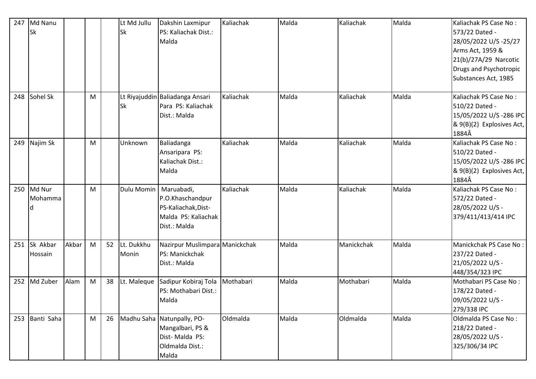| 247 | Md Nanu<br><b>Sk</b> |       |   |    | Lt Md Jullu<br>Sk   | Dakshin Laxmipur<br>PS: Kaliachak Dist.:<br>Malda                                            | Kaliachak | Malda | Kaliachak  | Malda | Kaliachak PS Case No:<br>573/22 Dated -<br>28/05/2022 U/S -25/27<br>Arms Act, 1959 &<br>21(b)/27A/29 Narcotic<br>Drugs and Psychotropic<br>Substances Act, 1985 |
|-----|----------------------|-------|---|----|---------------------|----------------------------------------------------------------------------------------------|-----------|-------|------------|-------|-----------------------------------------------------------------------------------------------------------------------------------------------------------------|
| 248 | Sohel Sk             |       | M |    | Sk                  | Lt Riyajuddin Baliadanga Ansari<br>Para PS: Kaliachak<br>Dist.: Malda                        | Kaliachak | Malda | Kaliachak  | Malda | Kaliachak PS Case No:<br>510/22 Dated -<br>15/05/2022 U/S-286 IPC<br>$\& 9(B)(2)$ Explosives Act,<br>1884Â                                                      |
| 249 | Najim Sk             |       | M |    | Unknown             | Baliadanga<br>Ansaripara PS:<br>Kaliachak Dist.:<br>Malda                                    | Kaliachak | Malda | Kaliachak  | Malda | Kaliachak PS Case No:<br>510/22 Dated -<br>15/05/2022 U/S-286 IPC<br>$\& 9(B)(2)$ Explosives Act,<br>1884Â                                                      |
| 250 | Md Nur<br>Mohamma    |       | M |    | Dulu Momin          | Maruabadi,<br>P.O.Khaschandpur<br>PS-Kaliachak, Dist-<br>Malda PS: Kaliachak<br>Dist.: Malda | Kaliachak | Malda | Kaliachak  | Malda | Kaliachak PS Case No:<br>572/22 Dated -<br>28/05/2022 U/S -<br>379/411/413/414 IPC                                                                              |
| 251 | Sk Akbar<br>Hossain  | Akbar | M | 52 | Lt. Dukkhu<br>Monin | Nazirpur Muslimpara Manickchak<br>PS: Manickchak<br>Dist.: Malda                             |           | Malda | Manickchak | Malda | Manickchak PS Case No:<br>237/22 Dated -<br>21/05/2022 U/S -<br>448/354/323 IPC                                                                                 |
| 252 | Md Zuber             | Alam  | M | 38 | Lt. Maleque         | Sadipur Kobiraj Tola<br>PS: Mothabari Dist.:<br>Malda                                        | Mothabari | Malda | Mothabari  | Malda | Mothabari PS Case No:<br>178/22 Dated -<br>09/05/2022 U/S -<br>279/338 IPC                                                                                      |
| 253 | Banti Saha           |       | M | 26 |                     | Madhu Saha Natunpally, PO-<br>Mangalbari, PS &<br>Dist-Malda PS:<br>Oldmalda Dist.:<br>Malda | Oldmalda  | Malda | Oldmalda   | Malda | Oldmalda PS Case No:<br>218/22 Dated -<br>28/05/2022 U/S -<br>325/306/34 IPC                                                                                    |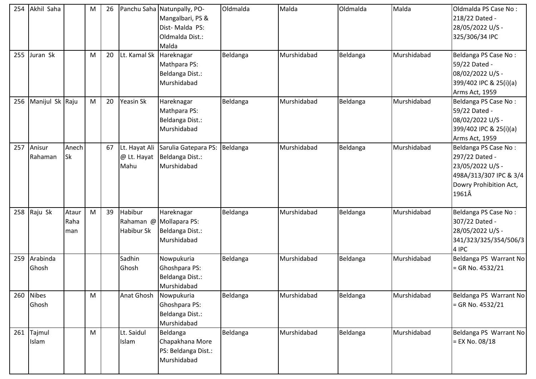| 254 | Akhil Saha          |                      | M | 26 |                                      | Panchu Saha Natunpally, PO-<br>Mangalbari, PS &<br>Dist-Malda PS:<br>Oldmalda Dist.:<br>Malda | Oldmalda | Malda       | Oldmalda | Malda       | Oldmalda PS Case No:<br>218/22 Dated -<br>28/05/2022 U/S -<br>325/306/34 IPC                                            |
|-----|---------------------|----------------------|---|----|--------------------------------------|-----------------------------------------------------------------------------------------------|----------|-------------|----------|-------------|-------------------------------------------------------------------------------------------------------------------------|
| 255 | Juran Sk            |                      | M | 20 | Lt. Kamal Sk                         | Hareknagar<br>Mathpara PS:<br>Beldanga Dist.:<br>Murshidabad                                  | Beldanga | Murshidabad | Beldanga | Murshidabad | Beldanga PS Case No:<br>59/22 Dated -<br>08/02/2022 U/S -<br>399/402 IPC & 25(i)(a)<br>Arms Act, 1959                   |
| 256 | Manijul Sk Raju     |                      | M | 20 | Yeasin Sk                            | Hareknagar<br>Mathpara PS:<br>Beldanga Dist.:<br>Murshidabad                                  | Beldanga | Murshidabad | Beldanga | Murshidabad | Beldanga PS Case No:<br>59/22 Dated -<br>08/02/2022 U/S -<br>399/402 IPC & 25(i)(a)<br>Arms Act, 1959                   |
| 257 | Anisur<br>Rahaman   | Anech<br><b>Sk</b>   |   | 67 | Lt. Hayat Ali<br>@ Lt. Hayat<br>Mahu | Sarulia Gatepara PS:<br>Beldanga Dist.:<br>Murshidabad                                        | Beldanga | Murshidabad | Beldanga | Murshidabad | Beldanga PS Case No:<br>297/22 Dated -<br>23/05/2022 U/S -<br>498A/313/307 IPC & 3/4<br>Dowry Prohibition Act,<br>1961Â |
| 258 | Raju Sk             | Ataur<br>Raha<br>man | M | 39 | Habibur<br>Habibur Sk                | Hareknagar<br>Rahaman @ Mollapara PS:<br>Beldanga Dist.:<br>Murshidabad                       | Beldanga | Murshidabad | Beldanga | Murshidabad | Beldanga PS Case No:<br>307/22 Dated -<br>28/05/2022 U/S -<br>341/323/325/354/506/3<br>4 IPC                            |
| 259 | Arabinda<br>Ghosh   |                      |   |    | Sadhin<br>Ghosh                      | Nowpukuria<br>Ghoshpara PS:<br>Beldanga Dist.:<br>Murshidabad                                 | Beldanga | Murshidabad | Beldanga | Murshidabad | Beldanga PS Warrant No<br>$=$ GR No. 4532/21                                                                            |
| 260 | Nibes<br>Ghosh      |                      | M |    | Anat Ghosh                           | Nowpukuria<br>Ghoshpara PS:<br>Beldanga Dist.:<br>Murshidabad                                 | Beldanga | Murshidabad | Beldanga | Murshidabad | Beldanga PS Warrant No<br>$=$ GR No. 4532/21                                                                            |
|     | 261 Tajmul<br>Islam |                      | M |    | Lt. Saidul<br>Islam                  | Beldanga<br>Chapakhana More<br>PS: Beldanga Dist.:<br>Murshidabad                             | Beldanga | Murshidabad | Beldanga | Murshidabad | Beldanga PS Warrant No<br>$=$ EX No. 08/18                                                                              |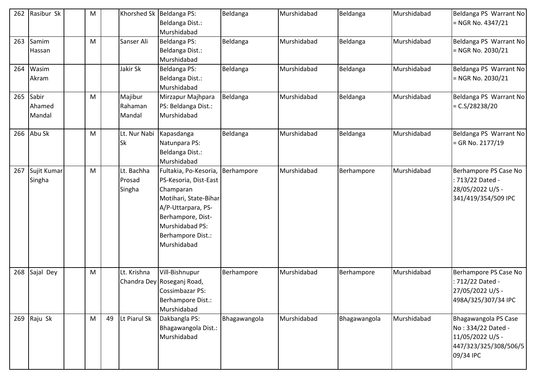| 262 | Rasibur Sk                | M |    | Khorshed Sk   Beldanga PS:     | Beldanga Dist.:<br>Murshidabad                                                                                                                                                         | Beldanga     | Murshidabad | Beldanga     | Murshidabad | Beldanga PS Warrant No<br>$=$ NGR No. 4347/21                                                        |
|-----|---------------------------|---|----|--------------------------------|----------------------------------------------------------------------------------------------------------------------------------------------------------------------------------------|--------------|-------------|--------------|-------------|------------------------------------------------------------------------------------------------------|
| 263 | Samim<br>Hassan           | M |    | Sanser Ali                     | Beldanga PS:<br>Beldanga Dist.:<br>Murshidabad                                                                                                                                         | Beldanga     | Murshidabad | Beldanga     | Murshidabad | Beldanga PS Warrant No<br>= NGR No. 2030/21                                                          |
| 264 | Wasim<br>Akram            |   |    | Jakir Sk                       | Beldanga PS:<br>Beldanga Dist.:<br>Murshidabad                                                                                                                                         | Beldanga     | Murshidabad | Beldanga     | Murshidabad | Beldanga PS Warrant No<br>= NGR No. 2030/21                                                          |
| 265 | Sabir<br>Ahamed<br>Mandal | M |    | Majibur<br>Rahaman<br>Mandal   | Mirzapur Majhpara<br>PS: Beldanga Dist.:<br>Murshidabad                                                                                                                                | Beldanga     | Murshidabad | Beldanga     | Murshidabad | Beldanga PS Warrant No<br>$=C.S/28238/20$                                                            |
| 266 | Abu Sk                    | M |    | Lt. Nur Nabi<br><b>Sk</b>      | Kapasdanga<br>Natunpara PS:<br>Beldanga Dist.:<br>Murshidabad                                                                                                                          | Beldanga     | Murshidabad | Beldanga     | Murshidabad | Beldanga PS Warrant No<br>= GR No. 2177/19                                                           |
| 267 | Sujit Kumar<br>Singha     | M |    | Lt. Bachha<br>Prosad<br>Singha | Fultakia, Po-Kesoria,<br>PS-Kesoria, Dist-East<br>Champaran<br>Motihari, State-Bihar<br>A/P-Uttarpara, PS-<br>Berhampore, Dist-<br>Murshidabad PS:<br>Berhampore Dist.:<br>Murshidabad | Berhampore   | Murshidabad | Berhampore   | Murshidabad | Berhampore PS Case No<br>: 713/22 Dated -<br>28/05/2022 U/S -<br>341/419/354/509 IPC                 |
| 268 | Sajal Dey                 | M |    | Lt. Krishna                    | Vill-Bishnupur<br>Chandra Dey Roseganj Road,<br>Cossimbazar PS:<br>Berhampore Dist.:<br>Murshidabad                                                                                    | Berhampore   | Murshidabad | Berhampore   | Murshidabad | Berhampore PS Case No<br>: 712/22 Dated -<br>27/05/2022 U/S -<br>498A/325/307/34 IPC                 |
| 269 | Raju Sk                   | M | 49 | Lt Piarul Sk                   | Dakbangla PS:<br>Bhagawangola Dist.:<br>Murshidabad                                                                                                                                    | Bhagawangola | Murshidabad | Bhagawangola | Murshidabad | Bhagawangola PS Case<br>No: 334/22 Dated -<br>11/05/2022 U/S -<br>447/323/325/308/506/5<br>09/34 IPC |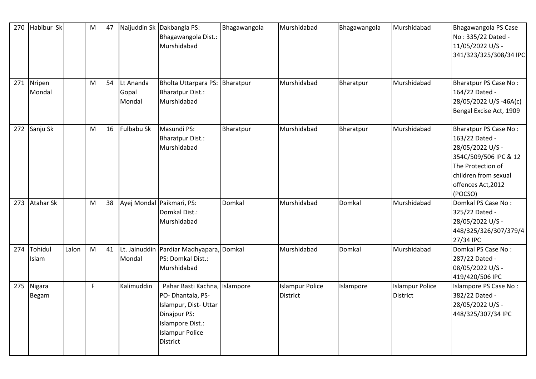| 270 | Habibur Sk       |       | M  | 47 |                              | Naijuddin Sk Dakbangla PS:<br>Bhagawangola Dist.:<br>Murshidabad                                                                                           | Bhagawangola | Murshidabad                               | Bhagawangola | Murshidabad                        | Bhagawangola PS Case<br>No: 335/22 Dated -<br>11/05/2022 U/S -<br>341/323/325/308/34 IPC                                                                           |
|-----|------------------|-------|----|----|------------------------------|------------------------------------------------------------------------------------------------------------------------------------------------------------|--------------|-------------------------------------------|--------------|------------------------------------|--------------------------------------------------------------------------------------------------------------------------------------------------------------------|
| 271 | Nripen<br>Mondal |       | M  | 54 | Lt Ananda<br>Gopal<br>Mondal | Bholta Uttarpara PS: Bharatpur<br>Bharatpur Dist.:<br>Murshidabad                                                                                          |              | Murshidabad                               | Bharatpur    | Murshidabad                        | Bharatpur PS Case No:<br>164/22 Dated -<br>28/05/2022 U/S-46A(c)<br>Bengal Excise Act, 1909                                                                        |
| 272 | Sanju Sk         |       | M  | 16 | Fulbabu Sk                   | Masundi PS:<br>Bharatpur Dist.:<br>Murshidabad                                                                                                             | Bharatpur    | Murshidabad                               | Bharatpur    | Murshidabad                        | Bharatpur PS Case No:<br>163/22 Dated -<br>28/05/2022 U/S -<br>354C/509/506 IPC & 12<br>The Protection of<br>children from sexual<br>offences Act, 2012<br>(POCSO) |
| 273 | <b>Atahar Sk</b> |       | M  | 38 |                              | Ayej Mondal Paikmari, PS:<br>Domkal Dist.:<br>Murshidabad                                                                                                  | Domkal       | Murshidabad                               | Domkal       | Murshidabad                        | Domkal PS Case No:<br>325/22 Dated -<br>28/05/2022 U/S -<br>448/325/326/307/379/4<br>27/34 IPC                                                                     |
| 274 | Tohidul<br>Islam | Lalon | M  | 41 | Mondal                       | Lt. Jainuddin Pardiar Madhyapara, Domkal<br>PS: Domkal Dist.:<br>Murshidabad                                                                               |              | Murshidabad                               | Domkal       | Murshidabad                        | Domkal PS Case No:<br>287/22 Dated -<br>08/05/2022 U/S -<br>419/420/506 IPC                                                                                        |
| 275 | Nigara<br>Begam  |       | F. |    | Kalimuddin                   | Pahar Basti Kachna, Islampore<br>PO-Dhantala, PS-<br>Islampur, Dist-Uttar<br>Dinajpur PS:<br>Islampore Dist.:<br><b>Islampur Police</b><br><b>District</b> |              | <b>Islampur Police</b><br><b>District</b> | Islampore    | <b>Islampur Police</b><br>District | Islampore PS Case No:<br>382/22 Dated -<br>28/05/2022 U/S -<br>448/325/307/34 IPC                                                                                  |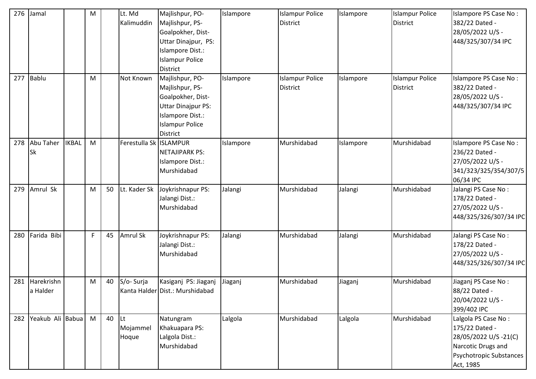| 276 | Jamal                  |              | M |    | Lt. Md<br>Kalimuddin           | Majlishpur, PO-<br>Majlishpur, PS-<br>Goalpokher, Dist-<br>Uttar Dinajpur, PS:<br>Islampore Dist.:<br><b>Islampur Police</b><br><b>District</b>       | Islampore | <b>Islampur Police</b><br><b>District</b> | Islampore | <b>Islampur Police</b><br><b>District</b> | Islampore PS Case No:<br>382/22 Dated -<br>28/05/2022 U/S -<br>448/325/307/34 IPC                                            |
|-----|------------------------|--------------|---|----|--------------------------------|-------------------------------------------------------------------------------------------------------------------------------------------------------|-----------|-------------------------------------------|-----------|-------------------------------------------|------------------------------------------------------------------------------------------------------------------------------|
| 277 | Bablu                  |              | M |    | Not Known                      | Majlishpur, PO-<br>Majlishpur, PS-<br>Goalpokher, Dist-<br><b>Uttar Dinajpur PS:</b><br>Islampore Dist.:<br><b>Islampur Police</b><br><b>District</b> | Islampore | <b>Islampur Police</b><br><b>District</b> | Islampore | <b>Islampur Police</b><br><b>District</b> | Islampore PS Case No:<br>382/22 Dated -<br>28/05/2022 U/S -<br>448/325/307/34 IPC                                            |
| 278 | Abu Taher<br><b>Sk</b> | <b>IKBAL</b> | M |    | Ferestulla Sk ISLAMPUR         | <b>NETAJIPARK PS:</b><br>Islampore Dist.:<br>Murshidabad                                                                                              | Islampore | Murshidabad                               | Islampore | Murshidabad                               | Islampore PS Case No:<br>236/22 Dated -<br>27/05/2022 U/S -<br>341/323/325/354/307/5<br>06/34 IPC                            |
| 279 | Amrul Sk               |              | M | 50 | Lt. Kader Sk                   | Joykrishnapur PS:<br>Jalangi Dist.:<br>Murshidabad                                                                                                    | Jalangi   | Murshidabad                               | Jalangi   | Murshidabad                               | Jalangi PS Case No:<br>178/22 Dated -<br>27/05/2022 U/S -<br>448/325/326/307/34 IPC                                          |
| 280 | Farida Bibi            |              | F | 45 | <b>Amrul Sk</b>                | Joykrishnapur PS:<br>Jalangi Dist.:<br>Murshidabad                                                                                                    | Jalangi   | Murshidabad                               | Jalangi   | Murshidabad                               | Jalangi PS Case No:<br>178/22 Dated -<br>27/05/2022 U/S -<br>448/325/326/307/34 IPC                                          |
| 281 | Harekrishn<br>a Halder |              | M | 40 | S/o-Surja                      | Kasiganj PS: Jiaganj<br>Kanta Halder Dist.: Murshidabad                                                                                               | Jiaganj   | Murshidabad                               | Jiaganj   | Murshidabad                               | Jiaganj PS Case No:<br>88/22 Dated -<br>20/04/2022 U/S -<br>399/402 IPC                                                      |
| 282 | Yeakub Ali Babua       |              | M | 40 | <b>Lt</b><br>Mojammel<br>Hoque | Natungram<br>Khakuapara PS:<br>Lalgola Dist.:<br>Murshidabad                                                                                          | Lalgola   | Murshidabad                               | Lalgola   | Murshidabad                               | Lalgola PS Case No:<br>175/22 Dated -<br>28/05/2022 U/S -21(C)<br>Narcotic Drugs and<br>Psychotropic Substances<br>Act, 1985 |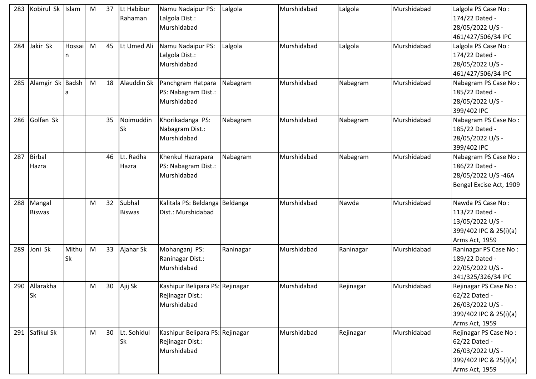| 283 | Kobirul Sk Islam |           | M         | 37 | Lt Habibur    | Namu Nadaipur PS:               | Lalgola   | Murshidabad | Lalgola   | Murshidabad | Lalgola PS Case No:     |
|-----|------------------|-----------|-----------|----|---------------|---------------------------------|-----------|-------------|-----------|-------------|-------------------------|
|     |                  |           |           |    | Rahaman       | Lalgola Dist.:                  |           |             |           |             | 174/22 Dated -          |
|     |                  |           |           |    |               | Murshidabad                     |           |             |           |             | 28/05/2022 U/S -        |
|     |                  |           |           |    |               |                                 |           |             |           |             | 461/427/506/34 IPC      |
| 284 | Jakir Sk         | Hossai    | M         | 45 | Lt Umed Ali   | Namu Nadaipur PS:               | Lalgola   | Murshidabad | Lalgola   | Murshidabad | Lalgola PS Case No:     |
|     |                  | n         |           |    |               | Lalgola Dist.:                  |           |             |           |             | 174/22 Dated -          |
|     |                  |           |           |    |               | Murshidabad                     |           |             |           |             | 28/05/2022 U/S -        |
|     |                  |           |           |    |               |                                 |           |             |           |             | 461/427/506/34 IPC      |
| 285 | Alamgir Sk Badsh |           | M         | 18 | Alauddin Sk   | Panchgram Hatpara               | Nabagram  | Murshidabad | Nabagram  | Murshidabad | Nabagram PS Case No:    |
|     |                  |           |           |    |               | PS: Nabagram Dist.:             |           |             |           |             | 185/22 Dated -          |
|     |                  |           |           |    |               | Murshidabad                     |           |             |           |             | 28/05/2022 U/S -        |
|     |                  |           |           |    |               |                                 |           |             |           |             | 399/402 IPC             |
| 286 | Golfan Sk        |           |           | 35 | Noimuddin     | Khorikadanga PS:                | Nabagram  | Murshidabad | Nabagram  | Murshidabad | Nabagram PS Case No:    |
|     |                  |           |           |    | <b>Sk</b>     | Nabagram Dist.:                 |           |             |           |             | 185/22 Dated -          |
|     |                  |           |           |    |               | Murshidabad                     |           |             |           |             | 28/05/2022 U/S -        |
|     |                  |           |           |    |               |                                 |           |             |           |             | 399/402 IPC             |
| 287 | Birbal           |           |           | 46 | Lt. Radha     | Khenkul Hazrapara               | Nabagram  | Murshidabad | Nabagram  | Murshidabad | Nabagram PS Case No:    |
|     | Hazra            |           |           |    | Hazra         | PS: Nabagram Dist.:             |           |             |           |             | 186/22 Dated -          |
|     |                  |           |           |    |               | Murshidabad                     |           |             |           |             | 28/05/2022 U/S-46A      |
|     |                  |           |           |    |               |                                 |           |             |           |             | Bengal Excise Act, 1909 |
|     |                  |           |           |    |               |                                 |           |             |           |             |                         |
| 288 | Mangal           |           | M         | 32 | Subhal        | Kalitala PS: Beldanga Beldanga  |           | Murshidabad | Nawda     | Murshidabad | Nawda PS Case No:       |
|     | <b>Biswas</b>    |           |           |    | <b>Biswas</b> | Dist.: Murshidabad              |           |             |           |             | 113/22 Dated -          |
|     |                  |           |           |    |               |                                 |           |             |           |             | 13/05/2022 U/S -        |
|     |                  |           |           |    |               |                                 |           |             |           |             | 399/402 IPC & 25(i)(a)  |
|     |                  |           |           |    |               |                                 |           |             |           |             | Arms Act, 1959          |
| 289 | Joni Sk          | Mithu     | ${\sf M}$ | 33 | Ajahar Sk     | Mohanganj PS:                   | Raninagar | Murshidabad | Raninagar | Murshidabad | Raninagar PS Case No:   |
|     |                  | <b>Sk</b> |           |    |               | Raninagar Dist.:                |           |             |           |             | 189/22 Dated -          |
|     |                  |           |           |    |               | Murshidabad                     |           |             |           |             | 22/05/2022 U/S -        |
|     |                  |           |           |    |               |                                 |           |             |           |             | 341/325/326/34 IPC      |
|     | 290 Allarakha    |           | M         | 30 | Ajij Sk       | Kashipur Belipara PS: Rejinagar |           | Murshidabad | Rejinagar | Murshidabad | Rejinagar PS Case No:   |
|     | <b>Sk</b>        |           |           |    |               | Rejinagar Dist.:                |           |             |           |             | 62/22 Dated -           |
|     |                  |           |           |    |               | Murshidabad                     |           |             |           |             | 26/03/2022 U/S -        |
|     |                  |           |           |    |               |                                 |           |             |           |             | 399/402 IPC & 25(i)(a)  |
|     |                  |           |           |    |               |                                 |           |             |           |             | Arms Act, 1959          |
| 291 | Safikul Sk       |           | M         | 30 | Lt. Sohidul   | Kashipur Belipara PS: Rejinagar |           | Murshidabad | Rejinagar | Murshidabad | Rejinagar PS Case No:   |
|     |                  |           |           |    | <b>Sk</b>     | Rejinagar Dist.:                |           |             |           |             | 62/22 Dated -           |
|     |                  |           |           |    |               | Murshidabad                     |           |             |           |             | 26/03/2022 U/S -        |
|     |                  |           |           |    |               |                                 |           |             |           |             | 399/402 IPC & 25(i)(a)  |
|     |                  |           |           |    |               |                                 |           |             |           |             | Arms Act, 1959          |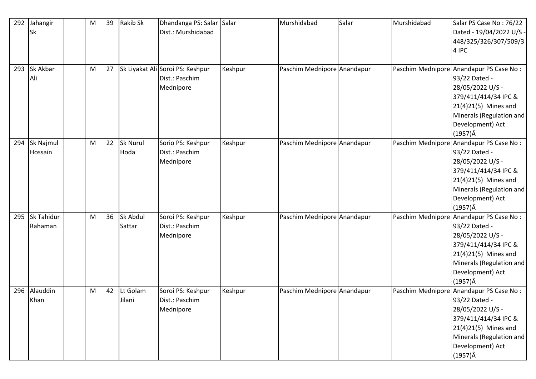| 292 | Jahangir          | M | 39 | <b>Rakib Sk</b> | Dhandanga PS: Salar Salar        |         | Murshidabad                 | Salar | Murshidabad | Salar PS Case No: 76/22                 |
|-----|-------------------|---|----|-----------------|----------------------------------|---------|-----------------------------|-------|-------------|-----------------------------------------|
|     | <b>Sk</b>         |   |    |                 | Dist.: Murshidabad               |         |                             |       |             | Dated - 19/04/2022 U/S -                |
|     |                   |   |    |                 |                                  |         |                             |       |             | 448/325/326/307/509/3                   |
|     |                   |   |    |                 |                                  |         |                             |       |             | 4 IPC                                   |
|     |                   |   |    |                 |                                  |         |                             |       |             |                                         |
| 293 | Sk Akbar          | M | 27 |                 | Sk Liyakat Ali Soroi PS: Keshpur | Keshpur | Paschim Mednipore Anandapur |       |             | Paschim Mednipore Anandapur PS Case No: |
|     | Ali               |   |    |                 | Dist.: Paschim                   |         |                             |       |             | 93/22 Dated -                           |
|     |                   |   |    |                 | Mednipore                        |         |                             |       |             | 28/05/2022 U/S -                        |
|     |                   |   |    |                 |                                  |         |                             |       |             | 379/411/414/34 IPC &                    |
|     |                   |   |    |                 |                                  |         |                             |       |             | 21(4)21(5) Mines and                    |
|     |                   |   |    |                 |                                  |         |                             |       |             | Minerals (Regulation and                |
|     |                   |   |    |                 |                                  |         |                             |       |             | Development) Act                        |
|     |                   |   |    |                 |                                  |         |                             |       |             | $(1957)\hat{A}$                         |
| 294 | Sk Najmul         | M | 22 | <b>Sk Nurul</b> | Sorio PS: Keshpur                | Keshpur | Paschim Mednipore Anandapur |       |             | Paschim Mednipore Anandapur PS Case No: |
|     | Hossain           |   |    | Hoda            | Dist.: Paschim                   |         |                             |       |             | 93/22 Dated -                           |
|     |                   |   |    |                 | Mednipore                        |         |                             |       |             | 28/05/2022 U/S -                        |
|     |                   |   |    |                 |                                  |         |                             |       |             | 379/411/414/34 IPC &                    |
|     |                   |   |    |                 |                                  |         |                             |       |             | 21(4)21(5) Mines and                    |
|     |                   |   |    |                 |                                  |         |                             |       |             | Minerals (Regulation and                |
|     |                   |   |    |                 |                                  |         |                             |       |             | Development) Act                        |
|     |                   |   |    |                 |                                  |         |                             |       |             | $(1957)\hat{A}$                         |
| 295 | <b>Sk Tahidur</b> | M | 36 | Sk Abdul        | Soroi PS: Keshpur                | Keshpur | Paschim Mednipore Anandapur |       |             | Paschim Mednipore Anandapur PS Case No: |
|     | Rahaman           |   |    | Sattar          | Dist.: Paschim                   |         |                             |       |             | 93/22 Dated -                           |
|     |                   |   |    |                 | Mednipore                        |         |                             |       |             | 28/05/2022 U/S -                        |
|     |                   |   |    |                 |                                  |         |                             |       |             | 379/411/414/34 IPC &                    |
|     |                   |   |    |                 |                                  |         |                             |       |             | 21(4)21(5) Mines and                    |
|     |                   |   |    |                 |                                  |         |                             |       |             | Minerals (Regulation and                |
|     |                   |   |    |                 |                                  |         |                             |       |             | Development) Act                        |
|     |                   |   |    |                 |                                  |         |                             |       |             | $(1957)\hat{A}$                         |
| 296 | Alauddin          | M | 42 | Lt Golam        | Soroi PS: Keshpur                | Keshpur | Paschim Mednipore Anandapur |       |             | Paschim Mednipore Anandapur PS Case No: |
|     | Khan              |   |    | Jilani          | Dist.: Paschim                   |         |                             |       |             | 93/22 Dated -                           |
|     |                   |   |    |                 | Mednipore                        |         |                             |       |             | 28/05/2022 U/S -                        |
|     |                   |   |    |                 |                                  |         |                             |       |             | 379/411/414/34 IPC &                    |
|     |                   |   |    |                 |                                  |         |                             |       |             | 21(4)21(5) Mines and                    |
|     |                   |   |    |                 |                                  |         |                             |       |             | Minerals (Regulation and                |
|     |                   |   |    |                 |                                  |         |                             |       |             | Development) Act                        |
|     |                   |   |    |                 |                                  |         |                             |       |             | $(1957)\hat{A}$                         |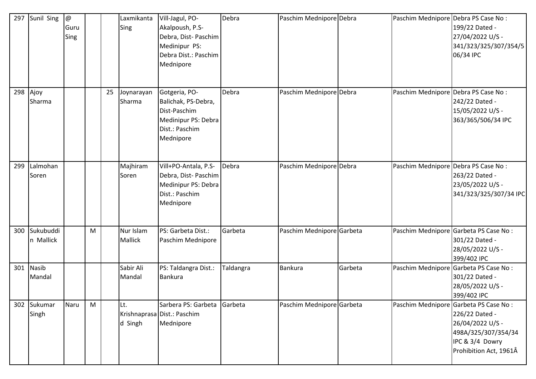| 297 | Sunil Sing             | $^\text{\textregistered}$<br>Guru<br>Sing |   |    | Laxmikanta<br>Sing          | Vill-Jagul, PO-<br>Akalpoush, P.S-<br>Debra, Dist- Paschim<br>Medinipur PS:<br>Debra Dist.: Paschim<br>Mednipore | Debra     | Paschim Mednipore Debra   |         | Paschim Mednipore Debra PS Case No: | 199/22 Dated -<br>27/04/2022 U/S -<br>341/323/325/307/354/5<br>06/34 IPC                                                                        |
|-----|------------------------|-------------------------------------------|---|----|-----------------------------|------------------------------------------------------------------------------------------------------------------|-----------|---------------------------|---------|-------------------------------------|-------------------------------------------------------------------------------------------------------------------------------------------------|
| 298 | Ajoy<br>Sharma         |                                           |   | 25 | Joynarayan<br>Sharma        | Gotgeria, PO-<br>Balichak, PS-Debra,<br>Dist-Paschim<br>Medinipur PS: Debra<br>Dist.: Paschim<br>Mednipore       | Debra     | Paschim Mednipore Debra   |         | Paschim Mednipore Debra PS Case No: | 242/22 Dated -<br>15/05/2022 U/S -<br>363/365/506/34 IPC                                                                                        |
| 299 | Lalmohan<br>Soren      |                                           |   |    | Majhiram<br>Soren           | Vill+PO-Antala, P.S-<br>Debra, Dist-Paschim<br>Medinipur PS: Debra<br>Dist.: Paschim<br>Mednipore                | Debra     | Paschim Mednipore Debra   |         | Paschim Mednipore Debra PS Case No: | 263/22 Dated -<br>23/05/2022 U/S -<br>341/323/325/307/34 IPC                                                                                    |
| 300 | Sukubuddi<br>n Mallick |                                           | M |    | Nur Islam<br><b>Mallick</b> | PS: Garbeta Dist.:<br>Paschim Mednipore                                                                          | Garbeta   | Paschim Mednipore Garbeta |         |                                     | Paschim Mednipore Garbeta PS Case No:<br>301/22 Dated -<br>28/05/2022 U/S -<br>399/402 IPC                                                      |
| 301 | <b>Nasib</b><br>Mandal |                                           |   |    | Sabir Ali<br>Mandal         | PS: Taldangra Dist.:<br><b>Bankura</b>                                                                           | Taldangra | Bankura                   | Garbeta |                                     | Paschim Mednipore Garbeta PS Case No:<br>301/22 Dated -<br>28/05/2022 U/S -<br>399/402 IPC                                                      |
| 302 | Sukumar<br>Singh       | Naru                                      | M |    | Lt.<br>d Singh              | Sarbera PS: Garbeta<br>Krishnaprasa Dist.: Paschim<br>Mednipore                                                  | Garbeta   | Paschim Mednipore Garbeta |         |                                     | Paschim Mednipore Garbeta PS Case No:<br>226/22 Dated -<br>26/04/2022 U/S -<br>498A/325/307/354/34<br>IPC & 3/4 Dowry<br>Prohibition Act, 1961Â |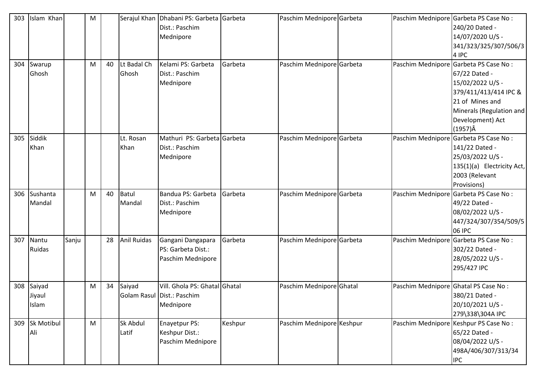| 303<br>304 | Islam Khan<br>Swarup<br>Ghosh |       | M<br>M | 40 | Lt Badal Ch<br>Ghosh | Serajul Khan Dhabani PS: Garbeta Garbeta<br>Dist.: Paschim<br>Mednipore<br>Kelami PS: Garbeta<br>Dist.: Paschim<br>Mednipore | Garbeta | Paschim Mednipore Garbeta<br>Paschim Mednipore Garbeta |                                      | Paschim Mednipore Garbeta PS Case No :<br>240/20 Dated -<br>14/07/2020 U/S -<br>341/323/325/307/506/3<br>4 IPC<br>Paschim Mednipore Garbeta PS Case No:<br>67/22 Dated -<br>15/02/2022 U/S -<br>379/411/413/414 IPC &<br>21 of Mines and |
|------------|-------------------------------|-------|--------|----|----------------------|------------------------------------------------------------------------------------------------------------------------------|---------|--------------------------------------------------------|--------------------------------------|------------------------------------------------------------------------------------------------------------------------------------------------------------------------------------------------------------------------------------------|
|            |                               |       |        |    |                      |                                                                                                                              |         |                                                        |                                      | Minerals (Regulation and<br>Development) Act<br>$(1957)\hat{A}$                                                                                                                                                                          |
| 305        | Siddik<br>Khan                |       |        |    | Lt. Rosan<br>Khan    | Mathuri PS: Garbeta Garbeta<br>Dist.: Paschim<br>Mednipore                                                                   |         | Paschim Mednipore Garbeta                              |                                      | Paschim Mednipore Garbeta PS Case No :<br>141/22 Dated -<br>25/03/2022 U/S -<br>135(1)(a) Electricity Act,<br>2003 (Relevant<br>Provisions)                                                                                              |
| 306        | Sushanta<br>Mandal            |       | M      | 40 | Batul<br>Mandal      | Bandua PS: Garbeta<br>Dist.: Paschim<br>Mednipore                                                                            | Garbeta | Paschim Mednipore Garbeta                              |                                      | Paschim Mednipore Garbeta PS Case No:<br>49/22 Dated -<br>08/02/2022 U/S -<br>447/324/307/354/509/5<br>06 IPC                                                                                                                            |
| 307        | Nantu<br>Ruidas               | Sanju |        | 28 | <b>Anil Ruidas</b>   | Gangani Dangapara<br>PS: Garbeta Dist.:<br>Paschim Mednipore                                                                 | Garbeta | Paschim Mednipore Garbeta                              |                                      | Paschim Mednipore Garbeta PS Case No:<br>302/22 Dated -<br>28/05/2022 U/S -<br>295/427 IPC                                                                                                                                               |
| 308        | Saiyad<br>Jiyaul<br>Islam     |       | M      | 34 | Saiyad               | Vill. Ghola PS: Ghatal Ghatal<br>Golam Rasul   Dist.: Paschim<br>Mednipore                                                   |         | Paschim Mednipore Ghatal                               | Paschim Mednipore Ghatal PS Case No: | 380/21 Dated -<br>20/10/2021 U/S -<br>279\338\304A IPC                                                                                                                                                                                   |
| 309        | Sk Motibul<br>Ali             |       | M      |    | Sk Abdul<br>Latif    | <b>Enayetpur PS:</b><br>Keshpur Dist.:<br>Paschim Mednipore                                                                  | Keshpur | Paschim Mednipore Keshpur                              |                                      | Paschim Mednipore Keshpur PS Case No:<br>65/22 Dated -<br>08/04/2022 U/S -<br>498A/406/307/313/34<br><b>IPC</b>                                                                                                                          |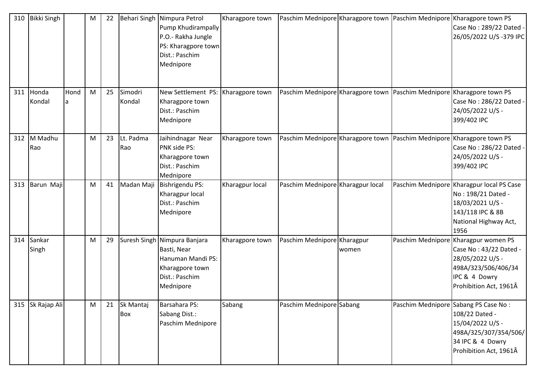| 310 | Bikki Singh     |            | M | 22 |                   | Behari Singh Nimpura Petrol<br>Pump Khudirampally<br>P.O.- Rakha Jungle<br>PS: Kharagpore town<br>Dist.: Paschim<br>Mednipore | Kharagpore town |                                   |       | Paschim Mednipore Kharagpore town Paschim Mednipore Kharagpore town PS<br>Case No: 289/22 Dated -<br>26/05/2022 U/S-379 IPC                          |
|-----|-----------------|------------|---|----|-------------------|-------------------------------------------------------------------------------------------------------------------------------|-----------------|-----------------------------------|-------|------------------------------------------------------------------------------------------------------------------------------------------------------|
| 311 | Honda<br>Kondal | Hond<br>la | M | 25 | Simodri<br>Kondal | New Settlement PS:<br>Kharagpore town<br>Dist.: Paschim<br>Mednipore                                                          | Kharagpore town |                                   |       | Paschim Mednipore Kharagpore town Paschim Mednipore Kharagpore town PS<br>Case No: 286/22 Dated -<br>24/05/2022 U/S -<br>399/402 IPC                 |
| 312 | M Madhu<br>Rao  |            | M | 23 | Lt. Padma<br>Rao  | Jaihindnagar Near<br>PNK side PS:<br>Kharagpore town<br>Dist.: Paschim<br>Mednipore                                           | Kharagpore town |                                   |       | Paschim Mednipore Kharagpore town Paschim Mednipore Kharagpore town PS<br>Case No: 286/22 Dated -<br>24/05/2022 U/S -<br>399/402 IPC                 |
| 313 | Barun Maji      |            | M | 41 | Madan Maji        | Bishrigendu PS:<br>Kharagpur local<br>Dist.: Paschim<br>Mednipore                                                             | Kharagpur local | Paschim Mednipore Kharagpur local |       | Paschim Mednipore Kharagpur local PS Case<br>No: 198/21 Dated -<br>18/03/2021 U/S -<br>143/118 IPC & 8B<br>National Highway Act,<br>1956             |
| 314 | Sankar<br>Singh |            | M | 29 |                   | Suresh Singh Nimpura Banjara<br>Basti, Near<br>Hanuman Mandi PS:<br>Kharagpore town<br>Dist.: Paschim<br>Mednipore            | Kharagpore town | Paschim Mednipore Kharagpur       | women | Paschim Mednipore Kharagpur women PS<br>Case No: 43/22 Dated -<br>28/05/2022 U/S -<br>498A/323/506/406/34<br>IPC & 4 Dowry<br>Prohibition Act, 1961Â |
| 315 | Sk Rajap Ali    |            | M | 21 | Sk Mantaj<br>Box  | Barsahara PS:<br>Sabang Dist.:<br>Paschim Mednipore                                                                           | Sabang          | Paschim Mednipore Sabang          |       | Paschim Mednipore Sabang PS Case No:<br>108/22 Dated -<br>15/04/2022 U/S -<br>498A/325/307/354/506/<br>34 IPC & 4 Dowry<br>Prohibition Act, 1961Â    |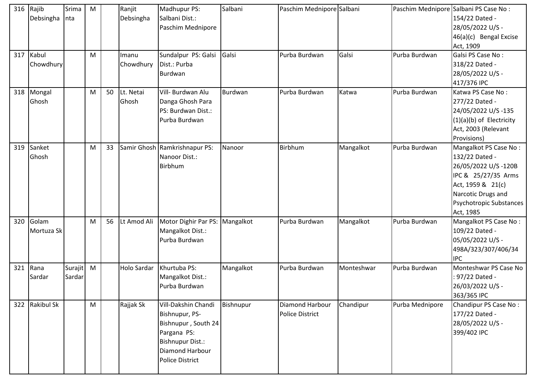|     | 316 Rajib<br>Debsingha | Srima<br>nta      | M |    | Ranjit<br>Debsingha | Madhupur PS:<br>Salbani Dist.:<br>Paschim Mednipore                                                                                                 | Salbani   | Paschim Mednipore Salbani          |            | Paschim Mednipore Salbani PS Case No: | 154/22 Dated -<br>28/05/2022 U/S -<br>46(a)(c) Bengal Excise<br>Act, 1909                                                                                                |
|-----|------------------------|-------------------|---|----|---------------------|-----------------------------------------------------------------------------------------------------------------------------------------------------|-----------|------------------------------------|------------|---------------------------------------|--------------------------------------------------------------------------------------------------------------------------------------------------------------------------|
| 317 | Kabul<br>Chowdhury     |                   | M |    | Imanu<br>Chowdhury  | Sundalpur PS: Galsi<br>Dist.: Purba<br>Burdwan                                                                                                      | Galsi     | Purba Burdwan                      | Galsi      | Purba Burdwan                         | Galsi PS Case No:<br>318/22 Dated -<br>28/05/2022 U/S -<br>417/376 IPC                                                                                                   |
| 318 | Mongal<br>Ghosh        |                   | M | 50 | Lt. Netai<br>Ghosh  | Vill- Burdwan Alu<br>Danga Ghosh Para<br>PS: Burdwan Dist.:<br>Purba Burdwan                                                                        | Burdwan   | Purba Burdwan                      | Katwa      | Purba Burdwan                         | Katwa PS Case No:<br>277/22 Dated -<br>24/05/2022 U/S-135<br>$(1)(a)(b)$ of Electricity<br>Act, 2003 (Relevant<br>Provisions)                                            |
| 319 | Sanket<br>Ghosh        |                   | M | 33 |                     | Samir Ghosh Ramkrishnapur PS:<br>Nanoor Dist.:<br>Birbhum                                                                                           | Nanoor    | Birbhum                            | Mangalkot  | Purba Burdwan                         | Mangalkot PS Case No:<br>132/22 Dated -<br>26/05/2022 U/S-120B<br>IPC & 25/27/35 Arms<br>Act, 1959 & 21(c)<br>Narcotic Drugs and<br>Psychotropic Substances<br>Act, 1985 |
| 320 | Golam<br>Mortuza Sk    |                   | M | 56 | Lt Amod Ali         | Motor Dighir Par PS: Mangalkot<br>Mangalkot Dist.:<br>Purba Burdwan                                                                                 |           | Purba Burdwan                      | Mangalkot  | Purba Burdwan                         | Mangalkot PS Case No:<br>109/22 Dated -<br>05/05/2022 U/S -<br>498A/323/307/406/34<br><b>IPC</b>                                                                         |
| 321 | Rana<br>Sardar         | Surajit<br>Sardar | M |    | Holo Sardar         | Khurtuba PS:<br>Mangalkot Dist.:<br>Purba Burdwan                                                                                                   | Mangalkot | Purba Burdwan                      | Monteshwar | Purba Burdwan                         | Monteshwar PS Case No<br>: 97/22 Dated -<br>26/03/2022 U/S -<br>363/365 IPC                                                                                              |
| 322 | <b>Rakibul Sk</b>      |                   | M |    | Rajjak Sk           | Vill-Dakshin Chandi<br>Bishnupur, PS-<br>Bishnupur, South 24<br>Pargana PS:<br><b>Bishnupur Dist.:</b><br>Diamond Harbour<br><b>Police District</b> | Bishnupur | Diamond Harbour<br>Police District | Chandipur  | Purba Mednipore                       | Chandipur PS Case No:<br>177/22 Dated -<br>28/05/2022 U/S -<br>399/402 IPC                                                                                               |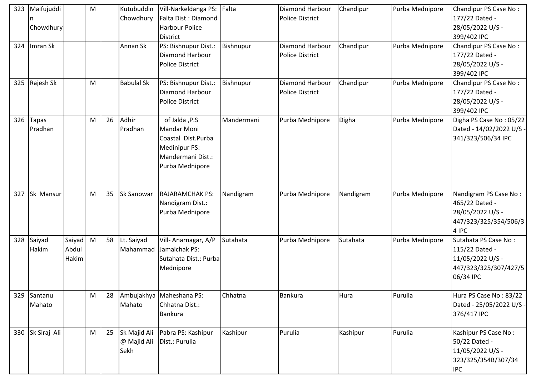| 323 | Maifujuddi<br>Chowdhury |                          | M |    | Kutubuddin<br>Chowdhury             | Vill-Narkeldanga PS:<br>Falta Dist.: Diamond<br><b>Harbour Police</b><br><b>District</b>                            | Falta      | <b>Diamond Harbour</b><br><b>Police District</b> | Chandipur | Purba Mednipore | Chandipur PS Case No:<br>177/22 Dated -<br>28/05/2022 U/S -<br>399/402 IPC                       |
|-----|-------------------------|--------------------------|---|----|-------------------------------------|---------------------------------------------------------------------------------------------------------------------|------------|--------------------------------------------------|-----------|-----------------|--------------------------------------------------------------------------------------------------|
| 324 | Imran Sk                |                          |   |    | Annan Sk                            | PS: Bishnupur Dist.:<br>Diamond Harbour<br><b>Police District</b>                                                   | Bishnupur  | Diamond Harbour<br><b>Police District</b>        | Chandipur | Purba Mednipore | Chandipur PS Case No:<br>177/22 Dated -<br>28/05/2022 U/S -<br>399/402 IPC                       |
| 325 | Rajesh Sk               |                          | M |    | <b>Babulal Sk</b>                   | PS: Bishnupur Dist.:<br>Diamond Harbour<br><b>Police District</b>                                                   | Bishnupur  | <b>Diamond Harbour</b><br><b>Police District</b> | Chandipur | Purba Mednipore | Chandipur PS Case No:<br>177/22 Dated -<br>28/05/2022 U/S -<br>399/402 IPC                       |
| 326 | Tapas<br>Pradhan        |                          | M | 26 | Adhir<br>Pradhan                    | of Jalda , P.S<br>Mandar Moni<br>Coastal Dist.Purba<br><b>Medinipur PS:</b><br>Mandermani Dist.:<br>Purba Mednipore | Mandermani | Purba Mednipore                                  | Digha     | Purba Mednipore | Digha PS Case No: 05/22<br>Dated - 14/02/2022 U/S -<br>341/323/506/34 IPC                        |
| 327 | Sk Mansur               |                          | M | 35 | Sk Sanowar                          | <b>RAJARAMCHAK PS:</b><br>Nandigram Dist.:<br>Purba Mednipore                                                       | Nandigram  | Purba Mednipore                                  | Nandigram | Purba Mednipore | Nandigram PS Case No:<br>465/22 Dated -<br>28/05/2022 U/S -<br>447/323/325/354/506/3<br>4 IPC    |
| 328 | Saiyad<br>Hakim         | Saiyad<br>Abdul<br>Hakim | M | 58 | Lt. Saiyad<br>Mahammad              | Vill-Anarnagar, A/P<br>Jamalchak PS:<br>Sutahata Dist.: Purba<br>Mednipore                                          | Sutahata   | Purba Mednipore                                  | Sutahata  | Purba Mednipore | Sutahata PS Case No:<br>115/22 Dated -<br>11/05/2022 U/S -<br>447/323/325/307/427/5<br>06/34 IPC |
| 329 | Santanu<br>Mahato       |                          | M | 28 | Mahato                              | Ambujakhya Maheshana PS:<br>Chhatna Dist.:<br><b>Bankura</b>                                                        | Chhatna    | <b>Bankura</b>                                   | Hura      | Purulia         | Hura PS Case No: 83/22<br>Dated - 25/05/2022 U/S -<br>376/417 IPC                                |
|     | 330 Sk Siraj Ali        |                          | M | 25 | Sk Majid Ali<br>@ Majid Ali<br>Sekh | Pabra PS: Kashipur<br>Dist.: Purulia                                                                                | Kashipur   | Purulia                                          | Kashipur  | Purulia         | Kashipur PS Case No:<br>50/22 Dated -<br>11/05/2022 U/S -<br>323/325/354B/307/34<br><b>IPC</b>   |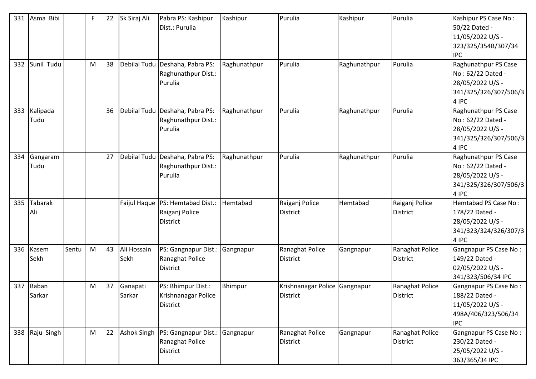| 331<br>332 | Asma Bibi<br>Sunil Tudu |       | F<br>M | 22<br>38 | Sk Siraj Ali        | Pabra PS: Kashipur<br>Dist.: Purulia<br>Debilal Tudu Deshaha, Pabra PS: | Kashipur<br>Raghunathpur | Purulia<br>Purulia                        | Kashipur     | Purulia<br>Purulia                 | Kashipur PS Case No:<br>50/22 Dated -<br>11/05/2022 U/S -<br>323/325/354B/307/34<br><b>IPC</b><br>Raghunathpur PS Case |
|------------|-------------------------|-------|--------|----------|---------------------|-------------------------------------------------------------------------|--------------------------|-------------------------------------------|--------------|------------------------------------|------------------------------------------------------------------------------------------------------------------------|
|            |                         |       |        |          |                     | Raghunathpur Dist.:<br>Purulia                                          |                          |                                           | Raghunathpur |                                    | No: 62/22 Dated -<br>28/05/2022 U/S -<br>341/325/326/307/506/3<br>4 IPC                                                |
| 333        | Kalipada<br>Tudu        |       |        | 36       |                     | Debilal Tudu Deshaha, Pabra PS:<br>Raghunathpur Dist.:<br>Purulia       | Raghunathpur             | Purulia                                   | Raghunathpur | Purulia                            | Raghunathpur PS Case<br>No: 62/22 Dated -<br>28/05/2022 U/S -<br>341/325/326/307/506/3<br>4 IPC                        |
| 334        | Gangaram<br>Tudu        |       |        | 27       |                     | Debilal Tudu Deshaha, Pabra PS:<br>Raghunathpur Dist.:<br>Purulia       | Raghunathpur             | Purulia                                   | Raghunathpur | Purulia                            | Raghunathpur PS Case<br>No: 62/22 Dated -<br>28/05/2022 U/S -<br>341/325/326/307/506/3<br>4 IPC                        |
| 335        | <b>Tabarak</b><br>Ali   |       |        |          |                     | Faijul Haque PS: Hemtabad Dist.:<br>Raiganj Police<br><b>District</b>   | Hemtabad                 | Raiganj Police<br><b>District</b>         | Hemtabad     | Raiganj Police<br>District         | Hemtabad PS Case No:<br>178/22 Dated -<br>28/05/2022 U/S -<br>341/323/324/326/307/3<br>4 IPC                           |
| 336        | Kasem<br>Sekh           | Sentu | M      | 43       | Ali Hossain<br>Sekh | PS: Gangnapur Dist.:<br>Ranaghat Police<br><b>District</b>              | Gangnapur                | Ranaghat Police<br><b>District</b>        | Gangnapur    | Ranaghat Police<br><b>District</b> | Gangnapur PS Case No:<br>149/22 Dated -<br>02/05/2022 U/S -<br>341/323/506/34 IPC                                      |
| 337        | <b>Baban</b><br>Sarkar  |       | M      | 37       | Ganapati<br>Sarkar  | PS: Bhimpur Dist.:<br>Krishnanagar Police<br><b>District</b>            | Bhimpur                  | Krishnanagar Police Gangnapur<br>District |              | Ranaghat Police<br><b>District</b> | Gangnapur PS Case No:<br>188/22 Dated -<br>11/05/2022 U/S -<br>498A/406/323/506/34<br><b>IPC</b>                       |
| 338        | Raju Singh              |       | M      | 22       | <b>Ashok Singh</b>  | PS: Gangnapur Dist.: Gangnapur<br>Ranaghat Police<br>District           |                          | Ranaghat Police<br>District               | Gangnapur    | Ranaghat Police<br><b>District</b> | Gangnapur PS Case No:<br>230/22 Dated -<br>25/05/2022 U/S -<br>363/365/34 IPC                                          |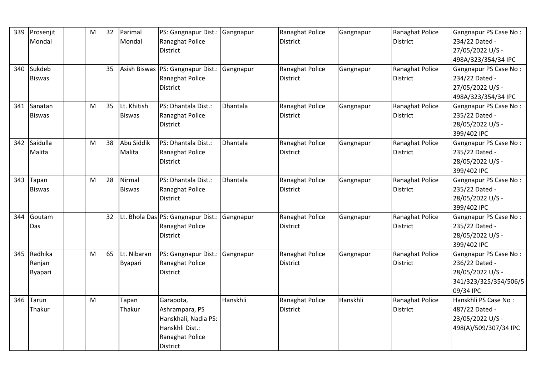| 339 | Prosenjit      | M | 32 | Parimal        | PS: Gangnapur Dist.: Gangnapur                |          | Ranaghat Police | Gangnapur | Ranaghat Police | Gangnapur PS Case No: |
|-----|----------------|---|----|----------------|-----------------------------------------------|----------|-----------------|-----------|-----------------|-----------------------|
|     | Mondal         |   |    | Mondal         | Ranaghat Police                               |          | <b>District</b> |           | <b>District</b> | 234/22 Dated -        |
|     |                |   |    |                | <b>District</b>                               |          |                 |           |                 | 27/05/2022 U/S -      |
|     |                |   |    |                |                                               |          |                 |           |                 | 498A/323/354/34 IPC   |
| 340 | Sukdeb         |   | 35 |                | Asish Biswas   PS: Gangnapur Dist.: Gangnapur |          | Ranaghat Police | Gangnapur | Ranaghat Police | Gangnapur PS Case No: |
|     | <b>Biswas</b>  |   |    |                | Ranaghat Police                               |          | <b>District</b> |           | <b>District</b> | 234/22 Dated -        |
|     |                |   |    |                | <b>District</b>                               |          |                 |           |                 | 27/05/2022 U/S -      |
|     |                |   |    |                |                                               |          |                 |           |                 | 498A/323/354/34 IPC   |
| 341 | Sanatan        | M | 35 | Lt. Khitish    | PS: Dhantala Dist.:                           | Dhantala | Ranaghat Police | Gangnapur | Ranaghat Police | Gangnapur PS Case No: |
|     | <b>Biswas</b>  |   |    | <b>Biswas</b>  | Ranaghat Police                               |          | District        |           | <b>District</b> | 235/22 Dated -        |
|     |                |   |    |                | <b>District</b>                               |          |                 |           |                 | 28/05/2022 U/S -      |
|     |                |   |    |                |                                               |          |                 |           |                 | 399/402 IPC           |
| 342 | Saidulla       | M | 38 | Abu Siddik     | PS: Dhantala Dist.:                           | Dhantala | Ranaghat Police | Gangnapur | Ranaghat Police | Gangnapur PS Case No: |
|     | Malita         |   |    | Malita         | Ranaghat Police                               |          | <b>District</b> |           | <b>District</b> | 235/22 Dated -        |
|     |                |   |    |                | District                                      |          |                 |           |                 | 28/05/2022 U/S -      |
|     |                |   |    |                |                                               |          |                 |           |                 | 399/402 IPC           |
| 343 | Tapan          | M | 28 | Nirmal         | PS: Dhantala Dist.:                           | Dhantala | Ranaghat Police | Gangnapur | Ranaghat Police | Gangnapur PS Case No: |
|     | <b>Biswas</b>  |   |    | <b>Biswas</b>  | Ranaghat Police                               |          | <b>District</b> |           | <b>District</b> | 235/22 Dated -        |
|     |                |   |    |                | <b>District</b>                               |          |                 |           |                 | 28/05/2022 U/S -      |
|     |                |   |    |                |                                               |          |                 |           |                 | 399/402 IPC           |
| 344 | Goutam         |   | 32 |                | Lt. Bhola Das PS: Gangnapur Dist.: Gangnapur  |          | Ranaghat Police | Gangnapur | Ranaghat Police | Gangnapur PS Case No: |
|     | Das            |   |    |                | Ranaghat Police                               |          | <b>District</b> |           | <b>District</b> | 235/22 Dated -        |
|     |                |   |    |                | <b>District</b>                               |          |                 |           |                 | 28/05/2022 U/S -      |
|     |                |   |    |                |                                               |          |                 |           |                 | 399/402 IPC           |
| 345 | Radhika        | M | 65 | Lt. Nibaran    | PS: Gangnapur Dist.: Gangnapur                |          | Ranaghat Police | Gangnapur | Ranaghat Police | Gangnapur PS Case No: |
|     | Ranjan         |   |    | <b>Byapari</b> | Ranaghat Police                               |          | <b>District</b> |           | <b>District</b> | 236/22 Dated -        |
|     | <b>Byapari</b> |   |    |                | <b>District</b>                               |          |                 |           |                 | 28/05/2022 U/S -      |
|     |                |   |    |                |                                               |          |                 |           |                 | 341/323/325/354/506/5 |
|     |                |   |    |                |                                               |          |                 |           |                 | 09/34 IPC             |
| 346 | Tarun          | M |    | Tapan          | Garapota,                                     | Hanskhli | Ranaghat Police | Hanskhli  | Ranaghat Police | Hanskhli PS Case No:  |
|     | Thakur         |   |    | Thakur         | Ashrampara, PS                                |          | District        |           | <b>District</b> | 487/22 Dated -        |
|     |                |   |    |                | Hanskhali, Nadia PS:                          |          |                 |           |                 | 23/05/2022 U/S -      |
|     |                |   |    |                | Hanskhli Dist.:                               |          |                 |           |                 | 498(A)/509/307/34 IPC |
|     |                |   |    |                | Ranaghat Police                               |          |                 |           |                 |                       |
|     |                |   |    |                | District                                      |          |                 |           |                 |                       |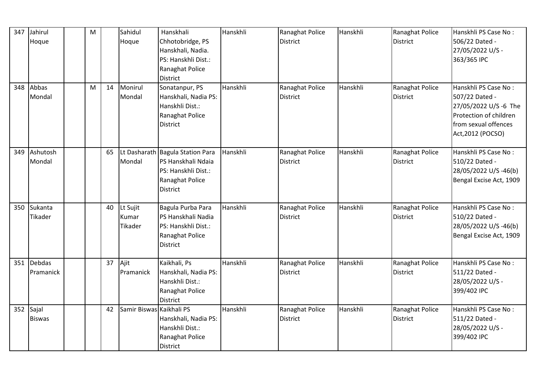| 347 | Jahirul<br>Hoque       | $\mathsf{M}$ |    | Sahidul<br>Hoque             | Hanskhali<br>Chhotobridge, PS<br>Hanskhali, Nadia.<br>PS: Hanskhli Dist.:<br>Ranaghat Police                        | Hanskhli | Ranaghat Police<br><b>District</b> | Hanskhli | Ranaghat Police<br><b>District</b> | Hanskhli PS Case No:<br>506/22 Dated -<br>27/05/2022 U/S -<br>363/365 IPC                                                              |
|-----|------------------------|--------------|----|------------------------------|---------------------------------------------------------------------------------------------------------------------|----------|------------------------------------|----------|------------------------------------|----------------------------------------------------------------------------------------------------------------------------------------|
| 348 | Abbas<br>Mondal        | M            | 14 | Monirul<br>Mondal            | <b>District</b><br>Sonatanpur, PS<br>Hanskhali, Nadia PS:<br>Hanskhli Dist.:<br>Ranaghat Police<br><b>District</b>  | Hanskhli | Ranaghat Police<br><b>District</b> | Hanskhli | Ranaghat Police<br><b>District</b> | Hanskhli PS Case No:<br>507/22 Dated -<br>27/05/2022 U/S -6 The<br>Protection of children<br>from sexual offences<br>Act, 2012 (POCSO) |
| 349 | Ashutosh<br>Mondal     |              | 65 | Mondal                       | Lt Dasharath Bagula Station Para<br>PS Hanskhali Ndaia<br>PS: Hanskhli Dist.:<br>Ranaghat Police<br><b>District</b> | Hanskhli | Ranaghat Police<br><b>District</b> | Hanskhli | Ranaghat Police<br><b>District</b> | Hanskhli PS Case No:<br>510/22 Dated -<br>28/05/2022 U/S -46(b)<br>Bengal Excise Act, 1909                                             |
| 350 | Sukanta<br>Tikader     |              | 40 | Lt Sujit<br>Kumar<br>Tikader | Bagula Purba Para<br>PS Hanskhali Nadia<br>PS: Hanskhli Dist.:<br>Ranaghat Police<br><b>District</b>                | Hanskhli | Ranaghat Police<br><b>District</b> | Hanskhli | Ranaghat Police<br><b>District</b> | Hanskhli PS Case No:<br>510/22 Dated -<br>28/05/2022 U/S -46(b)<br>Bengal Excise Act, 1909                                             |
| 351 | Debdas<br>Pramanick    |              | 37 | Ajit<br>Pramanick            | Kaikhali, Ps<br>Hanskhali, Nadia PS:<br>Hanskhli Dist.:<br>Ranaghat Police<br><b>District</b>                       | Hanskhli | Ranaghat Police<br><b>District</b> | Hanskhli | Ranaghat Police<br><b>District</b> | Hanskhli PS Case No:<br>511/22 Dated -<br>28/05/2022 U/S -<br>399/402 IPC                                                              |
| 352 | Sajal<br><b>Biswas</b> |              | 42 | Samir Biswas Kaikhali PS     | Hanskhali, Nadia PS:<br>Hanskhli Dist.:<br>Ranaghat Police<br><b>District</b>                                       | Hanskhli | Ranaghat Police<br><b>District</b> | Hanskhli | Ranaghat Police<br><b>District</b> | Hanskhli PS Case No:<br>511/22 Dated -<br>28/05/2022 U/S -<br>399/402 IPC                                                              |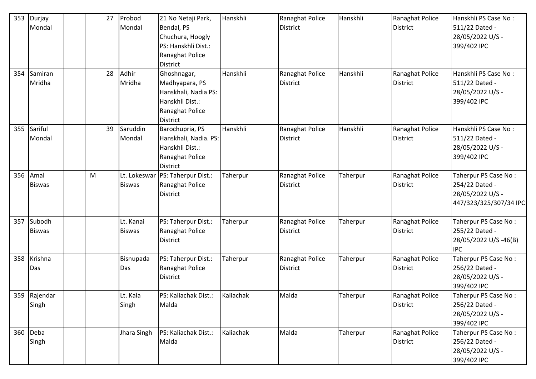| 353<br>354 | Durjay<br>Mondal<br>Samiran<br>Mridha |   | 27<br>28 | Probod<br>Mondal<br>Adhir<br>Mridha | 21 No Netaji Park,<br>Bendal, PS<br>Chuchura, Hoogly<br>PS: Hanskhli Dist.:<br>Ranaghat Police<br><b>District</b><br>Ghoshnagar,<br>Madhyapara, PS<br>Hanskhali, Nadia PS:<br>Hanskhli Dist.: | Hanskhli<br>Hanskhli | Ranaghat Police<br><b>District</b><br>Ranaghat Police<br><b>District</b> | Hanskhli<br>Hanskhli | Ranaghat Police<br><b>District</b><br>Ranaghat Police<br>District | Hanskhli PS Case No:<br>511/22 Dated -<br>28/05/2022 U/S -<br>399/402 IPC<br>Hanskhli PS Case No:<br>511/22 Dated -<br>28/05/2022 U/S -<br>399/402 IPC |
|------------|---------------------------------------|---|----------|-------------------------------------|-----------------------------------------------------------------------------------------------------------------------------------------------------------------------------------------------|----------------------|--------------------------------------------------------------------------|----------------------|-------------------------------------------------------------------|--------------------------------------------------------------------------------------------------------------------------------------------------------|
|            |                                       |   |          |                                     | Ranaghat Police<br><b>District</b>                                                                                                                                                            |                      |                                                                          |                      |                                                                   |                                                                                                                                                        |
| 355        | Sariful<br>Mondal                     |   | 39       | Saruddin<br>Mondal                  | Barochupria, PS<br>Hanskhali, Nadia. PS:<br>Hanskhli Dist.:<br>Ranaghat Police<br><b>District</b>                                                                                             | Hanskhli             | Ranaghat Police<br><b>District</b>                                       | Hanskhli             | Ranaghat Police<br><b>District</b>                                | Hanskhli PS Case No:<br>511/22 Dated -<br>28/05/2022 U/S -<br>399/402 IPC                                                                              |
| 356        | Amal<br><b>Biswas</b>                 | M |          | Lt. Lokeswar<br><b>Biswas</b>       | PS: Taherpur Dist.:<br>Ranaghat Police<br>District                                                                                                                                            | Taherpur             | Ranaghat Police<br><b>District</b>                                       | Taherpur             | Ranaghat Police<br>District                                       | Taherpur PS Case No:<br>254/22 Dated -<br>28/05/2022 U/S -<br>447/323/325/307/34 IPC                                                                   |
| 357        | Subodh<br><b>Biswas</b>               |   |          | Lt. Kanai<br><b>Biswas</b>          | PS: Taherpur Dist.:<br>Ranaghat Police<br><b>District</b>                                                                                                                                     | Taherpur             | Ranaghat Police<br><b>District</b>                                       | Taherpur             | Ranaghat Police<br>District                                       | Taherpur PS Case No:<br>255/22 Dated -<br>28/05/2022 U/S -46(B)<br><b>IPC</b>                                                                          |
| 358        | Krishna<br>Das                        |   |          | Bisnupada<br>Das                    | PS: Taherpur Dist.:<br>Ranaghat Police<br><b>District</b>                                                                                                                                     | Taherpur             | Ranaghat Police<br><b>District</b>                                       | Taherpur             | Ranaghat Police<br>District                                       | Taherpur PS Case No:<br>256/22 Dated -<br>28/05/2022 U/S -<br>399/402 IPC                                                                              |
|            | 359 Rajendar<br>Singh                 |   |          | Lt. Kala<br>Singh                   | PS: Kaliachak Dist.:<br>Malda                                                                                                                                                                 | Kaliachak            | Malda                                                                    | Taherpur             | Ranaghat Police<br>District                                       | Taherpur PS Case No:<br>256/22 Dated -<br>28/05/2022 U/S -<br>399/402 IPC                                                                              |
| 360        | Deba<br>Singh                         |   |          | Jhara Singh                         | PS: Kaliachak Dist.:<br>Malda                                                                                                                                                                 | Kaliachak            | Malda                                                                    | Taherpur             | Ranaghat Police<br>District                                       | Taherpur PS Case No:<br>256/22 Dated -<br>28/05/2022 U/S -<br>399/402 IPC                                                                              |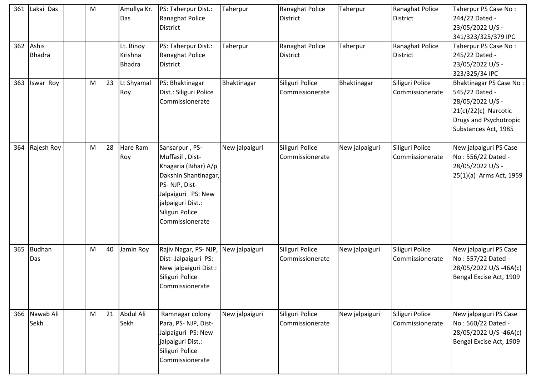| 361 | Lakai Das                  | M |    | Amullya Kr.<br>Das                    | PS: Taherpur Dist.:<br><b>Ranaghat Police</b><br>District                                                                                                                           | Taherpur       | Ranaghat Police<br><b>District</b> | Taherpur       | Ranaghat Police<br><b>District</b> | Taherpur PS Case No:<br>244/22 Dated -<br>23/05/2022 U/S -<br>341/323/325/379 IPC                                                         |
|-----|----------------------------|---|----|---------------------------------------|-------------------------------------------------------------------------------------------------------------------------------------------------------------------------------------|----------------|------------------------------------|----------------|------------------------------------|-------------------------------------------------------------------------------------------------------------------------------------------|
|     | 362 Ashis<br><b>Bhadra</b> |   |    | Lt. Binoy<br>Krishna<br><b>Bhadra</b> | PS: Taherpur Dist.:<br>Ranaghat Police<br><b>District</b>                                                                                                                           | Taherpur       | Ranaghat Police<br><b>District</b> | Taherpur       | Ranaghat Police<br>District        | Taherpur PS Case No:<br>245/22 Dated -<br>23/05/2022 U/S -<br>323/325/34 IPC                                                              |
| 363 | Iswar Roy                  | M | 23 | Lt Shyamal<br>Roy                     | PS: Bhaktinagar<br>Dist.: Siliguri Police<br>Commissionerate                                                                                                                        | Bhaktinagar    | Siliguri Police<br>Commissionerate | Bhaktinagar    | Siliguri Police<br>Commissionerate | Bhaktinagar PS Case No:<br>545/22 Dated -<br>28/05/2022 U/S -<br>$21(c)/22(c)$ Narcotic<br>Drugs and Psychotropic<br>Substances Act, 1985 |
| 364 | Rajesh Roy                 | M | 28 | Hare Ram<br>Roy                       | Sansarpur, PS-<br>Muffasil, Dist-<br>Khagaria (Bihar) A/p<br>Dakshin Shantinagar,<br>PS-NJP, Dist-<br>Jalpaiguri PS: New<br>jalpaiguri Dist.:<br>Siliguri Police<br>Commissionerate | New jalpaiguri | Siliguri Police<br>Commissionerate | New jalpaiguri | Siliguri Police<br>Commissionerate | New jalpaiguri PS Case<br>No: 556/22 Dated -<br>28/05/2022 U/S -<br>25(1)(a) Arms Act, 1959                                               |
| 365 | Budhan<br>Das              | M | 40 | Jamin Roy                             | Rajiv Nagar, PS-NJP,<br>Dist-Jalpaiguri PS:<br>New jalpaiguri Dist.:<br>Siliguri Police<br>Commissionerate                                                                          | New jalpaiguri | Siliguri Police<br>Commissionerate | New jalpaiguri | Siliguri Police<br>Commissionerate | New jalpaiguri PS Case<br>No: 557/22 Dated -<br>28/05/2022 U/S -46A(c)<br>Bengal Excise Act, 1909                                         |
| 366 | Nawab Ali<br>Sekh          | M | 21 | Abdul Ali<br>Sekh                     | Ramnagar colony<br>Para, PS-NJP, Dist-<br>Jalpaiguri PS: New<br>jalpaiguri Dist.:<br>Siliguri Police<br>Commissionerate                                                             | New jalpaiguri | Siliguri Police<br>Commissionerate | New jalpaiguri | Siliguri Police<br>Commissionerate | New jalpaiguri PS Case<br>No: 560/22 Dated -<br>28/05/2022 U/S -46A(c)<br>Bengal Excise Act, 1909                                         |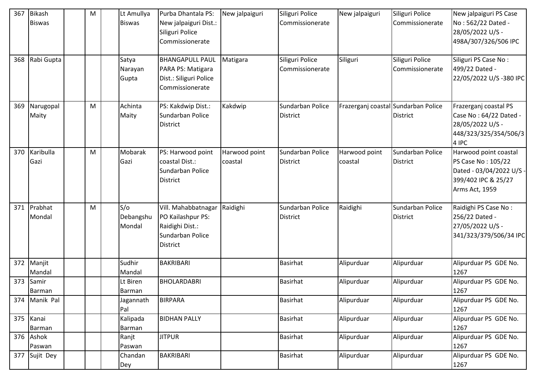| 367 | <b>Bikash</b><br><b>Biswas</b> | M | Lt Amullya<br><b>Biswas</b> | Purba Dhantala PS:<br>New jalpaiguri Dist.:<br>Siliguri Police<br>Commissionerate                  | New jalpaiguri           | Siliguri Police<br>Commissionerate  | New jalpaiguri                      | Siliguri Police<br>Commissionerate  | New jalpaiguri PS Case<br>No: 562/22 Dated -<br>28/05/2022 U/S -<br>498A/307/326/506 IPC                         |
|-----|--------------------------------|---|-----------------------------|----------------------------------------------------------------------------------------------------|--------------------------|-------------------------------------|-------------------------------------|-------------------------------------|------------------------------------------------------------------------------------------------------------------|
| 368 | Rabi Gupta                     |   | Satya<br>Narayan<br>Gupta   | <b>BHANGAPULL PAUL</b><br>PARA PS: Matigara<br>Dist.: Siliguri Police<br>Commissionerate           | Matigara                 | Siliguri Police<br>Commissionerate  | Siliguri                            | Siliguri Police<br>Commissionerate  | Siliguri PS Case No:<br>499/22 Dated -<br>22/05/2022 U/S-380 IPC                                                 |
| 369 | Narugopal<br>Maity             | M | Achinta<br>Maity            | PS: Kakdwip Dist.:<br>Sundarban Police<br><b>District</b>                                          | Kakdwip                  | Sundarban Police<br><b>District</b> | Frazerganj coastal Sundarban Police | <b>District</b>                     | Frazerganj coastal PS<br>Case No: 64/22 Dated -<br>28/05/2022 U/S -<br>448/323/325/354/506/3<br>4 IPC            |
| 370 | Karibulla<br>Gazi              | M | Mobarak<br>Gazi             | PS: Harwood point<br>coastal Dist.:<br>Sundarban Police<br><b>District</b>                         | Harwood point<br>coastal | Sundarban Police<br><b>District</b> | Harwood point<br>coastal            | Sundarban Police<br><b>District</b> | Harwood point coastal<br>PS Case No: 105/22<br>Dated - 03/04/2022 U/S -<br>399/402 IPC & 25/27<br>Arms Act, 1959 |
| 371 | Prabhat<br>Mondal              | M | S/O<br>Debangshu<br>Mondal  | Vill. Mahabbatnagar<br>PO Kailashpur PS:<br>Raidighi Dist.:<br>Sundarban Police<br><b>District</b> | Raidighi                 | Sundarban Police<br><b>District</b> | Raidighi                            | Sundarban Police<br><b>District</b> | Raidighi PS Case No:<br>256/22 Dated -<br>27/05/2022 U/S -<br>341/323/379/506/34 IPC                             |
| 372 | Manjit<br>Mandal               |   | Sudhir<br>Mandal            | BAKRIBARI                                                                                          |                          | <b>Basirhat</b>                     | Alipurduar                          | Alipurduar                          | Alipurduar PS GDE No.<br>1267                                                                                    |
| 373 | Samir<br>Barman                |   | Lt Biren<br>Barman          | <b>BHOLARDABRI</b>                                                                                 |                          | <b>Basirhat</b>                     | Alipurduar                          | Alipurduar                          | Alipurduar PS GDE No.<br>1267                                                                                    |
| 374 | Manik Pal                      |   | Jagannath<br>Pal            | <b>BIRPARA</b>                                                                                     |                          | Basirhat                            | Alipurduar                          | Alipurduar                          | Alipurduar PS GDE No.<br>1267                                                                                    |
| 375 | Kanai<br>Barman                |   | Kalipada<br>Barman          | <b>BIDHAN PALLY</b>                                                                                |                          | <b>Basirhat</b>                     | Alipurduar                          | Alipurduar                          | Alipurduar PS GDE No.<br>1267                                                                                    |
| 376 | Ashok<br>Paswan                |   | Ranjt<br>Paswan             | <b>JITPUR</b>                                                                                      |                          | Basirhat                            | Alipurduar                          | Alipurduar                          | Alipurduar PS GDE No.<br>1267                                                                                    |
| 377 | Sujit Dey                      |   | Chandan<br>Dey              | <b>BAKRIBARI</b>                                                                                   |                          | Basirhat                            | Alipurduar                          | Alipurduar                          | Alipurduar PS GDE No.<br>1267                                                                                    |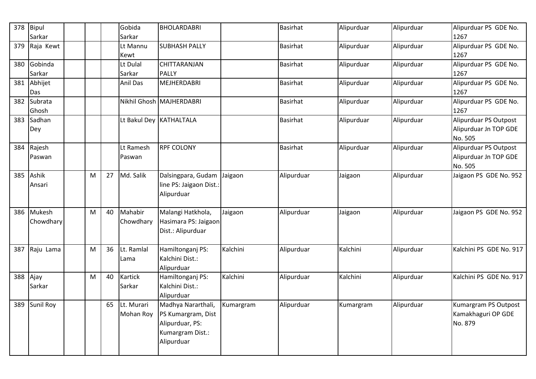| 378 | Bipul<br>Sarkar     |   |    | Gobida<br>Sarkar        | <b>BHOLARDABRI</b>                                                                            |           | <b>Basirhat</b> | Alipurduar | Alipurduar | Alipurduar PS GDE No.<br>1267                             |
|-----|---------------------|---|----|-------------------------|-----------------------------------------------------------------------------------------------|-----------|-----------------|------------|------------|-----------------------------------------------------------|
| 379 | Raja Kewt           |   |    | Lt Mannu<br>Kewt        | <b>SUBHASH PALLY</b>                                                                          |           | Basirhat        | Alipurduar | Alipurduar | Alipurduar PS GDE No.<br>1267                             |
| 380 | Gobinda<br>Sarkar   |   |    | Lt Dulal<br>Sarkar      | <b>CHITTARANJAN</b><br><b>PALLY</b>                                                           |           | <b>Basirhat</b> | Alipurduar | Alipurduar | Alipurduar PS GDE No.<br>1267                             |
| 381 | Abhijet<br>Das      |   |    | <b>Anil Das</b>         | MEJHERDABRI                                                                                   |           | <b>Basirhat</b> | Alipurduar | Alipurduar | Alipurduar PS GDE No.<br>1267                             |
| 382 | Subrata<br>Ghosh    |   |    |                         | Nikhil Ghosh MAJHERDABRI                                                                      |           | Basirhat        | Alipurduar | Alipurduar | Alipurduar PS GDE No.<br>1267                             |
| 383 | Sadhan<br>Dey       |   |    |                         | Lt Bakul Dey KATHALTALA                                                                       |           | <b>Basirhat</b> | Alipurduar | Alipurduar | Alipurduar PS Outpost<br>Alipurduar Jn TOP GDE<br>No. 505 |
| 384 | Rajesh<br>Paswan    |   |    | Lt Ramesh<br>Paswan     | <b>RPF COLONY</b>                                                                             |           | <b>Basirhat</b> | Alipurduar | Alipurduar | Alipurduar PS Outpost<br>Alipurduar Jn TOP GDE<br>No. 505 |
| 385 | Ashik<br>Ansari     | M | 27 | Md. Salik               | Dalsingpara, Gudam<br>line PS: Jaigaon Dist.:<br>Alipurduar                                   | Jaigaon   | Alipurduar      | Jaigaon    | Alipurduar | Jaigaon PS GDE No. 952                                    |
| 386 | Mukesh<br>Chowdhary | M | 40 | Mahabir<br>Chowdhary    | Malangi Hatkhola,<br>Hasimara PS: Jaigaon<br>Dist.: Alipurduar                                | Jaigaon   | Alipurduar      | Jaigaon    | Alipurduar | Jaigaon PS GDE No. 952                                    |
| 387 | Raju Lama           | M | 36 | Lt. Ramlal<br>Lama      | Hamiltonganj PS:<br>Kalchini Dist.:<br>Alipurduar                                             | Kalchini  | Alipurduar      | Kalchini   | Alipurduar | Kalchini PS GDE No. 917                                   |
| 388 | Ajay<br>Sarkar      | M | 40 | Kartick<br>Sarkar       | Hamiltonganj PS:<br>Kalchini Dist.:<br>Alipurduar                                             | Kalchini  | Alipurduar      | Kalchini   | Alipurduar | Kalchini PS GDE No. 917                                   |
| 389 | Sunil Roy           |   | 65 | Lt. Murari<br>Mohan Roy | Madhya Nararthali,<br>PS Kumargram, Dist<br>Alipurduar, PS:<br>Kumargram Dist.:<br>Alipurduar | Kumargram | Alipurduar      | Kumargram  | Alipurduar | Kumargram PS Outpost<br>Kamakhaguri OP GDE<br>No. 879     |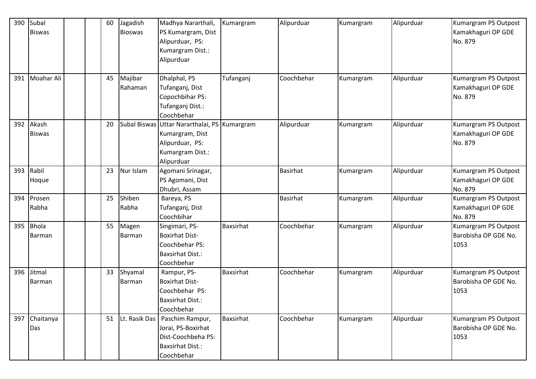| 390 | Subal         |  | 60 | Jagadish       | Madhya Nararthali,                           | Kumargram | Alipurduar      | Kumargram | Alipurduar | Kumargram PS Outpost |
|-----|---------------|--|----|----------------|----------------------------------------------|-----------|-----------------|-----------|------------|----------------------|
|     | <b>Biswas</b> |  |    | <b>Bioswas</b> | PS Kumargram, Dist                           |           |                 |           |            | Kamakhaguri OP GDE   |
|     |               |  |    |                | Alipurduar, PS:                              |           |                 |           |            | No. 879              |
|     |               |  |    |                | Kumargram Dist.:                             |           |                 |           |            |                      |
|     |               |  |    |                | Alipurduar                                   |           |                 |           |            |                      |
|     |               |  |    |                |                                              |           |                 |           |            |                      |
| 391 | Moahar Ali    |  | 45 | Majibar        | Dhalphal, PS                                 | Tufanganj | Coochbehar      | Kumargram | Alipurduar | Kumargram PS Outpost |
|     |               |  |    | Rahaman        | Tufanganj, Dist                              |           |                 |           |            | Kamakhaguri OP GDE   |
|     |               |  |    |                | Copochbihar PS:                              |           |                 |           |            | No. 879              |
|     |               |  |    |                | Tufanganj Dist.:                             |           |                 |           |            |                      |
|     |               |  |    |                | Coochbehar                                   |           |                 |           |            |                      |
| 392 | Akash         |  | 20 |                | Subal Biswas Uttar Nararthalai, PS Kumargram |           | Alipurduar      | Kumargram | Alipurduar | Kumargram PS Outpost |
|     | <b>Biswas</b> |  |    |                | Kumargram, Dist                              |           |                 |           |            | Kamakhaguri OP GDE   |
|     |               |  |    |                | Alipurduar, PS:                              |           |                 |           |            | No. 879              |
|     |               |  |    |                | Kumargram Dist.:                             |           |                 |           |            |                      |
|     |               |  |    |                | Alipurduar                                   |           |                 |           |            |                      |
| 393 | Rabil         |  | 23 | Nur Islam      | Agomani Srinagar,                            |           | <b>Basirhat</b> | Kumargram | Alipurduar | Kumargram PS Outpost |
|     | Hoque         |  |    |                | PS Agomani, Dist                             |           |                 |           |            | Kamakhaguri OP GDE   |
|     |               |  |    |                | Dhubri, Assam                                |           |                 |           |            | No. 879              |
| 394 | Prosen        |  | 25 | Shiben         | Bareya, PS                                   |           | <b>Basirhat</b> | Kumargram | Alipurduar | Kumargram PS Outpost |
|     | Rabha         |  |    | Rabha          | Tufanganj, Dist                              |           |                 |           |            | Kamakhaguri OP GDE   |
|     |               |  |    |                | Coochbihar                                   |           |                 |           |            | No. 879              |
| 395 | <b>Bhola</b>  |  | 55 | Magen          | Singimari, PS-                               | Baxsirhat | Coochbehar      | Kumargram | Alipurduar | Kumargram PS Outpost |
|     | Barman        |  |    | <b>Barman</b>  | <b>Boxirhat Dist-</b>                        |           |                 |           |            | Barobisha OP GDE No. |
|     |               |  |    |                | Coochbehar PS:                               |           |                 |           |            | 1053                 |
|     |               |  |    |                | <b>Baxsirhat Dist.:</b>                      |           |                 |           |            |                      |
|     |               |  |    |                | Coochbehar                                   |           |                 |           |            |                      |
| 396 | Jitmal        |  | 33 | Shyamal        | Rampur, PS-                                  | Baxsirhat | Coochbehar      | Kumargram | Alipurduar | Kumargram PS Outpost |
|     | <b>Barman</b> |  |    | Barman         | <b>Boxirhat Dist-</b>                        |           |                 |           |            | Barobisha OP GDE No. |
|     |               |  |    |                | Coochbehar PS:                               |           |                 |           |            | 1053                 |
|     |               |  |    |                | <b>Baxsirhat Dist.:</b>                      |           |                 |           |            |                      |
|     |               |  |    |                | Coochbehar                                   |           |                 |           |            |                      |
| 397 | Chaitanya     |  | 51 | Lt. Rasik Das  | Paschim Rampur,                              | Baxsirhat | Coochbehar      | Kumargram | Alipurduar | Kumargram PS Outpost |
|     | Das           |  |    |                | Jorai, PS-Boxirhat                           |           |                 |           |            | Barobisha OP GDE No. |
|     |               |  |    |                | Dist-Coochbeha PS:                           |           |                 |           |            | 1053                 |
|     |               |  |    |                | <b>Baxsirhat Dist.:</b>                      |           |                 |           |            |                      |
|     |               |  |    |                | Coochbehar                                   |           |                 |           |            |                      |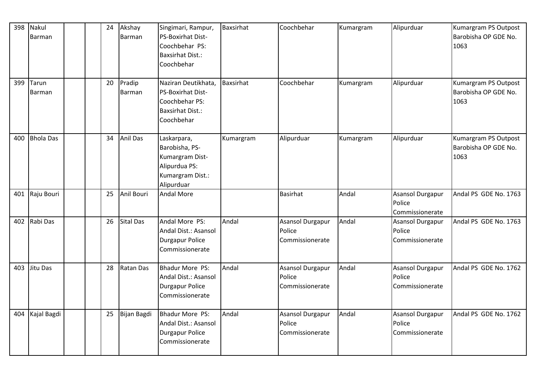| 398 | Nakul<br>Barman        |  | 24 | Akshay<br><b>Barman</b> | Singimari, Rampur,<br><b>PS-Boxirhat Dist-</b><br>Coochbehar PS:<br><b>Baxsirhat Dist.:</b><br>Coochbehar | <b>Baxsirhat</b> | Coochbehar                                           | Kumargram | Alipurduar                                           | Kumargram PS Outpost<br>Barobisha OP GDE No.<br>1063 |
|-----|------------------------|--|----|-------------------------|-----------------------------------------------------------------------------------------------------------|------------------|------------------------------------------------------|-----------|------------------------------------------------------|------------------------------------------------------|
| 399 | Tarun<br><b>Barman</b> |  | 20 | Pradip<br>Barman        | Naziran Deutikhata,<br>PS-Boxirhat Dist-<br>Coochbehar PS:<br><b>Baxsirhat Dist.:</b><br>Coochbehar       | Baxsirhat        | Coochbehar                                           | Kumargram | Alipurduar                                           | Kumargram PS Outpost<br>Barobisha OP GDE No.<br>1063 |
| 400 | <b>Bhola Das</b>       |  | 34 | <b>Anil Das</b>         | Laskarpara,<br>Barobisha, PS-<br>Kumargram Dist-<br>Alipurdua PS:<br>Kumargram Dist.:<br>Alipurduar       | Kumargram        | Alipurduar                                           | Kumargram | Alipurduar                                           | Kumargram PS Outpost<br>Barobisha OP GDE No.<br>1063 |
| 401 | Raju Bouri             |  | 25 | Anil Bouri              | <b>Andal More</b>                                                                                         |                  | <b>Basirhat</b>                                      | Andal     | Asansol Durgapur<br>Police<br>Commissionerate        | Andal PS GDE No. 1763                                |
| 402 | Rabi Das               |  | 26 | <b>Sital Das</b>        | Andal More PS:<br>Andal Dist.: Asansol<br><b>Durgapur Police</b><br>Commissionerate                       | Andal            | <b>Asansol Durgapur</b><br>Police<br>Commissionerate | Andal     | <b>Asansol Durgapur</b><br>Police<br>Commissionerate | Andal PS GDE No. 1763                                |
| 403 | Jitu Das               |  | 28 | Ratan Das               | <b>Bhadur More PS:</b><br>Andal Dist.: Asansol<br><b>Durgapur Police</b><br>Commissionerate               | Andal            | Asansol Durgapur<br>Police<br>Commissionerate        | Andal     | <b>Asansol Durgapur</b><br>Police<br>Commissionerate | Andal PS GDE No. 1762                                |
| 404 | Kajal Bagdi            |  | 25 | Bijan Bagdi             | Bhadur More PS:<br>Andal Dist.: Asansol<br><b>Durgapur Police</b><br>Commissionerate                      | Andal            | Asansol Durgapur<br>Police<br>Commissionerate        | Andal     | <b>Asansol Durgapur</b><br>Police<br>Commissionerate | Andal PS GDE No. 1762                                |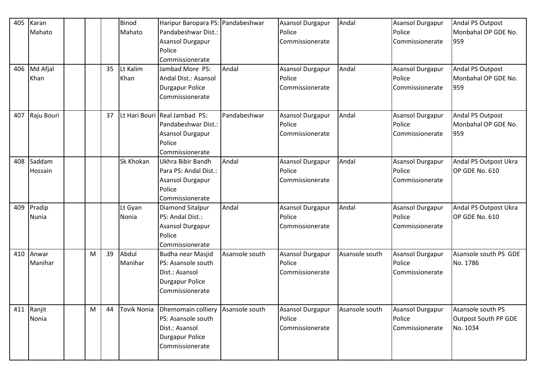| 405 | Karan      |   |    | Binod              | Haripur Baropara PS: Pandabeshwar |                | <b>Asansol Durgapur</b> | Andal          | <b>Asansol Durgapur</b> | Andal PS Outpost      |
|-----|------------|---|----|--------------------|-----------------------------------|----------------|-------------------------|----------------|-------------------------|-----------------------|
|     | Mahato     |   |    | Mahato             | Pandabeshwar Dist.:               |                | Police                  |                | Police                  | Monbahal OP GDE No.   |
|     |            |   |    |                    | <b>Asansol Durgapur</b>           |                | Commissionerate         |                | Commissionerate         | 959                   |
|     |            |   |    |                    | Police                            |                |                         |                |                         |                       |
|     |            |   |    |                    | Commissionerate                   |                |                         |                |                         |                       |
| 406 | Md Afjal   |   | 35 | Lt Kalim           | Jambad More PS:                   | Andal          | <b>Asansol Durgapur</b> | Andal          | <b>Asansol Durgapur</b> | Andal PS Outpost      |
|     | Khan       |   |    | Khan               | Andal Dist.: Asansol              |                | Police                  |                | Police                  | Monbahal OP GDE No.   |
|     |            |   |    |                    | <b>Durgapur Police</b>            |                | Commissionerate         |                | Commissionerate         | 959                   |
|     |            |   |    |                    | Commissionerate                   |                |                         |                |                         |                       |
|     |            |   |    |                    |                                   |                |                         |                |                         |                       |
| 407 | Raju Bouri |   | 37 |                    | Lt Hari Bouri Real Jambad PS:     | Pandabeshwar   | Asansol Durgapur        | Andal          | <b>Asansol Durgapur</b> | Andal PS Outpost      |
|     |            |   |    |                    | Pandabeshwar Dist.:               |                | Police                  |                | Police                  | Monbahal OP GDE No.   |
|     |            |   |    |                    | <b>Asansol Durgapur</b>           |                | Commissionerate         |                | Commissionerate         | 959                   |
|     |            |   |    |                    | Police                            |                |                         |                |                         |                       |
|     |            |   |    |                    | Commissionerate                   |                |                         |                |                         |                       |
| 408 | Saddam     |   |    | Sk Khokan          | Ukhra Bibir Bandh                 | Andal          | <b>Asansol Durgapur</b> | Andal          | <b>Asansol Durgapur</b> | Andal PS Outpost Ukra |
|     | Hossain    |   |    |                    | Para PS: Andal Dist.:             |                | Police                  |                | Police                  | OP GDE No. 610        |
|     |            |   |    |                    | <b>Asansol Durgapur</b>           |                | Commissionerate         |                | Commissionerate         |                       |
|     |            |   |    |                    | Police                            |                |                         |                |                         |                       |
|     |            |   |    |                    | Commissionerate                   |                |                         |                |                         |                       |
| 409 | Pradip     |   |    | Lt Gyan            | <b>Diamond Sitalpur</b>           | Andal          | <b>Asansol Durgapur</b> | Andal          | <b>Asansol Durgapur</b> | Andal PS Outpost Ukra |
|     | Nunia      |   |    | Nonia              | PS: Andal Dist.:                  |                | Police                  |                | Police                  | OP GDE No. 610        |
|     |            |   |    |                    | Asansol Durgapur                  |                | Commissionerate         |                | Commissionerate         |                       |
|     |            |   |    |                    | Police                            |                |                         |                |                         |                       |
|     |            |   |    |                    | Commissionerate                   |                |                         |                |                         |                       |
| 410 | Anwar      | M | 39 | Abdul              | Budha near Masjid                 | Asansole south | Asansol Durgapur        | Asansole south | <b>Asansol Durgapur</b> | Asansole south PS GDE |
|     | Manihar    |   |    | Manihar            | PS: Asansole south                |                | Police                  |                | Police                  | No. 1786              |
|     |            |   |    |                    | Dist.: Asansol                    |                | Commissionerate         |                | Commissionerate         |                       |
|     |            |   |    |                    | <b>Durgapur Police</b>            |                |                         |                |                         |                       |
|     |            |   |    |                    | Commissionerate                   |                |                         |                |                         |                       |
|     |            |   |    |                    |                                   |                |                         |                |                         |                       |
| 411 | Ranjit     | M | 44 | <b>Tovik Nonia</b> | Dhemomain colliery                | Asansole south | <b>Asansol Durgapur</b> | Asansole south | Asansol Durgapur        | Asansole south PS     |
|     | Nonia      |   |    |                    | PS: Asansole south                |                | Police                  |                | Police                  | Outpost South PP GDE  |
|     |            |   |    |                    | Dist.: Asansol                    |                | Commissionerate         |                | Commissionerate         | No. 1034              |
|     |            |   |    |                    | <b>Durgapur Police</b>            |                |                         |                |                         |                       |
|     |            |   |    |                    | Commissionerate                   |                |                         |                |                         |                       |
|     |            |   |    |                    |                                   |                |                         |                |                         |                       |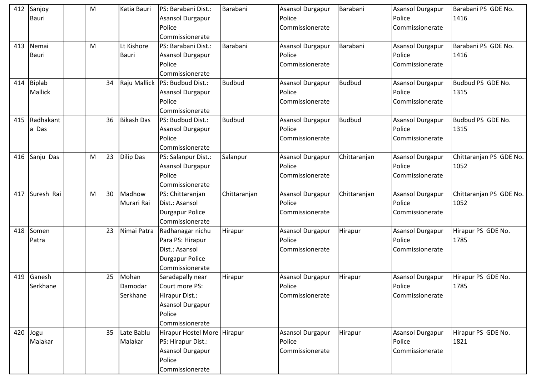| 412 | Sanjoy         | M |    | Katia Bauri       | PS: Barabani Dist.:         | Barabani      | Asansol Durgapur | Barabani      | <b>Asansol Durgapur</b> | Barabani PS GDE No.     |
|-----|----------------|---|----|-------------------|-----------------------------|---------------|------------------|---------------|-------------------------|-------------------------|
|     | <b>Bauri</b>   |   |    |                   | Asansol Durgapur            |               | Police           |               | Police                  | 1416                    |
|     |                |   |    |                   | Police                      |               | Commissionerate  |               | Commissionerate         |                         |
|     |                |   |    |                   | Commissionerate             |               |                  |               |                         |                         |
| 413 | Nemai          | M |    | Lt Kishore        | PS: Barabani Dist.:         | Barabani      | Asansol Durgapur | Barabani      | Asansol Durgapur        | Barabani PS GDE No.     |
|     | <b>Bauri</b>   |   |    | <b>Bauri</b>      | Asansol Durgapur            |               | Police           |               | Police                  | 1416                    |
|     |                |   |    |                   | Police                      |               | Commissionerate  |               | Commissionerate         |                         |
|     |                |   |    |                   | Commissionerate             |               |                  |               |                         |                         |
| 414 | <b>Biplab</b>  |   | 34 | Raju Mallick      | PS: Budbud Dist.:           | <b>Budbud</b> | Asansol Durgapur | <b>Budbud</b> | <b>Asansol Durgapur</b> | Budbud PS GDE No.       |
|     | <b>Mallick</b> |   |    |                   | Asansol Durgapur            |               | Police           |               | Police                  | 1315                    |
|     |                |   |    |                   | Police                      |               | Commissionerate  |               | Commissionerate         |                         |
|     |                |   |    |                   | Commissionerate             |               |                  |               |                         |                         |
| 415 | Radhakant      |   | 36 | <b>Bikash Das</b> | PS: Budbud Dist.:           | <b>Budbud</b> | Asansol Durgapur | <b>Budbud</b> | Asansol Durgapur        | Budbud PS GDE No.       |
|     | a Das          |   |    |                   | Asansol Durgapur            |               | Police           |               | Police                  | 1315                    |
|     |                |   |    |                   | Police                      |               | Commissionerate  |               | Commissionerate         |                         |
|     |                |   |    |                   | Commissionerate             |               |                  |               |                         |                         |
| 416 | Sanju Das      | M | 23 | <b>Dilip Das</b>  | PS: Salanpur Dist.:         | Salanpur      | Asansol Durgapur | Chittaranjan  | Asansol Durgapur        | Chittaranjan PS GDE No. |
|     |                |   |    |                   | <b>Asansol Durgapur</b>     |               | Police           |               | Police                  | 1052                    |
|     |                |   |    |                   | Police                      |               | Commissionerate  |               | Commissionerate         |                         |
|     |                |   |    |                   | Commissionerate             |               |                  |               |                         |                         |
| 417 | Suresh Rai     | M | 30 | Madhow            | PS: Chittaranjan            | Chittaranjan  | Asansol Durgapur | Chittaranjan  | <b>Asansol Durgapur</b> | Chittaranjan PS GDE No. |
|     |                |   |    | Murari Rai        | Dist.: Asansol              |               | Police           |               | Police                  | 1052                    |
|     |                |   |    |                   | <b>Durgapur Police</b>      |               | Commissionerate  |               | Commissionerate         |                         |
|     |                |   |    |                   |                             |               |                  |               |                         |                         |
|     |                |   |    |                   | Commissionerate             |               |                  |               |                         |                         |
| 418 | Somen          |   | 23 | Nimai Patra       | Radhanagar nichu            | Hirapur       | Asansol Durgapur | Hirapur       | Asansol Durgapur        | Hirapur PS GDE No.      |
|     | Patra          |   |    |                   | Para PS: Hirapur            |               | Police           |               | Police                  | 1785                    |
|     |                |   |    |                   | Dist.: Asansol              |               | Commissionerate  |               | Commissionerate         |                         |
|     |                |   |    |                   | <b>Durgapur Police</b>      |               |                  |               |                         |                         |
|     |                |   |    |                   | Commissionerate             |               |                  |               |                         |                         |
| 419 | Ganesh         |   | 25 | Mohan             | Saradapally near            | Hirapur       | Asansol Durgapur | Hirapur       | Asansol Durgapur        | Hirapur PS GDE No.      |
|     | Serkhane       |   |    | Damodar           | Court more PS:              |               | Police           |               | Police                  | 1785                    |
|     |                |   |    | Serkhane          | Hirapur Dist.:              |               | Commissionerate  |               | Commissionerate         |                         |
|     |                |   |    |                   | Asansol Durgapur            |               |                  |               |                         |                         |
|     |                |   |    |                   | Police                      |               |                  |               |                         |                         |
|     |                |   |    |                   | Commissionerate             |               |                  |               |                         |                         |
|     | 420 Jogu       |   | 35 | Late Bablu        | Hirapur Hostel More Hirapur |               | Asansol Durgapur | Hirapur       | Asansol Durgapur        | Hirapur PS GDE No.      |
|     | Malakar        |   |    | Malakar           | PS: Hirapur Dist.:          |               | Police           |               | Police                  | 1821                    |
|     |                |   |    |                   | <b>Asansol Durgapur</b>     |               | Commissionerate  |               | Commissionerate         |                         |
|     |                |   |    |                   | Police<br>Commissionerate   |               |                  |               |                         |                         |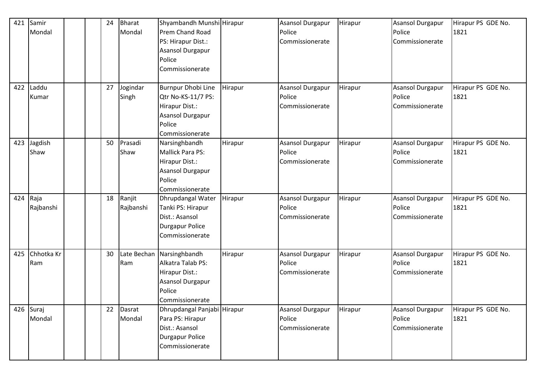| 421 | Samir      |  | 24 | <b>Bharat</b> | Shyambandh Munshi Hirapur   |         | <b>Asansol Durgapur</b> | Hirapur | Asansol Durgapur | Hirapur PS GDE No. |
|-----|------------|--|----|---------------|-----------------------------|---------|-------------------------|---------|------------------|--------------------|
|     | Mondal     |  |    | Mondal        | Prem Chand Road             |         | Police                  |         | Police           | 1821               |
|     |            |  |    |               | PS: Hirapur Dist.:          |         | Commissionerate         |         | Commissionerate  |                    |
|     |            |  |    |               | Asansol Durgapur            |         |                         |         |                  |                    |
|     |            |  |    |               | Police                      |         |                         |         |                  |                    |
|     |            |  |    |               | Commissionerate             |         |                         |         |                  |                    |
|     |            |  |    |               |                             |         |                         |         |                  |                    |
| 422 | Laddu      |  | 27 | Jogindar      | Burnpur Dhobi Line          | Hirapur | <b>Asansol Durgapur</b> | Hirapur | Asansol Durgapur | Hirapur PS GDE No. |
|     | Kumar      |  |    | Singh         | Qtr No-KS-11/7 PS:          |         | Police                  |         | Police           | 1821               |
|     |            |  |    |               | Hirapur Dist.:              |         | Commissionerate         |         | Commissionerate  |                    |
|     |            |  |    |               | Asansol Durgapur            |         |                         |         |                  |                    |
|     |            |  |    |               | Police                      |         |                         |         |                  |                    |
|     |            |  |    |               | Commissionerate             |         |                         |         |                  |                    |
| 423 | Jagdish    |  | 50 | Prasadi       | Narsinghbandh               | Hirapur | Asansol Durgapur        | Hirapur | Asansol Durgapur | Hirapur PS GDE No. |
|     | Shaw       |  |    | Shaw          | <b>Mallick Para PS:</b>     |         | Police                  |         | Police           | 1821               |
|     |            |  |    |               | Hirapur Dist.:              |         | Commissionerate         |         | Commissionerate  |                    |
|     |            |  |    |               | Asansol Durgapur            |         |                         |         |                  |                    |
|     |            |  |    |               | Police                      |         |                         |         |                  |                    |
|     |            |  |    |               | Commissionerate             |         |                         |         |                  |                    |
| 424 | Raja       |  | 18 | Ranjit        | Dhrupdangal Water           | Hirapur | <b>Asansol Durgapur</b> | Hirapur | Asansol Durgapur | Hirapur PS GDE No. |
|     | Rajbanshi  |  |    | Rajbanshi     | Tanki PS: Hirapur           |         | Police                  |         | Police           | 1821               |
|     |            |  |    |               | Dist.: Asansol              |         | Commissionerate         |         | Commissionerate  |                    |
|     |            |  |    |               | <b>Durgapur Police</b>      |         |                         |         |                  |                    |
|     |            |  |    |               | Commissionerate             |         |                         |         |                  |                    |
|     |            |  |    |               |                             |         |                         |         |                  |                    |
| 425 | Chhotka Kr |  | 30 |               | Late Bechan Narsinghbandh   | Hirapur | Asansol Durgapur        | Hirapur | Asansol Durgapur | Hirapur PS GDE No. |
|     | Ram        |  |    | Ram           | Alkatra Talab PS:           |         | Police                  |         | Police           | 1821               |
|     |            |  |    |               | Hirapur Dist.:              |         | Commissionerate         |         | Commissionerate  |                    |
|     |            |  |    |               | Asansol Durgapur            |         |                         |         |                  |                    |
|     |            |  |    |               | Police                      |         |                         |         |                  |                    |
|     |            |  |    |               | Commissionerate             |         |                         |         |                  |                    |
|     | 426 Suraj  |  | 22 | Dasrat        | Dhrupdangal Panjabi Hirapur |         | <b>Asansol Durgapur</b> | Hirapur | Asansol Durgapur | Hirapur PS GDE No. |
|     | Mondal     |  |    | Mondal        | Para PS: Hirapur            |         | Police                  |         | Police           | 1821               |
|     |            |  |    |               | Dist.: Asansol              |         | Commissionerate         |         | Commissionerate  |                    |
|     |            |  |    |               | <b>Durgapur Police</b>      |         |                         |         |                  |                    |
|     |            |  |    |               | Commissionerate             |         |                         |         |                  |                    |
|     |            |  |    |               |                             |         |                         |         |                  |                    |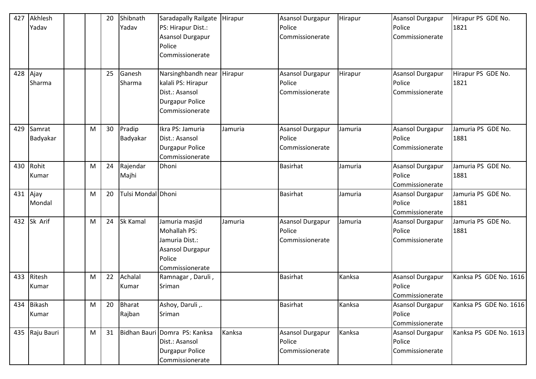| 427<br>428 | Akhlesh<br>Yadav<br>Ajay<br>Sharma |   | 20<br>25 | Shibnath<br>Yadav<br>Ganesh<br>Sharma | Saradapally Railgate<br>PS: Hirapur Dist.:<br>Asansol Durgapur<br>Police<br>Commissionerate<br>Narsinghbandh near Hirapur<br>kalali PS: Hirapur<br>Dist.: Asansol | Hirapur | <b>Asansol Durgapur</b><br>Police<br>Commissionerate<br>Asansol Durgapur<br>Police<br>Commissionerate | Hirapur<br>Hirapur | <b>Asansol Durgapur</b><br>Police<br>Commissionerate<br><b>Asansol Durgapur</b><br>Police<br>Commissionerate | Hirapur PS GDE No.<br>1821<br>Hirapur PS GDE No.<br>1821 |
|------------|------------------------------------|---|----------|---------------------------------------|-------------------------------------------------------------------------------------------------------------------------------------------------------------------|---------|-------------------------------------------------------------------------------------------------------|--------------------|--------------------------------------------------------------------------------------------------------------|----------------------------------------------------------|
|            |                                    |   |          |                                       | <b>Durgapur Police</b><br>Commissionerate                                                                                                                         |         |                                                                                                       |                    |                                                                                                              |                                                          |
| 429        | Samrat<br>Badyakar                 | M | 30       | Pradip<br>Badyakar                    | Ikra PS: Jamuria<br>Dist.: Asansol<br><b>Durgapur Police</b><br>Commissionerate                                                                                   | Jamuria | <b>Asansol Durgapur</b><br>Police<br>Commissionerate                                                  | Jamuria            | <b>Asansol Durgapur</b><br>Police<br>Commissionerate                                                         | Jamuria PS GDE No.<br>1881                               |
| 430        | Rohit<br>Kumar                     | M | 24       | Rajendar<br>Majhi                     | Dhoni                                                                                                                                                             |         | Basirhat                                                                                              | Jamuria            | <b>Asansol Durgapur</b><br>Police<br>Commissionerate                                                         | Jamuria PS GDE No.<br>1881                               |
| 431        | Ajay<br>Mondal                     | M | 20       | Tulsi Mondal Dhoni                    |                                                                                                                                                                   |         | <b>Basirhat</b>                                                                                       | Jamuria            | <b>Asansol Durgapur</b><br>Police<br>Commissionerate                                                         | Jamuria PS GDE No.<br>1881                               |
| 432        | Sk Arif                            | М | 24       | Sk Kamal                              | Jamuria masjid<br>Mohallah PS:<br>Jamuria Dist.:<br>Asansol Durgapur<br>Police<br>Commissionerate                                                                 | Jamuria | Asansol Durgapur<br>Police<br>Commissionerate                                                         | Jamuria            | <b>Asansol Durgapur</b><br>Police<br>Commissionerate                                                         | Jamuria PS GDE No.<br>1881                               |
| 433        | Ritesh<br>Kumar                    | М | 22       | Achalal<br>Kumar                      | Ramnagar, Daruli,<br>Sriman                                                                                                                                       |         | Basirhat                                                                                              | Kanksa             | Asansol Durgapur<br>Police<br>Commissionerate                                                                | Kanksa PS GDE No. 1616                                   |
| 434        | <b>Bikash</b><br>Kumar             | M | 20       | <b>Bharat</b><br>Rajban               | Ashoy, Daruli,.<br>Sriman                                                                                                                                         |         | <b>Basirhat</b>                                                                                       | Kanksa             | <b>Asansol Durgapur</b><br>Police<br>Commissionerate                                                         | Kanksa PS GDE No. 1616                                   |
|            | 435 Raju Bauri                     | M | 31       |                                       | Bidhan Bauri Domra PS: Kanksa<br>Dist.: Asansol<br>Durgapur Police<br>Commissionerate                                                                             | Kanksa  | <b>Asansol Durgapur</b><br>Police<br>Commissionerate                                                  | Kanksa             | <b>Asansol Durgapur</b><br>Police<br>Commissionerate                                                         | Kanksa PS GDE No. 1613                                   |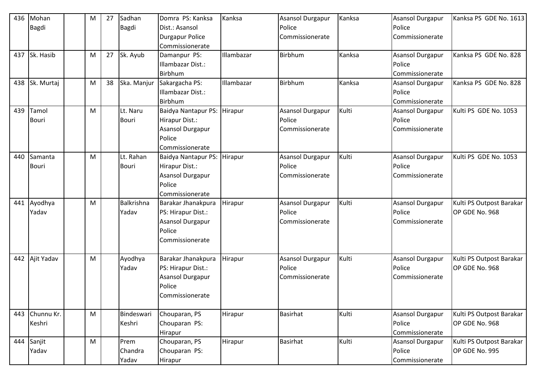| 436 | Mohan        | M | 27 | Sadhan       | Domra PS: Kanksa           | Kanksa     | Asansol Durgapur        | Kanksa | <b>Asansol Durgapur</b> | Kanksa PS GDE No. 1613   |
|-----|--------------|---|----|--------------|----------------------------|------------|-------------------------|--------|-------------------------|--------------------------|
|     | <b>Bagdi</b> |   |    | <b>Bagdi</b> | Dist.: Asansol             |            | Police                  |        | Police                  |                          |
|     |              |   |    |              | <b>Durgapur Police</b>     |            | Commissionerate         |        | Commissionerate         |                          |
|     |              |   |    |              | Commissionerate            |            |                         |        |                         |                          |
| 437 | Sk. Hasib    | M | 27 | Sk. Ayub     | Damanpur PS:               | Illambazar | <b>Birbhum</b>          | Kanksa | <b>Asansol Durgapur</b> | Kanksa PS GDE No. 828    |
|     |              |   |    |              | Illambazar Dist.:          |            |                         |        | Police                  |                          |
|     |              |   |    |              | Birbhum                    |            |                         |        | Commissionerate         |                          |
| 438 | Sk. Murtaj   | M | 38 | Ska. Manjur  | Sakargacha PS:             | Illambazar | <b>Birbhum</b>          | Kanksa | <b>Asansol Durgapur</b> | Kanksa PS GDE No. 828    |
|     |              |   |    |              | Illambazar Dist.:          |            |                         |        | Police                  |                          |
|     |              |   |    |              | Birbhum                    |            |                         |        | Commissionerate         |                          |
| 439 | Tamol        | M |    | Lt. Naru     | <b>Baidya Nantapur PS:</b> | Hirapur    | <b>Asansol Durgapur</b> | Kulti  | <b>Asansol Durgapur</b> | Kulti PS GDE No. 1053    |
|     | Bouri        |   |    | Bouri        | Hirapur Dist.:             |            | Police                  |        | Police                  |                          |
|     |              |   |    |              | <b>Asansol Durgapur</b>    |            | Commissionerate         |        | Commissionerate         |                          |
|     |              |   |    |              | Police                     |            |                         |        |                         |                          |
|     |              |   |    |              | Commissionerate            |            |                         |        |                         |                          |
| 440 | Samanta      | M |    | Lt. Rahan    | <b>Baidya Nantapur PS:</b> | Hirapur    | <b>Asansol Durgapur</b> | Kulti  | Asansol Durgapur        | Kulti PS GDE No. 1053    |
|     | Bouri        |   |    | Bouri        | Hirapur Dist.:             |            | Police                  |        | Police                  |                          |
|     |              |   |    |              | <b>Asansol Durgapur</b>    |            | Commissionerate         |        | Commissionerate         |                          |
|     |              |   |    |              | Police                     |            |                         |        |                         |                          |
|     |              |   |    |              | Commissionerate            |            |                         |        |                         |                          |
| 441 | Ayodhya      | M |    | Balkrishna   | Barakar Jhanakpura         | Hirapur    | <b>Asansol Durgapur</b> | Kulti  | <b>Asansol Durgapur</b> | Kulti PS Outpost Barakar |
|     | Yadav        |   |    | Yadav        | PS: Hirapur Dist.:         |            | Police                  |        | Police                  | OP GDE No. 968           |
|     |              |   |    |              | <b>Asansol Durgapur</b>    |            | Commissionerate         |        | Commissionerate         |                          |
|     |              |   |    |              | Police                     |            |                         |        |                         |                          |
|     |              |   |    |              | Commissionerate            |            |                         |        |                         |                          |
|     |              |   |    |              |                            |            |                         |        |                         |                          |
| 442 | Ajit Yadav   | M |    | Ayodhya      | Barakar Jhanakpura         | Hirapur    | Asansol Durgapur        | Kulti  | <b>Asansol Durgapur</b> | Kulti PS Outpost Barakar |
|     |              |   |    | Yadav        | PS: Hirapur Dist.:         |            | Police                  |        | Police                  | OP GDE No. 968           |
|     |              |   |    |              | <b>Asansol Durgapur</b>    |            | Commissionerate         |        | Commissionerate         |                          |
|     |              |   |    |              | Police                     |            |                         |        |                         |                          |
|     |              |   |    |              | Commissionerate            |            |                         |        |                         |                          |
|     |              |   |    |              |                            |            |                         |        |                         |                          |
| 443 | Chunnu Kr.   | M |    | Bindeswari   | Chouparan, PS              | Hirapur    | Basirhat                | Kulti  | Asansol Durgapur        | Kulti PS Outpost Barakar |
|     | Keshri       |   |    | Keshri       | Chouparan PS:              |            |                         |        | Police                  | OP GDE No. 968           |
|     |              |   |    |              | Hirapur                    |            |                         |        | Commissionerate         |                          |
|     | 444 Sanjit   | M |    | Prem         | Chouparan, PS              | Hirapur    | <b>Basirhat</b>         | Kulti  | <b>Asansol Durgapur</b> | Kulti PS Outpost Barakar |
|     | Yadav        |   |    | Chandra      | Chouparan PS:              |            |                         |        | Police                  | OP GDE No. 995           |
|     |              |   |    | Yadav        | Hirapur                    |            |                         |        | Commissionerate         |                          |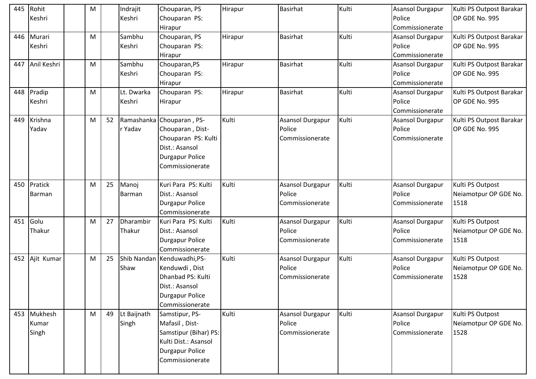| 445 | Rohit       | M |    | Indrajit    | Chouparan, PS                             | Hirapur | <b>Basirhat</b>           | Kulti | Asansol Durgapur | Kulti PS Outpost Barakar      |
|-----|-------------|---|----|-------------|-------------------------------------------|---------|---------------------------|-------|------------------|-------------------------------|
|     | Keshri      |   |    | Keshri      | Chouparan PS:                             |         |                           |       | Police           | OP GDE No. 995                |
|     |             |   |    |             | Hirapur                                   |         |                           |       | Commissionerate  |                               |
| 446 | Murari      | M |    | Sambhu      | Chouparan, PS                             | Hirapur | <b>Basirhat</b>           | Kulti | Asansol Durgapur | Kulti PS Outpost Barakar      |
|     | Keshri      |   |    | Keshri      | Chouparan PS:                             |         |                           |       | Police           | OP GDE No. 995                |
|     |             |   |    |             | Hirapur                                   |         |                           |       | Commissionerate  |                               |
| 447 | Anil Keshri | M |    | Sambhu      | Chouparan, PS                             | Hirapur | <b>Basirhat</b>           | Kulti | Asansol Durgapur | Kulti PS Outpost Barakar      |
|     |             |   |    | Keshri      | Chouparan PS:                             |         |                           |       | Police           | OP GDE No. 995                |
|     |             |   |    |             | Hirapur                                   |         |                           |       | Commissionerate  |                               |
| 448 | Pradip      | M |    | Lt. Dwarka  | Chouparan PS:                             | Hirapur | <b>Basirhat</b>           | Kulti | Asansol Durgapur | Kulti PS Outpost Barakar      |
|     | Keshri      |   |    | Keshri      | Hirapur                                   |         |                           |       | Police           | OP GDE No. 995                |
|     |             |   |    |             |                                           |         |                           |       | Commissionerate  |                               |
| 449 | Krishna     | M | 52 |             | Ramashanka Chouparan, PS-                 | Kulti   | Asansol Durgapur          | Kulti | Asansol Durgapur | Kulti PS Outpost Barakar      |
|     | Yadav       |   |    | r Yadav     | Chouparan, Dist-                          |         | Police                    |       | Police           | OP GDE No. 995                |
|     |             |   |    |             | Chouparan PS: Kulti                       |         | Commissionerate           |       | Commissionerate  |                               |
|     |             |   |    |             | Dist.: Asansol                            |         |                           |       |                  |                               |
|     |             |   |    |             | <b>Durgapur Police</b>                    |         |                           |       |                  |                               |
|     |             |   |    |             | Commissionerate                           |         |                           |       |                  |                               |
|     |             |   |    |             |                                           |         |                           |       |                  |                               |
| 450 | Pratick     | M | 25 | Manoj       | Kuri Para PS: Kulti                       | Kulti   | <b>Asansol Durgapur</b>   | Kulti | Asansol Durgapur | Kulti PS Outpost              |
|     | Barman      |   |    | Barman      | Dist.: Asansol                            |         | Police                    |       | Police           | Neiamotpur OP GDE No.         |
|     |             |   |    |             | <b>Durgapur Police</b>                    |         | Commissionerate           |       | Commissionerate  | 1518                          |
|     |             |   |    |             | Commissionerate                           |         |                           |       |                  |                               |
| 451 | Golu        | M | 27 | Dharambir   | Kuri Para PS: Kulti                       | Kulti   | <b>Asansol Durgapur</b>   | Kulti | Asansol Durgapur | Kulti PS Outpost              |
|     | Thakur      |   |    | Thakur      | Dist.: Asansol                            |         | Police                    |       | Police           | Neiamotpur OP GDE No.         |
|     |             |   |    |             | <b>Durgapur Police</b>                    |         | Commissionerate           |       | Commissionerate  | 1518                          |
|     |             |   |    |             | Commissionerate                           |         |                           |       |                  |                               |
| 452 | Ajit Kumar  | M | 25 |             | Shib Nandan Kenduwadhi, PS-               | Kulti   | Asansol Durgapur          | Kulti | Asansol Durgapur | Kulti PS Outpost              |
|     |             |   |    | Shaw        | Kenduwdi, Dist                            |         | Police                    |       | Police           | Neiamotpur OP GDE No.         |
|     |             |   |    |             | Dhanbad PS: Kulti                         |         | Commissionerate           |       | Commissionerate  | 1528                          |
|     |             |   |    |             | Dist.: Asansol                            |         |                           |       |                  |                               |
|     |             |   |    |             | <b>Durgapur Police</b>                    |         |                           |       |                  |                               |
|     |             |   |    |             | Commissionerate                           |         |                           |       |                  |                               |
|     | 453 Mukhesh | M | 49 | Lt Baijnath | Samstipur, PS-                            | Kulti   | <b>Asansol Durgapur</b>   | Kulti | Asansol Durgapur | Kulti PS Outpost              |
|     | Kumar       |   |    | Singh       | Mafasil, Dist-                            |         | Police<br>Commissionerate |       | Police           | Neiamotpur OP GDE No.<br>1528 |
|     | Singh       |   |    |             | Samstipur (Bihar) PS:                     |         |                           |       | Commissionerate  |                               |
|     |             |   |    |             | Kulti Dist.: Asansol                      |         |                           |       |                  |                               |
|     |             |   |    |             | <b>Durgapur Police</b><br>Commissionerate |         |                           |       |                  |                               |
|     |             |   |    |             |                                           |         |                           |       |                  |                               |
|     |             |   |    |             |                                           |         |                           |       |                  |                               |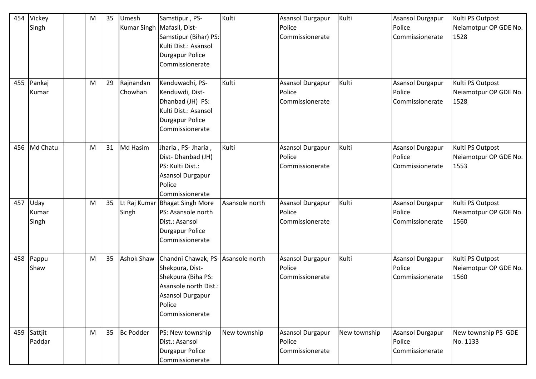| 454 | Vickey<br>Singh        | M | 35 | Umesh                | Samstipur, PS-<br>Kumar Singh   Mafasil, Dist-<br>Samstipur (Bihar) PS:<br>Kulti Dist.: Asansol<br><b>Durgapur Police</b><br>Commissionerate          | Kulti          | <b>Asansol Durgapur</b><br>Police<br>Commissionerate | Kulti        | <b>Asansol Durgapur</b><br>Police<br>Commissionerate | Kulti PS Outpost<br>Neiamotpur OP GDE No.<br>1528 |
|-----|------------------------|---|----|----------------------|-------------------------------------------------------------------------------------------------------------------------------------------------------|----------------|------------------------------------------------------|--------------|------------------------------------------------------|---------------------------------------------------|
| 455 | Pankaj<br>Kumar        | M | 29 | Rajnandan<br>Chowhan | Kenduwadhi, PS-<br>Kenduwdi, Dist-<br>Dhanbad (JH) PS:<br>Kulti Dist.: Asansol<br><b>Durgapur Police</b><br>Commissionerate                           | Kulti          | Asansol Durgapur<br>Police<br>Commissionerate        | Kulti        | <b>Asansol Durgapur</b><br>Police<br>Commissionerate | Kulti PS Outpost<br>Neiamotpur OP GDE No.<br>1528 |
| 456 | Md Chatu               | M | 31 | Md Hasim             | Jharia, PS-Jharia,<br>Dist-Dhanbad (JH)<br>PS: Kulti Dist.:<br><b>Asansol Durgapur</b><br>Police<br>Commissionerate                                   | Kulti          | Asansol Durgapur<br>Police<br>Commissionerate        | Kulti        | <b>Asansol Durgapur</b><br>Police<br>Commissionerate | Kulti PS Outpost<br>Neiamotpur OP GDE No.<br>1553 |
| 457 | Uday<br>Kumar<br>Singh | M | 35 | Singh                | Lt Raj Kumar Bhagat Singh More<br>PS: Asansole north<br>Dist.: Asansol<br><b>Durgapur Police</b><br>Commissionerate                                   | Asansole north | Asansol Durgapur<br>Police<br>Commissionerate        | Kulti        | Asansol Durgapur<br>Police<br>Commissionerate        | Kulti PS Outpost<br>Neiamotpur OP GDE No.<br>1560 |
| 458 | Pappu<br>Shaw          | M | 35 | <b>Ashok Shaw</b>    | Chandni Chawak, PS- Asansole north<br>Shekpura, Dist-<br>Shekpura (Biha PS:<br>Asansole north Dist.:<br>Asansol Durgapur<br>Police<br>Commissionerate |                | Asansol Durgapur<br>Police<br>Commissionerate        | Kulti        | Asansol Durgapur<br>Police<br>Commissionerate        | Kulti PS Outpost<br>Neiamotpur OP GDE No.<br>1560 |
| 459 | Sattjit<br>Paddar      | M | 35 | <b>Bc Podder</b>     | PS: New township<br>Dist.: Asansol<br>Durgapur Police<br>Commissionerate                                                                              | New township   | Asansol Durgapur<br>Police<br>Commissionerate        | New township | Asansol Durgapur<br>Police<br>Commissionerate        | New township PS GDE<br>No. 1133                   |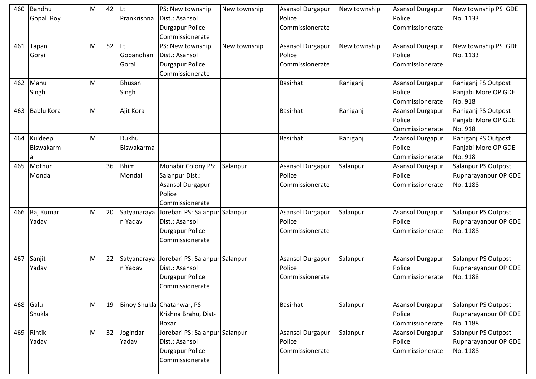| 460 | Bandhu            | М | 42 | <b>ILt</b>    | PS: New township               | New township | Asansol Durgapur        | New township | <b>Asansol Durgapur</b> | New township PS GDE  |
|-----|-------------------|---|----|---------------|--------------------------------|--------------|-------------------------|--------------|-------------------------|----------------------|
|     | Gopal Roy         |   |    | Prankrishna   | Dist.: Asansol                 |              | Police                  |              | Police                  | No. 1133             |
|     |                   |   |    |               | <b>Durgapur Police</b>         |              | Commissionerate         |              | Commissionerate         |                      |
|     |                   |   |    |               | Commissionerate                |              |                         |              |                         |                      |
| 461 | Tapan             | M | 52 | <b>ILt</b>    | PS: New township               | New township | Asansol Durgapur        | New township | <b>Asansol Durgapur</b> | New township PS GDE  |
|     | Gorai             |   |    | Gobandhan     | Dist.: Asansol                 |              | Police                  |              | Police                  | No. 1133             |
|     |                   |   |    | Gorai         | <b>Durgapur Police</b>         |              | Commissionerate         |              | Commissionerate         |                      |
|     |                   |   |    |               | Commissionerate                |              |                         |              |                         |                      |
| 462 | Manu              | M |    | <b>Bhusan</b> |                                |              | <b>Basirhat</b>         | Raniganj     | <b>Asansol Durgapur</b> | Raniganj PS Outpost  |
|     | Singh             |   |    | Singh         |                                |              |                         |              | Police                  | Panjabi More OP GDE  |
|     |                   |   |    |               |                                |              |                         |              | Commissionerate         | No. 918              |
| 463 | <b>Bablu Kora</b> | M |    | Ajit Kora     |                                |              | <b>Basirhat</b>         | Raniganj     | <b>Asansol Durgapur</b> | Raniganj PS Outpost  |
|     |                   |   |    |               |                                |              |                         |              | Police                  | Panjabi More OP GDE  |
|     |                   |   |    |               |                                |              |                         |              | Commissionerate         | No. 918              |
| 464 | Kuldeep           | M |    | Dukhu         |                                |              | <b>Basirhat</b>         | Raniganj     | <b>Asansol Durgapur</b> | Raniganj PS Outpost  |
|     | <b>Biswakarm</b>  |   |    | Biswakarma    |                                |              |                         |              | Police                  | Panjabi More OP GDE  |
|     |                   |   |    |               |                                |              |                         |              | Commissionerate         | No. 918              |
| 465 | Mothur            |   | 36 | <b>Bhim</b>   | Mohabir Colony PS:             | Salanpur     | Asansol Durgapur        | Salanpur     | <b>Asansol Durgapur</b> | Salanpur PS Outpost  |
|     | Mondal            |   |    | Mondal        | Salanpur Dist.:                |              | Police                  |              | Police                  | Rupnarayanpur OP GDE |
|     |                   |   |    |               | <b>Asansol Durgapur</b>        |              | Commissionerate         |              | Commissionerate         | No. 1188             |
|     |                   |   |    |               | Police                         |              |                         |              |                         |                      |
|     |                   |   |    |               | Commissionerate                |              |                         |              |                         |                      |
| 466 | Raj Kumar         | M | 20 | Satyanaraya   | Jorebari PS: Salanpur Salanpur |              | <b>Asansol Durgapur</b> | Salanpur     | <b>Asansol Durgapur</b> | Salanpur PS Outpost  |
|     | Yadav             |   |    | n Yadav       | Dist.: Asansol                 |              | Police                  |              | Police                  | Rupnarayanpur OP GDE |
|     |                   |   |    |               | <b>Durgapur Police</b>         |              | Commissionerate         |              | Commissionerate         | No. 1188             |
|     |                   |   |    |               | Commissionerate                |              |                         |              |                         |                      |
|     |                   |   |    |               |                                |              |                         |              |                         |                      |
| 467 | Sanjit            | M | 22 | Satyanaraya   | Jorebari PS: Salanpur Salanpur |              | Asansol Durgapur        | Salanpur     | <b>Asansol Durgapur</b> | Salanpur PS Outpost  |
|     | Yadav             |   |    | n Yadav       | Dist.: Asansol                 |              | Police                  |              | Police                  | Rupnarayanpur OP GDE |
|     |                   |   |    |               | <b>Durgapur Police</b>         |              | Commissionerate         |              | Commissionerate         | No. 1188             |
|     |                   |   |    |               | Commissionerate                |              |                         |              |                         |                      |
|     |                   |   |    |               |                                |              |                         |              |                         |                      |
| 468 | Galu              | M | 19 |               | Binoy Shukla Chatanwar, PS-    |              | <b>Basirhat</b>         | Salanpur     | Asansol Durgapur        | Salanpur PS Outpost  |
|     | Shukla            |   |    |               | Krishna Brahu, Dist-           |              |                         |              | Police                  | Rupnarayanpur OP GDE |
|     |                   |   |    |               | <b>Boxar</b>                   |              |                         |              | Commissionerate         | No. 1188             |
| 469 | Rihtik            | M | 32 | Jogindar      | Jorebari PS: Salanpur Salanpur |              | Asansol Durgapur        | Salanpur     | Asansol Durgapur        | Salanpur PS Outpost  |
|     | Yadav             |   |    | Yadav         | Dist.: Asansol                 |              | Police                  |              | Police                  | Rupnarayanpur OP GDE |
|     |                   |   |    |               | <b>Durgapur Police</b>         |              | Commissionerate         |              | Commissionerate         | No. 1188             |
|     |                   |   |    |               | Commissionerate                |              |                         |              |                         |                      |
|     |                   |   |    |               |                                |              |                         |              |                         |                      |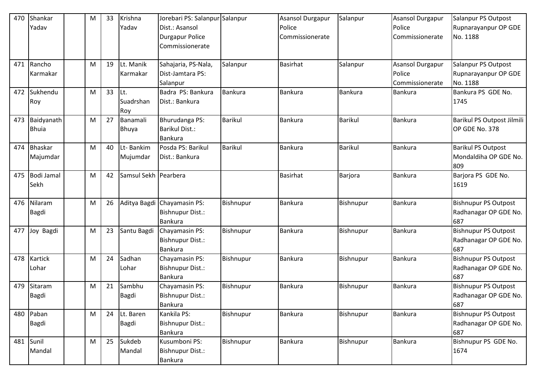| 470 | Shankar        | M | 33 | Krishna              | Jorebari PS: Salanpur Salanpur |                | <b>Asansol Durgapur</b> | Salanpur       | <b>Asansol Durgapur</b> | Salanpur PS Outpost         |
|-----|----------------|---|----|----------------------|--------------------------------|----------------|-------------------------|----------------|-------------------------|-----------------------------|
|     | Yadav          |   |    | Yadav                | Dist.: Asansol                 |                | Police                  |                | Police                  | Rupnarayanpur OP GDE        |
|     |                |   |    |                      | <b>Durgapur Police</b>         |                | Commissionerate         |                | Commissionerate         | No. 1188                    |
|     |                |   |    |                      | Commissionerate                |                |                         |                |                         |                             |
|     |                |   |    |                      |                                |                |                         |                |                         |                             |
| 471 | Rancho         | M | 19 | Lt. Manik            | Sahajaria, PS-Nala,            | Salanpur       | Basirhat                | Salanpur       | <b>Asansol Durgapur</b> | Salanpur PS Outpost         |
|     | Karmakar       |   |    | Karmakar             | Dist-Jamtara PS:               |                |                         |                | Police                  | Rupnarayanpur OP GDE        |
|     |                |   |    |                      | Salanpur                       |                |                         |                | Commissionerate         | No. 1188                    |
| 472 | Sukhendu       | M | 33 | Lt.                  | Badra PS: Bankura              | <b>Bankura</b> | Bankura                 | Bankura        | Bankura                 | Bankura PS GDE No.          |
|     | Roy            |   |    | Suadrshan            | Dist.: Bankura                 |                |                         |                |                         | 1745                        |
|     |                |   |    | Roy                  |                                |                |                         |                |                         |                             |
| 473 | Baidyanath     | M | 27 | Banamali             | Bhurudanga PS:                 | <b>Barikul</b> | <b>Bankura</b>          | <b>Barikul</b> | Bankura                 | Barikul PS Outpost Jilmili  |
|     | <b>Bhuia</b>   |   |    | Bhuya                | <b>Barikul Dist.:</b>          |                |                         |                |                         | OP GDE No. 378              |
|     |                |   |    |                      | <b>Bankura</b>                 |                |                         |                |                         |                             |
| 474 | Bhaskar        | M | 40 | Lt- Bankim           | Posda PS: Barikul              | <b>Barikul</b> | <b>Bankura</b>          | <b>Barikul</b> | Bankura                 | <b>Barikul PS Outpost</b>   |
|     | Majumdar       |   |    | Mujumdar             | Dist.: Bankura                 |                |                         |                |                         | Mondaldiha OP GDE No.       |
|     |                |   |    |                      |                                |                |                         |                |                         | 809                         |
| 475 | Bodi Jamal     | M | 42 | Samsul Sekh Pearbera |                                |                | <b>Basirhat</b>         | Barjora        | Bankura                 | Barjora PS GDE No.          |
|     | Sekh           |   |    |                      |                                |                |                         |                |                         | 1619                        |
|     |                |   |    |                      |                                |                |                         |                |                         |                             |
| 476 | Nilaram        | M | 26 |                      | Aditya Bagdi Chayamasin PS:    | Bishnupur      | <b>Bankura</b>          | Bishnupur      | <b>Bankura</b>          | <b>Bishnupur PS Outpost</b> |
|     | <b>Bagdi</b>   |   |    |                      | <b>Bishnupur Dist.:</b>        |                |                         |                |                         | Radhanagar OP GDE No.       |
|     |                |   |    |                      | <b>Bankura</b>                 |                |                         |                |                         | 687                         |
| 477 | Joy Bagdi      | M | 23 | Santu Bagdi          | Chayamasin PS:                 | Bishnupur      | Bankura                 | Bishnupur      | <b>Bankura</b>          | <b>Bishnupur PS Outpost</b> |
|     |                |   |    |                      | <b>Bishnupur Dist.:</b>        |                |                         |                |                         | Radhanagar OP GDE No.       |
|     |                |   |    |                      | <b>Bankura</b>                 |                |                         |                |                         | 687                         |
| 478 | <b>Kartick</b> | M | 24 | Sadhan               | Chayamasin PS:                 | Bishnupur      | Bankura                 | Bishnupur      | Bankura                 | <b>Bishnupur PS Outpost</b> |
|     | Lohar          |   |    | Lohar                | <b>Bishnupur Dist.:</b>        |                |                         |                |                         | Radhanagar OP GDE No.       |
|     |                |   |    |                      | <b>Bankura</b>                 |                |                         |                |                         | 687                         |
| 479 | Sitaram        | M | 21 | Sambhu               | Chayamasin PS:                 | Bishnupur      | Bankura                 | Bishnupur      | <b>Bankura</b>          | <b>Bishnupur PS Outpost</b> |
|     | Bagdi          |   |    | Bagdi                | Bishnupur Dist.:               |                |                         |                |                         | Radhanagar OP GDE No.       |
|     |                |   |    |                      | Bankura                        |                |                         |                |                         | 687                         |
| 480 | Paban          | M | 24 | Lt. Baren            | Kankila PS:                    | Bishnupur      | Bankura                 | Bishnupur      | <b>Bankura</b>          | <b>Bishnupur PS Outpost</b> |
|     | <b>Bagdi</b>   |   |    | Bagdi                | <b>Bishnupur Dist.:</b>        |                |                         |                |                         | Radhanagar OP GDE No.       |
|     |                |   |    |                      | Bankura                        |                |                         |                |                         | 687                         |
| 481 | Sunil          | M | 25 | Sukdeb               | Kusumboni PS:                  | Bishnupur      | <b>Bankura</b>          | Bishnupur      | <b>Bankura</b>          | Bishnupur PS GDE No.        |
|     | Mandal         |   |    | Mandal               | <b>Bishnupur Dist.:</b>        |                |                         |                |                         | 1674                        |
|     |                |   |    |                      | Bankura                        |                |                         |                |                         |                             |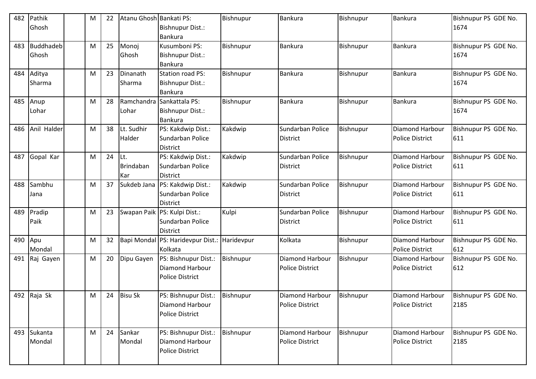| 482 | Pathik<br>Ghosh           | M | 22 | Atanu Ghosh Bankati PS:        | <b>Bishnupur Dist.:</b><br>Bankura                                       | Bishnupur  | Bankura                                          | Bishnupur | <b>Bankura</b>                                   | Bishnupur PS GDE No.<br>1674 |
|-----|---------------------------|---|----|--------------------------------|--------------------------------------------------------------------------|------------|--------------------------------------------------|-----------|--------------------------------------------------|------------------------------|
| 483 | <b>Buddhadeb</b><br>Ghosh | M | 25 | Monoj<br>Ghosh                 | Kusumboni PS:<br><b>Bishnupur Dist.:</b><br>Bankura                      | Bishnupur  | Bankura                                          | Bishnupur | <b>Bankura</b>                                   | Bishnupur PS GDE No.<br>1674 |
| 484 | Aditya<br>Sharma          | M | 23 | Dinanath<br>Sharma             | <b>Station road PS:</b><br><b>Bishnupur Dist.:</b><br><b>Bankura</b>     | Bishnupur  | <b>Bankura</b>                                   | Bishnupur | <b>Bankura</b>                                   | Bishnupur PS GDE No.<br>1674 |
| 485 | Anup<br>Lohar             | M | 28 | Ramchandra<br>Lohar            | Sankattala PS:<br><b>Bishnupur Dist.:</b><br>Bankura                     | Bishnupur  | Bankura                                          | Bishnupur | Bankura                                          | Bishnupur PS GDE No.<br>1674 |
| 486 | Anil Halder               | M | 38 | Lt. Sudhir<br>Halder           | PS: Kakdwip Dist.:<br>Sundarban Police<br><b>District</b>                | Kakdwip    | Sundarban Police<br><b>District</b>              | Bishnupur | Diamond Harbour<br><b>Police District</b>        | Bishnupur PS GDE No.<br>611  |
| 487 | Gopal Kar                 | M | 24 | Lt.<br><b>Brindaban</b><br>Kar | PS: Kakdwip Dist.:<br>Sundarban Police<br><b>District</b>                | Kakdwip    | Sundarban Police<br><b>District</b>              | Bishnupur | <b>Diamond Harbour</b><br><b>Police District</b> | Bishnupur PS GDE No.<br>611  |
| 488 | Sambhu<br>Jana            | M | 37 | Sukdeb Jana                    | PS: Kakdwip Dist.:<br>Sundarban Police<br><b>District</b>                | Kakdwip    | Sundarban Police<br><b>District</b>              | Bishnupur | Diamond Harbour<br><b>Police District</b>        | Bishnupur PS GDE No.<br>611  |
| 489 | Pradip<br>Paik            | M | 23 |                                | Swapan Paik PS: Kulpi Dist.:<br>Sundarban Police<br><b>District</b>      | Kulpi      | Sundarban Police<br><b>District</b>              | Bishnupur | Diamond Harbour<br><b>Police District</b>        | Bishnupur PS GDE No.<br>611  |
| 490 | Apu<br>Mondal             | M | 32 |                                | Bapi Mondal PS: Haridevpur Dist.:<br>Kolkata                             | Haridevpur | Kolkata                                          | Bishnupur | Diamond Harbour<br><b>Police District</b>        | Bishnupur PS GDE No.<br>612  |
| 491 | Raj Gayen                 | M | 20 | Dipu Gayen                     | PS: Bishnupur Dist.:<br><b>Diamond Harbour</b><br><b>Police District</b> | Bishnupur  | Diamond Harbour<br><b>Police District</b>        | Bishnupur | Diamond Harbour<br><b>Police District</b>        | Bishnupur PS GDE No.<br>612  |
|     | 492 Raja Sk               | M | 24 | <b>Bisu Sk</b>                 | PS: Bishnupur Dist.:<br>Diamond Harbour<br><b>Police District</b>        | Bishnupur  | <b>Diamond Harbour</b><br><b>Police District</b> | Bishnupur | Diamond Harbour<br>Police District               | Bishnupur PS GDE No.<br>2185 |
|     | 493 Sukanta<br>Mondal     | M | 24 | Sankar<br>Mondal               | PS: Bishnupur Dist.:<br>Diamond Harbour<br><b>Police District</b>        | Bishnupur  | Diamond Harbour<br>Police District               | Bishnupur | Diamond Harbour<br><b>Police District</b>        | Bishnupur PS GDE No.<br>2185 |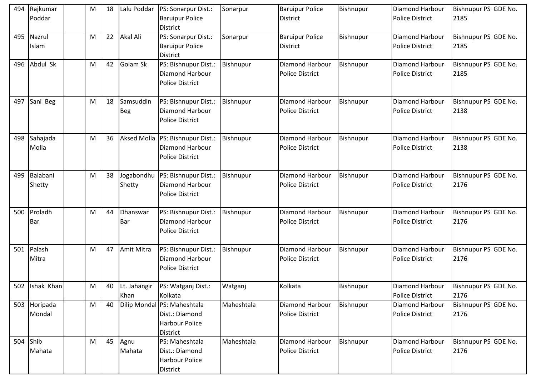| 494 | Rajkumar<br>Poddar | M | 18 | Lalu Poddar             | PS: Sonarpur Dist.:<br><b>Baruipur Police</b><br><b>District</b>             | Sonarpur   | <b>Baruipur Police</b><br><b>District</b>        | Bishnupur | Diamond Harbour<br><b>Police District</b>        | Bishnupur PS GDE No.<br>2185 |
|-----|--------------------|---|----|-------------------------|------------------------------------------------------------------------------|------------|--------------------------------------------------|-----------|--------------------------------------------------|------------------------------|
| 495 | Nazrul<br>Islam    | M | 22 | Akal Ali                | PS: Sonarpur Dist.:<br><b>Baruipur Police</b><br><b>District</b>             | Sonarpur   | <b>Baruipur Police</b><br>District               | Bishnupur | <b>Diamond Harbour</b><br><b>Police District</b> | Bishnupur PS GDE No.<br>2185 |
| 496 | Abdul Sk           | M | 42 | Golam Sk                | PS: Bishnupur Dist.:<br><b>Diamond Harbour</b><br><b>Police District</b>     | Bishnupur  | <b>Diamond Harbour</b><br><b>Police District</b> | Bishnupur | Diamond Harbour<br><b>Police District</b>        | Bishnupur PS GDE No.<br>2185 |
| 497 | Sani Beg           | M | 18 | Samsuddin<br><b>Beg</b> | PS: Bishnupur Dist.:<br><b>Diamond Harbour</b><br><b>Police District</b>     | Bishnupur  | Diamond Harbour<br><b>Police District</b>        | Bishnupur | Diamond Harbour<br><b>Police District</b>        | Bishnupur PS GDE No.<br>2138 |
| 498 | Sahajada<br>Molla  | M | 36 | <b>Aksed Molla</b>      | PS: Bishnupur Dist.:<br><b>Diamond Harbour</b><br><b>Police District</b>     | Bishnupur  | Diamond Harbour<br><b>Police District</b>        | Bishnupur | Diamond Harbour<br><b>Police District</b>        | Bishnupur PS GDE No.<br>2138 |
| 499 | Balabani<br>Shetty | M | 38 | Jogabondhu<br>Shetty    | PS: Bishnupur Dist.:<br><b>Diamond Harbour</b><br><b>Police District</b>     | Bishnupur  | Diamond Harbour<br><b>Police District</b>        | Bishnupur | Diamond Harbour<br><b>Police District</b>        | Bishnupur PS GDE No.<br>2176 |
| 500 | Proladh<br>Bar     | M | 44 | Dhanswar<br>Bar         | PS: Bishnupur Dist.:<br><b>Diamond Harbour</b><br><b>Police District</b>     | Bishnupur  | <b>Diamond Harbour</b><br><b>Police District</b> | Bishnupur | <b>Diamond Harbour</b><br><b>Police District</b> | Bishnupur PS GDE No.<br>2176 |
| 501 | Palash<br>Mitra    | M | 47 | Amit Mitra              | PS: Bishnupur Dist.:<br><b>Diamond Harbour</b><br><b>Police District</b>     | Bishnupur  | Diamond Harbour<br><b>Police District</b>        | Bishnupur | <b>Diamond Harbour</b><br><b>Police District</b> | Bishnupur PS GDE No.<br>2176 |
|     | 502 Ishak Khan     | M | 40 | Lt. Jahangir<br>Khan    | PS: Watganj Dist.:<br>Kolkata                                                | Watganj    | Kolkata                                          | Bishnupur | Diamond Harbour<br><b>Police District</b>        | Bishnupur PS GDE No.<br>2176 |
| 503 | Horipada<br>Mondal | M | 40 | <b>Dilip Mondal</b>     | PS: Maheshtala<br>Dist.: Diamond<br><b>Harbour Police</b><br><b>District</b> | Maheshtala | Diamond Harbour<br>Police District               | Bishnupur | Diamond Harbour<br><b>Police District</b>        | Bishnupur PS GDE No.<br>2176 |
| 504 | Shib<br>Mahata     | M | 45 | Agnu<br>Mahata          | PS: Maheshtala<br>Dist.: Diamond<br><b>Harbour Police</b><br>District        | Maheshtala | Diamond Harbour<br>Police District               | Bishnupur | Diamond Harbour<br><b>Police District</b>        | Bishnupur PS GDE No.<br>2176 |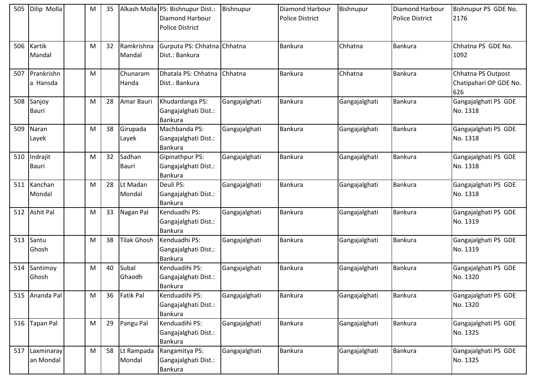| 505 | Dilip Molla              | M | 35 |                        | Alkash Molla PS: Bishnupur Dist.:<br>Diamond Harbour<br><b>Police District</b> | Bishnupur     | Diamond Harbour<br><b>Police District</b> | Bishnupur     | <b>Diamond Harbour</b><br><b>Police District</b> | Bishnupur PS GDE No.<br>2176                        |
|-----|--------------------------|---|----|------------------------|--------------------------------------------------------------------------------|---------------|-------------------------------------------|---------------|--------------------------------------------------|-----------------------------------------------------|
| 506 | Kartik<br>Mandal         | M | 32 | Ramkrishna<br>Mandal   | Gurputa PS: Chhatna Chhatna<br>Dist.: Bankura                                  |               | Bankura                                   | Chhatna       | Bankura                                          | Chhatna PS GDE No.<br>1092                          |
| 507 | Prankrishn<br>a Hansda   | M |    | Chunaram<br>Handa      | Dhatala PS: Chhatna<br>Dist.: Bankura                                          | Chhatna       | <b>Bankura</b>                            | Chhatna       | <b>Bankura</b>                                   | Chhatna PS Outpost<br>Chatipahari OP GDE No.<br>626 |
| 508 | Sanjoy<br><b>Bauri</b>   | M | 28 | Amar Bauri             | Khudardanga PS:<br>Gangajalghati Dist.:<br>Bankura                             | Gangajalghati | <b>Bankura</b>                            | Gangajalghati | Bankura                                          | Gangajalghati PS GDE<br>No. 1318                    |
| 509 | Naran<br>Layek           | M | 38 | Girupada<br>Layek      | Machbanda PS:<br>Gangajalghati Dist.:<br><b>Bankura</b>                        | Gangajalghati | <b>Bankura</b>                            | Gangajalghati | Bankura                                          | Gangajalghati PS GDE<br>No. 1318                    |
| 510 | Indrajit<br><b>Bauri</b> | M | 32 | Sadhan<br><b>Bauri</b> | Gipinathpur PS:<br>Gangajalghati Dist.:<br><b>Bankura</b>                      | Gangajalghati | <b>Bankura</b>                            | Gangajalghati | <b>Bankura</b>                                   | Gangajalghati PS GDE<br>No. 1318                    |
| 511 | Kanchan<br>Mondal        | M | 28 | Lt Madan<br>Mondal     | Deuli PS:<br>Gangajalghati Dist.:<br><b>Bankura</b>                            | Gangajalghati | <b>Bankura</b>                            | Gangajalghati | <b>Bankura</b>                                   | Gangajalghati PS GDE<br>No. 1318                    |
| 512 | <b>Ashit Pal</b>         | M | 33 | Nagan Pal              | Kenduadhi PS:<br>Gangajalghati Dist.:<br><b>Bankura</b>                        | Gangajalghati | <b>Bankura</b>                            | Gangajalghati | Bankura                                          | Gangajalghati PS GDE<br>No. 1319                    |
| 513 | Santu<br>Ghosh           | M | 38 | <b>Tilak Ghosh</b>     | Kenduadhi PS:<br>Gangajalghati Dist.:<br><b>Bankura</b>                        | Gangajalghati | <b>Bankura</b>                            | Gangajalghati | <b>Bankura</b>                                   | Gangajalghati PS GDE<br>No. 1319                    |
| 514 | Santimoy<br>Ghosh        | M | 40 | Subal<br>Ghaodh        | Kenduadihi PS:<br>Gangajalghati Dist.:<br>Bankura                              | Gangajalghati | <b>Bankura</b>                            | Gangajalghati | Bankura                                          | Gangajalghati PS GDE<br>No. 1320                    |
| 515 | Ananda Pal               | M | 36 | <b>Fatik Pal</b>       | Kenduadihi PS:<br>Gangajalghati Dist.:<br>Bankura                              | Gangajalghati | Bankura                                   | Gangajalghati | <b>Bankura</b>                                   | Gangajalghati PS GDE<br>No. 1320                    |
| 516 | <b>Tapan Pal</b>         | M | 29 | Pangu Pal              | Kenduadihi PS:<br>Gangajalghati Dist.:<br>Bankura                              | Gangajalghati | <b>Bankura</b>                            | Gangajalghati | Bankura                                          | Gangajalghati PS GDE<br>No. 1325                    |
| 517 | Laxminaray<br>an Mondal  | M | 58 | Lt Rampada<br>Mondal   | Rangamitya PS:<br>Gangajalghati Dist.:<br>Bankura                              | Gangajalghati | Bankura                                   | Gangajalghati | <b>Bankura</b>                                   | Gangajalghati PS GDE<br>No. 1325                    |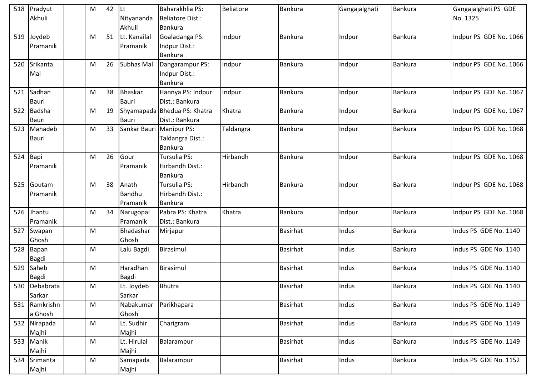| 518 | Pradyut<br>Akhuli       | M | 42 | <b>Lt</b><br>Nityananda     | Baharakhlia PS:<br><b>Beliatore Dist.:</b>         | Beliatore | <b>Bankura</b>  | Gangajalghati | <b>Bankura</b> | Gangajalghati PS GDE<br>No. 1325 |
|-----|-------------------------|---|----|-----------------------------|----------------------------------------------------|-----------|-----------------|---------------|----------------|----------------------------------|
|     |                         |   |    | Akhuli                      | Bankura                                            |           |                 |               |                |                                  |
| 519 | Joydeb<br>Pramanik      | M | 51 | Lt. Kanailal<br>Pramanik    | Goaladanga PS:<br>Indpur Dist.:<br><b>Bankura</b>  | Indpur    | <b>Bankura</b>  | Indpur        | <b>Bankura</b> | Indpur PS GDE No. 1066           |
| 520 | Srikanta<br>Mal         | M | 26 | Subhas Mal                  | Dangarampur PS:<br>Indpur Dist.:<br><b>Bankura</b> | Indpur    | <b>Bankura</b>  | Indpur        | <b>Bankura</b> | Indpur PS GDE No. 1066           |
| 521 | Sadhan<br><b>Bauri</b>  | M | 38 | Bhaskar<br><b>Bauri</b>     | Hannya PS: Indpur<br>Dist.: Bankura                | Indpur    | <b>Bankura</b>  | Indpur        | <b>Bankura</b> | Indpur PS GDE No. 1067           |
| 522 | Badsha<br><b>Bauri</b>  | M | 19 | <b>Bauri</b>                | Shyamapada Bhedua PS: Khatra<br>Dist.: Bankura     | Khatra    | <b>Bankura</b>  | Indpur        | Bankura        | Indpur PS GDE No. 1067           |
| 523 | Mahadeb<br><b>Bauri</b> | M | 33 | Sankar Bauri Manipur PS:    | Taldangra Dist.:<br><b>Bankura</b>                 | Taldangra | <b>Bankura</b>  | Indpur        | <b>Bankura</b> | Indpur PS GDE No. 1068           |
| 524 | Bapi<br>Pramanik        | M | 26 | Gour<br>Pramanik            | Tursulia PS:<br>Hirbandh Dist.:<br><b>Bankura</b>  | Hirbandh  | <b>Bankura</b>  | Indpur        | <b>Bankura</b> | Indpur PS GDE No. 1068           |
| 525 | Goutam<br>Pramanik      | M | 38 | Anath<br>Bandhu<br>Pramanik | Tursulia PS:<br>Hirbandh Dist.:<br>Bankura         | Hirbandh  | Bankura         | Indpur        | Bankura        | Indpur PS GDE No. 1068           |
| 526 | Jhantu<br>Pramanik      | M | 34 | Narugopal<br>Pramanik       | Pabra PS: Khatra<br>Dist.: Bankura                 | Khatra    | Bankura         | Indpur        | <b>Bankura</b> | Indpur PS GDE No. 1068           |
| 527 | Swapan<br>Ghosh         | M |    | Bhadashar<br>Ghosh          | Mirjapur                                           |           | <b>Basirhat</b> | Indus         | Bankura        | Indus PS GDE No. 1140            |
| 528 | Bapan<br>Bagdi          | M |    | Lalu Bagdi                  | Birasimul                                          |           | <b>Basirhat</b> | Indus         | Bankura        | Indus PS GDE No. 1140            |
| 529 | Saheb<br>Bagdi          | M |    | Haradhan<br><b>Bagdi</b>    | Birasimul                                          |           | <b>Basirhat</b> | Indus         | <b>Bankura</b> | Indus PS GDE No. 1140            |
|     | 530 Debabrata<br>Sarkar | M |    | Lt. Joydeb<br>Sarkar        | <b>Bhutra</b>                                      |           | <b>Basirhat</b> | Indus         | <b>Bankura</b> | Indus PS GDE No. 1140            |
| 531 | Ramkrishn<br>a Ghosh    | M |    | Nabakumar<br>Ghosh          | Parikhapara                                        |           | <b>Basirhat</b> | Indus         | Bankura        | Indus PS GDE No. 1149            |
| 532 | Nirapada<br>Majhi       | M |    | Lt. Sudhir<br>Majhi         | Charigram                                          |           | Basirhat        | Indus         | Bankura        | Indus PS GDE No. 1149            |
| 533 | Manik<br>Majhi          | M |    | Lt. Hirulal<br>Majhi        | Balarampur                                         |           | <b>Basirhat</b> | Indus         | Bankura        | Indus PS GDE No. 1149            |
| 534 | Srimanta<br>Majhi       | M |    | Samapada<br>Majhi           | Balarampur                                         |           | Basirhat        | Indus         | <b>Bankura</b> | Indus PS GDE No. 1152            |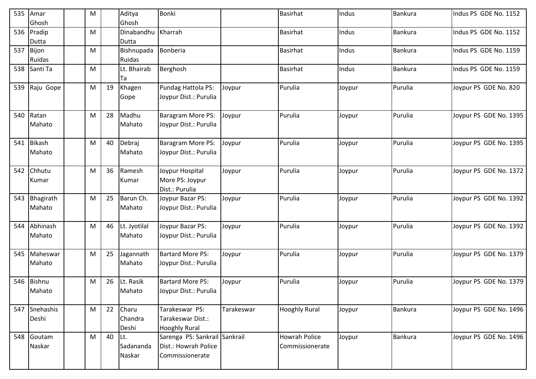| 535 | Amar          | M |    | Aditya       | Bonki                         |            | <b>Basirhat</b>      | Indus  | Bankura        | Indus PS GDE No. 1152  |
|-----|---------------|---|----|--------------|-------------------------------|------------|----------------------|--------|----------------|------------------------|
|     | Ghosh         |   |    | Ghosh        |                               |            |                      |        |                |                        |
| 536 | Pradip        | M |    | Dinabandhu   | Kharrah                       |            | <b>Basirhat</b>      | Indus  | Bankura        | Indus PS GDE No. 1152  |
|     | Dutta         |   |    | Dutta        |                               |            |                      |        |                |                        |
| 537 | Bijon         | M |    | Bishnupada   | Bonberia                      |            | <b>Basirhat</b>      | Indus  | <b>Bankura</b> | Indus PS GDE No. 1159  |
|     | Ruidas        |   |    | Ruidas       |                               |            |                      |        |                |                        |
| 538 | Santi Ta      | M |    | Lt. Bhairab  | Berghosh                      |            | <b>Basirhat</b>      | Indus  | Bankura        | Indus PS GDE No. 1159  |
|     |               |   |    | Ta           |                               |            |                      |        |                |                        |
| 539 | Raju Gope     | M | 19 | Khagen       | Pundag Hattola PS:            | Joypur     | Purulia              | Joypur | Purulia        | Joypur PS GDE No. 820  |
|     |               |   |    | Gope         | Joypur Dist.: Purulia         |            |                      |        |                |                        |
|     |               |   |    |              |                               |            |                      |        |                |                        |
| 540 | Ratan         | M | 28 | Madhu        | Baragram More PS:             | Joypur     | Purulia              | Joypur | Purulia        | Joypur PS GDE No. 1395 |
|     | Mahato        |   |    | Mahato       | Joypur Dist.: Purulia         |            |                      |        |                |                        |
|     |               |   | 40 |              |                               |            |                      |        | Purulia        | Joypur PS GDE No. 1395 |
| 541 | <b>Bikash</b> | M |    | Debraj       | Baragram More PS:             | Joypur     | Purulia              | Joypur |                |                        |
|     | Mahato        |   |    | Mahato       | Joypur Dist.: Purulia         |            |                      |        |                |                        |
| 542 | Chhutu        | M | 36 | Ramesh       | Joypur Hospital               | Joypur     | Purulia              | Joypur | Purulia        | Joypur PS GDE No. 1372 |
|     | Kumar         |   |    | Kumar        | More PS: Joypur               |            |                      |        |                |                        |
|     |               |   |    |              | Dist.: Purulia                |            |                      |        |                |                        |
| 543 | Bhagirath     | M | 25 | Barun Ch.    | Joypur Bazar PS:              | Joypur     | Purulia              | Joypur | Purulia        | Joypur PS GDE No. 1392 |
|     | Mahato        |   |    | Mahato       | Joypur Dist.: Purulia         |            |                      |        |                |                        |
|     |               |   |    |              |                               |            |                      |        |                |                        |
| 544 | Abhinash      | M | 46 | Lt. Jyotilal | Joypur Bazar PS:              | Joypur     | Purulia              | Joypur | Purulia        | Joypur PS GDE No. 1392 |
|     | Mahato        |   |    | Mahato       | Joypur Dist.: Purulia         |            |                      |        |                |                        |
|     |               |   |    |              |                               |            |                      |        |                |                        |
| 545 | Maheswar      | M | 25 | Jagannath    | <b>Bartard More PS:</b>       | Joypur     | Purulia              | Joypur | Purulia        | Joypur PS GDE No. 1379 |
|     | Mahato        |   |    | Mahato       | Joypur Dist.: Purulia         |            |                      |        |                |                        |
|     |               |   |    |              |                               |            |                      |        |                |                        |
| 546 | <b>Bishnu</b> | M | 26 | Lt. Rasik    | <b>Bartard More PS:</b>       | Joypur     | Purulia              | Joypur | Purulia        | Joypur PS GDE No. 1379 |
|     | Mahato        |   |    | Mahato       | Joypur Dist.: Purulia         |            |                      |        |                |                        |
|     | 547 Snehashis | M | 22 | Charu        | Tarakeswar PS:                | Tarakeswar | <b>Hooghly Rural</b> | Joypur | Bankura        | Joypur PS GDE No. 1496 |
|     | Deshi         |   |    | Chandra      | Tarakeswar Dist.:             |            |                      |        |                |                        |
|     |               |   |    | Deshi        | <b>Hooghly Rural</b>          |            |                      |        |                |                        |
| 548 | Goutam        | M | 40 | ILt.         | Sarenga PS: Sankrail Sankrail |            | Howrah Police        | Joypur | <b>Bankura</b> | Joypur PS GDE No. 1496 |
|     | Naskar        |   |    | Sadananda    | Dist.: Howrah Police          |            | Commissionerate      |        |                |                        |
|     |               |   |    | Naskar       | Commissionerate               |            |                      |        |                |                        |
|     |               |   |    |              |                               |            |                      |        |                |                        |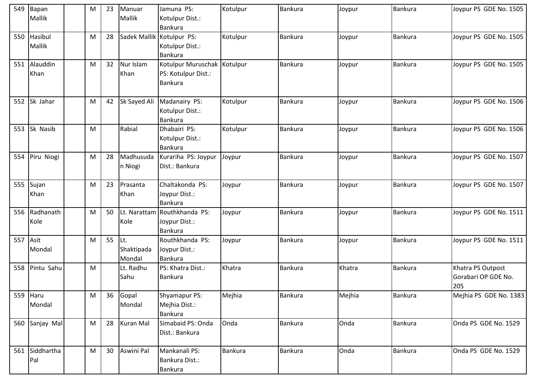| 549 | Bapan          | M         | 23 | Manuar           | Jamuna PS:                   | Kotulpur       | <b>Bankura</b> | Joypur | <b>Bankura</b> | Joypur PS GDE No. 1505 |
|-----|----------------|-----------|----|------------------|------------------------------|----------------|----------------|--------|----------------|------------------------|
|     | Mallik         |           |    | Mallik           | Kotulpur Dist.:              |                |                |        |                |                        |
|     |                |           |    |                  | <b>Bankura</b>               |                |                |        |                |                        |
| 550 | Hasibul        | M         | 28 |                  | Sadek Mallik Kotulpur PS:    | Kotulpur       | <b>Bankura</b> | Joypur | Bankura        | Joypur PS GDE No. 1505 |
|     | Mallik         |           |    |                  | Kotulpur Dist.:              |                |                |        |                |                        |
|     |                |           |    |                  | <b>Bankura</b>               |                |                |        |                |                        |
| 551 | Alauddin       | M         | 32 | Nur Islam        | Kotulpur Muruschak Kotulpur  |                | <b>Bankura</b> | Joypur | <b>Bankura</b> | Joypur PS GDE No. 1505 |
|     | Khan           |           |    | Khan             | PS: Kotulpur Dist.:          |                |                |        |                |                        |
|     |                |           |    |                  | Bankura                      |                |                |        |                |                        |
|     |                |           |    |                  |                              |                |                |        |                |                        |
| 552 | Sk Jahar       | M         | 42 | Sk Sayed Ali     | Madanairy PS:                | Kotulpur       | <b>Bankura</b> | Joypur | Bankura        | Joypur PS GDE No. 1506 |
|     |                |           |    |                  | Kotulpur Dist.:              |                |                |        |                |                        |
|     |                |           |    |                  | Bankura                      |                |                |        |                |                        |
| 553 | Sk Nasib       | M         |    | Rabial           | Dhabairi PS:                 | Kotulpur       | Bankura        | Joypur | <b>Bankura</b> | Joypur PS GDE No. 1506 |
|     |                |           |    |                  | Kotulpur Dist.:              |                |                |        |                |                        |
|     |                |           |    |                  | <b>Bankura</b>               |                |                |        |                |                        |
| 554 | Piru Niogi     | M         | 28 | Madhusuda        | Kurariha PS: Joypur          | Joypur         | <b>Bankura</b> | Joypur | Bankura        | Joypur PS GDE No. 1507 |
|     |                |           |    | n Niogi          | Dist.: Bankura               |                |                |        |                |                        |
|     |                |           |    |                  |                              |                |                |        |                |                        |
| 555 | Sujan          | M         | 23 | Prasanta         | Chaltakonda PS:              | Joypur         | <b>Bankura</b> | Joypur | <b>Bankura</b> | Joypur PS GDE No. 1507 |
|     | Khan           |           |    | Khan             | Joypur Dist.:                |                |                |        |                |                        |
|     |                |           |    |                  | <b>Bankura</b>               |                |                |        |                |                        |
| 556 | Radhanath      | ${\sf M}$ | 50 |                  | Lt. Narattam Routhkhanda PS: | Joypur         | <b>Bankura</b> | Joypur | Bankura        | Joypur PS GDE No. 1511 |
|     | Kole           |           |    | Kole             | Joypur Dist.:                |                |                |        |                |                        |
|     |                |           |    |                  | <b>Bankura</b>               |                |                |        |                |                        |
| 557 | Asit           | M         | 55 | Lt.              | Routhkhanda PS:              | Joypur         | <b>Bankura</b> | Joypur | <b>Bankura</b> | Joypur PS GDE No. 1511 |
|     | Mondal         |           |    | Shaktipada       | Joypur Dist.:                |                |                |        |                |                        |
|     |                |           |    | Mondal           | <b>Bankura</b>               |                |                |        |                |                        |
| 558 | Pintu Sahu     | M         |    | Lt. Radhu        | PS: Khatra Dist.:            | Khatra         | <b>Bankura</b> | Khatra | Bankura        | Khatra PS Outpost      |
|     |                |           |    | Sahu             | Bankura                      |                |                |        |                | Gorabari OP GDE No.    |
|     |                |           |    |                  |                              |                |                |        |                | 205                    |
| 559 | Haru           | M         | 36 | Gopal            | Shyamapur PS:                | Mejhia         | <b>Bankura</b> | Mejhia | <b>Bankura</b> | Mejhia PS GDE No. 1383 |
|     | Mondal         |           |    | Mondal           | Mejhia Dist.:                |                |                |        |                |                        |
|     |                |           |    |                  | Bankura                      |                |                |        |                |                        |
| 560 | Sanjay Mal     | M         | 28 | <b>Kuran Mal</b> | Simabaid PS: Onda            | Onda           | <b>Bankura</b> | Onda   | Bankura        | Onda PS GDE No. 1529   |
|     |                |           |    |                  | Dist.: Bankura               |                |                |        |                |                        |
|     |                |           |    |                  |                              |                |                |        |                |                        |
|     | 561 Siddhartha | M         | 30 | Aswini Pal       | Mankanali PS:                | <b>Bankura</b> | <b>Bankura</b> | Onda   | Bankura        | Onda PS GDE No. 1529   |
|     | Pal            |           |    |                  | Bankura Dist.:               |                |                |        |                |                        |
|     |                |           |    |                  | Bankura                      |                |                |        |                |                        |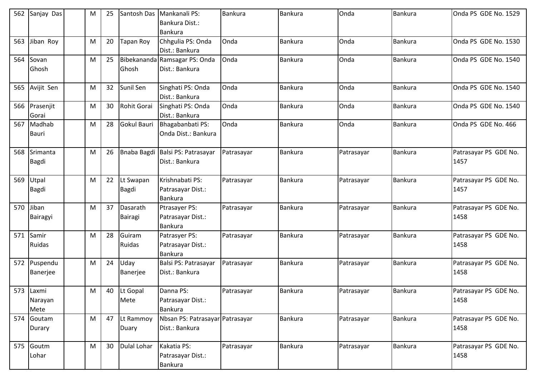| 562 | Sanjay Das    | M | 25 | Santosh Das      | Mankanali PS:                    | <b>Bankura</b> | Bankura        | Onda       | Bankura        | Onda PS GDE No. 1529  |
|-----|---------------|---|----|------------------|----------------------------------|----------------|----------------|------------|----------------|-----------------------|
|     |               |   |    |                  | Bankura Dist.:                   |                |                |            |                |                       |
|     |               |   |    |                  | Bankura                          |                |                |            |                |                       |
| 563 | Jiban Roy     | M | 20 | <b>Tapan Roy</b> | Chhgulia PS: Onda                | Onda           | <b>Bankura</b> | Onda       | <b>Bankura</b> | Onda PS GDE No. 1530  |
|     |               |   |    |                  | Dist.: Bankura                   |                |                |            |                |                       |
| 564 | Sovan         | M | 25 |                  | Bibekananda Ramsagar PS: Onda    | Onda           | Bankura        | Onda       | Bankura        | Onda PS GDE No. 1540  |
|     | Ghosh         |   |    | Ghosh            | Dist.: Bankura                   |                |                |            |                |                       |
| 565 | Avijit Sen    | M | 32 | Sunil Sen        | Singhati PS: Onda                | Onda           | Bankura        | Onda       | Bankura        | Onda PS GDE No. 1540  |
|     |               |   |    |                  | Dist.: Bankura                   |                |                |            |                |                       |
| 566 | Prasenjit     | M | 30 | Rohit Gorai      | Singhati PS: Onda                | Onda           | <b>Bankura</b> | Onda       | <b>Bankura</b> | Onda PS GDE No. 1540  |
|     | Gorai         |   |    |                  | Dist.: Bankura                   |                |                |            |                |                       |
| 567 | Madhab        | M | 28 | Gokul Bauri      | Bhagabanbati PS:                 | Onda           | <b>Bankura</b> | Onda       | <b>Bankura</b> | Onda PS GDE No. 466   |
|     | <b>Bauri</b>  |   |    |                  | Onda Dist.: Bankura              |                |                |            |                |                       |
|     |               |   |    |                  |                                  |                |                |            |                |                       |
| 568 | Srimanta      | M | 26 |                  | Bnaba Bagdi Balsi PS: Patrasayar | Patrasayar     | <b>Bankura</b> | Patrasayar | <b>Bankura</b> | Patrasayar PS GDE No. |
|     | Bagdi         |   |    |                  | Dist.: Bankura                   |                |                |            |                | 1457                  |
|     |               |   |    |                  |                                  |                |                |            |                |                       |
| 569 | Utpal         | M | 22 | Lt Swapan        | Krishnabati PS:                  | Patrasayar     | Bankura        | Patrasayar | <b>Bankura</b> | Patrasayar PS GDE No. |
|     | Bagdi         |   |    | <b>Bagdi</b>     | Patrasayar Dist.:                |                |                |            |                | 1457                  |
|     |               |   |    |                  | <b>Bankura</b>                   |                |                |            |                |                       |
| 570 | Jiban         | M | 37 | Dasarath         | Ptrasayer PS:                    | Patrasayar     | Bankura        | Patrasayar | <b>Bankura</b> | Patrasayar PS GDE No. |
|     | Bairagyi      |   |    | <b>Bairagi</b>   | Patrasayar Dist.:                |                |                |            |                | 1458                  |
|     |               |   |    |                  | <b>Bankura</b>                   |                |                |            |                |                       |
| 571 | Samir         | M | 28 | Guiram           | Patrasyer PS:                    | Patrasayar     | Bankura        | Patrasayar | <b>Bankura</b> | Patrasayar PS GDE No. |
|     | <b>Ruidas</b> |   |    | Ruidas           | Patrasayar Dist.:                |                |                |            |                | 1458                  |
|     |               |   |    |                  | <b>Bankura</b>                   |                |                |            |                |                       |
| 572 | Puspendu      | M | 24 | Uday             | Balsi PS: Patrasayar             | Patrasayar     | <b>Bankura</b> | Patrasayar | <b>Bankura</b> | Patrasayar PS GDE No. |
|     | Banerjee      |   |    | Banerjee         | Dist.: Bankura                   |                |                |            |                | 1458                  |
|     |               |   |    |                  |                                  |                |                |            |                |                       |
|     | 573 Laxmi     | M | 40 | Lt Gopal         | Danna PS:                        | Patrasayar     | Bankura        | Patrasayar | <b>Bankura</b> | Patrasayar PS GDE No. |
|     | Narayan       |   |    | Mete             | Patrasayar Dist.:                |                |                |            |                | 1458                  |
|     | Mete          |   |    |                  | <b>Bankura</b>                   |                |                |            |                |                       |
| 574 | Goutam        | M | 47 | Lt Rammoy        | Nbsan PS: Patrasayar Patrasayar  |                | Bankura        | Patrasayar | Bankura        | Patrasayar PS GDE No. |
|     | Durary        |   |    | Duary            | Dist.: Bankura                   |                |                |            |                | 1458                  |
| 575 | Goutm         | M | 30 | Dulal Lohar      | Kakatia PS:                      | Patrasayar     | <b>Bankura</b> | Patrasayar | <b>Bankura</b> | Patrasayar PS GDE No. |
|     | Lohar         |   |    |                  | Patrasayar Dist.:                |                |                |            |                | 1458                  |
|     |               |   |    |                  | Bankura                          |                |                |            |                |                       |
|     |               |   |    |                  |                                  |                |                |            |                |                       |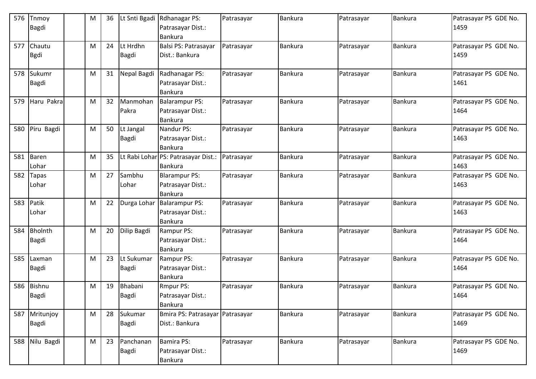| 576 | Tnmoy<br>Bagdi                 | M | 36 | Lt Snti Bgadi              | Rdhanagar PS:<br>Patrasayar Dist.:<br>Bankura           | Patrasayar | <b>Bankura</b> | Patrasayar | <b>Bankura</b> | Patrasayar PS GDE No.<br>1459 |
|-----|--------------------------------|---|----|----------------------------|---------------------------------------------------------|------------|----------------|------------|----------------|-------------------------------|
| 577 | Chautu<br><b>Bgdi</b>          | М | 24 | Lt Hrdhn<br><b>Bagdi</b>   | Balsi PS: Patrasayar<br>Dist.: Bankura                  | Patrasayar | <b>Bankura</b> | Patrasayar | <b>Bankura</b> | Patrasayar PS GDE No.<br>1459 |
| 578 | Sukumr<br>Bagdi                | M | 31 | Nepal Bagdi                | Radhanagar PS:<br>Patrasayar Dist.:<br>Bankura          | Patrasayar | <b>Bankura</b> | Patrasayar | <b>Bankura</b> | Patrasayar PS GDE No.<br>1461 |
| 579 | Haru Pakra                     | M | 32 | Manmohan<br>Pakra          | <b>Balarampur PS:</b><br>Patrasayar Dist.:<br>Bankura   | Patrasayar | Bankura        | Patrasayar | <b>Bankura</b> | Patrasayar PS GDE No.<br>1464 |
| 580 | Piru Bagdi                     | M | 50 | Lt Jangal<br>Bagdi         | Nandur PS:<br>Patrasayar Dist.:<br>Bankura              | Patrasayar | <b>Bankura</b> | Patrasayar | <b>Bankura</b> | Patrasayar PS GDE No.<br>1463 |
| 581 | Baren<br>Lohar                 | M | 35 |                            | Lt Rabi Lohar PS: Patrasayar Dist.:<br><b>Bankura</b>   | Patrasayar | Bankura        | Patrasayar | Bankura        | Patrasayar PS GDE No.<br>1463 |
| 582 | Tapas<br>Lohar                 | M | 27 | Sambhu<br>Lohar            | <b>Blarampur PS:</b><br>Patrasayar Dist.:<br>Bankura    | Patrasayar | <b>Bankura</b> | Patrasayar | Bankura        | Patrasayar PS GDE No.<br>1463 |
| 583 | Patik<br>Lohar                 | M | 22 | Durga Lohar                | <b>Balarampur PS:</b><br>Patrasayar Dist.:<br>Bankura   | Patrasayar | <b>Bankura</b> | Patrasayar | Bankura        | Patrasayar PS GDE No.<br>1463 |
| 584 | <b>Bholnth</b><br><b>Bagdi</b> | M | 20 | Dilip Bagdi                | Rampur PS:<br>Patrasayar Dist.:<br>Bankura              | Patrasayar | Bankura        | Patrasayar | <b>Bankura</b> | Patrasayar PS GDE No.<br>1464 |
| 585 | Laxman<br><b>Bagdi</b>         | M | 23 | Lt Sukumar<br><b>Bagdi</b> | Rampur PS:<br>Patrasayar Dist.:<br>Bankura              | Patrasayar | <b>Bankura</b> | Patrasayar | <b>Bankura</b> | Patrasayar PS GDE No.<br>1464 |
| 586 | <b>Bishnu</b><br>Bagdi         | М | 19 | Bhabani<br>Bagdi           | <b>Rmpur PS:</b><br>Patrasayar Dist.:<br><b>Bankura</b> | Patrasayar | <b>Bankura</b> | Patrasayar | <b>Bankura</b> | Patrasayar PS GDE No.<br>1464 |
| 587 | Mritunjoy<br><b>Bagdi</b>      | M | 28 | Sukumar<br>Bagdi           | Bmira PS: Patrasayar Patrasayar<br>Dist.: Bankura       |            | Bankura        | Patrasayar | <b>Bankura</b> | Patrasayar PS GDE No.<br>1469 |
| 588 | Nilu Bagdi                     | M | 23 | Panchanan<br><b>Bagdi</b>  | <b>Bamira PS:</b><br>Patrasayar Dist.:<br>Bankura       | Patrasayar | Bankura        | Patrasayar | Bankura        | Patrasayar PS GDE No.<br>1469 |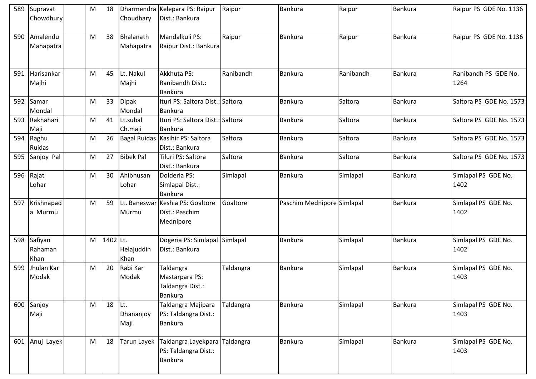| 589 | Supravat<br>Chowdhury      | M | 18       | Choudhary                 | Dharmendra Kelepara PS: Raipur<br>Dist.: Bankura                  | Raipur    | <b>Bankura</b>             | Raipur    | Bankura        | Raipur PS GDE No. 1136       |
|-----|----------------------------|---|----------|---------------------------|-------------------------------------------------------------------|-----------|----------------------------|-----------|----------------|------------------------------|
| 590 | Amalendu<br>Mahapatra      | M | 38       | Bhalanath<br>Mahapatra    | Mandalkuli PS:<br>Raipur Dist.: Bankura                           | Raipur    | <b>Bankura</b>             | Raipur    | <b>Bankura</b> | Raipur PS GDE No. 1136       |
| 591 | Harisankar<br>Majhi        | M | 45       | Lt. Nakul<br>Majhi        | Akkhuta PS:<br>Ranibandh Dist.:<br><b>Bankura</b>                 | Ranibandh | <b>Bankura</b>             | Ranibandh | Bankura        | Ranibandh PS GDE No.<br>1264 |
| 592 | Samar<br>Mondal            | M | 33       | <b>Dipak</b><br>Mondal    | Ituri PS: Saltora Dist.: Saltora<br><b>Bankura</b>                |           | <b>Bankura</b>             | Saltora   | <b>Bankura</b> | Saltora PS GDE No. 1573      |
| 593 | Rakhahari<br>Maji          | M | 41       | Lt.subal<br>Ch.maji       | Ituri PS: Saltora Dist.: Saltora<br><b>Bankura</b>                |           | <b>Bankura</b>             | Saltora   | Bankura        | Saltora PS GDE No. 1573      |
| 594 | Raghu<br>Ruidas            | M | 26       |                           | Bagal Ruidas   Kasihir PS: Saltora<br>Dist.: Bankura              | Saltora   | <b>Bankura</b>             | Saltora   | Bankura        | Saltora PS GDE No. 1573      |
| 595 | Sanjoy Pal                 | M | 27       | <b>Bibek Pal</b>          | Tiluri PS: Saltora<br>Dist.: Bankura                              | Saltora   | <b>Bankura</b>             | Saltora   | Bankura        | Saltora PS GDE No. 1573      |
| 596 | Rajat<br>Lohar             | M | 30       | Ahibhusan<br>Lohar        | Dolderia PS:<br>Simlapal Dist.:<br><b>Bankura</b>                 | Simlapal  | Bankura                    | Simlapal  | <b>Bankura</b> | Simlapal PS GDE No.<br>1402  |
| 597 | Krishnapad<br>a Murmu      | M | 59       | Murmu                     | Lt. Baneswar Keshia PS: Goaltore<br>Dist.: Paschim<br>Mednipore   | Goaltore  | Paschim Mednipore Simlapal |           | Bankura        | Simlapal PS GDE No.<br>1402  |
| 598 | Safiyan<br>Rahaman<br>Khan | M | 1402 Lt. | Helajuddin<br>Khan        | Dogeria PS: Simlapal Simlapal<br>Dist.: Bankura                   |           | Bankura                    | Simlapal  | Bankura        | Simlapal PS GDE No.<br>1402  |
| 599 | Jhulan Kar<br>Modak        | M | 20       | Rabi Kar<br>Modak         | Taldangra<br>Mastarpara PS:<br>Taldangra Dist.:<br><b>Bankura</b> | Taldangra | <b>Bankura</b>             | Simlapal  | <b>Bankura</b> | Simlapal PS GDE No.<br>1403  |
| 600 | Sanjoy<br>Maji             | M | 18       | lLt.<br>Dhananjoy<br>Maji | Taldangra Majipara<br>PS: Taldangra Dist.:<br><b>Bankura</b>      | Taldangra | Bankura                    | Simlapal  | Bankura        | Simlapal PS GDE No.<br>1403  |
| 601 | Anuj Layek                 | M | 18       | Tarun Layek               | Taldangra Layekpara<br>PS: Taldangra Dist.:<br><b>Bankura</b>     | Taldangra | Bankura                    | Simlapal  | Bankura        | Simlapal PS GDE No.<br>1403  |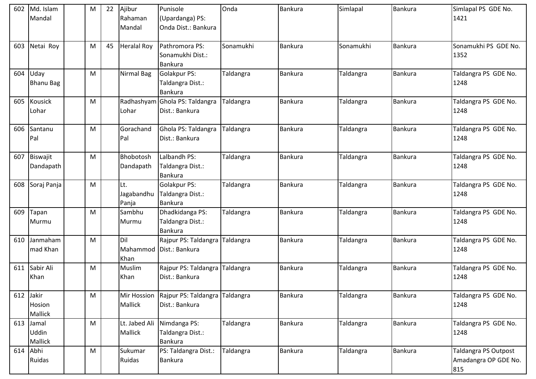| 602 | Md. Islam<br>Mandal        | M | 22 | Ajibur<br>Rahaman<br>Mandal | Punisole<br>(Upardanga) PS:<br>Onda Dist.: Bankura        | Onda      | Bankura        | Simlapal  | <b>Bankura</b> | Simlapal PS GDE No.<br>1421                         |
|-----|----------------------------|---|----|-----------------------------|-----------------------------------------------------------|-----------|----------------|-----------|----------------|-----------------------------------------------------|
| 603 | Netai Roy                  | M | 45 | <b>Heralal Roy</b>          | Pathromora PS:<br>Sonamukhi Dist.:<br><b>Bankura</b>      | Sonamukhi | Bankura        | Sonamukhi | Bankura        | Sonamukhi PS GDE No.<br>1352                        |
| 604 | Uday<br><b>Bhanu Bag</b>   | M |    | Nirmal Bag                  | <b>Golakpur PS:</b><br>Taldangra Dist.:<br><b>Bankura</b> | Taldangra | <b>Bankura</b> | Taldangra | Bankura        | Taldangra PS GDE No.<br>1248                        |
| 605 | <b>Kousick</b><br>Lohar    | M |    | Lohar                       | Radhashyam Ghola PS: Taldangra<br>Dist.: Bankura          | Taldangra | <b>Bankura</b> | Taldangra | Bankura        | Taldangra PS GDE No.<br>1248                        |
| 606 | Santanu<br>Pal             | M |    | Gorachand<br>Pal            | Ghola PS: Taldangra<br>Dist.: Bankura                     | Taldangra | <b>Bankura</b> | Taldangra | Bankura        | Taldangra PS GDE No.<br>1248                        |
| 607 | Biswajit<br>Dandapath      | M |    | Bhobotosh<br>Dandapath      | Lalbandh PS:<br>Taldangra Dist.:<br>Bankura               | Taldangra | <b>Bankura</b> | Taldangra | Bankura        | Taldangra PS GDE No.<br>1248                        |
| 608 | Soraj Panja                | M |    | Lt.<br>Jagabandhu<br>Panja  | <b>Golakpur PS:</b><br>Taldangra Dist.:<br>Bankura        | Taldangra | <b>Bankura</b> | Taldangra | <b>Bankura</b> | Taldangra PS GDE No.<br>1248                        |
| 609 | Tapan<br>Murmu             | M |    | Sambhu<br>Murmu             | Dhadkidanga PS:<br>Taldangra Dist.:<br><b>Bankura</b>     | Taldangra | <b>Bankura</b> | Taldangra | Bankura        | Taldangra PS GDE No.<br>1248                        |
| 610 | Janmaham<br>mad Khan       | M |    | Dil<br>Mahammod<br>Khan     | Rajpur PS: Taldangra<br>Dist.: Bankura                    | Taldangra | <b>Bankura</b> | Taldangra | <b>Bankura</b> | Taldangra PS GDE No.<br>1248                        |
| 611 | Sabir Ali<br>Khan          | M |    | Muslim<br>Khan              | Rajpur PS: Taldangra<br>Dist.: Bankura                    | Taldangra | Bankura        | Taldangra | <b>Bankura</b> | Taldangra PS GDE No.<br>1248                        |
| 612 | Jakir<br>Hosion<br>Mallick | M |    | Mir Hossion<br>Mallick      | Rajpur PS: Taldangra<br>Dist.: Bankura                    | Taldangra | <b>Bankura</b> | Taldangra | <b>Bankura</b> | Taldangra PS GDE No.<br>1248                        |
| 613 | Jamal<br>Uddin<br>Mallick  | M |    | Lt. Jabed Ali<br>Mallick    | Nimdanga PS:<br>Taldangra Dist.:<br><b>Bankura</b>        | Taldangra | Bankura        | Taldangra | Bankura        | Taldangra PS GDE No.<br>1248                        |
| 614 | Abhi<br>Ruidas             | M |    | Sukumar<br>Ruidas           | PS: Taldangra Dist.:<br>Bankura                           | Taldangra | Bankura        | Taldangra | Bankura        | Taldangra PS Outpost<br>Amadangra OP GDE No.<br>815 |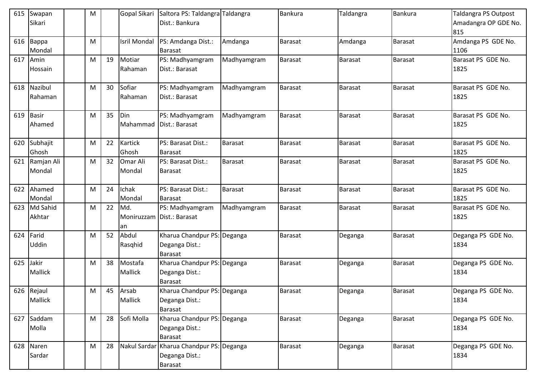| 615 | Swapan<br>Sikari | M |    |                     | Gopal Sikari Saltora PS: Taldangra Taldangra<br>Dist.: Bankura |             | Bankura        | Taldangra      | <b>Bankura</b> | <b>Taldangra PS Outpost</b><br>Amadangra OP GDE No. |
|-----|------------------|---|----|---------------------|----------------------------------------------------------------|-------------|----------------|----------------|----------------|-----------------------------------------------------|
|     |                  |   |    |                     |                                                                |             |                |                |                | 815                                                 |
| 616 | Bappa            | M |    | <b>Isril Mondal</b> | PS: Amdanga Dist.:                                             | Amdanga     | <b>Barasat</b> | Amdanga        | <b>Barasat</b> | Amdanga PS GDE No.                                  |
|     | Mondal           |   |    |                     | Barasat                                                        |             |                |                |                | 1106                                                |
| 617 | Amin             | M | 19 | Motiar              | PS: Madhyamgram                                                | Madhyamgram | Barasat        | Barasat        | <b>Barasat</b> | Barasat PS GDE No.                                  |
|     | Hossain          |   |    | Rahaman             | Dist.: Barasat                                                 |             |                |                |                | 1825                                                |
| 618 | Nazibul          | M | 30 | Sofiar              | PS: Madhyamgram                                                | Madhyamgram | <b>Barasat</b> | <b>Barasat</b> | <b>Barasat</b> | Barasat PS GDE No.                                  |
|     | Rahaman          |   |    | Rahaman             | Dist.: Barasat                                                 |             |                |                |                | 1825                                                |
| 619 | Basir            | M | 35 | Din                 | PS: Madhyamgram                                                | Madhyamgram | <b>Barasat</b> | <b>Barasat</b> | Barasat        | Barasat PS GDE No.                                  |
|     | Ahamed           |   |    | Mahammad            | Dist.: Barasat                                                 |             |                |                |                | 1825                                                |
| 620 | Subhajit         | M | 22 | Kartick             | PS: Barasat Dist.:                                             | Barasat     | Barasat        | Barasat        | <b>Barasat</b> | Barasat PS GDE No.                                  |
|     | Ghosh            |   |    | Ghosh               | <b>Barasat</b>                                                 |             |                |                |                | 1825                                                |
| 621 | Ramjan Ali       | M | 32 | Omar Ali            | PS: Barasat Dist.:                                             | Barasat     | <b>Barasat</b> | <b>Barasat</b> | <b>Barasat</b> | Barasat PS GDE No.                                  |
|     | Mondal           |   |    | Mondal              | Barasat                                                        |             |                |                |                | 1825                                                |
| 622 | Ahamed           | M | 24 | Ichak               | PS: Barasat Dist.:                                             | Barasat     | <b>Barasat</b> | Barasat        | Barasat        | Barasat PS GDE No.                                  |
|     | Mondal           |   |    | Mondal              | <b>Barasat</b>                                                 |             |                |                |                | 1825                                                |
| 623 | Md Sahid         | M | 22 | Md.                 | PS: Madhyamgram                                                | Madhyamgram | Barasat        | <b>Barasat</b> | <b>Barasat</b> | Barasat PS GDE No.                                  |
|     | Akhtar           |   |    | Moniruzzam<br>an    | Dist.: Barasat                                                 |             |                |                |                | 1825                                                |
| 624 | Farid            | M | 52 | Abdul               | Kharua Chandpur PS: Deganga                                    |             | <b>Barasat</b> | Deganga        | Barasat        | Deganga PS GDE No.                                  |
|     | Uddin            |   |    | Rasghid             | Deganga Dist.:                                                 |             |                |                |                | 1834                                                |
|     |                  |   |    |                     | <b>Barasat</b>                                                 |             |                |                |                |                                                     |
| 625 | Jakir            | M | 38 | Mostafa             | Kharua Chandpur PS: Deganga                                    |             | Barasat        | Deganga        | <b>Barasat</b> | Deganga PS GDE No.                                  |
|     | Mallick          |   |    | Mallick             | Deganga Dist.:<br><b>Barasat</b>                               |             |                |                |                | 1834                                                |
|     | 626 Rejaul       | M | 45 | Arsab               | Kharua Chandpur PS: Deganga                                    |             | <b>Barasat</b> | Deganga        | <b>Barasat</b> | Deganga PS GDE No.                                  |
|     | <b>Mallick</b>   |   |    | Mallick             | Deganga Dist.:                                                 |             |                |                |                | 1834                                                |
|     |                  |   |    |                     | Barasat                                                        |             |                |                |                |                                                     |
| 627 | Saddam           | M | 28 | Sofi Molla          | Kharua Chandpur PS: Deganga                                    |             | Barasat        | Deganga        | Barasat        | Deganga PS GDE No.                                  |
|     | Molla            |   |    |                     | Deganga Dist.:                                                 |             |                |                |                | 1834                                                |
|     |                  |   |    |                     | Barasat                                                        |             |                |                |                |                                                     |
| 628 | Naren            | M | 28 | Nakul Sardar        | Kharua Chandpur PS: Deganga                                    |             | Barasat        | Deganga        | <b>Barasat</b> | Deganga PS GDE No.                                  |
|     | Sardar           |   |    |                     | Deganga Dist.:                                                 |             |                |                |                | 1834                                                |
|     |                  |   |    |                     | Barasat                                                        |             |                |                |                |                                                     |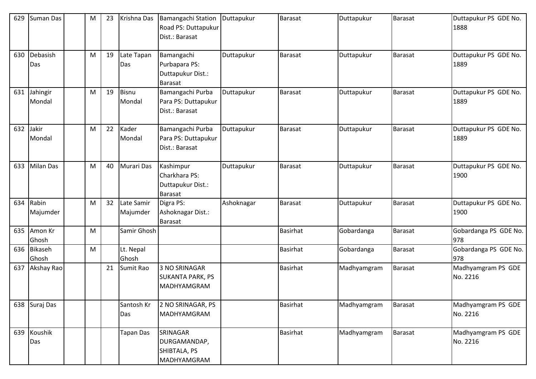| 629 | Suman Das          | M | 23 | Krishna Das            | <b>Bamangachi Station</b><br>Road PS: Duttapukur<br>Dist.: Barasat | Duttapukur | <b>Barasat</b>  | Duttapukur  | Barasat        | Duttapukur PS GDE No.<br>1888  |
|-----|--------------------|---|----|------------------------|--------------------------------------------------------------------|------------|-----------------|-------------|----------------|--------------------------------|
| 630 | Debasish<br>Das    | M | 19 | Late Tapan<br>Das      | Bamangachi<br>Purbapara PS:<br>Duttapukur Dist.:<br><b>Barasat</b> | Duttapukur | <b>Barasat</b>  | Duttapukur  | Barasat        | Duttapukur PS GDE No.<br>1889  |
| 631 | Jahingir<br>Mondal | M | 19 | <b>Bisnu</b><br>Mondal | Bamangachi Purba<br>Para PS: Duttapukur<br>Dist.: Barasat          | Duttapukur | <b>Barasat</b>  | Duttapukur  | <b>Barasat</b> | Duttapukur PS GDE No.<br>1889  |
| 632 | Jakir<br>Mondal    | M | 22 | Kader<br>Mondal        | Bamangachi Purba<br>Para PS: Duttapukur<br>Dist.: Barasat          | Duttapukur | <b>Barasat</b>  | Duttapukur  | Barasat        | Duttapukur PS GDE No.<br>1889  |
| 633 | <b>Milan Das</b>   | M | 40 | Murari Das             | Kashimpur<br>Charkhara PS:<br>Duttapukur Dist.:<br><b>Barasat</b>  | Duttapukur | <b>Barasat</b>  | Duttapukur  | Barasat        | Duttapukur PS GDE No.<br>1900  |
| 634 | Rabin<br>Majumder  | M | 32 | Late Samir<br>Majumder | Digra PS:<br>Ashoknagar Dist.:<br><b>Barasat</b>                   | Ashoknagar | <b>Barasat</b>  | Duttapukur  | <b>Barasat</b> | Duttapukur PS GDE No.<br>1900  |
| 635 | Amon Kr<br>Ghosh   | M |    | Samir Ghosh            |                                                                    |            | <b>Basirhat</b> | Gobardanga  | Barasat        | Gobardanga PS GDE No.<br>978   |
| 636 | Bikaseh<br>Ghosh   | M |    | Lt. Nepal<br>Ghosh     |                                                                    |            | Basirhat        | Gobardanga  | Barasat        | Gobardanga PS GDE No.<br>978   |
| 637 | Akshay Rao         |   | 21 | Sumit Rao              | 3 NO SRINAGAR<br><b>SUKANTA PARK, PS</b><br><b>MADHYAMGRAM</b>     |            | <b>Basirhat</b> | Madhyamgram | <b>Barasat</b> | Madhyamgram PS GDE<br>No. 2216 |
| 638 | Suraj Das          |   |    | Santosh Kr<br>Das      | 2 NO SRINAGAR, PS<br>MADHYAMGRAM                                   |            | <b>Basirhat</b> | Madhyamgram | Barasat        | Madhyamgram PS GDE<br>No. 2216 |
| 639 | Koushik<br>Das     |   |    | Tapan Das              | SRINAGAR<br>DURGAMANDAP,<br>SHIBTALA, PS<br>MADHYAMGRAM            |            | Basirhat        | Madhyamgram | <b>Barasat</b> | Madhyamgram PS GDE<br>No. 2216 |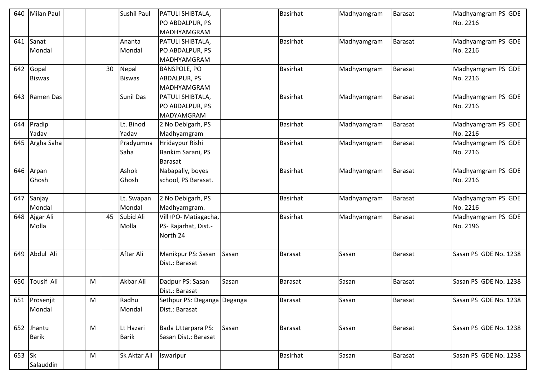| 640    | <b>Milan Paul</b> |   |    | Sushil Paul   | PATULI SHIBTALA,            |       | <b>Basirhat</b> | Madhyamgram | <b>Barasat</b> | Madhyamgram PS GDE    |
|--------|-------------------|---|----|---------------|-----------------------------|-------|-----------------|-------------|----------------|-----------------------|
|        |                   |   |    |               | PO ABDALPUR, PS             |       |                 |             |                | No. 2216              |
|        |                   |   |    |               | MADHYAMGRAM                 |       |                 |             |                |                       |
| 641    | Sanat             |   |    | Ananta        | PATULI SHIBTALA,            |       | <b>Basirhat</b> | Madhyamgram | Barasat        | Madhyamgram PS GDE    |
|        | Mondal            |   |    | Mondal        | PO ABDALPUR, PS             |       |                 |             |                | No. 2216              |
|        |                   |   |    |               | MADHYAMGRAM                 |       |                 |             |                |                       |
| 642    | Gopal             |   | 30 | Nepal         | <b>BANSPOLE, PO</b>         |       | <b>Basirhat</b> | Madhyamgram | <b>Barasat</b> | Madhyamgram PS GDE    |
|        | <b>Biswas</b>     |   |    | <b>Biswas</b> | <b>ABDALPUR, PS</b>         |       |                 |             |                | No. 2216              |
|        |                   |   |    |               | MADHYAMGRAM                 |       |                 |             |                |                       |
| 643    | Ramen Das         |   |    | Sunil Das     | PATULI SHIBTALA,            |       | <b>Basirhat</b> | Madhyamgram | <b>Barasat</b> | Madhyamgram PS GDE    |
|        |                   |   |    |               | PO ABDALPUR, PS             |       |                 |             |                | No. 2216              |
|        |                   |   |    |               | <b>MADYAMGRAM</b>           |       |                 |             |                |                       |
| 644    | Pradip            |   |    | Lt. Binod     | 2 No Debigarh, PS           |       | Basirhat        | Madhyamgram | Barasat        | Madhyamgram PS GDE    |
|        | Yadav             |   |    | Yadav         | Madhyamgram                 |       |                 |             |                | No. 2216              |
| 645    | Argha Saha        |   |    | Pradyumna     | Hridaypur Rishi             |       | <b>Basirhat</b> | Madhyamgram | Barasat        | Madhyamgram PS GDE    |
|        |                   |   |    | Saha          | Bankim Sarani, PS           |       |                 |             |                | No. 2216              |
|        |                   |   |    |               | <b>Barasat</b>              |       |                 |             |                |                       |
| 646    | Arpan             |   |    | Ashok         | Nabapally, boyes            |       | <b>Basirhat</b> | Madhyamgram | Barasat        | Madhyamgram PS GDE    |
|        | Ghosh             |   |    | Ghosh         | school, PS Barasat.         |       |                 |             |                | No. 2216              |
|        |                   |   |    |               |                             |       |                 |             |                |                       |
| 647    | Sanjay            |   |    | Lt. Swapan    | 2 No Debigarh, PS           |       | <b>Basirhat</b> | Madhyamgram | <b>Barasat</b> | Madhyamgram PS GDE    |
|        | Mondal            |   |    | Mondal        | Madhyamgram.                |       |                 |             |                | No. 2216              |
| 648    | Ajgar Ali         |   | 45 | Subid Ali     | Vill+PO- Matiagacha,        |       | <b>Basirhat</b> | Madhyamgram | Barasat        | Madhyamgram PS GDE    |
|        | Molla             |   |    | Molla         | PS- Rajarhat, Dist.-        |       |                 |             |                | No. 2196              |
|        |                   |   |    |               | North 24                    |       |                 |             |                |                       |
|        |                   |   |    |               |                             |       |                 |             |                |                       |
| 649    | Abdul Ali         |   |    | Aftar Ali     | Manikpur PS: Sasan          | Sasan | <b>Barasat</b>  | Sasan       | Barasat        | Sasan PS GDE No. 1238 |
|        |                   |   |    |               | Dist.: Barasat              |       |                 |             |                |                       |
|        |                   |   |    |               |                             |       |                 |             |                |                       |
| 650    | Tousif Ali        | M |    | Akbar Ali     | Dadpur PS: Sasan            | Sasan | <b>Barasat</b>  | Sasan       | <b>Barasat</b> | Sasan PS GDE No. 1238 |
|        |                   |   |    |               | Dist.: Barasat              |       |                 |             |                |                       |
|        | 651 Prosenjit     | M |    | Radhu         | Sethpur PS: Deganga Deganga |       | <b>Barasat</b>  | Sasan       | <b>Barasat</b> | Sasan PS GDE No. 1238 |
|        | Mondal            |   |    | Mondal        | Dist.: Barasat              |       |                 |             |                |                       |
|        |                   |   |    |               |                             |       |                 |             |                |                       |
|        | 652 Jhantu        | M |    | Lt Hazari     | Bada Uttarpara PS:          | Sasan | <b>Barasat</b>  | Sasan       | <b>Barasat</b> | Sasan PS GDE No. 1238 |
|        | <b>Barik</b>      |   |    | <b>Barik</b>  | Sasan Dist.: Barasat        |       |                 |             |                |                       |
|        |                   |   |    |               |                             |       |                 |             |                |                       |
| 653 Sk |                   | M |    | Sk Aktar Ali  | Iswaripur                   |       | Basirhat        | Sasan       | <b>Barasat</b> | Sasan PS GDE No. 1238 |
|        | Salauddin         |   |    |               |                             |       |                 |             |                |                       |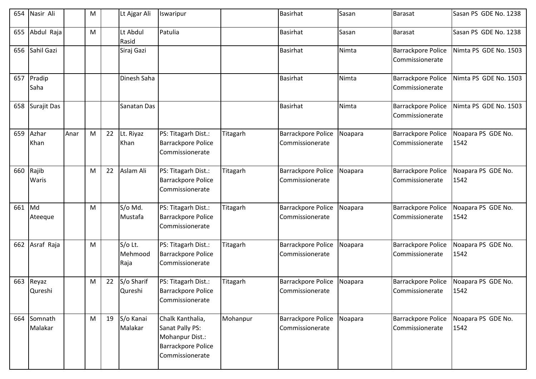| 654 | Nasir Ali          |      | M |    | Lt Ajgar Ali               | Iswaripur                                                                                       |          | <b>Basirhat</b>                              | Sasan   | <b>Barasat</b>                               | Sasan PS GDE No. 1238      |
|-----|--------------------|------|---|----|----------------------------|-------------------------------------------------------------------------------------------------|----------|----------------------------------------------|---------|----------------------------------------------|----------------------------|
| 655 | Abdul Raja         |      | M |    | Lt Abdul<br>Rasid          | Patulia                                                                                         |          | Basirhat                                     | Sasan   | Barasat                                      | Sasan PS GDE No. 1238      |
| 656 | Sahil Gazi         |      |   |    | Siraj Gazi                 |                                                                                                 |          | <b>Basirhat</b>                              | Nimta   | <b>Barrackpore Police</b><br>Commissionerate | Nimta PS GDE No. 1503      |
| 657 | Pradip<br>Saha     |      |   |    | Dinesh Saha                |                                                                                                 |          | <b>Basirhat</b>                              | Nimta   | Barrackpore Police<br>Commissionerate        | Nimta PS GDE No. 1503      |
| 658 | Surajit Das        |      |   |    | Sanatan Das                |                                                                                                 |          | <b>Basirhat</b>                              | Nimta   | <b>Barrackpore Police</b><br>Commissionerate | Nimta PS GDE No. 1503      |
| 659 | Azhar<br>Khan      | Anar | M | 22 | Lt. Riyaz<br>Khan          | PS: Titagarh Dist.:<br><b>Barrackpore Police</b><br>Commissionerate                             | Titagarh | <b>Barrackpore Police</b><br>Commissionerate | Noapara | <b>Barrackpore Police</b><br>Commissionerate | Noapara PS GDE No.<br>1542 |
| 660 | Rajib<br>Waris     |      | M | 22 | Aslam Ali                  | PS: Titagarh Dist.:<br><b>Barrackpore Police</b><br>Commissionerate                             | Titagarh | Barrackpore Police<br>Commissionerate        | Noapara | <b>Barrackpore Police</b><br>Commissionerate | Noapara PS GDE No.<br>1542 |
| 661 | Md<br>Ateeque      |      | M |    | S/o Md.<br>Mustafa         | PS: Titagarh Dist.:<br><b>Barrackpore Police</b><br>Commissionerate                             | Titagarh | <b>Barrackpore Police</b><br>Commissionerate | Noapara | <b>Barrackpore Police</b><br>Commissionerate | Noapara PS GDE No.<br>1542 |
| 662 | Asraf Raja         |      | M |    | S/o Lt.<br>Mehmood<br>Raja | PS: Titagarh Dist.:<br><b>Barrackpore Police</b><br>Commissionerate                             | Titagarh | <b>Barrackpore Police</b><br>Commissionerate | Noapara | <b>Barrackpore Police</b><br>Commissionerate | Noapara PS GDE No.<br>1542 |
| 663 | Reyaz<br>Qureshi   |      | M | 22 | S/o Sharif<br>Qureshi      | PS: Titagarh Dist.:<br><b>Barrackpore Police</b><br>Commissionerate                             | Titagarh | <b>Barrackpore Police</b><br>Commissionerate | Noapara | <b>Barrackpore Police</b><br>Commissionerate | Noapara PS GDE No.<br>1542 |
| 664 | Somnath<br>Malakar |      | M | 19 | S/o Kanai<br>Malakar       | Chalk Kanthalia,<br>Sanat Pally PS:<br>Mohanpur Dist.:<br>Barrackpore Police<br>Commissionerate | Mohanpur | <b>Barrackpore Police</b><br>Commissionerate | Noapara | <b>Barrackpore Police</b><br>Commissionerate | Noapara PS GDE No.<br>1542 |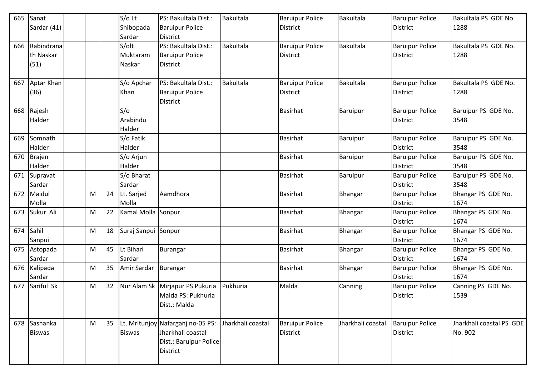| 665 | Sanat         |   |    | S/o Lt              | PS: Bakultala Dist.:                      | Bakultala         | <b>Baruipur Police</b> | <b>Bakultala</b>  | <b>Baruipur Police</b> | Bakultala PS GDE No.     |
|-----|---------------|---|----|---------------------|-------------------------------------------|-------------------|------------------------|-------------------|------------------------|--------------------------|
|     | Sardar (41)   |   |    | Shibopada           | <b>Baruipur Police</b>                    |                   | <b>District</b>        |                   | <b>District</b>        | 1288                     |
|     |               |   |    | Sardar              | <b>District</b>                           |                   |                        |                   |                        |                          |
| 666 | Rabindrana    |   |    | S/olt               | PS: Bakultala Dist.:                      | Bakultala         | <b>Baruipur Police</b> | Bakultala         | <b>Baruipur Police</b> | Bakultala PS GDE No.     |
|     | th Naskar     |   |    | Muktaram            | <b>Baruipur Police</b>                    |                   | <b>District</b>        |                   | <b>District</b>        | 1288                     |
|     | (51)          |   |    | Naskar              | <b>District</b>                           |                   |                        |                   |                        |                          |
|     |               |   |    |                     |                                           |                   |                        |                   |                        |                          |
| 667 | Aptar Khan    |   |    | S/o Apchar          | PS: Bakultala Dist.:                      | <b>Bakultala</b>  | <b>Baruipur Police</b> | <b>Bakultala</b>  | <b>Baruipur Police</b> | Bakultala PS GDE No.     |
|     | (36)          |   |    | Khan                | <b>Baruipur Police</b>                    |                   | <b>District</b>        |                   | <b>District</b>        | 1288                     |
|     |               |   |    |                     | District                                  |                   |                        |                   |                        |                          |
| 668 | Rajesh        |   |    | S/O                 |                                           |                   | Basirhat               | <b>Baruipur</b>   | <b>Baruipur Police</b> | Baruipur PS GDE No.      |
|     | Halder        |   |    | Arabindu            |                                           |                   |                        |                   | <b>District</b>        | 3548                     |
|     |               |   |    | Halder              |                                           |                   |                        |                   |                        |                          |
| 669 | Somnath       |   |    | S/o Fatik           |                                           |                   | <b>Basirhat</b>        | <b>Baruipur</b>   | <b>Baruipur Police</b> | Baruipur PS GDE No.      |
|     | Halder        |   |    | Halder              |                                           |                   |                        |                   | <b>District</b>        | 3548                     |
| 670 | <b>Brajen</b> |   |    | S/o Arjun           |                                           |                   | <b>Basirhat</b>        | <b>Baruipur</b>   | <b>Baruipur Police</b> | Baruipur PS GDE No.      |
|     | Halder        |   |    | Halder              |                                           |                   |                        |                   | <b>District</b>        | 3548                     |
| 671 | Supravat      |   |    | S/o Bharat          |                                           |                   | <b>Basirhat</b>        | Baruipur          | <b>Baruipur Police</b> | Baruipur PS GDE No.      |
|     | Sardar        |   |    | Sardar              |                                           |                   |                        |                   | <b>District</b>        | 3548                     |
| 672 | Maidul        | М | 24 | Lt. Sarjed          | Aamdhora                                  |                   | <b>Basirhat</b>        | Bhangar           | <b>Baruipur Police</b> | Bhangar PS GDE No.       |
|     | Molla         |   |    | Molla               |                                           |                   |                        |                   | <b>District</b>        | 1674                     |
| 673 | Sukur Ali     | M | 22 | Kamal Molla Sonpur  |                                           |                   | <b>Basirhat</b>        | Bhangar           | <b>Baruipur Police</b> | Bhangar PS GDE No.       |
|     |               |   |    |                     |                                           |                   |                        |                   | <b>District</b>        | 1674                     |
| 674 | Sahil         | М | 18 | Suraj Sanpui Sonpur |                                           |                   | <b>Basirhat</b>        | Bhangar           | <b>Baruipur Police</b> | Bhangar PS GDE No.       |
|     | Sanpui        |   |    |                     |                                           |                   |                        |                   | <b>District</b>        | 1674                     |
| 675 | Astopada      | M | 45 | Lt Bihari           | <b>Burangar</b>                           |                   | <b>Basirhat</b>        | Bhangar           | <b>Baruipur Police</b> | Bhangar PS GDE No.       |
|     | Sardar        |   |    | Sardar              |                                           |                   |                        |                   | <b>District</b>        | 1674                     |
| 676 | Kalipada      | М | 35 | Amir Sardar         | Burangar                                  |                   | <b>Basirhat</b>        | Bhangar           | <b>Baruipur Police</b> | Bhangar PS GDE No.       |
|     | Sardar        |   |    |                     |                                           |                   |                        |                   | <b>District</b>        | 1674                     |
| 677 | Sariful Sk    | M | 32 | Nur Alam Sk         | Mirjapur PS Pukuria<br>Malda PS: Pukhuria | Pukhuria          | Malda                  | Canning           | <b>Baruipur Police</b> | Canning PS GDE No.       |
|     |               |   |    |                     | Dist.: Malda                              |                   |                        |                   | <b>District</b>        | 1539                     |
|     |               |   |    |                     |                                           |                   |                        |                   |                        |                          |
| 678 | Sashanka      | M | 35 |                     | Lt. Mritunjoy Nafarganj no-05 PS:         | Jharkhali coastal | <b>Baruipur Police</b> | Jharkhali coastal | <b>Baruipur Police</b> | Jharkhali coastal PS GDE |
|     | <b>Biswas</b> |   |    | <b>Biswas</b>       | Jharkhali coastal                         |                   | <b>District</b>        |                   | <b>District</b>        | No. 902                  |
|     |               |   |    |                     | Dist.: Baruipur Police                    |                   |                        |                   |                        |                          |
|     |               |   |    |                     | District                                  |                   |                        |                   |                        |                          |
|     |               |   |    |                     |                                           |                   |                        |                   |                        |                          |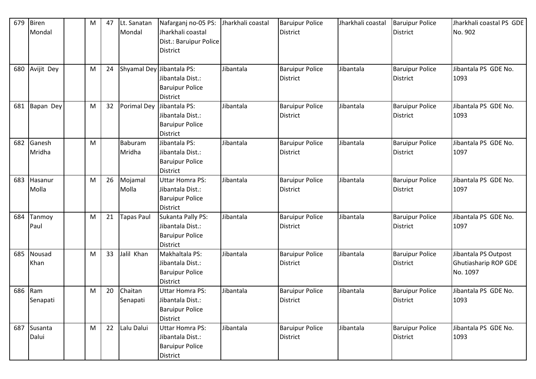| 679 | <b>Biren</b><br>Mondal | M | 47 | Lt. Sanatan<br>Mondal     | Nafarganj no-05 PS:<br>Jharkhali coastal<br>Dist.: Baruipur Police<br><b>District</b>   | Jharkhali coastal | <b>Baruipur Police</b><br><b>District</b> | Jharkhali coastal | <b>Baruipur Police</b><br><b>District</b> | Jharkhali coastal PS GDE<br>No. 902                      |
|-----|------------------------|---|----|---------------------------|-----------------------------------------------------------------------------------------|-------------------|-------------------------------------------|-------------------|-------------------------------------------|----------------------------------------------------------|
| 680 | Avijit Dey             | M | 24 | Shyamal Dey Jibantala PS: | Jibantala Dist.:<br><b>Baruipur Police</b><br><b>District</b>                           | Jibantala         | <b>Baruipur Police</b><br><b>District</b> | Jibantala         | <b>Baruipur Police</b><br><b>District</b> | Jibantala PS GDE No.<br>1093                             |
| 681 | Bapan Dey              | M | 32 | <b>Porimal Dey</b>        | Jibantala PS:<br>Jibantala Dist.:<br><b>Baruipur Police</b><br><b>District</b>          | Jibantala         | <b>Baruipur Police</b><br><b>District</b> | Jibantala         | <b>Baruipur Police</b><br><b>District</b> | Jibantala PS GDE No.<br>1093                             |
| 682 | Ganesh<br>Mridha       | M |    | Baburam<br>Mridha         | Jibantala PS:<br>Jibantala Dist.:<br><b>Baruipur Police</b><br><b>District</b>          | Jibantala         | <b>Baruipur Police</b><br><b>District</b> | Jibantala         | <b>Baruipur Police</b><br><b>District</b> | Jibantala PS GDE No.<br>1097                             |
| 683 | Hasanur<br>Molla       | M | 26 | Mojamal<br>Molla          | <b>Uttar Homra PS:</b><br>Jibantala Dist.:<br><b>Baruipur Police</b><br><b>District</b> | Jibantala         | <b>Baruipur Police</b><br><b>District</b> | Jibantala         | <b>Baruipur Police</b><br><b>District</b> | Jibantala PS GDE No.<br>1097                             |
| 684 | Tanmoy<br>Paul         | M | 21 | Tapas Paul                | Sukanta Pally PS:<br>Jibantala Dist.:<br><b>Baruipur Police</b><br><b>District</b>      | Jibantala         | <b>Baruipur Police</b><br><b>District</b> | Jibantala         | <b>Baruipur Police</b><br><b>District</b> | Jibantala PS GDE No.<br>1097                             |
| 685 | Nousad<br>Khan         | M | 33 | Jalil Khan                | Makhaltala PS:<br>Jibantala Dist.:<br><b>Baruipur Police</b><br><b>District</b>         | Jibantala         | <b>Baruipur Police</b><br><b>District</b> | Jibantala         | <b>Baruipur Police</b><br><b>District</b> | Jibantala PS Outpost<br>Ghutiasharip ROP GDE<br>No. 1097 |
| 686 | Ram<br>Senapati        | M | 20 | Chaitan<br>Senapati       | <b>Uttar Homra PS:</b><br>Jibantala Dist.:<br><b>Baruipur Police</b><br>District        | Jibantala         | <b>Baruipur Police</b><br><b>District</b> | Jibantala         | <b>Baruipur Police</b><br><b>District</b> | Jibantala PS GDE No.<br>1093                             |
| 687 | Susanta<br>Dalui       | M | 22 | Lalu Dalui                | <b>Uttar Homra PS:</b><br>Jibantala Dist.:<br><b>Baruipur Police</b><br>District        | Jibantala         | <b>Baruipur Police</b><br><b>District</b> | Jibantala         | <b>Baruipur Police</b><br><b>District</b> | Jibantala PS GDE No.<br>1093                             |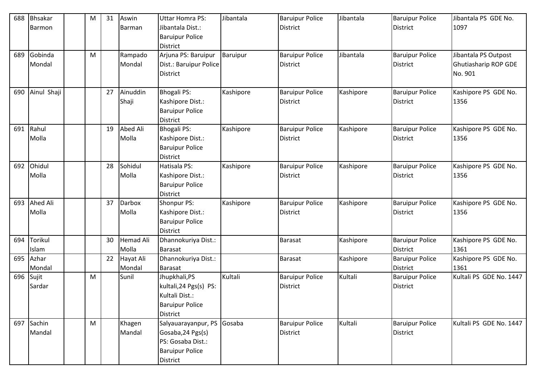| 688 | <b>Bhsakar</b> | M | 31 | Aswin            | <b>Uttar Homra PS:</b> | Jibantala | <b>Baruipur Police</b> | Jibantala | <b>Baruipur Police</b> | Jibantala PS GDE No.    |
|-----|----------------|---|----|------------------|------------------------|-----------|------------------------|-----------|------------------------|-------------------------|
|     | <b>Barmon</b>  |   |    | Barman           | Jibantala Dist.:       |           | <b>District</b>        |           | <b>District</b>        | 1097                    |
|     |                |   |    |                  | <b>Baruipur Police</b> |           |                        |           |                        |                         |
|     |                |   |    |                  | <b>District</b>        |           |                        |           |                        |                         |
| 689 | Gobinda        | M |    | Rampado          | Arjuna PS: Baruipur    | Baruipur  | <b>Baruipur Police</b> | Jibantala | <b>Baruipur Police</b> | Jibantala PS Outpost    |
|     | Mondal         |   |    | Mondal           | Dist.: Baruipur Police |           | <b>District</b>        |           | <b>District</b>        | Ghutiasharip ROP GDE    |
|     |                |   |    |                  | District               |           |                        |           |                        | No. 901                 |
|     |                |   |    |                  |                        |           |                        |           |                        |                         |
| 690 | Ainul Shaji    |   | 27 | Ainuddin         | <b>Bhogali PS:</b>     | Kashipore | <b>Baruipur Police</b> | Kashipore | <b>Baruipur Police</b> | Kashipore PS GDE No.    |
|     |                |   |    | Shaji            | Kashipore Dist.:       |           | <b>District</b>        |           | <b>District</b>        | 1356                    |
|     |                |   |    |                  | <b>Baruipur Police</b> |           |                        |           |                        |                         |
|     |                |   |    |                  | <b>District</b>        |           |                        |           |                        |                         |
| 691 | Rahul          |   | 19 | Abed Ali         | <b>Bhogali PS:</b>     | Kashipore | <b>Baruipur Police</b> | Kashipore | <b>Baruipur Police</b> | Kashipore PS GDE No.    |
|     | Molla          |   |    | Molla            | Kashipore Dist.:       |           | <b>District</b>        |           | <b>District</b>        | 1356                    |
|     |                |   |    |                  | <b>Baruipur Police</b> |           |                        |           |                        |                         |
|     |                |   |    |                  | <b>District</b>        |           |                        |           |                        |                         |
| 692 | Ohidul         |   | 28 | Sohidul          | Hatisala PS:           | Kashipore | <b>Baruipur Police</b> | Kashipore | <b>Baruipur Police</b> | Kashipore PS GDE No.    |
|     | Molla          |   |    | Molla            | Kashipore Dist.:       |           | <b>District</b>        |           | <b>District</b>        | 1356                    |
|     |                |   |    |                  | <b>Baruipur Police</b> |           |                        |           |                        |                         |
|     |                |   |    |                  | <b>District</b>        |           |                        |           |                        |                         |
| 693 | Ahed Ali       |   | 37 | <b>Darbox</b>    | Shonpur PS:            | Kashipore | <b>Baruipur Police</b> | Kashipore | <b>Baruipur Police</b> | Kashipore PS GDE No.    |
|     | Molla          |   |    | Molla            | Kashipore Dist.:       |           | <b>District</b>        |           | <b>District</b>        | 1356                    |
|     |                |   |    |                  | <b>Baruipur Police</b> |           |                        |           |                        |                         |
|     |                |   |    |                  | <b>District</b>        |           |                        |           |                        |                         |
| 694 | Torikul        |   | 30 | <b>Hemad Ali</b> | Dhannokuriya Dist.:    |           | <b>Barasat</b>         | Kashipore | <b>Baruipur Police</b> | Kashipore PS GDE No.    |
|     | Islam          |   |    | Molla            | <b>Barasat</b>         |           |                        |           | <b>District</b>        | 1361                    |
| 695 | Azhar          |   | 22 | Hayat Ali        | Dhannokuriya Dist.:    |           | <b>Barasat</b>         | Kashipore | <b>Baruipur Police</b> | Kashipore PS GDE No.    |
|     | Mondal         |   |    | Mondal           | <b>Barasat</b>         |           |                        |           | <b>District</b>        | 1361                    |
| 696 | Sujit          | M |    | Sunil            | Jhupkhali, PS          | Kultali   | <b>Baruipur Police</b> | Kultali   | <b>Baruipur Police</b> | Kultali PS GDE No. 1447 |
|     | Sardar         |   |    |                  | kultali, 24 Pgs(s) PS: |           | <b>District</b>        |           | <b>District</b>        |                         |
|     |                |   |    |                  | Kultali Dist.:         |           |                        |           |                        |                         |
|     |                |   |    |                  | <b>Baruipur Police</b> |           |                        |           |                        |                         |
|     |                |   |    |                  | District               |           |                        |           |                        |                         |
| 697 | Sachin         | M |    | Khagen           | Salyauarayanpur, PS    | Gosaba    | <b>Baruipur Police</b> | Kultali   | <b>Baruipur Police</b> | Kultali PS GDE No. 1447 |
|     | Mandal         |   |    | Mandal           | Gosaba, 24 Pgs(s)      |           | <b>District</b>        |           | <b>District</b>        |                         |
|     |                |   |    |                  | PS: Gosaba Dist.:      |           |                        |           |                        |                         |
|     |                |   |    |                  | <b>Baruipur Police</b> |           |                        |           |                        |                         |
|     |                |   |    |                  | District               |           |                        |           |                        |                         |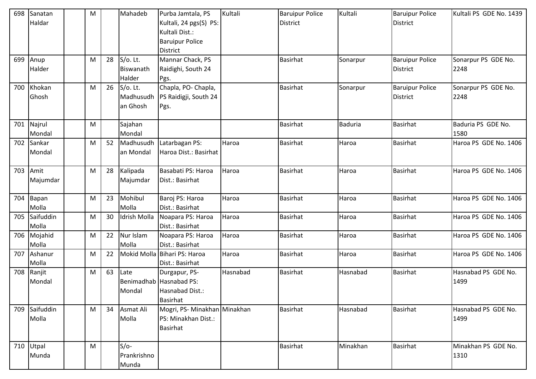| 698 | Sanatan<br>Haldar  | M |    | Mahadeb                              | Purba Jamtala, PS<br>Kultali, 24 pgs(S) PS:<br>Kultali Dist.:<br><b>Baruipur Police</b><br><b>District</b> | Kultali  | <b>Baruipur Police</b><br><b>District</b> | Kultali        | <b>Baruipur Police</b><br><b>District</b> | Kultali PS GDE No. 1439     |
|-----|--------------------|---|----|--------------------------------------|------------------------------------------------------------------------------------------------------------|----------|-------------------------------------------|----------------|-------------------------------------------|-----------------------------|
| 699 | Anup<br>Halder     | M | 28 | S/o. Lt.<br>Biswanath<br>Halder      | Mannar Chack, PS<br>Raidighi, South 24<br>Pgs.                                                             |          | Basirhat                                  | Sonarpur       | <b>Baruipur Police</b><br><b>District</b> | Sonarpur PS GDE No.<br>2248 |
| 700 | Khokan<br>Ghosh    | M | 26 | $S/O$ . Lt.<br>Madhusudh<br>an Ghosh | Chapla, PO- Chapla,<br>PS Raidigji, South 24<br>Pgs.                                                       |          | <b>Basirhat</b>                           | Sonarpur       | <b>Baruipur Police</b><br><b>District</b> | Sonarpur PS GDE No.<br>2248 |
| 701 | Najrul<br>Mondal   | M |    | Sajahan<br>Mondal                    |                                                                                                            |          | Basirhat                                  | <b>Baduria</b> | <b>Basirhat</b>                           | Baduria PS GDE No.<br>1580  |
| 702 | Sankar<br>Mondal   | M | 52 | Madhusudh<br>an Mondal               | Latarbagan PS:<br>Haroa Dist.: Basirhat                                                                    | Haroa    | Basirhat                                  | Haroa          | <b>Basirhat</b>                           | Haroa PS GDE No. 1406       |
| 703 | Amit<br>Majumdar   | M | 28 | Kalipada<br>Majumdar                 | Basabati PS: Haroa<br>Dist.: Basirhat                                                                      | Haroa    | <b>Basirhat</b>                           | Haroa          | <b>Basirhat</b>                           | Haroa PS GDE No. 1406       |
| 704 | Bapan<br>Molla     | M | 23 | Mohibul<br>Molla                     | Baroj PS: Haroa<br>Dist.: Basirhat                                                                         | Haroa    | <b>Basirhat</b>                           | Haroa          | Basirhat                                  | Haroa PS GDE No. 1406       |
| 705 | Saifuddin<br>Molla | M | 30 | Idrish Molla                         | Noapara PS: Haroa<br>Dist.: Basirhat                                                                       | Haroa    | <b>Basirhat</b>                           | Haroa          | <b>Basirhat</b>                           | Haroa PS GDE No. 1406       |
| 706 | Mojahid<br>Molla   | M | 22 | Nur Islam<br>Molla                   | Noapara PS: Haroa<br>Dist.: Basirhat                                                                       | Haroa    | Basirhat                                  | Haroa          | <b>Basirhat</b>                           | Haroa PS GDE No. 1406       |
| 707 | Ashanur<br>Molla   | M | 22 |                                      | Mokid Molla Bihari PS: Haroa<br>Dist.: Basirhat                                                            | Haroa    | Basirhat                                  | Haroa          | <b>Basirhat</b>                           | Haroa PS GDE No. 1406       |
| 708 | Ranjit<br>Mondal   | M | 63 | Late<br>Mondal                       | Durgapur, PS-<br>Benimadhab Hasnabad PS:<br>Hasnabad Dist.:<br>Basirhat                                    | Hasnabad | <b>Basirhat</b>                           | Hasnabad       | <b>Basirhat</b>                           | Hasnabad PS GDE No.<br>1499 |
| 709 | Saifuddin<br>Molla | M | 34 | Asmat Ali<br>Molla                   | Mogri, PS-Minakhan Minakhan<br>PS: Minakhan Dist.:<br><b>Basirhat</b>                                      |          | <b>Basirhat</b>                           | Hasnabad       | <b>Basirhat</b>                           | Hasnabad PS GDE No.<br>1499 |
| 710 | Utpal<br>Munda     | M |    | $S/O-$<br>Prankrishno<br>Munda       |                                                                                                            |          | <b>Basirhat</b>                           | Minakhan       | <b>Basirhat</b>                           | Minakhan PS GDE No.<br>1310 |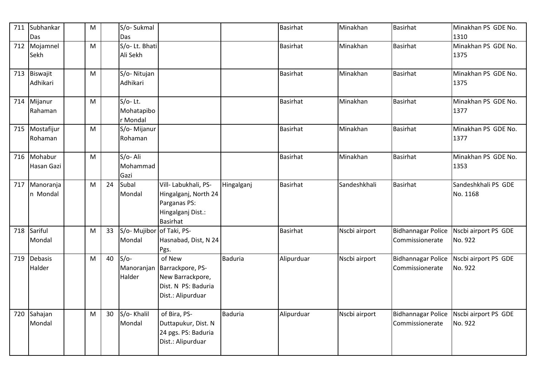| 711 | Subhankar<br>Das      | M                                                                                                          |    | S/o-Sukmal<br>Das                   |                                                                                                      |                | Basirhat        | Minakhan      | <b>Basirhat</b>                              | Minakhan PS GDE No.<br>1310                          |
|-----|-----------------------|------------------------------------------------------------------------------------------------------------|----|-------------------------------------|------------------------------------------------------------------------------------------------------|----------------|-----------------|---------------|----------------------------------------------|------------------------------------------------------|
| 712 | Mojamnel<br>Sekh      | M                                                                                                          |    | S/o-Lt. Bhati<br>Ali Sekh           |                                                                                                      |                | Basirhat        | Minakhan      | <b>Basirhat</b>                              | Minakhan PS GDE No.<br>1375                          |
| 713 | Biswajit<br>Adhikari  | $\mathsf{M}% _{T}=\mathsf{M}_{T}\!\left( a,b\right) ,\ \mathsf{M}_{T}=\mathsf{M}_{T}\!\left( a,b\right) ,$ |    | S/o-Nitujan<br>Adhikari             |                                                                                                      |                | <b>Basirhat</b> | Minakhan      | <b>Basirhat</b>                              | Minakhan PS GDE No.<br>1375                          |
| 714 | Mijanur<br>Rahaman    | M                                                                                                          |    | $S/O-Lt.$<br>Mohatapibo<br>r Mondal |                                                                                                      |                | <b>Basirhat</b> | Minakhan      | <b>Basirhat</b>                              | Minakhan PS GDE No.<br>1377                          |
| 715 | Mostafijur<br>Rohaman | M                                                                                                          |    | S/o- Mijanur<br>Rohaman             |                                                                                                      |                | <b>Basirhat</b> | Minakhan      | <b>Basirhat</b>                              | Minakhan PS GDE No.<br>1377                          |
| 716 | Mohabur<br>Hasan Gazi | M                                                                                                          |    | S/o-Ali<br>Mohammad<br>Gazi         |                                                                                                      |                | <b>Basirhat</b> | Minakhan      | <b>Basirhat</b>                              | Minakhan PS GDE No.<br>1353                          |
| 717 | Manoranja<br>n Mondal | M                                                                                                          | 24 | Subal<br>Mondal                     | Vill- Labukhali, PS-<br>Hingalganj, North 24<br>Parganas PS:<br>Hingalganj Dist.:<br><b>Basirhat</b> | Hingalganj     | <b>Basirhat</b> | Sandeshkhali  | <b>Basirhat</b>                              | Sandeshkhali PS GDE<br>No. 1168                      |
| 718 | Sariful<br>Mondal     | M                                                                                                          | 33 | S/o- Mujibor of Taki, PS-<br>Mondal | Hasnabad, Dist, N 24<br>Pgs.                                                                         |                | <b>Basirhat</b> | Nscbi airport | Commissionerate                              | Bidhannagar Police   Nscbi airport PS GDE<br>No. 922 |
| 719 | Debasis<br>Halder     | M                                                                                                          | 40 | $S/O-$<br>Manoranjan<br>Halder      | of New<br>Barrackpore, PS-<br>New Barrackpore,<br>Dist. N PS: Baduria<br>Dist.: Alipurduar           | <b>Baduria</b> | Alipurduar      | Nscbi airport | <b>Bidhannagar Police</b><br>Commissionerate | Nscbi airport PS GDE<br>No. 922                      |
| 720 | Sahajan<br>Mondal     | $\mathsf{M}% _{T}=\mathsf{M}_{T}\!\left( a,b\right) ,\ \mathsf{M}_{T}=\mathsf{M}_{T}\!\left( a,b\right) ,$ | 30 | S/o-Khalil<br>Mondal                | of Bira, PS-<br>Duttapukur, Dist. N<br>24 pgs. PS: Baduria<br>Dist.: Alipurduar                      | Baduria        | Alipurduar      | Nscbi airport | <b>Bidhannagar Police</b><br>Commissionerate | Nscbi airport PS GDE<br>No. 922                      |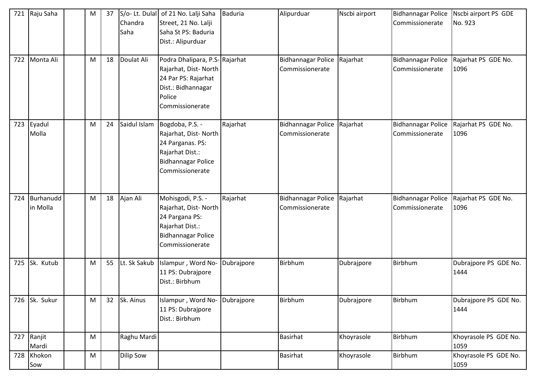| 721 | Raju Saha             | M | 37 | Chandra<br>Saha  | S/o- Lt. Dulal of 21 No. Lalji Saha<br>Street, 21 No. Lalji<br>Saha St PS: Baduria<br>Dist.: Alipurduar                         | <b>Baduria</b> | Alipurduar                                   | Nscbi airport | <b>Bidhannagar Police</b><br>Commissionerate | Nscbi airport PS GDE<br>No. 923 |
|-----|-----------------------|---|----|------------------|---------------------------------------------------------------------------------------------------------------------------------|----------------|----------------------------------------------|---------------|----------------------------------------------|---------------------------------|
| 722 | Monta Ali             | M | 18 | Doulat Ali       | Podra Dhalipara, P.S-Rajarhat<br>Rajarhat, Dist-North<br>24 Par PS: Rajarhat<br>Dist.: Bidhannagar<br>Police<br>Commissionerate |                | <b>Bidhannagar Police</b><br>Commissionerate | Rajarhat      | <b>Bidhannagar Police</b><br>Commissionerate | Rajarhat PS GDE No.<br>1096     |
| 723 | Eyadul<br>Molla       | M | 24 | Saidul Islam     | Bogdoba, P.S. -<br>Rajarhat, Dist-North<br>24 Parganas. PS:<br>Rajarhat Dist.:<br><b>Bidhannagar Police</b><br>Commissionerate  | Rajarhat       | <b>Bidhannagar Police</b><br>Commissionerate | Rajarhat      | <b>Bidhannagar Police</b><br>Commissionerate | Rajarhat PS GDE No.<br>1096     |
| 724 | Burhanudd<br>in Molla | M | 18 | Ajan Ali         | Mohisgodi, P.S. -<br>Rajarhat, Dist-North<br>24 Pargana PS:<br>Rajarhat Dist.:<br><b>Bidhannagar Police</b><br>Commissionerate  | Rajarhat       | <b>Bidhannagar Police</b><br>Commissionerate | Rajarhat      | <b>Bidhannagar Police</b><br>Commissionerate | Rajarhat PS GDE No.<br>1096     |
| 725 | Sk. Kutub             | M | 55 | Lt. Sk Sakub     | Islampur, Word No-<br>11 PS: Dubrajpore<br>Dist.: Birbhum                                                                       | Dubrajpore     | Birbhum                                      | Dubrajpore    | Birbhum                                      | Dubrajpore PS GDE No.<br>1444   |
| 726 | Sk. Sukur             | M | 32 | Sk. Ainus        | Islampur, Word No-<br>11 PS: Dubrajpore<br>Dist.: Birbhum                                                                       | Dubrajpore     | <b>Birbhum</b>                               | Dubrajpore    | Birbhum                                      | Dubrajpore PS GDE No.<br>1444   |
| 727 | Ranjit<br>Mardi       | M |    | Raghu Mardi      |                                                                                                                                 |                | <b>Basirhat</b>                              | Khoyrasole    | Birbhum                                      | Khoyrasole PS GDE No.<br>1059   |
| 728 | Khokon<br>Sow         | M |    | <b>Dilip Sow</b> |                                                                                                                                 |                | Basirhat                                     | Khoyrasole    | Birbhum                                      | Khoyrasole PS GDE No.<br>1059   |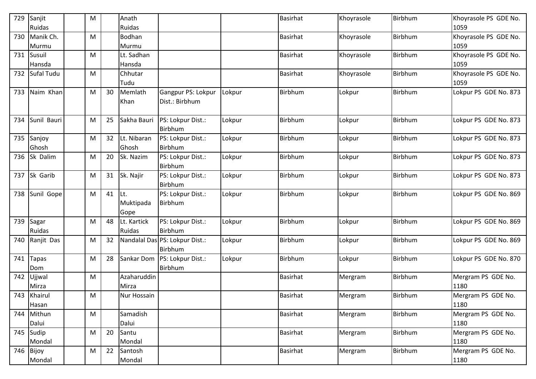| 729 | Sanjit       | M |    | Anath       |                                |        | Basirhat        | Khoyrasole | Birbhum        | Khoyrasole PS GDE No. |
|-----|--------------|---|----|-------------|--------------------------------|--------|-----------------|------------|----------------|-----------------------|
|     | Ruidas       |   |    | Ruidas      |                                |        |                 |            |                | 1059                  |
| 730 | Manik Ch.    | M |    | Bodhan      |                                |        | <b>Basirhat</b> | Khoyrasole | <b>Birbhum</b> | Khoyrasole PS GDE No. |
|     | Murmu        |   |    | Murmu       |                                |        |                 |            |                | 1059                  |
| 731 | Susuil       | M |    | Lt. Sadhan  |                                |        | <b>Basirhat</b> | Khoyrasole | Birbhum        | Khoyrasole PS GDE No. |
|     | Hansda       |   |    | Hansda      |                                |        |                 |            |                | 1059                  |
| 732 | Sufal Tudu   | M |    | Chhutar     |                                |        | <b>Basirhat</b> | Khoyrasole | Birbhum        | Khoyrasole PS GDE No. |
|     |              |   |    | Tudu        |                                |        |                 |            |                | 1059                  |
| 733 | Naim Khan    | M | 30 | Memlath     | Gangpur PS: Lokpur             | Lokpur | Birbhum         | Lokpur     | Birbhum        | Lokpur PS GDE No. 873 |
|     |              |   |    | Khan        | Dist.: Birbhum                 |        |                 |            |                |                       |
|     |              |   |    |             |                                |        |                 |            |                |                       |
| 734 | Sunil Bauri  | M | 25 | Sakha Bauri | PS: Lokpur Dist.:              | Lokpur | Birbhum         | Lokpur     | Birbhum        | Lokpur PS GDE No. 873 |
|     |              |   |    |             | Birbhum                        |        |                 |            |                |                       |
| 735 | Sanjoy       | M | 32 | Lt. Nibaran | PS: Lokpur Dist.:              | Lokpur | Birbhum         | Lokpur     | Birbhum        | Lokpur PS GDE No. 873 |
|     | Ghosh        |   |    | Ghosh       | <b>Birbhum</b>                 |        |                 |            |                |                       |
| 736 | Sk Dalim     | M | 20 | Sk. Nazim   | PS: Lokpur Dist.:              | Lokpur | Birbhum         | Lokpur     | Birbhum        | Lokpur PS GDE No. 873 |
|     |              |   |    |             | <b>Birbhum</b>                 |        |                 |            |                |                       |
| 737 | Sk Garib     | M | 31 | Sk. Najir   | PS: Lokpur Dist.:              | Lokpur | Birbhum         | Lokpur     | Birbhum        | Lokpur PS GDE No. 873 |
|     |              |   |    |             | Birbhum                        |        |                 |            |                |                       |
| 738 | Sunil Gope   | M | 41 | Lt.         | PS: Lokpur Dist.:              | Lokpur | Birbhum         | Lokpur     | Birbhum        | Lokpur PS GDE No. 869 |
|     |              |   |    | Muktipada   | Birbhum                        |        |                 |            |                |                       |
|     |              |   |    | Gope        |                                |        |                 |            |                |                       |
| 739 | Sagar        | M | 48 | Lt. Kartick | PS: Lokpur Dist.:              | Lokpur | Birbhum         | Lokpur     | Birbhum        | Lokpur PS GDE No. 869 |
|     | Ruidas       |   |    | Ruidas      | Birbhum                        |        |                 |            |                |                       |
| 740 | Ranjit Das   | M | 32 |             | Nandalal Das PS: Lokpur Dist.: | Lokpur | Birbhum         | Lokpur     | Birbhum        | Lokpur PS GDE No. 869 |
|     |              |   |    |             | Birbhum                        |        |                 |            |                |                       |
| 741 | <b>Tapas</b> | M | 28 | Sankar Dom  | PS: Lokpur Dist.:              | Lokpur | Birbhum         | Lokpur     | Birbhum        | Lokpur PS GDE No. 870 |
|     | Dom          |   |    |             | Birbhum                        |        |                 |            |                |                       |
| 742 | Ujjwal       | M |    | Azaharuddin |                                |        | <b>Basirhat</b> | Mergram    | Birbhum        | Mergram PS GDE No.    |
|     | Mirza        |   |    | Mirza       |                                |        |                 |            |                | 1180                  |
|     | 743 Khairul  | M |    | Nur Hossain |                                |        | Basirhat        | Mergram    | Birbhum        | Mergram PS GDE No.    |
|     | Hasan        |   |    |             |                                |        |                 |            |                | 1180                  |
| 744 | Mithun       | M |    | Samadish    |                                |        | <b>Basirhat</b> | Mergram    | <b>Birbhum</b> | Mergram PS GDE No.    |
|     | Dalui        |   |    | Dalui       |                                |        |                 |            |                | 1180                  |
| 745 | Sudip        | M | 20 | Santu       |                                |        | Basirhat        | Mergram    | Birbhum        | Mergram PS GDE No.    |
|     | Mondal       |   |    | Mondal      |                                |        |                 |            |                | 1180                  |
| 746 | Bijoy        | M | 22 | Santosh     |                                |        | <b>Basirhat</b> | Mergram    | Birbhum        | Mergram PS GDE No.    |
|     | Mondal       |   |    | Mondal      |                                |        |                 |            |                | 1180                  |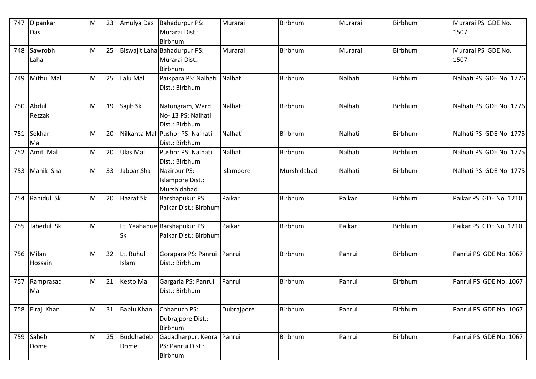| 747 | Dipankar<br>Das  | M | 23 | Amulya Das         | Bahadurpur PS:<br>Murarai Dist.:<br>Birbhum               | Murarai    | Birbhum        | Murarai | Birbhum        | Murarai PS GDE No.<br>1507 |
|-----|------------------|---|----|--------------------|-----------------------------------------------------------|------------|----------------|---------|----------------|----------------------------|
| 748 | Sawrobh<br>Laha  | M | 25 |                    | Biswajit Laha Bahadurpur PS:<br>Murarai Dist.:<br>Birbhum | Murarai    | Birbhum        | Murarai | <b>Birbhum</b> | Murarai PS GDE No.<br>1507 |
| 749 | Mithu Mal        | M | 25 | Lalu Mal           | Paikpara PS: Nalhati<br>Dist.: Birbhum                    | Nalhati    | Birbhum        | Nalhati | <b>Birbhum</b> | Nalhati PS GDE No. 1776    |
| 750 | Abdul<br>Rezzak  | M | 19 | Sajib Sk           | Natungram, Ward<br>No-13 PS: Nalhati<br>Dist.: Birbhum    | Nalhati    | Birbhum        | Nalhati | <b>Birbhum</b> | Nalhati PS GDE No. 1776    |
| 751 | Sekhar<br>Mal    | M | 20 |                    | Nilkanta Mal Pushor PS: Nalhati<br>Dist.: Birbhum         | Nalhati    | <b>Birbhum</b> | Nalhati | Birbhum        | Nalhati PS GDE No. 1775    |
| 752 | Amit Mal         | M | 20 | Ulas Mal           | Pushor PS: Nalhati<br>Dist.: Birbhum                      | Nalhati    | Birbhum        | Nalhati | Birbhum        | Nalhati PS GDE No. 1775    |
| 753 | Manik Sha        | M | 33 | Jabbar Sha         | Nazirpur PS:<br>Islampore Dist.:<br>Murshidabad           | Islampore  | Murshidabad    | Nalhati | <b>Birbhum</b> | Nalhati PS GDE No. 1775    |
| 754 | Rahidul Sk       | M | 20 | Hazrat Sk          | <b>Barshapukur PS:</b><br>Paikar Dist.: Birbhum           | Paikar     | Birbhum        | Paikar  | <b>Birbhum</b> | Paikar PS GDE No. 1210     |
| 755 | Jahedul Sk       | M |    | <b>Sk</b>          | Lt. Yeahaque Barshapukur PS:<br>Paikar Dist.: Birbhum     | Paikar     | Birbhum        | Paikar  | <b>Birbhum</b> | Paikar PS GDE No. 1210     |
| 756 | Milan<br>Hossain | M | 32 | Lt. Ruhul<br>Islam | Gorapara PS: Panrui<br>Dist.: Birbhum                     | Panrui     | Birbhum        | Panrui  | Birbhum        | Panrui PS GDE No. 1067     |
| 757 | Ramprasad<br>Mal | M | 21 | <b>Kesto Mal</b>   | Gargaria PS: Panrui<br>Dist.: Birbhum                     | Panrui     | Birbhum        | Panrui  | <b>Birbhum</b> | Panrui PS GDE No. 1067     |
| 758 | Firaj Khan       | M | 31 | <b>Bablu Khan</b>  | Chhanuch PS:<br>Dubrajpore Dist.:<br>Birbhum              | Dubrajpore | Birbhum        | Panrui  | Birbhum        | Panrui PS GDE No. 1067     |
| 759 | Saheb<br>Dome    | M | 25 | Buddhadeb<br>Dome  | Gadadharpur, Keora Panrui<br>PS: Panrui Dist.:<br>Birbhum |            | Birbhum        | Panrui  | Birbhum        | Panrui PS GDE No. 1067     |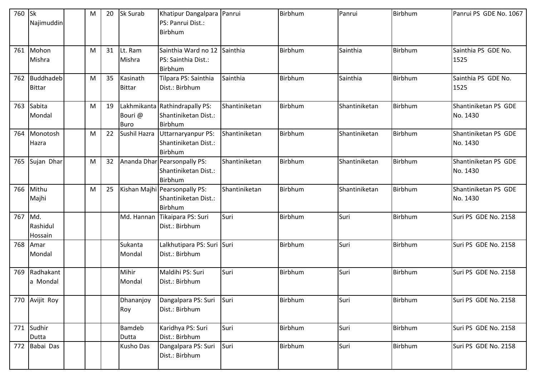| 760 | <b>Sk</b><br>Najimuddin    | M | 20 | Sk Surab                  | Khatipur Dangalpara Panrui<br>PS: Panrui Dist.:<br>Birbhum        |               | Birbhum | Panrui        | Birbhum | Panrui PS GDE No. 1067           |
|-----|----------------------------|---|----|---------------------------|-------------------------------------------------------------------|---------------|---------|---------------|---------|----------------------------------|
| 761 | Mohon<br>Mishra            | M | 31 | Lt. Ram<br>Mishra         | Sainthia Ward no 12<br>PS: Sainthia Dist.:<br>Birbhum             | Sainthia      | Birbhum | Sainthia      | Birbhum | Sainthia PS GDE No.<br>1525      |
| 762 | Buddhadeb<br><b>Bittar</b> | M | 35 | Kasinath<br><b>Bittar</b> | Tilpara PS: Sainthia<br>Dist.: Birbhum                            | Sainthia      | Birbhum | Sainthia      | Birbhum | Sainthia PS GDE No.<br>1525      |
| 763 | Sabita<br>Mondal           | M | 19 | Bouri @<br><b>Buro</b>    | Lakhmikanta Rathindrapally PS:<br>Shantiniketan Dist.:<br>Birbhum | Shantiniketan | Birbhum | Shantiniketan | Birbhum | Shantiniketan PS GDE<br>No. 1430 |
| 764 | Monotosh<br>Hazra          | M | 22 | Sushil Hazra              | Uttarnaryanpur PS:<br>Shantiniketan Dist.:<br>Birbhum             | Shantiniketan | Birbhum | Shantiniketan | Birbhum | Shantiniketan PS GDE<br>No. 1430 |
| 765 | Sujan Dhar                 | M | 32 |                           | Ananda Dhar Pearsonpally PS:<br>Shantiniketan Dist.:<br>Birbhum   | Shantiniketan | Birbhum | Shantiniketan | Birbhum | Shantiniketan PS GDE<br>No. 1430 |
| 766 | Mithu<br>Majhi             | M | 25 |                           | Kishan Majhi Pearsonpally PS:<br>Shantiniketan Dist.:<br>Birbhum  | Shantiniketan | Birbhum | Shantiniketan | Birbhum | Shantiniketan PS GDE<br>No. 1430 |
| 767 | Md.<br>Rashidul<br>Hossain |   |    | Md. Hannan                | Tikaipara PS: Suri<br>Dist.: Birbhum                              | Suri          | Birbhum | Suri          | Birbhum | Suri PS GDE No. 2158             |
| 768 | Amar<br>Mondal             |   |    | Sukanta<br>Mondal         | Lalkhutipara PS: Suri Suri<br>Dist.: Birbhum                      |               | Birbhum | Suri          | Birbhum | Suri PS GDE No. 2158             |
| 769 | Radhakant<br>a Mondal      |   |    | Mihir<br>Mondal           | Maldihi PS: Suri<br>Dist.: Birbhum                                | Suri          | Birbhum | Suri          | Birbhum | Suri PS GDE No. 2158             |
|     | 770 Avijit Roy             |   |    | Dhananjoy<br>Roy          | Dangalpara PS: Suri<br>Dist.: Birbhum                             | Suri          | Birbhum | Suri          | Birbhum | Suri PS GDE No. 2158             |
| 771 | Sudhir<br>Dutta            |   |    | <b>Bamdeb</b><br>Dutta    | Karidhya PS: Suri<br>Dist.: Birbhum                               | Suri          | Birbhum | Suri          | Birbhum | Suri PS GDE No. 2158             |
| 772 | Babai Das                  |   |    | Kusho Das                 | Dangalpara PS: Suri<br>Dist.: Birbhum                             | Suri          | Birbhum | Suri          | Birbhum | Suri PS GDE No. 2158             |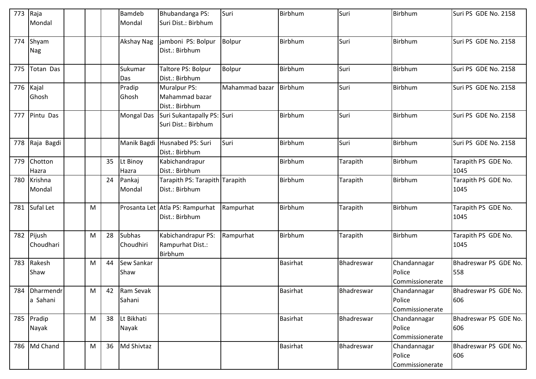| 773 | Raja          |   |    | <b>Bamdeb</b>     | Bhubandanga PS:                 | Suri           | Birbhum         | Suri       | Birbhum         | Suri PS GDE No. 2158  |
|-----|---------------|---|----|-------------------|---------------------------------|----------------|-----------------|------------|-----------------|-----------------------|
|     | Mondal        |   |    | Mondal            | Suri Dist.: Birbhum             |                |                 |            |                 |                       |
|     |               |   |    |                   |                                 |                |                 |            |                 |                       |
| 774 | Shyam         |   |    | Akshay Nag        | jamboni PS: Bolpur              | <b>Bolpur</b>  | Birbhum         | Suri       | Birbhum         | Suri PS GDE No. 2158  |
|     | Nag           |   |    |                   | Dist.: Birbhum                  |                |                 |            |                 |                       |
|     |               |   |    |                   |                                 |                |                 |            |                 |                       |
| 775 | Totan Das     |   |    | Sukumar           | Taltore PS: Bolpur              | Bolpur         | Birbhum         | Suri       | Birbhum         | Suri PS GDE No. 2158  |
|     |               |   |    | Das               | Dist.: Birbhum                  |                |                 |            |                 |                       |
| 776 | Kajal         |   |    | Pradip            | Muralpur PS:                    | Mahammad bazar | Birbhum         | Suri       | Birbhum         | Suri PS GDE No. 2158  |
|     | Ghosh         |   |    | Ghosh             | Mahammad bazar                  |                |                 |            |                 |                       |
|     |               |   |    |                   | Dist.: Birbhum                  |                |                 |            |                 |                       |
| 777 | Pintu Das     |   |    | <b>Mongal Das</b> | Suri Sukantapally PS: Suri      |                | Birbhum         | Suri       | Birbhum         | Suri PS GDE No. 2158  |
|     |               |   |    |                   | Suri Dist.: Birbhum             |                |                 |            |                 |                       |
|     |               |   |    |                   |                                 |                |                 |            |                 |                       |
| 778 | Raja Bagdi    |   |    |                   | Manik Bagdi Husnabed PS: Suri   | Suri           | Birbhum         | Suri       | Birbhum         | Suri PS GDE No. 2158  |
|     |               |   |    |                   | Dist.: Birbhum                  |                |                 |            |                 |                       |
| 779 | Chotton       |   | 35 | Lt Binoy          | Kabichandrapur                  |                | Birbhum         | Tarapith   | Birbhum         | Tarapith PS GDE No.   |
|     | Hazra         |   |    | Hazra             | Dist.: Birbhum                  |                |                 |            |                 | 1045                  |
| 780 | Krishna       |   | 24 | Pankaj            | Tarapith PS: Tarapith Tarapith  |                | Birbhum         | Tarapith   | Birbhum         | Tarapith PS GDE No.   |
|     | Mondal        |   |    | Mondal            | Dist.: Birbhum                  |                |                 |            |                 | 1045                  |
|     |               |   |    |                   |                                 |                |                 |            |                 |                       |
| 781 | Sufal Let     | M |    |                   | Prosanta Let Atla PS: Rampurhat | Rampurhat      | Birbhum         | Tarapith   | Birbhum         | Tarapith PS GDE No.   |
|     |               |   |    |                   | Dist.: Birbhum                  |                |                 |            |                 | 1045                  |
|     |               |   |    |                   |                                 |                |                 |            |                 |                       |
| 782 | Pijush        | M | 28 | <b>Subhas</b>     | Kabichandrapur PS:              | Rampurhat      | Birbhum         | Tarapith   | Birbhum         | Tarapith PS GDE No.   |
|     | Choudhari     |   |    | Choudhiri         | Rampurhat Dist.:                |                |                 |            |                 | 1045                  |
|     |               |   |    |                   | Birbhum                         |                |                 |            |                 |                       |
| 783 | Rakesh        | M | 44 | Sew Sankar        |                                 |                | <b>Basirhat</b> | Bhadreswar | Chandannagar    | Bhadreswar PS GDE No. |
|     | Shaw          |   |    | Shaw              |                                 |                |                 |            | Police          | 558                   |
|     |               |   |    |                   |                                 |                |                 |            | Commissionerate |                       |
|     | 784 Dharmendr | M | 42 | Ram Sevak         |                                 |                | Basirhat        | Bhadreswar | Chandannagar    | Bhadreswar PS GDE No. |
|     | a Sahani      |   |    | Sahani            |                                 |                |                 |            | Police          | 606                   |
|     |               |   |    |                   |                                 |                |                 |            | Commissionerate |                       |
| 785 | Pradip        | M | 38 | Lt Bikhati        |                                 |                | <b>Basirhat</b> | Bhadreswar | Chandannagar    | Bhadreswar PS GDE No. |
|     | Nayak         |   |    | Nayak             |                                 |                |                 |            | Police          | 606                   |
|     |               |   |    |                   |                                 |                |                 |            | Commissionerate |                       |
| 786 | Md Chand      | M | 36 | Md Shivtaz        |                                 |                | <b>Basirhat</b> | Bhadreswar | Chandannagar    | Bhadreswar PS GDE No. |
|     |               |   |    |                   |                                 |                |                 |            | Police          | 606                   |
|     |               |   |    |                   |                                 |                |                 |            | Commissionerate |                       |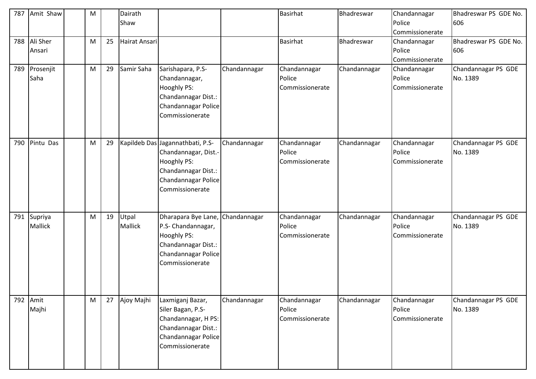| 787 | Amit Shaw | M |    | Dairath       |                                            |              | <b>Basirhat</b> | Bhadreswar   | Chandannagar           | Bhadreswar PS GDE No. |
|-----|-----------|---|----|---------------|--------------------------------------------|--------------|-----------------|--------------|------------------------|-----------------------|
|     |           |   |    | Shaw          |                                            |              |                 |              | Police                 | 606                   |
|     |           |   |    |               |                                            |              |                 |              | Commissionerate        |                       |
| 788 | Ali Sher  | M | 25 | Hairat Ansari |                                            |              | <b>Basirhat</b> | Bhadreswar   | Chandannagar<br>Police | Bhadreswar PS GDE No. |
|     | Ansari    |   |    |               |                                            |              |                 |              | Commissionerate        | 606                   |
| 789 | Prosenjit | M | 29 | Samir Saha    | Sarishapara, P.S-                          | Chandannagar | Chandannagar    | Chandannagar | Chandannagar           | Chandannagar PS GDE   |
|     | Saha      |   |    |               | Chandannagar,                              |              | Police          |              | Police                 | No. 1389              |
|     |           |   |    |               | Hooghly PS:                                |              | Commissionerate |              | Commissionerate        |                       |
|     |           |   |    |               | Chandannagar Dist.:                        |              |                 |              |                        |                       |
|     |           |   |    |               | Chandannagar Police                        |              |                 |              |                        |                       |
|     |           |   |    |               | Commissionerate                            |              |                 |              |                        |                       |
|     |           |   |    |               |                                            |              |                 |              |                        |                       |
| 790 | Pintu Das | M | 29 |               | Kapildeb Das Jagannathbati, P.S-           | Chandannagar | Chandannagar    | Chandannagar | Chandannagar           | Chandannagar PS GDE   |
|     |           |   |    |               | Chandannagar, Dist.-                       |              | Police          |              | Police                 | No. 1389              |
|     |           |   |    |               | <b>Hooghly PS:</b>                         |              | Commissionerate |              | Commissionerate        |                       |
|     |           |   |    |               | Chandannagar Dist.:                        |              |                 |              |                        |                       |
|     |           |   |    |               | Chandannagar Police                        |              |                 |              |                        |                       |
|     |           |   |    |               | Commissionerate                            |              |                 |              |                        |                       |
|     |           |   |    |               |                                            |              |                 |              |                        |                       |
|     |           |   |    |               |                                            |              |                 |              |                        |                       |
| 791 | Supriya   | M | 19 | Utpal         | Dharapara Bye Lane, Chandannagar           |              | Chandannagar    | Chandannagar | Chandannagar           | Chandannagar PS GDE   |
|     | Mallick   |   |    | Mallick       | P.S- Chandannagar,                         |              | Police          |              | Police                 | No. 1389              |
|     |           |   |    |               | <b>Hooghly PS:</b><br>Chandannagar Dist.:  |              | Commissionerate |              | Commissionerate        |                       |
|     |           |   |    |               | Chandannagar Police                        |              |                 |              |                        |                       |
|     |           |   |    |               | Commissionerate                            |              |                 |              |                        |                       |
|     |           |   |    |               |                                            |              |                 |              |                        |                       |
|     |           |   |    |               |                                            |              |                 |              |                        |                       |
|     |           |   |    |               |                                            |              |                 |              |                        |                       |
| 792 | Amit      | M | 27 | Ajoy Majhi    | Laxmiganj Bazar,                           | Chandannagar | Chandannagar    | Chandannagar | Chandannagar           | Chandannagar PS GDE   |
|     | Majhi     |   |    |               | Siler Bagan, P.S-                          |              | Police          |              | Police                 | No. 1389              |
|     |           |   |    |               | Chandannagar, H PS:                        |              | Commissionerate |              | Commissionerate        |                       |
|     |           |   |    |               | Chandannagar Dist.:<br>Chandannagar Police |              |                 |              |                        |                       |
|     |           |   |    |               | Commissionerate                            |              |                 |              |                        |                       |
|     |           |   |    |               |                                            |              |                 |              |                        |                       |
|     |           |   |    |               |                                            |              |                 |              |                        |                       |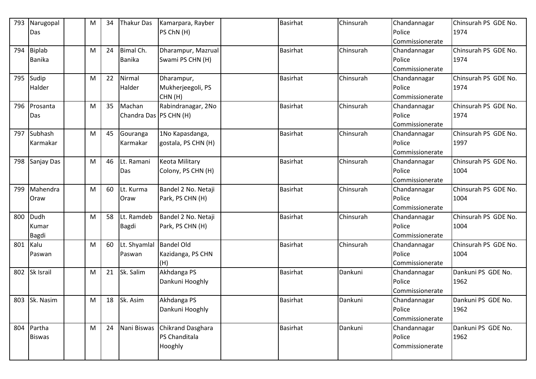| 793 | Narugopal     | M | 34 | <b>Thakur Das</b>        | Kamarpara, Rayber     | <b>Basirhat</b> | Chinsurah | Chandannagar    | Chinsurah PS GDE No. |
|-----|---------------|---|----|--------------------------|-----------------------|-----------------|-----------|-----------------|----------------------|
|     | Das           |   |    |                          | PS ChN (H)            |                 |           | Police          | 1974                 |
|     |               |   |    |                          |                       |                 |           | Commissionerate |                      |
| 794 | <b>Biplab</b> | M | 24 | Bimal Ch.                | Dharampur, Mazrual    | <b>Basirhat</b> | Chinsurah | Chandannagar    | Chinsurah PS GDE No. |
|     | <b>Banika</b> |   |    | Banika                   | Swami PS CHN (H)      |                 |           | Police          | 1974                 |
|     |               |   |    |                          |                       |                 |           | Commissionerate |                      |
| 795 | Sudip         | M | 22 | Nirmal                   | Dharampur,            | <b>Basirhat</b> | Chinsurah | Chandannagar    | Chinsurah PS GDE No. |
|     | Halder        |   |    | Halder                   | Mukherjeegoli, PS     |                 |           | Police          | 1974                 |
|     |               |   |    |                          | CHN(H)                |                 |           | Commissionerate |                      |
| 796 | Prosanta      | M | 35 | Machan                   | Rabindranagar, 2No    | <b>Basirhat</b> | Chinsurah | Chandannagar    | Chinsurah PS GDE No. |
|     | Das           |   |    | Chandra Das   PS CHN (H) |                       |                 |           | Police          | 1974                 |
|     |               |   |    |                          |                       |                 |           | Commissionerate |                      |
| 797 | Subhash       | M | 45 | Gouranga                 | 1No Kapasdanga,       | <b>Basirhat</b> | Chinsurah | Chandannagar    | Chinsurah PS GDE No. |
|     | Karmakar      |   |    | Karmakar                 | gostala, PS CHN (H)   |                 |           | Police          | 1997                 |
|     |               |   |    |                          |                       |                 |           | Commissionerate |                      |
| 798 | Sanjay Das    | M | 46 | Lt. Ramani               | <b>Keota Military</b> | <b>Basirhat</b> | Chinsurah | Chandannagar    | Chinsurah PS GDE No. |
|     |               |   |    | Das                      | Colony, PS CHN (H)    |                 |           | Police          | 1004                 |
|     |               |   |    |                          |                       |                 |           | Commissionerate |                      |
| 799 | Mahendra      | M | 60 | Lt. Kurma                | Bandel 2 No. Netaji   | <b>Basirhat</b> | Chinsurah | Chandannagar    | Chinsurah PS GDE No. |
|     | Oraw          |   |    | Oraw                     | Park, PS CHN (H)      |                 |           | Police          | 1004                 |
|     |               |   |    |                          |                       |                 |           | Commissionerate |                      |
| 800 | Dudh          | M | 58 | Lt. Ramdeb               | Bandel 2 No. Netaji   | <b>Basirhat</b> | Chinsurah | Chandannagar    | Chinsurah PS GDE No. |
|     | Kumar         |   |    | <b>Bagdi</b>             | Park, PS CHN (H)      |                 |           | Police          | 1004                 |
|     | Bagdi         |   |    |                          |                       |                 |           | Commissionerate |                      |
| 801 | Kalu          | M | 60 | Lt. Shyamlal             | <b>Bandel Old</b>     | <b>Basirhat</b> | Chinsurah | Chandannagar    | Chinsurah PS GDE No. |
|     | Paswan        |   |    | Paswan                   | Kazidanga, PS CHN     |                 |           | Police          | 1004                 |
|     |               |   |    |                          | (H)                   |                 |           | Commissionerate |                      |
| 802 | Sk Israil     | M | 21 | Sk. Salim                | Akhdanga PS           | <b>Basirhat</b> | Dankuni   | Chandannagar    | Dankuni PS GDE No.   |
|     |               |   |    |                          | Dankuni Hooghly       |                 |           | Police          | 1962                 |
|     |               |   |    |                          |                       |                 |           | Commissionerate |                      |
|     | 803 Sk. Nasim | M | 18 | Sk. Asim                 | Akhdanga PS           | <b>Basirhat</b> | Dankuni   | Chandannagar    | Dankuni PS GDE No.   |
|     |               |   |    |                          | Dankuni Hooghly       |                 |           | Police          | 1962                 |
|     |               |   |    |                          |                       |                 |           | Commissionerate |                      |
| 804 | Partha        | M | 24 | Nani Biswas              | Chikrand Dasghara     | <b>Basirhat</b> | Dankuni   | Chandannagar    | Dankuni PS GDE No.   |
|     | <b>Biswas</b> |   |    |                          | PS Chanditala         |                 |           | Police          | 1962                 |
|     |               |   |    |                          | Hooghly               |                 |           | Commissionerate |                      |
|     |               |   |    |                          |                       |                 |           |                 |                      |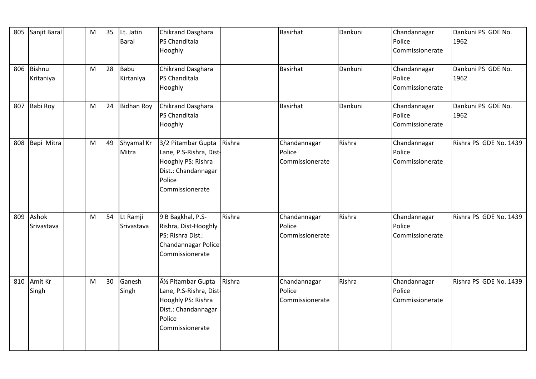| 805 | Sanjit Baral               | ${\sf M}$    | 35 | Lt. Jatin<br><b>Baral</b> | Chikrand Dasghara<br>PS Chanditala<br>Hooghly                                                                            |        | <b>Basirhat</b>                           | Dankuni | Chandannagar<br>Police<br>Commissionerate | Dankuni PS GDE No.<br>1962 |
|-----|----------------------------|--------------|----|---------------------------|--------------------------------------------------------------------------------------------------------------------------|--------|-------------------------------------------|---------|-------------------------------------------|----------------------------|
| 806 | <b>Bishnu</b><br>Kritaniya | M            | 28 | Babu<br>Kirtaniya         | Chikrand Dasghara<br>PS Chanditala<br>Hooghly                                                                            |        | <b>Basirhat</b>                           | Dankuni | Chandannagar<br>Police<br>Commissionerate | Dankuni PS GDE No.<br>1962 |
| 807 | Babi Roy                   | M            | 24 | <b>Bidhan Roy</b>         | Chikrand Dasghara<br>PS Chanditala<br>Hooghly                                                                            |        | <b>Basirhat</b>                           | Dankuni | Chandannagar<br>Police<br>Commissionerate | Dankuni PS GDE No.<br>1962 |
| 808 | Bapi Mitra                 | M            | 49 | Shyamal Kr<br>Mitra       | 3/2 Pitambar Gupta<br>Lane, P.S-Rishra, Dist-<br>Hooghly PS: Rishra<br>Dist.: Chandannagar<br>Police<br>Commissionerate  | Rishra | Chandannagar<br>Police<br>Commissionerate | Rishra  | Chandannagar<br>Police<br>Commissionerate | Rishra PS GDE No. 1439     |
| 809 | Ashok<br>Srivastava        | $\mathsf{M}$ | 54 | Lt Ramji<br>Srivastava    | 9 B Bagkhal, P.S-<br>Rishra, Dist-Hooghly<br>PS: Rishra Dist.:<br>Chandannagar Police<br>Commissionerate                 | Rishra | Chandannagar<br>Police<br>Commissionerate | Rishra  | Chandannagar<br>Police<br>Commissionerate | Rishra PS GDE No. 1439     |
| 810 | Amit Kr<br>Singh           | $\mathsf{M}$ | 30 | Ganesh<br>Singh           | Â1/2 Pitambar Gupta<br>Lane, P.S-Rishra, Dist-<br>Hooghly PS: Rishra<br>Dist.: Chandannagar<br>Police<br>Commissionerate | Rishra | Chandannagar<br>Police<br>Commissionerate | Rishra  | Chandannagar<br>Police<br>Commissionerate | Rishra PS GDE No. 1439     |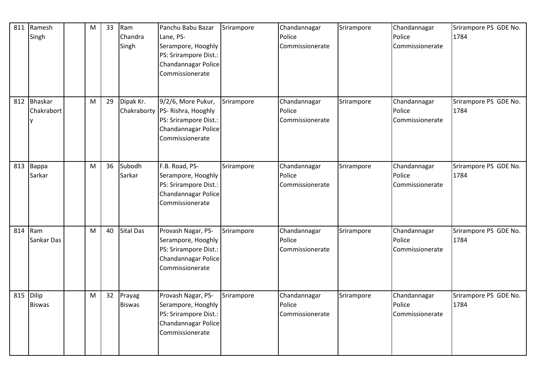| 811 | Ramesh<br>Singh        | M         | 33 | Ram<br>Chandra<br>Singh | Panchu Babu Bazar<br>Lane, PS-<br>Serampore, Hooghly<br>PS: Srirampore Dist.:<br>Chandannagar Police<br>Commissionerate    | Srirampore | Chandannagar<br>Police<br>Commissionerate | Srirampore | Chandannagar<br>Police<br>Commissionerate | Srirampore PS GDE No.<br>1784 |
|-----|------------------------|-----------|----|-------------------------|----------------------------------------------------------------------------------------------------------------------------|------------|-------------------------------------------|------------|-------------------------------------------|-------------------------------|
| 812 | Bhaskar<br>Chakrabort  | ${\sf M}$ | 29 | Dipak Kr.               | 9/2/6, More Pukur,<br>Chakraborty   PS- Rishra, Hooghly<br>PS: Srirampore Dist.:<br>Chandannagar Police<br>Commissionerate | Srirampore | Chandannagar<br>Police<br>Commissionerate | Srirampore | Chandannagar<br>Police<br>Commissionerate | Srirampore PS GDE No.<br>1784 |
| 813 | Bappa<br>Sarkar        | M         | 36 | Subodh<br>Sarkar        | F.B. Road, PS-<br>Serampore, Hooghly<br>PS: Srirampore Dist.:<br>Chandannagar Police<br>Commissionerate                    | Srirampore | Chandannagar<br>Police<br>Commissionerate | Srirampore | Chandannagar<br>Police<br>Commissionerate | Srirampore PS GDE No.<br>1784 |
| 814 | Ram<br>Sankar Das      | M         | 40 | <b>Sital Das</b>        | Provash Nagar, PS-<br>Serampore, Hooghly<br>PS: Srirampore Dist.:<br>Chandannagar Police<br>Commissionerate                | Srirampore | Chandannagar<br>Police<br>Commissionerate | Srirampore | Chandannagar<br>Police<br>Commissionerate | Srirampore PS GDE No.<br>1784 |
| 815 | Dilip<br><b>Biswas</b> | M         | 32 | Prayag<br><b>Biswas</b> | Provash Nagar, PS-<br>Serampore, Hooghly<br>PS: Srirampore Dist.:<br>Chandannagar Police<br>Commissionerate                | Srirampore | Chandannagar<br>Police<br>Commissionerate | Srirampore | Chandannagar<br>Police<br>Commissionerate | Srirampore PS GDE No.<br>1784 |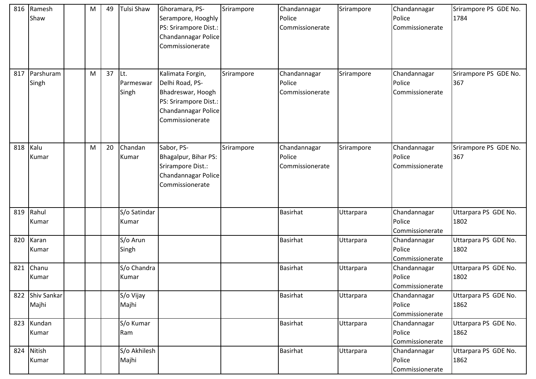| 816 | Ramesh<br>Shaw       | M | 49 | Tulsi Shaw                 | Ghoramara, PS-<br>Serampore, Hooghly<br>PS: Srirampore Dist.:<br>Chandannagar Police<br>Commissionerate                     | Srirampore | Chandannagar<br>Police<br>Commissionerate | Srirampore | Chandannagar<br>Police<br>Commissionerate | Srirampore PS GDE No.<br>1784 |
|-----|----------------------|---|----|----------------------------|-----------------------------------------------------------------------------------------------------------------------------|------------|-------------------------------------------|------------|-------------------------------------------|-------------------------------|
| 817 | Parshuram<br>Singh   | M | 37 | lLt.<br>Parmeswar<br>Singh | Kalimata Forgin,<br>Delhi Road, PS-<br>Bhadreswar, Hoogh<br>PS: Srirampore Dist.:<br>Chandannagar Police<br>Commissionerate | Srirampore | Chandannagar<br>Police<br>Commissionerate | Srirampore | Chandannagar<br>Police<br>Commissionerate | Srirampore PS GDE No.<br>367  |
| 818 | Kalu<br>Kumar        | M | 20 | Chandan<br>Kumar           | Sabor, PS-<br>Bhagalpur, Bihar PS:<br>Srirampore Dist.:<br>Chandannagar Police<br>Commissionerate                           | Srirampore | Chandannagar<br>Police<br>Commissionerate | Srirampore | Chandannagar<br>Police<br>Commissionerate | Srirampore PS GDE No.<br>367  |
| 819 | Rahul<br>Kumar       |   |    | S/o Satindar<br>Kumar      |                                                                                                                             |            | <b>Basirhat</b>                           | Uttarpara  | Chandannagar<br>Police<br>Commissionerate | Uttarpara PS GDE No.<br>1802  |
| 820 | Karan<br>Kumar       |   |    | S/o Arun<br>Singh          |                                                                                                                             |            | <b>Basirhat</b>                           | Uttarpara  | Chandannagar<br>Police<br>Commissionerate | Uttarpara PS GDE No.<br>1802  |
| 821 | Chanu<br>Kumar       |   |    | S/o Chandra<br>Kumar       |                                                                                                                             |            | <b>Basirhat</b>                           | Uttarpara  | Chandannagar<br>Police<br>Commissionerate | Uttarpara PS GDE No.<br>1802  |
| 822 | Shiv Sankar<br>Majhi |   |    | S/o Vijay<br>Majhi         |                                                                                                                             |            | <b>Basirhat</b>                           | Uttarpara  | Chandannagar<br>Police<br>Commissionerate | Uttarpara PS GDE No.<br>1862  |
| 823 | Kundan<br>Kumar      |   |    | S/o Kumar<br>Ram           |                                                                                                                             |            | <b>Basirhat</b>                           | Uttarpara  | Chandannagar<br>Police<br>Commissionerate | Uttarpara PS GDE No.<br>1862  |
| 824 | Nitish<br>Kumar      |   |    | S/o Akhilesh<br>Majhi      |                                                                                                                             |            | Basirhat                                  | Uttarpara  | Chandannagar<br>Police<br>Commissionerate | Uttarpara PS GDE No.<br>1862  |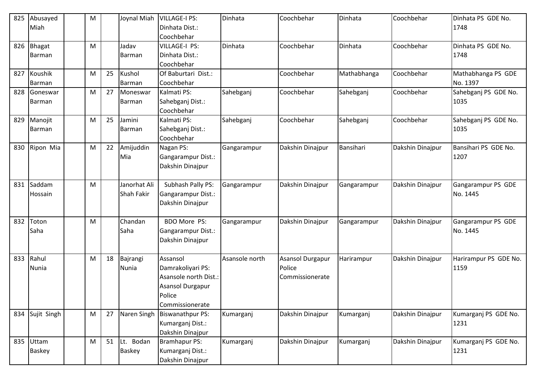| 825 | Abusayed      | M |    | Joynal Miah  | <b>VILLAGE-I PS:</b>    | Dinhata        | Coochbehar       | Dinhata     | Coochbehar       | Dinhata PS GDE No.    |
|-----|---------------|---|----|--------------|-------------------------|----------------|------------------|-------------|------------------|-----------------------|
|     | Miah          |   |    |              | Dinhata Dist.:          |                |                  |             |                  | 1748                  |
|     |               |   |    |              | Coochbehar              |                |                  |             |                  |                       |
| 826 | <b>Bhagat</b> | M |    | Jadav        | <b>VILLAGE-I PS:</b>    | Dinhata        | Coochbehar       | Dinhata     | Coochbehar       | Dinhata PS GDE No.    |
|     | Barman        |   |    | Barman       | Dinhata Dist.:          |                |                  |             |                  | 1748                  |
|     |               |   |    |              | Coochbehar              |                |                  |             |                  |                       |
| 827 | Koushik       | M | 25 | Kushol       | Of Baburtari Dist.:     |                | Coochbehar       | Mathabhanga | Coochbehar       | Mathabhanga PS GDE    |
|     | Barman        |   |    | Barman       | Coochbehar              |                |                  |             |                  | No. 1397              |
| 828 | Goneswar      | M | 27 | Moneswar     | Kalmati PS:             | Sahebganj      | Coochbehar       | Sahebganj   | Coochbehar       | Sahebganj PS GDE No.  |
|     | Barman        |   |    | Barman       | Sahebganj Dist.:        |                |                  |             |                  | 1035                  |
|     |               |   |    |              | Coochbehar              |                |                  |             |                  |                       |
| 829 | Manojit       | M | 25 | Jamini       | Kalmati PS:             | Sahebganj      | Coochbehar       | Sahebganj   | Coochbehar       | Sahebganj PS GDE No.  |
|     | <b>Barman</b> |   |    | Barman       | Sahebganj Dist.:        |                |                  |             |                  | 1035                  |
|     |               |   |    |              | Coochbehar              |                |                  |             |                  |                       |
| 830 | Ripon Mia     | M | 22 | Amijuddin    | Nagan PS:               | Gangarampur    | Dakshin Dinajpur | Bansihari   | Dakshin Dinajpur | Bansihari PS GDE No.  |
|     |               |   |    | Mia          | Gangarampur Dist.:      |                |                  |             |                  | 1207                  |
|     |               |   |    |              | Dakshin Dinajpur        |                |                  |             |                  |                       |
|     |               |   |    |              |                         |                |                  |             |                  |                       |
| 831 | Saddam        | M |    | Janorhat Ali | Subhash Pally PS:       | Gangarampur    | Dakshin Dinajpur | Gangarampur | Dakshin Dinajpur | Gangarampur PS GDE    |
|     | Hossain       |   |    | Shah Fakir   | Gangarampur Dist.:      |                |                  |             |                  | No. 1445              |
|     |               |   |    |              | Dakshin Dinajpur        |                |                  |             |                  |                       |
|     |               |   |    |              |                         |                |                  |             |                  |                       |
| 832 | Toton         | M |    | Chandan      | <b>BDO More PS:</b>     | Gangarampur    | Dakshin Dinajpur | Gangarampur | Dakshin Dinajpur | Gangarampur PS GDE    |
|     | Saha          |   |    | Saha         | Gangarampur Dist.:      |                |                  |             |                  | No. 1445              |
|     |               |   |    |              | Dakshin Dinajpur        |                |                  |             |                  |                       |
|     |               |   |    |              |                         |                |                  |             |                  |                       |
| 833 | Rahul         | M | 18 | Bajrangi     | Assansol                | Asansole north | Asansol Durgapur | Harirampur  | Dakshin Dinajpur | Harirampur PS GDE No. |
|     | Nunia         |   |    | <b>Nunia</b> | Damrakoliyari PS:       |                | Police           |             |                  | 1159                  |
|     |               |   |    |              | Asansole north Dist.:   |                | Commissionerate  |             |                  |                       |
|     |               |   |    |              | Asansol Durgapur        |                |                  |             |                  |                       |
|     |               |   |    |              | Police                  |                |                  |             |                  |                       |
|     |               |   |    |              | Commissionerate         |                |                  |             |                  |                       |
| 834 | Sujit Singh   | M | 27 | Naren Singh  | <b>Biswanathpur PS:</b> | Kumarganj      | Dakshin Dinajpur | Kumarganj   | Dakshin Dinajpur | Kumarganj PS GDE No.  |
|     |               |   |    |              | Kumarganj Dist.:        |                |                  |             |                  | 1231                  |
|     |               |   |    |              | Dakshin Dinajpur        |                |                  |             |                  |                       |
| 835 | Uttam         | M | 51 | Lt. Bodan    | <b>Bramhapur PS:</b>    | Kumarganj      | Dakshin Dinajpur | Kumarganj   | Dakshin Dinajpur | Kumarganj PS GDE No.  |
|     | <b>Baskey</b> |   |    | Baskey       | Kumarganj Dist.:        |                |                  |             |                  | 1231                  |
|     |               |   |    |              | Dakshin Dinajpur        |                |                  |             |                  |                       |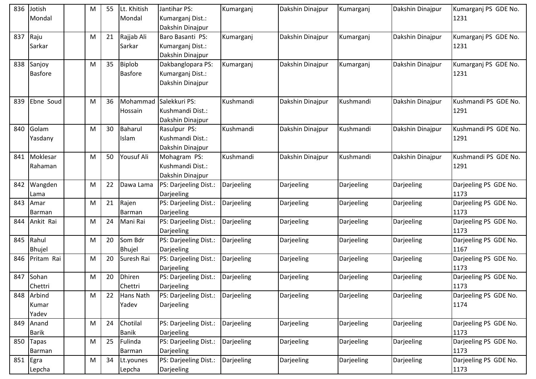| 836 | Jotish<br>Mondal         | M | 55 | Lt. Khitish<br>Mondal    | Jantihar PS:<br>Kumarganj Dist.:<br>Dakshin Dinajpur      | Kumarganj  | Dakshin Dinajpur | Kumarganj  | Dakshin Dinajpur | Kumarganj PS GDE No.<br>1231  |
|-----|--------------------------|---|----|--------------------------|-----------------------------------------------------------|------------|------------------|------------|------------------|-------------------------------|
| 837 | Raju<br>Sarkar           | M | 21 | Rajjab Ali<br>Sarkar     | Baro Basanti PS:<br>Kumarganj Dist.:<br>Dakshin Dinajpur  | Kumarganj  | Dakshin Dinajpur | Kumarganj  | Dakshin Dinajpur | Kumarganj PS GDE No.<br>1231  |
| 838 | Sanjoy<br><b>Basfore</b> | M | 35 | Biplob<br><b>Basfore</b> | Dakbanglopara PS:<br>Kumarganj Dist.:<br>Dakshin Dinajpur | Kumarganj  | Dakshin Dinajpur | Kumarganj  | Dakshin Dinajpur | Kumarganj PS GDE No.<br>1231  |
| 839 | Ebne Soud                | M | 36 | Mohammad<br>Hossain      | Salekkuri PS:<br>Kushmandi Dist.:<br>Dakshin Dinajpur     | Kushmandi  | Dakshin Dinajpur | Kushmandi  | Dakshin Dinajpur | Kushmandi PS GDE No.<br>1291  |
| 840 | Golam<br>Yasdany         | M | 30 | Baharul<br>Islam         | Rasulpur PS:<br>Kushmandi Dist.:<br>Dakshin Dinajpur      | Kushmandi  | Dakshin Dinajpur | Kushmandi  | Dakshin Dinajpur | Kushmandi PS GDE No.<br>1291  |
| 841 | Moklesar<br>Rahaman      | M | 50 | Yousuf Ali               | Mohagram PS:<br>Kushmandi Dist.:<br>Dakshin Dinajpur      | Kushmandi  | Dakshin Dinajpur | Kushmandi  | Dakshin Dinajpur | Kushmandi PS GDE No.<br>1291  |
| 842 | Wangden<br>Lama          | M | 22 | Dawa Lama                | PS: Darjeeling Dist.:<br>Darjeeling                       | Darjeeling | Darjeeling       | Darjeeling | Darjeeling       | Darjeeling PS GDE No.<br>1173 |
| 843 | Amar<br><b>Barman</b>    | M | 21 | Rajen<br>Barman          | PS: Darjeeling Dist.:<br>Darjeeling                       | Darjeeling | Darjeeling       | Darjeeling | Darjeeling       | Darjeeling PS GDE No.<br>1173 |
| 844 | Ankit Rai                | M | 24 | Mani Rai                 | PS: Darjeeling Dist.:<br>Darjeeling                       | Darjeeling | Darjeeling       | Darjeeling | Darjeeling       | Darjeeling PS GDE No.<br>1173 |
| 845 | Rahul<br><b>Bhujel</b>   | M | 20 | Som Bdr<br><b>Bhujel</b> | PS: Darjeeling Dist.:<br>Darjeeling                       | Darjeeling | Darjeeling       | Darjeeling | Darjeeling       | Darjeeling PS GDE No.<br>1167 |
| 846 | Pritam Rai               | M | 20 | Suresh Rai               | PS: Darjeeling Dist.:<br>Darjeeling                       | Darjeeling | Darjeeling       | Darjeeling | Darjeeling       | Darjeeling PS GDE No.<br>1173 |
| 847 | Sohan<br>Chettri         | M | 20 | <b>Dhiren</b><br>Chettri | PS: Darjeeling Dist.:<br>Darjeeling                       | Darjeeling | Darjeeling       | Darjeeling | Darjeeling       | Darjeeling PS GDE No.<br>1173 |
| 848 | Arbind<br>Kumar<br>Yadev | M | 22 | Hans Nath<br>Yadev       | PS: Darjeeling Dist.:<br>Darjeeling                       | Darjeeling | Darjeeling       | Darjeeling | Darjeeling       | Darjeeling PS GDE No.<br>1174 |
| 849 | Anand<br><b>Barik</b>    | M | 24 | Chotilal<br><b>Banik</b> | PS: Darjeeling Dist.:<br>Darjeeling                       | Darjeeling | Darjeeling       | Darjeeling | Darjeeling       | Darjeeling PS GDE No.<br>1173 |
| 850 | <b>Tapas</b><br>Barman   | M | 25 | Fulinda<br>Barman        | PS: Darjeeling Dist.:<br>Darjeeling                       | Darjeeling | Darjeeling       | Darjeeling | Darjeeling       | Darjeeling PS GDE No.<br>1173 |
| 851 | Egra<br>Lepcha           | M | 34 | Lt.younes<br>Lepcha      | PS: Darjeeling Dist.:<br>Darjeeling                       | Darjeeling | Darjeeling       | Darjeeling | Darjeeling       | Darjeeling PS GDE No.<br>1173 |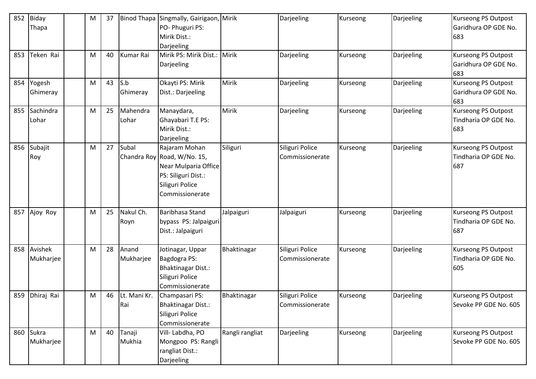| 852 | <b>Biday</b> | M | 37 |                  | Binod Thapa Singmally, Gairigaon, | Mirik           | Darjeeling      | Kurseong | Darjeeling | <b>Kurseong PS Outpost</b> |
|-----|--------------|---|----|------------------|-----------------------------------|-----------------|-----------------|----------|------------|----------------------------|
|     | Thapa        |   |    |                  | PO- Phuguri PS:                   |                 |                 |          |            | Garidhura OP GDE No.       |
|     |              |   |    |                  | Mirik Dist.:                      |                 |                 |          |            | 683                        |
|     |              |   |    |                  | Darjeeling                        |                 |                 |          |            |                            |
| 853 | Teken Rai    | M | 40 | <b>Kumar Rai</b> | Mirik PS: Mirik Dist.: Mirik      |                 | Darjeeling      | Kurseong | Darjeeling | <b>Kurseong PS Outpost</b> |
|     |              |   |    |                  | Darjeeling                        |                 |                 |          |            | Garidhura OP GDE No.       |
|     |              |   |    |                  |                                   |                 |                 |          |            | 683                        |
| 854 | Yogesh       | M | 43 | S.b              | Okayti PS: Mirik                  | Mirik           | Darjeeling      | Kurseong | Darjeeling | Kurseong PS Outpost        |
|     | Ghimeray     |   |    | Ghimeray         | Dist.: Darjeeling                 |                 |                 |          |            | Garidhura OP GDE No.       |
|     |              |   |    |                  |                                   |                 |                 |          |            | 683                        |
| 855 | Sachindra    | M | 25 | Mahendra         | Manaydara,                        | Mirik           | Darjeeling      | Kurseong | Darjeeling | <b>Kurseong PS Outpost</b> |
|     | Lohar        |   |    | Lohar            | Ghayabari T.E PS:                 |                 |                 |          |            | Tindharia OP GDE No.       |
|     |              |   |    |                  | Mirik Dist.:                      |                 |                 |          |            | 683                        |
|     |              |   |    |                  | Darjeeling                        |                 |                 |          |            |                            |
| 856 | Subajit      | M | 27 | Subal            | Rajaram Mohan                     | Siliguri        | Siliguri Police | Kurseong | Darjeeling | <b>Kurseong PS Outpost</b> |
|     | Roy          |   |    |                  | Chandra Roy Road, W/No. 15,       |                 | Commissionerate |          |            | Tindharia OP GDE No.       |
|     |              |   |    |                  | Near Mulparia Office              |                 |                 |          |            | 687                        |
|     |              |   |    |                  | PS: Siliguri Dist.:               |                 |                 |          |            |                            |
|     |              |   |    |                  | Siliguri Police                   |                 |                 |          |            |                            |
|     |              |   |    |                  | Commissionerate                   |                 |                 |          |            |                            |
|     |              |   |    |                  |                                   |                 |                 |          |            |                            |
| 857 | Ajoy Roy     | M | 25 | Nakul Ch.        | Baribhasa Stand                   | Jalpaiguri      | Jalpaiguri      | Kurseong | Darjeeling | <b>Kurseong PS Outpost</b> |
|     |              |   |    | Royn             | bypass PS: Jalpaiguri             |                 |                 |          |            | Tindharia OP GDE No.       |
|     |              |   |    |                  | Dist.: Jalpaiguri                 |                 |                 |          |            | 687                        |
|     |              |   |    |                  |                                   |                 |                 |          |            |                            |
| 858 | Avishek      | M | 28 | Anand            | Jotinagar, Uppar                  | Bhaktinagar     | Siliguri Police | Kurseong | Darjeeling | Kurseong PS Outpost        |
|     | Mukharjee    |   |    | Mukharjee        | Bagdogra PS:                      |                 | Commissionerate |          |            | Tindharia OP GDE No.       |
|     |              |   |    |                  | <b>Bhaktinagar Dist.:</b>         |                 |                 |          |            | 605                        |
|     |              |   |    |                  | Siliguri Police                   |                 |                 |          |            |                            |
|     |              |   |    |                  | Commissionerate                   |                 |                 |          |            |                            |
| 859 | Dhiraj Rai   | M | 46 |                  | Lt. Mani Kr. Champasari PS:       | Bhaktinagar     | Siliguri Police | Kurseong | Darjeeling | <b>Kurseong PS Outpost</b> |
|     |              |   |    | Rai              | <b>Bhaktinagar Dist.:</b>         |                 | Commissionerate |          |            | Sevoke PP GDE No. 605      |
|     |              |   |    |                  | Siliguri Police                   |                 |                 |          |            |                            |
|     |              |   |    |                  | Commissionerate                   |                 |                 |          |            |                            |
| 860 | Sukra        | M | 40 | Tanaji           | Vill-Labdha, PO                   | Rangli rangliat | Darjeeling      | Kurseong | Darjeeling | <b>Kurseong PS Outpost</b> |
|     | Mukharjee    |   |    | Mukhia           | Mongpoo PS: Rangli                |                 |                 |          |            | Sevoke PP GDE No. 605      |
|     |              |   |    |                  | rangliat Dist.:                   |                 |                 |          |            |                            |
|     |              |   |    |                  | Darjeeling                        |                 |                 |          |            |                            |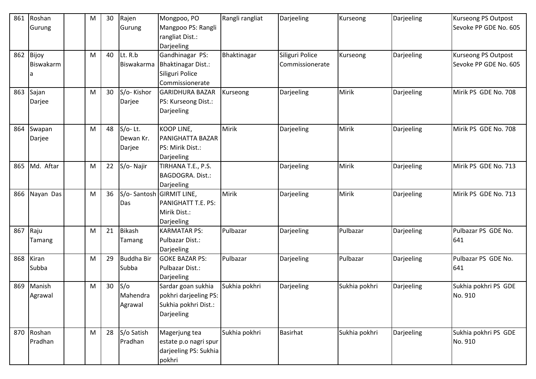| 861 | Roshan    | M | 30 | Rajen             | Mongpoo, PO               | Rangli rangliat | Darjeeling      | Kurseong      | Darjeeling | <b>Kurseong PS Outpost</b> |
|-----|-----------|---|----|-------------------|---------------------------|-----------------|-----------------|---------------|------------|----------------------------|
|     | Gurung    |   |    | Gurung            | Mangpoo PS: Rangli        |                 |                 |               |            | Sevoke PP GDE No. 605      |
|     |           |   |    |                   | rangliat Dist.:           |                 |                 |               |            |                            |
|     |           |   |    |                   | Darjeeling                |                 |                 |               |            |                            |
| 862 | Bijoy     | M | 40 | Lt. R.b           | Gandhinagar PS:           | Bhaktinagar     | Siliguri Police | Kurseong      | Darjeeling | <b>Kurseong PS Outpost</b> |
|     | Biswakarm |   |    | Biswakarma        | <b>Bhaktinagar Dist.:</b> |                 | Commissionerate |               |            | Sevoke PP GDE No. 605      |
|     |           |   |    |                   | Siliguri Police           |                 |                 |               |            |                            |
|     |           |   |    |                   | Commissionerate           |                 |                 |               |            |                            |
| 863 | Sajan     | M | 30 | S/o-Kishor        | <b>GARIDHURA BAZAR</b>    | Kurseong        | Darjeeling      | Mirik         | Darjeeling | Mirik PS GDE No. 708       |
|     | Darjee    |   |    | Darjee            | PS: Kurseong Dist.:       |                 |                 |               |            |                            |
|     |           |   |    |                   | Darjeeling                |                 |                 |               |            |                            |
|     |           |   |    |                   |                           |                 |                 |               |            |                            |
| 864 | Swapan    | M | 48 | $S/O-$ Lt.        | <b>KOOP LINE,</b>         | Mirik           | Darjeeling      | Mirik         | Darjeeling | Mirik PS GDE No. 708       |
|     | Darjee    |   |    | Dewan Kr.         | <b>PANIGHATTA BAZAR</b>   |                 |                 |               |            |                            |
|     |           |   |    | Darjee            | PS: Mirik Dist.:          |                 |                 |               |            |                            |
|     |           |   |    |                   | Darjeeling                |                 |                 |               |            |                            |
| 865 | Md. Aftar | M | 22 | S/o-Najir         | TIRHANA T.E., P.S.        |                 | Darjeeling      | Mirik         | Darjeeling | Mirik PS GDE No. 713       |
|     |           |   |    |                   | <b>BAGDOGRA. Dist.:</b>   |                 |                 |               |            |                            |
|     |           |   |    |                   | Darjeeling                |                 |                 |               |            |                            |
| 866 | Nayan Das | M | 36 |                   | S/o-Santosh GIRMIT LINE,  | Mirik           | Darjeeling      | Mirik         | Darjeeling | Mirik PS GDE No. 713       |
|     |           |   |    | Das               | PANIGHATT T.E. PS:        |                 |                 |               |            |                            |
|     |           |   |    |                   | Mirik Dist.:              |                 |                 |               |            |                            |
|     |           |   |    |                   | Darjeeling                |                 |                 |               |            |                            |
| 867 | Raju      | M | 21 | <b>Bikash</b>     | <b>KARMATAR PS:</b>       | Pulbazar        | Darjeeling      | Pulbazar      | Darjeeling | Pulbazar PS GDE No.        |
|     | Tamang    |   |    | Tamang            | Pulbazar Dist.:           |                 |                 |               |            | 641                        |
|     |           |   |    |                   | Darjeeling                |                 |                 |               |            |                            |
| 868 | Kiran     | M | 29 | <b>Buddha Bir</b> | <b>GOKE BAZAR PS:</b>     | Pulbazar        | Darjeeling      | Pulbazar      | Darjeeling | Pulbazar PS GDE No.        |
|     | Subba     |   |    | Subba             | Pulbazar Dist.:           |                 |                 |               |            | 641                        |
|     |           |   |    |                   | Darjeeling                |                 |                 |               |            |                            |
| 869 | Manish    | M | 30 | S/O               | Sardar goan sukhia        | Sukhia pokhri   | Darjeeling      | Sukhia pokhri | Darjeeling | Sukhia pokhri PS GDE       |
|     | Agrawal   |   |    | Mahendra          | pokhri darjeeling PS:     |                 |                 |               |            | No. 910                    |
|     |           |   |    | Agrawal           | Sukhia pokhri Dist.:      |                 |                 |               |            |                            |
|     |           |   |    |                   | Darjeeling                |                 |                 |               |            |                            |
|     |           |   |    |                   |                           |                 |                 |               |            |                            |
| 870 | Roshan    | M | 28 | S/o Satish        | Magerjung tea             | Sukhia pokhri   | Basirhat        | Sukhia pokhri | Darjeeling | Sukhia pokhri PS GDE       |
|     | Pradhan   |   |    | Pradhan           | estate p.o nagri spur     |                 |                 |               |            | No. 910                    |
|     |           |   |    |                   | darjeeling PS: Sukhia     |                 |                 |               |            |                            |
|     |           |   |    |                   | pokhri                    |                 |                 |               |            |                            |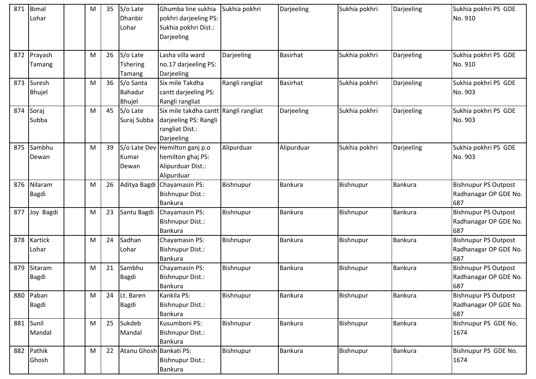| 871 | Bimal         | M | 35 | S/o Late                | Ghumba line sukhia                    | Sukhia pokhri   | Darjeeling      | Sukhia pokhri | Darjeeling     | Sukhia pokhri PS GDE        |
|-----|---------------|---|----|-------------------------|---------------------------------------|-----------------|-----------------|---------------|----------------|-----------------------------|
|     | Lohar         |   |    | Dhanbir                 | pokhri darjeeling PS:                 |                 |                 |               |                | No. 910                     |
|     |               |   |    | Lohar                   | Sukhia pokhri Dist.:                  |                 |                 |               |                |                             |
|     |               |   |    |                         | Darjeeling                            |                 |                 |               |                |                             |
|     |               |   |    |                         |                                       |                 |                 |               |                |                             |
| 872 | Prayash       | M | 26 | S/o Late                | Lasha villa ward                      | Darjeeling      | <b>Basirhat</b> | Sukhia pokhri | Darjeeling     | Sukhia pokhri PS GDE        |
|     | Tamang        |   |    | <b>Tshering</b>         | no.17 darjeeling PS:                  |                 |                 |               |                | No. 910                     |
|     |               |   |    | Tamang                  | Darjeeling                            |                 |                 |               |                |                             |
| 873 | Suresh        | M | 36 | S/o Santa               | Six mile Takdha                       | Rangli rangliat | <b>Basirhat</b> | Sukhia pokhri | Darjeeling     | Sukhia pokhri PS GDE        |
|     | <b>Bhujel</b> |   |    | Bahadur                 | cantt darjeeling PS:                  |                 |                 |               |                | No. 903                     |
|     |               |   |    | <b>Bhujel</b>           | Rangli rangliat                       |                 |                 |               |                |                             |
| 874 | Soraj         | M | 45 | S/o Late                | Six mile takdha cantt Rangli rangliat |                 | Darjeeling      | Sukhia pokhri | Darjeeling     | Sukhia pokhri PS GDE        |
|     | Subba         |   |    | Suraj Subba             | darjeeling PS: Rangli                 |                 |                 |               |                | No. 903                     |
|     |               |   |    |                         | rangliat Dist.:                       |                 |                 |               |                |                             |
|     |               |   |    |                         | Darjeeling                            |                 |                 |               |                |                             |
| 875 | Sambhu        | M | 39 |                         | S/o Late Dev Hemilton ganj p.o        | Alipurduar      | Alipurduar      | Sukhia pokhri | Darjeeling     | Sukhia pokhri PS GDE        |
|     | Dewan         |   |    | Kumar                   | hemilton ghaj PS:                     |                 |                 |               |                | No. 903                     |
|     |               |   |    | Dewan                   | Alipurduar Dist.:                     |                 |                 |               |                |                             |
|     |               |   |    |                         | Alipurduar                            |                 |                 |               |                |                             |
| 876 | Nilaram       | M | 26 |                         | Aditya Bagdi Chayamasin PS:           | Bishnupur       | <b>Bankura</b>  | Bishnupur     | <b>Bankura</b> | <b>Bishnupur PS Outpost</b> |
|     | <b>Bagdi</b>  |   |    |                         | <b>Bishnupur Dist.:</b>               |                 |                 |               |                | Radhanagar OP GDE No.       |
|     |               |   |    |                         | <b>Bankura</b>                        |                 |                 |               |                | 687                         |
| 877 | Joy Bagdi     | M | 23 | Santu Bagdi             | Chayamasin PS:                        | Bishnupur       | Bankura         | Bishnupur     | Bankura        | <b>Bishnupur PS Outpost</b> |
|     |               |   |    |                         | <b>Bishnupur Dist.:</b>               |                 |                 |               |                | Radhanagar OP GDE No.       |
|     |               |   |    |                         | <b>Bankura</b>                        |                 |                 |               |                | 687                         |
| 878 | Kartick       | M | 24 | Sadhan                  | Chayamasin PS:                        | Bishnupur       | Bankura         | Bishnupur     | Bankura        | <b>Bishnupur PS Outpost</b> |
|     | Lohar         |   |    | Lohar                   | Bishnupur Dist.:                      |                 |                 |               |                | Radhanagar OP GDE No.       |
|     |               |   |    |                         | <b>Bankura</b>                        |                 |                 |               |                | 687                         |
| 879 | Sitaram       | M | 21 | Sambhu                  | Chayamasin PS:                        | Bishnupur       | Bankura         | Bishnupur     | <b>Bankura</b> | <b>Bishnupur PS Outpost</b> |
|     | Bagdi         |   |    | Bagdi                   | <b>Bishnupur Dist.:</b>               |                 |                 |               |                | Radhanagar OP GDE No.       |
|     |               |   |    |                         | <b>Bankura</b>                        |                 |                 |               |                | 687                         |
| 880 | Paban         | M | 24 | Lt. Baren               | Kankila PS:                           | Bishnupur       | Bankura         | Bishnupur     | <b>Bankura</b> | <b>Bishnupur PS Outpost</b> |
|     | <b>Bagdi</b>  |   |    | Bagdi                   | <b>Bishnupur Dist.:</b>               |                 |                 |               |                | Radhanagar OP GDE No.       |
|     |               |   |    |                         | Bankura                               |                 |                 |               |                | 687                         |
| 881 | Sunil         | M | 25 | Sukdeb                  | Kusumboni PS:                         | Bishnupur       | <b>Bankura</b>  | Bishnupur     | Bankura        | Bishnupur PS GDE No.        |
|     | Mandal        |   |    | Mandal                  | <b>Bishnupur Dist.:</b>               |                 |                 |               |                | 1674                        |
|     |               |   |    |                         | Bankura                               |                 |                 |               |                |                             |
| 882 | Pathik        | M | 22 | Atanu Ghosh Bankati PS: |                                       | Bishnupur       | <b>Bankura</b>  | Bishnupur     | <b>Bankura</b> | Bishnupur PS GDE No.        |
|     | Ghosh         |   |    |                         | <b>Bishnupur Dist.:</b>               |                 |                 |               |                | 1674                        |
|     |               |   |    |                         | Bankura                               |                 |                 |               |                |                             |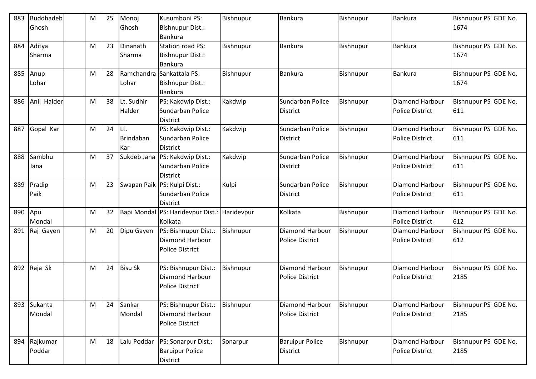| 883 | <b>Buddhadeb</b> | M | 25 | Monoj          | Kusumboni PS:                                | Bishnupur | <b>Bankura</b>         | Bishnupur | <b>Bankura</b>         | Bishnupur PS GDE No. |
|-----|------------------|---|----|----------------|----------------------------------------------|-----------|------------------------|-----------|------------------------|----------------------|
|     | Ghosh            |   |    | Ghosh          | <b>Bishnupur Dist.:</b>                      |           |                        |           |                        | 1674                 |
|     |                  |   |    |                | Bankura                                      |           |                        |           |                        |                      |
| 884 | Aditya           | M | 23 | Dinanath       | <b>Station road PS:</b>                      | Bishnupur | Bankura                | Bishnupur | <b>Bankura</b>         | Bishnupur PS GDE No. |
|     | Sharma           |   |    | Sharma         | Bishnupur Dist.:                             |           |                        |           |                        | 1674                 |
|     |                  |   |    |                | <b>Bankura</b>                               |           |                        |           |                        |                      |
| 885 | Anup             | M | 28 |                | Ramchandra Sankattala PS:                    | Bishnupur | <b>Bankura</b>         | Bishnupur | Bankura                | Bishnupur PS GDE No. |
|     | Lohar            |   |    | Lohar          | <b>Bishnupur Dist.:</b>                      |           |                        |           |                        | 1674                 |
|     |                  |   |    |                | Bankura                                      |           |                        |           |                        |                      |
| 886 | Anil Halder      | M | 38 | Lt. Sudhir     | PS: Kakdwip Dist.:                           | Kakdwip   | Sundarban Police       | Bishnupur | Diamond Harbour        | Bishnupur PS GDE No. |
|     |                  |   |    | Halder         | Sundarban Police                             |           | <b>District</b>        |           | <b>Police District</b> | 611                  |
|     |                  |   |    |                | <b>District</b>                              |           |                        |           |                        |                      |
| 887 | Gopal Kar        | M | 24 | It.            | PS: Kakdwip Dist.:                           | Kakdwip   | Sundarban Police       | Bishnupur | <b>Diamond Harbour</b> | Bishnupur PS GDE No. |
|     |                  |   |    | Brindaban      | Sundarban Police                             |           | <b>District</b>        |           | <b>Police District</b> | 611                  |
|     |                  |   |    | Kar            | <b>District</b>                              |           |                        |           |                        |                      |
| 888 | Sambhu           | M | 37 | Sukdeb Jana    | PS: Kakdwip Dist.:                           | Kakdwip   | Sundarban Police       | Bishnupur | Diamond Harbour        | Bishnupur PS GDE No. |
|     | Jana             |   |    |                | Sundarban Police                             |           | <b>District</b>        |           | <b>Police District</b> | 611                  |
|     |                  |   |    |                | <b>District</b>                              |           |                        |           |                        |                      |
| 889 | Pradip           | M | 23 |                | Swapan Paik PS: Kulpi Dist.:                 | Kulpi     | Sundarban Police       | Bishnupur | Diamond Harbour        | Bishnupur PS GDE No. |
|     | Paik             |   |    |                | Sundarban Police                             |           | <b>District</b>        |           | <b>Police District</b> | 611                  |
|     |                  |   |    |                | <b>District</b>                              |           |                        |           |                        |                      |
| 890 | Apu              | M | 32 |                | Bapi Mondal PS: Haridevpur Dist.: Haridevpur |           | Kolkata                | Bishnupur | Diamond Harbour        | Bishnupur PS GDE No. |
|     | Mondal           |   |    |                | Kolkata                                      |           |                        |           | <b>Police District</b> | 612                  |
| 891 | Raj Gayen        | M | 20 | Dipu Gayen     | PS: Bishnupur Dist.:                         | Bishnupur | Diamond Harbour        | Bishnupur | <b>Diamond Harbour</b> | Bishnupur PS GDE No. |
|     |                  |   |    |                | Diamond Harbour                              |           | <b>Police District</b> |           | <b>Police District</b> | 612                  |
|     |                  |   |    |                | <b>Police District</b>                       |           |                        |           |                        |                      |
|     |                  |   |    |                |                                              |           |                        |           |                        |                      |
| 892 | Raja Sk          | М | 24 | <b>Bisu Sk</b> | PS: Bishnupur Dist.:                         | Bishnupur | Diamond Harbour        | Bishnupur | Diamond Harbour        | Bishnupur PS GDE No. |
|     |                  |   |    |                | Diamond Harbour                              |           | <b>Police District</b> |           | <b>Police District</b> | 2185                 |
|     |                  |   |    |                | <b>Police District</b>                       |           |                        |           |                        |                      |
|     |                  |   |    |                |                                              |           |                        |           |                        |                      |
| 893 | Sukanta          | M | 24 | Sankar         | PS: Bishnupur Dist.:                         | Bishnupur | Diamond Harbour        | Bishnupur | Diamond Harbour        | Bishnupur PS GDE No. |
|     | Mondal           |   |    | Mondal         | Diamond Harbour                              |           | <b>Police District</b> |           | <b>Police District</b> | 2185                 |
|     |                  |   |    |                | <b>Police District</b>                       |           |                        |           |                        |                      |
| 894 | Rajkumar         | M | 18 | Lalu Poddar    | PS: Sonarpur Dist.:                          | Sonarpur  | <b>Baruipur Police</b> | Bishnupur | Diamond Harbour        | Bishnupur PS GDE No. |
|     | Poddar           |   |    |                | <b>Baruipur Police</b>                       |           | <b>District</b>        |           | <b>Police District</b> | 2185                 |
|     |                  |   |    |                | District                                     |           |                        |           |                        |                      |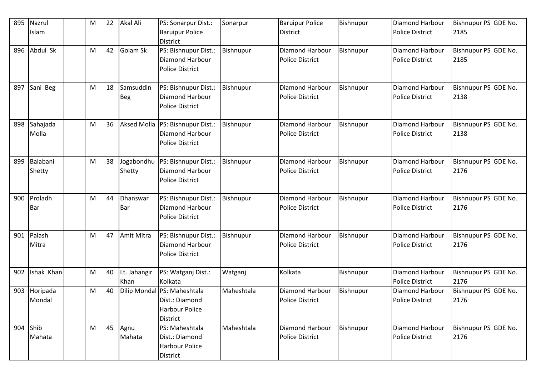| 895 | Nazrul<br>Islam       | M | 22 | Akal Ali                | PS: Sonarpur Dist.:<br><b>Baruipur Police</b><br><b>District</b>                   | Sonarpur   | <b>Baruipur Police</b><br><b>District</b>        | Bishnupur | Diamond Harbour<br><b>Police District</b>        | Bishnupur PS GDE No.<br>2185 |
|-----|-----------------------|---|----|-------------------------|------------------------------------------------------------------------------------|------------|--------------------------------------------------|-----------|--------------------------------------------------|------------------------------|
| 896 | Abdul Sk              | M | 42 | Golam Sk                | PS: Bishnupur Dist.:<br>Diamond Harbour<br><b>Police District</b>                  | Bishnupur  | Diamond Harbour<br><b>Police District</b>        | Bishnupur | Diamond Harbour<br><b>Police District</b>        | Bishnupur PS GDE No.<br>2185 |
| 897 | Sani Beg              | M | 18 | Samsuddin<br><b>Beg</b> | PS: Bishnupur Dist.:<br>Diamond Harbour<br><b>Police District</b>                  | Bishnupur  | Diamond Harbour<br><b>Police District</b>        | Bishnupur | <b>Diamond Harbour</b><br><b>Police District</b> | Bishnupur PS GDE No.<br>2138 |
| 898 | Sahajada<br>Molla     | M | 36 | <b>Aksed Molla</b>      | PS: Bishnupur Dist.:<br>Diamond Harbour<br><b>Police District</b>                  | Bishnupur  | <b>Diamond Harbour</b><br><b>Police District</b> | Bishnupur | <b>Diamond Harbour</b><br><b>Police District</b> | Bishnupur PS GDE No.<br>2138 |
| 899 | Balabani<br>Shetty    | M | 38 | Jogabondhu<br>Shetty    | PS: Bishnupur Dist.:<br><b>Diamond Harbour</b><br><b>Police District</b>           | Bishnupur  | Diamond Harbour<br><b>Police District</b>        | Bishnupur | Diamond Harbour<br><b>Police District</b>        | Bishnupur PS GDE No.<br>2176 |
| 900 | Proladh<br><b>Bar</b> | M | 44 | Dhanswar<br>Bar         | PS: Bishnupur Dist.:<br>Diamond Harbour<br><b>Police District</b>                  | Bishnupur  | Diamond Harbour<br><b>Police District</b>        | Bishnupur | <b>Diamond Harbour</b><br><b>Police District</b> | Bishnupur PS GDE No.<br>2176 |
| 901 | Palash<br>Mitra       | M | 47 | Amit Mitra              | PS: Bishnupur Dist.:<br>Diamond Harbour<br><b>Police District</b>                  | Bishnupur  | <b>Diamond Harbour</b><br><b>Police District</b> | Bishnupur | Diamond Harbour<br><b>Police District</b>        | Bishnupur PS GDE No.<br>2176 |
| 902 | Ishak Khan            | M | 40 | Lt. Jahangir<br>Khan    | PS: Watganj Dist.:<br>Kolkata                                                      | Watganj    | Kolkata                                          | Bishnupur | Diamond Harbour<br><b>Police District</b>        | Bishnupur PS GDE No.<br>2176 |
| 903 | Horipada<br>Mondal    | M | 40 |                         | Dilip Mondal PS: Maheshtala<br>Dist.: Diamond<br><b>Harbour Police</b><br>District | Maheshtala | Diamond Harbour<br><b>Police District</b>        | Bishnupur | Diamond Harbour<br><b>Police District</b>        | Bishnupur PS GDE No.<br>2176 |
| 904 | Shib<br>Mahata        | M | 45 | Agnu<br>Mahata          | PS: Maheshtala<br>Dist.: Diamond<br><b>Harbour Police</b><br>District              | Maheshtala | Diamond Harbour<br><b>Police District</b>        | Bishnupur | Diamond Harbour<br><b>Police District</b>        | Bishnupur PS GDE No.<br>2176 |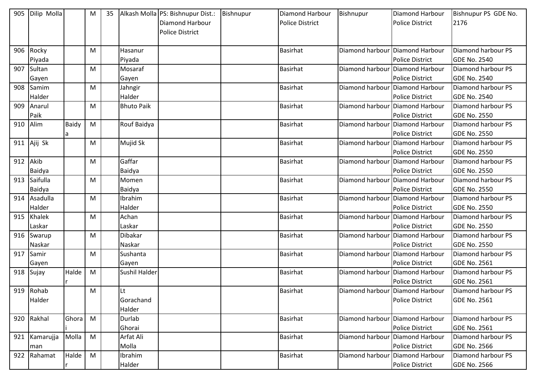|          | 905 Dilip Molla |              | M | 35 |                      | Alkash Molla PS: Bishnupur Dist.: | Bishnupur | Diamond Harbour        | Bishnupur | Diamond Harbour                   | Bishnupur PS GDE No. |
|----------|-----------------|--------------|---|----|----------------------|-----------------------------------|-----------|------------------------|-----------|-----------------------------------|----------------------|
|          |                 |              |   |    |                      | <b>Diamond Harbour</b>            |           | <b>Police District</b> |           | <b>Police District</b>            | 2176                 |
|          |                 |              |   |    |                      | <b>Police District</b>            |           |                        |           |                                   |                      |
|          |                 |              |   |    |                      |                                   |           |                        |           |                                   |                      |
| 906      | Rocky           |              | M |    | Hasanur              |                                   |           | Basirhat               |           | Diamond harbour Diamond Harbour   | Diamond harbour PS   |
|          | Piyada          |              |   |    | Piyada               |                                   |           |                        |           | <b>Police District</b>            | <b>GDE No. 2540</b>  |
| 907      | Sultan          |              | M |    | Mosaraf              |                                   |           | Basirhat               |           | Diamond harbour Diamond Harbour   | Diamond harbour PS   |
|          | Gayen           |              |   |    | Gayen                |                                   |           |                        |           | <b>Police District</b>            | <b>GDE No. 2540</b>  |
| 908      | Samim           |              | M |    | Jahngir              |                                   |           | Basirhat               |           | Diamond harbour   Diamond Harbour | Diamond harbour PS   |
|          | Halder          |              |   |    | Halder               |                                   |           |                        |           | <b>Police District</b>            | <b>GDE No. 2540</b>  |
| 909      | Anarul          |              | M |    | <b>Bhuto Paik</b>    |                                   |           | Basirhat               |           | Diamond harbour   Diamond Harbour | Diamond harbour PS   |
|          | Paik            |              |   |    |                      |                                   |           |                        |           | <b>Police District</b>            | <b>GDE No. 2550</b>  |
| 910      | Alim            | <b>Baidy</b> | M |    | Rouf Baidya          |                                   |           | Basirhat               |           | Diamond harbour Diamond Harbour   | Diamond harbour PS   |
|          |                 | a            |   |    |                      |                                   |           |                        |           | <b>Police District</b>            | <b>GDE No. 2550</b>  |
|          | 911 Ajij Sk     |              | M |    | Mujid Sk             |                                   |           | Basirhat               |           | Diamond harbour Diamond Harbour   | Diamond harbour PS   |
|          |                 |              |   |    |                      |                                   |           |                        |           | <b>Police District</b>            | <b>GDE No. 2550</b>  |
| 912 Akib |                 |              | M |    | Gaffar               |                                   |           | Basirhat               |           | Diamond harbour Diamond Harbour   | Diamond harbour PS   |
|          | Baidya          |              |   |    | Baidya               |                                   |           |                        |           | <b>Police District</b>            | <b>GDE No. 2550</b>  |
| 913      | Saifulla        |              | M |    | Momen                |                                   |           | Basirhat               |           | Diamond harbour Diamond Harbour   | Diamond harbour PS   |
|          | Baidya          |              |   |    | Baidya               |                                   |           |                        |           | <b>Police District</b>            | <b>GDE No. 2550</b>  |
|          | 914 Asadulla    |              | M |    | Ibrahim              |                                   |           | Basirhat               |           | Diamond harbour   Diamond Harbour | Diamond harbour PS   |
|          | Halder          |              |   |    | Halder               |                                   |           |                        |           | <b>Police District</b>            | <b>GDE No. 2550</b>  |
| 915      | Khalek          |              | M |    | Achan                |                                   |           | Basirhat               |           | Diamond harbour   Diamond Harbour | Diamond harbour PS   |
|          | Laskar          |              |   |    | Laskar               |                                   |           |                        |           | <b>Police District</b>            | <b>GDE No. 2550</b>  |
| 916      | Swarup          |              | M |    | Dibakar              |                                   |           | Basirhat               |           | Diamond harbour Diamond Harbour   | Diamond harbour PS   |
|          | Naskar          |              |   |    | Naskar               |                                   |           |                        |           | <b>Police District</b>            | <b>GDE No. 2550</b>  |
| 917      | Samir           |              | M |    | Sushanta             |                                   |           | Basirhat               |           | Diamond harbour   Diamond Harbour | Diamond harbour PS   |
|          | Gayen           |              |   |    | Gayen                |                                   |           |                        |           | <b>Police District</b>            | <b>GDE No. 2561</b>  |
| 918      | Sujay           | Halde        | M |    | <b>Sushil Halder</b> |                                   |           | <b>Basirhat</b>        |           | Diamond harbour Diamond Harbour   | Diamond harbour PS   |
|          |                 |              |   |    |                      |                                   |           |                        |           | <b>Police District</b>            | <b>GDE No. 2561</b>  |
|          | 919 Rohab       |              | M |    | Lt                   |                                   |           | Basirhat               |           | Diamond harbour Diamond Harbour   | Diamond harbour PS   |
|          | Halder          |              |   |    | Gorachand            |                                   |           |                        |           | <b>Police District</b>            | <b>GDE No. 2561</b>  |
|          |                 |              |   |    | Halder               |                                   |           |                        |           |                                   |                      |
| 920      | Rakhal          | Ghora        | M |    | Durlab               |                                   |           | <b>Basirhat</b>        |           | Diamond harbour Diamond Harbour   | Diamond harbour PS   |
|          |                 |              |   |    | Ghorai               |                                   |           |                        |           | <b>Police District</b>            | <b>GDE No. 2561</b>  |
| 921      | Kamarujja       | Molla        | M |    | Arfat Ali            |                                   |           | Basirhat               |           | Diamond harbour   Diamond Harbour | Diamond harbour PS   |
|          | man             |              |   |    | Molla                |                                   |           |                        |           | <b>Police District</b>            | <b>GDE No. 2566</b>  |
| 922      | Rahamat         | Halde        | M |    | <b>Ibrahim</b>       |                                   |           | Basirhat               |           | Diamond harbour Diamond Harbour   | Diamond harbour PS   |
|          |                 |              |   |    | Halder               |                                   |           |                        |           | Police District                   | <b>GDE No. 2566</b>  |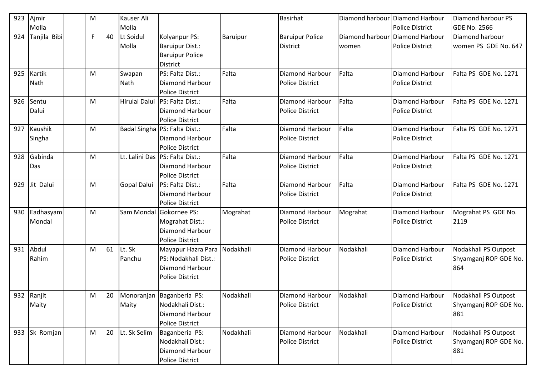| 923 | Ajmir        | M |    | Kauser Ali           |                                 |           | <b>Basirhat</b>        |                 | Diamond harbour Diamond Harbour | Diamond harbour PS    |
|-----|--------------|---|----|----------------------|---------------------------------|-----------|------------------------|-----------------|---------------------------------|-----------------------|
|     | Molla        |   |    | Molla                |                                 |           |                        |                 | <b>Police District</b>          | <b>GDE No. 2566</b>   |
| 924 | Tanjila Bibi | F | 40 | Lt Soidul            | Kolyanpur PS:                   | Baruipur  | <b>Baruipur Police</b> | Diamond harbour | <b>Diamond Harbour</b>          | Diamond harbour       |
|     |              |   |    | Molla                | <b>Baruipur Dist.:</b>          |           | <b>District</b>        | women           | <b>Police District</b>          | women PS GDE No. 647  |
|     |              |   |    |                      | <b>Baruipur Police</b>          |           |                        |                 |                                 |                       |
|     |              |   |    |                      | <b>District</b>                 |           |                        |                 |                                 |                       |
| 925 | Kartik       | M |    | Swapan               | PS: Falta Dist.:                | Falta     | Diamond Harbour        | Falta           | Diamond Harbour                 | Falta PS GDE No. 1271 |
|     | Nath         |   |    | Nath                 | <b>Diamond Harbour</b>          |           | <b>Police District</b> |                 | <b>Police District</b>          |                       |
|     |              |   |    |                      | <b>Police District</b>          |           |                        |                 |                                 |                       |
| 926 | Sentu        | M |    | <b>Hirulal Dalui</b> | PS: Falta Dist.:                | Falta     | Diamond Harbour        | Falta           | <b>Diamond Harbour</b>          | Falta PS GDE No. 1271 |
|     | Dalui        |   |    |                      | <b>Diamond Harbour</b>          |           | <b>Police District</b> |                 | <b>Police District</b>          |                       |
|     |              |   |    |                      | <b>Police District</b>          |           |                        |                 |                                 |                       |
| 927 | Kaushik      | M |    |                      | Badal Singha PS: Falta Dist.:   | Falta     | Diamond Harbour        | Falta           | <b>Diamond Harbour</b>          | Falta PS GDE No. 1271 |
|     | Singha       |   |    |                      | <b>Diamond Harbour</b>          |           | <b>Police District</b> |                 | <b>Police District</b>          |                       |
|     |              |   |    |                      | <b>Police District</b>          |           |                        |                 |                                 |                       |
| 928 | Gabinda      | M |    |                      | Lt. Lalini Das PS: Falta Dist.: | Falta     | Diamond Harbour        | Falta           | Diamond Harbour                 | Falta PS GDE No. 1271 |
|     | Das          |   |    |                      | Diamond Harbour                 |           | <b>Police District</b> |                 | <b>Police District</b>          |                       |
|     |              |   |    |                      | <b>Police District</b>          |           |                        |                 |                                 |                       |
| 929 | Jit Dalui    | M |    | Gopal Dalui          | PS: Falta Dist.:                | Falta     | Diamond Harbour        | Falta           | <b>Diamond Harbour</b>          | Falta PS GDE No. 1271 |
|     |              |   |    |                      | <b>Diamond Harbour</b>          |           | <b>Police District</b> |                 | <b>Police District</b>          |                       |
|     |              |   |    |                      | <b>Police District</b>          |           |                        |                 |                                 |                       |
| 930 | Eadhasyam    | M |    | Sam Mondal           | Gokornee PS:                    | Mograhat  | <b>Diamond Harbour</b> | Mograhat        | <b>Diamond Harbour</b>          | Mograhat PS GDE No.   |
|     | Mondal       |   |    |                      | Mograhat Dist.:                 |           | <b>Police District</b> |                 | <b>Police District</b>          | 2119                  |
|     |              |   |    |                      | Diamond Harbour                 |           |                        |                 |                                 |                       |
|     |              |   |    |                      | <b>Police District</b>          |           |                        |                 |                                 |                       |
| 931 | Abdul        | M | 61 | Lt. Sk               | Mayapur Hazra Para              | Nodakhali | <b>Diamond Harbour</b> | Nodakhali       | Diamond Harbour                 | Nodakhali PS Outpost  |
|     | Rahim        |   |    | Panchu               | PS: Nodakhali Dist.:            |           | <b>Police District</b> |                 | <b>Police District</b>          | Shyamganj ROP GDE No. |
|     |              |   |    |                      | Diamond Harbour                 |           |                        |                 |                                 | 864                   |
|     |              |   |    |                      | <b>Police District</b>          |           |                        |                 |                                 |                       |
|     |              |   |    |                      |                                 |           |                        |                 |                                 |                       |
|     | 932 Ranjit   | M | 20 |                      | Monoranjan Baganberia PS:       | Nodakhali | Diamond Harbour        | Nodakhali       | <b>Diamond Harbour</b>          | Nodakhali PS Outpost  |
|     | Maity        |   |    | Maity                | Nodakhali Dist.:                |           | <b>Police District</b> |                 | <b>Police District</b>          | Shyamganj ROP GDE No. |
|     |              |   |    |                      | Diamond Harbour                 |           |                        |                 |                                 | 881                   |
|     |              |   |    |                      | <b>Police District</b>          |           |                        |                 |                                 |                       |
| 933 | Sk Romjan    | M | 20 | Lt. Sk Selim         | Baganberia PS:                  | Nodakhali | Diamond Harbour        | Nodakhali       | <b>Diamond Harbour</b>          | Nodakhali PS Outpost  |
|     |              |   |    |                      | Nodakhali Dist.:                |           | <b>Police District</b> |                 | <b>Police District</b>          | Shyamganj ROP GDE No. |
|     |              |   |    |                      | Diamond Harbour                 |           |                        |                 |                                 | 881                   |
|     |              |   |    |                      | <b>Police District</b>          |           |                        |                 |                                 |                       |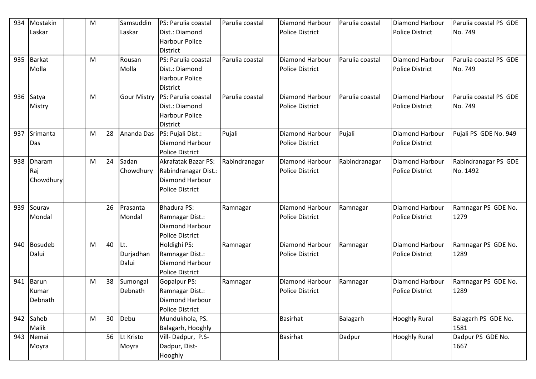| 934 | Mostakin       | M         |    | Samsuddin          | PS: Parulia coastal        | Parulia coastal | Diamond Harbour        | Parulia coastal | Diamond Harbour        | Parulia coastal PS GDE |
|-----|----------------|-----------|----|--------------------|----------------------------|-----------------|------------------------|-----------------|------------------------|------------------------|
|     | Laskar         |           |    | Laskar             | Dist.: Diamond             |                 | <b>Police District</b> |                 | <b>Police District</b> | No. 749                |
|     |                |           |    |                    | <b>Harbour Police</b>      |                 |                        |                 |                        |                        |
|     |                |           |    |                    | <b>District</b>            |                 |                        |                 |                        |                        |
| 935 | <b>Barkat</b>  | M         |    | Rousan             | PS: Parulia coastal        | Parulia coastal | Diamond Harbour        | Parulia coastal | Diamond Harbour        | Parulia coastal PS GDE |
|     | Molla          |           |    | Molla              | Dist.: Diamond             |                 | <b>Police District</b> |                 | <b>Police District</b> | No. 749                |
|     |                |           |    |                    | <b>Harbour Police</b>      |                 |                        |                 |                        |                        |
|     |                |           |    |                    | <b>District</b>            |                 |                        |                 |                        |                        |
| 936 | Satya          | M         |    | <b>Gour Mistry</b> | PS: Parulia coastal        | Parulia coastal | <b>Diamond Harbour</b> | Parulia coastal | <b>Diamond Harbour</b> | Parulia coastal PS GDE |
|     | Mistry         |           |    |                    | Dist.: Diamond             |                 | <b>Police District</b> |                 | <b>Police District</b> | No. 749                |
|     |                |           |    |                    | <b>Harbour Police</b>      |                 |                        |                 |                        |                        |
|     |                |           |    |                    | <b>District</b>            |                 |                        |                 |                        |                        |
| 937 | Srimanta       | M         | 28 | Ananda Das         | PS: Pujali Dist.:          | Pujali          | Diamond Harbour        | Pujali          | Diamond Harbour        | Pujali PS GDE No. 949  |
|     | Das            |           |    |                    | <b>Diamond Harbour</b>     |                 | <b>Police District</b> |                 | <b>Police District</b> |                        |
|     |                |           |    |                    | <b>Police District</b>     |                 |                        |                 |                        |                        |
| 938 | <b>Dharam</b>  | M         | 24 | Sadan              | <b>Akrafatak Bazar PS:</b> | Rabindranagar   | Diamond Harbour        | Rabindranagar   | Diamond Harbour        | Rabindranagar PS GDE   |
|     | Raj            |           |    | Chowdhury          | Rabindranagar Dist.:       |                 | <b>Police District</b> |                 | <b>Police District</b> | No. 1492               |
|     | Chowdhury      |           |    |                    | Diamond Harbour            |                 |                        |                 |                        |                        |
|     |                |           |    |                    | <b>Police District</b>     |                 |                        |                 |                        |                        |
|     |                |           |    |                    |                            |                 |                        |                 |                        |                        |
| 939 | Sourav         |           | 26 | Prasanta           | <b>Bhadura PS:</b>         | Ramnagar        | Diamond Harbour        | Ramnagar        | Diamond Harbour        | Ramnagar PS GDE No.    |
|     | Mondal         |           |    | Mondal             | Ramnagar Dist.:            |                 | <b>Police District</b> |                 | <b>Police District</b> | 1279                   |
|     |                |           |    |                    | Diamond Harbour            |                 |                        |                 |                        |                        |
|     |                |           |    |                    | <b>Police District</b>     |                 |                        |                 |                        |                        |
| 940 | <b>Bosudeb</b> | M         | 40 | ILt.               | Holdighi PS:               | Ramnagar        | Diamond Harbour        | Ramnagar        | <b>Diamond Harbour</b> | Ramnagar PS GDE No.    |
|     | Dalui          |           |    | Durjadhan          | Ramnagar Dist.:            |                 | <b>Police District</b> |                 | <b>Police District</b> | 1289                   |
|     |                |           |    | Dalui              | <b>Diamond Harbour</b>     |                 |                        |                 |                        |                        |
|     |                |           |    |                    | <b>Police District</b>     |                 |                        |                 |                        |                        |
| 941 | <b>Barun</b>   | M         | 38 | Sumongal           | Gopalpur PS:               | Ramnagar        | Diamond Harbour        | Ramnagar        | Diamond Harbour        | Ramnagar PS GDE No.    |
|     | Kumar          |           |    | Debnath            | Ramnagar Dist.:            |                 | <b>Police District</b> |                 | <b>Police District</b> | 1289                   |
|     | Debnath        |           |    |                    | <b>Diamond Harbour</b>     |                 |                        |                 |                        |                        |
|     |                |           |    |                    | <b>Police District</b>     |                 |                        |                 |                        |                        |
| 942 | Saheb          | ${\sf M}$ | 30 | Debu               | Mundukhola, PS.            |                 | <b>Basirhat</b>        | Balagarh        | <b>Hooghly Rural</b>   | Balagarh PS GDE No.    |
|     | Malik          |           |    |                    | Balagarh, Hooghly          |                 |                        |                 |                        | 1581                   |
| 943 | Nemai          |           | 56 | Lt Kristo          | Vill-Dadpur, P.S-          |                 | Basirhat               | Dadpur          | <b>Hooghly Rural</b>   | Dadpur PS GDE No.      |
|     | Moyra          |           |    | Moyra              | Dadpur, Dist-              |                 |                        |                 |                        | 1667                   |
|     |                |           |    |                    | Hooghly                    |                 |                        |                 |                        |                        |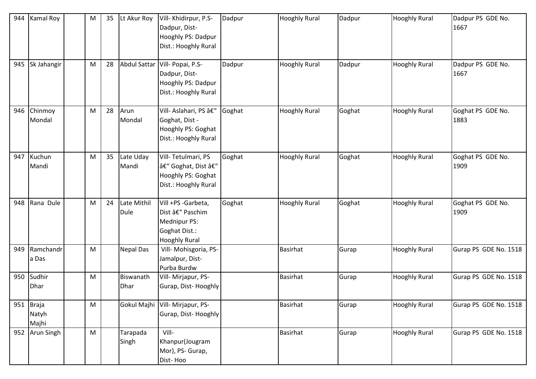| 944 | <b>Kamal Roy</b>               | M | 35 | Lt Akur Roy                | Vill- Khidirpur, P.S-<br>Dadpur, Dist-<br>Hooghly PS: Dadpur<br>Dist.: Hooghly Rural          | Dadpur | <b>Hooghly Rural</b> | Dadpur | <b>Hooghly Rural</b> | Dadpur PS GDE No.<br>1667 |
|-----|--------------------------------|---|----|----------------------------|-----------------------------------------------------------------------------------------------|--------|----------------------|--------|----------------------|---------------------------|
| 945 | Sk Jahangir                    | M | 28 | <b>Abdul Sattar</b>        | Vill- Popai, P.S-<br>Dadpur, Dist-<br>Hooghly PS: Dadpur<br>Dist.: Hooghly Rural              | Dadpur | <b>Hooghly Rural</b> | Dadpur | <b>Hooghly Rural</b> | Dadpur PS GDE No.<br>1667 |
| 946 | Chinmoy<br>Mondal              | M | 28 | Arun<br>Mondal             | Vill- Aslahari, PS –<br>Goghat, Dist -<br>Hooghly PS: Goghat<br>Dist.: Hooghly Rural          | Goghat | <b>Hooghly Rural</b> | Goghat | <b>Hooghly Rural</b> | Goghat PS GDE No.<br>1883 |
| 947 | Kuchun<br>Mandi                | M | 35 | Late Uday<br>Mandi         | Vill-Tetulmari, PS<br>– Goghat, Dist –<br>Hooghly PS: Goghat<br>Dist.: Hooghly Rural          | Goghat | <b>Hooghly Rural</b> | Goghat | <b>Hooghly Rural</b> | Goghat PS GDE No.<br>1909 |
| 948 | Rana Dule                      | M | 24 | Late Mithil<br><b>Dule</b> | Vill +PS -Garbeta,<br>Dist – Paschim<br>Mednipur PS:<br>Goghat Dist.:<br><b>Hooghly Rural</b> | Goghat | <b>Hooghly Rural</b> | Goghat | <b>Hooghly Rural</b> | Goghat PS GDE No.<br>1909 |
| 949 | Ramchandr<br>a Das             | M |    | <b>Nepal Das</b>           | Vill- Mohisgoria, PS-<br>Jamalpur, Dist-<br>Purba Burdw                                       |        | <b>Basirhat</b>      | Gurap  | <b>Hooghly Rural</b> | Gurap PS GDE No. 1518     |
| 950 | Sudhir<br><b>Dhar</b>          | M |    | Biswanath<br><b>Dhar</b>   | Vill- Mirjapur, PS-<br>Gurap, Dist-Hooghly                                                    |        | <b>Basirhat</b>      | Gurap  | <b>Hooghly Rural</b> | Gurap PS GDE No. 1518     |
| 951 | <b>Braja</b><br>Natyh<br>Majhi | M |    | Gokul Majhi                | Vill- Mirjapur, PS-<br>Gurap, Dist-Hooghly                                                    |        | <b>Basirhat</b>      | Gurap  | <b>Hooghly Rural</b> | Gurap PS GDE No. 1518     |
| 952 | <b>Arun Singh</b>              | M |    | Tarapada<br>Singh          | Vill-<br>Khanpur(Jougram<br>Mor), PS- Gurap,<br>Dist-Hoo                                      |        | <b>Basirhat</b>      | Gurap  | <b>Hooghly Rural</b> | Gurap PS GDE No. 1518     |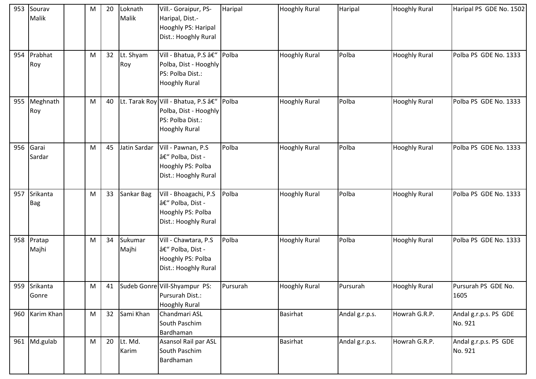| 953 | Sourav<br>Malik        | M | 20 | Loknath<br>Malik | Vill.- Goraipur, PS-<br>Haripal, Dist.-<br>Hooghly PS: Haripal<br>Dist.: Hooghly Rural                  | Haripal  | <b>Hooghly Rural</b> | Haripal        | <b>Hooghly Rural</b> | Haripal PS GDE No. 1502          |
|-----|------------------------|---|----|------------------|---------------------------------------------------------------------------------------------------------|----------|----------------------|----------------|----------------------|----------------------------------|
| 954 | Prabhat<br>Roy         | M | 32 | Lt. Shyam<br>Roy | Vill - Bhatua, P.S –<br>Polba, Dist - Hooghly<br>PS: Polba Dist.:<br><b>Hooghly Rural</b>               | Polba    | <b>Hooghly Rural</b> | Polba          | <b>Hooghly Rural</b> | Polba PS GDE No. 1333            |
| 955 | Meghnath<br>Roy        | M | 40 |                  | Lt. Tarak Roy Vill - Bhatua, P.S –<br>Polba, Dist - Hooghly<br>PS: Polba Dist.:<br><b>Hooghly Rural</b> | Polba    | <b>Hooghly Rural</b> | Polba          | <b>Hooghly Rural</b> | Polba PS GDE No. 1333            |
| 956 | Garai<br>Sardar        | M | 45 | Jatin Sardar     | Vill - Pawnan, P.S<br>– Polba, Dist -<br>Hooghly PS: Polba<br>Dist.: Hooghly Rural                      | Polba    | <b>Hooghly Rural</b> | Polba          | <b>Hooghly Rural</b> | Polba PS GDE No. 1333            |
| 957 | Srikanta<br><b>Bag</b> | M | 33 | Sankar Bag       | Vill - Bhoagachi, P.S<br>– Polba, Dist -<br>Hooghly PS: Polba<br>Dist.: Hooghly Rural                   | Polba    | <b>Hooghly Rural</b> | Polba          | <b>Hooghly Rural</b> | Polba PS GDE No. 1333            |
| 958 | Pratap<br>Majhi        | M | 34 | Sukumar<br>Majhi | Vill - Chawtara, P.S<br>– Polba, Dist -<br>Hooghly PS: Polba<br>Dist.: Hooghly Rural                    | Polba    | <b>Hooghly Rural</b> | Polba          | <b>Hooghly Rural</b> | Polba PS GDE No. 1333            |
|     | 959 Srikanta<br>Gonre  | M | 41 |                  | Sudeb Gonre Vill-Shyampur PS:<br>Pursurah Dist.:<br><b>Hooghly Rural</b>                                | Pursurah | <b>Hooghly Rural</b> | Pursurah       | <b>Hooghly Rural</b> | Pursurah PS GDE No.<br>1605      |
|     | 960 Karim Khan         | M | 32 | Sami Khan        | Chandmari ASL<br>South Paschim<br>Bardhaman                                                             |          | Basirhat             | Andal g.r.p.s. | Howrah G.R.P.        | Andal g.r.p.s. PS GDE<br>No. 921 |
|     | 961 Md.gulab           | M | 20 | Lt. Md.<br>Karim | Asansol Rail par ASL<br>South Paschim<br>Bardhaman                                                      |          | <b>Basirhat</b>      | Andal g.r.p.s. | Howrah G.R.P.        | Andal g.r.p.s. PS GDE<br>No. 921 |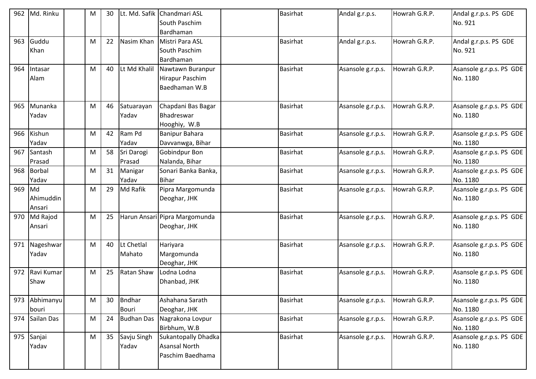| 962 | Md. Rinku     | M | 30 |                   | Lt. Md. Safik Chandmari ASL   | <b>Basirhat</b> | Andal g.r.p.s.    | Howrah G.R.P. | Andal g.r.p.s. PS GDE    |
|-----|---------------|---|----|-------------------|-------------------------------|-----------------|-------------------|---------------|--------------------------|
|     |               |   |    |                   | South Paschim                 |                 |                   |               | No. 921                  |
|     |               |   |    |                   | Bardhaman                     |                 |                   |               |                          |
| 963 | Guddu         | M | 22 | Nasim Khan        | Mistri Para ASL               | <b>Basirhat</b> | Andal g.r.p.s.    | Howrah G.R.P. | Andal g.r.p.s. PS GDE    |
|     | Khan          |   |    |                   | South Paschim                 |                 |                   |               | No. 921                  |
|     |               |   |    |                   | Bardhaman                     |                 |                   |               |                          |
| 964 | Intasar       | M | 40 | Lt Md Khalil      | Nawtawn Buranpur              | <b>Basirhat</b> | Asansole g.r.p.s. | Howrah G.R.P. | Asansole g.r.p.s. PS GDE |
|     | Alam          |   |    |                   | Hirapur Paschim               |                 |                   |               | No. 1180                 |
|     |               |   |    |                   | Baedhaman W.B                 |                 |                   |               |                          |
|     |               |   |    |                   |                               |                 |                   |               |                          |
| 965 | Munanka       | M | 46 | Satuarayan        | Chapdani Bas Bagar            | <b>Basirhat</b> | Asansole g.r.p.s. | Howrah G.R.P. | Asansole g.r.p.s. PS GDE |
|     | Yadav         |   |    | Yadav             | Bhadreswar                    |                 |                   |               | No. 1180                 |
|     |               |   |    |                   | Hooghiy, W.B                  |                 |                   |               |                          |
| 966 | Kishun        | M | 42 | Ram Pd            | <b>Banipur Bahara</b>         | Basirhat        | Asansole g.r.p.s. | Howrah G.R.P. | Asansole g.r.p.s. PS GDE |
|     | Yadav         |   |    | Yadav             | Davvanwga, Bihar              |                 |                   |               | No. 1180                 |
| 967 | Santash       | M | 58 | Sri Darogi        | Gobindpur Bon                 | <b>Basirhat</b> | Asansole g.r.p.s. | Howrah G.R.P. | Asansole g.r.p.s. PS GDE |
|     | Prasad        |   |    | Prasad            | Nalanda, Bihar                |                 |                   |               | No. 1180                 |
| 968 | <b>Borbal</b> | M | 31 | Manigar           | Sonari Banka Banka,           | <b>Basirhat</b> | Asansole g.r.p.s. | Howrah G.R.P. | Asansole g.r.p.s. PS GDE |
|     | Yadav         |   |    | Yadav             | <b>Bihar</b>                  |                 |                   |               | No. 1180                 |
| 969 | Md            | M | 29 | Md Rafik          | Pipra Margomunda              | Basirhat        | Asansole g.r.p.s. | Howrah G.R.P. | Asansole g.r.p.s. PS GDE |
|     | Ahimuddin     |   |    |                   | Deoghar, JHK                  |                 |                   |               | No. 1180                 |
|     | Ansari        |   |    |                   |                               |                 |                   |               |                          |
| 970 | Md Rajod      | M | 25 |                   | Harun Ansari Pipra Margomunda | <b>Basirhat</b> | Asansole g.r.p.s. | Howrah G.R.P. | Asansole g.r.p.s. PS GDE |
|     | Ansari        |   |    |                   | Deoghar, JHK                  |                 |                   |               | No. 1180                 |
|     |               |   |    |                   |                               |                 |                   |               |                          |
| 971 | Nageshwar     | M | 40 | Lt Chetlal        | Hariyara                      | <b>Basirhat</b> | Asansole g.r.p.s. | Howrah G.R.P. | Asansole g.r.p.s. PS GDE |
|     | Yadav         |   |    | Mahato            | Margomunda                    |                 |                   |               | No. 1180                 |
|     |               |   |    |                   | Deoghar, JHK                  |                 |                   |               |                          |
| 972 | Ravi Kumar    | M | 25 | Ratan Shaw        | Lodna Lodna                   | <b>Basirhat</b> | Asansole g.r.p.s. | Howrah G.R.P. | Asansole g.r.p.s. PS GDE |
|     | Shaw          |   |    |                   | Dhanbad, JHK                  |                 |                   |               | No. 1180                 |
|     |               |   |    |                   |                               |                 |                   |               |                          |
| 973 | Abhimanyu     | M | 30 | <b>Bndhar</b>     | Ashahana Sarath               | <b>Basirhat</b> | Asansole g.r.p.s. | Howrah G.R.P. | Asansole g.r.p.s. PS GDE |
|     | bouri         |   |    | Bouri             | Deoghar, JHK                  |                 |                   |               | No. 1180                 |
| 974 | Sailan Das    | M | 24 | <b>Budhan Das</b> | Nagrakona Lovpur              | Basirhat        | Asansole g.r.p.s. | Howrah G.R.P. | Asansole g.r.p.s. PS GDE |
|     |               |   |    |                   | Birbhum, W.B                  |                 |                   |               | No. 1180                 |
| 975 | Sanjai        | M | 35 | Savju Singh       | <b>Sukantopally Dhadka</b>    | Basirhat        | Asansole g.r.p.s. | Howrah G.R.P. | Asansole g.r.p.s. PS GDE |
|     | Yadav         |   |    | Yadav             | <b>Asansal North</b>          |                 |                   |               | No. 1180                 |
|     |               |   |    |                   | Paschim Baedhama              |                 |                   |               |                          |
|     |               |   |    |                   |                               |                 |                   |               |                          |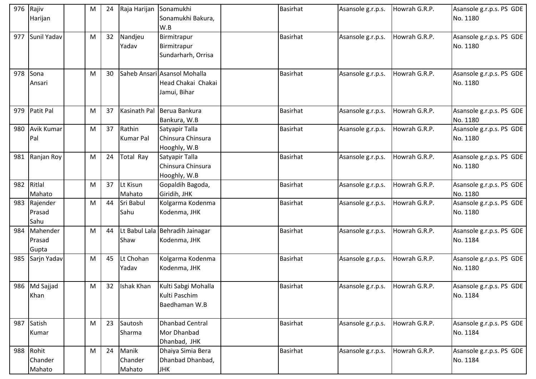|     | 976 Rajiv<br>Harijan           | M | 24 | Raja Harijan               | Sonamukhi<br>Sonamukhi Bakura,<br>W.B                              | <b>Basirhat</b> | Asansole g.r.p.s. | Howrah G.R.P. | Asansole g.r.p.s. PS GDE<br>No. 1180 |
|-----|--------------------------------|---|----|----------------------------|--------------------------------------------------------------------|-----------------|-------------------|---------------|--------------------------------------|
| 977 | Sunil Yadav                    | M | 32 | Nandjeu<br>Yadav           | Birmitrapur<br>Birmitrapur<br>Sundarharh, Orrisa                   | <b>Basirhat</b> | Asansole g.r.p.s. | Howrah G.R.P. | Asansole g.r.p.s. PS GDE<br>No. 1180 |
| 978 | Sona<br>Ansari                 | M | 30 |                            | Saheb Ansari Asansol Mohalla<br>Head Chakai Chakai<br>Jamui, Bihar | <b>Basirhat</b> | Asansole g.r.p.s. | Howrah G.R.P. | Asansole g.r.p.s. PS GDE<br>No. 1180 |
| 979 | Patit Pal                      | M | 37 | Kasinath Pal               | Berua Bankura<br>Bankura, W.B                                      | <b>Basirhat</b> | Asansole g.r.p.s. | Howrah G.R.P. | Asansole g.r.p.s. PS GDE<br>No. 1180 |
| 980 | <b>Avik Kumar</b><br>Pal       | M | 37 | Rathin<br><b>Kumar Pal</b> | Satyapir Talla<br>Chinsura Chinsura<br>Hooghly, W.B                | <b>Basirhat</b> | Asansole g.r.p.s. | Howrah G.R.P. | Asansole g.r.p.s. PS GDE<br>No. 1180 |
| 981 | Ranjan Roy                     | M | 24 | <b>Total Ray</b>           | Satyapir Talla<br>Chinsura Chinsura<br>Hooghly, W.B                | <b>Basirhat</b> | Asansole g.r.p.s. | Howrah G.R.P. | Asansole g.r.p.s. PS GDE<br>No. 1180 |
| 982 | Ritlal<br>Mahato               | M | 37 | Lt Kisun<br>Mahato         | Gopaldih Bagoda,<br>Giridih, JHK                                   | <b>Basirhat</b> | Asansole g.r.p.s. | Howrah G.R.P. | Asansole g.r.p.s. PS GDE<br>No. 1180 |
|     | 983 Rajender<br>Prasad<br>Sahu | M | 44 | Sri Babul<br>Sahu          | Kolgarma Kodenma<br>Kodenma, JHK                                   | <b>Basirhat</b> | Asansole g.r.p.s. | Howrah G.R.P. | Asansole g.r.p.s. PS GDE<br>No. 1180 |
| 984 | Mahender<br>Prasad<br>Gupta    | M | 44 | Shaw                       | Lt Babul Lala Behradih Jainagar<br>Kodenma, JHK                    | Basirhat        | Asansole g.r.p.s. | Howrah G.R.P. | Asansole g.r.p.s. PS GDE<br>No. 1184 |
| 985 | Sarjn Yadav                    | M | 45 | Lt Chohan<br>Yadav         | Kolgarma Kodenma<br>Kodenma, JHK                                   | <b>Basirhat</b> | Asansole g.r.p.s. | Howrah G.R.P. | Asansole g.r.p.s. PS GDE<br>No. 1180 |
|     | 986 Md Sajjad<br>Khan          | M |    | 32 Ishak Khan              | Kulti Sabgi Mohalla<br>Kulti Paschim<br>Baedhaman W.B              | <b>Basirhat</b> | Asansole g.r.p.s. | Howrah G.R.P. | Asansole g.r.p.s. PS GDE<br>No. 1184 |
| 987 | Satish<br>Kumar                | M | 23 | Sautosh<br>Sharma          | <b>Dhanbad Central</b><br>Mor Dhanbad<br>Dhanbad, JHK              | <b>Basirhat</b> | Asansole g.r.p.s. | Howrah G.R.P. | Asansole g.r.p.s. PS GDE<br>No. 1184 |
|     | 988 Rohit<br>Chander<br>Mahato | M | 24 | Manik<br>Chander<br>Mahato | Dhaiya Simia Bera<br>Dhanbad Dhanbad,<br><b>JHK</b>                | Basirhat        | Asansole g.r.p.s. | Howrah G.R.P. | Asansole g.r.p.s. PS GDE<br>No. 1184 |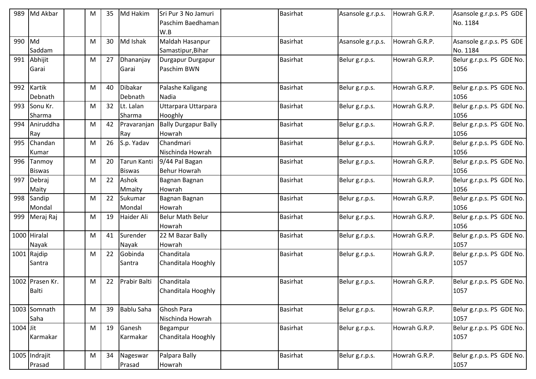| 989        | Md Akbar        | М | 35 | Md Hakim          | Sri Pur 3 No Jamuri         | <b>Basirhat</b> | Asansole g.r.p.s. | Howrah G.R.P. | Asansole g.r.p.s. PS GDE  |
|------------|-----------------|---|----|-------------------|-----------------------------|-----------------|-------------------|---------------|---------------------------|
|            |                 |   |    |                   | Paschim Baedhaman           |                 |                   |               | No. 1184                  |
|            |                 |   |    |                   | W.B                         |                 |                   |               |                           |
| 990        | Md              | M | 30 | Md Ishak          | Maldah Hasanpur             | Basirhat        | Asansole g.r.p.s. | Howrah G.R.P. | Asansole g.r.p.s. PS GDE  |
|            | Saddam          |   |    |                   | Samastipur, Bihar           |                 |                   |               | No. 1184                  |
| 991        | Abhijit         | M | 27 | Dhananjay         | Durgapur Durgapur           | <b>Basirhat</b> | Belur g.r.p.s.    | Howrah G.R.P. | Belur g.r.p.s. PS GDE No. |
|            | Garai           |   |    | Garai             | Paschim BWN                 |                 |                   |               | 1056                      |
| 992        | Kartik          | M | 40 | Dibakar           | Palashe Kaligang            | <b>Basirhat</b> | Belur g.r.p.s.    | Howrah G.R.P. | Belur g.r.p.s. PS GDE No. |
|            | Debnath         |   |    | Debnath           | Nadia                       |                 |                   |               | 1056                      |
| 993        | Sonu Kr.        | M | 32 | Lt. Lalan         | Uttarpara Uttarpara         | <b>Basirhat</b> | Belur g.r.p.s.    | Howrah G.R.P. | Belur g.r.p.s. PS GDE No. |
|            | Sharma          |   |    | Sharma            | Hooghly                     |                 |                   |               | 1056                      |
| 994        | Aniruddha       | M | 42 | Pravaranjan       | <b>Bally Durgapur Bally</b> | Basirhat        | Belur g.r.p.s.    | Howrah G.R.P. | Belur g.r.p.s. PS GDE No. |
|            | Ray             |   |    | Ray               | Howrah                      |                 |                   |               | 1056                      |
| 995        | Chandan         | M | 26 | S.p. Yadav        | Chandmari                   | Basirhat        | Belur g.r.p.s.    | Howrah G.R.P. | Belur g.r.p.s. PS GDE No. |
|            | Kumar           |   |    |                   | Nischinda Howrah            |                 |                   |               | 1056                      |
| 996        | Tanmoy          | M | 20 | Tarun Kanti       | 9/44 Pal Bagan              | <b>Basirhat</b> | Belur g.r.p.s.    | Howrah G.R.P. | Belur g.r.p.s. PS GDE No. |
|            | <b>Biswas</b>   |   |    | <b>Biswas</b>     | <b>Behur Howrah</b>         |                 |                   |               | 1056                      |
| 997        | Debraj          | M | 22 | Ashok             | Bagnan Bagnan               | <b>Basirhat</b> | Belur g.r.p.s.    | Howrah G.R.P. | Belur g.r.p.s. PS GDE No. |
|            | Maity           |   |    | Mmaity            | Howrah                      |                 |                   |               | 1056                      |
| 998        | Sandip          | M | 22 | Sukumar           | Bagnan Bagnan               | Basirhat        | Belur g.r.p.s.    | Howrah G.R.P. | Belur g.r.p.s. PS GDE No. |
|            | Mondal          |   |    | Mondal            | Howrah                      |                 |                   |               | 1056                      |
| 999        | Meraj Raj       | M | 19 | Haider Ali        | <b>Belur Math Belur</b>     | Basirhat        | Belur g.r.p.s.    | Howrah G.R.P. | Belur g.r.p.s. PS GDE No. |
|            |                 |   |    |                   | Howrah                      |                 |                   |               | 1056                      |
|            | 1000 Hiralal    | М | 41 | Surender          | 22 M Bazar Bally            | <b>Basirhat</b> | Belur g.r.p.s.    | Howrah G.R.P. | Belur g.r.p.s. PS GDE No. |
|            | Nayak           |   |    | Nayak             | Howrah                      |                 |                   |               | 1057                      |
|            | 1001 Rajdip     | M | 22 | Gobinda           | Chanditala                  | <b>Basirhat</b> | Belur g.r.p.s.    | Howrah G.R.P. | Belur g.r.p.s. PS GDE No. |
|            | Santra          |   |    | Santra            | Chanditala Hooghly          |                 |                   |               | 1057                      |
|            | 1002 Prasen Kr. | M | 22 | Prabir Balti      | Chanditala                  | <b>Basirhat</b> | Belur g.r.p.s.    | Howrah G.R.P. | Belur g.r.p.s. PS GDE No. |
|            | <b>Balti</b>    |   |    |                   | Chanditala Hooghly          |                 |                   |               | 1057                      |
|            | 1003 Somnath    | M | 39 | <b>Bablu Saha</b> | Ghosh Para                  | <b>Basirhat</b> | Belur g.r.p.s.    | Howrah G.R.P. | Belur g.r.p.s. PS GDE No. |
|            | Saha            |   |    |                   | Nischinda Howrah            |                 |                   |               | 1057                      |
| $1004$ Jit |                 | M | 19 | Ganesh            | Begampur                    | Basirhat        | Belur g.r.p.s.    | Howrah G.R.P. | Belur g.r.p.s. PS GDE No. |
|            | Karmakar        |   |    | Karmakar          | Chanditala Hooghly          |                 |                   |               | 1057                      |
|            | 1005 Indrajit   | M | 34 | Nageswar          | Palpara Bally               | Basirhat        | Belur g.r.p.s.    | Howrah G.R.P. | Belur g.r.p.s. PS GDE No. |
|            | Prasad          |   |    | Prasad            | Howrah                      |                 |                   |               | 1057                      |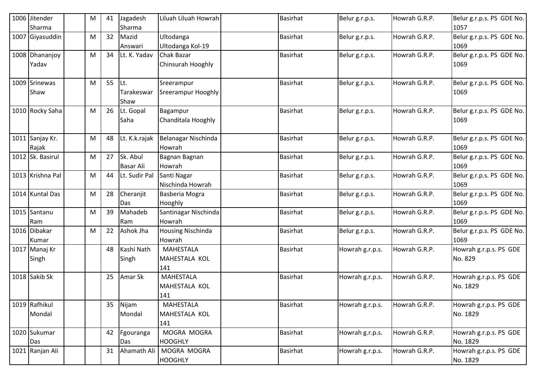| 1006 Jitender<br>Sharma  | M | 41 | Jagadesh<br>Sharma           | Liluah Liluah Howrah                     | <b>Basirhat</b> | Belur g.r.p.s.  | Howrah G.R.P. | Belur g.r.p.s. PS GDE No.<br>1057  |
|--------------------------|---|----|------------------------------|------------------------------------------|-----------------|-----------------|---------------|------------------------------------|
| 1007 Giyasuddin          | M | 32 | Mazid<br>Answari             | Ultodanga<br>Ultodanga Kol-19            | <b>Basirhat</b> | Belur g.r.p.s.  | Howrah G.R.P. | Belur g.r.p.s. PS GDE No.<br>1069  |
| 1008 Dhananjoy<br>Yadav  | M | 34 | Lt. K. Yadav                 | <b>Chak Bazar</b><br>Chinsurah Hooghly   | <b>Basirhat</b> | Belur g.r.p.s.  | Howrah G.R.P. | Belur g.r.p.s. PS GDE No.<br>1069  |
| 1009 Srinewas<br>Shaw    | M | 55 | Lt.<br>Tarakeswar<br>Shaw    | Sreerampur<br>Sreerampur Hooghly         | <b>Basirhat</b> | Belur g.r.p.s.  | Howrah G.R.P. | Belur g.r.p.s. PS GDE No.<br>1069  |
| 1010 Rocky Saha          | M | 26 | Lt. Gopal<br>Saha            | Bagampur<br>Chanditala Hooghly           | <b>Basirhat</b> | Belur g.r.p.s.  | Howrah G.R.P. | Belur g.r.p.s. PS GDE No.<br>1069  |
| 1011 Sanjay Kr.<br>Rajak | M | 48 | Lt. K.k.rajak                | Belanagar Nischinda<br>Howrah            | <b>Basirhat</b> | Belur g.r.p.s.  | Howrah G.R.P. | Belur g.r.p.s. PS GDE No.<br>1069  |
| 1012 Sk. Basirul         | M | 27 | Sk. Abul<br><b>Basar Ali</b> | Bagnan Bagnan<br>Howrah                  | <b>Basirhat</b> | Belur g.r.p.s.  | Howrah G.R.P. | Belur g.r.p.s. PS GDE No.<br>1069  |
| 1013 Krishna Pal         | M | 44 | Lt. Sudir Pal                | Santi Nagar<br>Nischinda Howrah          | <b>Basirhat</b> | Belur g.r.p.s.  | Howrah G.R.P. | Belur g.r.p.s. PS GDE No.<br>1069  |
| 1014 Kuntal Das          | M | 28 | Cheraniit<br>Das             | Basberia Mogra<br>Hooghly                | <b>Basirhat</b> | Belur g.r.p.s.  | Howrah G.R.P. | Belur g.r.p.s. PS GDE No.<br>1069  |
| 1015 Santanu<br>Ram      | M | 39 | Mahadeb<br>Ram               | Santinagar Nischinda<br>Howrah           | <b>Basirhat</b> | Belur g.r.p.s.  | Howrah G.R.P. | Belur g.r.p.s. PS GDE No.<br>1069  |
| 1016 Dibakar<br>Kumar    | M | 22 | Ashok Jha                    | <b>Housing Nischinda</b><br>Howrah       | <b>Basirhat</b> | Belur g.r.p.s.  | Howrah G.R.P. | Belur g.r.p.s. PS GDE No.<br>1069  |
| 1017 Manaj Kr<br>Singh   |   | 48 | Kashi Nath<br>Singh          | <b>MAHESTALA</b><br>MAHESTALA KOL<br>141 | Basirhat        | Howrah g.r.p.s. | Howrah G.R.P. | Howrah g.r.p.s. PS GDE<br>No. 829  |
| 1018 Sakib Sk            |   | 25 | Amar Sk                      | <b>MAHESTALA</b><br>MAHESTALA KOL<br>141 | <b>Basirhat</b> | Howrah g.r.p.s. | Howrah G.R.P. | Howrah g.r.p.s. PS GDE<br>No. 1829 |
| 1019 Rafhikul<br>Mondal  |   | 35 | Nijam<br>Mondal              | MAHESTALA<br>MAHESTALA KOL<br>141        | <b>Basirhat</b> | Howrah g.r.p.s. | Howrah G.R.P. | Howrah g.r.p.s. PS GDE<br>No. 1829 |
| 1020 Sukumar<br>Das      |   | 42 | Fgouranga<br>Das             | MOGRA MOGRA<br><b>HOOGHLY</b>            | <b>Basirhat</b> | Howrah g.r.p.s. | Howrah G.R.P. | Howrah g.r.p.s. PS GDE<br>No. 1829 |
| 1021 Ranjan Ali          |   | 31 | Ahamath Ali                  | MOGRA MOGRA<br><b>HOOGHLY</b>            | Basirhat        | Howrah g.r.p.s. | Howrah G.R.P. | Howrah g.r.p.s. PS GDE<br>No. 1829 |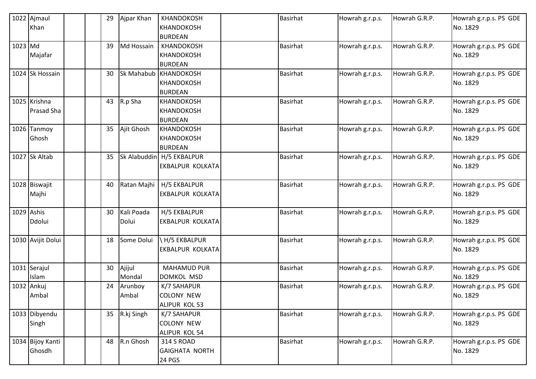|         | 1022 Ajmaul       |  | 29 | Ajpar Khan  | <b>KHANDOKOSH</b>           | <b>Basirhat</b> | Howrah g.r.p.s. | Howrah G.R.P. | Howrah g.r.p.s. PS GDE |
|---------|-------------------|--|----|-------------|-----------------------------|-----------------|-----------------|---------------|------------------------|
|         | Khan              |  |    |             | KHANDOKOSH                  |                 |                 |               | No. 1829               |
|         |                   |  |    |             | <b>BURDEAN</b>              |                 |                 |               |                        |
| 1023 Md |                   |  | 39 | Md Hossain  | KHANDOKOSH                  | Basirhat        | Howrah g.r.p.s. | Howrah G.R.P. | Howrah g.r.p.s. PS GDE |
|         | Majafar           |  |    |             | KHANDOKOSH                  |                 |                 |               | No. 1829               |
|         |                   |  |    |             | <b>BURDEAN</b>              |                 |                 |               |                        |
|         | 1024 Sk Hossain   |  | 30 |             | Sk Mahabub KHANDOKOSH       | <b>Basirhat</b> | Howrah g.r.p.s. | Howrah G.R.P. | Howrah g.r.p.s. PS GDE |
|         |                   |  |    |             | <b>KHANDOKOSH</b>           |                 |                 |               | No. 1829               |
|         |                   |  |    |             | <b>BURDEAN</b>              |                 |                 |               |                        |
|         | 1025 Krishna      |  | 43 | R.p Sha     | <b>KHANDOKOSH</b>           | <b>Basirhat</b> | Howrah g.r.p.s. | Howrah G.R.P. | Howrah g.r.p.s. PS GDE |
|         | Prasad Sha        |  |    |             | <b>KHANDOKOSH</b>           |                 |                 |               | No. 1829               |
|         |                   |  |    |             | <b>BURDEAN</b>              |                 |                 |               |                        |
|         | 1026 Tanmoy       |  | 35 | Ajit Ghosh  | <b>KHANDOKOSH</b>           | <b>Basirhat</b> | Howrah g.r.p.s. | Howrah G.R.P. | Howrah g.r.p.s. PS GDE |
|         | Ghosh             |  |    |             | KHANDOKOSH                  |                 |                 |               | No. 1829               |
|         |                   |  |    |             | <b>BURDEAN</b>              |                 |                 |               |                        |
|         | 1027 Sk Altab     |  | 35 |             | Sk Alabuddin   H/5 EKBALPUR | <b>Basirhat</b> | Howrah g.r.p.s. | Howrah G.R.P. | Howrah g.r.p.s. PS GDE |
|         |                   |  |    |             | EKBALPUR KOLKATA            |                 |                 |               | No. 1829               |
|         |                   |  |    |             |                             |                 |                 |               |                        |
|         | 1028 Biswajit     |  | 40 | Ratan Majhi | H/5 EKBALPUR                | <b>Basirhat</b> | Howrah g.r.p.s. | Howrah G.R.P. | Howrah g.r.p.s. PS GDE |
|         | Majhi             |  |    |             | <b>EKBALPUR KOLKATA</b>     |                 |                 |               | No. 1829               |
|         |                   |  |    |             |                             |                 |                 |               |                        |
|         | 1029 Ashis        |  | 30 | Kali Poada  | H/5 EKBALPUR                | <b>Basirhat</b> | Howrah g.r.p.s. | Howrah G.R.P. | Howrah g.r.p.s. PS GDE |
|         | Ddolui            |  |    | Dolui       | <b>EKBALPUR KOLKATA</b>     |                 |                 |               | No. 1829               |
|         |                   |  |    |             |                             |                 |                 |               |                        |
|         | 1030 Avijit Dolui |  | 18 | Some Dolui  | H/5 EKBALPUR                | <b>Basirhat</b> | Howrah g.r.p.s. | Howrah G.R.P. | Howrah g.r.p.s. PS GDE |
|         |                   |  |    |             | EKBALPUR KOLKATA            |                 |                 |               | No. 1829               |
|         |                   |  |    |             |                             |                 |                 |               |                        |
|         | 1031 Serajul      |  | 30 | Ajijul      | <b>MAHAMUD PUR</b>          | <b>Basirhat</b> | Howrah g.r.p.s. | Howrah G.R.P. | Howrah g.r.p.s. PS GDE |
|         | Islam             |  |    | Mondal      | <b>DOMKOL MSD</b>           |                 |                 |               | No. 1829               |
|         | 1032 Ankuj        |  | 24 | Arunboy     | K/7 SAHAPUR                 | <b>Basirhat</b> | Howrah g.r.p.s. | Howrah G.R.P. | Howrah g.r.p.s. PS GDE |
|         | Ambal             |  |    | Ambal       | <b>COLONY NEW</b>           |                 |                 |               | No. 1829               |
|         |                   |  |    |             | ALIPUR KOL 53               |                 |                 |               |                        |
|         | 1033 Dibyendu     |  | 35 | R.kj Singh  | K/7 SAHAPUR                 | Basirhat        | Howrah g.r.p.s. | Howrah G.R.P. | Howrah g.r.p.s. PS GDE |
|         | Singh             |  |    |             | <b>COLONY NEW</b>           |                 |                 |               | No. 1829               |
|         |                   |  |    |             | ALIPUR KOL 54               |                 |                 |               |                        |
|         | 1034 Bijoy Kanti  |  | 48 | R.n Ghosh   | 314 S ROAD                  | Basirhat        | Howrah g.r.p.s. | Howrah G.R.P. | Howrah g.r.p.s. PS GDE |
|         | Ghosdh            |  |    |             | <b>GAIGHATA NORTH</b>       |                 |                 |               | No. 1829               |
|         |                   |  |    |             | 24 PGS                      |                 |                 |               |                        |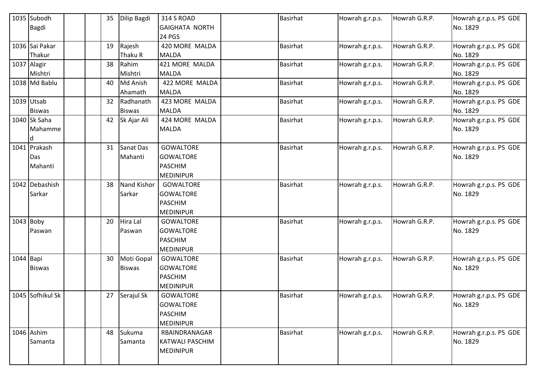|             | 1035 Subodh      |  | 35 | Dilip Bagdi   | <b>314 S ROAD</b>      | <b>Basirhat</b> | Howrah g.r.p.s. | Howrah G.R.P. | Howrah g.r.p.s. PS GDE |
|-------------|------------------|--|----|---------------|------------------------|-----------------|-----------------|---------------|------------------------|
|             | <b>Bagdi</b>     |  |    |               | <b>GAIGHATA NORTH</b>  |                 |                 |               | No. 1829               |
|             |                  |  |    |               | <b>24 PGS</b>          |                 |                 |               |                        |
|             | 1036 Sai Pakar   |  | 19 | Rajesh        | 420 MORE MALDA         | <b>Basirhat</b> | Howrah g.r.p.s. | Howrah G.R.P. | Howrah g.r.p.s. PS GDE |
|             | Thakur           |  |    | Thaku R       | <b>MALDA</b>           |                 |                 |               | No. 1829               |
|             | 1037 Alagir      |  | 38 | Rahim         | 421 MORE MALDA         | <b>Basirhat</b> | Howrah g.r.p.s. | Howrah G.R.P. | Howrah g.r.p.s. PS GDE |
|             | Mishtri          |  |    | Mishtri       | <b>MALDA</b>           |                 |                 |               | No. 1829               |
|             | 1038 Md Bablu    |  | 40 | Md Anish      | 422 MORE MALDA         | <b>Basirhat</b> | Howrah g.r.p.s. | Howrah G.R.P. | Howrah g.r.p.s. PS GDE |
|             |                  |  |    | Ahamath       | <b>MALDA</b>           |                 |                 |               | No. 1829               |
|             | 1039 Utsab       |  | 32 | Radhanath     | 423 MORE MALDA         | <b>Basirhat</b> | Howrah g.r.p.s. | Howrah G.R.P. | Howrah g.r.p.s. PS GDE |
|             | <b>Biswas</b>    |  |    | <b>Biswas</b> | <b>MALDA</b>           |                 |                 |               | No. 1829               |
|             | 1040 Sk Saha     |  | 42 | Sk Ajar Ali   | 424 MORE MALDA         | <b>Basirhat</b> | Howrah g.r.p.s. | Howrah G.R.P. | Howrah g.r.p.s. PS GDE |
|             | Mahamme          |  |    |               | <b>MALDA</b>           |                 |                 |               | No. 1829               |
|             | ld               |  |    |               |                        |                 |                 |               |                        |
|             | 1041 Prakash     |  | 31 | Sanat Das     | <b>GOWALTORE</b>       | <b>Basirhat</b> | Howrah g.r.p.s. | Howrah G.R.P. | Howrah g.r.p.s. PS GDE |
|             | Das              |  |    | Mahanti       | <b>GOWALTORE</b>       |                 |                 |               | No. 1829               |
|             | Mahanti          |  |    |               | <b>PASCHIM</b>         |                 |                 |               |                        |
|             |                  |  |    |               | <b>MEDINIPUR</b>       |                 |                 |               |                        |
|             | 1042 Debashish   |  | 38 | Nand Kishor   | <b>GOWALTORE</b>       | <b>Basirhat</b> | Howrah g.r.p.s. | Howrah G.R.P. | Howrah g.r.p.s. PS GDE |
|             | Sarkar           |  |    | Sarkar        | <b>GOWALTORE</b>       |                 |                 |               | No. 1829               |
|             |                  |  |    |               | <b>PASCHIM</b>         |                 |                 |               |                        |
|             |                  |  |    |               | <b>MEDINIPUR</b>       |                 |                 |               |                        |
|             | $1043$ Boby      |  | 20 | Hira Lal      | <b>GOWALTORE</b>       | <b>Basirhat</b> | Howrah g.r.p.s. | Howrah G.R.P. | Howrah g.r.p.s. PS GDE |
|             | Paswan           |  |    | Paswan        | <b>GOWALTORE</b>       |                 |                 |               | No. 1829               |
|             |                  |  |    |               | <b>PASCHIM</b>         |                 |                 |               |                        |
|             |                  |  |    |               | <b>MEDINIPUR</b>       |                 |                 |               |                        |
| $1044$ Bapi |                  |  | 30 | Moti Gopal    | <b>GOWALTORE</b>       | <b>Basirhat</b> | Howrah g.r.p.s. | Howrah G.R.P. | Howrah g.r.p.s. PS GDE |
|             | <b>Biswas</b>    |  |    | <b>Biswas</b> | <b>GOWALTORE</b>       |                 |                 |               | No. 1829               |
|             |                  |  |    |               | <b>PASCHIM</b>         |                 |                 |               |                        |
|             |                  |  |    |               | <b>MEDINIPUR</b>       |                 |                 |               |                        |
|             | 1045 Sofhikul Sk |  | 27 | Serajul Sk    | GOWALTORE              | <b>Basirhat</b> | Howrah g.r.p.s. | Howrah G.R.P. | Howrah g.r.p.s. PS GDE |
|             |                  |  |    |               | <b>GOWALTORE</b>       |                 |                 |               | No. 1829               |
|             |                  |  |    |               | <b>PASCHIM</b>         |                 |                 |               |                        |
|             |                  |  |    |               | <b>MEDINIPUR</b>       |                 |                 |               |                        |
|             | 1046 Ashim       |  | 48 | Sukuma        | RBAINDRANAGAR          | <b>Basirhat</b> | Howrah g.r.p.s. | Howrah G.R.P. | Howrah g.r.p.s. PS GDE |
|             | Samanta          |  |    | Samanta       | <b>KATWALI PASCHIM</b> |                 |                 |               | No. 1829               |
|             |                  |  |    |               | <b>MEDINIPUR</b>       |                 |                 |               |                        |
|             |                  |  |    |               |                        |                 |                 |               |                        |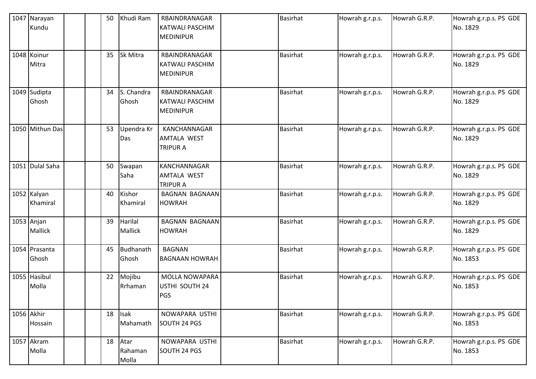| 1047 Narayan<br>Kundu        |  | 50 | Khudi Ram                 | RBAINDRANAGAR<br><b>KATWALI PASCHIM</b><br><b>MEDINIPUR</b>  | <b>Basirhat</b> | Howrah g.r.p.s. | Howrah G.R.P. | Howrah g.r.p.s. PS GDE<br>No. 1829 |
|------------------------------|--|----|---------------------------|--------------------------------------------------------------|-----------------|-----------------|---------------|------------------------------------|
| 1048 Koinur<br>Mitra         |  | 35 | Sk Mitra                  | RBAINDRANAGAR<br><b>KATWALI PASCHIM</b><br><b>MEDINIPUR</b>  | <b>Basirhat</b> | Howrah g.r.p.s. | Howrah G.R.P. | Howrah g.r.p.s. PS GDE<br>No. 1829 |
| 1049 Sudipta<br>Ghosh        |  | 34 | S. Chandra<br>Ghosh       | RBAINDRANAGAR<br><b>KATWALI PASCHIM</b><br><b>MEDINIPUR</b>  | <b>Basirhat</b> | Howrah g.r.p.s. | Howrah G.R.P. | Howrah g.r.p.s. PS GDE<br>No. 1829 |
| 1050 Mithun Das              |  | 53 | Upendra Kr<br>Das         | KANCHANNAGAR<br><b>AMTALA WEST</b><br><b>TRIPUR A</b>        | <b>Basirhat</b> | Howrah g.r.p.s. | Howrah G.R.P. | Howrah g.r.p.s. PS GDE<br>No. 1829 |
| 1051 Dulal Saha              |  | 50 | Swapan<br>Saha            | <b>KANCHANNAGAR</b><br><b>AMTALA WEST</b><br><b>TRIPUR A</b> | <b>Basirhat</b> | Howrah g.r.p.s. | Howrah G.R.P. | Howrah g.r.p.s. PS GDE<br>No. 1829 |
| 1052 Kalyan<br>Khamiral      |  | 40 | Kishor<br>Khamiral        | <b>BAGNAN BAGNAAN</b><br><b>HOWRAH</b>                       | Basirhat        | Howrah g.r.p.s. | Howrah G.R.P. | Howrah g.r.p.s. PS GDE<br>No. 1829 |
| 1053 Anjan<br><b>Mallick</b> |  | 39 | Harilal<br><b>Mallick</b> | <b>BAGNAN BAGNAAN</b><br><b>HOWRAH</b>                       | <b>Basirhat</b> | Howrah g.r.p.s. | Howrah G.R.P. | Howrah g.r.p.s. PS GDE<br>No. 1829 |
| 1054 Prasanta<br>Ghosh       |  | 45 | Budhanath<br>Ghosh        | <b>BAGNAN</b><br><b>BAGNAAN HOWRAH</b>                       | <b>Basirhat</b> | Howrah g.r.p.s. | Howrah G.R.P. | Howrah g.r.p.s. PS GDE<br>No. 1853 |
| 1055 Hasibul<br>Molla        |  | 22 | Mojibu<br>Rrhaman         | MOLLA NOWAPARA<br>USTHI SOUTH 24<br>PGS                      | <b>Basirhat</b> | Howrah g.r.p.s. | Howrah G.R.P. | Howrah g.r.p.s. PS GDE<br>No. 1853 |
| 1056 Akhir<br>Hossain        |  | 18 | <b>Isak</b><br>Mahamath   | NOWAPARA USTHI<br>SOUTH 24 PGS                               | Basirhat        | Howrah g.r.p.s. | Howrah G.R.P. | Howrah g.r.p.s. PS GDE<br>No. 1853 |
| 1057 Akram<br>Molla          |  | 18 | Atar<br>Rahaman<br>Molla  | NOWAPARA USTHI<br>SOUTH 24 PGS                               | Basirhat        | Howrah g.r.p.s. | Howrah G.R.P. | Howrah g.r.p.s. PS GDE<br>No. 1853 |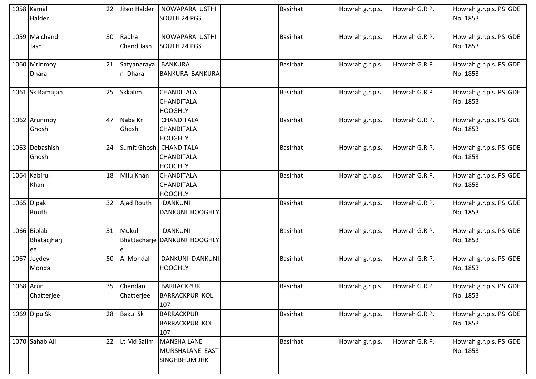|           | 1058 Kamal<br>Halder              |  | 22 | Jiten Halder           | NOWAPARA USTHI<br>SOUTH 24 PGS                                | <b>Basirhat</b> | Howrah g.r.p.s. | Howrah G.R.P. | Howrah g.r.p.s. PS GDE<br>No. 1853 |
|-----------|-----------------------------------|--|----|------------------------|---------------------------------------------------------------|-----------------|-----------------|---------------|------------------------------------|
|           | 1059 Malchand<br>Jash             |  | 30 | Radha<br>Chand Jash    | NOWAPARA USTHI<br>SOUTH 24 PGS                                | <b>Basirhat</b> | Howrah g.r.p.s. | Howrah G.R.P. | Howrah g.r.p.s. PS GDE<br>No. 1853 |
|           | 1060 Mrinmoy<br><b>Dhara</b>      |  | 21 | Satyanaraya<br>n Dhara | <b>BANKURA</b><br><b>BANKURA BANKURA</b>                      | <b>Basirhat</b> | Howrah g.r.p.s. | Howrah G.R.P. | Howrah g.r.p.s. PS GDE<br>No. 1853 |
|           | 1061 Sk Ramajan                   |  | 25 | Skkalim                | <b>CHANDITALA</b><br>CHANDITALA<br><b>HOOGHLY</b>             | <b>Basirhat</b> | Howrah g.r.p.s. | Howrah G.R.P. | Howrah g.r.p.s. PS GDE<br>No. 1853 |
|           | 1062 Arunmoy<br>Ghosh             |  | 47 | Naba Kr<br>Ghosh       | CHANDITALA<br><b>CHANDITALA</b><br><b>HOOGHLY</b>             | <b>Basirhat</b> | Howrah g.r.p.s. | Howrah G.R.P. | Howrah g.r.p.s. PS GDE<br>No. 1853 |
|           | 1063 Debashish<br>Ghosh           |  | 24 | Sumit Ghosh            | <b>CHANDITALA</b><br>CHANDITALA<br><b>HOOGHLY</b>             | <b>Basirhat</b> | Howrah g.r.p.s. | Howrah G.R.P. | Howrah g.r.p.s. PS GDE<br>No. 1853 |
|           | 1064 Kabirul<br>Khan              |  | 18 | Milu Khan              | <b>CHANDITALA</b><br>CHANDITALA<br><b>HOOGHLY</b>             | <b>Basirhat</b> | Howrah g.r.p.s. | Howrah G.R.P. | Howrah g.r.p.s. PS GDE<br>No. 1853 |
|           | 1065 Dipak<br>Routh               |  | 32 | Ajad Routh             | <b>DANKUNI</b><br>DANKUNI HOOGHLY                             | <b>Basirhat</b> | Howrah g.r.p.s. | Howrah G.R.P. | Howrah g.r.p.s. PS GDE<br>No. 1853 |
|           | 1066 Biplab<br>Bhatacjharj<br>lee |  | 31 | Mukul<br>le            | <b>DANKUNI</b><br>Bhattacharje DANKUNI HOOGHLY                | <b>Basirhat</b> | Howrah g.r.p.s. | Howrah G.R.P. | Howrah g.r.p.s. PS GDE<br>No. 1853 |
|           | 1067 Joydev<br>Mondal             |  | 50 | A. Mondal              | DANKUNI DANKUNI<br><b>HOOGHLY</b>                             | <b>Basirhat</b> | Howrah g.r.p.s. | Howrah G.R.P. | Howrah g.r.p.s. PS GDE<br>No. 1853 |
| 1068 Arun | Chatterjee                        |  | 35 | Chandan<br>Chatterjee  | <b>BARRACKPUR</b><br><b>BARRACKPUR KOL</b><br>107             | <b>Basirhat</b> | Howrah g.r.p.s. | Howrah G.R.P. | Howrah g.r.p.s. PS GDE<br>No. 1853 |
|           | 1069 Dipu Sk                      |  | 28 | <b>Bakul Sk</b>        | <b>BARRACKPUR</b><br><b>BARRACKPUR KOL</b><br>107             | <b>Basirhat</b> | Howrah g.r.p.s. | Howrah G.R.P. | Howrah g.r.p.s. PS GDE<br>No. 1853 |
|           | 1070 Sahab Ali                    |  | 22 | Lt Md Salim            | <b>MANSHA LANE</b><br>MUNSHALANE EAST<br><b>SINGHBHUM JHK</b> | <b>Basirhat</b> | Howrah g.r.p.s. | Howrah G.R.P. | Howrah g.r.p.s. PS GDE<br>No. 1853 |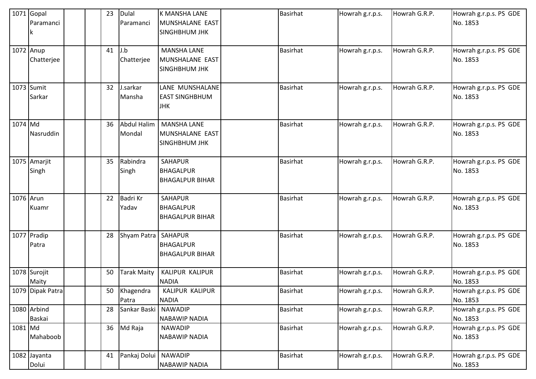|           | $1071$ Gopal<br>Paramanci    |  | 23 | <b>Dulal</b><br>Paramanci    | <b>K MANSHA LANE</b><br>MUNSHALANE EAST<br><b>SINGHBHUM JHK</b> | <b>Basirhat</b> | Howrah g.r.p.s. | Howrah G.R.P. | Howrah g.r.p.s. PS GDE<br>No. 1853 |
|-----------|------------------------------|--|----|------------------------------|-----------------------------------------------------------------|-----------------|-----------------|---------------|------------------------------------|
|           | 1072 Anup<br>Chatterjee      |  | 41 | J.b<br>Chatterjee            | <b>MANSHA LANE</b><br>MUNSHALANE EAST<br><b>SINGHBHUM JHK</b>   | Basirhat        | Howrah g.r.p.s. | Howrah G.R.P. | Howrah g.r.p.s. PS GDE<br>No. 1853 |
|           | 1073 Sumit<br>Sarkar         |  | 32 | J.sarkar<br>Mansha           | LANE MUNSHALANE<br><b>EAST SINGHBHUM</b><br><b>JHK</b>          | <b>Basirhat</b> | Howrah g.r.p.s. | Howrah G.R.P. | Howrah g.r.p.s. PS GDE<br>No. 1853 |
| 1074 Md   | Nasruddin                    |  | 36 | <b>Abdul Halim</b><br>Mondal | <b>MANSHA LANE</b><br>MUNSHALANE EAST<br><b>SINGHBHUM JHK</b>   | <b>Basirhat</b> | Howrah g.r.p.s. | Howrah G.R.P. | Howrah g.r.p.s. PS GDE<br>No. 1853 |
|           | 1075 Amarjit<br>Singh        |  | 35 | Rabindra<br>Singh            | <b>SAHAPUR</b><br><b>BHAGALPUR</b><br><b>BHAGALPUR BIHAR</b>    | <b>Basirhat</b> | Howrah g.r.p.s. | Howrah G.R.P. | Howrah g.r.p.s. PS GDE<br>No. 1853 |
| 1076 Arun | Kuamr                        |  | 22 | <b>Badri Kr</b><br>Yadav     | <b>SAHAPUR</b><br><b>BHAGALPUR</b><br><b>BHAGALPUR BIHAR</b>    | <b>Basirhat</b> | Howrah g.r.p.s. | Howrah G.R.P. | Howrah g.r.p.s. PS GDE<br>No. 1853 |
|           | 1077 Pradip<br>Patra         |  | 28 | Shyam Patra   SAHAPUR        | <b>BHAGALPUR</b><br><b>BHAGALPUR BIHAR</b>                      | <b>Basirhat</b> | Howrah g.r.p.s. | Howrah G.R.P. | Howrah g.r.p.s. PS GDE<br>No. 1853 |
|           | 1078 Surojit<br>Maity        |  | 50 | <b>Tarak Maity</b>           | KALIPUR KALIPUR<br><b>NADIA</b>                                 | <b>Basirhat</b> | Howrah g.r.p.s. | Howrah G.R.P. | Howrah g.r.p.s. PS GDE<br>No. 1853 |
|           | 1079 Dipak Patra             |  | 50 | Khagendra<br>Patra           | KALIPUR KALIPUR<br><b>NADIA</b>                                 | <b>Basirhat</b> | Howrah g.r.p.s. | Howrah G.R.P. | Howrah g.r.p.s. PS GDE<br>No. 1853 |
|           | 1080 Arbind<br><b>Baskai</b> |  | 28 | Sankar Baski                 | <b>NAWADIP</b><br><b>NABAWIP NADIA</b>                          | <b>Basirhat</b> | Howrah g.r.p.s. | Howrah G.R.P. | Howrah g.r.p.s. PS GDE<br>No. 1853 |
| 1081 Md   | Mahaboob                     |  | 36 | Md Raja                      | <b>NAWADIP</b><br><b>NABAWIP NADIA</b>                          | Basirhat        | Howrah g.r.p.s. | Howrah G.R.P. | Howrah g.r.p.s. PS GDE<br>No. 1853 |
|           | 1082 Jayanta<br>Dolui        |  | 41 | Pankaj Dolui   NAWADIP       | <b>NABAWIP NADIA</b>                                            | <b>Basirhat</b> | Howrah g.r.p.s. | Howrah G.R.P. | Howrah g.r.p.s. PS GDE<br>No. 1853 |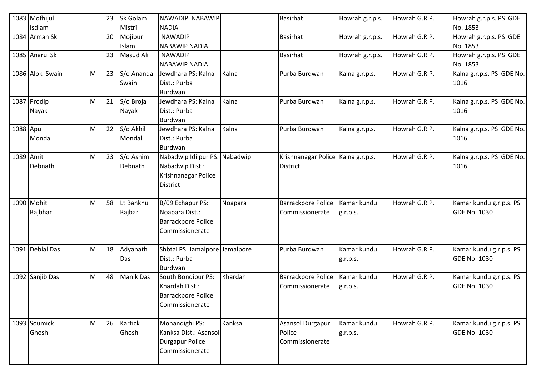|           | 1083 Mofhijul   |   | 23 | Sk Golam         | NAWADIP NABAWIP                |         | Basirhat                             | Howrah g.r.p.s. | Howrah G.R.P. | Howrah g.r.p.s. PS GDE    |
|-----------|-----------------|---|----|------------------|--------------------------------|---------|--------------------------------------|-----------------|---------------|---------------------------|
|           | Isdlam          |   |    | Mistri           | <b>NADIA</b>                   |         |                                      |                 |               | No. 1853                  |
|           | 1084 Arman Sk   |   | 20 | Mojibur          | <b>NAWADIP</b>                 |         | <b>Basirhat</b>                      | Howrah g.r.p.s. | Howrah G.R.P. | Howrah g.r.p.s. PS GDE    |
|           |                 |   |    | Islam            | <b>NABAWIP NADIA</b>           |         |                                      |                 |               | No. 1853                  |
|           | 1085 Anarul Sk  |   | 23 | Masud Ali        | <b>NAWADIP</b>                 |         | <b>Basirhat</b>                      | Howrah g.r.p.s. | Howrah G.R.P. | Howrah g.r.p.s. PS GDE    |
|           |                 |   |    |                  | <b>NABAWIP NADIA</b>           |         |                                      |                 |               | No. 1853                  |
|           | 1086 Alok Swain | M | 23 | S/o Ananda       | Jewdhara PS: Kalna             | Kalna   | Purba Burdwan                        | Kalna g.r.p.s.  | Howrah G.R.P. | Kalna g.r.p.s. PS GDE No. |
|           |                 |   |    | Swain            | Dist.: Purba                   |         |                                      |                 |               | 1016                      |
|           |                 |   |    |                  | Burdwan                        |         |                                      |                 |               |                           |
|           | 1087 Prodip     | M | 21 | S/o Broja        | Jewdhara PS: Kalna             | Kalna   | Purba Burdwan                        | Kalna g.r.p.s.  | Howrah G.R.P. | Kalna g.r.p.s. PS GDE No. |
|           | Nayak           |   |    | Nayak            | Dist.: Purba                   |         |                                      |                 |               | 1016                      |
|           |                 |   |    |                  | Burdwan                        |         |                                      |                 |               |                           |
| 1088 Apu  |                 | M | 22 | S/o Akhil        | Jewdhara PS: Kalna             | Kalna   | Purba Burdwan                        | Kalna g.r.p.s.  | Howrah G.R.P. | Kalna g.r.p.s. PS GDE No. |
|           | Mondal          |   |    | Mondal           | Dist.: Purba                   |         |                                      |                 |               | 1016                      |
|           |                 |   |    |                  | Burdwan                        |         |                                      |                 |               |                           |
| 1089 Amit |                 | M | 23 | S/o Ashim        | Nabadwip Idilpur PS: Nabadwip  |         | Krishnanagar Police   Kalna g.r.p.s. |                 | Howrah G.R.P. | Kalna g.r.p.s. PS GDE No. |
|           | Debnath         |   |    | Debnath          | Nabadwip Dist.:                |         | <b>District</b>                      |                 |               | 1016                      |
|           |                 |   |    |                  | Krishnanagar Police            |         |                                      |                 |               |                           |
|           |                 |   |    |                  | <b>District</b>                |         |                                      |                 |               |                           |
|           |                 |   |    |                  |                                |         |                                      |                 |               |                           |
|           | 1090 Mohit      | M | 58 | Lt Bankhu        | B/09 Echapur PS:               | Noapara | Barrackpore Police                   | Kamar kundu     | Howrah G.R.P. | Kamar kundu g.r.p.s. PS   |
|           | Rajbhar         |   |    | Rajbar           | Noapara Dist.:                 |         | Commissionerate                      | g.r.p.s.        |               | <b>GDE No. 1030</b>       |
|           |                 |   |    |                  | Barrackpore Police             |         |                                      |                 |               |                           |
|           |                 |   |    |                  | Commissionerate                |         |                                      |                 |               |                           |
|           |                 |   |    |                  |                                |         |                                      |                 |               |                           |
|           | 1091 Deblal Das | M | 18 | Adyanath         | Shbtai PS: Jamalpore Jamalpore |         | Purba Burdwan                        | Kamar kundu     | Howrah G.R.P. | Kamar kundu g.r.p.s. PS   |
|           |                 |   |    | Das              | Dist.: Purba                   |         |                                      | g.r.p.s.        |               | <b>GDE No. 1030</b>       |
|           |                 |   |    |                  | Burdwan                        |         |                                      |                 |               |                           |
|           | 1092 Sanjib Das | M | 48 | <b>Manik Das</b> | South Bondipur PS:             | Khardah | Barrackpore Police                   | Kamar kundu     | Howrah G.R.P. | Kamar kundu g.r.p.s. PS   |
|           |                 |   |    |                  | Khardah Dist.:                 |         | Commissionerate                      | g.r.p.s.        |               | <b>GDE No. 1030</b>       |
|           |                 |   |    |                  | <b>Barrackpore Police</b>      |         |                                      |                 |               |                           |
|           |                 |   |    |                  | Commissionerate                |         |                                      |                 |               |                           |
|           |                 |   |    |                  |                                |         |                                      |                 |               |                           |
|           | 1093 Soumick    | M | 26 | <b>Kartick</b>   | Monandighi PS:                 | Kanksa  | Asansol Durgapur                     | Kamar kundu     | Howrah G.R.P. | Kamar kundu g.r.p.s. PS   |
|           | Ghosh           |   |    | Ghosh            | Kanksa Dist.: Asansol          |         | Police                               | g.r.p.s.        |               | <b>GDE No. 1030</b>       |
|           |                 |   |    |                  | <b>Durgapur Police</b>         |         | Commissionerate                      |                 |               |                           |
|           |                 |   |    |                  | Commissionerate                |         |                                      |                 |               |                           |
|           |                 |   |    |                  |                                |         |                                      |                 |               |                           |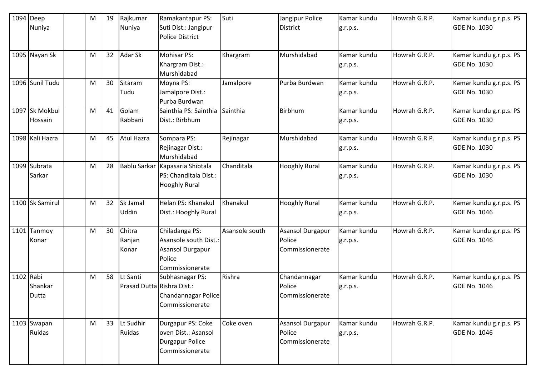|           | $1094$ Deep<br>Nuniya     | M | 19 | Rajkumar<br>Nuniya                     | Ramakantapur PS:<br>Suti Dist.: Jangipur<br><b>Police District</b>                       | Suti           | Jangipur Police<br><b>District</b>                   | Kamar kundu<br>g.r.p.s. | Howrah G.R.P. | Kamar kundu g.r.p.s. PS<br><b>GDE No. 1030</b> |
|-----------|---------------------------|---|----|----------------------------------------|------------------------------------------------------------------------------------------|----------------|------------------------------------------------------|-------------------------|---------------|------------------------------------------------|
|           | 1095 Nayan Sk             | M | 32 | Adar Sk                                | Mohisar PS:<br>Khargram Dist.:<br>Murshidabad                                            | Khargram       | Murshidabad                                          | Kamar kundu<br>g.r.p.s. | Howrah G.R.P. | Kamar kundu g.r.p.s. PS<br><b>GDE No. 1030</b> |
|           | 1096 Sunil Tudu           | M | 30 | Sitaram<br>Tudu                        | Moyna PS:<br>Jamalpore Dist.:<br>Purba Burdwan                                           | Jamalpore      | Purba Burdwan                                        | Kamar kundu<br>g.r.p.s. | Howrah G.R.P. | Kamar kundu g.r.p.s. PS<br><b>GDE No. 1030</b> |
|           | 1097 Sk Mokbul<br>Hossain | M | 41 | Golam<br>Rabbani                       | Sainthia PS: Sainthia<br>Dist.: Birbhum                                                  | Sainthia       | Birbhum                                              | Kamar kundu<br>g.r.p.s. | Howrah G.R.P. | Kamar kundu g.r.p.s. PS<br><b>GDE No. 1030</b> |
|           | 1098 Kali Hazra           | M | 45 | Atul Hazra                             | Sompara PS:<br>Rejinagar Dist.:<br>Murshidabad                                           | Rejinagar      | Murshidabad                                          | Kamar kundu<br>g.r.p.s. | Howrah G.R.P. | Kamar kundu g.r.p.s. PS<br><b>GDE No. 1030</b> |
|           | 1099 Subrata<br>Sarkar    | M | 28 | Bablu Sarkar                           | Kapasaria Shibtala<br>PS: Chanditala Dist.:<br><b>Hooghly Rural</b>                      | Chanditala     | <b>Hooghly Rural</b>                                 | Kamar kundu<br>g.r.p.s. | Howrah G.R.P. | Kamar kundu g.r.p.s. PS<br><b>GDE No. 1030</b> |
|           | 1100 Sk Samirul           | M | 32 | Sk Jamal<br><b>Uddin</b>               | Helan PS: Khanakul<br>Dist.: Hooghly Rural                                               | Khanakul       | <b>Hooghly Rural</b>                                 | Kamar kundu<br>g.r.p.s. | Howrah G.R.P. | Kamar kundu g.r.p.s. PS<br><b>GDE No. 1046</b> |
| 1101      | Tanmoy<br>Konar           | M | 30 | Chitra<br>Ranjan<br>Konar              | Chiladanga PS:<br>Asansole south Dist.:<br>Asansol Durgapur<br>Police<br>Commissionerate | Asansole south | <b>Asansol Durgapur</b><br>Police<br>Commissionerate | Kamar kundu<br>g.r.p.s. | Howrah G.R.P. | Kamar kundu g.r.p.s. PS<br><b>GDE No. 1046</b> |
| 1102 Rabi | Shankar<br>Dutta          | M | 58 | Lt Santi<br>Prasad Dutta Rishra Dist.: | Subhasnagar PS:<br>Chandannagar Police<br>Commissionerate                                | Rishra         | Chandannagar<br>Police<br>Commissionerate            | Kamar kundu<br>g.r.p.s. | Howrah G.R.P. | Kamar kundu g.r.p.s. PS<br><b>GDE No. 1046</b> |
|           | 1103 Swapan<br>Ruidas     | M | 33 | Lt Sudhir<br>Ruidas                    | Durgapur PS: Coke<br>oven Dist.: Asansol<br><b>Durgapur Police</b><br>Commissionerate    | Coke oven      | <b>Asansol Durgapur</b><br>Police<br>Commissionerate | Kamar kundu<br>g.r.p.s. | Howrah G.R.P. | Kamar kundu g.r.p.s. PS<br><b>GDE No. 1046</b> |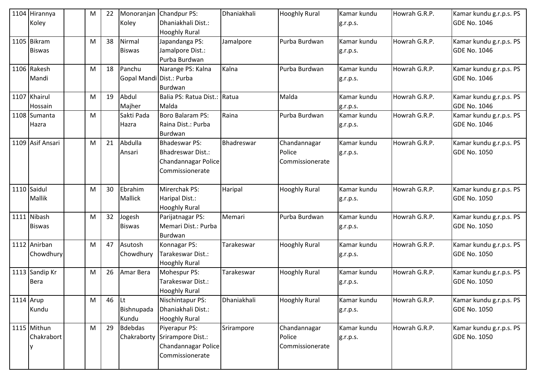|           | 1104 Hirannya<br>Koley        | M | 22 | Koley                              | Monoranjan Chandpur PS:<br>Dhaniakhali Dist.:<br><b>Hooghly Rural</b>                      | Dhaniakhali | <b>Hooghly Rural</b>                      | Kamar kundu<br>g.r.p.s. | Howrah G.R.P. | Kamar kundu g.r.p.s. PS<br><b>GDE No. 1046</b> |
|-----------|-------------------------------|---|----|------------------------------------|--------------------------------------------------------------------------------------------|-------------|-------------------------------------------|-------------------------|---------------|------------------------------------------------|
|           | 1105 Bikram<br><b>Biswas</b>  | M | 38 | Nirmal<br><b>Biswas</b>            | Japandanga PS:<br>Jamalpore Dist.:<br>Purba Burdwan                                        | Jamalpore   | Purba Burdwan                             | Kamar kundu<br>g.r.p.s. | Howrah G.R.P. | Kamar kundu g.r.p.s. PS<br><b>GDE No. 1046</b> |
|           | 1106 Rakesh<br>Mandi          | M | 18 | Panchu<br>Gopal Mandi Dist.: Purba | Narange PS: Kalna<br>Burdwan                                                               | Kalna       | Purba Burdwan                             | Kamar kundu<br>g.r.p.s. | Howrah G.R.P. | Kamar kundu g.r.p.s. PS<br><b>GDE No. 1046</b> |
|           | 1107 Khairul<br>Hossain       | M | 19 | Abdul<br>Majher                    | Balia PS: Ratua Dist.: Ratua<br>Malda                                                      |             | Malda                                     | Kamar kundu<br>g.r.p.s. | Howrah G.R.P. | Kamar kundu g.r.p.s. PS<br><b>GDE No. 1046</b> |
|           | 1108 Sumanta<br>Hazra         | M |    | Sakti Pada<br>Hazra                | Boro Balaram PS:<br>Raina Dist.: Purba<br><b>Burdwan</b>                                   | Raina       | Purba Burdwan                             | Kamar kundu<br>g.r.p.s. | Howrah G.R.P. | Kamar kundu g.r.p.s. PS<br><b>GDE No. 1046</b> |
|           | 1109 Asif Ansari              | M | 21 | Abdulla<br>Ansari                  | <b>Bhadeswar PS:</b><br><b>Bhadreswar Dist.:</b><br>Chandannagar Police<br>Commissionerate | Bhadreswar  | Chandannagar<br>Police<br>Commissionerate | Kamar kundu<br>g.r.p.s. | Howrah G.R.P. | Kamar kundu g.r.p.s. PS<br><b>GDE No. 1050</b> |
|           | 1110 Saidul<br><b>Mallik</b>  | M | 30 | Ebrahim<br><b>Mallick</b>          | Mirerchak PS:<br>Haripal Dist.:<br><b>Hooghly Rural</b>                                    | Haripal     | <b>Hooghly Rural</b>                      | Kamar kundu<br>g.r.p.s. | Howrah G.R.P. | Kamar kundu g.r.p.s. PS<br><b>GDE No. 1050</b> |
|           | 1111 Nibash<br><b>Biswas</b>  | M | 32 | Jogesh<br><b>Biswas</b>            | Parijatnagar PS:<br>Memari Dist.: Purba<br>Burdwan                                         | Memari      | Purba Burdwan                             | Kamar kundu<br>g.r.p.s. | Howrah G.R.P. | Kamar kundu g.r.p.s. PS<br><b>GDE No. 1050</b> |
|           | 1112 Anirban<br>Chowdhury     | M | 47 | Asutosh<br>Chowdhury               | Konnagar PS:<br>Tarakeswar Dist.:<br><b>Hooghly Rural</b>                                  | Tarakeswar  | <b>Hooghly Rural</b>                      | Kamar kundu<br>g.r.p.s. | Howrah G.R.P. | Kamar kundu g.r.p.s. PS<br><b>GDE No. 1050</b> |
|           | 1113 Sandip Kr<br><b>Bera</b> | M | 26 | Amar Bera                          | Mohespur PS:<br>Tarakeswar Dist.:<br><b>Hooghly Rural</b>                                  | Tarakeswar  | <b>Hooghly Rural</b>                      | Kamar kundu<br>g.r.p.s. | Howrah G.R.P. | Kamar kundu g.r.p.s. PS<br><b>GDE No. 1050</b> |
| 1114 Arup | Kundu                         | M | 46 | <b>Lt</b><br>Bishnupada<br>Kundu   | Nischintapur PS:<br>Dhaniakhali Dist.:<br><b>Hooghly Rural</b>                             | Dhaniakhali | <b>Hooghly Rural</b>                      | Kamar kundu<br>g.r.p.s. | Howrah G.R.P. | Kamar kundu g.r.p.s. PS<br><b>GDE No. 1050</b> |
|           | 1115 Mithun<br>Chakrabort     | M | 29 | <b>Bdebdas</b>                     | Piyerapur PS:<br>Chakraborty Srirampore Dist.:<br>Chandannagar Police<br>Commissionerate   | Srirampore  | Chandannagar<br>Police<br>Commissionerate | Kamar kundu<br>g.r.p.s. | Howrah G.R.P. | Kamar kundu g.r.p.s. PS<br><b>GDE No. 1050</b> |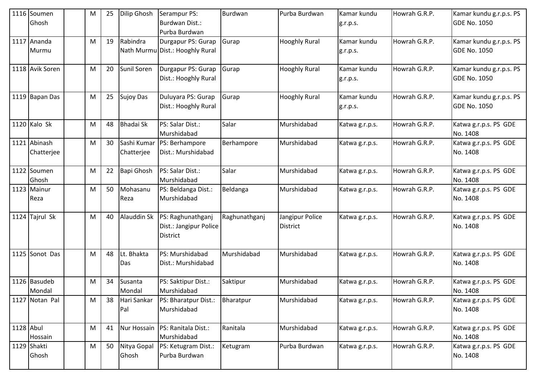|           | 1116 Soumen<br>Ghosh       | M | 25 | Dilip Ghosh               | Serampur PS:<br><b>Burdwan Dist.:</b><br>Purba Burdwan         | Burdwan       | Purba Burdwan                      | Kamar kundu<br>g.r.p.s. | Howrah G.R.P. | Kamar kundu g.r.p.s. PS<br><b>GDE No. 1050</b> |
|-----------|----------------------------|---|----|---------------------------|----------------------------------------------------------------|---------------|------------------------------------|-------------------------|---------------|------------------------------------------------|
|           | 1117 Ananda<br>Murmu       | M | 19 | Rabindra                  | Durgapur PS: Gurap<br>Nath Murmu Dist.: Hooghly Rural          | Gurap         | <b>Hooghly Rural</b>               | Kamar kundu<br>g.r.p.s. | Howrah G.R.P. | Kamar kundu g.r.p.s. PS<br><b>GDE No. 1050</b> |
|           | 1118 Avik Soren            | M | 20 | Sunil Soren               | Durgapur PS: Gurap<br>Dist.: Hooghly Rural                     | Gurap         | <b>Hooghly Rural</b>               | Kamar kundu<br>g.r.p.s. | Howrah G.R.P. | Kamar kundu g.r.p.s. PS<br><b>GDE No. 1050</b> |
|           | 1119 Bapan Das             | M | 25 | <b>Sujoy Das</b>          | Duluyara PS: Gurap<br>Dist.: Hooghly Rural                     | Gurap         | <b>Hooghly Rural</b>               | Kamar kundu<br>g.r.p.s. | Howrah G.R.P. | Kamar kundu g.r.p.s. PS<br><b>GDE No. 1050</b> |
|           | $1120$ Kalo Sk             | M | 48 | <b>Bhadai Sk</b>          | PS: Salar Dist.:<br>Murshidabad                                | Salar         | Murshidabad                        | Katwa g.r.p.s.          | Howrah G.R.P. | Katwa g.r.p.s. PS GDE<br>No. 1408              |
|           | 1121 Abinash<br>Chatterjee | M | 30 | Sashi Kumar<br>Chatterjee | PS: Berhampore<br>Dist.: Murshidabad                           | Berhampore    | Murshidabad                        | Katwa g.r.p.s.          | Howrah G.R.P. | Katwa g.r.p.s. PS GDE<br>No. 1408              |
|           | 1122 Soumen<br>Ghosh       | M | 22 | Bapi Ghosh                | PS: Salar Dist.:<br>Murshidabad                                | Salar         | Murshidabad                        | Katwa g.r.p.s.          | Howrah G.R.P. | Katwa g.r.p.s. PS GDE<br>No. 1408              |
|           | 1123 Mainur<br>Reza        | M | 50 | Mohasanu<br>Reza          | PS: Beldanga Dist.:<br>Murshidabad                             | Beldanga      | Murshidabad                        | Katwa g.r.p.s.          | Howrah G.R.P. | Katwa g.r.p.s. PS GDE<br>No. 1408              |
|           | 1124 Tajrul Sk             | M | 40 | <b>Alauddin Sk</b>        | PS: Raghunathganj<br>Dist.: Jangipur Police<br><b>District</b> | Raghunathganj | Jangipur Police<br><b>District</b> | Katwa g.r.p.s.          | Howrah G.R.P. | Katwa g.r.p.s. PS GDE<br>No. 1408              |
|           | 1125 Sonot Das             | M | 48 | Lt. Bhakta<br>Das         | PS: Murshidabad<br>Dist.: Murshidabad                          | Murshidabad   | Murshidabad                        | Katwa g.r.p.s.          | Howrah G.R.P. | Katwa g.r.p.s. PS GDE<br>No. 1408              |
|           | 1126 Basudeb<br>Mondal     | M | 34 | Susanta<br>Mondal         | PS: Saktipur Dist.:<br>Murshidabad                             | Saktipur      | Murshidabad                        | Katwa g.r.p.s.          | Howrah G.R.P. | Katwa g.r.p.s. PS GDE<br>No. 1408              |
|           | 1127 Notan Pal             | M | 38 | Hari Sankar<br>Pal        | PS: Bharatpur Dist.:<br>Murshidabad                            | Bharatpur     | Murshidabad                        | Katwa g.r.p.s.          | Howrah G.R.P. | Katwa g.r.p.s. PS GDE<br>No. 1408              |
| 1128 Abul | Hossain                    | M | 41 | <b>Nur Hossain</b>        | PS: Ranitala Dist.:<br>Murshidabad                             | Ranitala      | Murshidabad                        | Katwa g.r.p.s.          | Howrah G.R.P. | Katwa g.r.p.s. PS GDE<br>No. 1408              |
|           | 1129 Shakti<br>Ghosh       | M | 50 | Nitya Gopal<br>Ghosh      | PS: Ketugram Dist.:<br>Purba Burdwan                           | Ketugram      | Purba Burdwan                      | Katwa g.r.p.s.          | Howrah G.R.P. | Katwa g.r.p.s. PS GDE<br>No. 1408              |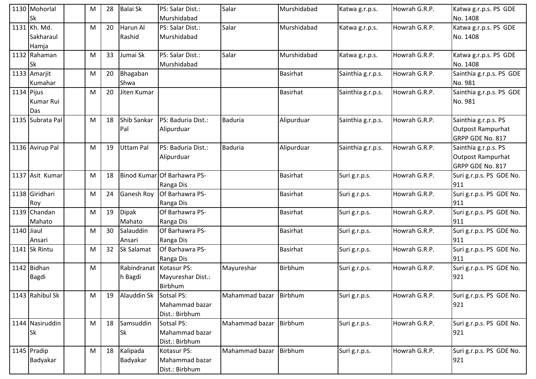|            | 1130 Mohorlal<br>lSk               | М | 28 | <b>Balai Sk</b>                    | PS: Salar Dist.:<br>Murshidabad                 | Salar                    | Murshidabad     | Katwa g.r.p.s.    | Howrah G.R.P. | Katwa g.r.p.s. PS GDE<br>No. 1408                             |
|------------|------------------------------------|---|----|------------------------------------|-------------------------------------------------|--------------------------|-----------------|-------------------|---------------|---------------------------------------------------------------|
|            | 1131 Kh. Md.<br>Sakharaul<br>Hamja | M | 20 | Harun Al<br>Rashid                 | PS: Salar Dist.:<br>Murshidabad                 | Salar                    | Murshidabad     | Katwa g.r.p.s.    | Howrah G.R.P. | Katwa g.r.p.s. PS GDE<br>No. 1408                             |
|            | 1132 Rahaman<br>lSk                | M | 33 | Jumai Sk                           | PS: Salar Dist.:<br>Murshidabad                 | Salar                    | Murshidabad     | Katwa g.r.p.s.    | Howrah G.R.P. | Katwa g.r.p.s. PS GDE<br>No. 1408                             |
|            | 1133 Amarjit<br>Kumahar            | M | 20 | Bhagaban<br>Shwa                   |                                                 |                          | <b>Basirhat</b> | Sainthia g.r.p.s. | Howrah G.R.P. | Sainthia g.r.p.s. PS GDE<br>No. 981                           |
| 1134 Pijus | Kumar Rui<br>Das                   | M | 20 | Jiten Kumar                        |                                                 |                          | Basirhat        | Sainthia g.r.p.s. | Howrah G.R.P. | Sainthia g.r.p.s. PS GDE<br>No. 981                           |
|            | 1135 Subrata Pal                   | M | 18 | Shib Sankar<br>Pal                 | PS: Baduria Dist.:<br>Alipurduar                | <b>Baduria</b>           | Alipurduar      | Sainthia g.r.p.s. | Howrah G.R.P. | Sainthia g.r.p.s. PS<br>Outpost Rampurhat<br>GRPP GDE No. 817 |
|            | 1136 Avirup Pal                    | M | 19 | <b>Uttam Pal</b>                   | PS: Baduria Dist.:<br>Alipurduar                | <b>Baduria</b>           | Alipurduar      | Sainthia g.r.p.s. | Howrah G.R.P. | Sainthia g.r.p.s. PS<br>Outpost Rampurhat<br>GRPP GDE No. 817 |
|            | 1137 Asit Kumar                    | M | 18 |                                    | Binod Kumar Of Barhawra PS-<br>Ranga Dis        |                          | <b>Basirhat</b> | Suri g.r.p.s.     | Howrah G.R.P. | Suri g.r.p.s. PS GDE No.<br>911                               |
|            | 1138 Giridhari<br>Roy              | M | 24 | <b>Ganesh Roy</b>                  | Of Barhawra PS-<br>Ranga Dis                    |                          | Basirhat        | Suri g.r.p.s.     | Howrah G.R.P. | Suri g.r.p.s. PS GDE No.<br>911                               |
|            | 1139 Chandan<br>Mahato             | M | 19 | <b>Dipak</b><br>Mahato             | Of Barhawra PS-<br>Ranga Dis                    |                          | Basirhat        | Suri g.r.p.s.     | Howrah G.R.P. | Suri g.r.p.s. PS GDE No.<br>911                               |
| 1140 Jiaul | Ansari                             | M | 30 | Salauddin<br>Ansari                | Of Barhawra PS-<br>Ranga Dis                    |                          | <b>Basirhat</b> | Suri g.r.p.s.     | Howrah G.R.P. | Suri g.r.p.s. PS GDE No.<br>911                               |
|            | 1141 Sk Rintu                      | M | 32 | Sk Salamat                         | Of Barhawra PS-<br>Ranga Dis                    |                          | <b>Basirhat</b> | Suri g.r.p.s.     | Howrah G.R.P. | Suri g.r.p.s. PS GDE No.<br>911                               |
|            | 1142 Bidhan<br><b>Bagdi</b>        | M |    | Rabindranat Kotasur PS:<br>h Bagdi | Mayureshar Dist.:<br>Birbhum                    | Mayureshar               | Birbhum         | Suri g.r.p.s.     | Howrah G.R.P. | Suri g.r.p.s. PS GDE No.<br>921                               |
|            | 1143 Rahibul Sk                    | M | 19 | Alauddin Sk Sotsal PS:             | Mahammad bazar<br>Dist.: Birbhum                | Mahammad bazar   Birbhum |                 | Suri g.r.p.s.     | Howrah G.R.P. | Suri g.r.p.s. PS GDE No.<br>921                               |
|            | 1144 Nasiruddin<br><b>Sk</b>       | M | 18 | Samsuddin<br><b>Sk</b>             | Sotsal PS:<br>Mahammad bazar<br>Dist.: Birbhum  | Mahammad bazar           | Birbhum         | Suri g.r.p.s.     | Howrah G.R.P. | Suri g.r.p.s. PS GDE No.<br>921                               |
|            | 1145 Pradip<br>Badyakar            | M | 18 | Kalipada<br>Badyakar               | Kotasur PS:<br>Mahammad bazar<br>Dist.: Birbhum | Mahammad bazar           | Birbhum         | Suri g.r.p.s.     | Howrah G.R.P. | Suri g.r.p.s. PS GDE No.<br>921                               |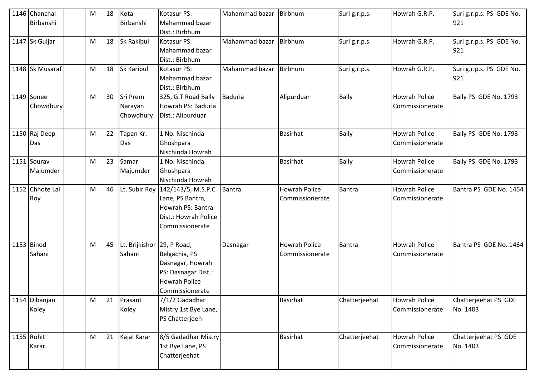| 1146 Chanchal<br>Birbanshi | M | 18 | Kota<br>Birbanshi                      | Kotasur PS:<br>Mahammad bazar                                                                                          | Mahammad bazar | Birbhum                                 | Suri g.r.p.s. | Howrah G.R.P.                           | Suri g.r.p.s. PS GDE No.<br>921  |
|----------------------------|---|----|----------------------------------------|------------------------------------------------------------------------------------------------------------------------|----------------|-----------------------------------------|---------------|-----------------------------------------|----------------------------------|
|                            |   |    |                                        | Dist.: Birbhum                                                                                                         |                |                                         |               |                                         |                                  |
| 1147 Sk Guljar             | M | 18 | Sk Rakibul                             | Kotasur PS:<br>Mahammad bazar<br>Dist.: Birbhum                                                                        | Mahammad bazar | Birbhum                                 | Suri g.r.p.s. | Howrah G.R.P.                           | Suri g.r.p.s. PS GDE No.<br>921  |
| 1148 Sk Musaraf            | M | 18 | <b>Sk Karibul</b>                      | Kotasur PS:<br>Mahammad bazar<br>Dist.: Birbhum                                                                        | Mahammad bazar | Birbhum                                 | Suri g.r.p.s. | Howrah G.R.P.                           | Suri g.r.p.s. PS GDE No.<br>921  |
| 1149 Sonee<br>Chowdhury    | M | 30 | Sri Prem<br>Narayan<br>Chowdhury       | 325, G.T Road Bally<br>Howrah PS: Baduria<br>Dist.: Alipurduar                                                         | <b>Baduria</b> | Alipurduar                              | Bally         | <b>Howrah Police</b><br>Commissionerate | Bally PS GDE No. 1793            |
| 1150 Raj Deep<br>Das       | M | 22 | Tapan Kr.<br>Das                       | 1 No. Nischinda<br>Ghoshpara<br>Nischinda Howrah                                                                       |                | Basirhat                                | Bally         | <b>Howrah Police</b><br>Commissionerate | Bally PS GDE No. 1793            |
| 1151 Sourav<br>Majumder    | M | 23 | Samar<br>Majumder                      | 1 No. Nischinda<br>Ghoshpara<br>Nischinda Howrah                                                                       |                | <b>Basirhat</b>                         | Bally         | <b>Howrah Police</b><br>Commissionerate | Bally PS GDE No. 1793            |
| 1152 Chhote Lal<br>Roy     | M | 46 |                                        | Lt. Subir Roy   142/143/5, M.S.P.C<br>Lane, PS Bantra,<br>Howrah PS: Bantra<br>Dist.: Howrah Police<br>Commissionerate | Bantra         | <b>Howrah Police</b><br>Commissionerate | <b>Bantra</b> | <b>Howrah Police</b><br>Commissionerate | Bantra PS GDE No. 1464           |
| 1153 Binod<br>Sahani       | M | 45 | Lt. Brijkishor   29, P Road,<br>Sahani | Belgachia, PS<br>Dasnagar, Howrah<br>PS: Dasnagar Dist.:<br><b>Howrah Police</b><br>Commissionerate                    | Dasnagar       | <b>Howrah Police</b><br>Commissionerate | <b>Bantra</b> | <b>Howrah Police</b><br>Commissionerate | Bantra PS GDE No. 1464           |
| 1154 Dibanjan<br>Koley     | M | 21 | Prasant<br>Koley                       | 7/1/2 Gadadhar<br>Mistry 1st Bye Lane,<br>PS Chatterjeeh                                                               |                | <b>Basirhat</b>                         | Chatterjeehat | <b>Howrah Police</b><br>Commissionerate | Chatterjeehat PS GDE<br>No. 1403 |
| 1155 Rohit<br>Karar        | M | 21 | Kajal Karar                            | 8/5 Gadadhar Mistry<br>1st Bye Lane, PS<br>Chatterjeehat                                                               |                | <b>Basirhat</b>                         | Chatterjeehat | <b>Howrah Police</b><br>Commissionerate | Chatterjeehat PS GDE<br>No. 1403 |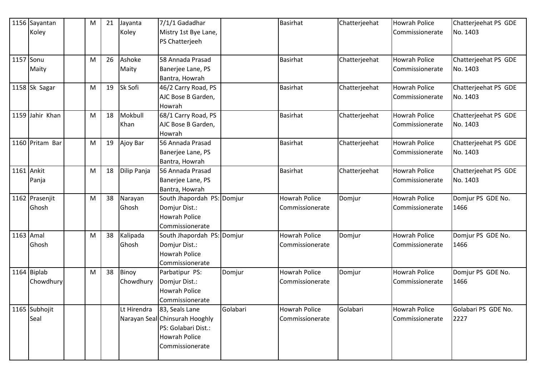|           | 1156 Sayantan   | M | 21 | Jayanta     | 7/1/1 Gadadhar                 |          | <b>Basirhat</b>      | Chatterjeehat | <b>Howrah Police</b> | Chatterjeehat PS GDE |
|-----------|-----------------|---|----|-------------|--------------------------------|----------|----------------------|---------------|----------------------|----------------------|
|           | Koley           |   |    | Koley       | Mistry 1st Bye Lane,           |          |                      |               | Commissionerate      | No. 1403             |
|           |                 |   |    |             | PS Chatterjeeh                 |          |                      |               |                      |                      |
|           |                 |   |    |             |                                |          |                      |               |                      |                      |
| 1157 Sonu |                 | M | 26 | Ashoke      | 58 Annada Prasad               |          | <b>Basirhat</b>      | Chatterjeehat | <b>Howrah Police</b> | Chatterjeehat PS GDE |
|           | Maity           |   |    | Maity       | Banerjee Lane, PS              |          |                      |               | Commissionerate      | No. 1403             |
|           |                 |   |    |             | Bantra, Howrah                 |          |                      |               |                      |                      |
|           | 1158 Sk Sagar   | M | 19 | Sk Sofi     | 46/2 Carry Road, PS            |          | <b>Basirhat</b>      | Chatterjeehat | <b>Howrah Police</b> | Chatterjeehat PS GDE |
|           |                 |   |    |             | AJC Bose B Garden,             |          |                      |               | Commissionerate      | No. 1403             |
|           |                 |   |    |             | Howrah                         |          |                      |               |                      |                      |
|           | 1159 Jahir Khan | M | 18 | Mokbull     | 68/1 Carry Road, PS            |          | Basirhat             | Chatterjeehat | <b>Howrah Police</b> | Chatterjeehat PS GDE |
|           |                 |   |    | Khan        | AJC Bose B Garden,             |          |                      |               | Commissionerate      | No. 1403             |
|           |                 |   |    |             | Howrah                         |          |                      |               |                      |                      |
|           | 1160 Pritam Bar | M | 19 | Ajoy Bar    | 56 Annada Prasad               |          | <b>Basirhat</b>      | Chatterjeehat | <b>Howrah Police</b> | Chatterjeehat PS GDE |
|           |                 |   |    |             | Banerjee Lane, PS              |          |                      |               | Commissionerate      | No. 1403             |
|           |                 |   |    |             | Bantra, Howrah                 |          |                      |               |                      |                      |
|           | 1161 Ankit      | M | 18 | Dilip Panja | 56 Annada Prasad               |          | Basirhat             | Chatterjeehat | <b>Howrah Police</b> | Chatterjeehat PS GDE |
|           | Panja           |   |    |             | Banerjee Lane, PS              |          |                      |               | Commissionerate      | No. 1403             |
|           |                 |   |    |             | Bantra, Howrah                 |          |                      |               |                      |                      |
|           | 1162 Prasenjit  | M | 38 | Narayan     | South Jhapordah PS: Domjur     |          | <b>Howrah Police</b> | Domjur        | <b>Howrah Police</b> | Domjur PS GDE No.    |
|           | Ghosh           |   |    | Ghosh       | Domjur Dist.:                  |          | Commissionerate      |               | Commissionerate      | 1466                 |
|           |                 |   |    |             | Howrah Police                  |          |                      |               |                      |                      |
|           |                 |   |    |             | Commissionerate                |          |                      |               |                      |                      |
| 1163 Amal |                 | M | 38 | Kalipada    | South Jhapordah PS: Domjur     |          | Howrah Police        | Domjur        | <b>Howrah Police</b> | Domjur PS GDE No.    |
|           | Ghosh           |   |    | Ghosh       | Domjur Dist.:                  |          | Commissionerate      |               | Commissionerate      | 1466                 |
|           |                 |   |    |             | <b>Howrah Police</b>           |          |                      |               |                      |                      |
|           |                 |   |    |             | Commissionerate                |          |                      |               |                      |                      |
|           | 1164 Biplab     | M | 38 | Binoy       | Parbatipur PS:                 | Domjur   | Howrah Police        | Domjur        | <b>Howrah Police</b> | Domjur PS GDE No.    |
|           | Chowdhury       |   |    | Chowdhury   | Domjur Dist.:                  |          | Commissionerate      |               | Commissionerate      | 1466                 |
|           |                 |   |    |             | <b>Howrah Police</b>           |          |                      |               |                      |                      |
|           |                 |   |    |             | <b>Commissionerate</b>         |          |                      |               |                      |                      |
|           | 1165 Subhojit   |   |    | Lt Hirendra | 83, Seals Lane                 | Golabari | <b>Howrah Police</b> | Golabari      | <b>Howrah Police</b> | Golabari PS GDE No.  |
|           | Seal            |   |    |             | Narayan Seal Chinsurah Hooghly |          | Commissionerate      |               | Commissionerate      | 2227                 |
|           |                 |   |    |             | PS: Golabari Dist.:            |          |                      |               |                      |                      |
|           |                 |   |    |             | Howrah Police                  |          |                      |               |                      |                      |
|           |                 |   |    |             | Commissionerate                |          |                      |               |                      |                      |
|           |                 |   |    |             |                                |          |                      |               |                      |                      |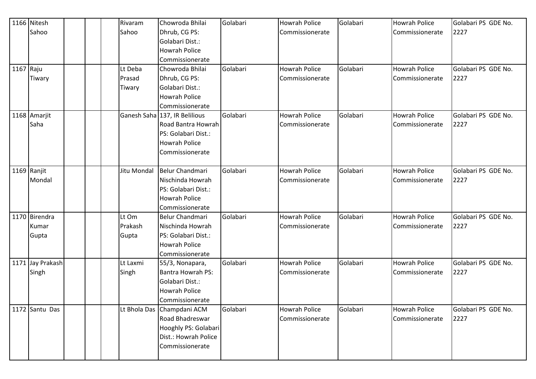|           | 1166 Nitesh      |  | Rivaram     | Chowroda Bhilai               | Golabari | Howrah Police        | Golabari | <b>Howrah Police</b> | Golabari PS GDE No. |
|-----------|------------------|--|-------------|-------------------------------|----------|----------------------|----------|----------------------|---------------------|
|           | Sahoo            |  | Sahoo       | Dhrub, CG PS:                 |          | Commissionerate      |          | Commissionerate      | 2227                |
|           |                  |  |             | Golabari Dist.:               |          |                      |          |                      |                     |
|           |                  |  |             | <b>Howrah Police</b>          |          |                      |          |                      |                     |
|           |                  |  |             | Commissionerate               |          |                      |          |                      |                     |
| 1167 Raju |                  |  | Lt Deba     | Chowroda Bhilai               | Golabari | <b>Howrah Police</b> | Golabari | <b>Howrah Police</b> | Golabari PS GDE No. |
|           | Tiwary           |  | Prasad      | Dhrub, CG PS:                 |          | Commissionerate      |          | Commissionerate      | 2227                |
|           |                  |  | Tiwary      | Golabari Dist.:               |          |                      |          |                      |                     |
|           |                  |  |             | <b>Howrah Police</b>          |          |                      |          |                      |                     |
|           |                  |  |             | Commissionerate               |          |                      |          |                      |                     |
|           | 1168 Amarjit     |  |             | Ganesh Saha 137, IR Belilious | Golabari | <b>Howrah Police</b> | Golabari | <b>Howrah Police</b> | Golabari PS GDE No. |
|           | Saha             |  |             | Road Bantra Howrah            |          | Commissionerate      |          | Commissionerate      | 2227                |
|           |                  |  |             | PS: Golabari Dist.:           |          |                      |          |                      |                     |
|           |                  |  |             | <b>Howrah Police</b>          |          |                      |          |                      |                     |
|           |                  |  |             | Commissionerate               |          |                      |          |                      |                     |
|           |                  |  |             |                               |          |                      |          |                      |                     |
|           | 1169 Ranjit      |  | Jitu Mondal | Belur Chandmari               | Golabari | <b>Howrah Police</b> | Golabari | <b>Howrah Police</b> | Golabari PS GDE No. |
|           | Mondal           |  |             | Nischinda Howrah              |          | Commissionerate      |          | Commissionerate      | 2227                |
|           |                  |  |             | PS: Golabari Dist.:           |          |                      |          |                      |                     |
|           |                  |  |             | <b>Howrah Police</b>          |          |                      |          |                      |                     |
|           |                  |  |             | Commissionerate               |          |                      |          |                      |                     |
|           | 1170 Birendra    |  | Lt Om       | <b>Belur Chandmari</b>        | Golabari | <b>Howrah Police</b> | Golabari | <b>Howrah Police</b> | Golabari PS GDE No. |
|           | Kumar            |  | Prakash     | Nischinda Howrah              |          | Commissionerate      |          | Commissionerate      | 2227                |
|           | Gupta            |  | Gupta       | PS: Golabari Dist.:           |          |                      |          |                      |                     |
|           |                  |  |             | <b>Howrah Police</b>          |          |                      |          |                      |                     |
|           |                  |  |             | Commissionerate               |          |                      |          |                      |                     |
|           | 1171 Jay Prakash |  | Lt Laxmi    | 55/3, Nonapara,               | Golabari | <b>Howrah Police</b> | Golabari | <b>Howrah Police</b> | Golabari PS GDE No. |
|           | Singh            |  | Singh       | <b>Bantra Howrah PS:</b>      |          | Commissionerate      |          | Commissionerate      | 2227                |
|           |                  |  |             | Golabari Dist.:               |          |                      |          |                      |                     |
|           |                  |  |             | <b>Howrah Police</b>          |          |                      |          |                      |                     |
|           |                  |  |             | Commissionerate               |          |                      |          |                      |                     |
|           | 1172 Santu Das   |  |             | Lt Bhola Das Champdani ACM    | Golabari | Howrah Police        | Golabari | <b>Howrah Police</b> | Golabari PS GDE No. |
|           |                  |  |             | Road Bhadreswar               |          | Commissionerate      |          | Commissionerate      | 2227                |
|           |                  |  |             | Hooghly PS: Golabari          |          |                      |          |                      |                     |
|           |                  |  |             | Dist.: Howrah Police          |          |                      |          |                      |                     |
|           |                  |  |             | Commissionerate               |          |                      |          |                      |                     |
|           |                  |  |             |                               |          |                      |          |                      |                     |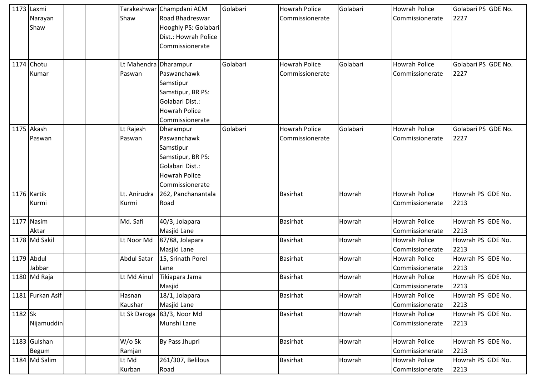|         | 1173 Laxmi<br>Narayan<br>Shaw |  | Shaw                            | Tarakeshwar Champdani ACM<br>Road Bhadreswar<br>Hooghly PS: Golabari<br>Dist.: Howrah Police<br>Commissionerate          | Golabari | <b>Howrah Police</b><br>Commissionerate | Golabari | <b>Howrah Police</b><br>Commissionerate | Golabari PS GDE No.<br>2227 |
|---------|-------------------------------|--|---------------------------------|--------------------------------------------------------------------------------------------------------------------------|----------|-----------------------------------------|----------|-----------------------------------------|-----------------------------|
|         | 1174 Chotu<br>Kumar           |  | Lt Mahendra Dharampur<br>Paswan | Paswanchawk<br>Samstipur<br>Samstipur, BR PS:<br>Golabari Dist.:<br><b>Howrah Police</b><br>Commissionerate              | Golabari | <b>Howrah Police</b><br>Commissionerate | Golabari | <b>Howrah Police</b><br>Commissionerate | Golabari PS GDE No.<br>2227 |
|         | 1175 Akash<br>Paswan          |  | Lt Rajesh<br>Paswan             | Dharampur<br>Paswanchawk<br>Samstipur<br>Samstipur, BR PS:<br>Golabari Dist.:<br><b>Howrah Police</b><br>Commissionerate | Golabari | <b>Howrah Police</b><br>Commissionerate | Golabari | <b>Howrah Police</b><br>Commissionerate | Golabari PS GDE No.<br>2227 |
|         | 1176 Kartik<br>Kurmi          |  | Lt. Anirudra<br>Kurmi           | 262, Panchanantala<br>Road                                                                                               |          | <b>Basirhat</b>                         | Howrah   | <b>Howrah Police</b><br>Commissionerate | Howrah PS GDE No.<br>2213   |
|         | 1177 Nasim<br>Aktar           |  | Md. Safi                        | 40/3, Jolapara<br><b>Masjid Lane</b>                                                                                     |          | <b>Basirhat</b>                         | Howrah   | <b>Howrah Police</b><br>Commissionerate | Howrah PS GDE No.<br>2213   |
|         | 1178 Md Sakil                 |  | Lt Noor Md                      | 87/88, Jolapara<br><b>Masjid Lane</b>                                                                                    |          | <b>Basirhat</b>                         | Howrah   | <b>Howrah Police</b><br>Commissionerate | Howrah PS GDE No.<br>2213   |
|         | 1179 Abdul<br>Jabbar          |  | <b>Abdul Satar</b>              | 15, Srinath Porel<br>Lane                                                                                                |          | Basirhat                                | Howrah   | <b>Howrah Police</b><br>Commissionerate | Howrah PS GDE No.<br>2213   |
|         | 1180 Md Raja                  |  | Lt Md Ainul                     | Tikiapara Jama<br>Masjid                                                                                                 |          | <b>Basirhat</b>                         | Howrah   | <b>Howrah Police</b><br>Commissionerate | Howrah PS GDE No.<br>2213   |
|         | 1181 Furkan Asif              |  | Hasnan<br>Kaushar               | 18/1, Jolapara<br><b>Masjid Lane</b>                                                                                     |          | Basirhat                                | Howrah   | Howrah Police<br>Commissionerate        | Howrah PS GDE No.<br>2213   |
| 1182 Sk | Nijamuddin                    |  |                                 | Lt Sk Daroga 83/3, Noor Md<br>Munshi Lane                                                                                |          | <b>Basirhat</b>                         | Howrah   | <b>Howrah Police</b><br>Commissionerate | Howrah PS GDE No.<br>2213   |
|         | 1183 Gulshan<br>Begum         |  | W/o Sk<br>Ramjan                | By Pass Jhupri                                                                                                           |          | Basirhat                                | Howrah   | <b>Howrah Police</b><br>Commissionerate | Howrah PS GDE No.<br>2213   |
|         | 1184 Md Salim                 |  | Lt Md<br>Kurban                 | 261/307, Belilous<br>Road                                                                                                |          | <b>Basirhat</b>                         | Howrah   | <b>Howrah Police</b><br>Commissionerate | Howrah PS GDE No.<br>2213   |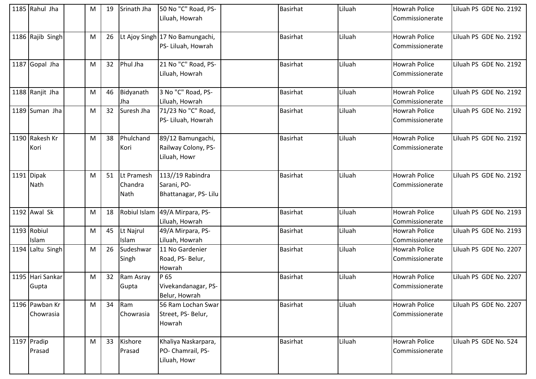| 1185 Rahul Jha              | M | 19 | Srinath Jha                          | 50 No "C" Road, PS-                                      | Basirhat        | Liluah | <b>Howrah Police</b>                    | Liluah PS GDE No. 2192 |
|-----------------------------|---|----|--------------------------------------|----------------------------------------------------------|-----------------|--------|-----------------------------------------|------------------------|
|                             |   |    |                                      | Liluah, Howrah                                           |                 |        | Commissionerate                         |                        |
| 1186 Rajib Singh            | M | 26 |                                      | Lt Ajoy Singh 17 No Bamungachi,<br>PS- Liluah, Howrah    | <b>Basirhat</b> | Liluah | <b>Howrah Police</b><br>Commissionerate | Liluah PS GDE No. 2192 |
| 1187 Gopal Jha              | M | 32 | Phul Jha                             | 21 No "C" Road, PS-<br>Liluah, Howrah                    | <b>Basirhat</b> | Liluah | <b>Howrah Police</b><br>Commissionerate | Liluah PS GDE No. 2192 |
| 1188 Ranjit Jha             | M | 46 | Bidyanath<br>Jha                     | 3 No "C" Road, PS-<br>Liluah, Howrah                     | <b>Basirhat</b> | Liluah | <b>Howrah Police</b><br>Commissionerate | Liluah PS GDE No. 2192 |
| 1189 Suman Jha              | M | 32 | Suresh Jha                           | 71/23 No "C" Road,<br>PS- Liluah, Howrah                 | <b>Basirhat</b> | Liluah | <b>Howrah Police</b><br>Commissionerate | Liluah PS GDE No. 2192 |
| 1190 Rakesh Kr<br>Kori      | M | 38 | Phulchand<br>Kori                    | 89/12 Bamungachi,<br>Railway Colony, PS-<br>Liluah, Howr | <b>Basirhat</b> | Liluah | <b>Howrah Police</b><br>Commissionerate | Liluah PS GDE No. 2192 |
| 1191 Dipak<br>Nath          | M | 51 | Lt Pramesh<br>Chandra<br><b>Nath</b> | 113//19 Rabindra<br>Sarani, PO-<br>Bhattanagar, PS-Lilu  | <b>Basirhat</b> | Liluah | <b>Howrah Police</b><br>Commissionerate | Liluah PS GDE No. 2192 |
| 1192 Awal Sk                | M | 18 | Robiul Islam                         | 49/A Mirpara, PS-<br>Liluah, Howrah                      | <b>Basirhat</b> | Liluah | <b>Howrah Police</b><br>Commissionerate | Liluah PS GDE No. 2193 |
| 1193 Robiul<br>Islam        | M | 45 | Lt Najrul<br>Islam                   | 49/A Mirpara, PS-<br>Liluah, Howrah                      | <b>Basirhat</b> | Liluah | <b>Howrah Police</b><br>Commissionerate | Liluah PS GDE No. 2193 |
| 1194 Laltu Singh            | M | 26 | Sudeshwar<br>Singh                   | 11 No Gardenier<br>Road, PS- Belur,<br>Howrah            | <b>Basirhat</b> | Liluah | <b>Howrah Police</b><br>Commissionerate | Liluah PS GDE No. 2207 |
| 1195 Hari Sankar<br>Gupta   | M | 32 | Ram Asray<br>Gupta                   | P 65<br>Vivekandanagar, PS-<br>Belur, Howrah             | <b>Basirhat</b> | Liluah | <b>Howrah Police</b><br>Commissionerate | Liluah PS GDE No. 2207 |
| 1196 Pawban Kr<br>Chowrasia | M | 34 | Ram<br>Chowrasia                     | 56 Ram Lochan Swar<br>Street, PS- Belur,<br>Howrah       | <b>Basirhat</b> | Liluah | <b>Howrah Police</b><br>Commissionerate | Liluah PS GDE No. 2207 |
| 1197 Pradip<br>Prasad       | M | 33 | Kishore<br>Prasad                    | Khaliya Naskarpara,<br>PO- Chamrail, PS-<br>Liluah, Howr | <b>Basirhat</b> | Liluah | <b>Howrah Police</b><br>Commissionerate | Liluah PS GDE No. 524  |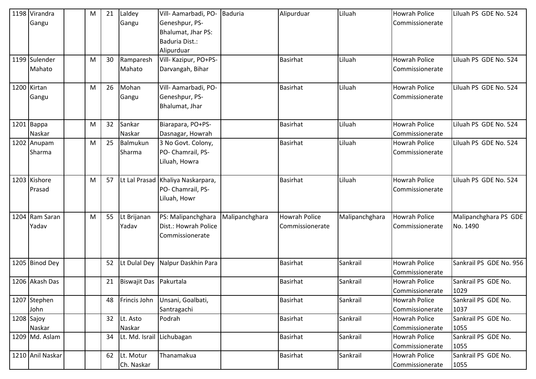| 1198 Virandra<br>Gangu  | M | 21 | Laldey<br>Gangu           | Vill- Aamarbadi, PO- Baduria<br>Geneshpur, PS-<br>Bhalumat, Jhar PS:<br>Baduria Dist.:<br>Alipurduar |                | Alipurduar                              | Liluah         | <b>Howrah Police</b><br>Commissionerate | Liluah PS GDE No. 524             |
|-------------------------|---|----|---------------------------|------------------------------------------------------------------------------------------------------|----------------|-----------------------------------------|----------------|-----------------------------------------|-----------------------------------|
| 1199 Sulender<br>Mahato | M | 30 | Ramparesh<br>Mahato       | Vill- Kazipur, PO+PS-<br>Darvangah, Bihar                                                            |                | Basirhat                                | Liluah         | <b>Howrah Police</b><br>Commissionerate | Liluah PS GDE No. 524             |
| 1200 Kirtan<br>Gangu    | M | 26 | Mohan<br>Gangu            | Vill- Aamarbadi, PO-<br>Geneshpur, PS-<br>Bhalumat, Jhar                                             |                | <b>Basirhat</b>                         | Liluah         | <b>Howrah Police</b><br>Commissionerate | Liluah PS GDE No. 524             |
| $1201$ Bappa<br>Naskar  | M | 32 | Sankar<br>Naskar          | Biarapara, PO+PS-<br>Dasnagar, Howrah                                                                |                | <b>Basirhat</b>                         | Liluah         | <b>Howrah Police</b><br>Commissionerate | Liluah PS GDE No. 524             |
| 1202 Anupam<br>Sharma   | M | 25 | Balmukun<br>Sharma        | 3 No Govt. Colony,<br>PO- Chamrail, PS-<br>Liluah, Howra                                             |                | <b>Basirhat</b>                         | Liluah         | <b>Howrah Police</b><br>Commissionerate | Liluah PS GDE No. 524             |
| 1203 Kishore<br>Prasad  | M | 57 |                           | Lt Lal Prasad Khaliya Naskarpara,<br>PO- Chamrail, PS-<br>Liluah, Howr                               |                | <b>Basirhat</b>                         | Liluah         | <b>Howrah Police</b><br>Commissionerate | Liluah PS GDE No. 524             |
| 1204 Ram Saran<br>Yadav | M | 55 | Lt Brijanan<br>Yadav      | PS: Malipanchghara<br>Dist.: Howrah Police<br>Commissionerate                                        | Malipanchghara | <b>Howrah Police</b><br>Commissionerate | Malipanchghara | <b>Howrah Police</b><br>Commissionerate | Malipanchghara PS GDE<br>No. 1490 |
| 1205 Binod Dey          |   | 52 | Lt Dulal Dey              | Nalpur Daskhin Para                                                                                  |                | Basirhat                                | Sankrail       | <b>Howrah Police</b><br>Commissionerate | Sankrail PS GDE No. 956           |
| 1206 Akash Das          |   | 21 | Biswajit Das Pakurtala    |                                                                                                      |                | Basirhat                                | Sankrail       | <b>Howrah Police</b><br>Commissionerate | Sankrail PS GDE No.<br>1029       |
| 1207 Stephen<br>John    |   | 48 |                           | Frincis John   Unsani, Goalbati,<br>Santragachi                                                      |                | <b>Basirhat</b>                         | Sankrail       | <b>Howrah Police</b><br>Commissionerate | Sankrail PS GDE No.<br>1037       |
| $1208$ Sajoy<br>Naskar  |   | 32 | Lt. Asto<br>Naskar        | Podrah                                                                                               |                | <b>Basirhat</b>                         | Sankrail       | <b>Howrah Police</b><br>Commissionerate | Sankrail PS GDE No.<br>1055       |
| 1209 Md. Aslam          |   | 34 | Lt. Md. Israil Lichubagan |                                                                                                      |                | Basirhat                                | Sankrail       | <b>Howrah Police</b><br>Commissionerate | Sankrail PS GDE No.<br>1055       |
| 1210 Anil Naskar        |   | 62 | Lt. Motur<br>Ch. Naskar   | Thanamakua                                                                                           |                | Basirhat                                | Sankrail       | <b>Howrah Police</b><br>Commissionerate | Sankrail PS GDE No.<br>1055       |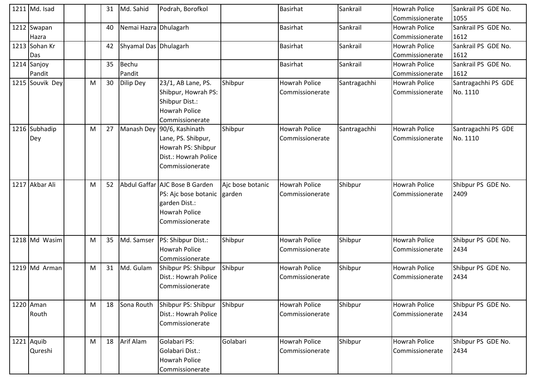| 1211 Md. Isad         |   | 31 | Md. Sahid             | Podrah, Borofkol                                                                                                   |                            | <b>Basirhat</b>                         | Sankrail     | <b>Howrah Police</b><br>Commissionerate | Sankrail PS GDE No.<br>1055     |
|-----------------------|---|----|-----------------------|--------------------------------------------------------------------------------------------------------------------|----------------------------|-----------------------------------------|--------------|-----------------------------------------|---------------------------------|
| 1212 Swapan<br>Hazra  |   | 40 | Nemai Hazra Dhulagarh |                                                                                                                    |                            | Basirhat                                | Sankrail     | Howrah Police<br>Commissionerate        | Sankrail PS GDE No.<br>1612     |
| 1213 Sohan Kr<br>Das  |   | 42 | Shyamal Das Dhulagarh |                                                                                                                    |                            | Basirhat                                | Sankrail     | <b>Howrah Police</b><br>Commissionerate | Sankrail PS GDE No.<br>1612     |
| 1214 Sanjoy<br>Pandit |   | 35 | Bechu<br>Pandit       |                                                                                                                    |                            | Basirhat                                | Sankrail     | <b>Howrah Police</b><br>Commissionerate | Sankrail PS GDE No.<br>1612     |
| 1215 Souvik Dey       | M | 30 | Dilip Dey             | 23/1, AB Lane, PS.<br>Shibpur, Howrah PS:<br>Shibpur Dist.:<br><b>Howrah Police</b><br>Commissionerate             | Shibpur                    | <b>Howrah Police</b><br>Commissionerate | Santragachhi | Howrah Police<br>Commissionerate        | Santragachhi PS GDE<br>No. 1110 |
| 1216 Subhadip<br>Dey  | M | 27 | Manash Dey            | 90/6, Kashinath<br>Lane, PS. Shibpur,<br>Howrah PS: Shibpur<br>Dist.: Howrah Police<br>Commissionerate             | Shibpur                    | <b>Howrah Police</b><br>Commissionerate | Santragachhi | <b>Howrah Police</b><br>Commissionerate | Santragachhi PS GDE<br>No. 1110 |
| 1217 Akbar Ali        | M | 52 |                       | Abdul Gaffar AJC Bose B Garden<br>PS: Ajc bose botanic<br>garden Dist.:<br><b>Howrah Police</b><br>Commissionerate | Ajc bose botanic<br>garden | <b>Howrah Police</b><br>Commissionerate | Shibpur      | <b>Howrah Police</b><br>Commissionerate | Shibpur PS GDE No.<br>2409      |
| 1218 Md Wasim         | M | 35 | Md. Samser            | PS: Shibpur Dist.:<br><b>Howrah Police</b><br>Commissionerate                                                      | Shibpur                    | <b>Howrah Police</b><br>Commissionerate | Shibpur      | Howrah Police<br>Commissionerate        | Shibpur PS GDE No.<br>2434      |
| 1219 $\vert$ Md Arman | M | 31 | Md. Gulam             | Shibpur PS: Shibpur<br>Dist.: Howrah Police<br>Commissionerate                                                     | Shibpur                    | Howrah Police<br>Commissionerate        | Shibpur      | <b>Howrah Police</b><br>Commissionerate | Shibpur PS GDE No.<br>2434      |
| 1220 Aman<br>Routh    | M | 18 | Sona Routh            | Shibpur PS: Shibpur<br>Dist.: Howrah Police<br>Commissionerate                                                     | Shibpur                    | <b>Howrah Police</b><br>Commissionerate | Shibpur      | <b>Howrah Police</b><br>Commissionerate | Shibpur PS GDE No.<br>2434      |
| 1221 Aquib<br>Qureshi | M | 18 | Arif Alam             | Golabari PS:<br>Golabari Dist.:<br><b>Howrah Police</b><br>Commissionerate                                         | Golabari                   | <b>Howrah Police</b><br>Commissionerate | Shibpur      | <b>Howrah Police</b><br>Commissionerate | Shibpur PS GDE No.<br>2434      |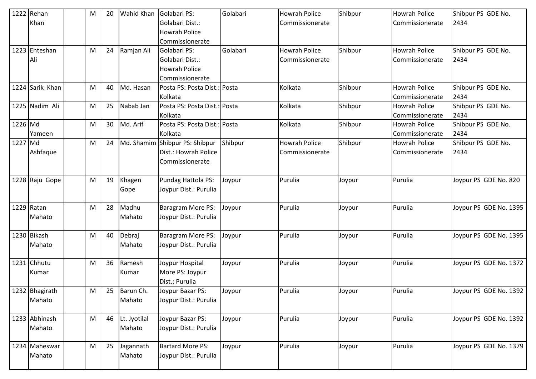|         | 1222 Rehan<br>Khan       | M | 20 | Wahid Khan             | Golabari PS:<br>Golabari Dist.:<br><b>Howrah Police</b><br>Commissionerate | Golabari | <b>Howrah Police</b><br>Commissionerate | Shibpur | <b>Howrah Police</b><br>Commissionerate | Shibpur PS GDE No.<br>2434 |
|---------|--------------------------|---|----|------------------------|----------------------------------------------------------------------------|----------|-----------------------------------------|---------|-----------------------------------------|----------------------------|
|         | 1223 Ehteshan<br>Ali     | M | 24 | Ramjan Ali             | Golabari PS:<br>Golabari Dist.:<br><b>Howrah Police</b><br>Commissionerate | Golabari | <b>Howrah Police</b><br>Commissionerate | Shibpur | <b>Howrah Police</b><br>Commissionerate | Shibpur PS GDE No.<br>2434 |
|         | 1224 Sarik Khan          | M | 40 | Md. Hasan              | Posta PS: Posta Dist.: Posta<br>Kolkata                                    |          | Kolkata                                 | Shibpur | <b>Howrah Police</b><br>Commissionerate | Shibpur PS GDE No.<br>2434 |
|         | 1225 Nadim Ali           | M | 25 | Nabab Jan              | Posta PS: Posta Dist.: Posta<br>Kolkata                                    |          | Kolkata                                 | Shibpur | <b>Howrah Police</b><br>Commissionerate | Shibpur PS GDE No.<br>2434 |
| 1226 Md | Yameen                   | M | 30 | Md. Arif               | Posta PS: Posta Dist.: Posta<br>Kolkata                                    |          | Kolkata                                 | Shibpur | <b>Howrah Police</b><br>Commissionerate | Shibpur PS GDE No.<br>2434 |
| 1227 Md | Ashfaque                 | M | 24 |                        | Md. Shamim Shibpur PS: Shibpur<br>Dist.: Howrah Police<br>Commissionerate  | Shibpur  | <b>Howrah Police</b><br>Commissionerate | Shibpur | <b>Howrah Police</b><br>Commissionerate | Shibpur PS GDE No.<br>2434 |
|         | 1228 Raju Gope           | M | 19 | Khagen<br>Gope         | Pundag Hattola PS:<br>Joypur Dist.: Purulia                                | Joypur   | Purulia                                 | Joypur  | Purulia                                 | Joypur PS GDE No. 820      |
|         | 1229 Ratan<br>Mahato     | M | 28 | Madhu<br>Mahato        | Baragram More PS:<br>Joypur Dist.: Purulia                                 | Joypur   | Purulia                                 | Joypur  | Purulia                                 | Joypur PS GDE No. 1395     |
|         | 1230 Bikash<br>Mahato    | M | 40 | Debraj<br>Mahato       | Baragram More PS:<br>Joypur Dist.: Purulia                                 | Joypur   | Purulia                                 | Joypur  | Purulia                                 | Joypur PS GDE No. 1395     |
|         | 1231 Chhutu<br>Kumar     | M | 36 | Ramesh<br>Kumar        | Joypur Hospital<br>More PS: Joypur<br>Dist.: Purulia                       | Joypur   | Purulia                                 | Joypur  | Purulia                                 | Joypur PS GDE No. 1372     |
|         | 1232 Bhagirath<br>Mahato | M | 25 | Barun Ch.<br>Mahato    | Joypur Bazar PS:<br>Joypur Dist.: Purulia                                  | Joypur   | Purulia                                 | Joypur  | Purulia                                 | Joypur PS GDE No. 1392     |
|         | 1233 Abhinash<br>Mahato  | M | 46 | Lt. Jyotilal<br>Mahato | Joypur Bazar PS:<br>Joypur Dist.: Purulia                                  | Joypur   | Purulia                                 | Joypur  | Purulia                                 | Joypur PS GDE No. 1392     |
|         | 1234 Maheswar<br>Mahato  | M | 25 | Jagannath<br>Mahato    | <b>Bartard More PS:</b><br>Joypur Dist.: Purulia                           | Joypur   | Purulia                                 | Joypur  | Purulia                                 | Joypur PS GDE No. 1379     |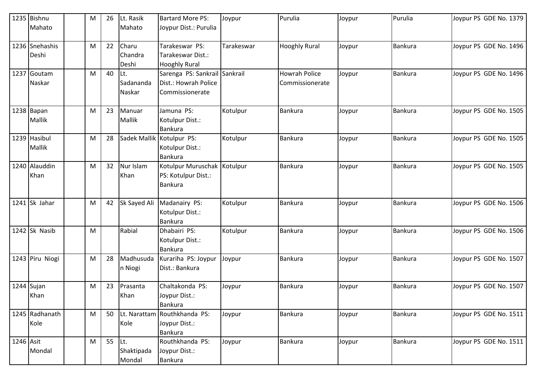|           | 1235 Bishnu                   | M | 26 | Lt. Rasik                   | <b>Bartard More PS:</b>                                                  | Joypur     | Purulia                                 | Joypur | Purulia        | Joypur PS GDE No. 1379 |
|-----------|-------------------------------|---|----|-----------------------------|--------------------------------------------------------------------------|------------|-----------------------------------------|--------|----------------|------------------------|
|           | Mahato                        |   |    | Mahato                      | Joypur Dist.: Purulia                                                    |            |                                         |        |                |                        |
|           | 1236 Snehashis<br>Deshi       | M | 22 | Charu<br>Chandra<br>Deshi   | Tarakeswar PS:<br>Tarakeswar Dist.:<br><b>Hooghly Rural</b>              | Tarakeswar | <b>Hooghly Rural</b>                    | Joypur | <b>Bankura</b> | Joypur PS GDE No. 1496 |
|           | 1237 Goutam<br>Naskar         | M | 40 | Lt.<br>Sadananda<br>Naskar  | Sarenga PS: Sankrail Sankrail<br>Dist.: Howrah Police<br>Commissionerate |            | <b>Howrah Police</b><br>Commissionerate | Joypur | <b>Bankura</b> | Joypur PS GDE No. 1496 |
|           | $1238$ Bapan<br><b>Mallik</b> | M | 23 | Manuar<br>Mallik            | Jamuna PS:<br>Kotulpur Dist.:<br>Bankura                                 | Kotulpur   | <b>Bankura</b>                          | Joypur | <b>Bankura</b> | Joypur PS GDE No. 1505 |
|           | 1239 Hasibul<br>Mallik        | M | 28 |                             | Sadek Mallik Kotulpur PS:<br>Kotulpur Dist.:<br><b>Bankura</b>           | Kotulpur   | Bankura                                 | Joypur | <b>Bankura</b> | Joypur PS GDE No. 1505 |
|           | 1240 Alauddin<br>Khan         | M | 32 | Nur Islam<br>Khan           | Kotulpur Muruschak Kotulpur<br>PS: Kotulpur Dist.:<br>Bankura            |            | <b>Bankura</b>                          | Joypur | <b>Bankura</b> | Joypur PS GDE No. 1505 |
|           | 1241 Sk Jahar                 | M | 42 | Sk Sayed Ali                | Madanairy PS:<br>Kotulpur Dist.:<br>Bankura                              | Kotulpur   | <b>Bankura</b>                          | Joypur | <b>Bankura</b> | Joypur PS GDE No. 1506 |
|           | 1242 Sk Nasib                 | M |    | Rabial                      | Dhabairi PS:<br>Kotulpur Dist.:<br><b>Bankura</b>                        | Kotulpur   | <b>Bankura</b>                          | Joypur | <b>Bankura</b> | Joypur PS GDE No. 1506 |
|           | 1243 Piru Niogi               | M | 28 | Madhusuda<br>n Niogi        | Kurariha PS: Joypur<br>Dist.: Bankura                                    | Joypur     | <b>Bankura</b>                          | Joypur | <b>Bankura</b> | Joypur PS GDE No. 1507 |
|           | 1244 Sujan<br>Khan            | M | 23 | Prasanta<br>Khan            | Chaltakonda PS:<br>Joypur Dist.:<br><b>Bankura</b>                       | Joypur     | <b>Bankura</b>                          | Joypur | Bankura        | Joypur PS GDE No. 1507 |
|           | 1245 Radhanath<br>Kole        | M | 50 | Kole                        | Lt. Narattam Routhkhanda PS:<br>Joypur Dist.:<br>Bankura                 | Joypur     | Bankura                                 | Joypur | Bankura        | Joypur PS GDE No. 1511 |
| 1246 Asit | Mondal                        | M | 55 | Lt.<br>Shaktipada<br>Mondal | Routhkhanda PS:<br>Joypur Dist.:<br>Bankura                              | Joypur     | <b>Bankura</b>                          | Joypur | Bankura        | Joypur PS GDE No. 1511 |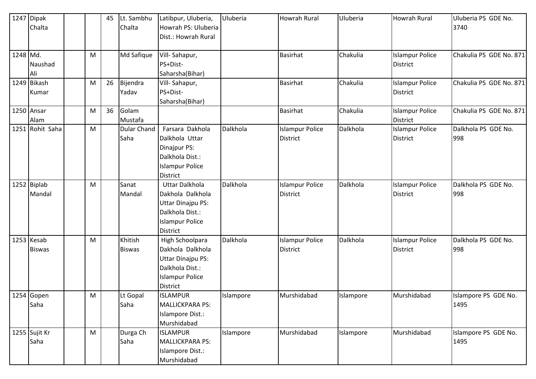|          | 1247 Dipak      |           | 45 | Lt. Sambhu         | Latibpur, Uluberia,      | Uluberia  | <b>Howrah Rural</b>    | Uluberia  | <b>Howrah Rural</b>    | Uluberia PS GDE No.     |
|----------|-----------------|-----------|----|--------------------|--------------------------|-----------|------------------------|-----------|------------------------|-------------------------|
|          | Chalta          |           |    | Chalta             | Howrah PS: Uluberia      |           |                        |           |                        | 3740                    |
|          |                 |           |    |                    | Dist.: Howrah Rural      |           |                        |           |                        |                         |
|          |                 |           |    |                    |                          |           |                        |           |                        |                         |
| 1248 Md. |                 | M         |    | Md Safique         | Vill-Sahapur,            |           | Basirhat               | Chakulia  | <b>Islampur Police</b> | Chakulia PS GDE No. 871 |
|          | Naushad         |           |    |                    | PS+Dist-                 |           |                        |           | <b>District</b>        |                         |
|          | Ali             |           |    |                    | Saharsha(Bihar)          |           |                        |           |                        |                         |
|          | 1249 Bikash     | M         | 26 | Bijendra           | Vill-Sahapur,            |           | <b>Basirhat</b>        | Chakulia  | <b>Islampur Police</b> | Chakulia PS GDE No. 871 |
|          | Kumar           |           |    | Yadav              | PS+Dist-                 |           |                        |           | <b>District</b>        |                         |
|          |                 |           |    |                    | Saharsha(Bihar)          |           |                        |           |                        |                         |
|          | 1250 Ansar      | M         | 36 | Golam              |                          |           | <b>Basirhat</b>        | Chakulia  | <b>Islampur Police</b> | Chakulia PS GDE No. 871 |
|          | Alam            |           |    | Mustafa            |                          |           |                        |           | <b>District</b>        |                         |
|          | 1251 Rohit Saha | M         |    | <b>Dular Chand</b> | Farsara Dakhola          | Dalkhola  | <b>Islampur Police</b> | Dalkhola  | <b>Islampur Police</b> | Dalkhola PS GDE No.     |
|          |                 |           |    | Saha               | Dalkhola Uttar           |           | District               |           | <b>District</b>        | 998                     |
|          |                 |           |    |                    | Dinajpur PS:             |           |                        |           |                        |                         |
|          |                 |           |    |                    | Dalkhola Dist.:          |           |                        |           |                        |                         |
|          |                 |           |    |                    | <b>Islampur Police</b>   |           |                        |           |                        |                         |
|          |                 |           |    |                    | <b>District</b>          |           |                        |           |                        |                         |
|          | 1252 Biplab     | ${\sf M}$ |    | Sanat              | <b>Uttar Dalkhola</b>    | Dalkhola  | <b>Islampur Police</b> | Dalkhola  | <b>Islampur Police</b> | Dalkhola PS GDE No.     |
|          | Mandal          |           |    | Mandal             | Dakhola Dalkhola         |           | District               |           | <b>District</b>        | 998                     |
|          |                 |           |    |                    | Uttar Dinajpu PS:        |           |                        |           |                        |                         |
|          |                 |           |    |                    | Dalkhola Dist.:          |           |                        |           |                        |                         |
|          |                 |           |    |                    | <b>Islampur Police</b>   |           |                        |           |                        |                         |
|          |                 |           |    |                    | District                 |           |                        |           |                        |                         |
|          | 1253 Kesab      | M         |    | <b>Khitish</b>     | High Schoolpara          | Dalkhola  | <b>Islampur Police</b> | Dalkhola  | <b>Islampur Police</b> | Dalkhola PS GDE No.     |
|          | <b>Biswas</b>   |           |    | <b>Biswas</b>      | Dakhola Dalkhola         |           | <b>District</b>        |           | <b>District</b>        | 998                     |
|          |                 |           |    |                    | <b>Uttar Dinajpu PS:</b> |           |                        |           |                        |                         |
|          |                 |           |    |                    | Dalkhola Dist.:          |           |                        |           |                        |                         |
|          |                 |           |    |                    | <b>Islampur Police</b>   |           |                        |           |                        |                         |
|          |                 |           |    |                    | District                 |           |                        |           |                        |                         |
|          | 1254 Gopen      | M         |    | Lt Gopal           | <b>ISLAMPUR</b>          | Islampore | Murshidabad            | Islampore | Murshidabad            | Islampore PS GDE No.    |
|          | Saha            |           |    | Saha               | <b>MALLICKPARA PS:</b>   |           |                        |           |                        | 1495                    |
|          |                 |           |    |                    | Islampore Dist.:         |           |                        |           |                        |                         |
|          |                 |           |    |                    | Murshidabad              |           |                        |           |                        |                         |
|          | 1255 Sujit Kr   | M         |    | Durga Ch           | <b>ISLAMPUR</b>          | Islampore | Murshidabad            | Islampore | Murshidabad            | Islampore PS GDE No.    |
|          | Saha            |           |    | Saha               | <b>MALLICKPARA PS:</b>   |           |                        |           |                        | 1495                    |
|          |                 |           |    |                    | Islampore Dist.:         |           |                        |           |                        |                         |
|          |                 |           |    |                    | Murshidabad              |           |                        |           |                        |                         |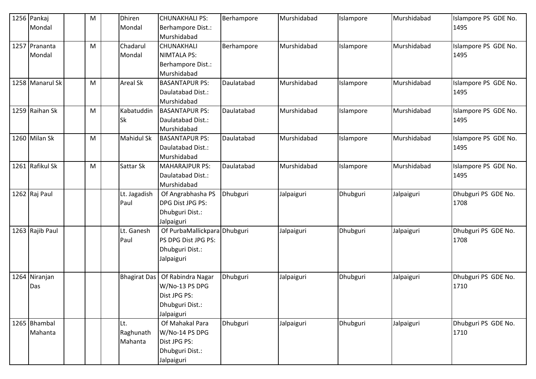| 1256 Pankaj<br>Mondal | M | Dhiren<br>Mondal    | <b>CHUNAKHALI PS:</b><br>Berhampore Dist.: | Berhampore | Murshidabad | Islampore | Murshidabad | Islampore PS GDE No.<br>1495 |
|-----------------------|---|---------------------|--------------------------------------------|------------|-------------|-----------|-------------|------------------------------|
|                       |   |                     | Murshidabad                                |            |             |           |             |                              |
| 1257 Prananta         | M | Chadarul            | <b>CHUNAKHALI</b>                          | Berhampore | Murshidabad | Islampore | Murshidabad | Islampore PS GDE No.         |
| Mondal                |   | Mondal              | <b>NIMTALA PS:</b>                         |            |             |           |             | 1495                         |
|                       |   |                     | Berhampore Dist.:                          |            |             |           |             |                              |
|                       |   |                     | Murshidabad                                |            |             |           |             |                              |
| 1258 Manarul Sk       | M | <b>Areal Sk</b>     | <b>BASANTAPUR PS:</b>                      | Daulatabad | Murshidabad | Islampore | Murshidabad | Islampore PS GDE No.         |
|                       |   |                     | Daulatabad Dist.:                          |            |             |           |             | 1495                         |
|                       |   |                     | Murshidabad                                |            |             |           |             |                              |
| 1259 Raihan Sk        | M | Kabatuddin          | <b>BASANTAPUR PS:</b>                      | Daulatabad | Murshidabad | Islampore | Murshidabad | Islampore PS GDE No.         |
|                       |   | Sk                  | Daulatabad Dist.:                          |            |             |           |             | 1495                         |
|                       |   |                     | Murshidabad                                |            |             |           |             |                              |
| 1260 Milan Sk         | M | Mahidul Sk          | <b>BASANTAPUR PS:</b>                      | Daulatabad | Murshidabad | Islampore | Murshidabad | Islampore PS GDE No.         |
|                       |   |                     | Daulatabad Dist.:                          |            |             |           |             | 1495                         |
|                       |   |                     | Murshidabad                                |            |             |           |             |                              |
| 1261 Rafikul Sk       | M | Sattar Sk           | <b>MAHARAJPUR PS:</b>                      | Daulatabad | Murshidabad | Islampore | Murshidabad | Islampore PS GDE No.         |
|                       |   |                     | Daulatabad Dist.:                          |            |             |           |             | 1495                         |
|                       |   |                     | Murshidabad                                |            |             |           |             |                              |
| 1262 Raj Paul         |   | Lt. Jagadish        | Of Angrabhasha PS                          | Dhubguri   | Jalpaiguri  | Dhubguri  | Jalpaiguri  | Dhubguri PS GDE No.          |
|                       |   | Paul                | DPG Dist JPG PS:                           |            |             |           |             | 1708                         |
|                       |   |                     | Dhubguri Dist.:                            |            |             |           |             |                              |
|                       |   |                     | Jalpaiguri                                 |            |             |           |             |                              |
| 1263 Rajib Paul       |   | Lt. Ganesh          | Of PurbaMallickpara Dhubguri               |            | Jalpaiguri  | Dhubguri  | Jalpaiguri  | Dhubguri PS GDE No.          |
|                       |   | Paul                | PS DPG Dist JPG PS:                        |            |             |           |             | 1708                         |
|                       |   |                     | Dhubguri Dist.:                            |            |             |           |             |                              |
|                       |   |                     | Jalpaiguri                                 |            |             |           |             |                              |
|                       |   |                     |                                            |            |             |           |             |                              |
| 1264 Niranjan         |   | <b>Bhagirat Das</b> | Of Rabindra Nagar                          | Dhubguri   | Jalpaiguri  | Dhubguri  | Jalpaiguri  | Dhubguri PS GDE No.          |
| Das                   |   |                     | W/No-13 PS DPG                             |            |             |           |             | 1710                         |
|                       |   |                     | Dist JPG PS:                               |            |             |           |             |                              |
|                       |   |                     | Dhubguri Dist.:                            |            |             |           |             |                              |
|                       |   |                     | Jalpaiguri                                 |            |             |           |             |                              |
| 1265 Bhambal          |   | Lt.                 | Of Mahakal Para                            | Dhubguri   | Jalpaiguri  | Dhubguri  | Jalpaiguri  | Dhubguri PS GDE No.          |
| Mahanta               |   | Raghunath           | W/No-14 PS DPG                             |            |             |           |             | 1710                         |
|                       |   | Mahanta             | Dist JPG PS:                               |            |             |           |             |                              |
|                       |   |                     | Dhubguri Dist.:                            |            |             |           |             |                              |
|                       |   |                     | Jalpaiguri                                 |            |             |           |             |                              |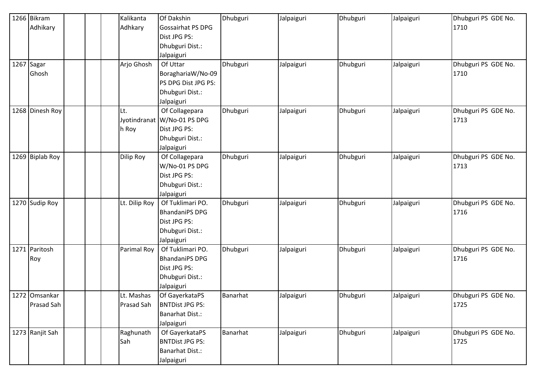| 1266 Bikram     | Kalikanta         | Of Dakshin             | Dhubguri | Jalpaiguri | Dhubguri | Jalpaiguri | Dhubguri PS GDE No. |
|-----------------|-------------------|------------------------|----------|------------|----------|------------|---------------------|
| Adhikary        | Adhkary           | Gossairhat PS DPG      |          |            |          |            | 1710                |
|                 |                   | Dist JPG PS:           |          |            |          |            |                     |
|                 |                   | Dhubguri Dist.:        |          |            |          |            |                     |
|                 |                   | Jalpaiguri             |          |            |          |            |                     |
| 1267 Sagar      | Arjo Ghosh        | Of Uttar               | Dhubguri | Jalpaiguri | Dhubguri | Jalpaiguri | Dhubguri PS GDE No. |
| Ghosh           |                   | BoraghariaW/No-09      |          |            |          |            | 1710                |
|                 |                   | PS DPG Dist JPG PS:    |          |            |          |            |                     |
|                 |                   | Dhubguri Dist.:        |          |            |          |            |                     |
|                 |                   | Jalpaiguri             |          |            |          |            |                     |
| 1268 Dinesh Roy | Lt.               | Of Collagepara         | Dhubguri | Jalpaiguri | Dhubguri | Jalpaiguri | Dhubguri PS GDE No. |
|                 | Jyotindranat      | W/No-01 PS DPG         |          |            |          |            | 1713                |
|                 | h Roy             | Dist JPG PS:           |          |            |          |            |                     |
|                 |                   | Dhubguri Dist.:        |          |            |          |            |                     |
|                 |                   | Jalpaiguri             |          |            |          |            |                     |
| 1269 Biplab Roy | Dilip Roy         | Of Collagepara         | Dhubguri | Jalpaiguri | Dhubguri | Jalpaiguri | Dhubguri PS GDE No. |
|                 |                   | W/No-01 PS DPG         |          |            |          |            | 1713                |
|                 |                   | Dist JPG PS:           |          |            |          |            |                     |
|                 |                   | Dhubguri Dist.:        |          |            |          |            |                     |
|                 |                   | Jalpaiguri             |          |            |          |            |                     |
| 1270 Sudip Roy  | Lt. Dilip Roy     | Of Tuklimari PO.       | Dhubguri | Jalpaiguri | Dhubguri | Jalpaiguri | Dhubguri PS GDE No. |
|                 |                   | <b>BhandaniPS DPG</b>  |          |            |          |            | 1716                |
|                 |                   | Dist JPG PS:           |          |            |          |            |                     |
|                 |                   | Dhubguri Dist.:        |          |            |          |            |                     |
|                 |                   | Jalpaiguri             |          |            |          |            |                     |
| 1271 Paritosh   | Parimal Roy       | Of Tuklimari PO.       | Dhubguri | Jalpaiguri | Dhubguri | Jalpaiguri | Dhubguri PS GDE No. |
| Roy             |                   | <b>BhandaniPS DPG</b>  |          |            |          |            | 1716                |
|                 |                   | Dist JPG PS:           |          |            |          |            |                     |
|                 |                   | Dhubguri Dist.:        |          |            |          |            |                     |
|                 |                   | Jalpaiguri             |          |            |          |            |                     |
| 1272 Omsankar   | Lt. Mashas        | Of GayerkataPS         | Banarhat | Jalpaiguri | Dhubguri | Jalpaiguri | Dhubguri PS GDE No. |
| Prasad Sah      | <b>Prasad Sah</b> | <b>BNTDist JPG PS:</b> |          |            |          |            | 1725                |
|                 |                   | <b>Banarhat Dist.:</b> |          |            |          |            |                     |
|                 |                   | Jalpaiguri             |          |            |          |            |                     |
| 1273 Ranjit Sah | Raghunath         | Of GayerkataPS         | Banarhat | Jalpaiguri | Dhubguri | Jalpaiguri | Dhubguri PS GDE No. |
|                 | Sah               | <b>BNTDist JPG PS:</b> |          |            |          |            | 1725                |
|                 |                   | <b>Banarhat Dist.:</b> |          |            |          |            |                     |
|                 |                   | Jalpaiguri             |          |            |          |            |                     |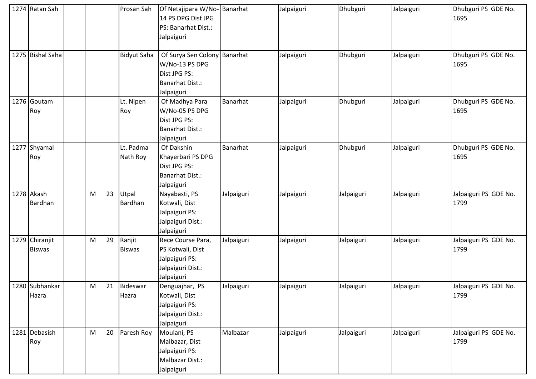|      | 1274 Ratan Sah                  |   |    | Prosan Sah               | Of Netajipara W/No-<br>14 PS DPG Dist JPG<br>PS: Banarhat Dist.:<br>Jalpaiguri                         | Banarhat   | Jalpaiguri | Dhubguri   | Jalpaiguri | Dhubguri PS GDE No.<br>1695   |
|------|---------------------------------|---|----|--------------------------|--------------------------------------------------------------------------------------------------------|------------|------------|------------|------------|-------------------------------|
|      | 1275 Bishal Saha                |   |    | <b>Bidyut Saha</b>       | Of Surya Sen Colony Banarhat<br>W/No-13 PS DPG<br>Dist JPG PS:<br><b>Banarhat Dist.:</b><br>Jalpaiguri |            | Jalpaiguri | Dhubguri   | Jalpaiguri | Dhubguri PS GDE No.<br>1695   |
|      | 1276 Goutam<br>Roy              |   |    | Lt. Nipen<br>Roy         | Of Madhya Para<br>W/No-05 PS DPG<br>Dist JPG PS:<br><b>Banarhat Dist.:</b><br>Jalpaiguri               | Banarhat   | Jalpaiguri | Dhubguri   | Jalpaiguri | Dhubguri PS GDE No.<br>1695   |
| 1277 | Shyamal<br>Roy                  |   |    | Lt. Padma<br>Nath Roy    | Of Dakshin<br>Khayerbari PS DPG<br>Dist JPG PS:<br><b>Banarhat Dist.:</b><br>Jalpaiguri                | Banarhat   | Jalpaiguri | Dhubguri   | Jalpaiguri | Dhubguri PS GDE No.<br>1695   |
|      | 1278 Akash<br>Bardhan           | M | 23 | Utpal<br>Bardhan         | Nayabasti, PS<br>Kotwali, Dist<br>Jalpaiguri PS:<br>Jalpaiguri Dist.:<br>Jalpaiguri                    | Jalpaiguri | Jalpaiguri | Jalpaiguri | Jalpaiguri | Jalpaiguri PS GDE No.<br>1799 |
|      | 1279 Chiranjit<br><b>Biswas</b> | M | 29 | Ranjit<br><b>Biswas</b>  | Rece Course Para,<br>PS Kotwali, Dist<br>Jalpaiguri PS:<br>Jalpaiguri Dist.:<br>Jalpaiguri             | Jalpaiguri | Jalpaiguri | Jalpaiguri | Jalpaiguri | Jalpaiguri PS GDE No.<br>1799 |
|      | 1280 Subhankar<br>Hazra         | M | 21 | <b>Bideswar</b><br>Hazra | Denguajhar, PS<br>Kotwali, Dist<br>Jalpaiguri PS:<br>Jalpaiguri Dist.:<br>Jalpaiguri                   | Jalpaiguri | Jalpaiguri | Jalpaiguri | Jalpaiguri | Jalpaiguri PS GDE No.<br>1799 |
|      | 1281 Debasish<br>Roy            | M | 20 | Paresh Roy               | Moulani, PS<br>Malbazar, Dist<br>Jalpaiguri PS:<br>Malbazar Dist.:<br>Jalpaiguri                       | Malbazar   | Jalpaiguri | Jalpaiguri | Jalpaiguri | Jalpaiguri PS GDE No.<br>1799 |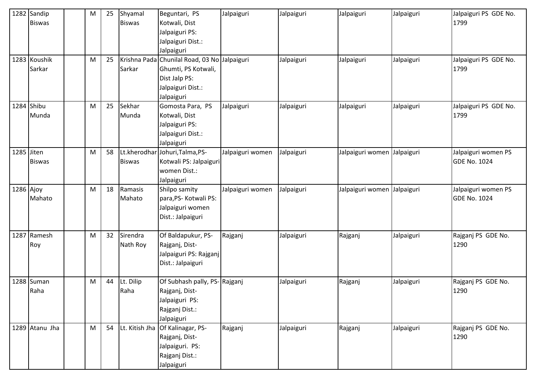|            | 1282 Sandip<br><b>Biswas</b> | M | 25 | Shyamal<br><b>Biswas</b> | Beguntari, PS<br>Kotwali, Dist<br>Jalpaiguri PS:<br>Jalpaiguri Dist.:<br>Jalpaiguri                                     | Jalpaiguri       | Jalpaiguri | Jalpaiguri                  | Jalpaiguri | Jalpaiguri PS GDE No.<br>1799              |
|------------|------------------------------|---|----|--------------------------|-------------------------------------------------------------------------------------------------------------------------|------------------|------------|-----------------------------|------------|--------------------------------------------|
|            | 1283 Koushik<br>Sarkar       | M | 25 | Sarkar                   | Krishna Pada Chunilal Road, 03 No Jalpaiguri<br>Ghumti, PS Kotwali,<br>Dist Jalp PS:<br>Jalpaiguri Dist.:<br>Jalpaiguri |                  | Jalpaiguri | Jalpaiguri                  | Jalpaiguri | Jalpaiguri PS GDE No.<br>1799              |
|            | 1284 Shibu<br>Munda          | M | 25 | Sekhar<br>Munda          | Gomosta Para, PS<br>Kotwali, Dist<br>Jalpaiguri PS:<br>Jalpaiguri Dist.:<br>Jalpaiguri                                  | Jalpaiguri       | Jalpaiguri | Jalpaiguri                  | Jalpaiguri | Jalpaiguri PS GDE No.<br>1799              |
| 1285 Jiten | <b>Biswas</b>                | M | 58 | <b>Biswas</b>            | Lt.kherodhar Johuri, Talma, PS-<br>Kotwali PS: Jalpaiguri<br>women Dist.:<br>Jalpaiguri                                 | Jalpaiguri women | Jalpaiguri | Jalpaiguri women Jalpaiguri |            | Jalpaiguri women PS<br><b>GDE No. 1024</b> |
| 1286 Ajoy  | Mahato                       | M | 18 | Ramasis<br>Mahato        | Shilpo samity<br>para, PS- Kotwali PS:<br>Jalpaiguri women<br>Dist.: Jalpaiguri                                         | Jalpaiguri women | Jalpaiguri | Jalpaiguri women Jalpaiguri |            | Jalpaiguri women PS<br><b>GDE No. 1024</b> |
| 1287       | Ramesh<br>Roy                | M | 32 | Sirendra<br>Nath Roy     | Of Baldapukur, PS-<br>Rajganj, Dist-<br>Jalpaiguri PS: Rajganj<br>Dist.: Jalpaiguri                                     | Rajganj          | Jalpaiguri | Rajganj                     | Jalpaiguri | Rajganj PS GDE No.<br>1290                 |
|            | 1288 Suman<br>Raha           | M | 44 | Lt. Dilip<br>Raha        | Of Subhash pally, PS-Rajganj<br>Rajganj, Dist-<br>Jalpaiguri PS:<br>Rajganj Dist.:<br>Jalpaiguri                        |                  | Jalpaiguri | Rajganj                     | Jalpaiguri | Rajganj PS GDE No.<br>1290                 |
|            | 1289 Atanu Jha               | M | 54 | Lt. Kitish Jha           | Of Kalinagar, PS-<br>Rajganj, Dist-<br>Jalpaiguri. PS:<br>Rajganj Dist.:<br>Jalpaiguri                                  | Rajganj          | Jalpaiguri | Rajganj                     | Jalpaiguri | Rajganj PS GDE No.<br>1290                 |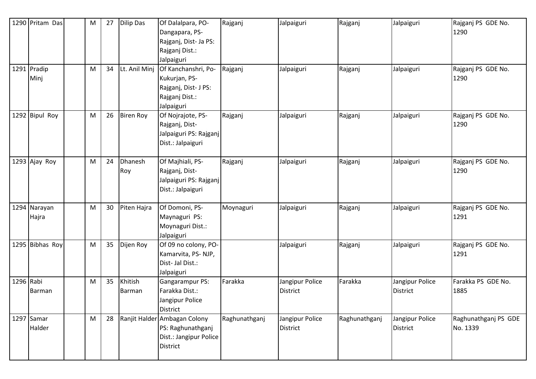|           | 1290 Pritam Das       | M | 27 | <b>Dilip Das</b>  | Of Dalalpara, PO-<br>Dangapara, PS-<br>Rajganj, Dist- Ja PS:<br>Rajganj Dist.:<br>Jalpaiguri | Rajganj       | Jalpaiguri                  | Rajganj       | Jalpaiguri                         | Rajganj PS GDE No.<br>1290       |
|-----------|-----------------------|---|----|-------------------|----------------------------------------------------------------------------------------------|---------------|-----------------------------|---------------|------------------------------------|----------------------------------|
|           | 1291 Pradip<br>Minj   | M | 34 | Lt. Anil Minj     | Of Kanchanshri, Po-<br>Kukurjan, PS-<br>Rajganj, Dist- J PS:<br>Rajganj Dist.:<br>Jalpaiguri | Rajganj       | Jalpaiguri                  | Rajganj       | Jalpaiguri                         | Rajganj PS GDE No.<br>1290       |
|           | 1292 Bipul Roy        | M | 26 | <b>Biren Roy</b>  | Of Nojrajote, PS-<br>Rajganj, Dist-<br>Jalpaiguri PS: Rajganj<br>Dist.: Jalpaiguri           | Rajganj       | Jalpaiguri                  | Rajganj       | Jalpaiguri                         | Rajganj PS GDE No.<br>1290       |
|           | 1293 Ajay Roy         | M | 24 | Dhanesh<br>Roy    | Of Majhiali, PS-<br>Rajganj, Dist-<br>Jalpaiguri PS: Rajganj<br>Dist.: Jalpaiguri            | Rajganj       | Jalpaiguri                  | Rajganj       | Jalpaiguri                         | Rajganj PS GDE No.<br>1290       |
|           | 1294 Narayan<br>Hajra | M | 30 | Piten Hajra       | Of Domoni, PS-<br>Maynaguri PS:<br>Moynaguri Dist.:<br>Jalpaiguri                            | Moynaguri     | Jalpaiguri                  | Rajganj       | Jalpaiguri                         | Rajganj PS GDE No.<br>1291       |
|           | 1295 Bibhas Roy       | M | 35 | Dijen Roy         | Of 09 no colony, PO-<br>Kamarvita, PS-NJP,<br>Dist-Jal Dist.:<br>Jalpaiguri                  |               | Jalpaiguri                  | Rajganj       | Jalpaiguri                         | Rajganj PS GDE No.<br>1291       |
| 1296 Rabi | Barman                | M | 35 | Khitish<br>Barman | Gangarampur PS:<br>Farakka Dist.:<br>Jangipur Police<br>District                             | Farakka       | Jangipur Police<br>District | Farakka       | Jangipur Police<br><b>District</b> | Farakka PS GDE No.<br>1885       |
|           | 1297 Samar<br>Halder  | M | 28 |                   | Ranjit Halder Ambagan Colony<br>PS: Raghunathganj<br>Dist.: Jangipur Police<br>District      | Raghunathganj | Jangipur Police<br>District | Raghunathganj | Jangipur Police<br><b>District</b> | Raghunathganj PS GDE<br>No. 1339 |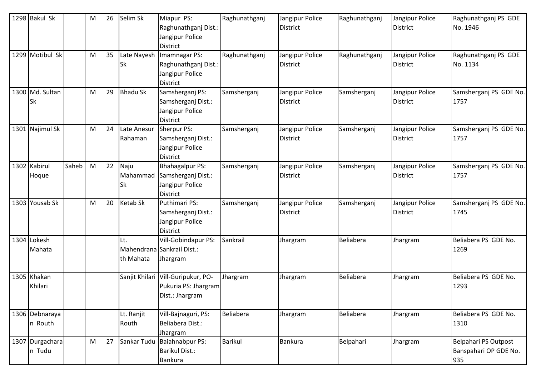|      | 1298 Bakul Sk                |       | M | 26 | Selim Sk                      | Miapur PS:<br>Raghunathganj Dist.:<br>Jangipur Police<br><b>District</b>      | Raghunathganj  | Jangipur Police<br><b>District</b> | Raghunathganj | Jangipur Police<br><b>District</b> | Raghunathganj PS GDE<br>No. 1946                     |
|------|------------------------------|-------|---|----|-------------------------------|-------------------------------------------------------------------------------|----------------|------------------------------------|---------------|------------------------------------|------------------------------------------------------|
|      | 1299 Motibul Sk              |       | M | 35 | Late Nayesh<br><b>Sk</b>      | Imamnagar PS:<br>Raghunathganj Dist.:<br>Jangipur Police<br>District          | Raghunathganj  | Jangipur Police<br><b>District</b> | Raghunathganj | Jangipur Police<br><b>District</b> | Raghunathganj PS GDE<br>No. 1134                     |
|      | 1300 Md. Sultan<br><b>Sk</b> |       | M | 29 | <b>Bhadu Sk</b>               | Samsherganj PS:<br>Samsherganj Dist.:<br>Jangipur Police<br><b>District</b>   | Samsherganj    | Jangipur Police<br><b>District</b> | Samsherganj   | Jangipur Police<br><b>District</b> | Samsherganj PS GDE No.<br>1757                       |
| 1301 | Najimul Sk                   |       | M | 24 | Late Anesur<br>Rahaman        | Sherpur PS:<br>Samsherganj Dist.:<br>Jangipur Police<br><b>District</b>       | Samsherganj    | Jangipur Police<br><b>District</b> | Samsherganj   | Jangipur Police<br><b>District</b> | Samsherganj PS GDE No.<br>1757                       |
|      | 1302 Kabirul<br>Hoque        | Saheb | M | 22 | Naju<br>Mahammad<br><b>Sk</b> | <b>Bhahagalpur PS:</b><br>Samsherganj Dist.:<br>Jangipur Police<br>District   | Samsherganj    | Jangipur Police<br><b>District</b> | Samsherganj   | Jangipur Police<br><b>District</b> | Samsherganj PS GDE No.<br>1757                       |
|      | 1303 Yousab Sk               |       | M | 20 | <b>Ketab Sk</b>               | Puthimari PS:<br>Samsherganj Dist.:<br>Jangipur Police<br>District            | Samsherganj    | Jangipur Police<br><b>District</b> | Samsherganj   | Jangipur Police<br><b>District</b> | Samsherganj PS GDE No.<br>1745                       |
|      | 1304 Lokesh<br>Mahata        |       |   |    | Lt.<br>th Mahata              | Vill-Gobindapur PS:<br>Mahendrana Sankrail Dist.:<br>Jhargram                 | Sankrail       | Jhargram                           | Beliabera     | Jhargram                           | Beliabera PS GDE No.<br>1269                         |
|      | 1305 Khakan<br>Khilari       |       |   |    |                               | Sanjit Khilari Vill-Guripukur, PO-<br>Pukuria PS: Jhargram<br>Dist.: Jhargram | Jhargram       | Jhargram                           | Beliabera     | Jhargram                           | Beliabera PS GDE No.<br>1293                         |
|      | 1306 Debnaraya<br>n Routh    |       |   |    | Lt. Ranjit<br>Routh           | Vill-Bajnaguri, PS:<br>Beliabera Dist.:<br>Jhargram                           | Beliabera      | Jhargram                           | Beliabera     | Jhargram                           | Beliabera PS GDE No.<br>1310                         |
|      | 1307 Durgachara<br>n Tudu    |       | M | 27 | Sankar Tudu                   | Baiahnabpur PS:<br><b>Barikul Dist.:</b><br><b>Bankura</b>                    | <b>Barikul</b> | <b>Bankura</b>                     | Belpahari     | Jhargram                           | Belpahari PS Outpost<br>Banspahari OP GDE No.<br>935 |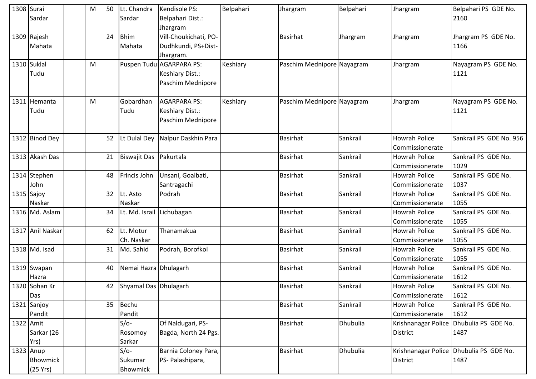| 1308 Surai |                  | М | 50 | Lt. Chandra            | Kendisole PS:                    | Belpahari | Jhargram                   | Belpahari | Jhargram             | Belpahari PS GDE No.                    |
|------------|------------------|---|----|------------------------|----------------------------------|-----------|----------------------------|-----------|----------------------|-----------------------------------------|
|            | Sardar           |   |    | Sardar                 | Belpahari Dist.:                 |           |                            |           |                      | 2160                                    |
|            |                  |   |    |                        | Jhargram                         |           |                            |           |                      |                                         |
|            | 1309 Rajesh      |   | 24 | <b>Bhim</b>            | Vill-Choukichati, PO-            |           | <b>Basirhat</b>            | Jhargram  | Jhargram             | Jhargram PS GDE No.                     |
|            | Mahata           |   |    | Mahata                 | Dudhkundi, PS+Dist-              |           |                            |           |                      | 1166                                    |
|            |                  |   |    |                        | Jhargram.                        |           |                            |           |                      |                                         |
|            | 1310 Suklal      | M |    |                        | Puspen Tudu AGARPARA PS:         | Keshiary  | Paschim Mednipore Nayagram |           | Jhargram             | Nayagram PS GDE No.                     |
|            | Tudu             |   |    |                        | Keshiary Dist.:                  |           |                            |           |                      | 1121                                    |
|            |                  |   |    |                        | Paschim Mednipore                |           |                            |           |                      |                                         |
|            | 1311 Hemanta     | M |    | Gobardhan              | <b>AGARPARA PS:</b>              | Keshiary  | Paschim Mednipore Nayagram |           | Jhargram             | Nayagram PS GDE No.                     |
|            | Tudu             |   |    | Tudu                   | Keshiary Dist.:                  |           |                            |           |                      | 1121                                    |
|            |                  |   |    |                        | Paschim Mednipore                |           |                            |           |                      |                                         |
|            | 1312 Binod Dey   |   | 52 |                        | Lt Dulal Dey Nalpur Daskhin Para |           | <b>Basirhat</b>            | Sankrail  | <b>Howrah Police</b> | Sankrail PS GDE No. 956                 |
|            |                  |   |    |                        |                                  |           |                            |           | Commissionerate      |                                         |
|            | 1313 Akash Das   |   | 21 | Biswajit Das Pakurtala |                                  |           | <b>Basirhat</b>            | Sankrail  | <b>Howrah Police</b> | Sankrail PS GDE No.                     |
|            |                  |   |    |                        |                                  |           |                            |           | Commissionerate      | 1029                                    |
|            | 1314 Stephen     |   | 48 | Frincis John           | Unsani, Goalbati,                |           | <b>Basirhat</b>            | Sankrail  | <b>Howrah Police</b> | Sankrail PS GDE No.                     |
|            | John             |   |    |                        | Santragachi                      |           |                            |           | Commissionerate      | 1037                                    |
|            | 1315 Sajoy       |   | 32 | Lt. Asto               | Podrah                           |           | <b>Basirhat</b>            | Sankrail  | <b>Howrah Police</b> | Sankrail PS GDE No.                     |
|            | Naskar           |   |    | Naskar                 |                                  |           |                            |           | Commissionerate      | 1055                                    |
|            | 1316 Md. Aslam   |   | 34 | Lt. Md. Israil         | Lichubagan                       |           | <b>Basirhat</b>            | Sankrail  | <b>Howrah Police</b> | Sankrail PS GDE No.                     |
|            |                  |   |    |                        |                                  |           |                            |           | Commissionerate      | 1055                                    |
|            | 1317 Anil Naskar |   | 62 | Lt. Motur              | Thanamakua                       |           | <b>Basirhat</b>            | Sankrail  | <b>Howrah Police</b> | Sankrail PS GDE No.                     |
|            |                  |   |    | Ch. Naskar             |                                  |           |                            |           | Commissionerate      | 1055                                    |
|            | 1318 Md. Isad    |   | 31 | Md. Sahid              | Podrah, Borofkol                 |           | <b>Basirhat</b>            | Sankrail  | <b>Howrah Police</b> | Sankrail PS GDE No.                     |
|            |                  |   |    |                        |                                  |           |                            |           | Commissionerate      | 1055                                    |
|            | 1319 Swapan      |   | 40 | Nemai Hazra Dhulagarh  |                                  |           | <b>Basirhat</b>            | Sankrail  | <b>Howrah Police</b> | Sankrail PS GDE No.                     |
|            | Hazra            |   |    |                        |                                  |           |                            |           | Commissionerate      | 1612                                    |
|            | 1320 Sohan Kr    |   | 42 | Shyamal Das Dhulagarh  |                                  |           | Basirhat                   | Sankrail  | <b>Howrah Police</b> | Sankrail PS GDE No.                     |
|            | Das              |   |    |                        |                                  |           |                            |           | Commissionerate      | 1612                                    |
|            | 1321 Sanjoy      |   | 35 | Bechu                  |                                  |           | <b>Basirhat</b>            | Sankrail  | <b>Howrah Police</b> | Sankrail PS GDE No.                     |
|            | Pandit           |   |    | Pandit                 |                                  |           |                            |           | Commissionerate      | 1612                                    |
| 1322 Amit  |                  |   |    | $S/O-$                 | Of Naldugari, PS-                |           | <b>Basirhat</b>            | Dhubulia  | Krishnanagar Police  | Dhubulia PS GDE No.                     |
|            | Sarkar (26       |   |    | Rosomoy                | Bagda, North 24 Pgs.             |           |                            |           | <b>District</b>      | 1487                                    |
|            | Yrs)             |   |    | Sarkar                 |                                  |           |                            |           |                      |                                         |
|            | 1323 Anup        |   |    | $S/O-$                 | Barnia Coloney Para,             |           | <b>Basirhat</b>            | Dhubulia  |                      | Krishnanagar Police Dhubulia PS GDE No. |
|            | Bhowmick         |   |    | Sukumar                | PS- Palashipara,                 |           |                            |           | District             | 1487                                    |
|            | (25 Yrs)         |   |    | Bhowmick               |                                  |           |                            |           |                      |                                         |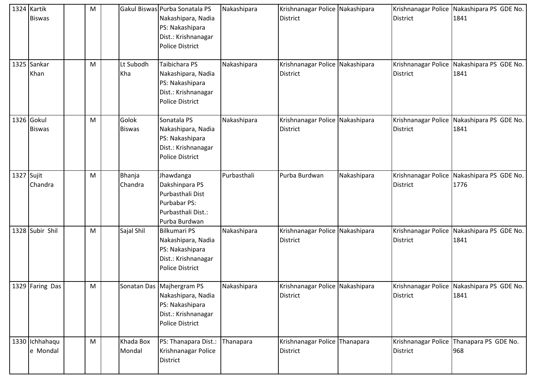|            | 1324 Kartik<br><b>Biswas</b> | M |                        | Gakul Biswas Purba Sonatala PS<br>Nakashipara, Nadia<br>PS: Nakashipara<br>Dist.: Krishnanagar<br><b>Police District</b> | Nakashipara | Krishnanagar Police Nakashipara<br><b>District</b> |             | <b>District</b> | Krishnanagar Police Nakashipara PS GDE No.<br>1841 |
|------------|------------------------------|---|------------------------|--------------------------------------------------------------------------------------------------------------------------|-------------|----------------------------------------------------|-------------|-----------------|----------------------------------------------------|
|            | 1325 Sankar<br>Khan          | M | Lt Subodh<br>Kha       | Taibichara PS<br>Nakashipara, Nadia<br>PS: Nakashipara<br>Dist.: Krishnanagar<br><b>Police District</b>                  | Nakashipara | Krishnanagar Police Nakashipara<br><b>District</b> |             | <b>District</b> | Krishnanagar Police Nakashipara PS GDE No.<br>1841 |
|            | 1326 Gokul<br><b>Biswas</b>  | M | Golok<br><b>Biswas</b> | Sonatala PS<br>Nakashipara, Nadia<br>PS: Nakashipara<br>Dist.: Krishnanagar<br><b>Police District</b>                    | Nakashipara | Krishnanagar Police<br><b>District</b>             | Nakashipara | <b>District</b> | Krishnanagar Police Nakashipara PS GDE No.<br>1841 |
| 1327 Sujit | Chandra                      | M | Bhanja<br>Chandra      | Jhawdanga<br>Dakshinpara PS<br>Purbasthali Dist<br>Purbabar PS:<br>Purbasthali Dist.:<br>Purba Burdwan                   | Purbasthali | Purba Burdwan                                      | Nakashipara | <b>District</b> | Krishnanagar Police Nakashipara PS GDE No.<br>1776 |
|            | 1328 Subir Shil              | M | Sajal Shil             | <b>Bilkumari PS</b><br>Nakashipara, Nadia<br>PS: Nakashipara<br>Dist.: Krishnanagar<br><b>Police District</b>            | Nakashipara | Krishnanagar Police Nakashipara<br><b>District</b> |             | <b>District</b> | Krishnanagar Police Nakashipara PS GDE No.<br>1841 |
|            | 1329 Faring Das              | M |                        | Sonatan Das Majhergram PS<br>Nakashipara, Nadia<br>PS: Nakashipara<br>Dist.: Krishnanagar<br><b>Police District</b>      | Nakashipara | Krishnanagar Police Nakashipara<br><b>District</b> |             | <b>District</b> | Krishnanagar Police Nakashipara PS GDE No.<br>1841 |
|            | 1330 Ichhahaqu<br>e Mondal   | M | Khada Box<br>Mondal    | PS: Thanapara Dist.:<br>Krishnanagar Police<br>District                                                                  | Thanapara   | Krishnanagar Police Thanapara<br><b>District</b>   |             | <b>District</b> | Krishnanagar Police Thanapara PS GDE No.<br>968    |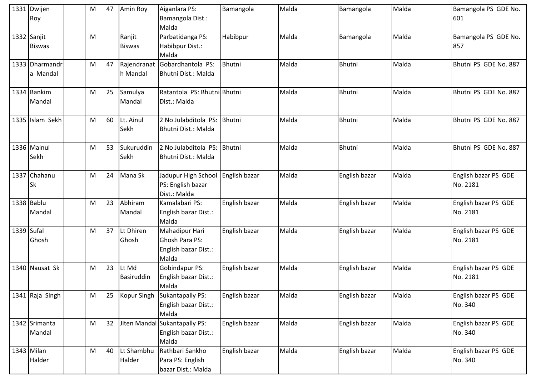|            | 1331 Dwijen<br>Roy           | M | 47 | Amin Roy                | Aiganlara PS:<br>Bamangola Dist.:<br>Malda                               | Bamangola     | Malda | Bamangola     | Malda | Bamangola PS GDE No.<br>601      |
|------------|------------------------------|---|----|-------------------------|--------------------------------------------------------------------------|---------------|-------|---------------|-------|----------------------------------|
|            | 1332 Sanjit<br><b>Biswas</b> | M |    | Ranjit<br><b>Biswas</b> | Parbatidanga PS:<br>Habibpur Dist.:<br>Malda                             | Habibpur      | Malda | Bamangola     | Malda | Bamangola PS GDE No.<br>857      |
|            | 1333 Dharmandr<br>a Mandal   | M | 47 | h Mandal                | Rajendranat Gobardhantola PS:<br>Bhutni Dist.: Malda                     | <b>Bhutni</b> | Malda | <b>Bhutni</b> | Malda | Bhutni PS GDE No. 887            |
|            | 1334 Bankim<br>Mandal        | M | 25 | Samulya<br>Mandal       | Ratantola PS: Bhutni Bhutni<br>Dist.: Malda                              |               | Malda | Bhutni        | Malda | Bhutni PS GDE No. 887            |
|            | 1335 Islam Sekh              | M | 60 | Lt. Ainul<br>Sekh       | 2 No Julabditola PS: Bhutni<br><b>Bhutni Dist.: Malda</b>                |               | Malda | <b>Bhutni</b> | Malda | Bhutni PS GDE No. 887            |
|            | 1336 Mainul<br>Sekh          | M | 53 | Sukuruddin<br>Sekh      | 2 No Julabditola PS: Bhutni<br><b>Bhutni Dist.: Malda</b>                |               | Malda | <b>Bhutni</b> | Malda | Bhutni PS GDE No. 887            |
|            | 1337 Chahanu<br><b>Sk</b>    | M | 24 | Mana Sk                 | Jadupur High School<br>PS: English bazar<br>Dist.: Malda                 | English bazar | Malda | English bazar | Malda | English bazar PS GDE<br>No. 2181 |
|            | 1338 Bablu<br>Mandal         | M | 23 | Abhiram<br>Mandal       | Kamalabari PS:<br>English bazar Dist.:<br>Malda                          | English bazar | Malda | English bazar | Malda | English bazar PS GDE<br>No. 2181 |
| 1339 Sufal | Ghosh                        | M | 37 | Lt Dhiren<br>Ghosh      | Mahadipur Hari<br><b>Ghosh Para PS:</b><br>English bazar Dist.:<br>Malda | English bazar | Malda | English bazar | Malda | English bazar PS GDE<br>No. 2181 |
|            | 1340 Nausat Sk               | M | 23 | Lt Md<br>Basiruddin     | Gobindapur PS:<br>English bazar Dist.:<br>Malda                          | English bazar | Malda | English bazar | Malda | English bazar PS GDE<br>No. 2181 |
|            | 1341 Raja Singh              | M | 25 | Kopur Singh             | Sukantapally PS:<br>English bazar Dist.:<br>Malda                        | English bazar | Malda | English bazar | Malda | English bazar PS GDE<br>No. 340  |
|            | 1342 Srimanta<br>Mandal      | M | 32 |                         | Jiten Mandal Sukantapally PS:<br>English bazar Dist.:<br>Malda           | English bazar | Malda | English bazar | Malda | English bazar PS GDE<br>No. 340  |
|            | 1343 Milan<br>Halder         | M | 40 | Lt Shambhu<br>Halder    | Rathbari Sankho<br>Para PS: English<br>bazar Dist.: Malda                | English bazar | Malda | English bazar | Malda | English bazar PS GDE<br>No. 340  |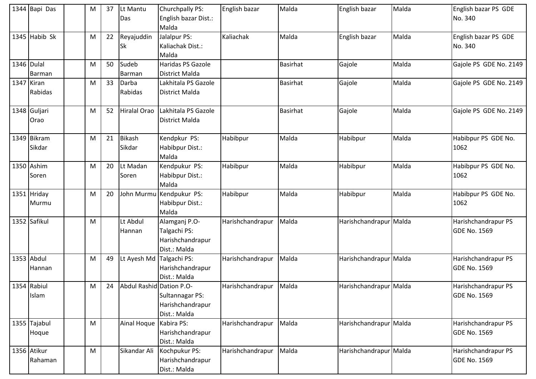|            | 1344 Bapi Das          | M | 37 | Lt Mantu<br>Das          | Churchpally PS:<br>English bazar Dist.:                           | English bazar    | Malda           | English bazar          | Malda | English bazar PS GDE<br>No. 340            |
|------------|------------------------|---|----|--------------------------|-------------------------------------------------------------------|------------------|-----------------|------------------------|-------|--------------------------------------------|
|            |                        |   |    |                          | Malda                                                             |                  |                 |                        |       |                                            |
|            | 1345 Habib Sk          | M | 22 | Reyajuddin<br><b>Sk</b>  | Jalalpur PS:<br>Kaliachak Dist.:<br>Malda                         | Kaliachak        | Malda           | English bazar          | Malda | English bazar PS GDE<br>No. 340            |
|            | 1346 Dulal<br>Barman   | M | 50 | Sudeb<br>Barman          | Haridas PS Gazole<br>District Malda                               |                  | <b>Basirhat</b> | Gajole                 | Malda | Gajole PS GDE No. 2149                     |
| 1347 Kiran | Rabidas                | M | 33 | Darba<br>Rabidas         | Lakhitala PS Gazole<br>District Malda                             |                  | Basirhat        | Gajole                 | Malda | Gajole PS GDE No. 2149                     |
|            | 1348 Guljari<br>Orao   | M | 52 | Hiralal Orao             | Lakhitala PS Gazole<br>District Malda                             |                  | <b>Basirhat</b> | Gajole                 | Malda | Gajole PS GDE No. 2149                     |
|            | 1349 Bikram<br>Sikdar  | M | 21 | <b>Bikash</b><br>Sikdar  | Kendpkur PS:<br>Habibpur Dist.:<br>Malda                          | Habibpur         | Malda           | Habibpur               | Malda | Habibpur PS GDE No.<br>1062                |
|            | 1350 Ashim<br>Soren    | M | 20 | Lt Madan<br>Soren        | Kendpukur PS:<br>Habibpur Dist.:<br>Malda                         | Habibpur         | Malda           | Habibpur               | Malda | Habibpur PS GDE No.<br>1062                |
|            | 1351 Hriday<br>Murmu   | M | 20 | John Murmu               | Kendpukur PS:<br>Habibpur Dist.:<br>Malda                         | Habibpur         | Malda           | Habibpur               | Malda | Habibpur PS GDE No.<br>1062                |
|            | 1352 Safikul           | M |    | Lt Abdul<br>Hannan       | Alamganj P.O-<br>Talgachi PS:<br>Harishchandrapur<br>Dist.: Malda | Harishchandrapur | Malda           | Harishchandrapur Malda |       | Harishchandrapur PS<br><b>GDE No. 1569</b> |
|            | 1353 Abdul<br>Hannan   | M | 49 | Lt Ayesh Md              | Talgachi PS:<br>Harishchandrapur<br>Dist.: Malda                  | Harishchandrapur | Malda           | Harishchandrapur Malda |       | Harishchandrapur PS<br><b>GDE No. 1569</b> |
|            | 1354 Rabiul<br>Islam   | M | 24 | Abdul Rashid Dation P.O- | Sultannagar PS:<br>Harishchandrapur<br>Dist.: Malda               | Harishchandrapur | Malda           | Harishchandrapur Malda |       | Harishchandrapur PS<br><b>GDE No. 1569</b> |
|            | 1355 Tajabul<br>Hoque  | M |    | Ainal Hoque              | Kabira PS:<br>Harishchandrapur<br>Dist.: Malda                    | Harishchandrapur | Malda           | Harishchandrapur Malda |       | Harishchandrapur PS<br><b>GDE No. 1569</b> |
|            | 1356 Atikur<br>Rahaman | M |    | Sikandar Ali             | Kochpukur PS:<br>Harishchandrapur<br>Dist.: Malda                 | Harishchandrapur | Malda           | Harishchandrapur Malda |       | Harishchandrapur PS<br><b>GDE No. 1569</b> |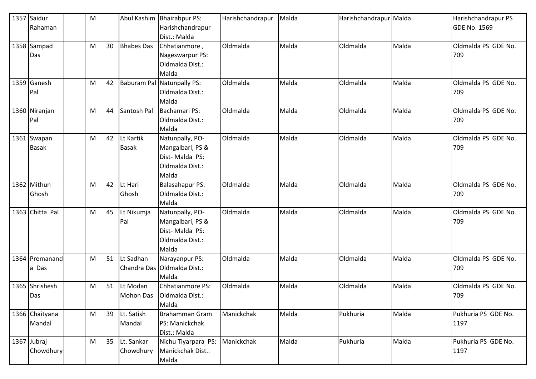|      | 1357 Saidur<br>Rahaman      | M |    | Abul Kashim               | <b>Bhairabpur PS:</b><br>Harishchandrapur<br>Dist.: Malda                         | Harishchandrapur | Malda | Harishchandrapur Malda |       | Harishchandrapur PS<br><b>GDE No. 1569</b> |
|------|-----------------------------|---|----|---------------------------|-----------------------------------------------------------------------------------|------------------|-------|------------------------|-------|--------------------------------------------|
|      | 1358 Sampad<br>Das          | M | 30 | <b>Bhabes Das</b>         | Chhatianmore,<br>Nageswarpur PS:<br>Oldmalda Dist.:<br>Malda                      | Oldmalda         | Malda | Oldmalda               | Malda | Oldmalda PS GDE No.<br>709                 |
|      | 1359 Ganesh<br>Pal          | M | 42 | <b>Baburam Pal</b>        | Natunpally PS:<br>Oldmalda Dist.:<br>Malda                                        | Oldmalda         | Malda | Oldmalda               | Malda | Oldmalda PS GDE No.<br>709                 |
|      | 1360 Niranjan<br>Pal        | M | 44 | Santosh Pal               | <b>Bachamari PS:</b><br>Oldmalda Dist.:<br>Malda                                  | Oldmalda         | Malda | Oldmalda               | Malda | Oldmalda PS GDE No.<br>709                 |
|      | 1361 Swapan<br><b>Basak</b> | M | 42 | Lt Kartik<br><b>Basak</b> | Natunpally, PO-<br>Mangalbari, PS &<br>Dist-Malda PS:<br>Oldmalda Dist.:<br>Malda | Oldmalda         | Malda | Oldmalda               | Malda | Oldmalda PS GDE No.<br>709                 |
|      | 1362 Mithun<br>Ghosh        | M | 42 | Lt Hari<br>Ghosh          | <b>Balasahapur PS:</b><br>Oldmalda Dist.:<br>Malda                                | Oldmalda         | Malda | Oldmalda               | Malda | Oldmalda PS GDE No.<br>709                 |
| 1363 | Chitta Pal                  | M | 45 | Lt Nikumja<br>Pal         | Natunpally, PO-<br>Mangalbari, PS &<br>Dist-Malda PS:<br>Oldmalda Dist.:<br>Malda | Oldmalda         | Malda | Oldmalda               | Malda | Oldmalda PS GDE No.<br>709                 |
| 1364 | Premanand<br>a Das          | M | 51 | Lt Sadhan                 | Narayanpur PS:<br>Chandra Das Oldmalda Dist.:<br>Malda                            | Oldmalda         | Malda | Oldmalda               | Malda | Oldmalda PS GDE No.<br>709                 |
|      | 1365 Shrishesh<br>Das       | M | 51 | Lt Modan                  | Chhatianmore PS:<br>Mohon Das   Oldmalda Dist.:<br>Malda                          | Oldmalda         | Malda | Oldmalda               | Malda | Oldmalda PS GDE No.<br>709                 |
|      | 1366 Chaityana<br>Mandal    | M | 39 | Lt. Satish<br>Mandal      | Brahamman Gram<br>PS: Manickchak<br>Dist.: Malda                                  | Manickchak       | Malda | Pukhuria               | Malda | Pukhuria PS GDE No.<br>1197                |
|      | 1367 Jubraj<br>Chowdhury    | M | 35 | Lt. Sankar<br>Chowdhury   | Nichu Tiyarpara PS:<br>Manickchak Dist.:<br>Malda                                 | Manickchak       | Malda | Pukhuria               | Malda | Pukhuria PS GDE No.<br>1197                |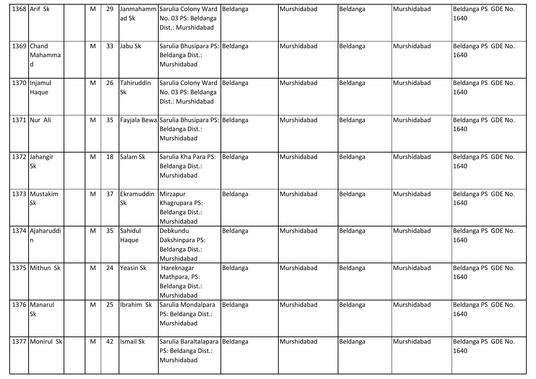| 1368 Arif Sk               | M | 29 | ad Sk                   | Janmahamm Sarulia Colony Ward Beldanga<br>No. 03 PS: Beldanga<br>Dist.: Murshidabad |          | Murshidabad | Beldanga | Murshidabad | Beldanga PS GDE No.<br>1640 |
|----------------------------|---|----|-------------------------|-------------------------------------------------------------------------------------|----------|-------------|----------|-------------|-----------------------------|
| 1369 Chand<br>Mahamma      | M | 33 | Jabu Sk                 | Sarulia Bhusipara PS: Beldanga<br>Beldanga Dist.:<br>Murshidabad                    |          | Murshidabad | Beldanga | Murshidabad | Beldanga PS GDE No.<br>1640 |
| 1370 Injamul<br>Haque      | M | 26 | Tahiruddin<br><b>Sk</b> | Sarulia Colony Ward<br>No. 03 PS: Beldanga<br>Dist.: Murshidabad                    | Beldanga | Murshidabad | Beldanga | Murshidabad | Beldanga PS GDE No.<br>1640 |
| 1371 Nur Ali               | M | 35 |                         | Fayjala Bewa Sarulia Bhusipara PS: Beldanga<br>Beldanga Dist.:<br>Murshidabad       |          | Murshidabad | Beldanga | Murshidabad | Beldanga PS GDE No.<br>1640 |
| 1372 Jahangir<br><b>Sk</b> | M | 18 | Salam Sk                | Sarulia Kha Para PS:<br>Beldanga Dist.:<br>Murshidabad                              | Beldanga | Murshidabad | Beldanga | Murshidabad | Beldanga PS GDE No.<br>1640 |
| 1373 Mustakim<br><b>Sk</b> | M | 37 | Ekramuddin<br><b>Sk</b> | Mirzapur<br>Khagrupara PS:<br>Beldanga Dist.:<br>Murshidabad                        | Beldanga | Murshidabad | Beldanga | Murshidabad | Beldanga PS GDE No.<br>1640 |
| 1374 Ajaharuddi            | M | 35 | Sahidul<br>Haque        | Debkundu<br>Dakshinpara PS:<br>Beldanga Dist.:<br>Murshidabad                       | Beldanga | Murshidabad | Beldanga | Murshidabad | Beldanga PS GDE No.<br>1640 |
| 1375 Mithun Sk             | M | 24 | Yeasin Sk               | Hareknagar<br>Mathpara, PS:<br>Beldanga Dist.:<br>Murshidabad                       | Beldanga | Murshidabad | Beldanga | Murshidabad | Beldanga PS GDE No.<br>1640 |
| 1376 Manarul<br><b>Sk</b>  | M | 25 | Ibrahim Sk              | Sarulia Mondalpara<br>PS: Beldanga Dist.:<br>Murshidabad                            | Beldanga | Murshidabad | Beldanga | Murshidabad | Beldanga PS GDE No.<br>1640 |
| 1377 Monirul Sk            | M | 42 | <b>Ismail Sk</b>        | Sarulia Baraltalapara Beldanga<br>PS: Beldanga Dist.:<br>Murshidabad                |          | Murshidabad | Beldanga | Murshidabad | Beldanga PS GDE No.<br>1640 |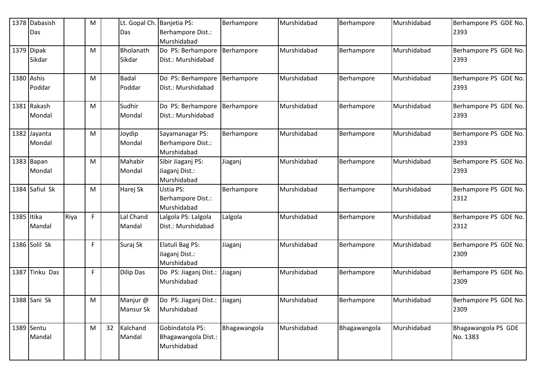|            | 1378 Dabasish<br>Das   |      | M |    | Lt. Gopal Ch.<br>Das   | Banjetia PS:<br>Berhampore Dist.:<br>Murshidabad      | Berhampore   | Murshidabad | Berhampore   | Murshidabad | Berhampore PS GDE No.<br>2393   |
|------------|------------------------|------|---|----|------------------------|-------------------------------------------------------|--------------|-------------|--------------|-------------|---------------------------------|
|            | 1379 Dipak<br>Sikdar   |      | M |    | Bholanath<br>Sikdar    | Do PS: Berhampore<br>Dist.: Murshidabad               | Berhampore   | Murshidabad | Berhampore   | Murshidabad | Berhampore PS GDE No.<br>2393   |
|            | 1380 Ashis<br>Poddar   |      | M |    | <b>Badal</b><br>Poddar | Do PS: Berhampore<br>Dist.: Murshidabad               | Berhampore   | Murshidabad | Berhampore   | Murshidabad | Berhampore PS GDE No.<br>2393   |
|            | 1381 Rakash<br>Mondal  |      | M |    | Sudhir<br>Mondal       | Do PS: Berhampore<br>Dist.: Murshidabad               | Berhampore   | Murshidabad | Berhampore   | Murshidabad | Berhampore PS GDE No.<br>2393   |
|            | 1382 Jayanta<br>Mondal |      | M |    | Joydip<br>Mondal       | Sayamanagar PS:<br>Berhampore Dist.:<br>Murshidabad   | Berhampore   | Murshidabad | Berhampore   | Murshidabad | Berhampore PS GDE No.<br>2393   |
|            | 1383 Bapan<br>Mondal   |      | M |    | Mahabir<br>Mondal      | Sibir Jiaganj PS:<br>Jiaganj Dist.:<br>Murshidabad    | Jiaganj      | Murshidabad | Berhampore   | Murshidabad | Berhampore PS GDE No.<br>2393   |
|            | 1384 Safiul Sk         |      | M |    | Harej Sk               | Ustia PS:<br>Berhampore Dist.:<br>Murshidabad         | Berhampore   | Murshidabad | Berhampore   | Murshidabad | Berhampore PS GDE No.<br>2312   |
| 1385 Itika | Mandal                 | Riya | F |    | Lal Chand<br>Mandal    | Lalgola PS: Lalgola<br>Dist.: Murshidabad             | Lalgola      | Murshidabad | Berhampore   | Murshidabad | Berhampore PS GDE No.<br>2312   |
|            | 1386 Solil Sk          |      | F |    | Suraj Sk               | Elatuli Bag PS:<br>Jiaganj Dist.:<br>Murshidabad      | Jiaganj      | Murshidabad | Berhampore   | Murshidabad | Berhampore PS GDE No.<br>2309   |
| 1387       | Tinku Das              |      | F |    | <b>Dilip Das</b>       | Do PS: Jiaganj Dist.:<br>Murshidabad                  | Jiaganj      | Murshidabad | Berhampore   | Murshidabad | Berhampore PS GDE No.<br>2309   |
|            | 1388 Sani Sk           |      | M |    | Manjur @<br>Mansur Sk  | Do PS: Jiaganj Dist.: Jiaganj<br>Murshidabad          |              | Murshidabad | Berhampore   | Murshidabad | Berhampore PS GDE No.<br>2309   |
|            | 1389 Sentu<br>Mandal   |      | M | 32 | Kalchand<br>Mandal     | Gobindatola PS:<br>Bhagawangola Dist.:<br>Murshidabad | Bhagawangola | Murshidabad | Bhagawangola | Murshidabad | Bhagawangola PS GDE<br>No. 1383 |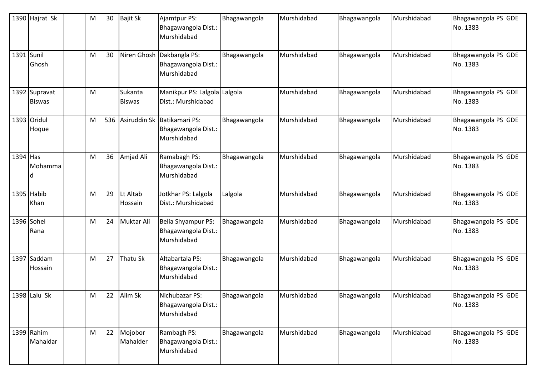|          | 1390 Hajrat Sk                 | M | 30  | <b>Bajit Sk</b>          | Ajamtpur PS:<br>Bhagawangola Dist.:<br>Murshidabad                | Bhagawangola | Murshidabad | Bhagawangola | Murshidabad | Bhagawangola PS GDE<br>No. 1383 |
|----------|--------------------------------|---|-----|--------------------------|-------------------------------------------------------------------|--------------|-------------|--------------|-------------|---------------------------------|
| 1391     | Sunil<br>Ghosh                 | M | 30  |                          | Niren Ghosh Dakbangla PS:<br>Bhagawangola Dist.:<br>Murshidabad   | Bhagawangola | Murshidabad | Bhagawangola | Murshidabad | Bhagawangola PS GDE<br>No. 1383 |
|          | 1392 Supravat<br><b>Biswas</b> | M |     | Sukanta<br><b>Biswas</b> | Manikpur PS: Lalgola Lalgola<br>Dist.: Murshidabad                |              | Murshidabad | Bhagawangola | Murshidabad | Bhagawangola PS GDE<br>No. 1383 |
|          | 1393 Oridul<br>Hoque           | M | 536 |                          | Asiruddin Sk Batikamari PS:<br>Bhagawangola Dist.:<br>Murshidabad | Bhagawangola | Murshidabad | Bhagawangola | Murshidabad | Bhagawangola PS GDE<br>No. 1383 |
| 1394 Has | Mohamma                        | M | 36  | Amjad Ali                | Ramabagh PS:<br>Bhagawangola Dist.:<br>Murshidabad                | Bhagawangola | Murshidabad | Bhagawangola | Murshidabad | Bhagawangola PS GDE<br>No. 1383 |
|          | 1395 Habib<br>Khan             | M | 29  | Lt Altab<br>Hossain      | Jotkhar PS: Lalgola<br>Dist.: Murshidabad                         | Lalgola      | Murshidabad | Bhagawangola | Murshidabad | Bhagawangola PS GDE<br>No. 1383 |
| 1396     | Sohel<br>Rana                  | M | 24  | Muktar Ali               | Belia Shyampur PS:<br>Bhagawangola Dist.:<br>Murshidabad          | Bhagawangola | Murshidabad | Bhagawangola | Murshidabad | Bhagawangola PS GDE<br>No. 1383 |
| 1397     | Saddam<br>Hossain              | M | 27  | Thatu Sk                 | Altabartala PS:<br>Bhagawangola Dist.:<br>Murshidabad             | Bhagawangola | Murshidabad | Bhagawangola | Murshidabad | Bhagawangola PS GDE<br>No. 1383 |
|          | 1398 Lalu Sk                   | M | 22  | Alim Sk                  | Nichubazar PS:<br>Bhagawangola Dist.:<br>Murshidabad              | Bhagawangola | Murshidabad | Bhagawangola | Murshidabad | Bhagawangola PS GDE<br>No. 1383 |
|          | 1399 Rahim<br>Mahaldar         | M | 22  | Mojobor<br>Mahalder      | Rambagh PS:<br>Bhagawangola Dist.:<br>Murshidabad                 | Bhagawangola | Murshidabad | Bhagawangola | Murshidabad | Bhagawangola PS GDE<br>No. 1383 |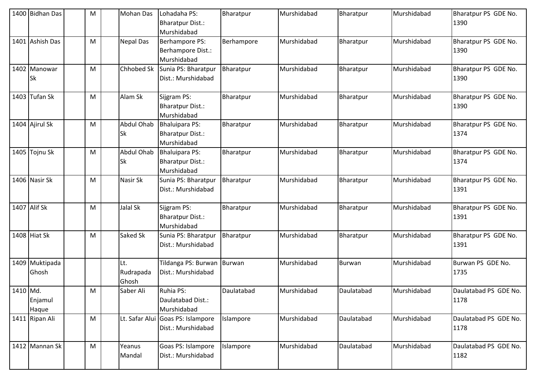|          | 1400 Bidhan Das           | M | <b>Mohan Das</b>               | Lohadaha PS:<br><b>Bharatpur Dist.:</b><br>Murshidabad          | Bharatpur  | Murshidabad | Bharatpur     | Murshidabad | Bharatpur PS GDE No.<br>1390  |
|----------|---------------------------|---|--------------------------------|-----------------------------------------------------------------|------------|-------------|---------------|-------------|-------------------------------|
| 1401     | <b>Ashish Das</b>         | M | <b>Nepal Das</b>               | Berhampore PS:<br>Berhampore Dist.:<br>Murshidabad              | Berhampore | Murshidabad | Bharatpur     | Murshidabad | Bharatpur PS GDE No.<br>1390  |
|          | 1402 Manowar<br><b>Sk</b> | M | Chhobed Sk                     | Sunia PS: Bharatpur<br>Dist.: Murshidabad                       | Bharatpur  | Murshidabad | Bharatpur     | Murshidabad | Bharatpur PS GDE No.<br>1390  |
|          | 1403 Tufan Sk             | M | Alam Sk                        | Sijgram PS:<br><b>Bharatpur Dist.:</b><br>Murshidabad           | Bharatpur  | Murshidabad | Bharatpur     | Murshidabad | Bharatpur PS GDE No.<br>1390  |
|          | 1404 Ajirul Sk            | M | Abdul Ohab<br><b>Sk</b>        | <b>Bhaluipara PS:</b><br><b>Bharatpur Dist.:</b><br>Murshidabad | Bharatpur  | Murshidabad | Bharatpur     | Murshidabad | Bharatpur PS GDE No.<br>1374  |
|          | 1405 Tojnu Sk             | M | <b>Abdul Ohab</b><br><b>Sk</b> | <b>Bhaluipara PS:</b><br><b>Bharatpur Dist.:</b><br>Murshidabad | Bharatpur  | Murshidabad | Bharatpur     | Murshidabad | Bharatpur PS GDE No.<br>1374  |
|          | 1406 Nasir Sk             | M | Nasir Sk                       | Sunia PS: Bharatpur<br>Dist.: Murshidabad                       | Bharatpur  | Murshidabad | Bharatpur     | Murshidabad | Bharatpur PS GDE No.<br>1391  |
|          | 1407 Alif Sk              | M | Jalal Sk                       | Sijgram PS:<br><b>Bharatpur Dist.:</b><br>Murshidabad           | Bharatpur  | Murshidabad | Bharatpur     | Murshidabad | Bharatpur PS GDE No.<br>1391  |
|          | 1408 Hiat Sk              | M | Saked Sk                       | Sunia PS: Bharatpur<br>Dist.: Murshidabad                       | Bharatpur  | Murshidabad | Bharatpur     | Murshidabad | Bharatpur PS GDE No.<br>1391  |
|          | 1409 Muktipada<br>Ghosh   |   | Lt.<br>Rudrapada<br>Ghosh      | Tildanga PS: Burwan Burwan<br>Dist.: Murshidabad                |            | Murshidabad | <b>Burwan</b> | Murshidabad | Burwan PS GDE No.<br>1735     |
| 1410 Md. | Enjamul<br>Haque          | М | Saber Ali                      | Ruhia PS:<br>Daulatabad Dist.:<br>Murshidabad                   | Daulatabad | Murshidabad | Daulatabad    | Murshidabad | Daulatabad PS GDE No.<br>1178 |
|          | 1411 Ripan Ali            | M | Lt. Safar Alui                 | Goas PS: Islampore<br>Dist.: Murshidabad                        | Islampore  | Murshidabad | Daulatabad    | Murshidabad | Daulatabad PS GDE No.<br>1178 |
|          | 1412 Mannan Sk            | M | Yeanus<br>Mandal               | Goas PS: Islampore<br>Dist.: Murshidabad                        | Islampore  | Murshidabad | Daulatabad    | Murshidabad | Daulatabad PS GDE No.<br>1182 |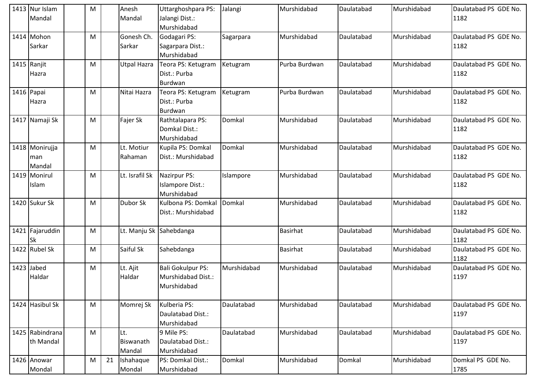| 1413 Nur Islam  | M         |    | Anesh              | Uttarghoshpara PS:       | Jalangi     | Murshidabad     | Daulatabad | Murshidabad | Daulatabad PS GDE No. |
|-----------------|-----------|----|--------------------|--------------------------|-------------|-----------------|------------|-------------|-----------------------|
| Mandal          |           |    | Mandal             | Jalangi Dist.:           |             |                 |            |             | 1182                  |
|                 |           |    |                    | Murshidabad              |             |                 |            |             |                       |
| 1414 Mohon      | M         |    | Gonesh Ch.         | Godagari PS:             | Sagarpara   | Murshidabad     | Daulatabad | Murshidabad | Daulatabad PS GDE No. |
| Sarkar          |           |    | Sarkar             | Sagarpara Dist.:         |             |                 |            |             | 1182                  |
|                 |           |    |                    | Murshidabad              |             |                 |            |             |                       |
| 1415 Ranjit     | M         |    | <b>Utpal Hazra</b> | Teora PS: Ketugram       | Ketugram    | Purba Burdwan   | Daulatabad | Murshidabad | Daulatabad PS GDE No. |
| Hazra           |           |    |                    | Dist.: Purba             |             |                 |            |             | 1182                  |
|                 |           |    |                    | <b>Burdwan</b>           |             |                 |            |             |                       |
| 1416 Papai      | M         |    | Nitai Hazra        | Teora PS: Ketugram       | Ketugram    | Purba Burdwan   | Daulatabad | Murshidabad | Daulatabad PS GDE No. |
| Hazra           |           |    |                    | Dist.: Purba             |             |                 |            |             | 1182                  |
|                 |           |    |                    | Burdwan                  |             |                 |            |             |                       |
| 1417 Namaji Sk  | M         |    | Fajer Sk           | Rathtalapara PS:         | Domkal      | Murshidabad     | Daulatabad | Murshidabad | Daulatabad PS GDE No. |
|                 |           |    |                    | Domkal Dist.:            |             |                 |            |             | 1182                  |
|                 |           |    |                    | Murshidabad              |             |                 |            |             |                       |
| 1418 Monirujja  | M         |    | Lt. Motiur         | Kupila PS: Domkal        | Domkal      | Murshidabad     | Daulatabad | Murshidabad | Daulatabad PS GDE No. |
| man             |           |    | Rahaman            | Dist.: Murshidabad       |             |                 |            |             | 1182                  |
| Mandal          |           |    |                    |                          |             |                 |            |             |                       |
| 1419 Monirul    | M         |    | Lt. Israfil Sk     | Nazirpur PS:             | Islampore   | Murshidabad     | Daulatabad | Murshidabad | Daulatabad PS GDE No. |
| Islam           |           |    |                    | Islampore Dist.:         |             |                 |            |             | 1182                  |
|                 |           |    |                    | Murshidabad              |             |                 |            |             |                       |
| 1420 Sukur Sk   | M         |    | Dubor Sk           | Kulbona PS: Domkal       | Domkal      | Murshidabad     | Daulatabad | Murshidabad | Daulatabad PS GDE No. |
|                 |           |    |                    | Dist.: Murshidabad       |             |                 |            |             | 1182                  |
|                 |           |    |                    |                          |             |                 |            |             |                       |
| 1421 Fajaruddin | M         |    |                    | Lt. Manju Sk Sahebdanga  |             | <b>Basirhat</b> | Daulatabad | Murshidabad | Daulatabad PS GDE No. |
| <b>Sk</b>       |           |    |                    |                          |             |                 |            |             | 1182                  |
| 1422 Rubel Sk   | M         |    | Saiful Sk          | Sahebdanga               |             | <b>Basirhat</b> | Daulatabad | Murshidabad | Daulatabad PS GDE No. |
|                 |           |    |                    |                          |             |                 |            |             | 1182                  |
| 1423 Jabed      | M         |    | Lt. Ajit           | <b>Bali Gokulpur PS:</b> | Murshidabad | Murshidabad     | Daulatabad | Murshidabad | Daulatabad PS GDE No. |
| Haldar          |           |    | Haldar             | Murshidabad Dist.:       |             |                 |            |             | 1197                  |
|                 |           |    |                    | Murshidabad              |             |                 |            |             |                       |
|                 |           |    |                    |                          |             |                 |            |             |                       |
| 1424 Hasibul Sk | ${\sf M}$ |    | Momrej Sk          | Kulberia PS:             | Daulatabad  | Murshidabad     | Daulatabad | Murshidabad | Daulatabad PS GDE No. |
|                 |           |    |                    | Daulatabad Dist.:        |             |                 |            |             | 1197                  |
|                 |           |    |                    | Murshidabad              |             |                 |            |             |                       |
| 1425 Rabindrana | M         |    | Lt.                | 9 Mile PS:               | Daulatabad  | Murshidabad     | Daulatabad | Murshidabad | Daulatabad PS GDE No. |
| th Mandal       |           |    | Biswanath          | Daulatabad Dist.:        |             |                 |            |             | 1197                  |
|                 |           |    | Mandal             | Murshidabad              |             |                 |            |             |                       |
| 1426 Anowar     | M         | 21 | Ishahaque          | PS: Domkal Dist.:        | Domkal      | Murshidabad     | Domkal     | Murshidabad | Domkal PS GDE No.     |
| Mondal          |           |    | Mondal             | Murshidabad              |             |                 |            |             | 1785                  |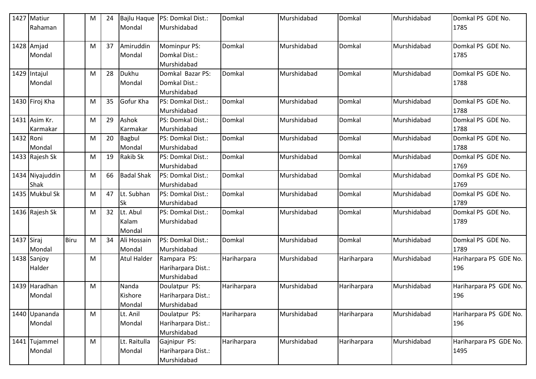|            | 1427 Matiur                   |      | M | 24 | <b>Bajlu Haque</b>          | PS: Domkal Dist.:                                  | Domkal      | Murshidabad | Domkal      | Murshidabad | Domkal PS GDE No.              |
|------------|-------------------------------|------|---|----|-----------------------------|----------------------------------------------------|-------------|-------------|-------------|-------------|--------------------------------|
|            | <b>IRahaman</b>               |      |   |    | Mondal                      | Murshidabad                                        |             |             |             |             | 1785                           |
|            | 1428 Amjad<br>Mondal          |      | M | 37 | Amiruddin<br>Mondal         | Mominpur PS:<br>Domkal Dist.:<br>Murshidabad       | Domkal      | Murshidabad | Domkal      | Murshidabad | Domkal PS GDE No.<br>1785      |
|            | 1429 Intajul<br><b>Mondal</b> |      | M | 28 | Dukhu<br>Mondal             | Domkal Bazar PS:<br>Domkal Dist.:<br>Murshidabad   | Domkal      | Murshidabad | Domkal      | Murshidabad | Domkal PS GDE No.<br>1788      |
|            | 1430 Firoj Kha                |      | M | 35 | Gofur Kha                   | PS: Domkal Dist.:<br>Murshidabad                   | Domkal      | Murshidabad | Domkal      | Murshidabad | Domkal PS GDE No.<br>1788      |
|            | 1431 Asim Kr.<br>Karmakar     |      | M | 29 | Ashok<br>Karmakar           | PS: Domkal Dist.:<br>Murshidabad                   | Domkal      | Murshidabad | Domkal      | Murshidabad | Domkal PS GDE No.<br>1788      |
| 1432 Roni  | Mondal                        |      | M | 20 | Bagbul<br>Mondal            | PS: Domkal Dist.:<br>Murshidabad                   | Domkal      | Murshidabad | Domkal      | Murshidabad | Domkal PS GDE No.<br>1788      |
|            | 1433 Rajesh Sk                |      | M | 19 | <b>Rakib Sk</b>             | PS: Domkal Dist.:<br>Murshidabad                   | Domkal      | Murshidabad | Domkal      | Murshidabad | Domkal PS GDE No.<br>1769      |
|            | 1434 Niyajuddin<br>Shak       |      | M | 66 | <b>Badal Shak</b>           | PS: Domkal Dist.:<br>Murshidabad                   | Domkal      | Murshidabad | Domkal      | Murshidabad | Domkal PS GDE No.<br>1769      |
|            | 1435 Mukbul Sk                |      | М | 47 | Lt. Subhan<br><b>Sk</b>     | PS: Domkal Dist.:<br>Murshidabad                   | Domkal      | Murshidabad | Domkal      | Murshidabad | Domkal PS GDE No.<br>1789      |
|            | 1436 Rajesh Sk                |      | M | 32 | Lt. Abul<br>Kalam<br>Mondal | PS: Domkal Dist.:<br>Murshidabad                   | Domkal      | Murshidabad | Domkal      | Murshidabad | Domkal PS GDE No.<br>1789      |
| 1437 Siraj | Mondal                        | Biru | M | 34 | Ali Hossain<br>Mondal       | PS: Domkal Dist.:<br>Murshidabad                   | Domkal      | Murshidabad | Domkal      | Murshidabad | Domkal PS GDE No.<br>1789      |
|            | 1438 Sanjoy<br>Halder         |      | M |    | <b>Atul Halder</b>          | Rampara PS:<br>Hariharpara Dist.:<br>Murshidabad   | Hariharpara | Murshidabad | Hariharpara | Murshidabad | Hariharpara PS GDE No.<br>196  |
|            | 1439 Haradhan<br>Mondal       |      | M |    | Nanda<br>Kishore<br>Mondal  | Doulatpur PS:<br>Hariharpara Dist.:<br>Murshidabad | Hariharpara | Murshidabad | Hariharpara | Murshidabad | Hariharpara PS GDE No.<br>196  |
|            | 1440 Upananda<br>Mondal       |      | M |    | Lt. Anil<br>Mondal          | Doulatpur PS:<br>Hariharpara Dist.:<br>Murshidabad | Hariharpara | Murshidabad | Hariharpara | Murshidabad | Hariharpara PS GDE No.<br>196  |
|            | 1441 Tujammel<br>Mondal       |      | M |    | Lt. Raitulla<br>Mondal      | Gajnipur PS:<br>Hariharpara Dist.:<br>Murshidabad  | Hariharpara | Murshidabad | Hariharpara | Murshidabad | Hariharpara PS GDE No.<br>1495 |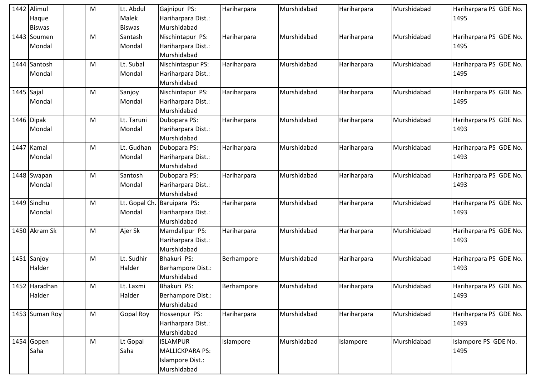|              | 1442 Alimul    | M | Lt. Abdul     | Gajnipur PS:            | Hariharpara | Murshidabad | Hariharpara | Murshidabad | Hariharpara PS GDE No. |
|--------------|----------------|---|---------------|-------------------------|-------------|-------------|-------------|-------------|------------------------|
|              | Haque          |   | <b>Malek</b>  | Hariharpara Dist.:      |             |             |             |             | 1495                   |
|              | <b>Biswas</b>  |   | <b>Biswas</b> | Murshidabad             |             |             |             |             |                        |
|              | 1443 Soumen    | M | Santash       | Nischintapur PS:        | Hariharpara | Murshidabad | Hariharpara | Murshidabad | Hariharpara PS GDE No. |
|              | Mondal         |   | Mondal        | Hariharpara Dist.:      |             |             |             |             | 1495                   |
|              |                |   |               | Murshidabad             |             |             |             |             |                        |
|              | 1444 Santosh   | M | Lt. Subal     | Nischintaspur PS:       | Hariharpara | Murshidabad | Hariharpara | Murshidabad | Hariharpara PS GDE No. |
|              | Mondal         |   | Mondal        | Hariharpara Dist.:      |             |             |             |             | 1495                   |
|              |                |   |               | Murshidabad             |             |             |             |             |                        |
| $1445$ Sajal |                | M | Sanjoy        | Nischintapur PS:        | Hariharpara | Murshidabad | Hariharpara | Murshidabad | Hariharpara PS GDE No. |
|              | Mondal         |   | Mondal        | Hariharpara Dist.:      |             |             |             |             | 1495                   |
|              |                |   |               | Murshidabad             |             |             |             |             |                        |
|              | 1446 Dipak     | M | Lt. Taruni    | Dubopara PS:            | Hariharpara | Murshidabad | Hariharpara | Murshidabad | Hariharpara PS GDE No. |
|              | Mondal         |   | Mondal        | Hariharpara Dist.:      |             |             |             |             | 1493                   |
|              |                |   |               | Murshidabad             |             |             |             |             |                        |
| 1447         | Kamal          | M | Lt. Gudhan    | Dubopara PS:            | Hariharpara | Murshidabad | Hariharpara | Murshidabad | Hariharpara PS GDE No. |
|              | Mondal         |   | Mondal        | Hariharpara Dist.:      |             |             |             |             | 1493                   |
|              |                |   |               | Murshidabad             |             |             |             |             |                        |
|              | 1448 Swapan    | M | Santosh       | Dubopara PS:            | Hariharpara | Murshidabad | Hariharpara | Murshidabad | Hariharpara PS GDE No. |
|              | Mondal         |   | Mondal        | Hariharpara Dist.:      |             |             |             |             | 1493                   |
|              |                |   |               | Murshidabad             |             |             |             |             |                        |
|              | 1449 Sindhu    | M | Lt. Gopal Ch. | Baruipara PS:           | Hariharpara | Murshidabad | Hariharpara | Murshidabad | Hariharpara PS GDE No. |
|              | Mondal         |   | Mondal        | Hariharpara Dist.:      |             |             |             |             | 1493                   |
|              |                |   |               | Murshidabad             |             |             |             |             |                        |
|              | 1450 Akram Sk  | M | Ajer Sk       | Mamdalipur PS:          | Hariharpara | Murshidabad | Hariharpara | Murshidabad | Hariharpara PS GDE No. |
|              |                |   |               | Hariharpara Dist.:      |             |             |             |             | 1493                   |
|              |                |   |               | Murshidabad             |             |             |             |             |                        |
| 1451         | Sanjoy         | M | Lt. Sudhir    | Bhakuri PS:             | Berhampore  | Murshidabad | Hariharpara | Murshidabad | Hariharpara PS GDE No. |
|              | Halder         |   | Halder        | Berhampore Dist.:       |             |             |             |             | 1493                   |
|              |                |   |               | Murshidabad             |             |             |             |             |                        |
|              | 1452 Haradhan  | M | Lt. Laxmi     | Bhakuri PS:             | Berhampore  | Murshidabad | Hariharpara | Murshidabad | Hariharpara PS GDE No. |
|              | Halder         |   | Halder        | Berhampore Dist.:       |             |             |             |             | 1493                   |
|              |                |   |               | Murshidabad             |             |             |             |             |                        |
|              | 1453 Suman Roy | M | Gopal Roy     | Hossenpur PS:           | Hariharpara | Murshidabad | Hariharpara | Murshidabad | Hariharpara PS GDE No. |
|              |                |   |               | Hariharpara Dist.:      |             |             |             |             | 1493                   |
|              |                |   |               | Murshidabad             |             |             |             |             |                        |
|              | 1454 Gopen     | M | Lt Gopal      | <b>ISLAMPUR</b>         | Islampore   | Murshidabad | Islampore   | Murshidabad | Islampore PS GDE No.   |
|              | Saha           |   | Saha          | <b>MALLICKPARA PS:</b>  |             |             |             |             | 1495                   |
|              |                |   |               | <b>Islampore Dist.:</b> |             |             |             |             |                        |
|              |                |   |               | Murshidabad             |             |             |             |             |                        |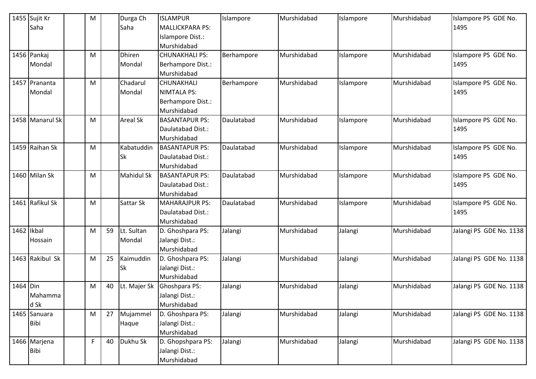|            | 1455 Sujit Kr   | M         |    | Durga Ch          | <b>ISLAMPUR</b>          | Islampore  | Murshidabad | Islampore | Murshidabad | Islampore PS GDE No.    |
|------------|-----------------|-----------|----|-------------------|--------------------------|------------|-------------|-----------|-------------|-------------------------|
|            | Saha            |           |    | Saha              | <b>MALLICKPARA PS:</b>   |            |             |           |             | 1495                    |
|            |                 |           |    |                   | Islampore Dist.:         |            |             |           |             |                         |
|            |                 |           |    |                   | Murshidabad              |            |             |           |             |                         |
|            | 1456 Pankaj     | M         |    | <b>Dhiren</b>     | <b>CHUNAKHALI PS:</b>    | Berhampore | Murshidabad | Islampore | Murshidabad | Islampore PS GDE No.    |
|            | Mondal          |           |    | Mondal            | Berhampore Dist.:        |            |             |           |             | 1495                    |
|            |                 |           |    |                   | Murshidabad              |            |             |           |             |                         |
| 1457       | Prananta        | M         |    | Chadarul          | CHUNAKHALI               | Berhampore | Murshidabad | Islampore | Murshidabad | Islampore PS GDE No.    |
|            | Mondal          |           |    | Mondal            | <b>NIMTALA PS:</b>       |            |             |           |             | 1495                    |
|            |                 |           |    |                   | <b>Berhampore Dist.:</b> |            |             |           |             |                         |
|            |                 |           |    |                   | Murshidabad              |            |             |           |             |                         |
|            | 1458 Manarul Sk | M         |    | <b>Areal Sk</b>   | <b>BASANTAPUR PS:</b>    | Daulatabad | Murshidabad | Islampore | Murshidabad | Islampore PS GDE No.    |
|            |                 |           |    |                   | Daulatabad Dist.:        |            |             |           |             | 1495                    |
|            |                 |           |    |                   | Murshidabad              |            |             |           |             |                         |
|            | 1459 Raihan Sk  | M         |    | Kabatuddin        | <b>BASANTAPUR PS:</b>    | Daulatabad | Murshidabad | Islampore | Murshidabad | Islampore PS GDE No.    |
|            |                 |           |    | <b>Sk</b>         | Daulatabad Dist.:        |            |             |           |             | 1495                    |
|            |                 |           |    |                   | Murshidabad              |            |             |           |             |                         |
|            | 1460 Milan Sk   | M         |    | <b>Mahidul Sk</b> | <b>BASANTAPUR PS:</b>    | Daulatabad | Murshidabad | Islampore | Murshidabad | Islampore PS GDE No.    |
|            |                 |           |    |                   | Daulatabad Dist.:        |            |             |           |             | 1495                    |
|            |                 |           |    |                   | Murshidabad              |            |             |           |             |                         |
|            | 1461 Rafikul Sk | M         |    | Sattar Sk         | <b>MAHARAJPUR PS:</b>    | Daulatabad | Murshidabad | Islampore | Murshidabad | Islampore PS GDE No.    |
|            |                 |           |    |                   | Daulatabad Dist.:        |            |             |           |             | 1495                    |
|            |                 |           |    |                   | Murshidabad              |            |             |           |             |                         |
| 1462 Ikbal |                 | M         | 59 | Lt. Sultan        | D. Ghoshpara PS:         | Jalangi    | Murshidabad | Jalangi   | Murshidabad | Jalangi PS GDE No. 1138 |
|            | <b>Hossain</b>  |           |    | Mondal            | Jalangi Dist.:           |            |             |           |             |                         |
|            |                 |           |    |                   | Murshidabad              |            |             |           |             |                         |
|            | 1463 Rakibul Sk | M         | 25 | Kaimuddin         | D. Ghoshpara PS:         | Jalangi    | Murshidabad | Jalangi   | Murshidabad | Jalangi PS GDE No. 1138 |
|            |                 |           |    | <b>Sk</b>         | Jalangi Dist.:           |            |             |           |             |                         |
|            |                 |           |    |                   | Murshidabad              |            |             |           |             |                         |
| 1464 Din   |                 | M         | 40 | Lt. Majer Sk      | Ghoshpara PS:            | Jalangi    | Murshidabad | Jalangi   | Murshidabad | Jalangi PS GDE No. 1138 |
|            | Mahamma         |           |    |                   | Jalangi Dist.:           |            |             |           |             |                         |
|            | d Sk            |           |    |                   | Murshidabad              |            |             |           |             |                         |
|            | 1465 Sanuara    | ${\sf M}$ | 27 | Mujammel          | D. Ghoshpara PS:         | Jalangi    | Murshidabad | Jalangi   | Murshidabad | Jalangi PS GDE No. 1138 |
|            | <b>Bibi</b>     |           |    | Haque             | Jalangi Dist.:           |            |             |           |             |                         |
|            |                 |           |    |                   | Murshidabad              |            |             |           |             |                         |
|            | 1466 Marjena    | F         | 40 | Dukhu Sk          | D. Ghopshpara PS:        | Jalangi    | Murshidabad | Jalangi   | Murshidabad | Jalangi PS GDE No. 1138 |
|            | <b>Bibi</b>     |           |    |                   | Jalangi Dist.:           |            |             |           |             |                         |
|            |                 |           |    |                   | Murshidabad              |            |             |           |             |                         |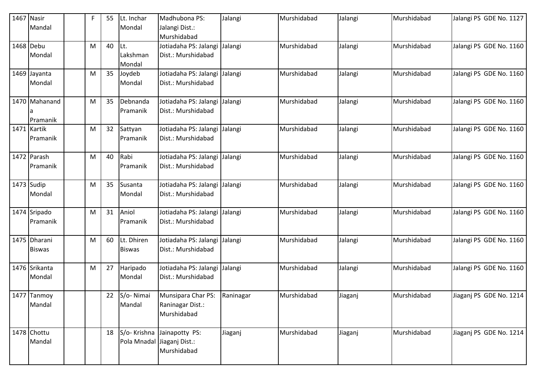| 1467 | Nasir                            | F | 55 | Lt. Inchar                  | Madhubona PS:                                                            | Jalangi   | Murshidabad | Jalangi | Murshidabad | Jalangi PS GDE No. 1127 |
|------|----------------------------------|---|----|-----------------------------|--------------------------------------------------------------------------|-----------|-------------|---------|-------------|-------------------------|
|      | Mandal                           |   |    | Mondal                      | Jalangi Dist.:<br>Murshidabad                                            |           |             |         |             |                         |
|      | 1468 Debu<br>Mondal              | M | 40 | Lt.<br>Lakshman<br>Mondal   | Jotiadaha PS: Jalangi<br>Dist.: Murshidabad                              | Jalangi   | Murshidabad | Jalangi | Murshidabad | Jalangi PS GDE No. 1160 |
|      | 1469 Jayanta<br>Mondal           | M | 35 | Joydeb<br>Mondal            | Jotiadaha PS: Jalangi<br>Dist.: Murshidabad                              | Jalangi   | Murshidabad | Jalangi | Murshidabad | Jalangi PS GDE No. 1160 |
|      | 1470 Mahanand<br><b>Pramanik</b> | М | 35 | Debnanda<br>Pramanik        | Jotiadaha PS: Jalangi<br>Dist.: Murshidabad                              | Jalangi   | Murshidabad | Jalangi | Murshidabad | Jalangi PS GDE No. 1160 |
| 1471 | Kartik<br>Pramanik               | M | 32 | Sattyan<br>Pramanik         | Jotiadaha PS: Jalangi<br>Dist.: Murshidabad                              | Jalangi   | Murshidabad | Jalangi | Murshidabad | Jalangi PS GDE No. 1160 |
|      | 1472 Parash<br>Pramanik          | M | 40 | Rabi<br>Pramanik            | Jotiadaha PS: Jalangi<br>Dist.: Murshidabad                              | Jalangi   | Murshidabad | Jalangi | Murshidabad | Jalangi PS GDE No. 1160 |
|      | 1473 Sudip<br>Mondal             | M | 35 | Susanta<br>Mondal           | Jotiadaha PS: Jalangi<br>Dist.: Murshidabad                              | Jalangi   | Murshidabad | Jalangi | Murshidabad | Jalangi PS GDE No. 1160 |
|      | 1474 Sripado<br><b>Pramanik</b>  | M | 31 | Aniol<br>Pramanik           | Jotiadaha PS: Jalangi<br>Dist.: Murshidabad                              | Jalangi   | Murshidabad | Jalangi | Murshidabad | Jalangi PS GDE No. 1160 |
| 1475 | Dharani<br><b>Biswas</b>         | M | 60 | Lt. Dhiren<br><b>Biswas</b> | Jotiadaha PS: Jalangi<br>Dist.: Murshidabad                              | Jalangi   | Murshidabad | Jalangi | Murshidabad | Jalangi PS GDE No. 1160 |
|      | 1476 Srikanta<br>Mondal          | M | 27 | Haripado<br>Mondal          | Jotiadaha PS: Jalangi<br>Dist.: Murshidabad                              | Jalangi   | Murshidabad | Jalangi | Murshidabad | Jalangi PS GDE No. 1160 |
|      | 1477 Tanmoy<br>Mandal            |   | 22 | S/o-Nimai<br>Mandal         | Munsipara Char PS:<br>Raninagar Dist.:<br>Murshidabad                    | Raninagar | Murshidabad | Jiaganj | Murshidabad | Jiagani PS GDE No. 1214 |
|      | 1478 Chottu<br>Mandal            |   | 18 |                             | S/o- Krishna Jainapotty PS:<br>Pola Mnadal Jiaganj Dist.:<br>Murshidabad | Jiaganj   | Murshidabad | Jiaganj | Murshidabad | Jiaganj PS GDE No. 1214 |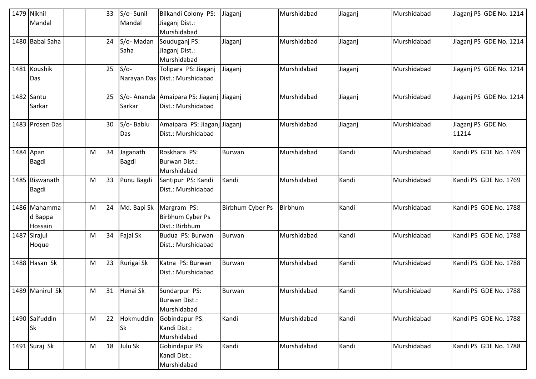|           | 1479 Nikhil<br>Mandal              |   | 33 | S/o-Sunil<br>Mandal      | Bilkandi Colony PS:<br>Jiaganj Dist.:<br>Murshidabad           | Jiaganj          | Murshidabad | Jiaganj | Murshidabad | Jiaganj PS GDE No. 1214     |
|-----------|------------------------------------|---|----|--------------------------|----------------------------------------------------------------|------------------|-------------|---------|-------------|-----------------------------|
|           | 1480 Babai Saha                    |   | 24 | S/o-Madan<br>Saha        | Souduganj PS:<br>Jiaganj Dist.:<br>Murshidabad                 | Jiaganj          | Murshidabad | Jiaganj | Murshidabad | Jiaganj PS GDE No. 1214     |
|           | 1481 Koushik<br>Das                |   | 25 | $S/O-$                   | Tolipara PS: Jiaganj<br>Narayan Das Dist.: Murshidabad         | Jiaganj          | Murshidabad | Jiaganj | Murshidabad | Jiaganj PS GDE No. 1214     |
|           | 1482 Santu<br>Sarkar               |   | 25 | Sarkar                   | S/o- Ananda Amaipara PS: Jiaganj Jiaganj<br>Dist.: Murshidabad |                  | Murshidabad | Jiaganj | Murshidabad | Jiaganj PS GDE No. 1214     |
|           | 1483 Prosen Das                    |   | 30 | S/o-Bablu<br>Das         | Amaipara PS: Jiaganj Jiaganj<br>Dist.: Murshidabad             |                  | Murshidabad | Jiaganj | Murshidabad | Jiaganj PS GDE No.<br>11214 |
| 1484 Apan | <b>Bagdi</b>                       | M | 34 | Jaganath<br><b>Bagdi</b> | Roskhara PS:<br>Burwan Dist.:<br>Murshidabad                   | <b>Burwan</b>    | Murshidabad | Kandi   | Murshidabad | Kandi PS GDE No. 1769       |
|           | 1485 Biswanath<br><b>Bagdi</b>     | M | 33 | Punu Bagdi               | Santipur PS: Kandi<br>Dist.: Murshidabad                       | Kandi            | Murshidabad | Kandi   | Murshidabad | Kandi PS GDE No. 1769       |
|           | 1486 Mahamma<br>d Bappa<br>Hossain | M | 24 | Md. Bapi Sk              | Margram PS:<br>Birbhum Cyber Ps<br>Dist.: Birbhum              | Birbhum Cyber Ps | Birbhum     | Kandi   | Murshidabad | Kandi PS GDE No. 1788       |
| 1487      | Sirajul<br>Hoque                   | M | 34 | <b>Fajal Sk</b>          | Budua PS: Burwan<br>Dist.: Murshidabad                         | Burwan           | Murshidabad | Kandi   | Murshidabad | Kandi PS GDE No. 1788       |
|           | 1488 Hasan Sk                      | M | 23 | Rurigai Sk               | Katna PS: Burwan<br>Dist.: Murshidabad                         | <b>Burwan</b>    | Murshidabad | Kandi   | Murshidabad | Kandi PS GDE No. 1788       |
|           | 1489 Manirul Sk                    | M | 31 | Henai Sk                 | Sundarpur PS:<br><b>Burwan Dist.:</b><br>Murshidabad           | <b>Burwan</b>    | Murshidabad | Kandi   | Murshidabad | Kandi PS GDE No. 1788       |
|           | 1490 Saifuddin<br><b>Sk</b>        | M | 22 | Hokmuddin<br>Sk          | <b>Gobindapur PS:</b><br>Kandi Dist.:<br>Murshidabad           | Kandi            | Murshidabad | Kandi   | Murshidabad | Kandi PS GDE No. 1788       |
|           | 1491 Suraj Sk                      | M | 18 | Julu Sk                  | Gobindapur PS:<br>Kandi Dist.:<br>Murshidabad                  | Kandi            | Murshidabad | Kandi   | Murshidabad | Kandi PS GDE No. 1788       |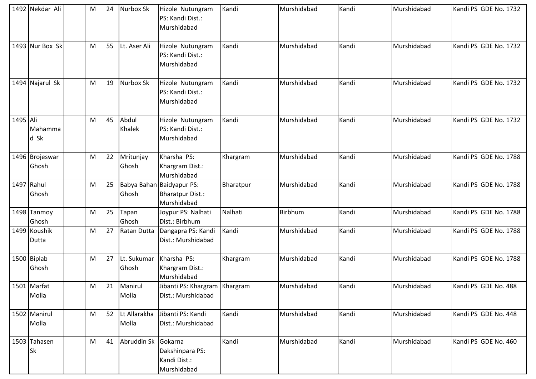|          | 1492 Nekdar Ali         | M | 24 | Nurbox Sk             | Hizole Nutungram<br>PS: Kandi Dist.:<br>Murshidabad                 | Kandi     | Murshidabad    | Kandi | Murshidabad | Kandi PS GDE No. 1732 |
|----------|-------------------------|---|----|-----------------------|---------------------------------------------------------------------|-----------|----------------|-------|-------------|-----------------------|
|          | 1493 Nur Box Sk         | M | 55 | Lt. Aser Ali          | Hizole Nutungram<br>PS: Kandi Dist.:<br>Murshidabad                 | Kandi     | Murshidabad    | Kandi | Murshidabad | Kandi PS GDE No. 1732 |
|          | 1494 Najarul Sk         | M | 19 | Nurbox Sk             | Hizole Nutungram<br>PS: Kandi Dist.:<br>Murshidabad                 | Kandi     | Murshidabad    | Kandi | Murshidabad | Kandi PS GDE No. 1732 |
| 1495 Ali | Mahamma<br>d Sk         | M | 45 | Abdul<br>Khalek       | Hizole Nutungram<br>PS: Kandi Dist.:<br>Murshidabad                 | Kandi     | Murshidabad    | Kandi | Murshidabad | Kandi PS GDE No. 1732 |
|          | 1496 Brojeswar<br>Ghosh | M | 22 | Mritunjay<br>Ghosh    | Kharsha PS:<br>Khargram Dist.:<br>Murshidabad                       | Khargram  | Murshidabad    | Kandi | Murshidabad | Kandi PS GDE No. 1788 |
|          | 1497 Rahul<br>Ghosh     | M | 25 | Ghosh                 | Babya Bahan Baidyapur PS:<br><b>Bharatpur Dist.:</b><br>Murshidabad | Bharatpur | Murshidabad    | Kandi | Murshidabad | Kandi PS GDE No. 1788 |
|          | 1498 Tanmoy<br>Ghosh    | M | 25 | Tapan<br>Ghosh        | Joypur PS: Nalhati<br>Dist.: Birbhum                                | Nalhati   | <b>Birbhum</b> | Kandi | Murshidabad | Kandi PS GDE No. 1788 |
|          | 1499 Koushik<br>Dutta   | M | 27 | Ratan Dutta           | Dangapra PS: Kandi<br>Dist.: Murshidabad                            | Kandi     | Murshidabad    | Kandi | Murshidabad | Kandi PS GDE No. 1788 |
|          | 1500 Biplab<br>Ghosh    | M | 27 | Lt. Sukumar<br>Ghosh  | Kharsha PS:<br>Khargram Dist.:<br>Murshidabad                       | Khargram  | Murshidabad    | Kandi | Murshidabad | Kandi PS GDE No. 1788 |
|          | 1501 Marfat<br>Molla    | M | 21 | Manirul<br>Molla      | Jibanti PS: Khargram   Khargram<br>Dist.: Murshidabad               |           | Murshidabad    | Kandi | Murshidabad | Kandi PS GDE No. 488  |
|          | 1502 Manirul<br>Molla   | M | 52 | Lt Allarakha<br>Molla | Jibanti PS: Kandi<br>Dist.: Murshidabad                             | Kandi     | Murshidabad    | Kandi | Murshidabad | Kandi PS GDE No. 448  |
|          | 1503 Tahasen<br>Sk      | M | 41 | Abruddin Sk           | Gokarna<br>Dakshinpara PS:<br>Kandi Dist.:<br>Murshidabad           | Kandi     | Murshidabad    | Kandi | Murshidabad | Kandi PS GDE No. 460  |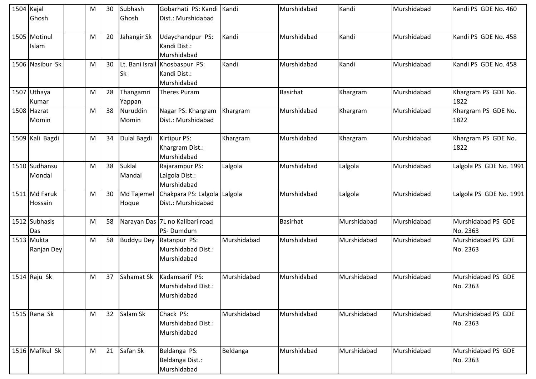| 1504 Kajal | Ghosh                    | М | 30 | Subhash<br>Ghosh        | Gobarhati PS: Kandi Kandi<br>Dist.: Murshidabad               |             | Murshidabad     | Kandi       | Murshidabad | Kandi PS GDE No. 460           |
|------------|--------------------------|---|----|-------------------------|---------------------------------------------------------------|-------------|-----------------|-------------|-------------|--------------------------------|
|            | 1505 Motinul<br>Islam    | M | 20 | Jahangir Sk             | Udaychandpur PS:<br>Kandi Dist.:<br>Murshidabad               | Kandi       | Murshidabad     | Kandi       | Murshidabad | Kandi PS GDE No. 458           |
|            | 1506 Nasibur Sk          | M | 30 | <b>Sk</b>               | Lt. Bani Israil Khosbaspur PS:<br>Kandi Dist.:<br>Murshidabad | Kandi       | Murshidabad     | Kandi       | Murshidabad | Kandi PS GDE No. 458           |
|            | 1507 Uthaya<br>Kumar     | M | 28 | Thangamri<br>Yappan     | Theres Puram                                                  |             | <b>Basirhat</b> | Khargram    | Murshidabad | Khargram PS GDE No.<br>1822    |
|            | 1508 Hazrat<br>Momin     | M | 38 | Nuruddin<br>Momin       | Nagar PS: Khargram<br>Dist.: Murshidabad                      | Khargram    | Murshidabad     | Khargram    | Murshidabad | Khargram PS GDE No.<br>1822    |
|            | 1509 Kali Bagdi          | M | 34 | Dulal Bagdi             | Kirtipur PS:<br>Khargram Dist.:<br>Murshidabad                | Khargram    | Murshidabad     | Khargram    | Murshidabad | Khargram PS GDE No.<br>1822    |
|            | 1510 Sudhansu<br>Mondal  | M | 38 | <b>Suklal</b><br>Mandal | Rajarampur PS:<br>Lalgola Dist.:<br>Murshidabad               | Lalgola     | Murshidabad     | Lalgola     | Murshidabad | Lalgola PS GDE No. 1991        |
| 1511       | Md Faruk<br>Hossain      | M | 30 | Md Tajemel<br>Hoque     | Chakpara PS: Lalgola<br>Dist.: Murshidabad                    | Lalgola     | Murshidabad     | Lalgola     | Murshidabad | Lalgola PS GDE No. 1991        |
|            | 1512 Subhasis<br>Das     | М | 58 |                         | Narayan Das 7L no Kalibari road<br>PS-Dumdum                  |             | <b>Basirhat</b> | Murshidabad | Murshidabad | Murshidabad PS GDE<br>No. 2363 |
|            | 1513 Mukta<br>Ranjan Dey | M | 58 | <b>Buddyu Dey</b>       | Ratanpur PS:<br>Murshidabad Dist.:<br>Murshidabad             | Murshidabad | Murshidabad     | Murshidabad | Murshidabad | Murshidabad PS GDE<br>No. 2363 |
|            | 1514 $R$ aju Sk          | M | 37 | Sahamat Sk              | Kadamsarif PS:<br>Murshidabad Dist.:<br>Murshidabad           | Murshidabad | Murshidabad     | Murshidabad | Murshidabad | Murshidabad PS GDE<br>No. 2363 |
|            | 1515 Rana Sk             | M | 32 | Salam Sk                | Chack PS:<br>Murshidabad Dist.:<br>Murshidabad                | Murshidabad | Murshidabad     | Murshidabad | Murshidabad | Murshidabad PS GDE<br>No. 2363 |
|            | 1516 Mafikul Sk          | M | 21 | Safan Sk                | Beldanga PS:<br>Beldanga Dist.:<br>Murshidabad                | Beldanga    | Murshidabad     | Murshidabad | Murshidabad | Murshidabad PS GDE<br>No. 2363 |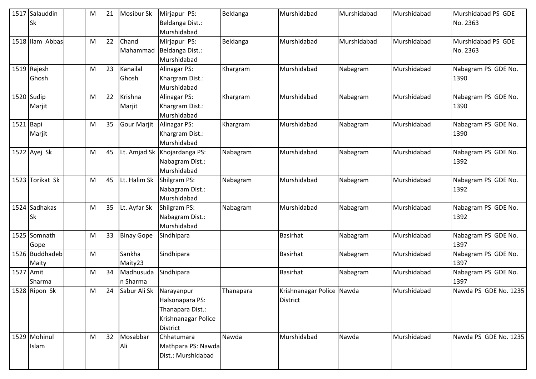|           | 1517 Salauddin<br><b>Sk</b> | M | 21 | Mosibur Sk            | Mirjapur PS:<br>Beldanga Dist.:<br>Murshidabad                                              | Beldanga  | Murshidabad                                  | Murshidabad | Murshidabad | Murshidabad PS GDE<br>No. 2363 |
|-----------|-----------------------------|---|----|-----------------------|---------------------------------------------------------------------------------------------|-----------|----------------------------------------------|-------------|-------------|--------------------------------|
|           | 1518 Illam Abbas            | M | 22 | Chand                 | Mirjapur PS:<br>Mahammad   Beldanga Dist.:<br>Murshidabad                                   | Beldanga  | Murshidabad                                  | Murshidabad | Murshidabad | Murshidabad PS GDE<br>No. 2363 |
|           | 1519 Rajesh<br>Ghosh        | M | 23 | Kanailal<br>Ghosh     | Alinagar PS:<br>Khargram Dist.:<br>Murshidabad                                              | Khargram  | Murshidabad                                  | Nabagram    | Murshidabad | Nabagram PS GDE No.<br>1390    |
|           | 1520 Sudip<br>Marjit        | M | 22 | Krishna<br>Marjit     | <b>Alinagar PS:</b><br>Khargram Dist.:<br>Murshidabad                                       | Khargram  | Murshidabad                                  | Nabagram    | Murshidabad | Nabagram PS GDE No.<br>1390    |
| 1521      | Bapi<br>Marjit              | M | 35 | <b>Gour Marjit</b>    | <b>Alinagar PS:</b><br>Khargram Dist.:<br>Murshidabad                                       | Khargram  | Murshidabad                                  | Nabagram    | Murshidabad | Nabagram PS GDE No.<br>1390    |
|           | 1522 Ayej Sk                | M | 45 | Lt. Amjad Sk          | Khojardanga PS:<br>Nabagram Dist.:<br>Murshidabad                                           | Nabagram  | Murshidabad                                  | Nabagram    | Murshidabad | Nabagram PS GDE No.<br>1392    |
|           | 1523 Torikat Sk             | M | 45 | Lt. Halim Sk          | Shilgram PS:<br>Nabagram Dist.:<br>Murshidabad                                              | Nabagram  | Murshidabad                                  | Nabagram    | Murshidabad | Nabagram PS GDE No.<br>1392    |
|           | 1524 Sadhakas<br><b>Sk</b>  | M | 35 | Lt. Ayfar Sk          | Shilgram PS:<br>Nabagram Dist.:<br>Murshidabad                                              | Nabagram  | Murshidabad                                  | Nabagram    | Murshidabad | Nabagram PS GDE No.<br>1392    |
|           | 1525 Somnath<br>Gope        | M | 33 | <b>Binay Gope</b>     | Sindhipara                                                                                  |           | Basirhat                                     | Nabagram    | Murshidabad | Nabagram PS GDE No.<br>1397    |
|           | 1526 Buddhadeb<br>Maity     | M |    | Sankha<br>Maity23     | Sindhipara                                                                                  |           | Basirhat                                     | Nabagram    | Murshidabad | Nabagram PS GDE No.<br>1397    |
| 1527 Amit | Sharma                      | M | 34 | Madhusuda<br>n Sharma | Sindhipara                                                                                  |           | Basirhat                                     | Nabagram    | Murshidabad | Nabagram PS GDE No.<br>1397    |
|           | 1528 Ripon Sk               | M | 24 | Sabur Ali Sk          | Narayanpur<br>Halsonapara PS:<br>Thanapara Dist.:<br>Krishnanagar Police<br><b>District</b> | Thanapara | Krishnanagar Police Nawda<br><b>District</b> |             | Murshidabad | Nawda PS GDE No. 1235          |
|           | 1529 Mohinul<br>Islam       | M | 32 | Mosabbar<br>Ali       | Chhatumara<br>Mathpara PS: Nawda<br>Dist.: Murshidabad                                      | Nawda     | Murshidabad                                  | Nawda       | Murshidabad | Nawda PS GDE No. 1235          |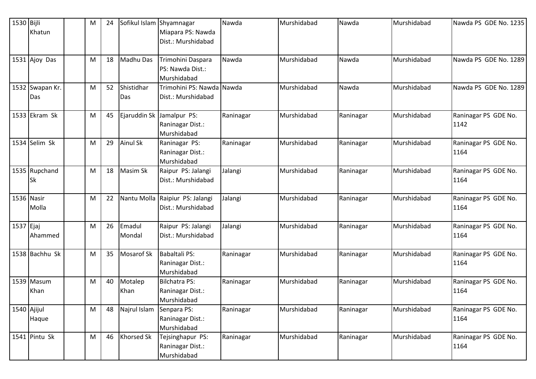| 1530 Bijli  | Khatun                 | M | 24 | Sofikul Islam Shyamnagar | Miapara PS: Nawda<br>Dist.: Murshidabad                        | Nawda     | Murshidabad | Nawda     | Murshidabad | Nawda PS GDE No. 1235        |
|-------------|------------------------|---|----|--------------------------|----------------------------------------------------------------|-----------|-------------|-----------|-------------|------------------------------|
|             | 1531 Ajoy Das          | M | 18 | Madhu Das                | Trimohini Daspara<br>PS: Nawda Dist.:                          | Nawda     | Murshidabad | Nawda     | Murshidabad | Nawda PS GDE No. 1289        |
|             | 1532 Swapan Kr.<br>Das | M | 52 | Shistidhar<br>Das        | Murshidabad<br>Trimohini PS: Nawda Nawda<br>Dist.: Murshidabad |           | Murshidabad | Nawda     | Murshidabad | Nawda PS GDE No. 1289        |
|             | 1533 Ekram Sk          | M | 45 |                          | Ejaruddin Sk Jamalpur PS:<br>Raninagar Dist.:<br>Murshidabad   | Raninagar | Murshidabad | Raninagar | Murshidabad | Raninagar PS GDE No.<br>1142 |
|             | 1534 Selim Sk          | M | 29 | <b>Ainul Sk</b>          | Raninagar PS:<br>Raninagar Dist.:<br>Murshidabad               | Raninagar | Murshidabad | Raninagar | Murshidabad | Raninagar PS GDE No.<br>1164 |
|             | 1535 Rupchand<br>Sk    | M | 18 | Masim Sk                 | Raipur PS: Jalangi<br>Dist.: Murshidabad                       | Jalangi   | Murshidabad | Raninagar | Murshidabad | Raninagar PS GDE No.<br>1164 |
|             | 1536 Nasir<br>Molla    | M | 22 |                          | Nantu Molla Raipiur PS: Jalangi<br>Dist.: Murshidabad          | Jalangi   | Murshidabad | Raninagar | Murshidabad | Raninagar PS GDE No.<br>1164 |
| 1537 Ejaj   | Ahammed                | M | 26 | Emadul<br>Mondal         | Raipur PS: Jalangi<br>Dist.: Murshidabad                       | Jalangi   | Murshidabad | Raninagar | Murshidabad | Raninagar PS GDE No.<br>1164 |
|             | 1538 Bachhu Sk         | M | 35 | <b>Mosarof Sk</b>        | Babaltali PS:<br>Raninagar Dist.:<br>Murshidabad               | Raninagar | Murshidabad | Raninagar | Murshidabad | Raninagar PS GDE No.<br>1164 |
|             | 1539 Masum<br>Khan     | M | 40 | Motalep<br>Khan          | <b>Bilchatra PS:</b><br>Raninagar Dist.:<br>Murshidabad        | Raninagar | Murshidabad | Raninagar | Murshidabad | Raninagar PS GDE No.<br>1164 |
| 1540 Ajijul | Haque                  | M | 48 | Najrul Islam             | Senpara PS:<br>Raninagar Dist.:<br>Murshidabad                 | Raninagar | Murshidabad | Raninagar | Murshidabad | Raninagar PS GDE No.<br>1164 |
|             | 1541 Pintu Sk          | M | 46 | <b>Khorsed Sk</b>        | Tejsinghapur PS:<br>Raninagar Dist.:<br>Murshidabad            | Raninagar | Murshidabad | Raninagar | Murshidabad | Raninagar PS GDE No.<br>1164 |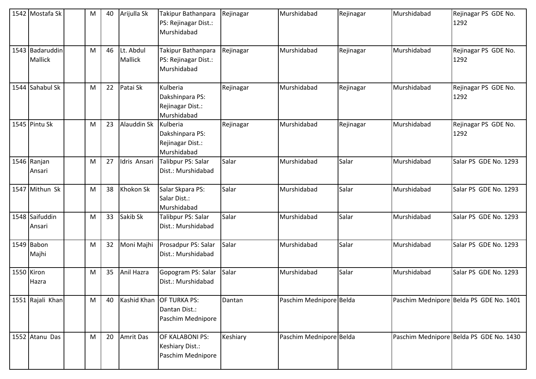|            | 1542 Mostafa Sk                   | M | 40 | Arijulla Sk                 | Takipur Bathanpara<br>PS: Rejinagar Dist.:<br>Murshidabad      | Rejinagar | Murshidabad             | Rejinagar | Murshidabad | Rejinagar PS GDE No.<br>1292            |
|------------|-----------------------------------|---|----|-----------------------------|----------------------------------------------------------------|-----------|-------------------------|-----------|-------------|-----------------------------------------|
|            | 1543 Badaruddin<br><b>Mallick</b> | M | 46 | Lt. Abdul<br><b>Mallick</b> | Takipur Bathanpara<br>PS: Rejinagar Dist.:<br>Murshidabad      | Rejinagar | Murshidabad             | Rejinagar | Murshidabad | Rejinagar PS GDE No.<br>1292            |
|            | 1544 Sahabul Sk                   | M | 22 | Patai Sk                    | Kulberia<br>Dakshinpara PS:<br>Rejinagar Dist.:<br>Murshidabad | Rejinagar | Murshidabad             | Rejinagar | Murshidabad | Rejinagar PS GDE No.<br>1292            |
|            | 1545 Pintu Sk                     | M | 23 | Alauddin Sk                 | Kulberia<br>Dakshinpara PS:<br>Rejinagar Dist.:<br>Murshidabad | Rejinagar | Murshidabad             | Rejinagar | Murshidabad | Rejinagar PS GDE No.<br>1292            |
|            | 1546 Ranjan<br>Ansari             | M | 27 | Idris Ansari                | Talibpur PS: Salar<br>Dist.: Murshidabad                       | Salar     | Murshidabad             | Salar     | Murshidabad | Salar PS GDE No. 1293                   |
|            | 1547 Mithun Sk                    | M | 38 | Khokon Sk                   | Salar Skpara PS:<br>Salar Dist.:<br>Murshidabad                | Salar     | Murshidabad             | Salar     | Murshidabad | Salar PS GDE No. 1293                   |
|            | 1548 Saifuddin<br>Ansari          | M | 33 | Sakib Sk                    | Talibpur PS: Salar<br>Dist.: Murshidabad                       | Salar     | Murshidabad             | Salar     | Murshidabad | Salar PS GDE No. 1293                   |
|            | 1549 Babon<br>Majhi               | M | 32 | Moni Majhi                  | Prosadpur PS: Salar<br>Dist.: Murshidabad                      | Salar     | Murshidabad             | Salar     | Murshidabad | Salar PS GDE No. 1293                   |
| 1550 Kiron | Hazra                             | M | 35 | Anil Hazra                  | Gopogram PS: Salar<br>Dist.: Murshidabad                       | Salar     | Murshidabad             | Salar     | Murshidabad | Salar PS GDE No. 1293                   |
|            | 1551 Rajali Khan                  | M | 40 | Kashid Khan                 | <b>OF TURKA PS:</b><br>Dantan Dist.:<br>Paschim Mednipore      | Dantan    | Paschim Mednipore Belda |           |             | Paschim Mednipore Belda PS GDE No. 1401 |
|            | 1552 Atanu Das                    | M | 20 | <b>Amrit Das</b>            | OF KALABONI PS:<br>Keshiary Dist.:<br>Paschim Mednipore        | Keshiary  | Paschim Mednipore Belda |           |             | Paschim Mednipore Belda PS GDE No. 1430 |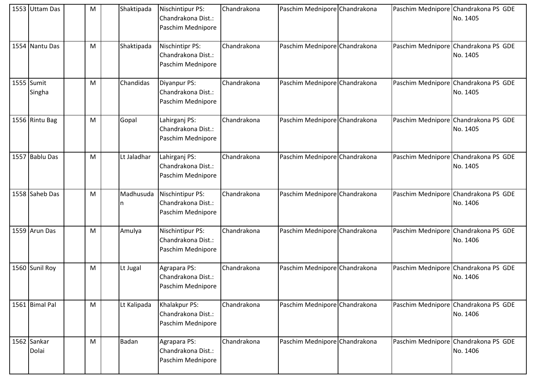| 1553 Uttam Das       | M | Shaktipada      | <b>Nischintipur PS:</b><br>Chandrakona Dist.:<br>Paschim Mednipore | Chandrakona | Paschim Mednipore Chandrakona |  | Paschim Mednipore Chandrakona PS GDE<br>No. 1405 |
|----------------------|---|-----------------|--------------------------------------------------------------------|-------------|-------------------------------|--|--------------------------------------------------|
| 1554 Nantu Das       | M | Shaktipada      | <b>Nischintipr PS:</b><br>Chandrakona Dist.:<br>Paschim Mednipore  | Chandrakona | Paschim Mednipore Chandrakona |  | Paschim Mednipore Chandrakona PS GDE<br>No. 1405 |
| 1555 Sumit<br>Singha | M | Chandidas       | Diyanpur PS:<br>Chandrakona Dist.:<br>Paschim Mednipore            | Chandrakona | Paschim Mednipore Chandrakona |  | Paschim Mednipore Chandrakona PS GDE<br>No. 1405 |
| 1556 Rintu Bag       | M | Gopal           | Lahirganj PS:<br>Chandrakona Dist.:<br>Paschim Mednipore           | Chandrakona | Paschim Mednipore Chandrakona |  | Paschim Mednipore Chandrakona PS GDE<br>No. 1405 |
| 1557 Bablu Das       | M | Lt Jaladhar     | Lahirganj PS:<br>Chandrakona Dist.:<br>Paschim Mednipore           | Chandrakona | Paschim Mednipore Chandrakona |  | Paschim Mednipore Chandrakona PS GDE<br>No. 1405 |
| 1558 Saheb Das       | M | Madhusuda<br>ın | Nischintipur PS:<br>Chandrakona Dist.:<br>Paschim Mednipore        | Chandrakona | Paschim Mednipore Chandrakona |  | Paschim Mednipore Chandrakona PS GDE<br>No. 1406 |
| 1559 Arun Das        | M | Amulya          | Nischintipur PS:<br>Chandrakona Dist.:<br>Paschim Mednipore        | Chandrakona | Paschim Mednipore Chandrakona |  | Paschim Mednipore Chandrakona PS GDE<br>No. 1406 |
| 1560 Sunil Roy       | M | Lt Jugal        | Agrapara PS:<br>Chandrakona Dist.:<br>Paschim Mednipore            | Chandrakona | Paschim Mednipore Chandrakona |  | Paschim Mednipore Chandrakona PS GDE<br>No. 1406 |
| 1561 Bimal Pal       | M | Lt Kalipada     | Khalakpur PS:<br>Chandrakona Dist.:<br>Paschim Mednipore           | Chandrakona | Paschim Mednipore Chandrakona |  | Paschim Mednipore Chandrakona PS GDE<br>No. 1406 |
| 1562 Sankar<br>Dolai | M | <b>Badan</b>    | Agrapara PS:<br>Chandrakona Dist.:<br>Paschim Mednipore            | Chandrakona | Paschim Mednipore Chandrakona |  | Paschim Mednipore Chandrakona PS GDE<br>No. 1406 |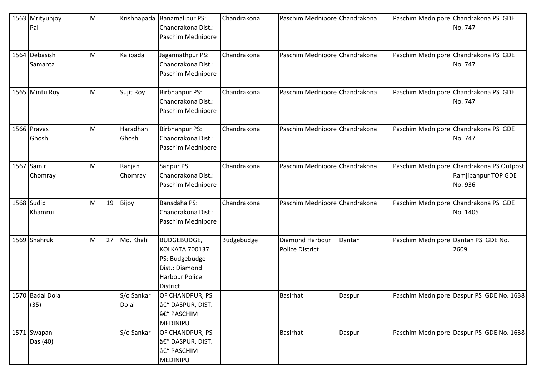| 1563 Mrityunjoy<br>Pal   | M |    |                     | Krishnapada   Banamalipur PS:<br>Chandrakona Dist.:<br>Paschim Mednipore                                             | Chandrakona | Paschim Mednipore Chandrakona                    |        |                                     | Paschim Mednipore Chandrakona PS GDE<br>No. 747                            |
|--------------------------|---|----|---------------------|----------------------------------------------------------------------------------------------------------------------|-------------|--------------------------------------------------|--------|-------------------------------------|----------------------------------------------------------------------------|
| 1564 Debasish<br>Samanta | M |    | Kalipada            | Jagannathpur PS:<br>Chandrakona Dist.:<br>Paschim Mednipore                                                          | Chandrakona | Paschim Mednipore Chandrakona                    |        |                                     | Paschim Mednipore Chandrakona PS GDE<br>No. 747                            |
| 1565 Mintu Roy           | M |    | Sujit Roy           | <b>Birbhanpur PS:</b><br>Chandrakona Dist.:<br>Paschim Mednipore                                                     | Chandrakona | Paschim Mednipore Chandrakona                    |        |                                     | Paschim Mednipore Chandrakona PS GDE<br>No. 747                            |
| 1566 Pravas<br>Ghosh     | M |    | Haradhan<br>Ghosh   | <b>Birbhanpur PS:</b><br>Chandrakona Dist.:<br>Paschim Mednipore                                                     | Chandrakona | Paschim Mednipore Chandrakona                    |        |                                     | Paschim Mednipore Chandrakona PS GDE<br>No. 747                            |
| 1567 Samir<br>Chomray    | M |    | Ranjan<br>Chomray   | Sanpur PS:<br>Chandrakona Dist.:<br>Paschim Mednipore                                                                | Chandrakona | Paschim Mednipore Chandrakona                    |        |                                     | Paschim Mednipore Chandrakona PS Outpost<br>Ramjibanpur TOP GDE<br>No. 936 |
| 1568 Sudip<br>Khamrui    | M | 19 | Bijoy               | Bansdaha PS:<br>Chandrakona Dist.:<br>Paschim Mednipore                                                              | Chandrakona | Paschim Mednipore Chandrakona                    |        |                                     | Paschim Mednipore Chandrakona PS GDE<br>No. 1405                           |
| 1569 Shahruk             | M | 27 | Md. Khalil          | <b>BUDGEBUDGE,</b><br><b>KOLKATA 700137</b><br>PS: Budgebudge<br>Dist.: Diamond<br>Harbour Police<br><b>District</b> | Budgebudge  | <b>Diamond Harbour</b><br><b>Police District</b> | Dantan | Paschim Mednipore Dantan PS GDE No. | 2609                                                                       |
| 1570 Badal Dolai<br>(35) |   |    | S/o Sankar<br>Dolai | <b>OF CHANDPUR, PS</b><br>â€" DASPUR, DIST.<br>– PASCHIM<br>MEDINIPU                                                 |             | <b>Basirhat</b>                                  | Daspur |                                     | Paschim Mednipore Daspur PS GDE No. 1638                                   |
| 1571 Swapan<br>Das (40)  |   |    | S/o Sankar          | OF CHANDPUR, PS<br>â€" DASPUR, DIST.<br>– PASCHIM<br>MEDINIPU                                                        |             | Basirhat                                         | Daspur |                                     | Paschim Mednipore Daspur PS GDE No. 1638                                   |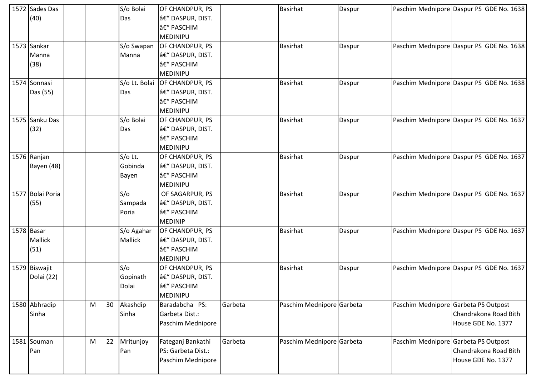| 1572 Sades Das<br>(40)        |   |    | S/o Bolai<br>Das              | OF CHANDPUR, PS<br>â€" DASPUR, DIST.<br>– PASCHIM<br>MEDINIPU              |         | <b>Basirhat</b>           | Daspur |                                      | Paschim Mednipore Daspur PS GDE No. 1638    |
|-------------------------------|---|----|-------------------------------|----------------------------------------------------------------------------|---------|---------------------------|--------|--------------------------------------|---------------------------------------------|
| 1573 Sankar<br>Manna<br>(38)  |   |    | Manna                         | S/o Swapan   OF CHANDPUR, PS<br>â€" DASPUR, DIST.<br>– PASCHIM<br>MEDINIPU |         | <b>Basirhat</b>           | Daspur |                                      | Paschim Mednipore Daspur PS GDE No. 1638    |
| 1574 Sonnasi<br>Das (55)      |   |    | S/o Lt. Bolai<br>Das          | OF CHANDPUR, PS<br>â€" DASPUR, DIST.<br>– PASCHIM<br>MEDINIPU              |         | <b>Basirhat</b>           | Daspur |                                      | Paschim Mednipore Daspur PS GDE No. 1638    |
| 1575 Sanku Das<br>(32)        |   |    | S/o Bolai<br>Das              | OF CHANDPUR, PS<br>â€" DASPUR, DIST.<br>– PASCHIM<br><b>MEDINIPU</b>       |         | <b>Basirhat</b>           | Daspur |                                      | Paschim Mednipore Daspur PS GDE No. 1637    |
| 1576 Ranjan<br>Bayen (48)     |   |    | $S/O$ Lt.<br>Gobinda<br>Bayen | OF CHANDPUR, PS<br>â€" DASPUR, DIST.<br>– PASCHIM<br><b>MEDINIPU</b>       |         | <b>Basirhat</b>           | Daspur |                                      | Paschim Mednipore Daspur PS GDE No. 1637    |
| 1577 Bolai Poria<br>(55)      |   |    | S/O<br>Sampada<br>Poria       | OF SAGARPUR, PS<br>â€" DASPUR, DIST.<br>– PASCHIM<br><b>MEDINIP</b>        |         | <b>Basirhat</b>           | Daspur |                                      | Paschim Mednipore Daspur PS GDE No. 1637    |
| 1578 Basar<br>Mallick<br>(51) |   |    | S/o Agahar<br><b>Mallick</b>  | OF CHANDPUR, PS<br>â€" DASPUR, DIST.<br>– PASCHIM<br><b>MEDINIPU</b>       |         | Basirhat                  | Daspur |                                      | Paschim Mednipore Daspur PS GDE No. 1637    |
| 1579 Biswajit<br>Dolai (22)   |   |    | S/O<br>Gopinath<br>Dolai      | OF CHANDPUR, PS<br>â€" DASPUR, DIST.<br>– PASCHIM<br>MEDINIPU              |         | <b>Basirhat</b>           | Daspur |                                      | Paschim Mednipore Daspur PS GDE No. 1637    |
| 1580 Abhradip<br>Sinha        | M | 30 | Akashdip<br>Sinha             | Baradabcha PS:<br>Garbeta Dist.:<br>Paschim Mednipore                      | Garbeta | Paschim Mednipore Garbeta |        | Paschim Mednipore Garbeta PS Outpost | Chandrakona Road Bith<br>House GDE No. 1377 |
| 1581 Souman<br>Pan            | M | 22 | Mritunjoy<br>Pan              | Fateganj Bankathi<br>PS: Garbeta Dist.:<br>Paschim Mednipore               | Garbeta | Paschim Mednipore Garbeta |        | Paschim Mednipore Garbeta PS Outpost | Chandrakona Road Bith<br>House GDE No. 1377 |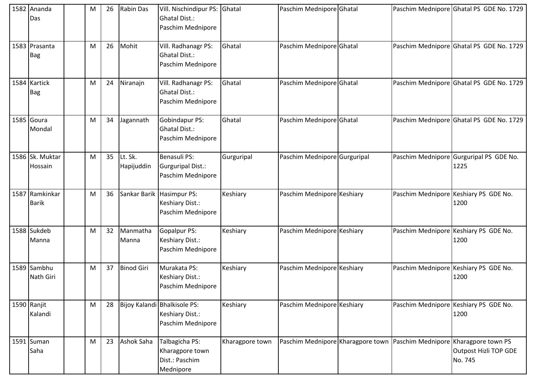|      | 1582 Ananda<br>Das          | M | 26 | <b>Rabin Das</b>      | Vill. Nischindipur PS: Ghatal<br><b>Ghatal Dist.:</b><br>Paschim Mednipore |                 | Paschim Mednipore Ghatal     |  | Paschim Mednipore Ghatal PS GDE No. 1729                                                                   |
|------|-----------------------------|---|----|-----------------------|----------------------------------------------------------------------------|-----------------|------------------------------|--|------------------------------------------------------------------------------------------------------------|
|      | 1583 Prasanta<br><b>Bag</b> | М | 26 | Mohit                 | Vill. Radhanagr PS:<br><b>Ghatal Dist.:</b><br>Paschim Mednipore           | Ghatal          | Paschim Mednipore Ghatal     |  | Paschim Mednipore Ghatal PS GDE No. 1729                                                                   |
|      | 1584 Kartick<br>Bag         | M | 24 | Niranajn              | Vill. Radhanagr PS:<br><b>Ghatal Dist.:</b><br>Paschim Mednipore           | Ghatal          | Paschim Mednipore Ghatal     |  | Paschim Mednipore Ghatal PS GDE No. 1729                                                                   |
|      | 1585 Goura<br>Mondal        | M | 34 | Jagannath             | Gobindapur PS:<br><b>Ghatal Dist.:</b><br>Paschim Mednipore                | Ghatal          | Paschim Mednipore Ghatal     |  | Paschim Mednipore Ghatal PS GDE No. 1729                                                                   |
|      | 1586 Sk. Muktar<br>Hossain  | M | 35 | Lt. Sk.<br>Hapijuddin | Benasuli PS:<br><b>Gurguripal Dist.:</b><br>Paschim Mednipore              | Gurguripal      | Paschim Mednipore Gurguripal |  | Paschim Mednipore Gurguripal PS GDE No.<br>1225                                                            |
| 1587 | Ramkinkar<br><b>Barik</b>   | M | 36 |                       | Sankar Barik Hasimpur PS:<br>Keshiary Dist.:<br>Paschim Mednipore          | Keshiary        | Paschim Mednipore Keshiary   |  | Paschim Mednipore Keshiary PS GDE No.<br>1200                                                              |
|      | 1588 Sukdeb<br>Manna        | M | 32 | Manmatha<br>Manna     | Gopalpur PS:<br>Keshiary Dist.:<br>Paschim Mednipore                       | Keshiary        | Paschim Mednipore Keshiary   |  | Paschim Mednipore Keshiary PS GDE No.<br>1200                                                              |
|      | 1589 Sambhu<br>Nath Giri    | M | 37 | <b>Binod Giri</b>     | Murakata PS:<br>Keshiary Dist.:<br>Paschim Mednipore                       | Keshiary        | Paschim Mednipore Keshiary   |  | Paschim Mednipore Keshiary PS GDE No.<br>1200                                                              |
|      | 1590 Ranjit<br>Kalandi      | M | 28 |                       | Bijoy Kalandi Bhalkisole PS:<br>Keshiary Dist.:<br>Paschim Mednipore       | Keshiary        | Paschim Mednipore Keshiary   |  | Paschim Mednipore Keshiary PS GDE No.<br>1200                                                              |
| 1591 | Suman<br>Saha               | M | 23 | Ashok Saha            | Talbagicha PS:<br>Kharagpore town<br>Dist.: Paschim<br>Mednipore           | Kharagpore town |                              |  | Paschim Mednipore Kharagpore town Paschim Mednipore Kharagpore town PS<br>Outpost Hizli TOP GDE<br>No. 745 |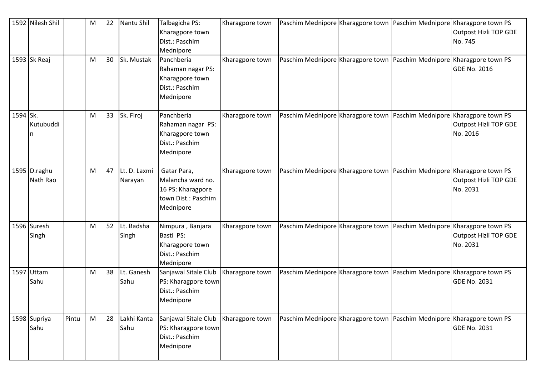|          | 1592 Nilesh Shil         |       | M | 22 | Nantu Shil              | Talbagicha PS:<br>Kharagpore town<br>Dist.: Paschim<br>Mednipore                          | Kharagpore town |  | Paschim Mednipore Kharagpore town Paschim Mednipore Kharagpore town PS | Outpost Hizli TOP GDE<br>No. 745  |
|----------|--------------------------|-------|---|----|-------------------------|-------------------------------------------------------------------------------------------|-----------------|--|------------------------------------------------------------------------|-----------------------------------|
|          | 1593 Sk Reaj             |       | M | 30 | Sk. Mustak              | Panchberia<br>Rahaman nagar PS:<br>Kharagpore town<br>Dist.: Paschim<br>Mednipore         | Kharagpore town |  | Paschim Mednipore Kharagpore town Paschim Mednipore Kharagpore town PS | <b>GDE No. 2016</b>               |
| 1594 Sk. | Kutubuddi                |       | M | 33 | Sk. Firoj               | Panchberia<br>Rahaman nagar PS:<br>Kharagpore town<br>Dist.: Paschim<br>Mednipore         | Kharagpore town |  | Paschim Mednipore Kharagpore town Paschim Mednipore Kharagpore town PS | Outpost Hizli TOP GDE<br>No. 2016 |
|          | 1595 D.raghu<br>Nath Rao |       | M | 47 | Lt. D. Laxmi<br>Narayan | Gatar Para,<br>Malancha ward no.<br>16 PS: Kharagpore<br>town Dist.: Paschim<br>Mednipore | Kharagpore town |  | Paschim Mednipore Kharagpore town Paschim Mednipore Kharagpore town PS | Outpost Hizli TOP GDE<br>No. 2031 |
|          | 1596 Suresh<br>Singh     |       | M | 52 | Lt. Badsha<br>Singh     | Nimpura, Banjara<br>Basti PS:<br>Kharagpore town<br>Dist.: Paschim<br>Mednipore           | Kharagpore town |  | Paschim Mednipore Kharagpore town Paschim Mednipore Kharagpore town PS | Outpost Hizli TOP GDE<br>No. 2031 |
| 1597     | Uttam<br>Sahu            |       | M | 38 | Lt. Ganesh<br>Sahu      | Sanjawal Sitale Club<br>PS: Kharagpore town<br>Dist.: Paschim<br>Mednipore                | Kharagpore town |  | Paschim Mednipore Kharagpore town Paschim Mednipore Kharagpore town PS | <b>GDE No. 2031</b>               |
|          | 1598 Supriya<br>Sahu     | Pintu | M | 28 | Lakhi Kanta<br>Sahu     | Sanjawal Sitale Club<br>PS: Kharagpore town<br>Dist.: Paschim<br>Mednipore                | Kharagpore town |  | Paschim Mednipore Kharagpore town Paschim Mednipore Kharagpore town PS | <b>GDE No. 2031</b>               |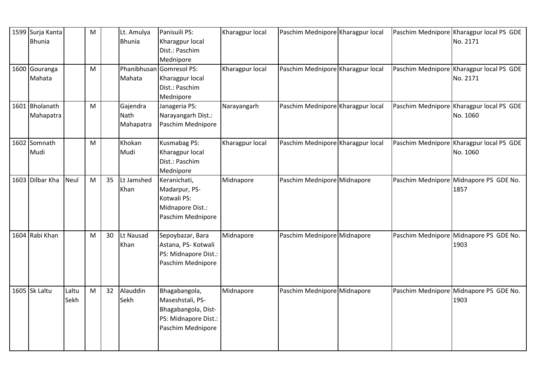| 1599 Surja Kanta<br><b>Bhunia</b> |               | M                                                                                     |    | Lt. Amulya<br><b>Bhunia</b>   | Panisuili PS:<br>Kharagpur local<br>Dist.: Paschim<br>Mednipore                                       | Kharagpur local | Paschim Mednipore Kharagpur local |  | Paschim Mednipore Kharagpur local PS GDE<br>No. 2171 |
|-----------------------------------|---------------|---------------------------------------------------------------------------------------|----|-------------------------------|-------------------------------------------------------------------------------------------------------|-----------------|-----------------------------------|--|------------------------------------------------------|
| 1600 Gouranga<br>Mahata           |               | M                                                                                     |    | Mahata                        | Phanibhusan Gomresol PS:<br>Kharagpur local<br>Dist.: Paschim<br>Mednipore                            | Kharagpur local | Paschim Mednipore Kharagpur local |  | Paschim Mednipore Kharagpur local PS GDE<br>No. 2171 |
| 1601 Bholanath<br>Mahapatra       |               | M                                                                                     |    | Gajendra<br>Nath<br>Mahapatra | Janageria PS:<br>Narayangarh Dist.:<br>Paschim Mednipore                                              | Narayangarh     | Paschim Mednipore Kharagpur local |  | Paschim Mednipore Kharagpur local PS GDE<br>No. 1060 |
| 1602 Somnath<br>Mudi              |               | M                                                                                     |    | Khokan<br>Mudi                | Kusmabag PS:<br>Kharagpur local<br>Dist.: Paschim<br>Mednipore                                        | Kharagpur local | Paschim Mednipore Kharagpur local |  | Paschim Mednipore Kharagpur local PS GDE<br>No. 1060 |
| 1603 Dilbar Kha                   | Neul          | M                                                                                     | 35 | Lt Jamshed<br>Khan            | Keranichati,<br>Madarpur, PS-<br>Kotwali PS:<br>Midnapore Dist.:<br>Paschim Mednipore                 | Midnapore       | Paschim Mednipore Midnapore       |  | Paschim Mednipore Midnapore PS GDE No.<br>1857       |
| 1604 Rabi Khan                    |               | M                                                                                     | 30 | Lt Nausad<br>Khan             | Sepoybazar, Bara<br>Astana, PS- Kotwali<br>PS: Midnapore Dist.:<br>Paschim Mednipore                  | Midnapore       | Paschim Mednipore Midnapore       |  | Paschim Mednipore Midnapore PS GDE No.<br>1903       |
| 1605 Sk Laltu                     | Laltu<br>Sekh | $\mathsf{M}% _{T}=\mathsf{M}_{T}\!\left( a,b\right) ,\ \mathsf{M}_{T}=\mathsf{M}_{T}$ | 32 | Alauddin<br>Sekh              | Bhagabangola,<br>Maseshstali, PS-<br>Bhagabangola, Dist-<br>PS: Midnapore Dist.:<br>Paschim Mednipore | Midnapore       | Paschim Mednipore Midnapore       |  | Paschim Mednipore Midnapore PS GDE No.<br>1903       |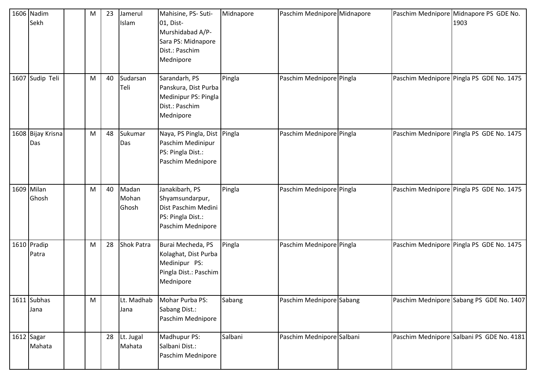|      | 1606 Nadim<br>Sekh       | M | 23 | Jamerul<br>Islam        | Mahisine, PS- Suti-<br>01, Dist-<br>Murshidabad A/P-<br>Sara PS: Midnapore<br>Dist.: Paschim<br>Mednipore | Midnapore | Paschim Mednipore Midnapore |  | Paschim Mednipore Midnapore PS GDE No.<br>1903 |
|------|--------------------------|---|----|-------------------------|-----------------------------------------------------------------------------------------------------------|-----------|-----------------------------|--|------------------------------------------------|
| 1607 | Sudip Teli               | M | 40 | Sudarsan<br>Teli        | Sarandarh, PS<br>Panskura, Dist Purba<br>Medinipur PS: Pingla<br>Dist.: Paschim<br>Mednipore              | Pingla    | Paschim Mednipore Pingla    |  | Paschim Mednipore Pingla PS GDE No. 1475       |
|      | 1608 Bijay Krisna<br>Das | M | 48 | Sukumar<br>Das          | Naya, PS Pingla, Dist Pingla<br>Paschim Medinipur<br>PS: Pingla Dist.:<br>Paschim Mednipore               |           | Paschim Mednipore Pingla    |  | Paschim Mednipore Pingla PS GDE No. 1475       |
|      | 1609 Milan<br>Ghosh      | M | 40 | Madan<br>Mohan<br>Ghosh | Janakibarh, PS<br>Shyamsundarpur,<br>Dist Paschim Medini<br>PS: Pingla Dist.:<br>Paschim Mednipore        | Pingla    | Paschim Mednipore Pingla    |  | Paschim Mednipore Pingla PS GDE No. 1475       |
|      | 1610 Pradip<br>Patra     | M | 28 | <b>Shok Patra</b>       | Burai Mecheda, PS<br>Kolaghat, Dist Purba<br>Medinipur PS:<br>Pingla Dist.: Paschim<br>Mednipore          | Pingla    | Paschim Mednipore Pingla    |  | Paschim Mednipore Pingla PS GDE No. 1475       |
|      | 1611 Subhas<br>Jana      | M |    | Lt. Madhab<br>Jana      | Mohar Purba PS:<br>Sabang Dist.:<br>Paschim Mednipore                                                     | Sabang    | Paschim Mednipore Sabang    |  | Paschim Mednipore Sabang PS GDE No. 1407       |
|      | 1612 Sagar<br>Mahata     |   | 28 | Lt. Jugal<br>Mahata     | Madhupur PS:<br>Salbani Dist.:<br>Paschim Mednipore                                                       | Salbani   | Paschim Mednipore Salbani   |  | Paschim Mednipore Salbani PS GDE No. 4181      |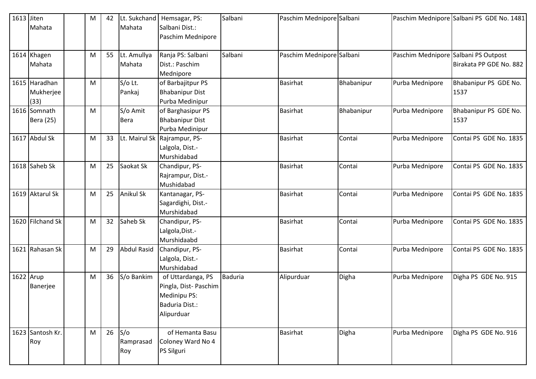| 1613 Jiten |                  | M | 42 | Lt. Sukchand       | Hemsagar, PS:                | Salbani        | Paschim Mednipore Salbani |            |                                      | Paschim Mednipore Salbani PS GDE No. 1481 |
|------------|------------------|---|----|--------------------|------------------------------|----------------|---------------------------|------------|--------------------------------------|-------------------------------------------|
|            | Mahata           |   |    | Mahata             | Salbani Dist.:               |                |                           |            |                                      |                                           |
|            |                  |   |    |                    | Paschim Mednipore            |                |                           |            |                                      |                                           |
|            | 1614 Khagen      | M | 55 | Lt. Amullya        | Ranja PS: Salbani            | Salbani        | Paschim Mednipore Salbani |            | Paschim Mednipore Salbani PS Outpost |                                           |
|            | Mahata           |   |    | Mahata             | Dist.: Paschim               |                |                           |            |                                      | Birakata PP GDE No. 882                   |
|            |                  |   |    |                    | Mednipore                    |                |                           |            |                                      |                                           |
|            | 1615 Haradhan    | M |    | S/o Lt.            | of Barbajitpur PS            |                | <b>Basirhat</b>           | Bhabanipur | Purba Mednipore                      | Bhabanipur PS GDE No.                     |
|            | Mukherjee        |   |    | Pankaj             | <b>Bhabanipur Dist</b>       |                |                           |            |                                      | 1537                                      |
|            | (33)             |   |    |                    | Purba Medinipur              |                |                           |            |                                      |                                           |
|            | 1616 Somnath     | M |    | S/o Amit           | of Barghasipur PS            |                | <b>Basirhat</b>           | Bhabanipur | Purba Mednipore                      | Bhabanipur PS GDE No.                     |
|            | Bera (25)        |   |    | <b>Bera</b>        | <b>Bhabanipur Dist</b>       |                |                           |            |                                      | 1537                                      |
|            |                  |   |    |                    | Purba Medinipur              |                |                           |            |                                      |                                           |
|            | 1617 Abdul Sk    | M | 33 |                    | Lt. Mairul Sk Rajrampur, PS- |                | <b>Basirhat</b>           | Contai     | Purba Mednipore                      | Contai PS GDE No. 1835                    |
|            |                  |   |    |                    | Lalgola, Dist.-              |                |                           |            |                                      |                                           |
|            |                  |   |    |                    | Murshidabad                  |                |                           |            |                                      |                                           |
|            | 1618 Saheb Sk    | M | 25 | Saokat Sk          | Chandipur, PS-               |                | <b>Basirhat</b>           | Contai     | Purba Mednipore                      | Contai PS GDE No. 1835                    |
|            |                  |   |    |                    | Rajrampur, Dist.-            |                |                           |            |                                      |                                           |
|            |                  |   |    |                    | Mushidabad                   |                |                           |            |                                      |                                           |
|            | 1619 Aktarul Sk  | M | 25 | <b>Anikul Sk</b>   | Kantanagar, PS-              |                | <b>Basirhat</b>           | Contai     | Purba Mednipore                      | Contai PS GDE No. 1835                    |
|            |                  |   |    |                    | Sagardighi, Dist.-           |                |                           |            |                                      |                                           |
|            |                  |   |    |                    | Murshidabad                  |                |                           |            |                                      |                                           |
|            | 1620 Filchand Sk | M | 32 | Saheb Sk           | Chandipur, PS-               |                | <b>Basirhat</b>           | Contai     | Purba Mednipore                      | Contai PS GDE No. 1835                    |
|            |                  |   |    |                    | Lalgola, Dist.-              |                |                           |            |                                      |                                           |
|            |                  |   |    |                    | Murshidaabd                  |                |                           |            |                                      |                                           |
|            | 1621 Rahasan Sk  | M | 29 | <b>Abdul Rasid</b> | Chandipur, PS-               |                | <b>Basirhat</b>           | Contai     | Purba Mednipore                      | Contai PS GDE No. 1835                    |
|            |                  |   |    |                    | Lalgola, Dist.-              |                |                           |            |                                      |                                           |
|            |                  |   |    |                    | Murshidabad                  |                |                           |            |                                      |                                           |
| 1622 Arup  |                  | M | 36 | S/o Bankim         | of Uttardanga, PS            | <b>Baduria</b> | Alipurduar                | Digha      | Purba Mednipore                      | Digha PS GDE No. 915                      |
|            | Banerjee         |   |    |                    | Pingla, Dist-Paschim         |                |                           |            |                                      |                                           |
|            |                  |   |    |                    | Medinipu PS:                 |                |                           |            |                                      |                                           |
|            |                  |   |    |                    | Baduria Dist.:               |                |                           |            |                                      |                                           |
|            |                  |   |    |                    | Alipurduar                   |                |                           |            |                                      |                                           |
|            | 1623 Santosh Kr. | M | 26 | S/O                | of Hemanta Basu              |                | <b>Basirhat</b>           | Digha      | Purba Mednipore                      | Digha PS GDE No. 916                      |
|            | Roy              |   |    | Ramprasad          | Coloney Ward No 4            |                |                           |            |                                      |                                           |
|            |                  |   |    | Roy                | <b>PS Silguri</b>            |                |                           |            |                                      |                                           |
|            |                  |   |    |                    |                              |                |                           |            |                                      |                                           |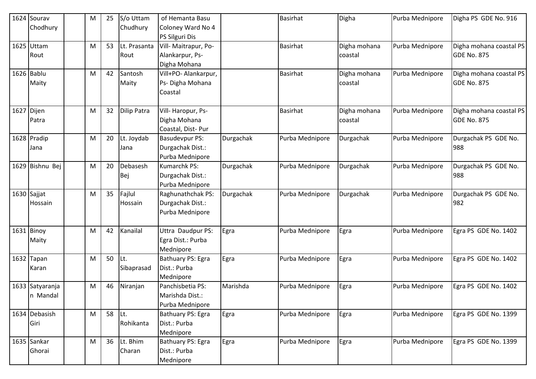| 1624 | Sourav          | M | 25 | S/o Uttam          | of Hemanta Basu       |           | <b>Basirhat</b> | Digha        | Purba Mednipore | Digha PS GDE No. 916    |
|------|-----------------|---|----|--------------------|-----------------------|-----------|-----------------|--------------|-----------------|-------------------------|
|      | Chodhury        |   |    | Chudhury           | Coloney Ward No 4     |           |                 |              |                 |                         |
|      |                 |   |    |                    | PS Silguri Dis        |           |                 |              |                 |                         |
| 1625 | Uttam           | M | 53 | Lt. Prasanta       | Vill- Maitrapur, Po-  |           | <b>Basirhat</b> | Digha mohana | Purba Mednipore | Digha mohana coastal PS |
|      | Rout            |   |    | Rout               | Alankarpur, Ps-       |           |                 | coastal      |                 | <b>GDE No. 875</b>      |
|      |                 |   |    |                    | Digha Mohana          |           |                 |              |                 |                         |
|      | 1626 Bablu      | M | 42 | Santosh            | Vill+PO- Alankarpur,  |           | <b>Basirhat</b> | Digha mohana | Purba Mednipore | Digha mohana coastal PS |
|      | Maity           |   |    | Maity              | Ps-Digha Mohana       |           |                 | coastal      |                 | <b>GDE No. 875</b>      |
|      |                 |   |    |                    | Coastal               |           |                 |              |                 |                         |
| 1627 | Dijen           | М | 32 | <b>Dilip Patra</b> | Vill-Haropur, Ps-     |           | Basirhat        | Digha mohana | Purba Mednipore | Digha mohana coastal PS |
|      | Patra           |   |    |                    | Digha Mohana          |           |                 | coastal      |                 | <b>GDE No. 875</b>      |
|      |                 |   |    |                    | Coastal, Dist-Pur     |           |                 |              |                 |                         |
|      | 1628 Pradip     | M | 20 | Lt. Joydab         | <b>Basudevpur PS:</b> | Durgachak | Purba Mednipore | Durgachak    | Purba Mednipore | Durgachak PS GDE No.    |
|      | Jana            |   |    | Jana               | Durgachak Dist.:      |           |                 |              |                 | 988                     |
|      |                 |   |    |                    | Purba Mednipore       |           |                 |              |                 |                         |
|      | 1629 Bishnu Bej | M | 20 | Debasesh           | Kumarchk PS:          | Durgachak | Purba Mednipore | Durgachak    | Purba Mednipore | Durgachak PS GDE No.    |
|      |                 |   |    | Bej                | Durgachak Dist.:      |           |                 |              |                 | 988                     |
|      |                 |   |    |                    | Purba Mednipore       |           |                 |              |                 |                         |
|      | $1630$ Sajjat   | M | 35 | Fajlul             | Raghunathchak PS:     | Durgachak | Purba Mednipore | Durgachak    | Purba Mednipore | Durgachak PS GDE No.    |
|      | Hossain         |   |    | Hossain            | Durgachak Dist.:      |           |                 |              |                 | 982                     |
|      |                 |   |    |                    | Purba Mednipore       |           |                 |              |                 |                         |
|      | 1631 Binoy      | M | 42 | Kanailal           | Uttra Daudpur PS:     | Egra      | Purba Mednipore | Egra         | Purba Mednipore | Egra PS GDE No. 1402    |
|      | Maity           |   |    |                    | Egra Dist.: Purba     |           |                 |              |                 |                         |
|      |                 |   |    |                    | Mednipore             |           |                 |              |                 |                         |
| 1632 | Tapan           | М | 50 | Lt.                | Bathuary PS: Egra     | Egra      | Purba Mednipore | Egra         | Purba Mednipore | Egra PS GDE No. 1402    |
|      | Karan           |   |    | Sibaprasad         | Dist.: Purba          |           |                 |              |                 |                         |
|      |                 |   |    |                    | Mednipore             |           |                 |              |                 |                         |
|      | 1633 Satyaranja | M | 46 | Niranjan           | Panchisbetia PS:      | Marishda  | Purba Mednipore | Egra         | Purba Mednipore | Egra PS GDE No. 1402    |
|      | In Mandal       |   |    |                    | Marishda Dist.:       |           |                 |              |                 |                         |
|      |                 |   |    |                    | Purba Mednipore       |           |                 |              |                 |                         |
|      | 1634 Debasish   | M | 58 | Lt.                | Bathuary PS: Egra     | Egra      | Purba Mednipore | Egra         | Purba Mednipore | Egra PS GDE No. 1399    |
|      | Giri            |   |    | Rohikanta          | Dist.: Purba          |           |                 |              |                 |                         |
|      |                 |   |    |                    | Mednipore             |           |                 |              |                 |                         |
|      | 1635 Sankar     | M | 36 | Lt. Bhim           | Bathuary PS: Egra     | Egra      | Purba Mednipore | Egra         | Purba Mednipore | Egra PS GDE No. 1399    |
|      | Ghorai          |   |    | Charan             | Dist.: Purba          |           |                 |              |                 |                         |
|      |                 |   |    |                    | Mednipore             |           |                 |              |                 |                         |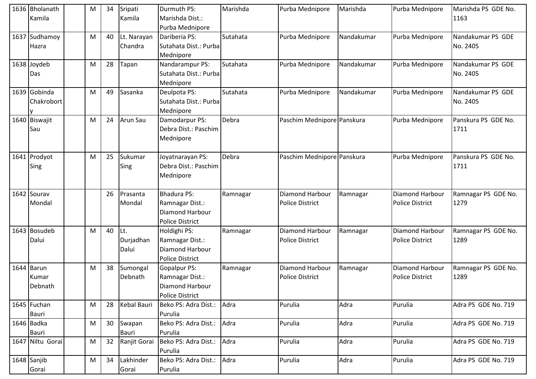|      | 1636 Bholanath<br>Kamila       | M | 34 | Sripati<br>Kamila         | Durmuth PS:<br>Marishda Dist.:<br>Purba Mednipore                                          | Marishda | Purba Mednipore                           | Marishda   | Purba Mednipore                           | Marishda PS GDE No.<br>1163   |
|------|--------------------------------|---|----|---------------------------|--------------------------------------------------------------------------------------------|----------|-------------------------------------------|------------|-------------------------------------------|-------------------------------|
| 1637 | Sudhamoy<br>Hazra              | M | 40 | Lt. Narayan<br>Chandra    | Dariberia PS:<br>Sutahata Dist.: Purba<br>Mednipore                                        | Sutahata | Purba Mednipore                           | Nandakumar | Purba Mednipore                           | Nandakumar PS GDE<br>No. 2405 |
|      | 1638 Joydeb<br>Das             | M | 28 | Tapan                     | Nandarampur PS:<br>Sutahata Dist.: Purba<br>Mednipore                                      | Sutahata | Purba Mednipore                           | Nandakumar | Purba Mednipore                           | Nandakumar PS GDE<br>No. 2405 |
|      | 1639 Gobinda<br>Chakrobort     | M | 49 | Sasanka                   | Deulpota PS:<br>Sutahata Dist.: Purba<br>Mednipore                                         | Sutahata | Purba Mednipore                           | Nandakumar | Purba Mednipore                           | Nandakumar PS GDE<br>No. 2405 |
|      | 1640 Biswajit<br>Sau           | M | 24 | <b>Arun Sau</b>           | Damodarpur PS:<br>Debra Dist.: Paschim<br>Mednipore                                        | Debra    | Paschim Mednipore Panskura                |            | Purba Mednipore                           | Panskura PS GDE No.<br>1711   |
|      | 1641 Prodyot<br>Sing           | M | 25 | Sukumar<br>Sing           | Joyatnarayan PS:<br>Debra Dist.: Paschim<br>Mednipore                                      | Debra    | Paschim Mednipore Panskura                |            | Purba Mednipore                           | Panskura PS GDE No.<br>1711   |
|      | 1642 Sourav<br>Mondal          |   | 26 | Prasanta<br>Mondal        | <b>Bhadura PS:</b><br>Ramnagar Dist.:<br>Diamond Harbour<br><b>Police District</b>         | Ramnagar | Diamond Harbour<br><b>Police District</b> | Ramnagar   | Diamond Harbour<br><b>Police District</b> | Ramnagar PS GDE No.<br>1279   |
|      | 1643 Bosudeb<br>Dalui          | M | 40 | Lt.<br>Durjadhan<br>Dalui | Holdighi PS:<br>Ramnagar Dist.:<br>Diamond Harbour<br><b>Police District</b>               | Ramnagar | Diamond Harbour<br><b>Police District</b> | Ramnagar   | Diamond Harbour<br><b>Police District</b> | Ramnagar PS GDE No.<br>1289   |
|      | 1644 Barun<br>Kumar<br>Debnath | M | 38 | Sumongal<br>Debnath       | <b>Gopalpur PS:</b><br>Ramnagar Dist.:<br><b>Diamond Harbour</b><br><b>Police District</b> | Ramnagar | Diamond Harbour<br><b>Police District</b> | Ramnagar   | Diamond Harbour<br><b>Police District</b> | Ramnagar PS GDE No.<br>1289   |
|      | 1645 Fuchan<br><b>Bauri</b>    | M | 28 | <b>Kebal Bauri</b>        | Beko PS: Adra Dist.:<br>Purulia                                                            | Adra     | Purulia                                   | Adra       | Purulia                                   | Adra PS GDE No. 719           |
|      | 1646 Badka<br><b>Bauri</b>     | M | 30 | Swapan<br>Bauri           | Beko PS: Adra Dist.:<br>Purulia                                                            | Adra     | Purulia                                   | Adra       | Purulia                                   | Adra PS GDE No. 719           |
|      | 1647 Niltu Gorai               | M | 32 | Ranjit Gorai              | Beko PS: Adra Dist.:<br>Purulia                                                            | Adra     | Purulia                                   | Adra       | Purulia                                   | Adra PS GDE No. 719           |
|      | 1648 Sanjib<br>Gorai           | M | 34 | Lakhinder<br>Gorai        | Beko PS: Adra Dist.:<br>Purulia                                                            | Adra     | Purulia                                   | Adra       | Purulia                                   | Adra PS GDE No. 719           |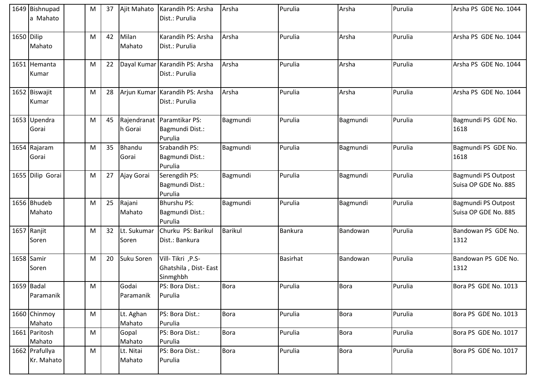|            | 1649 Bishnupad<br>a Mahato   | M | 37 | Ajit Mahato            | Karandih PS: Arsha<br>Dist.: Purulia                 | Arsha          | Purulia         | Arsha       | Purulia | Arsha PS GDE No. 1044                              |
|------------|------------------------------|---|----|------------------------|------------------------------------------------------|----------------|-----------------|-------------|---------|----------------------------------------------------|
| 1650 Dilip | Mahato                       | M | 42 | Milan<br>Mahato        | Karandih PS: Arsha<br>Dist.: Purulia                 | Arsha          | Purulia         | Arsha       | Purulia | Arsha PS GDE No. 1044                              |
|            | 1651 Hemanta<br>Kumar        | M | 22 |                        | Dayal Kumar Karandih PS: Arsha<br>Dist.: Purulia     | Arsha          | Purulia         | Arsha       | Purulia | Arsha PS GDE No. 1044                              |
|            | 1652 Biswajit<br>Kumar       | M | 28 |                        | Arjun Kumar Karandih PS: Arsha<br>Dist.: Purulia     | Arsha          | Purulia         | Arsha       | Purulia | Arsha PS GDE No. 1044                              |
|            | 1653 Upendra<br>Gorai        | M | 45 | Rajendranat<br>h Gorai | Paramtikar PS:<br>Bagmundi Dist.:<br>Purulia         | Bagmundi       | Purulia         | Bagmundi    | Purulia | Bagmundi PS GDE No.<br>1618                        |
|            | 1654 Rajaram<br>Gorai        | M | 35 | Bhandu<br>Gorai        | Srabandih PS:<br>Bagmundi Dist.:<br>Purulia          | Bagmundi       | Purulia         | Bagmundi    | Purulia | Bagmundi PS GDE No.<br>1618                        |
|            | 1655 Dilip Gorai             | M | 27 | Ajay Gorai             | Serengdih PS:<br>Bagmundi Dist.:<br>Purulia          | Bagmundi       | Purulia         | Bagmundi    | Purulia | <b>Bagmundi PS Outpost</b><br>Suisa OP GDE No. 885 |
|            | 1656 Bhudeb<br>Mahato        | M | 25 | Rajani<br>Mahato       | <b>Bhurshu PS:</b><br>Bagmundi Dist.:<br>Purulia     | Bagmundi       | Purulia         | Bagmundi    | Purulia | Bagmundi PS Outpost<br>Suisa OP GDE No. 885        |
|            | 1657 Ranjit<br>Soren         | M | 32 | Lt. Sukumar<br>Soren   | Churku PS: Barikul<br>Dist.: Bankura                 | <b>Barikul</b> | <b>Bankura</b>  | Bandowan    | Purulia | Bandowan PS GDE No.<br>1312                        |
|            | 1658 Samir<br>Soren          | M | 20 | Suku Soren             | Vill-Tikri ,P.S-<br>Ghatshila, Dist-East<br>Sinmghbh |                | <b>Basirhat</b> | Bandowan    | Purulia | Bandowan PS GDE No.<br>1312                        |
| 1659 Badal | Paramanik                    | M |    | Godai<br>Paramanik     | PS: Bora Dist.:<br>Purulia                           | Bora           | Purulia         | <b>Bora</b> | Purulia | Bora PS GDE No. 1013                               |
|            | 1660 Chinmoy<br>Mahato       | M |    | Lt. Aghan<br>Mahato    | PS: Bora Dist.:<br>Purulia                           | <b>Bora</b>    | Purulia         | <b>Bora</b> | Purulia | Bora PS GDE No. 1013                               |
|            | 1661 Paritosh<br>Mahato      | M |    | Gopal<br>Mahato        | PS: Bora Dist.:<br>Purulia                           | Bora           | Purulia         | <b>Bora</b> | Purulia | Bora PS GDE No. 1017                               |
|            | 1662 Prafullya<br>Kr. Mahato | M |    | Lt. Nitai<br>Mahato    | PS: Bora Dist.:<br>Purulia                           | Bora           | Purulia         | <b>Bora</b> | Purulia | Bora PS GDE No. 1017                               |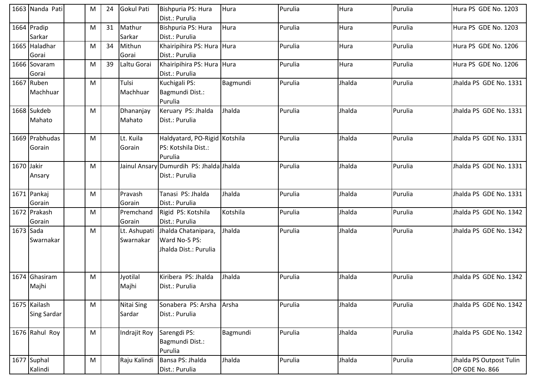|            | 1663 Nanda Pati    | M | 24 | Gokul Pati        | Bishpuria PS: Hura<br>Dist.: Purulia     | Hura     | Purulia | Hura   | Purulia | Hura PS GDE No. 1203    |
|------------|--------------------|---|----|-------------------|------------------------------------------|----------|---------|--------|---------|-------------------------|
|            | 1664 Pradip        | M | 31 | Mathur            | Bishpuria PS: Hura                       | Hura     | Purulia | Hura   | Purulia | Hura PS GDE No. 1203    |
|            | Sarkar             |   |    | Sarkar            | Dist.: Purulia                           |          |         |        |         |                         |
|            | 1665 Haladhar      | M | 34 | Mithun            | Khairipihira PS: Hura Hura               |          | Purulia | Hura   | Purulia | Hura PS GDE No. 1206    |
|            | Gorai              |   |    | Gorai             | Dist.: Purulia                           |          |         |        |         |                         |
|            | 1666 Sovaram       | M | 39 | Laltu Gorai       | Khairipihira PS: Hura Hura               |          | Purulia | Hura   | Purulia | Hura PS GDE No. 1206    |
|            | Gorai              |   |    |                   | Dist.: Purulia                           |          |         |        |         |                         |
|            | 1667 Ruben         | M |    | Tulsi             | Kuchigali PS:                            | Bagmundi | Purulia | Jhalda | Purulia | Jhalda PS GDE No. 1331  |
|            | Machhuar           |   |    | Machhuar          | Bagmundi Dist.:                          |          |         |        |         |                         |
|            |                    |   |    |                   | Purulia                                  |          |         |        |         |                         |
|            | 1668 Sukdeb        | M |    | Dhananjay         | Keruary PS: Jhalda                       | Jhalda   | Purulia | Jhalda | Purulia | Jhalda PS GDE No. 1331  |
|            | Mahato             |   |    | Mahato            | Dist.: Purulia                           |          |         |        |         |                         |
|            | 1669 Prabhudas     | M |    | Lt. Kuila         | Haldyatard, PO-Rigid Kotshila            |          | Purulia | Jhalda | Purulia | Jhalda PS GDE No. 1331  |
|            | Gorain             |   |    | Gorain            | PS: Kotshila Dist.:                      |          |         |        |         |                         |
|            |                    |   |    |                   | Purulia                                  |          |         |        |         |                         |
| 1670 Jakir |                    | M |    |                   | Jainul Ansary Dumurdih PS: Jhalda Jhalda |          | Purulia | Jhalda | Purulia | Jhalda PS GDE No. 1331  |
|            | Ansary             |   |    |                   | Dist.: Purulia                           |          |         |        |         |                         |
|            | 1671 Pankaj        | M |    | Pravash           | Tanasi PS: Jhalda                        | Jhalda   | Purulia | Jhalda | Purulia | Jhalda PS GDE No. 1331  |
|            | Gorain             |   |    | Gorain            | Dist.: Purulia                           |          |         |        |         |                         |
|            | 1672 Prakash       | M |    | Premchand         | Rigid PS: Kotshila                       | Kotshila | Purulia | Jhalda | Purulia | Jhalda PS GDE No. 1342  |
|            | Gorain             |   |    | Gorain            | Dist.: Purulia                           |          |         |        |         |                         |
| 1673 Sada  |                    | M |    | Lt. Ashupati      | Jhalda Chatanipara,                      | Jhalda   | Purulia | Jhalda | Purulia | Jhalda PS GDE No. 1342  |
|            | Swarnakar          |   |    | Swarnakar         | Ward No-5 PS:                            |          |         |        |         |                         |
|            |                    |   |    |                   | Jhalda Dist.: Purulia                    |          |         |        |         |                         |
|            |                    |   |    |                   |                                          |          |         |        |         |                         |
|            | 1674 Ghasiram      | M |    | Jyotilal          | Kiribera PS: Jhalda                      | Jhalda   | Purulia | Jhalda | Purulia | Jhalda PS GDE No. 1342  |
|            | Majhi              |   |    | Majhi             | Dist.: Purulia                           |          |         |        |         |                         |
|            |                    |   |    |                   |                                          |          |         |        |         |                         |
|            | 1675 Kailash       | M |    | <b>Nitai Sing</b> | Sonabera PS: Arsha                       | Arsha    | Purulia | Jhalda | Purulia | Jhalda PS GDE No. 1342  |
|            | <b>Sing Sardar</b> |   |    | Sardar            | Dist.: Purulia                           |          |         |        |         |                         |
|            |                    |   |    |                   |                                          |          |         |        |         |                         |
|            | 1676 Rahul Roy     | M |    | Indrajit Roy      | Sarengdi PS:                             | Bagmundi | Purulia | Jhalda | Purulia | Jhalda PS GDE No. 1342  |
|            |                    |   |    |                   | Bagmundi Dist.:                          |          |         |        |         |                         |
|            |                    |   |    |                   | Purulia                                  |          |         |        |         |                         |
|            | 1677 Suphal        | M |    | Raju Kalindi      | Bansa PS: Jhalda                         | Jhalda   | Purulia | Jhalda | Purulia | Jhalda PS Outpost Tulin |
|            | Kalindi            |   |    |                   | Dist.: Purulia                           |          |         |        |         | OP GDE No. 866          |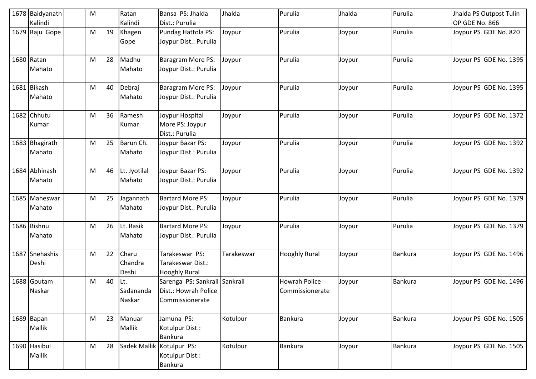|      | 1678 Baidyanath | M |    | Ratan        | Bansa PS: Jhalda                  | Jhalda     | Purulia              | Jhalda | Purulia        | Jhalda PS Outpost Tulin |
|------|-----------------|---|----|--------------|-----------------------------------|------------|----------------------|--------|----------------|-------------------------|
|      | Kalindi         |   |    | Kalindi      | Dist.: Purulia                    |            |                      |        |                | OP GDE No. 866          |
|      | 1679 Raju Gope  | M | 19 | Khagen       | Pundag Hattola PS:                | Joypur     | Purulia              | Joypur | Purulia        | Joypur PS GDE No. 820   |
|      |                 |   |    | Gope         | Joypur Dist.: Purulia             |            |                      |        |                |                         |
|      | 1680 Ratan      | M | 28 | Madhu        | Baragram More PS:                 | Joypur     | Purulia              | Joypur | Purulia        | Joypur PS GDE No. 1395  |
|      | Mahato          |   |    | Mahato       | Joypur Dist.: Purulia             |            |                      |        |                |                         |
|      | 1681 Bikash     | M | 40 | Debraj       | Baragram More PS:                 | Joypur     | Purulia              | Joypur | Purulia        | Joypur PS GDE No. 1395  |
|      | Mahato          |   |    | Mahato       | Joypur Dist.: Purulia             |            |                      |        |                |                         |
|      | 1682 Chhutu     | M | 36 | Ramesh       | Joypur Hospital                   | Joypur     | Purulia              | Joypur | Purulia        | Joypur PS GDE No. 1372  |
|      | Kumar           |   |    | Kumar        | More PS: Joypur<br>Dist.: Purulia |            |                      |        |                |                         |
|      | 1683 Bhagirath  | M | 25 | Barun Ch.    | Joypur Bazar PS:                  | Joypur     | Purulia              | Joypur | Purulia        | Joypur PS GDE No. 1392  |
|      | Mahato          |   |    | Mahato       | Joypur Dist.: Purulia             |            |                      |        |                |                         |
| 1684 | Abhinash        | M | 46 | Lt. Jyotilal | Joypur Bazar PS:                  | Joypur     | Purulia              | Joypur | Purulia        | Joypur PS GDE No. 1392  |
|      | Mahato          |   |    | Mahato       | Joypur Dist.: Purulia             |            |                      |        |                |                         |
|      | 1685 Maheswar   | M | 25 | Jagannath    | <b>Bartard More PS:</b>           | Joypur     | Purulia              | Joypur | Purulia        | Joypur PS GDE No. 1379  |
|      | Mahato          |   |    | Mahato       | Joypur Dist.: Purulia             |            |                      |        |                |                         |
|      | 1686 Bishnu     | M | 26 | Lt. Rasik    | <b>Bartard More PS:</b>           | Joypur     | Purulia              | Joypur | Purulia        | Joypur PS GDE No. 1379  |
|      | Mahato          |   |    | Mahato       | Joypur Dist.: Purulia             |            |                      |        |                |                         |
|      | 1687 Snehashis  | M | 22 | Charu        | Tarakeswar PS:                    | Tarakeswar | <b>Hooghly Rural</b> | Joypur | <b>Bankura</b> | Joypur PS GDE No. 1496  |
|      | Deshi           |   |    | Chandra      | Tarakeswar Dist.:                 |            |                      |        |                |                         |
|      |                 |   |    | Deshi        | <b>Hooghly Rural</b>              |            |                      |        |                |                         |
|      | 1688 Goutam     | M | 40 | Lt.          | Sarenga PS: Sankrail Sankrail     |            | Howrah Police        | Joypur | Bankura        | Joypur PS GDE No. 1496  |
|      | Naskar          |   |    | Sadananda    | Dist.: Howrah Police              |            | Commissionerate      |        |                |                         |
|      |                 |   |    | Naskar       | Commissionerate                   |            |                      |        |                |                         |
|      | 1689 Bapan      | M | 23 | Manuar       | Jamuna PS:                        | Kotulpur   | <b>Bankura</b>       | Joypur | Bankura        | Joypur PS GDE No. 1505  |
|      | <b>Mallik</b>   |   |    | Mallik       | Kotulpur Dist.:                   |            |                      |        |                |                         |
|      |                 |   |    |              | <b>Bankura</b>                    |            |                      |        |                |                         |
|      | 1690 Hasibul    | M | 28 |              | Sadek Mallik Kotulpur PS:         | Kotulpur   | Bankura              | Joypur | <b>Bankura</b> | Joypur PS GDE No. 1505  |
|      | Mallik          |   |    |              | Kotulpur Dist.:                   |            |                      |        |                |                         |
|      |                 |   |    |              | Bankura                           |            |                      |        |                |                         |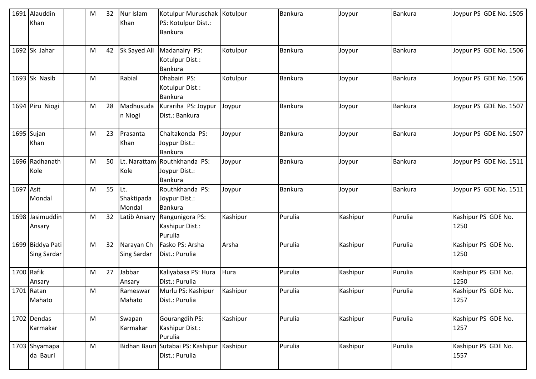|            | 1691 Alauddin<br>Khan                  | M | 32 | Nur Islam<br>Khan                | Kotulpur Muruschak Kotulpur<br>PS: Kotulpur Dist.:<br>Bankura |          | <b>Bankura</b> | Joypur   | Bankura        | Joypur PS GDE No. 1505      |
|------------|----------------------------------------|---|----|----------------------------------|---------------------------------------------------------------|----------|----------------|----------|----------------|-----------------------------|
|            | 1692 Sk Jahar                          | M | 42 | Sk Sayed Ali                     | Madanairy PS:<br>Kotulpur Dist.:<br>Bankura                   | Kotulpur | <b>Bankura</b> | Joypur   | Bankura        | Joypur PS GDE No. 1506      |
|            | 1693 Sk Nasib                          | M |    | Rabial                           | Dhabairi PS:<br>Kotulpur Dist.:<br><b>Bankura</b>             | Kotulpur | <b>Bankura</b> | Joypur   | <b>Bankura</b> | Joypur PS GDE No. 1506      |
|            | 1694 Piru Niogi                        | M | 28 | Madhusuda<br>n Niogi             | Kurariha PS: Joypur<br>Dist.: Bankura                         | Joypur   | <b>Bankura</b> | Joypur   | <b>Bankura</b> | Joypur PS GDE No. 1507      |
|            | 1695 Sujan<br>Khan                     | M | 23 | Prasanta<br>Khan                 | Chaltakonda PS:<br>Joypur Dist.:<br>Bankura                   | Joypur   | Bankura        | Joypur   | <b>Bankura</b> | Joypur PS GDE No. 1507      |
|            | 1696 Radhanath<br>Kole                 | M | 50 | Kole                             | Lt. Narattam Routhkhanda PS:<br>Joypur Dist.:<br>Bankura      | Joypur   | <b>Bankura</b> | Joypur   | <b>Bankura</b> | Joypur PS GDE No. 1511      |
| 1697 Asit  | Mondal                                 | M | 55 | Lt.<br>Shaktipada<br>Mondal      | Routhkhanda PS:<br>Joypur Dist.:<br><b>Bankura</b>            | Joypur   | Bankura        | Joypur   | Bankura        | Joypur PS GDE No. 1511      |
|            | 1698 Jasimuddin<br>Ansary              | M | 32 | Latib Ansary                     | Rangunigora PS:<br>Kashipur Dist.:<br>Purulia                 | Kashipur | Purulia        | Kashipur | Purulia        | Kashipur PS GDE No.<br>1250 |
|            | 1699 Biddya Pati<br><b>Sing Sardar</b> | M | 32 | Narayan Ch<br><b>Sing Sardar</b> | Fasko PS: Arsha<br>Dist.: Purulia                             | Arsha    | Purulia        | Kashipur | Purulia        | Kashipur PS GDE No.<br>1250 |
| 1700 Rafik | Ansary                                 | M | 27 | Jabbar<br>Ansary                 | Kaliyabasa PS: Hura<br>Dist.: Purulia                         | Hura     | Purulia        | Kashipur | Purulia        | Kashipur PS GDE No.<br>1250 |
|            | 1701 Ratan<br>Mahato                   | M |    | Rameswar<br>Mahato               | Murlu PS: Kashipur<br>Dist.: Purulia                          | Kashipur | Purulia        | Kashipur | Purulia        | Kashipur PS GDE No.<br>1257 |
|            | 1702 Dendas<br>Karmakar                | M |    | Swapan<br>Karmakar               | Gourangdih PS:<br>Kashipur Dist.:<br>Purulia                  | Kashipur | Purulia        | Kashipur | Purulia        | Kashipur PS GDE No.<br>1257 |
|            | 1703 Shyamapa<br>da Bauri              | M |    |                                  | Bidhan Bauri Sutabai PS: Kashipur<br>Dist.: Purulia           | Kashipur | Purulia        | Kashipur | Purulia        | Kashipur PS GDE No.<br>1557 |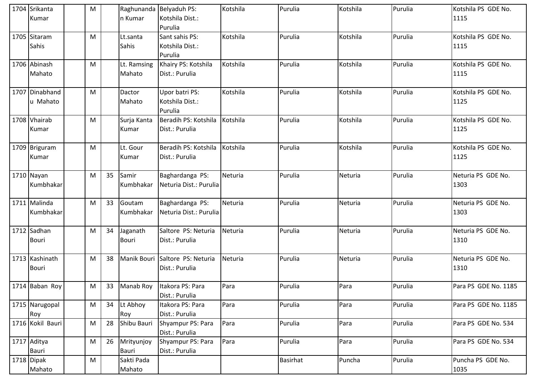| 1704 Srikanta<br>Kumar         | M |    | n Kumar                  | Raghunanda Belyaduh PS:<br>Kotshila Dist.:<br>Purulia | Kotshila | Purulia         | Kotshila | Purulia | Kotshila PS GDE No.<br>1115 |
|--------------------------------|---|----|--------------------------|-------------------------------------------------------|----------|-----------------|----------|---------|-----------------------------|
| 1705 Sitaram<br>Sahis          | M |    | Lt.santa<br>Sahis        | Sant sahis PS:<br>Kotshila Dist.:<br>Purulia          | Kotshila | Purulia         | Kotshila | Purulia | Kotshila PS GDE No.<br>1115 |
| 1706 Abinash<br>Mahato         | M |    | Lt. Ramsing<br>Mahato    | Khairy PS: Kotshila<br>Dist.: Purulia                 | Kotshila | Purulia         | Kotshila | Purulia | Kotshila PS GDE No.<br>1115 |
| 1707 Dinabhand<br>u Mahato     | M |    | Dactor<br>Mahato         | Upor batri PS:<br>Kotshila Dist.:<br>Purulia          | Kotshila | Purulia         | Kotshila | Purulia | Kotshila PS GDE No.<br>1125 |
| 1708 Vhairab<br>Kumar          | M |    | Surja Kanta<br>Kumar     | Beradih PS: Kotshila<br>Dist.: Purulia                | Kotshila | Purulia         | Kotshila | Purulia | Kotshila PS GDE No.<br>1125 |
| 1709 Briguram<br>Kumar         | M |    | Lt. Gour<br>Kumar        | Beradih PS: Kotshila<br>Dist.: Purulia                | Kotshila | Purulia         | Kotshila | Purulia | Kotshila PS GDE No.<br>1125 |
| 1710 Nayan<br>Kumbhakar        | M | 35 | Samir<br>Kumbhakar       | Baghardanga PS:<br>Neturia Dist.: Purulia             | Neturia  | Purulia         | Neturia  | Purulia | Neturia PS GDE No.<br>1303  |
| 1711 Malinda<br>Kumbhakar      | M | 33 | Goutam<br>Kumbhakar      | Baghardanga PS:<br>Neturia Dist.: Purulia             | Neturia  | Purulia         | Neturia  | Purulia | Neturia PS GDE No.<br>1303  |
| 1712 Sadhan<br><b>Bouri</b>    | M | 34 | Jaganath<br><b>Bouri</b> | Saltore PS: Neturia<br>Dist.: Purulia                 | Neturia  | Purulia         | Neturia  | Purulia | Neturia PS GDE No.<br>1310  |
| 1713 Kashinath<br><b>Bouri</b> | M | 38 | <b>Manik Bouri</b>       | Saltore PS: Neturia<br>Dist.: Purulia                 | Neturia  | Purulia         | Neturia  | Purulia | Neturia PS GDE No.<br>1310  |
| 1714 Baban Roy                 | M | 33 |                          | Manab Roy Itakora PS: Para<br>Dist.: Purulia          | Para     | Purulia         | Para     | Purulia | Para PS GDE No. 1185        |
| 1715 Narugopal<br>Roy          | M | 34 | Lt Abhoy<br>Roy          | Itakora PS: Para<br>Dist.: Purulia                    | Para     | Purulia         | Para     | Purulia | Para PS GDE No. 1185        |
| 1716 Kokil Bauri               | M | 28 | Shibu Bauri              | Shyampur PS: Para<br>Dist.: Purulia                   | Para     | Purulia         | Para     | Purulia | Para PS GDE No. 534         |
| 1717 Aditya<br><b>Bauri</b>    | M | 26 | Mrityunjoy<br>Bauri      | Shyampur PS: Para<br>Dist.: Purulia                   | Para     | Purulia         | Para     | Purulia | Para PS GDE No. 534         |
| 1718 Dipak<br>Mahato           | M |    | Sakti Pada<br>Mahato     |                                                       |          | <b>Basirhat</b> | Puncha   | Purulia | Puncha PS GDE No.<br>1035   |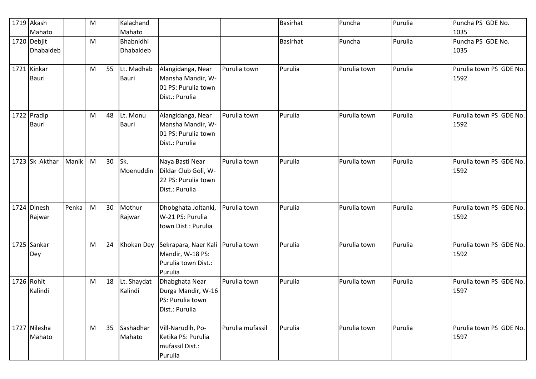| 1719 Akash     |       | M |    | Kalachand        |                      |                  | <b>Basirhat</b> | Puncha       | Purulia | Puncha PS GDE No.       |
|----------------|-------|---|----|------------------|----------------------|------------------|-----------------|--------------|---------|-------------------------|
| Mahato         |       |   |    | Mahato           |                      |                  |                 |              |         | 1035                    |
| 1720 Debjit    |       | M |    | Bhabnidhi        |                      |                  | <b>Basirhat</b> | Puncha       | Purulia | Puncha PS GDE No.       |
| Dhabaldeb      |       |   |    | <b>Dhabaldeb</b> |                      |                  |                 |              |         | 1035                    |
| 1721 Kinkar    |       | M | 55 | Lt. Madhab       | Alangidanga, Near    | Purulia town     | Purulia         | Purulia town | Purulia | Purulia town PS GDE No. |
| <b>Bauri</b>   |       |   |    | <b>Bauri</b>     | Mansha Mandir, W-    |                  |                 |              |         | 1592                    |
|                |       |   |    |                  | 01 PS: Purulia town  |                  |                 |              |         |                         |
|                |       |   |    |                  | Dist.: Purulia       |                  |                 |              |         |                         |
| 1722 Pradip    |       | M | 48 | Lt. Monu         | Alangidanga, Near    | Purulia town     | Purulia         | Purulia town | Purulia | Purulia town PS GDE No. |
| <b>Bauri</b>   |       |   |    | <b>Bauri</b>     | Mansha Mandir, W-    |                  |                 |              |         | 1592                    |
|                |       |   |    |                  | 01 PS: Purulia town  |                  |                 |              |         |                         |
|                |       |   |    |                  | Dist.: Purulia       |                  |                 |              |         |                         |
| 1723 Sk Akthar | Manik | M | 30 | Sk.              | Naya Basti Near      | Purulia town     | Purulia         | Purulia town | Purulia | Purulia town PS GDE No. |
|                |       |   |    | Moenuddin        | Dildar Club Goli, W- |                  |                 |              |         | 1592                    |
|                |       |   |    |                  | 22 PS: Purulia town  |                  |                 |              |         |                         |
|                |       |   |    |                  | Dist.: Purulia       |                  |                 |              |         |                         |
| 1724 Dinesh    | Penka | M | 30 | Mothur           | Dhobghata Joltanki,  | Purulia town     | Purulia         | Purulia town | Purulia | Purulia town PS GDE No. |
| Rajwar         |       |   |    | Rajwar           | W-21 PS: Purulia     |                  |                 |              |         | 1592                    |
|                |       |   |    |                  | town Dist.: Purulia  |                  |                 |              |         |                         |
| 1725 Sankar    |       | M | 24 | Khokan Dey       | Sekrapara, Naer Kali | Purulia town     | Purulia         | Purulia town | Purulia | Purulia town PS GDE No. |
| Dey            |       |   |    |                  | Mandir, W-18 PS:     |                  |                 |              |         | 1592                    |
|                |       |   |    |                  | Purulia town Dist.:  |                  |                 |              |         |                         |
|                |       |   |    |                  | Purulia              |                  |                 |              |         |                         |
| 1726 Rohit     |       | M | 18 | Lt. Shaydat      | Dhabghata Near       | Purulia town     | Purulia         | Purulia town | Purulia | Purulia town PS GDE No. |
| Kalindi        |       |   |    | Kalindi          | Durga Mandir, W-16   |                  |                 |              |         | 1597                    |
|                |       |   |    |                  | PS: Purulia town     |                  |                 |              |         |                         |
|                |       |   |    |                  | Dist.: Purulia       |                  |                 |              |         |                         |
| 1727 Nilesha   |       | M | 35 | Sashadhar        | Vill-Narudih, Po-    | Purulia mufassil | Purulia         | Purulia town | Purulia | Purulia town PS GDE No. |
| Mahato         |       |   |    | Mahato           | Ketika PS: Purulia   |                  |                 |              |         | 1597                    |
|                |       |   |    |                  | mufassil Dist.:      |                  |                 |              |         |                         |
|                |       |   |    |                  | Purulia              |                  |                 |              |         |                         |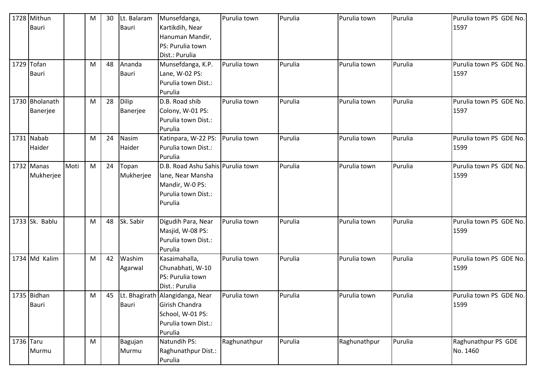|           | 1728 Mithun    |      | M | 30 | Lt. Balaram  | Munsefdanga,                      | Purulia town | Purulia | Purulia town | Purulia | Purulia town PS GDE No. |
|-----------|----------------|------|---|----|--------------|-----------------------------------|--------------|---------|--------------|---------|-------------------------|
|           | <b>Bauri</b>   |      |   |    | <b>Bauri</b> | Kartikdih, Near                   |              |         |              |         | 1597                    |
|           |                |      |   |    |              | Hanuman Mandir,                   |              |         |              |         |                         |
|           |                |      |   |    |              | PS: Purulia town                  |              |         |              |         |                         |
|           |                |      |   |    |              | Dist.: Purulia                    |              |         |              |         |                         |
|           | 1729 Tofan     |      | M | 48 | Ananda       | Munsefdanga, K.P.                 | Purulia town | Purulia | Purulia town | Purulia | Purulia town PS GDE No. |
|           | <b>Bauri</b>   |      |   |    | <b>Bauri</b> | Lane, W-02 PS:                    |              |         |              |         | 1597                    |
|           |                |      |   |    |              | Purulia town Dist.:               |              |         |              |         |                         |
|           |                |      |   |    |              | Purulia                           |              |         |              |         |                         |
|           | 1730 Bholanath |      | M | 28 | Dilip        | D.B. Road shib                    | Purulia town | Purulia | Purulia town | Purulia | Purulia town PS GDE No. |
|           | Banerjee       |      |   |    | Banerjee     | Colony, W-01 PS:                  |              |         |              |         | 1597                    |
|           |                |      |   |    |              | Purulia town Dist.:               |              |         |              |         |                         |
|           |                |      |   |    |              | Purulia                           |              |         |              |         |                         |
|           | 1731 Nabab     |      | M | 24 | Nasim        | Katinpara, W-22 PS:               | Purulia town | Purulia | Purulia town | Purulia | Purulia town PS GDE No. |
|           | Haider         |      |   |    | Haider       | Purulia town Dist.:               |              |         |              |         | 1599                    |
|           |                |      |   |    |              | Purulia                           |              |         |              |         |                         |
|           | 1732 Manas     | Moti | M | 24 | Topan        | D.B. Road Ashu Sahis Purulia town |              | Purulia | Purulia town | Purulia | Purulia town PS GDE No. |
|           | Mukherjee      |      |   |    | Mukherjee    | lane, Near Mansha                 |              |         |              |         | 1599                    |
|           |                |      |   |    |              | Mandir, W-0 PS:                   |              |         |              |         |                         |
|           |                |      |   |    |              | Purulia town Dist.:               |              |         |              |         |                         |
|           |                |      |   |    |              | Purulia                           |              |         |              |         |                         |
|           |                |      |   |    |              |                                   |              |         |              |         |                         |
|           | 1733 Sk. Bablu |      | M | 48 | Sk. Sabir    | Digudih Para, Near                | Purulia town | Purulia | Purulia town | Purulia | Purulia town PS GDE No. |
|           |                |      |   |    |              | Masjid, W-08 PS:                  |              |         |              |         | 1599                    |
|           |                |      |   |    |              | Purulia town Dist.:               |              |         |              |         |                         |
|           |                |      |   |    |              | Purulia                           |              |         |              |         |                         |
|           | 1734 Md Kalim  |      | M | 42 | Washim       | Kasaimahalla,                     | Purulia town | Purulia | Purulia town | Purulia | Purulia town PS GDE No. |
|           |                |      |   |    | Agarwal      | Chunabhati, W-10                  |              |         |              |         | 1599                    |
|           |                |      |   |    |              | PS: Purulia town                  |              |         |              |         |                         |
|           |                |      |   |    |              | Dist.: Purulia                    |              |         |              |         |                         |
|           | 1735 Bidhan    |      | M | 45 |              | Lt. Bhagirath Alangidanga, Near   | Purulia town | Purulia | Purulia town | Purulia | Purulia town PS GDE No. |
|           | Bauri          |      |   |    | <b>Bauri</b> | Girish Chandra                    |              |         |              |         | 1599                    |
|           |                |      |   |    |              | School, W-01 PS:                  |              |         |              |         |                         |
|           |                |      |   |    |              | Purulia town Dist.:               |              |         |              |         |                         |
|           |                |      |   |    |              | Purulia                           |              |         |              |         |                         |
| 1736 Taru |                |      | M |    | Bagujan      | Natundih PS:                      | Raghunathpur | Purulia | Raghunathpur | Purulia | Raghunathpur PS GDE     |
|           | Murmu          |      |   |    | Murmu        | Raghunathpur Dist.:               |              |         |              |         | No. 1460                |
|           |                |      |   |    |              | Purulia                           |              |         |              |         |                         |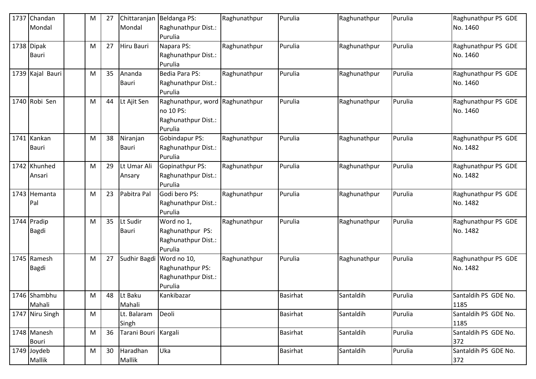| 1737 | Chandan<br>Mondal           | M | 27 | Chittaranjan<br>Mondal   | Beldanga PS:<br>Raghunathpur Dist.:<br>Purulia                                 | Raghunathpur | Purulia         | Raghunathpur | Purulia | Raghunathpur PS GDE<br>No. 1460 |
|------|-----------------------------|---|----|--------------------------|--------------------------------------------------------------------------------|--------------|-----------------|--------------|---------|---------------------------------|
|      | 1738 Dipak<br><b>Bauri</b>  | M | 27 | Hiru Bauri               | Napara PS:<br>Raghunathpur Dist.:<br>Purulia                                   | Raghunathpur | Purulia         | Raghunathpur | Purulia | Raghunathpur PS GDE<br>No. 1460 |
|      | 1739 Kajal Bauri            | M | 35 | Ananda<br><b>Bauri</b>   | Bedia Para PS:<br>Raghunathpur Dist.:<br>Purulia                               | Raghunathpur | Purulia         | Raghunathpur | Purulia | Raghunathpur PS GDE<br>No. 1460 |
|      | 1740 Robi Sen               | M | 44 | Lt Ajit Sen              | Raghunathpur, word Raghunathpur<br>no 10 PS:<br>Raghunathpur Dist.:<br>Purulia |              | Purulia         | Raghunathpur | Purulia | Raghunathpur PS GDE<br>No. 1460 |
|      | 1741 Kankan<br><b>Bauri</b> | M | 38 | Niranjan<br><b>Bauri</b> | Gobindapur PS:<br>Raghunathpur Dist.:<br>Purulia                               | Raghunathpur | Purulia         | Raghunathpur | Purulia | Raghunathpur PS GDE<br>No. 1482 |
|      | 1742 Khunhed<br>Ansari      | M | 29 | Lt Umar Ali<br>Ansary    | Gopinathpur PS:<br>Raghunathpur Dist.:<br>Purulia                              | Raghunathpur | Purulia         | Raghunathpur | Purulia | Raghunathpur PS GDE<br>No. 1482 |
|      | 1743 Hemanta<br>Pal         | M | 23 | Pabitra Pal              | Godi bero PS:<br>Raghunathpur Dist.:<br>Purulia                                | Raghunathpur | Purulia         | Raghunathpur | Purulia | Raghunathpur PS GDE<br>No. 1482 |
|      | 1744 Pradip<br><b>Bagdi</b> | M | 35 | Lt Sudir<br><b>Bauri</b> | Word no 1,<br>Raghunathpur PS:<br>Raghunathpur Dist.:<br>Purulia               | Raghunathpur | Purulia         | Raghunathpur | Purulia | Raghunathpur PS GDE<br>No. 1482 |
|      | 1745 Ramesh<br>Bagdi        | M | 27 | Sudhir Bagdi             | Word no 10,<br>Raghunathpur PS:<br>Raghunathpur Dist.:<br>Purulia              | Raghunathpur | Purulia         | Raghunathpur | Purulia | Raghunathpur PS GDE<br>No. 1482 |
|      | 1746 Shambhu<br>Mahali      | M | 48 | Lt Baku<br>Mahali        | Kankibazar                                                                     |              | <b>Basirhat</b> | Santaldih    | Purulia | Santaldih PS GDE No.<br>1185    |
|      | 1747 Niru Singh             | M |    | Lt. Balaram<br>Singh     | Deoli                                                                          |              | <b>Basirhat</b> | Santaldih    | Purulia | Santaldih PS GDE No.<br>1185    |
|      | 1748 Manesh<br>Bouri        | M | 36 | Tarani Bouri Kargali     |                                                                                |              | Basirhat        | Santaldih    | Purulia | Santaldih PS GDE No.<br>372     |
|      | 1749 Joydeb<br>Mallik       | M | 30 | Haradhan<br>Mallik       | Uka                                                                            |              | <b>Basirhat</b> | Santaldih    | Purulia | Santaldih PS GDE No.<br>372     |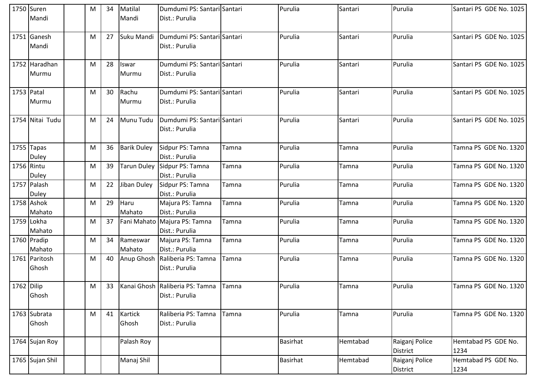|            | 1750 Suren<br>Mandi          | M | 34 | Matilal<br>Mandi   | Dumdumi PS: Santari Santari<br>Dist.: Purulia     |       | Purulia         | Santari  | Purulia                    | Santari PS GDE No. 1025     |
|------------|------------------------------|---|----|--------------------|---------------------------------------------------|-------|-----------------|----------|----------------------------|-----------------------------|
|            | 1751 Ganesh<br>Mandi         | M | 27 | Suku Mandi         | Dumdumi PS: Santari Santari<br>Dist.: Purulia     |       | Purulia         | Santari  | Purulia                    | Santari PS GDE No. 1025     |
|            | 1752 Haradhan<br>Murmu       | M | 28 | Iswar<br>Murmu     | Dumdumi PS: Santari Santari<br>Dist.: Purulia     |       | Purulia         | Santari  | Purulia                    | Santari PS GDE No. 1025     |
| 1753 Patal | Murmu                        | M | 30 | Rachu<br>Murmu     | Dumdumi PS: Santari Santari<br>Dist.: Purulia     |       | Purulia         | Santari  | Purulia                    | Santari PS GDE No. 1025     |
|            | 1754 Nitai Tudu              | M | 24 | Munu Tudu          | Dumdumi PS: Santari Santari<br>Dist.: Purulia     |       | Purulia         | Santari  | Purulia                    | Santari PS GDE No. 1025     |
|            | $1755$ Tapas<br><b>Duley</b> | M | 36 | <b>Barik Duley</b> | Sidpur PS: Tamna<br>Dist.: Purulia                | Tamna | Purulia         | Tamna    | Purulia                    | Tamna PS GDE No. 1320       |
| 1756 Rintu | <b>Duley</b>                 | M | 39 | Tarun Duley        | Sidpur PS: Tamna<br>Dist.: Purulia                | Tamna | Purulia         | Tamna    | Purulia                    | Tamna PS GDE No. 1320       |
|            | 1757 Palash<br><b>Duley</b>  | M | 22 | Jiban Duley        | Sidpur PS: Tamna<br>Dist.: Purulia                | Tamna | Purulia         | Tamna    | Purulia                    | Tamna PS GDE No. 1320       |
|            | 1758 Ashok<br>Mahato         | M | 29 | Haru<br>Mahato     | Majura PS: Tamna<br>Dist.: Purulia                | Tamna | Purulia         | Tamna    | Purulia                    | Tamna PS GDE No. 1320       |
|            | 1759 Lokha<br>Mahato         | M | 37 |                    | Fani Mahato Majura PS: Tamna<br>Dist.: Purulia    | Tamna | Purulia         | Tamna    | Purulia                    | Tamna PS GDE No. 1320       |
|            | 1760 Pradip<br>Mahato        | M | 34 | Rameswar<br>Mahato | Majura PS: Tamna<br>Dist.: Purulia                | Tamna | Purulia         | Tamna    | Purulia                    | Tamna PS GDE No. 1320       |
|            | 1761 Paritosh<br>Ghosh       | M | 40 | Anup Ghosh         | Raliberia PS: Tamna<br>Dist.: Purulia             | Tamna | Purulia         | Tamna    | Purulia                    | Tamna PS GDE No. 1320       |
| 1762 Dilip | Ghosh                        | M | 33 |                    | Kanai Ghosh Raliberia PS: Tamna<br>Dist.: Purulia | Tamna | Purulia         | Tamna    | Purulia                    | Tamna PS $GDE$ No. 1320     |
|            | 1763 Subrata<br>Ghosh        | M | 41 | Kartick<br>Ghosh   | Raliberia PS: Tamna<br>Dist.: Purulia             | Tamna | Purulia         | Tamna    | Purulia                    | Tamna PS GDE No. 1320       |
|            | 1764 Sujan Roy               |   |    | Palash Roy         |                                                   |       | <b>Basirhat</b> | Hemtabad | Raiganj Police<br>District | Hemtabad PS GDE No.<br>1234 |
|            | 1765 Sujan Shil              |   |    | Manaj Shil         |                                                   |       | <b>Basirhat</b> | Hemtabad | Raiganj Police<br>District | Hemtabad PS GDE No.<br>1234 |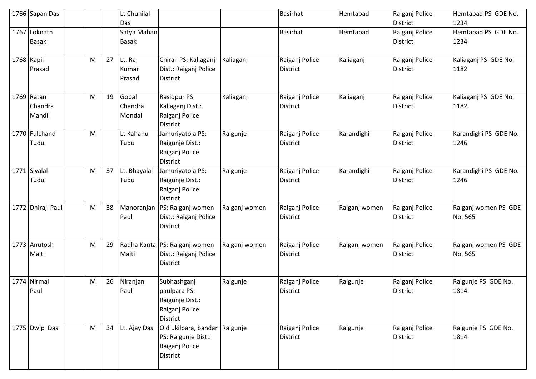|            | 1766 Sapan Das                  |   |    | Lt Chunilal<br>Das          |                                                                                     |               | Basirhat                          | Hemtabad      | Raiganj Police<br><b>District</b> | Hemtabad PS GDE No.<br>1234     |
|------------|---------------------------------|---|----|-----------------------------|-------------------------------------------------------------------------------------|---------------|-----------------------------------|---------------|-----------------------------------|---------------------------------|
|            | 1767 Loknath<br><b>Basak</b>    |   |    | Satya Mahan<br><b>Basak</b> |                                                                                     |               | <b>Basirhat</b>                   | Hemtabad      | Raiganj Police<br><b>District</b> | Hemtabad PS GDE No.<br>1234     |
| 1768 Kapil | Prasad                          | M | 27 | Lt. Raj<br>Kumar<br>Prasad  | Chirail PS: Kaliaganj<br>Dist.: Raiganj Police<br><b>District</b>                   | Kaliaganj     | Raiganj Police<br><b>District</b> | Kaliaganj     | Raiganj Police<br><b>District</b> | Kaliaganj PS GDE No.<br>1182    |
|            | 1769 Ratan<br>Chandra<br>Mandil | M | 19 | Gopal<br>Chandra<br>Mondal  | Rasidpur PS:<br>Kaliaganj Dist.:<br>Raiganj Police<br><b>District</b>               | Kaliaganj     | Raiganj Police<br><b>District</b> | Kaliaganj     | Raiganj Police<br><b>District</b> | Kaliaganj PS GDE No.<br>1182    |
|            | 1770 Fulchand<br>Tudu           | M |    | Lt Kahanu<br>Tudu           | Jamuriyatola PS:<br>Raigunje Dist.:<br>Raiganj Police<br><b>District</b>            | Raigunje      | Raiganj Police<br><b>District</b> | Karandighi    | Raiganj Police<br>District        | Karandighi PS GDE No.<br>1246   |
| 1771       | Siyalal<br>Tudu                 | M | 37 | Lt. Bhayalal<br>Tudu        | Jamuriyatola PS:<br>Raigunje Dist.:<br>Raiganj Police<br><b>District</b>            | Raigunje      | Raiganj Police<br><b>District</b> | Karandighi    | Raiganj Police<br><b>District</b> | Karandighi PS GDE No.<br>1246   |
|            | 1772 Dhiraj Paul                | M | 38 | Manoranjan<br>Paul          | PS: Raiganj women<br>Dist.: Raiganj Police<br><b>District</b>                       | Raiganj women | Raiganj Police<br><b>District</b> | Raiganj women | Raiganj Police<br><b>District</b> | Raiganj women PS GDE<br>No. 565 |
|            | 1773 Anutosh<br>Maiti           | M | 29 | Maiti                       | Radha Kanta   PS: Raiganj women<br>Dist.: Raiganj Police<br><b>District</b>         | Raiganj women | Raiganj Police<br><b>District</b> | Raiganj women | Raiganj Police<br><b>District</b> | Raiganj women PS GDE<br>No. 565 |
| 1774       | Nirmal<br>Paul                  | M | 26 | Niranjan<br>Paul            | Subhashganj<br>paulpara PS:<br>Raigunje Dist.:<br>Raiganj Police<br><b>District</b> | Raigunje      | Raiganj Police<br><b>District</b> | Raigunje      | Raiganj Police<br><b>District</b> | Raigunje PS GDE No.<br>1814     |
|            | 1775 Dwip Das                   | M | 34 | Lt. Ajay Das                | Old ukilpara, bandar<br>PS: Raigunje Dist.:<br>Raiganj Police<br>District           | Raigunje      | Raiganj Police<br>District        | Raigunje      | Raiganj Police<br><b>District</b> | Raigunje PS GDE No.<br>1814     |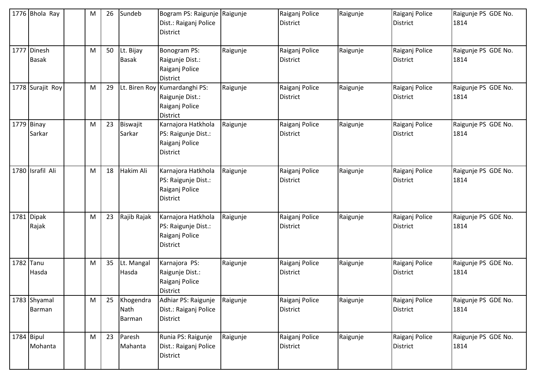| 1776 Bhola Ray              | M | 26 | Sundeb                             | Bogram PS: Raigunje Raigunje<br>Dist.: Raiganj Police<br>District              |          | Raiganj Police<br><b>District</b> | Raigunje | Raiganj Police<br><b>District</b> | Raigunje PS GDE No.<br>1814 |
|-----------------------------|---|----|------------------------------------|--------------------------------------------------------------------------------|----------|-----------------------------------|----------|-----------------------------------|-----------------------------|
| 1777 Dinesh<br><b>Basak</b> | M | 50 | Lt. Bijay<br><b>Basak</b>          | Bonogram PS:<br>Raigunje Dist.:<br>Raiganj Police<br>District                  | Raigunje | Raiganj Police<br><b>District</b> | Raigunje | Raiganj Police<br><b>District</b> | Raigunje PS GDE No.<br>1814 |
| 1778 Surajit Roy            | M | 29 | Lt. Biren Roy                      | Kumardanghi PS:<br>Raigunje Dist.:<br>Raiganj Police<br><b>District</b>        | Raigunje | Raiganj Police<br><b>District</b> | Raigunje | Raiganj Police<br><b>District</b> | Raigunje PS GDE No.<br>1814 |
| 1779 Binay<br>Sarkar        | M | 23 | Biswajit<br>Sarkar                 | Karnajora Hatkhola<br>PS: Raigunje Dist.:<br>Raiganj Police<br><b>District</b> | Raigunje | Raiganj Police<br><b>District</b> | Raigunje | Raiganj Police<br><b>District</b> | Raigunje PS GDE No.<br>1814 |
| 1780 Israfil Ali            | M | 18 | Hakim Ali                          | Karnajora Hatkhola<br>PS: Raigunje Dist.:<br>Raiganj Police<br><b>District</b> | Raigunje | Raiganj Police<br><b>District</b> | Raigunje | Raiganj Police<br><b>District</b> | Raigunje PS GDE No.<br>1814 |
| 1781 Dipak<br>Rajak         | M | 23 | Rajib Rajak                        | Karnajora Hatkhola<br>PS: Raigunje Dist.:<br>Raiganj Police<br>District        | Raigunje | Raiganj Police<br><b>District</b> | Raigunje | Raiganj Police<br><b>District</b> | Raigunje PS GDE No.<br>1814 |
| 1782 Tanu<br>Hasda          | M | 35 | Lt. Mangal<br>Hasda                | Karnajora PS:<br>Raigunje Dist.:<br>Raiganj Police<br>District                 | Raigunje | Raiganj Police<br>District        | Raigunje | Raiganj Police<br><b>District</b> | Raigunje PS GDE No.<br>1814 |
| 1783 Shyamal<br>Barman      | M | 25 | Khogendra<br>Nath<br><b>Barman</b> | Adhiar PS: Raigunje<br>Dist.: Raiganj Police<br><b>District</b>                | Raigunje | Raiganj Police<br>District        | Raigunje | Raiganj Police<br><b>District</b> | Raigunje PS GDE No.<br>1814 |
| 1784 Bipul<br>Mohanta       | M | 23 | Paresh<br>Mahanta                  | Runia PS: Raigunje<br>Dist.: Raiganj Police<br>District                        | Raigunje | Raiganj Police<br><b>District</b> | Raigunje | Raiganj Police<br><b>District</b> | Raigunje PS GDE No.<br>1814 |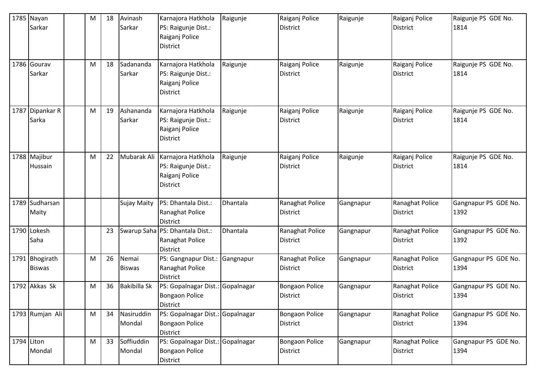|            | 1785 Nayan<br>Sarkar<br>1786 Gourav<br>Sarkar | М<br>M | 18<br>18 | Avinash<br>Sarkar<br>Sadananda<br>Sarkar | Karnajora Hatkhola<br>PS: Raigunje Dist.:<br>Raiganj Police<br>District<br>Karnajora Hatkhola<br>PS: Raigunje Dist.: | Raigunje<br>Raigunje | Raiganj Police<br><b>District</b><br>Raiganj Police<br><b>District</b> | Raigunje<br>Raigunje | Raiganj Police<br><b>District</b><br>Raiganj Police<br><b>District</b> | Raigunje PS GDE No.<br>1814<br>Raigunje PS GDE No.<br>1814 |
|------------|-----------------------------------------------|--------|----------|------------------------------------------|----------------------------------------------------------------------------------------------------------------------|----------------------|------------------------------------------------------------------------|----------------------|------------------------------------------------------------------------|------------------------------------------------------------|
|            |                                               |        |          |                                          | Raiganj Police<br>District                                                                                           |                      |                                                                        |                      |                                                                        |                                                            |
| 1787       | Dipankar R<br>Sarka                           | M      | 19       | Ashananda<br>Sarkar                      | Karnajora Hatkhola<br>PS: Raigunje Dist.:<br>Raiganj Police<br>District                                              | Raigunje             | Raiganj Police<br><b>District</b>                                      | Raigunje             | Raiganj Police<br>District                                             | Raigunje PS GDE No.<br>1814                                |
|            | 1788 Majibur<br>Hussain                       | M      | 22       | Mubarak Ali                              | Karnajora Hatkhola<br>PS: Raigunje Dist.:<br>Raiganj Police<br>District                                              | Raigunje             | Raiganj Police<br><b>District</b>                                      | Raigunje             | Raiganj Police<br><b>District</b>                                      | Raigunje PS GDE No.<br>1814                                |
|            | 1789 Sudharsan<br>Maity                       |        |          | Sujay Maity                              | PS: Dhantala Dist.:<br>Ranaghat Police<br><b>District</b>                                                            | Dhantala             | Ranaghat Police<br><b>District</b>                                     | Gangnapur            | Ranaghat Police<br><b>District</b>                                     | Gangnapur PS GDE No.<br>1392                               |
|            | 1790 Lokesh<br>Saha                           |        | 23       |                                          | Swarup Saha PS: Dhantala Dist.:<br>Ranaghat Police<br><b>District</b>                                                | Dhantala             | Ranaghat Police<br><b>District</b>                                     | Gangnapur            | Ranaghat Police<br><b>District</b>                                     | Gangnapur PS GDE No.<br>1392                               |
|            | 1791 Bhogirath<br><b>Biswas</b>               | M      | 26       | Nemai<br><b>Biswas</b>                   | PS: Gangnapur Dist.:<br>Ranaghat Police<br>District                                                                  | Gangnapur            | Ranaghat Police<br><b>District</b>                                     | Gangnapur            | Ranaghat Police<br><b>District</b>                                     | Gangnapur PS GDE No.<br>1394                               |
|            | 1792 Akkas Sk                                 | M      | 36       | <b>Bakibilla Sk</b>                      | PS: Gopalnagar Dist.:<br><b>Bongaon Police</b><br><b>District</b>                                                    | Gopalnagar           | <b>Bongaon Police</b><br><b>District</b>                               | Gangnapur            | Ranaghat Police<br><b>District</b>                                     | Gangnapur PS GDE No.<br>1394                               |
|            | 1793 Rumjan Ali                               | M      | 34       | Nasiruddin<br>Mondal                     | PS: Gopalnagar Dist.: Gopalnagar<br><b>Bongaon Police</b><br>District                                                |                      | <b>Bongaon Police</b><br><b>District</b>                               | Gangnapur            | Ranaghat Police<br><b>District</b>                                     | Gangnapur PS GDE No.<br>1394                               |
| 1794 Liton | Mondal                                        | M      | 33       | Soffiuddin<br>Mondal                     | PS: Gopalnagar Dist.: Gopalnagar<br><b>Bongaon Police</b><br>District                                                |                      | <b>Bongaon Police</b><br><b>District</b>                               | Gangnapur            | Ranaghat Police<br><b>District</b>                                     | Gangnapur PS GDE No.<br>1394                               |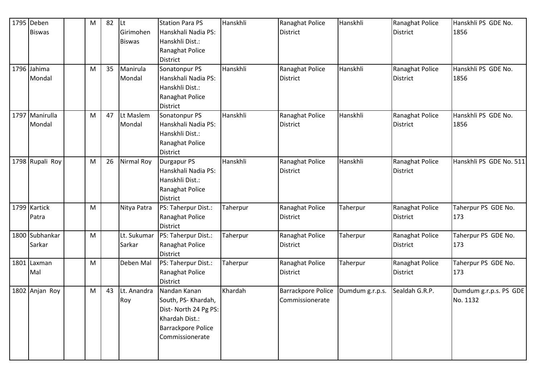|      | 1795 Deben      | M | 82 | lLt.          | <b>Station Para PS</b> | Hanskhli | Ranaghat Police    | Hanskhli        | Ranaghat Police | Hanskhli PS GDE No.     |
|------|-----------------|---|----|---------------|------------------------|----------|--------------------|-----------------|-----------------|-------------------------|
|      | <b>Biswas</b>   |   |    | Girimohen     | Hanskhali Nadia PS:    |          | District           |                 | <b>District</b> | 1856                    |
|      |                 |   |    | <b>Biswas</b> | Hanskhli Dist.:        |          |                    |                 |                 |                         |
|      |                 |   |    |               | Ranaghat Police        |          |                    |                 |                 |                         |
|      |                 |   |    |               | District               |          |                    |                 |                 |                         |
|      | 1796 Jahima     | M | 35 | Manirula      | Sonatonpur PS          | Hanskhli | Ranaghat Police    | Hanskhli        | Ranaghat Police | Hanskhli PS GDE No.     |
|      | Mondal          |   |    | Mondal        | Hanskhali Nadia PS:    |          | District           |                 | <b>District</b> | 1856                    |
|      |                 |   |    |               | Hanskhli Dist.:        |          |                    |                 |                 |                         |
|      |                 |   |    |               | Ranaghat Police        |          |                    |                 |                 |                         |
|      |                 |   |    |               | <b>District</b>        |          |                    |                 |                 |                         |
|      | 1797 Manirulla  | M | 47 | Lt Maslem     | Sonatonpur PS          | Hanskhli | Ranaghat Police    | Hanskhli        | Ranaghat Police | Hanskhli PS GDE No.     |
|      | Mondal          |   |    | Mondal        | Hanskhali Nadia PS:    |          | District           |                 | <b>District</b> | 1856                    |
|      |                 |   |    |               | Hanskhli Dist.:        |          |                    |                 |                 |                         |
|      |                 |   |    |               | Ranaghat Police        |          |                    |                 |                 |                         |
|      |                 |   |    |               | <b>District</b>        |          |                    |                 |                 |                         |
|      | 1798 Rupali Roy | M | 26 | Nirmal Roy    | Durgapur PS            | Hanskhli | Ranaghat Police    | Hanskhli        | Ranaghat Police | Hanskhli PS GDE No. 511 |
|      |                 |   |    |               | Hanskhali Nadia PS:    |          | District           |                 | <b>District</b> |                         |
|      |                 |   |    |               | Hanskhli Dist.:        |          |                    |                 |                 |                         |
|      |                 |   |    |               | Ranaghat Police        |          |                    |                 |                 |                         |
|      |                 |   |    |               | <b>District</b>        |          |                    |                 |                 |                         |
|      | 1799 Kartick    | M |    | Nitya Patra   | PS: Taherpur Dist.:    | Taherpur | Ranaghat Police    | Taherpur        | Ranaghat Police | Taherpur PS GDE No.     |
|      | Patra           |   |    |               | Ranaghat Police        |          | <b>District</b>    |                 | <b>District</b> | 173                     |
|      |                 |   |    |               | <b>District</b>        |          |                    |                 |                 |                         |
| 1800 | Subhankar       | M |    | Lt. Sukumar   | PS: Taherpur Dist.:    | Taherpur | Ranaghat Police    | Taherpur        | Ranaghat Police | Taherpur PS GDE No.     |
|      | Sarkar          |   |    | Sarkar        | Ranaghat Police        |          | <b>District</b>    |                 | <b>District</b> | 173                     |
|      |                 |   |    |               | District               |          |                    |                 |                 |                         |
| 1801 | Laxman          | M |    | Deben Mal     | PS: Taherpur Dist.:    | Taherpur | Ranaghat Police    | Taherpur        | Ranaghat Police | Taherpur PS GDE No.     |
|      | Mal             |   |    |               | Ranaghat Police        |          | <b>District</b>    |                 | <b>District</b> | 173                     |
|      |                 |   |    |               | <b>District</b>        |          |                    |                 |                 |                         |
|      | 1802 Anjan Roy  | M | 43 | Lt. Anandra   | Nandan Kanan           | Khardah  | Barrackpore Police | Dumdum g.r.p.s. | Sealdah G.R.P.  | Dumdum g.r.p.s. PS GDE  |
|      |                 |   |    | Roy           | South, PS- Khardah,    |          | Commissionerate    |                 |                 | No. 1132                |
|      |                 |   |    |               | Dist- North 24 Pg PS:  |          |                    |                 |                 |                         |
|      |                 |   |    |               | Khardah Dist.:         |          |                    |                 |                 |                         |
|      |                 |   |    |               | Barrackpore Police     |          |                    |                 |                 |                         |
|      |                 |   |    |               | Commissionerate        |          |                    |                 |                 |                         |
|      |                 |   |    |               |                        |          |                    |                 |                 |                         |
|      |                 |   |    |               |                        |          |                    |                 |                 |                         |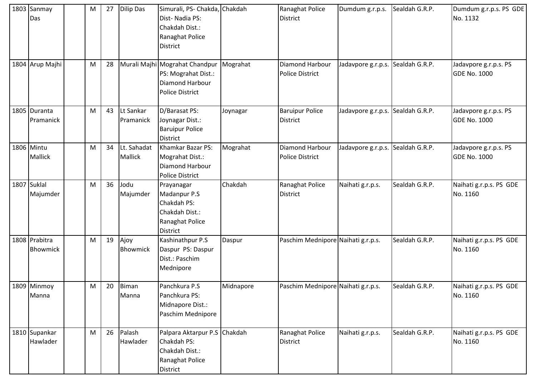|      | 1803 Sanmay<br>Das           | M | 27 | Dilip Das                     | Simurali, PS- Chakda, Chakdah<br>Dist-Nadia PS:<br>Chakdah Dist.:<br>Ranaghat Police<br><b>District</b> |           | Ranaghat Police<br><b>District</b>        | Dumdum g.r.p.s.                   | Sealdah G.R.P. | Dumdum g.r.p.s. PS GDE<br>No. 1132           |
|------|------------------------------|---|----|-------------------------------|---------------------------------------------------------------------------------------------------------|-----------|-------------------------------------------|-----------------------------------|----------------|----------------------------------------------|
|      | 1804 Arup Majhi              | M | 28 |                               | Murali Majhi Mograhat Chandpur<br>PS: Mograhat Dist.:<br>Diamond Harbour<br><b>Police District</b>      | Mograhat  | Diamond Harbour<br><b>Police District</b> | Jadavpore g.r.p.s. Sealdah G.R.P. |                | Jadavpore g.r.p.s. PS<br><b>GDE No. 1000</b> |
|      | 1805 Duranta<br>Pramanick    | M | 43 | Lt Sankar<br>Pramanick        | D/Barasat PS:<br>Joynagar Dist.:<br><b>Baruipur Police</b><br><b>District</b>                           | Joynagar  | <b>Baruipur Police</b><br><b>District</b> | Jadavpore g.r.p.s. Sealdah G.R.P. |                | Jadavpore g.r.p.s. PS<br><b>GDE No. 1000</b> |
|      | 1806 Mintu<br><b>Mallick</b> | M | 34 | Lt. Sahadat<br><b>Mallick</b> | Khamkar Bazar PS:<br>Mograhat Dist.:<br><b>Diamond Harbour</b><br><b>Police District</b>                | Mograhat  | Diamond Harbour<br><b>Police District</b> | Jadavpore g.r.p.s. Sealdah G.R.P. |                | Jadavpore g.r.p.s. PS<br><b>GDE No. 1000</b> |
| 1807 | Suklal<br>Majumder           | M | 36 | Jodu<br>Majumder              | Prayanagar<br>Madanpur P.S<br>Chakdah PS:<br>Chakdah Dist.:<br>Ranaghat Police<br>District              | Chakdah   | Ranaghat Police<br><b>District</b>        | Naihati g.r.p.s.                  | Sealdah G.R.P. | Naihati g.r.p.s. PS GDE<br>No. 1160          |
|      | 1808 Prabitra<br>Bhowmick    | M | 19 | Ajoy<br>Bhowmick              | Kashinathpur P.S<br>Daspur PS: Daspur<br>Dist.: Paschim<br>Mednipore                                    | Daspur    | Paschim Mednipore Naihati g.r.p.s.        |                                   | Sealdah G.R.P. | Naihati g.r.p.s. PS GDE<br>No. 1160          |
|      | 1809 Minmoy<br>Manna         | M | 20 | Biman<br>Manna                | Panchkura P.S<br>Panchkura PS:<br>Midnapore Dist.:<br>Paschim Mednipore                                 | Midnapore | Paschim Mednipore Naihati g.r.p.s.        |                                   | Sealdah G.R.P. | Naihati g.r.p.s. PS GDE<br>No. 1160          |
|      | 1810 Supankar<br>Hawlader    | M | 26 | Palash<br>Hawlader            | Palpara Aktarpur P.S Chakdah<br>Chakdah PS:<br>Chakdah Dist.:<br>Ranaghat Police<br>District            |           | Ranaghat Police<br><b>District</b>        | Naihati g.r.p.s.                  | Sealdah G.R.P. | Naihati g.r.p.s. PS GDE<br>No. 1160          |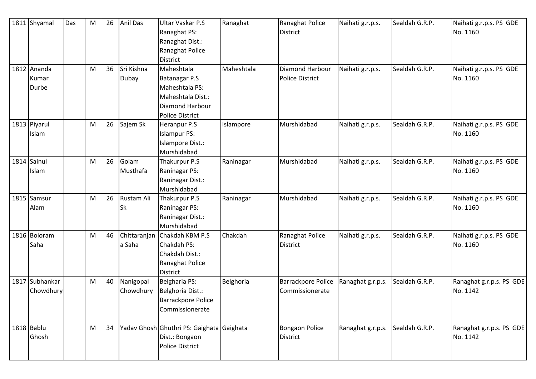|      | 1811 Shyamal                  | Das | ${\sf M}$ | 26 | <b>Anil Das</b>         | Ultar Vaskar P.S<br>Ranaghat PS:<br>Ranaghat Dist.:<br>Ranaghat Police<br><b>District</b>                | Ranaghat   | Ranaghat Police<br>District                  | Naihati g.r.p.s.  | Sealdah G.R.P. | Naihati g.r.p.s. PS GDE<br>No. 1160  |
|------|-------------------------------|-----|-----------|----|-------------------------|----------------------------------------------------------------------------------------------------------|------------|----------------------------------------------|-------------------|----------------|--------------------------------------|
|      | 1812 Ananda<br>Kumar<br>Durbe |     | M         | 36 | Sri Kishna<br>Dubay     | Maheshtala<br>Batanagar P.S<br>Maheshtala PS:<br>Maheshtala Dist.:<br>Diamond Harbour<br>Police District | Maheshtala | Diamond Harbour<br><b>Police District</b>    | Naihati g.r.p.s.  | Sealdah G.R.P. | Naihati g.r.p.s. PS GDE<br>No. 1160  |
|      | 1813 Piyarul<br>Islam         |     | M         | 26 | Sajem Sk                | Heranpur P.S<br><b>Islampur PS:</b><br>Islampore Dist.:<br>Murshidabad                                   | Islampore  | Murshidabad                                  | Naihati g.r.p.s.  | Sealdah G.R.P. | Naihati g.r.p.s. PS GDE<br>No. 1160  |
|      | 1814 Sainul<br>Islam          |     | M         | 26 | Golam<br>Musthafa       | Thakurpur P.S<br>Raninagar PS:<br>Raninagar Dist.:<br>Murshidabad                                        | Raninagar  | Murshidabad                                  | Naihati g.r.p.s.  | Sealdah G.R.P. | Naihati g.r.p.s. PS GDE<br>No. 1160  |
|      | 1815 Samsur<br>Alam           |     | M         | 26 | Rustam Ali<br><b>Sk</b> | Thakurpur P.S<br>Raninagar PS:<br>Raninagar Dist.:<br>Murshidabad                                        | Raninagar  | Murshidabad                                  | Naihati g.r.p.s.  | Sealdah G.R.P. | Naihati g.r.p.s. PS GDE<br>No. 1160  |
|      | 1816 Boloram<br>Saha          |     | M         | 46 | Chittaranjan<br>a Saha  | Chakdah KBM P.S<br>Chakdah PS:<br>Chakdah Dist.:<br>Ranaghat Police<br><b>District</b>                   | Chakdah    | Ranaghat Police<br><b>District</b>           | Naihati g.r.p.s.  | Sealdah G.R.P. | Naihati g.r.p.s. PS GDE<br>No. 1160  |
| 1817 | Subhankar<br>Chowdhury        |     | M         | 40 | Nanigopal<br>Chowdhury  | Belgharia PS:<br>Belghoria Dist.:<br><b>Barrackpore Police</b><br>Commissionerate                        | Belghoria  | <b>Barrackpore Police</b><br>Commissionerate | Ranaghat g.r.p.s. | Sealdah G.R.P. | Ranaghat g.r.p.s. PS GDE<br>No. 1142 |
|      | 1818 Bablu<br>Ghosh           |     | M         | 34 |                         | Yadav Ghosh Ghuthri PS: Gaighata Gaighata<br>Dist.: Bongaon<br>Police District                           |            | <b>Bongaon Police</b><br>District            | Ranaghat g.r.p.s. | Sealdah G.R.P. | Ranaghat g.r.p.s. PS GDE<br>No. 1142 |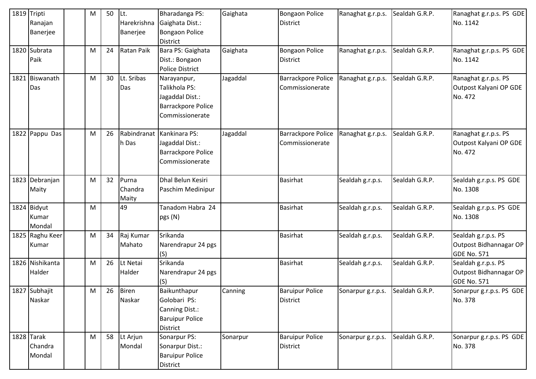|      | 1819 Tripti<br>Ranajan<br>Banerjee | М | 50 | Lt.<br>Harekrishna<br>Banerjee | Bharadanga PS:<br>Gaighata Dist.:<br>Bongaon Police<br><b>District</b>                          | Gaighata | <b>Bongaon Police</b><br><b>District</b>     | Ranaghat g.r.p.s. | Sealdah G.R.P. | Ranaghat g.r.p.s. PS GDE<br>No. 1142                                |
|------|------------------------------------|---|----|--------------------------------|-------------------------------------------------------------------------------------------------|----------|----------------------------------------------|-------------------|----------------|---------------------------------------------------------------------|
|      | 1820 Subrata<br>Paik               | M | 24 | Ratan Paik                     | Bara PS: Gaighata<br>Dist.: Bongaon<br><b>Police District</b>                                   | Gaighata | <b>Bongaon Police</b><br><b>District</b>     | Ranaghat g.r.p.s. | Sealdah G.R.P. | Ranaghat g.r.p.s. PS GDE<br>No. 1142                                |
| 1821 | Biswanath<br>Das                   | M | 30 | Lt. Sribas<br>Das              | Narayanpur,<br>Talikhola PS:<br>Jagaddal Dist.:<br><b>Barrackpore Police</b><br>Commissionerate | Jagaddal | <b>Barrackpore Police</b><br>Commissionerate | Ranaghat g.r.p.s. | Sealdah G.R.P. | Ranaghat g.r.p.s. PS<br>Outpost Kalyani OP GDE<br>No. 472           |
|      | 1822 Pappu Das                     | M | 26 | Rabindranat<br>h Das           | Kankinara PS:<br>Jagaddal Dist.:<br><b>Barrackpore Police</b><br>Commissionerate                | Jagaddal | <b>Barrackpore Police</b><br>Commissionerate | Ranaghat g.r.p.s. | Sealdah G.R.P. | Ranaghat g.r.p.s. PS<br>Outpost Kalyani OP GDE<br>No. 472           |
|      | 1823 Debranjan<br>Maity            | М | 32 | Purna<br>Chandra<br>Maity      | Dhal Belun Kesiri<br>Paschim Medinipur                                                          |          | Basirhat                                     | Sealdah g.r.p.s.  | Sealdah G.R.P. | Sealdah g.r.p.s. PS GDE<br>No. 1308                                 |
|      | 1824 Bidyut<br>Kumar<br>Mondal     | M |    | 49                             | Tanadom Habra 24<br>pgs (N)                                                                     |          | <b>Basirhat</b>                              | Sealdah g.r.p.s.  | Sealdah G.R.P. | Sealdah g.r.p.s. PS GDE<br>No. 1308                                 |
|      | 1825 Raghu Keer<br>Kumar           | М | 34 | Raj Kumar<br>Mahato            | Srikanda<br>Narendrapur 24 pgs<br>(S)                                                           |          | Basirhat                                     | Sealdah g.r.p.s.  | Sealdah G.R.P. | Sealdah g.r.p.s. PS<br>Outpost Bidhannagar OP<br><b>GDE No. 571</b> |
|      | 1826 Nishikanta<br>Halder          | M | 26 | Lt Netai<br>Halder             | Srikanda<br>Narendrapur 24 pgs<br>(S)                                                           |          | Basirhat                                     | Sealdah g.r.p.s.  | Sealdah G.R.P. | Sealdah g.r.p.s. PS<br>Outpost Bidhannagar OP<br><b>GDE No. 571</b> |
|      | 1827 Subhajit<br>Naskar            | M | 26 | <b>Biren</b><br>Naskar         | Baikunthapur<br>Golobari PS:<br>Canning Dist.:<br><b>Baruipur Police</b><br><b>District</b>     | Canning  | <b>Baruipur Police</b><br><b>District</b>    | Sonarpur g.r.p.s. | Sealdah G.R.P. | Sonarpur g.r.p.s. PS GDE<br>No. 378                                 |
|      | $1828$ Tarak<br>Chandra<br>Mondal  | M | 58 | Lt Arjun<br>Mondal             | Sonarpur PS:<br>Sonarpur Dist.:<br><b>Baruipur Police</b><br>District                           | Sonarpur | <b>Baruipur Police</b><br>District           | Sonarpur g.r.p.s. | Sealdah G.R.P. | Sonarpur g.r.p.s. PS GDE<br>No. 378                                 |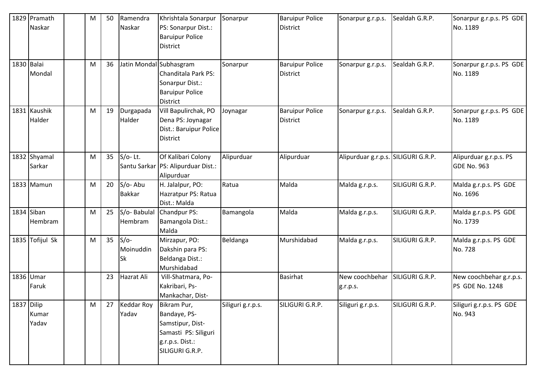| 1830 Balai | 1829 Pramath<br>Naskar | M<br>M | 50<br>36 | Ramendra<br>Naskar<br>Jatin Mondal Subhasgram | Khrishtala Sonarpur<br>PS: Sonarpur Dist.:<br><b>Baruipur Police</b><br><b>District</b>                       | Sonarpur<br>Sonarpur | <b>Baruipur Police</b><br><b>District</b><br><b>Baruipur Police</b> | Sonarpur g.r.p.s.<br>Sonarpur g.r.p.s. | Sealdah G.R.P.<br>Sealdah G.R.P. | Sonarpur g.r.p.s. PS GDE<br>No. 1189<br>Sonarpur g.r.p.s. PS GDE |
|------------|------------------------|--------|----------|-----------------------------------------------|---------------------------------------------------------------------------------------------------------------|----------------------|---------------------------------------------------------------------|----------------------------------------|----------------------------------|------------------------------------------------------------------|
|            | Mondal                 |        |          |                                               | Chanditala Park PS:<br>Sonarpur Dist.:<br><b>Baruipur Police</b><br><b>District</b>                           |                      | <b>District</b>                                                     |                                        |                                  | No. 1189                                                         |
|            | 1831 Kaushik<br>Halder | M      | 19       | Durgapada<br>Halder                           | Vill Bapulirchak, PO<br>Dena PS: Joynagar<br>Dist.: Baruipur Police<br><b>District</b>                        | Joynagar             | <b>Baruipur Police</b><br><b>District</b>                           | Sonarpur g.r.p.s.                      | Sealdah G.R.P.                   | Sonarpur g.r.p.s. PS GDE<br>No. 1189                             |
|            | 1832 Shyamal<br>Sarkar | M      | 35       | $S/O-$ Lt.                                    | Of Kalibari Colony<br>Santu Sarkar PS: Alipurduar Dist.:<br>Alipurduar                                        | Alipurduar           | Alipurduar                                                          | Alipurduar g.r.p.s. SILIGURI G.R.P.    |                                  | Alipurduar g.r.p.s. PS<br><b>GDE No. 963</b>                     |
|            | 1833 Mamun             | M      | 20       | S/o-Abu<br><b>Bakkar</b>                      | H. Jalalpur, PO:<br>Hazratpur PS: Ratua<br>Dist.: Malda                                                       | Ratua                | Malda                                                               | Malda g.r.p.s.                         | SILIGURI G.R.P.                  | Malda g.r.p.s. PS GDE<br>No. 1696                                |
|            | 1834 Siban<br>Hembram  | M      | 25       | S/o-Babulal<br>Hembram                        | Chandpur PS:<br>Bamangola Dist.:<br>Malda                                                                     | Bamangola            | Malda                                                               | Malda g.r.p.s.                         | SILIGURI G.R.P.                  | Malda g.r.p.s. PS GDE<br>No. 1739                                |
|            | 1835 Tofijul Sk        | M      | 35       | $S/O-$<br>Moinuddin<br><b>Sk</b>              | Mirzapur, PO:<br>Dakshin para PS:<br>Beldanga Dist.:<br>Murshidabad                                           | Beldanga             | Murshidabad                                                         | Malda g.r.p.s.                         | SILIGURI G.R.P.                  | Malda g.r.p.s. PS GDE<br>No. 728                                 |
|            | 1836 Umar<br>Faruk     |        | 23       | Hazrat Ali                                    | Vill-Shatmara, Po-<br>Kakribari, Ps-<br>Mankachar, Dist-                                                      |                      | Basirhat                                                            | New coochbehar<br>g.r.p.s.             | SILIGURI G.R.P.                  | New coochbehar g.r.p.s.<br>PS GDE No. 1248                       |
| 1837 Dilip | Kumar<br>Yadav         | M      | 27       | <b>Keddar Roy</b><br>Yadav                    | Bikram Pur,<br>Bandaye, PS-<br>Samstipur, Dist-<br>Samasti PS: Siliguri<br>g.r.p.s. Dist.:<br>SILIGURI G.R.P. | Siliguri g.r.p.s.    | SILIGURI G.R.P.                                                     | Siliguri g.r.p.s.                      | SILIGURI G.R.P.                  | Siliguri g.r.p.s. PS GDE<br>No. 943                              |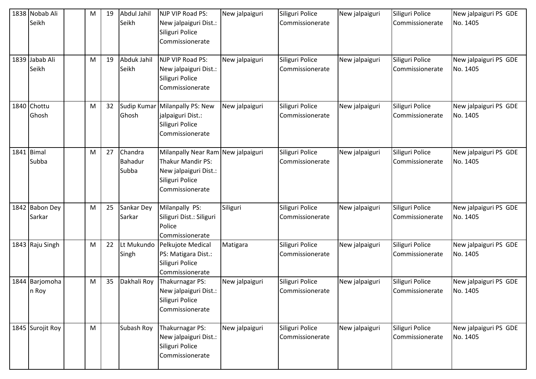| 1838 Nobab Ali<br>Seikh  | M | 19 | Abdul Jahil<br>Seikh        | NJP VIP Road PS:<br>New jalpaiguri Dist.:<br>Siliguri Police<br>Commissionerate                                               | New jalpaiguri | Siliguri Police<br><b>Commissionerate</b> | New jalpaiguri | Siliguri Police<br>Commissionerate | New jalpaiguri PS GDE<br>No. 1405 |
|--------------------------|---|----|-----------------------------|-------------------------------------------------------------------------------------------------------------------------------|----------------|-------------------------------------------|----------------|------------------------------------|-----------------------------------|
| 1839 Jabab Ali<br>Seikh  | M | 19 | Abduk Jahil<br>Seikh        | NJP VIP Road PS:<br>New jalpaiguri Dist.:<br>Siliguri Police<br>Commissionerate                                               | New jalpaiguri | Siliguri Police<br>Commissionerate        | New jalpaiguri | Siliguri Police<br>Commissionerate | New jalpaiguri PS GDE<br>No. 1405 |
| 1840 Chottu<br>Ghosh     | M | 32 | <b>Sudip Kumar</b><br>Ghosh | Milanpally PS: New<br>jalpaiguri Dist.:<br>Siliguri Police<br>Commissionerate                                                 | New jalpaiguri | Siliguri Police<br>Commissionerate        | New jalpaiguri | Siliguri Police<br>Commissionerate | New jalpaiguri PS GDE<br>No. 1405 |
| 1841 Bimal<br>Subba      | M | 27 | Chandra<br>Bahadur<br>Subba | Milanpally Near Ram New jalpaiguri<br><b>Thakur Mandir PS:</b><br>New jalpaiguri Dist.:<br>Siliguri Police<br>Commissionerate |                | Siliguri Police<br>Commissionerate        | New jalpaiguri | Siliguri Police<br>Commissionerate | New jalpaiguri PS GDE<br>No. 1405 |
| 1842 Babon Dey<br>Sarkar | M | 25 | Sankar Dey<br>Sarkar        | Milanpally PS:<br>Siliguri Dist.: Siliguri<br>Police<br>Commissionerate                                                       | Siliguri       | Siliguri Police<br>Commissionerate        | New jalpaiguri | Siliguri Police<br>Commissionerate | New jalpaiguri PS GDE<br>No. 1405 |
| 1843 Raju Singh          | M | 22 | Lt Mukundo<br>Singh         | Pelkujote Medical<br>PS: Matigara Dist.:<br>Siliguri Police<br>Commissionerate                                                | Matigara       | Siliguri Police<br>Commissionerate        | New jalpaiguri | Siliguri Police<br>Commissionerate | New jalpaiguri PS GDE<br>No. 1405 |
| 1844 Barjomoha<br>n Roy  | M | 35 | Dakhali Roy                 | Thakurnagar PS:<br>New jalpaiguri Dist.:<br>Siliguri Police<br>Commissionerate                                                | New jalpaiguri | Siliguri Police<br>Commissionerate        | New jalpaiguri | Siliguri Police<br>Commissionerate | New jalpaiguri PS GDE<br>No. 1405 |
| 1845 Surojit Roy         | M |    | Subash Roy                  | Thakurnagar PS:<br>New jalpaiguri Dist.:<br>Siliguri Police<br>Commissionerate                                                | New jalpaiguri | Siliguri Police<br>Commissionerate        | New jalpaiguri | Siliguri Police<br>Commissionerate | New jalpaiguri PS GDE<br>No. 1405 |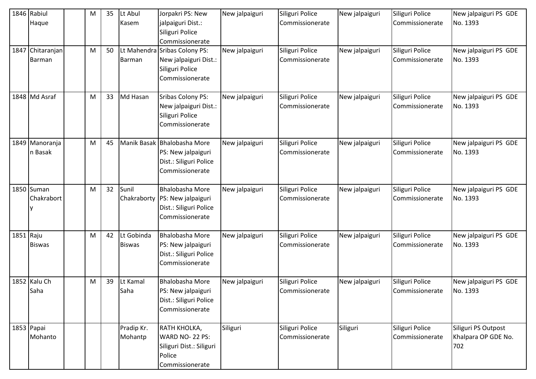| 1847      | 1846 Rabiul<br>Haque<br>Chitaranjan<br>Barman | M<br>M | 35<br>50 | Lt Abul<br>Kasem<br><b>Barman</b> | Jorpakri PS: New<br>jalpaiguri Dist.:<br>Siliguri Police<br>Commissionerate<br>Lt Mahendra Sribas Colony PS:<br>New jalpaiguri Dist.:<br>Siliguri Police<br>Commissionerate | New jalpaiguri<br>New jalpaiguri | Siliguri Police<br>Commissionerate<br>Siliguri Police<br>Commissionerate | New jalpaiguri<br>New jalpaiguri | Siliguri Police<br>Commissionerate<br>Siliguri Police<br>Commissionerate | New jalpaiguri PS GDE<br>No. 1393<br>New jalpaiguri PS GDE<br>No. 1393 |
|-----------|-----------------------------------------------|--------|----------|-----------------------------------|-----------------------------------------------------------------------------------------------------------------------------------------------------------------------------|----------------------------------|--------------------------------------------------------------------------|----------------------------------|--------------------------------------------------------------------------|------------------------------------------------------------------------|
|           | 1848 Md Asraf                                 | M      | 33       | Md Hasan                          | <b>Sribas Colony PS:</b><br>New jalpaiguri Dist.:<br>Siliguri Police<br>Commissionerate                                                                                     | New jalpaiguri                   | Siliguri Police<br>Commissionerate                                       | New jalpaiguri                   | Siliguri Police<br>Commissionerate                                       | New jalpaiguri PS GDE<br>No. 1393                                      |
|           | 1849 Manoranja<br>n Basak                     | M      | 45       |                                   | Manik Basak Bhalobasha More<br>PS: New jalpaiguri<br>Dist.: Siliguri Police<br>Commissionerate                                                                              | New jalpaiguri                   | Siliguri Police<br>Commissionerate                                       | New jalpaiguri                   | Siliguri Police<br>Commissionerate                                       | New jalpaiguri PS GDE<br>No. 1393                                      |
|           | 1850 Suman<br>Chakrabort                      | M      | 32       | Sunil<br>Chakraborty              | <b>Bhalobasha More</b><br>PS: New jalpaiguri<br>Dist.: Siliguri Police<br>Commissionerate                                                                                   | New jalpaiguri                   | Siliguri Police<br>Commissionerate                                       | New jalpaiguri                   | Siliguri Police<br>Commissionerate                                       | New jalpaiguri PS GDE<br>No. 1393                                      |
| 1851 Raju | <b>Biswas</b>                                 | M      | 42       | Lt Gobinda<br><b>Biswas</b>       | <b>Bhalobasha More</b><br>PS: New jalpaiguri<br>Dist.: Siliguri Police<br>Commissionerate                                                                                   | New jalpaiguri                   | Siliguri Police<br>Commissionerate                                       | New jalpaiguri                   | Siliguri Police<br>Commissionerate                                       | New jalpaiguri PS GDE<br>No. 1393                                      |
|           | 1852 Kalu Ch<br>Saha                          | M      | 39       | Lt Kamal<br>Saha                  | <b>Bhalobasha More</b><br>PS: New jalpaiguri<br>Dist.: Siliguri Police<br>Commissionerate                                                                                   | New jalpaiguri                   | Siliguri Police<br>Commissionerate                                       | New jalpaiguri                   | Siliguri Police<br>Commissionerate                                       | New jalpaiguri PS GDE<br>No. 1393                                      |
|           | 1853 Papai<br>Mohanto                         |        |          | Pradip Kr.<br>Mohantp             | RATH KHOLKA,<br><b>WARD NO- 22 PS:</b><br>Siliguri Dist.: Siliguri<br>Police<br>Commissionerate                                                                             | Siliguri                         | Siliguri Police<br>Commissionerate                                       | Siliguri                         | Siliguri Police<br>Commissionerate                                       | Siliguri PS Outpost<br>Khalpara OP GDE No.<br>702                      |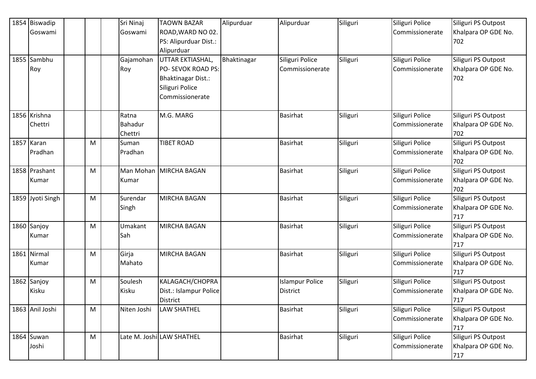| 1854 Biswadip    |   | Sri Ninaj   | <b>TAOWN BAZAR</b>        | Alipurduar  | Alipurduar             | Siliguri | Siliguri Police | Siliguri PS Outpost |
|------------------|---|-------------|---------------------------|-------------|------------------------|----------|-----------------|---------------------|
| Goswami          |   | Goswami     | ROAD, WARD NO 02.         |             |                        |          | Commissionerate | Khalpara OP GDE No. |
|                  |   |             | PS: Alipurduar Dist.:     |             |                        |          |                 | 702                 |
|                  |   |             | Alipurduar                |             |                        |          |                 |                     |
| 1855 Sambhu      |   | Gajamohan   | UTTAR EKTIASHAL,          | Bhaktinagar | Siliguri Police        | Siliguri | Siliguri Police | Siliguri PS Outpost |
| Roy              |   | Roy         | PO- SEVOK ROAD PS:        |             | Commissionerate        |          | Commissionerate | Khalpara OP GDE No. |
|                  |   |             | <b>Bhaktinagar Dist.:</b> |             |                        |          |                 | 702                 |
|                  |   |             | Siliguri Police           |             |                        |          |                 |                     |
|                  |   |             | Commissionerate           |             |                        |          |                 |                     |
|                  |   |             |                           |             |                        |          |                 |                     |
| 1856 Krishna     |   | Ratna       | M.G. MARG                 |             | Basirhat               | Siliguri | Siliguri Police | Siliguri PS Outpost |
| Chettri          |   | Bahadur     |                           |             |                        |          | Commissionerate | Khalpara OP GDE No. |
|                  |   | Chettri     |                           |             |                        |          |                 | 702                 |
| 1857 Karan       | M | Suman       | <b>TIBET ROAD</b>         |             | <b>Basirhat</b>        | Siliguri | Siliguri Police | Siliguri PS Outpost |
| Pradhan          |   | Pradhan     |                           |             |                        |          | Commissionerate | Khalpara OP GDE No. |
|                  |   |             |                           |             |                        |          |                 | 702                 |
| 1858 Prashant    | M | Man Mohan   | MIRCHA BAGAN              |             | <b>Basirhat</b>        | Siliguri | Siliguri Police | Siliguri PS Outpost |
| Kumar            |   | Kumar       |                           |             |                        |          | Commissionerate | Khalpara OP GDE No. |
|                  |   |             |                           |             |                        |          |                 | 702                 |
| 1859 Jyoti Singh | M | Surendar    | <b>MIRCHA BAGAN</b>       |             | <b>Basirhat</b>        | Siliguri | Siliguri Police | Siliguri PS Outpost |
|                  |   | Singh       |                           |             |                        |          | Commissionerate | Khalpara OP GDE No. |
|                  |   |             |                           |             |                        |          |                 | 717                 |
| 1860 Sanjoy      | M | Umakant     | <b>MIRCHA BAGAN</b>       |             | <b>Basirhat</b>        | Siliguri | Siliguri Police | Siliguri PS Outpost |
| Kumar            |   | Sah         |                           |             |                        |          | Commissionerate | Khalpara OP GDE No. |
|                  |   |             |                           |             |                        |          |                 | 717                 |
| 1861 Nirmal      | M | Girja       | <b>MIRCHA BAGAN</b>       |             | <b>Basirhat</b>        | Siliguri | Siliguri Police | Siliguri PS Outpost |
| Kumar            |   | Mahato      |                           |             |                        |          | Commissionerate | Khalpara OP GDE No. |
|                  |   |             |                           |             |                        |          |                 | 717                 |
| 1862 Sanjoy      | M | Soulesh     | KALAGACH/CHOPRA           |             | <b>Islampur Police</b> | Siliguri | Siliguri Police | Siliguri PS Outpost |
| Kisku            |   | Kisku       | Dist.: Islampur Police    |             | <b>District</b>        |          | Commissionerate | Khalpara OP GDE No. |
|                  |   |             | <b>District</b>           |             |                        |          |                 | 717                 |
| 1863 Anil Joshi  | M | Niten Joshi | LAW SHATHEL               |             | <b>Basirhat</b>        | Siliguri | Siliguri Police | Siliguri PS Outpost |
|                  |   |             |                           |             |                        |          | Commissionerate | Khalpara OP GDE No. |
|                  |   |             |                           |             |                        |          |                 | 717                 |
| 1864 Suwan       | M |             | Late M. Joshi LAW SHATHEL |             | <b>Basirhat</b>        | Siliguri | Siliguri Police | Siliguri PS Outpost |
| Joshi            |   |             |                           |             |                        |          | Commissionerate | Khalpara OP GDE No. |
|                  |   |             |                           |             |                        |          |                 | 717                 |